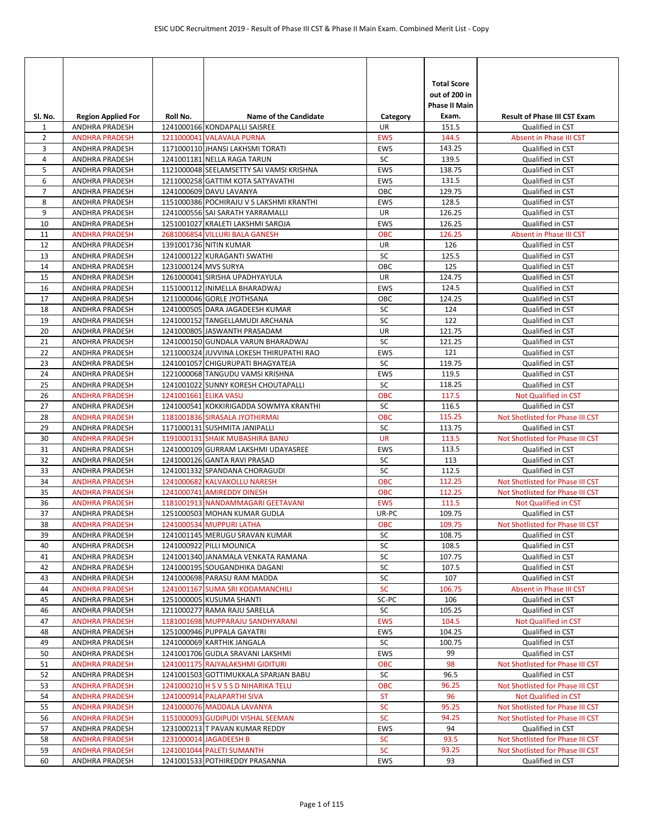| SI. No.        | <b>Region Applied For</b>                      | Roll No.              | <b>Name of the Candidate</b>                                          | Category                 | <b>Total Score</b><br>out of 200 in<br><b>Phase II Main</b><br>Exam. | <b>Result of Phase III CST Exam</b>                      |
|----------------|------------------------------------------------|-----------------------|-----------------------------------------------------------------------|--------------------------|----------------------------------------------------------------------|----------------------------------------------------------|
| 1              | ANDHRA PRADESH                                 |                       | 1241000166 KONDAPALLI SAISREE                                         | UR                       | 151.5                                                                | Qualified in CST                                         |
| $\overline{2}$ | <b>ANDHRA PRADESH</b>                          |                       | 1211000041 VALAVALA PURNA                                             | <b>EWS</b>               | 144.5                                                                | Absent in Phase III CST                                  |
| 3              | <b>ANDHRA PRADESH</b>                          |                       | 1171000110 JHANSI LAKHSMI TORATI                                      | EWS                      | 143.25                                                               | Qualified in CST                                         |
| 4              | ANDHRA PRADESH                                 |                       | 1241001181 NELLA RAGA TARUN                                           | SC                       | 139.5                                                                | Qualified in CST                                         |
| 5              | ANDHRA PRADESH                                 |                       | 1121000048 SEELAMSETTY SAI VAMSI KRISHNA                              | <b>EWS</b>               | 138.75                                                               | Qualified in CST                                         |
| 6              | <b>ANDHRA PRADESH</b>                          |                       | 1211000258 GATTIM KOTA SATYAVATHI                                     | <b>EWS</b>               | 131.5                                                                | Qualified in CST                                         |
| $\overline{7}$ | ANDHRA PRADESH                                 |                       | 1241000609 DAVU LAVANYA                                               | OBC                      | 129.75                                                               | Qualified in CST                                         |
| 8<br>9         | ANDHRA PRADESH                                 |                       | 1151000386 POCHIRAJU V S LAKSHMI KRANTHI                              | EWS<br><b>UR</b>         | 128.5                                                                | Qualified in CST                                         |
| 10             | <b>ANDHRA PRADESH</b><br><b>ANDHRA PRADESH</b> |                       | 1241000556 SAI SARATH YARRAMALLI<br>1251001027 KRALETI LAKSHMI SAROJA | <b>EWS</b>               | 126.25<br>126.25                                                     | Qualified in CST<br>Qualified in CST                     |
| 11             | <b>ANDHRA PRADESH</b>                          |                       | 2681006854 VILLURI BALA GANESH                                        | <b>OBC</b>               | 126.25                                                               | Absent in Phase III CST                                  |
| 12             | ANDHRA PRADESH                                 |                       | 1391001736 NITIN KUMAR                                                | UR                       | 126                                                                  | Qualified in CST                                         |
| 13             | ANDHRA PRADESH                                 |                       | 1241000122 KURAGANTI SWATHI                                           | SC                       | 125.5                                                                | Qualified in CST                                         |
| 14             | ANDHRA PRADESH                                 | 1231000124 MVS SURYA  |                                                                       | OBC                      | 125                                                                  | Qualified in CST                                         |
| 15             | ANDHRA PRADESH                                 |                       | 1261000041 SIRISHA UPADHYAYULA                                        | <b>UR</b>                | 124.75                                                               | Qualified in CST                                         |
| 16             | <b>ANDHRA PRADESH</b>                          |                       | 1151000112 INIMELLA BHARADWAJ                                         | <b>EWS</b>               | 124.5                                                                | Qualified in CST                                         |
| 17             | ANDHRA PRADESH                                 |                       | 1211000046 GORLE JYOTHSANA                                            | OBC                      | 124.25                                                               | Qualified in CST                                         |
| 18             | ANDHRA PRADESH                                 |                       | 1241000505 DARA JAGADEESH KUMAR                                       | SC                       | 124                                                                  | Qualified in CST                                         |
| 19             | <b>ANDHRA PRADESH</b>                          |                       | 1241000152 TANGELLAMUDI ARCHANA                                       | SC                       | 122                                                                  | Qualified in CST                                         |
| 20             | <b>ANDHRA PRADESH</b>                          |                       | 1241000805 JASWANTH PRASADAM                                          | UR                       | 121.75                                                               | Qualified in CST                                         |
| 21             | <b>ANDHRA PRADESH</b>                          |                       | 1241000150 GUNDALA VARUN BHARADWAJ                                    | SC                       | 121.25                                                               | Qualified in CST                                         |
| 22             | ANDHRA PRADESH                                 |                       | 1211000324 JUVVINA LOKESH THIRUPATHI RAO                              | <b>EWS</b>               | 121                                                                  | Qualified in CST                                         |
| 23             | ANDHRA PRADESH                                 |                       | 1241001057 CHIGURUPATI BHAGYATEJA                                     | SC                       | 119.75                                                               | Qualified in CST                                         |
| 24             | ANDHRA PRADESH                                 |                       | 1221000068 TANGUDU VAMSI KRISHNA                                      | EWS                      | 119.5                                                                | Qualified in CST                                         |
| 25             | ANDHRA PRADESH                                 |                       | 1241001022 SUNNY KORESH CHOUTAPALLI                                   | SC                       | 118.25                                                               | Qualified in CST                                         |
| 26             | <b>ANDHRA PRADESH</b>                          | 1241001661 ELIKA VASU |                                                                       | <b>OBC</b>               | 117.5                                                                | <b>Not Qualified in CST</b>                              |
| 27             | ANDHRA PRADESH                                 |                       | 1241000541 KOKKIRIGADDA SOWMYA KRANTHI                                | SC                       | 116.5                                                                | Qualified in CST                                         |
| 28             | <b>ANDHRA PRADESH</b>                          |                       | 1181001836 SIRASALA JYOTHIRMAI                                        | <b>OBC</b>               | 115.25                                                               | Not Shotlisted for Phase III CST                         |
| 29             | <b>ANDHRA PRADESH</b>                          |                       | 1171000131 SUSHMITA JANIPALLI                                         | SC                       | 113.75                                                               | Qualified in CST                                         |
| 30             | <b>ANDHRA PRADESH</b>                          |                       | 1191000131 SHAIK MUBASHIRA BANU                                       | <b>UR</b>                | 113.5                                                                | Not Shotlisted for Phase III CST                         |
| 31             | <b>ANDHRA PRADESH</b>                          |                       | 1241000109 GURRAM LAKSHMI UDAYASREE                                   | EWS                      | 113.5                                                                | Qualified in CST                                         |
| 32             | ANDHRA PRADESH                                 |                       | 1241000126 GANTA RAVI PRASAD                                          | SC                       | 113                                                                  | Qualified in CST                                         |
| 33             | <b>ANDHRA PRADESH</b>                          |                       | 1241001332 SPANDANA CHORAGUDI                                         | SC                       | 112.5                                                                | Qualified in CST                                         |
| 34<br>35       | <b>ANDHRA PRADESH</b>                          |                       | 1241000682 KALVAKOLLU NARESH                                          | <b>OBC</b><br><b>OBC</b> | 112.25<br>112.25                                                     | Not Shotlisted for Phase III CST                         |
| 36             | <b>ANDHRA PRADESH</b><br><b>ANDHRA PRADESH</b> |                       | 1241000741 AMIREDDY DINESH<br>1181001913 NANDAMMAGARI GEETAVANI       | <b>EWS</b>               | 111.5                                                                | Not Shotlisted for Phase III CST<br>Not Qualified in CST |
| 37             | ANDHRA PRADESH                                 |                       | 1251000503 MOHAN KUMAR GUDLA                                          | UR-PC                    | 109.75                                                               | Qualified in CST                                         |
| 38             | <b>ANDHRA PRADESH</b>                          |                       | 1241000534 MUPPURI LATHA                                              | <b>OBC</b>               | 109.75                                                               | Not Shotlisted for Phase III CST                         |
| 39             | ANDHRA PRADESH                                 |                       | 1241001145 MERUGU SRAVAN KUMAR                                        | SC                       | 108.75                                                               | Qualified in CST                                         |
| 40             | ANDHRA PRADESH                                 |                       | 1241000922 PILLI MOUNICA                                              | SC                       | 108.5                                                                | Qualified in CST                                         |
| 41             | ANDHRA PRADESH                                 |                       | 1241001340 JANAMALA VENKATA RAMANA                                    | SC                       | 107.75                                                               | Qualified in CST                                         |
| 42             | ANDHRA PRADESH                                 |                       | 1241000195 SOUGANDHIKA DAGANI                                         | SC                       | 107.5                                                                | Qualified in CST                                         |
| 43             | ANDHRA PRADESH                                 |                       | 1241000698 PARASU RAM MADDA                                           | SC                       | 107                                                                  | Qualified in CST                                         |
| 44             | <b>ANDHRA PRADESH</b>                          |                       | 1241001167 SUMA SRI KODAMANCHILI                                      | <b>SC</b>                | 106.75                                                               | Absent in Phase III CST                                  |
| 45             | ANDHRA PRADESH                                 |                       | 1251000005 KUSUMA SHANTI                                              | SC-PC                    | 106                                                                  | Qualified in CST                                         |
| 46             | ANDHRA PRADESH                                 |                       | 1211000277 RAMA RAJU SARELLA                                          | SC                       | 105.25                                                               | Qualified in CST                                         |
| 47             | <b>ANDHRA PRADESH</b>                          |                       | 1181001698 MUPPARAJU SANDHYARANI                                      | <b>EWS</b>               | 104.5                                                                | Not Qualified in CST                                     |
| 48             | ANDHRA PRADESH                                 |                       | 1251000946 PUPPALA GAYATRI                                            | EWS                      | 104.25                                                               | Qualified in CST                                         |
| 49             | ANDHRA PRADESH                                 |                       | 1241000069 KARTHIK JANGALA                                            | SC                       | 100.75                                                               | Qualified in CST                                         |
| 50             | ANDHRA PRADESH                                 |                       | 1241001706 GUDLA SRAVANI LAKSHMI                                      | EWS                      | 99                                                                   | Qualified in CST                                         |
| 51             | <b>ANDHRA PRADESH</b>                          |                       | 1241001175 RAJYALAKSHMI GIDITURI                                      | <b>OBC</b>               | 98                                                                   | Not Shotlisted for Phase III CST                         |
| 52             | ANDHRA PRADESH                                 |                       | 1241001503 GOTTIMUKKALA SPARJAN BABU                                  | SC                       | 96.5                                                                 | Qualified in CST                                         |
| 53             | <b>ANDHRA PRADESH</b>                          |                       | 1241000210 H S V S S D NIHARIKA TELU                                  | <b>OBC</b>               | 96.25                                                                | Not Shotlisted for Phase III CST                         |
| 54             | <b>ANDHRA PRADESH</b>                          |                       | 1241000914 PALAPARTHI SIVA                                            | <b>ST</b>                | 96                                                                   | Not Qualified in CST                                     |
| 55             | <b>ANDHRA PRADESH</b>                          |                       | 1241000076 MADDALA LAVANYA                                            | <b>SC</b>                | 95.25                                                                | Not Shotlisted for Phase III CST                         |
| 56             | <b>ANDHRA PRADESH</b>                          |                       | 1151000093 GUDIPUDI VISHAL SEEMAN                                     | <b>SC</b>                | 94.25                                                                | Not Shotlisted for Phase III CST                         |
| 57             | ANDHRA PRADESH                                 |                       | 1231000213 T PAVAN KUMAR REDDY                                        | EWS                      | 94                                                                   | Qualified in CST                                         |
| 58             | <b>ANDHRA PRADESH</b>                          |                       | 1231000014 JAGADEESH B                                                | <b>SC</b><br><b>SC</b>   | 93.5<br>93.25                                                        | Not Shotlisted for Phase III CST                         |
| 59<br>60       | <b>ANDHRA PRADESH</b><br>ANDHRA PRADESH        |                       | 1241001044 PALETI SUMANTH<br>1241001533 POTHIREDDY PRASANNA           | EWS                      | 93                                                                   | Not Shotlisted for Phase III CST<br>Qualified in CST     |
|                |                                                |                       |                                                                       |                          |                                                                      |                                                          |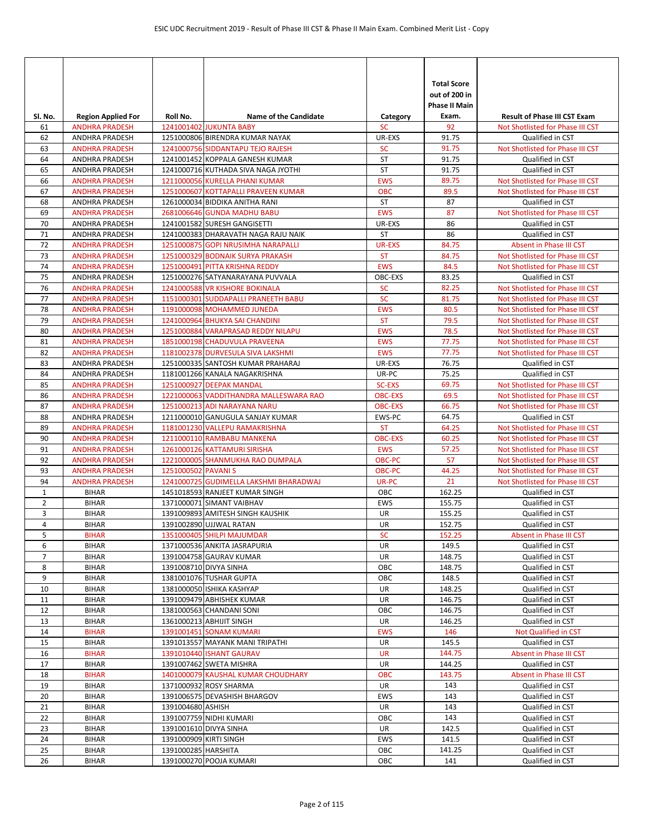| SI. No.        | <b>Region Applied For</b>                      | Roll No.               | <b>Name of the Candidate</b>                                         | Category                 | <b>Total Score</b><br>out of 200 in<br>Phase II Main<br>Exam. | <b>Result of Phase III CST Exam</b>                                  |
|----------------|------------------------------------------------|------------------------|----------------------------------------------------------------------|--------------------------|---------------------------------------------------------------|----------------------------------------------------------------------|
| 61             | <b>ANDHRA PRADESH</b>                          |                        | 1241001402 JUKUNTA BABY                                              | <b>SC</b>                | 92                                                            | Not Shotlisted for Phase III CST                                     |
| 62             | <b>ANDHRA PRADESH</b>                          |                        | 1251000806 BIRENDRA KUMAR NAYAK<br>1241000756 SIDDANTAPU TEJO RAJESH | UR-EXS<br><b>SC</b>      | 91.75<br>91.75                                                | Qualified in CST                                                     |
| 63<br>64       | <b>ANDHRA PRADESH</b><br>ANDHRA PRADESH        |                        | 1241001452 KOPPALA GANESH KUMAR                                      | ST                       | 91.75                                                         | Not Shotlisted for Phase III CST<br>Qualified in CST                 |
| 65             | <b>ANDHRA PRADESH</b>                          |                        | 1241000716 KUTHADA SIVA NAGA JYOTHI                                  | ST                       | 91.75                                                         | Qualified in CST                                                     |
| 66             | <b>ANDHRA PRADESH</b>                          |                        | 1211000056 KURELLA PHANI KUMAR                                       | <b>EWS</b>               | 89.75                                                         | Not Shotlisted for Phase III CST                                     |
| 67             | <b>ANDHRA PRADESH</b>                          |                        | 1251000607 KOTTAPALLI PRAVEEN KUMAR                                  | <b>OBC</b>               | 89.5                                                          | Not Shotlisted for Phase III CST                                     |
| 68             | ANDHRA PRADESH                                 |                        | 1261000034 BIDDIKA ANITHA RANI                                       | ST                       | 87                                                            | Qualified in CST                                                     |
| 69             | <b>ANDHRA PRADESH</b>                          |                        | 2681006646 GUNDA MADHU BABU                                          | <b>EWS</b>               | 87                                                            | Not Shotlisted for Phase III CST                                     |
| 70             | <b>ANDHRA PRADESH</b>                          |                        | 1241001582 SURESH GANGISETTI                                         | UR-EXS                   | 86                                                            | Qualified in CST                                                     |
| 71             | <b>ANDHRA PRADESH</b>                          |                        | 1241000383 DHARAVATH NAGA RAJU NAIK                                  | <b>ST</b>                | 86                                                            | Qualified in CST                                                     |
| 72             | <b>ANDHRA PRADESH</b>                          |                        | 1251000875 GOPI NRUSIMHA NARAPALLI                                   | UR-EXS                   | 84.75                                                         | Absent in Phase III CST                                              |
| 73             | <b>ANDHRA PRADESH</b>                          |                        | 1251000329 BODNAIK SURYA PRAKASH                                     | <b>ST</b>                | 84.75                                                         | Not Shotlisted for Phase III CST                                     |
| 74             | <b>ANDHRA PRADESH</b>                          |                        | 1251000491 PITTA KRISHNA REDDY                                       | <b>EWS</b>               | 84.5                                                          | Not Shotlisted for Phase III CST                                     |
| 75             | ANDHRA PRADESH                                 |                        | 1251000276 SATYANARAYANA PUVVALA                                     | OBC-EXS                  | 83.25                                                         | Qualified in CST                                                     |
| 76             | <b>ANDHRA PRADESH</b>                          |                        | 1241000588 VR KISHORE BOKINALA                                       | <b>SC</b>                | 82.25                                                         | Not Shotlisted for Phase III CST                                     |
| 77             | <b>ANDHRA PRADESH</b>                          |                        | 1151000301 SUDDAPALLI PRANEETH BABU                                  | <b>SC</b>                | 81.75                                                         | Not Shotlisted for Phase III CST                                     |
| 78             | <b>ANDHRA PRADESH</b>                          |                        | 1191000098 MOHAMMED JUNEDA                                           | <b>EWS</b>               | 80.5                                                          | Not Shotlisted for Phase III CST                                     |
| 79             | <b>ANDHRA PRADESH</b>                          |                        | 1241000964 BHUKYA SAI CHANDINI                                       | <b>ST</b>                | 79.5                                                          | Not Shotlisted for Phase III CST                                     |
| 80             | <b>ANDHRA PRADESH</b>                          |                        | 1251000884 VARAPRASAD REDDY NILAPU                                   | <b>EWS</b>               | 78.5<br>77.75                                                 | Not Shotlisted for Phase III CST                                     |
| 81<br>82       | <b>ANDHRA PRADESH</b><br><b>ANDHRA PRADESH</b> |                        | 1851000198 CHADUVULA PRAVEENA<br>1181002378 DURVESULA SIVA LAKSHMI   | <b>EWS</b><br><b>EWS</b> | 77.75                                                         | Not Shotlisted for Phase III CST<br>Not Shotlisted for Phase III CST |
| 83             | <b>ANDHRA PRADESH</b>                          |                        | 1251000335 SANTOSH KUMAR PRAHARAJ                                    | UR-EXS                   | 76.75                                                         | Qualified in CST                                                     |
| 84             | ANDHRA PRADESH                                 |                        | 1181001266 KANALA NAGAKRISHNA                                        | UR-PC                    | 75.25                                                         | Qualified in CST                                                     |
| 85             | <b>ANDHRA PRADESH</b>                          |                        | 1251000927 DEEPAK MANDAL                                             | <b>SC-EXS</b>            | 69.75                                                         | Not Shotlisted for Phase III CST                                     |
| 86             | <b>ANDHRA PRADESH</b>                          |                        | 1221000063 VADDITHANDRA MALLESWARA RAO                               | <b>OBC-EXS</b>           | 69.5                                                          | Not Shotlisted for Phase III CST                                     |
| 87             | <b>ANDHRA PRADESH</b>                          |                        | 1251000213 ADI NARAYANA NARU                                         | <b>OBC-EXS</b>           | 66.75                                                         | Not Shotlisted for Phase III CST                                     |
| 88             | ANDHRA PRADESH                                 |                        | 1211000010 GANUGULA SANJAY KUMAR                                     | EWS-PC                   | 64.75                                                         | Qualified in CST                                                     |
| 89             | <b>ANDHRA PRADESH</b>                          |                        | 1181001230 VALLEPU RAMAKRISHNA                                       | <b>ST</b>                | 64.25                                                         | Not Shotlisted for Phase III CST                                     |
| 90             | <b>ANDHRA PRADESH</b>                          |                        | 1211000110 RAMBABU MANKENA                                           | <b>OBC-EXS</b>           | 60.25                                                         | Not Shotlisted for Phase III CST                                     |
| 91             | <b>ANDHRA PRADESH</b>                          |                        | 1261000126 KATTAMURI SIRISHA                                         | <b>EWS</b>               | 57.25                                                         | Not Shotlisted for Phase III CST                                     |
| 92             | <b>ANDHRA PRADESH</b>                          |                        | 1221000005 SHANMUKHA RAO DUMPALA                                     | OBC-PC                   | 57                                                            | Not Shotlisted for Phase III CST                                     |
| 93             | <b>ANDHRA PRADESH</b>                          | 1251000502 PAVANIS     |                                                                      | OBC-PC                   | 44.25                                                         | Not Shotlisted for Phase III CST                                     |
| 94             | <b>ANDHRA PRADESH</b>                          |                        | 1241000725 GUDIMELLA LAKSHMI BHARADWAJ                               | UR-PC                    | 21                                                            | Not Shotlisted for Phase III CST                                     |
| 1              | <b>BIHAR</b>                                   |                        | 1451018593 RANJEET KUMAR SINGH                                       | OBC                      | 162.25                                                        | Qualified in CST                                                     |
| $\overline{2}$ | <b>BIHAR</b>                                   |                        | 1371000071 SIMANT VAIBHAV                                            | <b>EWS</b>               | 155.75                                                        | Qualified in CST                                                     |
| 3              | <b>BIHAR</b>                                   |                        | 1391009893 AMITESH SINGH KAUSHIK                                     | <b>UR</b>                | 155.25                                                        | Qualified in CST                                                     |
| 4              | <b>BIHAR</b>                                   |                        | 1391002890 UJJWAL RATAN<br>1351000405 SHILPI MAJUMDAR                | <b>UR</b>                | 152.75                                                        | Qualified in CST                                                     |
| 5<br>6         | <b>BIHAR</b><br><b>BIHAR</b>                   |                        | 1371000536 ANKITA JASRAPURIA                                         | <b>SC</b><br>UR          | 152.25<br>149.5                                               | Absent in Phase III CST<br>Qualified in CST                          |
| 7              | <b>BIHAR</b>                                   |                        | 1391004758 GAURAV KUMAR                                              | UR                       | 148.75                                                        | Qualified in CST                                                     |
| 8              | <b>BIHAR</b>                                   |                        | 1391008710 DIVYA SINHA                                               | OBC                      | 148.75                                                        | Qualified in CST                                                     |
| 9              | <b>BIHAR</b>                                   |                        | 1381001076 TUSHAR GUPTA                                              | OBC                      | 148.5                                                         | Qualified in CST                                                     |
| 10             | <b>BIHAR</b>                                   |                        | 1381000050 ISHIKA KASHYAP                                            | UR                       | 148.25                                                        | Qualified in CST                                                     |
| 11             | <b>BIHAR</b>                                   |                        | 1391009479 ABHISHEK KUMAR                                            | UR                       | 146.75                                                        | Qualified in CST                                                     |
| 12             | <b>BIHAR</b>                                   |                        | 1381000563 CHANDANI SONI                                             | ОВС                      | 146.75                                                        | Qualified in CST                                                     |
| 13             | <b>BIHAR</b>                                   |                        | 1361000213 ABHIJIT SINGH                                             | UR                       | 146.25                                                        | Qualified in CST                                                     |
| 14             | <b>BIHAR</b>                                   |                        | 1391001451 SONAM KUMARI                                              | <b>EWS</b>               | 146                                                           | Not Qualified in CST                                                 |
| 15             | <b>BIHAR</b>                                   |                        | 1391013557 MAYANK MANI TRIPATHI                                      | UR                       | 145.5                                                         | Qualified in CST                                                     |
| 16             | <b>BIHAR</b>                                   |                        | 1391010440 ISHANT GAURAV                                             | <b>UR</b>                | 144.75                                                        | Absent in Phase III CST                                              |
| 17             | <b>BIHAR</b>                                   |                        | 1391007462 SWETA MISHRA                                              | UR                       | 144.25                                                        | Qualified in CST                                                     |
| 18             | <b>BIHAR</b>                                   |                        | 1401000079 KAUSHAL KUMAR CHOUDHARY                                   | OBC                      | 143.75                                                        | Absent in Phase III CST                                              |
| 19             | <b>BIHAR</b>                                   |                        | 1371000932 ROSY SHARMA                                               | UR                       | 143                                                           | Qualified in CST                                                     |
| 20             | <b>BIHAR</b>                                   |                        | 1391006575 DEVASHISH BHARGOV                                         | EWS                      | 143                                                           | Qualified in CST                                                     |
| 21             | <b>BIHAR</b>                                   | 1391004680 ASHISH      |                                                                      | UR<br>OBC                | 143                                                           | Qualified in CST                                                     |
| 22<br>23       | <b>BIHAR</b><br><b>BIHAR</b>                   |                        | 1391007759 NIDHI KUMARI<br>1391001610 DIVYA SINHA                    | <b>UR</b>                | 143<br>142.5                                                  | Qualified in CST<br>Qualified in CST                                 |
| 24             | <b>BIHAR</b>                                   | 1391000909 KIRTI SINGH |                                                                      | EWS                      | 141.5                                                         | Qualified in CST                                                     |
| 25             | <b>BIHAR</b>                                   | 1391000285 HARSHITA    |                                                                      | ОВС                      | 141.25                                                        | Qualified in CST                                                     |
| 26             | <b>BIHAR</b>                                   |                        | 1391000270 POOJA KUMARI                                              | OBC                      | 141                                                           | Qualified in CST                                                     |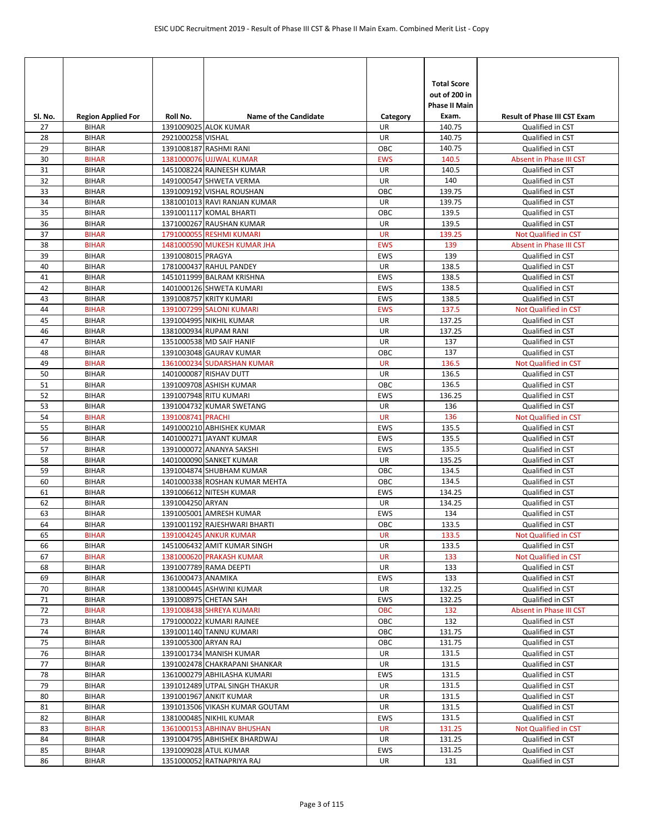| SI. No.  | <b>Region Applied For</b>    | Roll No.             | <b>Name of the Candidate</b>                          | Category         | <b>Total Score</b><br>out of 200 in<br><b>Phase II Main</b><br>Exam. | <b>Result of Phase III CST Exam</b>      |
|----------|------------------------------|----------------------|-------------------------------------------------------|------------------|----------------------------------------------------------------------|------------------------------------------|
| 27       | <b>BIHAR</b>                 |                      | 1391009025 ALOK KUMAR                                 | UR               | 140.75                                                               | Qualified in CST                         |
| 28       | <b>BIHAR</b>                 | 2921000258 VISHAL    |                                                       | UR               | 140.75                                                               | Qualified in CST                         |
| 29       | <b>BIHAR</b>                 |                      | 1391008187 RASHMI RANI                                | OBC              | 140.75                                                               | Qualified in CST                         |
| 30       | <b>BIHAR</b>                 |                      | 1381000076 UJJWAL KUMAR                               | <b>EWS</b>       | 140.5                                                                | Absent in Phase III CST                  |
| 31       | <b>BIHAR</b>                 |                      | 1451008224 RAJNEESH KUMAR                             | <b>UR</b>        | 140.5                                                                | Qualified in CST                         |
| 32       | <b>BIHAR</b>                 |                      | 1491000547 SHWETA VERMA                               | UR               | 140                                                                  | Qualified in CST                         |
| 33       | <b>BIHAR</b>                 |                      | 1391009192 VISHAL ROUSHAN                             | OBC              | 139.75                                                               | Qualified in CST                         |
| 34       | <b>BIHAR</b>                 |                      | 1381001013 RAVI RANJAN KUMAR                          | UR               | 139.75                                                               | Qualified in CST                         |
| 35       | <b>BIHAR</b>                 |                      | 1391001117 KOMAL BHARTI                               | OBC              | 139.5                                                                | Qualified in CST                         |
| 36       | <b>BIHAR</b>                 |                      | 1371000267 RAUSHAN KUMAR                              | UR               | 139.5                                                                | Qualified in CST                         |
| 37       | <b>BIHAR</b>                 |                      | 1791000055 RESHMI KUMARI                              | <b>UR</b>        | 139.25                                                               | <b>Not Qualified in CST</b>              |
| 38       | <b>BIHAR</b>                 |                      | 1481000590 MUKESH KUMAR JHA                           | <b>EWS</b>       | 139                                                                  | Absent in Phase III CST                  |
| 39<br>40 | <b>BIHAR</b><br><b>BIHAR</b> | 1391008015 PRAGYA    | 1781000437 RAHUL PANDEY                               | <b>EWS</b><br>UR | 139<br>138.5                                                         | Qualified in CST                         |
| 41       | <b>BIHAR</b>                 |                      | 1451011999 BALRAM KRISHNA                             | <b>EWS</b>       | 138.5                                                                | Qualified in CST<br>Qualified in CST     |
| 42       | <b>BIHAR</b>                 |                      | 1401000126 SHWETA KUMARI                              | <b>EWS</b>       | 138.5                                                                | Qualified in CST                         |
| 43       | <b>BIHAR</b>                 |                      | 1391008757 KRITY KUMARI                               | <b>EWS</b>       | 138.5                                                                | Qualified in CST                         |
| 44       | <b>BIHAR</b>                 |                      | 1391007299 SALONI KUMARI                              | <b>EWS</b>       | 137.5                                                                | Not Qualified in CST                     |
| 45       | <b>BIHAR</b>                 |                      | 1391004995 NIKHIL KUMAR                               | <b>UR</b>        | 137.25                                                               | Qualified in CST                         |
| 46       | <b>BIHAR</b>                 |                      | 1381000934 RUPAM RANI                                 | UR               | 137.25                                                               | Qualified in CST                         |
| 47       | <b>BIHAR</b>                 |                      | 1351000538 MD SAIF HANIF                              | UR               | 137                                                                  | Qualified in CST                         |
| 48       | <b>BIHAR</b>                 |                      | 1391003048 GAURAV KUMAR                               | OBC              | 137                                                                  | Qualified in CST                         |
| 49       | <b>BIHAR</b>                 |                      | 1361000234 SUDARSHAN KUMAR                            | <b>UR</b>        | 136.5                                                                | Not Qualified in CST                     |
| 50       | <b>BIHAR</b>                 |                      | 1401000087 RISHAV DUTT                                | UR               | 136.5                                                                | Qualified in CST                         |
| 51       | <b>BIHAR</b>                 |                      | 1391009708 ASHISH KUMAR                               | OBC              | 136.5                                                                | Qualified in CST                         |
| 52       | <b>BIHAR</b>                 |                      | 1391007948 RITU KUMARI                                | <b>EWS</b>       | 136.25                                                               | Qualified in CST                         |
| 53       | <b>BIHAR</b>                 |                      | 1391004732 KUMAR SWETANG                              | UR               | 136                                                                  | Qualified in CST                         |
| 54       | <b>BIHAR</b>                 | 1391008741 PRACHI    |                                                       | <b>UR</b>        | 136                                                                  | Not Qualified in CST                     |
| 55       | <b>BIHAR</b>                 |                      | 1491000210 ABHISHEK KUMAR                             | EWS              | 135.5                                                                | Qualified in CST                         |
| 56       | <b>BIHAR</b>                 |                      | 1401000271 JAYANT KUMAR                               | <b>EWS</b>       | 135.5                                                                | Qualified in CST                         |
| 57       | <b>BIHAR</b>                 |                      | 1391000072 ANANYA SAKSHI                              | <b>EWS</b>       | 135.5                                                                | Qualified in CST                         |
| 58       | <b>BIHAR</b>                 |                      | 1401000090 SANKET KUMAR                               | <b>UR</b>        | 135.25                                                               | Qualified in CST                         |
| 59       | <b>BIHAR</b>                 |                      | 1391004874 SHUBHAM KUMAR                              | OBC              | 134.5                                                                | Qualified in CST                         |
| 60       | <b>BIHAR</b>                 |                      | 1401000338 ROSHAN KUMAR MEHTA                         | OBC              | 134.5                                                                | Qualified in CST                         |
| 61       | <b>BIHAR</b>                 |                      | 1391006612 NITESH KUMAR                               | <b>EWS</b>       | 134.25                                                               | Qualified in CST                         |
| 62       | <b>BIHAR</b>                 | 1391004250 ARYAN     |                                                       | <b>UR</b>        | 134.25                                                               | Qualified in CST                         |
| 63       | <b>BIHAR</b>                 |                      | 1391005001 AMRESH KUMAR                               | <b>EWS</b>       | 134                                                                  | Qualified in CST                         |
| 64       | <b>BIHAR</b>                 |                      | 1391001192 RAJESHWARI BHARTI                          | OBC              | 133.5                                                                | Qualified in CST                         |
| 65       | <b>BIHAR</b>                 |                      | 1391004245 ANKUR KUMAR                                | <b>UR</b>        | 133.5                                                                | Not Qualified in CST                     |
| 66       | <b>BIHAR</b>                 |                      | 1451006432 AMIT KUMAR SINGH                           | <b>UR</b>        | 133.5                                                                | Qualified in CST                         |
| 67       | <b>BIHAR</b>                 |                      | 1381000620 PRAKASH KUMAR                              | UR               | 133                                                                  | Not Qualified in CST                     |
| 68       | <b>BIHAR</b>                 |                      | 1391007789 RAMA DEEPTI                                | UR               | 133                                                                  | Qualified in CST                         |
| 69       | <b>BIHAR</b>                 | 1361000473 ANAMIKA   |                                                       | EWS              | 133                                                                  | Qualified in CST                         |
| 70       | <b>BIHAR</b>                 |                      | 1381000445 ASHWINI KUMAR                              | UR               | 132.25                                                               | Qualified in CST                         |
| 71       | <b>BIHAR</b>                 |                      | 1391008975 CHETAN SAH                                 | EWS              | 132.25                                                               | Qualified in CST                         |
| 72       | <b>BIHAR</b>                 |                      | 1391008438 SHREYA KUMARI                              | <b>OBC</b>       | 132                                                                  | Absent in Phase III CST                  |
| 73       | <b>BIHAR</b>                 |                      | 1791000022 KUMARI RAJNEE                              | ОВС              | 132                                                                  | Qualified in CST                         |
| 74       | <b>BIHAR</b>                 |                      | 1391001140 TANNU KUMARI                               | OBC              | 131.75                                                               | Qualified in CST                         |
| 75       | <b>BIHAR</b>                 | 1391005300 ARYAN RAJ |                                                       | OBC              | 131.75                                                               | Qualified in CST                         |
| 76       | <b>BIHAR</b>                 |                      | 1391001734 MANISH KUMAR                               | UR               | 131.5                                                                | Qualified in CST                         |
| 77       | <b>BIHAR</b>                 |                      | 1391002478 CHAKRAPANI SHANKAR                         | UR               | 131.5                                                                | Qualified in CST                         |
| 78       | <b>BIHAR</b>                 |                      | 1361000279 ABHILASHA KUMARI                           | EWS              | 131.5                                                                | Qualified in CST                         |
| 79       | <b>BIHAR</b>                 |                      | 1391012489 UTPAL SINGH THAKUR                         | UR               | 131.5                                                                | Qualified in CST                         |
| 80       | <b>BIHAR</b>                 |                      | 1391001967 ANKIT KUMAR                                | UR               | 131.5                                                                | Qualified in CST                         |
| 81       | <b>BIHAR</b>                 |                      | 1391013506 VIKASH KUMAR GOUTAM                        | UR<br>EWS        | 131.5<br>131.5                                                       | Qualified in CST                         |
| 82<br>83 | <b>BIHAR</b><br><b>BIHAR</b> |                      | 1381000485 NIKHIL KUMAR<br>1361000153 ABHINAV BHUSHAN | <b>UR</b>        | 131.25                                                               | Qualified in CST<br>Not Qualified in CST |
| 84       | <b>BIHAR</b>                 |                      | 1391004795 ABHISHEK BHARDWAJ                          | UR               | 131.25                                                               | Qualified in CST                         |
| 85       | <b>BIHAR</b>                 |                      | 1391009028 ATUL KUMAR                                 | EWS              | 131.25                                                               | Qualified in CST                         |
| 86       | <b>BIHAR</b>                 |                      | 1351000052 RATNAPRIYA RAJ                             | UR               | 131                                                                  | Qualified in CST                         |
|          |                              |                      |                                                       |                  |                                                                      |                                          |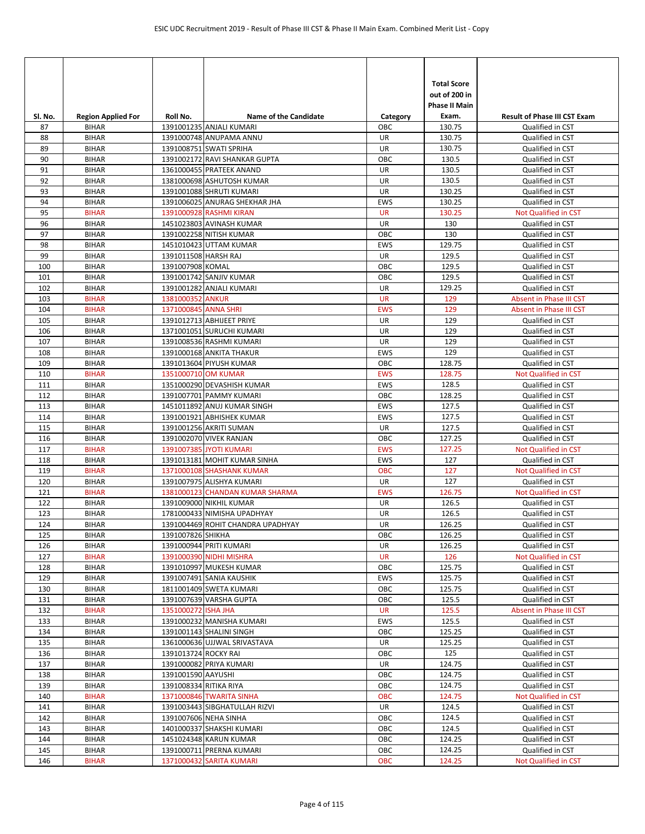| SI. No.    | <b>Region Applied For</b>    | Roll No.                                 | <b>Name of the Candidate</b>                       | Category        | <b>Total Score</b><br>out of 200 in<br><b>Phase II Main</b><br>Exam. | <b>Result of Phase III CST Exam</b>      |
|------------|------------------------------|------------------------------------------|----------------------------------------------------|-----------------|----------------------------------------------------------------------|------------------------------------------|
| 87         | <b>BIHAR</b>                 |                                          | 1391001235 ANJALI KUMARI                           | ОВС             | 130.75                                                               | Qualified in CST                         |
| 88         | <b>BIHAR</b>                 |                                          | 1391000748 ANUPAMA ANNU                            | <b>UR</b>       | 130.75                                                               | Qualified in CST                         |
| 89         | <b>BIHAR</b>                 |                                          | 1391008751 SWATI SPRIHA                            | UR              | 130.75                                                               | Qualified in CST                         |
| 90         | <b>BIHAR</b>                 |                                          | 1391002172 RAVI SHANKAR GUPTA                      | OBC             | 130.5                                                                | Qualified in CST                         |
| 91         | <b>BIHAR</b>                 |                                          | 1361000455 PRATEEK ANAND                           | UR              | 130.5                                                                | Qualified in CST                         |
| 92         | <b>BIHAR</b>                 |                                          | 1381000698 ASHUTOSH KUMAR                          | UR              | 130.5                                                                | Qualified in CST                         |
| 93         | <b>BIHAR</b>                 |                                          | 1391001088 SHRUTI KUMARI                           | UR              | 130.25                                                               | Qualified in CST                         |
| 94         | <b>BIHAR</b>                 |                                          | 1391006025 ANURAG SHEKHAR JHA                      | <b>EWS</b>      | 130.25                                                               | Qualified in CST                         |
| 95         | <b>BIHAR</b>                 |                                          | 1391000928 RASHMI KIRAN                            | <b>UR</b>       | 130.25                                                               | Not Qualified in CST                     |
| 96         | <b>BIHAR</b>                 |                                          | 1451023803 AVINASH KUMAR                           | UR              | 130                                                                  | Qualified in CST                         |
| 97         | <b>BIHAR</b>                 |                                          | 1391002258 NITISH KUMAR                            | OBC             | 130                                                                  | Qualified in CST                         |
| 98         | <b>BIHAR</b>                 |                                          | 1451010423 UTTAM KUMAR                             | <b>EWS</b>      | 129.75                                                               | Qualified in CST                         |
| 99         | <b>BIHAR</b>                 | 1391011508 HARSH RAJ<br>1391007908 KOMAL |                                                    | UR<br>OBC       | 129.5                                                                | Qualified in CST                         |
| 100<br>101 | <b>BIHAR</b><br><b>BIHAR</b> |                                          | 1391001742 SANJIV KUMAR                            | OBC             | 129.5<br>129.5                                                       | Qualified in CST                         |
| 102        | <b>BIHAR</b>                 |                                          | 1391001282 ANJALI KUMARI                           | UR              | 129.25                                                               | Qualified in CST<br>Qualified in CST     |
| 103        | <b>BIHAR</b>                 | 1381000352 ANKUR                         |                                                    | <b>UR</b>       | 129                                                                  | Absent in Phase III CST                  |
| 104        | <b>BIHAR</b>                 | 1371000845 ANNA SHRI                     |                                                    | <b>EWS</b>      | 129                                                                  | Absent in Phase III CST                  |
| 105        | <b>BIHAR</b>                 |                                          | 1391012713 ABHIJEET PRIYE                          | UR              | 129                                                                  | Qualified in CST                         |
| 106        | <b>BIHAR</b>                 |                                          | 1371001051 SURUCHI KUMARI                          | UR              | 129                                                                  | Qualified in CST                         |
| 107        | <b>BIHAR</b>                 |                                          | 1391008536 RASHMI KUMARI                           | UR              | 129                                                                  | Qualified in CST                         |
| 108        | <b>BIHAR</b>                 |                                          | 1391000168 ANKITA THAKUR                           | <b>EWS</b>      | 129                                                                  | Qualified in CST                         |
| 109        | <b>BIHAR</b>                 |                                          | 1391013604 PIYUSH KUMAR                            | OBC             | 128.75                                                               | Qualified in CST                         |
| 110        | <b>BIHAR</b>                 | 1351000710 OM KUMAR                      |                                                    | <b>EWS</b>      | 128.75                                                               | Not Qualified in CST                     |
| 111        | <b>BIHAR</b>                 |                                          | 1351000290 DEVASHISH KUMAR                         | <b>EWS</b>      | 128.5                                                                | Qualified in CST                         |
| 112        | <b>BIHAR</b>                 |                                          | 1391007701 PAMMY KUMARI                            | OBC             | 128.25                                                               | Qualified in CST                         |
| 113        | <b>BIHAR</b>                 |                                          | 1451011892 ANUJ KUMAR SINGH                        | <b>EWS</b>      | 127.5                                                                | Qualified in CST                         |
| 114        | <b>BIHAR</b>                 |                                          | 1391001921 ABHISHEK KUMAR                          | <b>EWS</b>      | 127.5                                                                | Qualified in CST                         |
| 115        | <b>BIHAR</b>                 |                                          | 1391001256 AKRITI SUMAN                            | UR              | 127.5                                                                | Qualified in CST                         |
| 116        | <b>BIHAR</b>                 |                                          | 1391002070 VIVEK RANJAN                            | OBC             | 127.25                                                               | Qualified in CST                         |
| 117        | <b>BIHAR</b>                 |                                          | 1391007385 JYOTI KUMARI                            | <b>EWS</b>      | 127.25                                                               | Not Qualified in CST                     |
| 118        | <b>BIHAR</b>                 |                                          | 1391013181 MOHIT KUMAR SINHA                       | <b>EWS</b>      | 127                                                                  | Qualified in CST                         |
| 119        | <b>BIHAR</b>                 |                                          | 1371000108 SHASHANK KUMAR                          | <b>OBC</b>      | 127                                                                  | <b>Not Qualified in CST</b>              |
| 120        | <b>BIHAR</b>                 |                                          | 1391007975 ALISHYA KUMARI                          | UR              | 127                                                                  | Qualified in CST                         |
| 121        | <b>BIHAR</b>                 |                                          | 1381000123 CHANDAN KUMAR SHARMA                    | <b>EWS</b>      | 126.75                                                               | Not Qualified in CST                     |
| 122        | <b>BIHAR</b>                 |                                          | 1391009000 NIKHIL KUMAR                            | UR              | 126.5                                                                | Qualified in CST                         |
| 123        | <b>BIHAR</b>                 |                                          | 1781000433 NIMISHA UPADHYAY                        | <b>UR</b>       | 126.5                                                                | Qualified in CST                         |
| 124        | <b>BIHAR</b>                 |                                          | 1391004469 ROHIT CHANDRA UPADHYAY                  | <b>UR</b>       | 126.25                                                               | Qualified in CST                         |
| 125        | <b>BIHAR</b>                 | 1391007826 SHIKHA                        |                                                    | OBC             | 126.25<br>126.25                                                     | Qualified in CST                         |
| 126<br>127 | <b>BIHAR</b>                 |                                          | 1391000944 PRITI KUMARI<br>1391000390 NIDHI MISHRA | UR<br><b>UR</b> | 126                                                                  | Qualified in CST<br>Not Qualified in CST |
| 128        | <b>BIHAR</b><br><b>BIHAR</b> |                                          | 1391010997 MUKESH KUMAR                            | ОВС             | 125.75                                                               | Qualified in CST                         |
| 129        | <b>BIHAR</b>                 |                                          | 1391007491 SANIA KAUSHIK                           | <b>EWS</b>      | 125.75                                                               | Qualified in CST                         |
| 130        | <b>BIHAR</b>                 |                                          | 1811001409 SWETA KUMARI                            | OBC             | 125.75                                                               | Qualified in CST                         |
| 131        | <b>BIHAR</b>                 |                                          | 1391007639 VARSHA GUPTA                            | OBC             | 125.5                                                                | Qualified in CST                         |
| 132        | <b>BIHAR</b>                 | 1351000272 ISHA JHA                      |                                                    | <b>UR</b>       | 125.5                                                                | Absent in Phase III CST                  |
| 133        | <b>BIHAR</b>                 |                                          | 1391000232 MANISHA KUMARI                          | EWS             | 125.5                                                                | Qualified in CST                         |
| 134        | <b>BIHAR</b>                 |                                          | 1391001143 SHALINI SINGH                           | OBC             | 125.25                                                               | Qualified in CST                         |
| 135        | <b>BIHAR</b>                 |                                          | 1361000636 UJJWAL SRIVASTAVA                       | UR              | 125.25                                                               | Qualified in CST                         |
| 136        | <b>BIHAR</b>                 | 1391013724 ROCKY RAI                     |                                                    | OBC             | 125                                                                  | Qualified in CST                         |
| 137        | <b>BIHAR</b>                 |                                          | 1391000082 PRIYA KUMARI                            | UR              | 124.75                                                               | Qualified in CST                         |
| 138        | <b>BIHAR</b>                 | 1391001590 AAYUSHI                       |                                                    | OBC             | 124.75                                                               | Qualified in CST                         |
| 139        | <b>BIHAR</b>                 | 1391008334 RITIKA RIYA                   |                                                    | OBC             | 124.75                                                               | Qualified in CST                         |
| 140        | <b>BIHAR</b>                 |                                          | 1371000846 TWARITA SINHA                           | <b>OBC</b>      | 124.75                                                               | Not Qualified in CST                     |
| 141        | <b>BIHAR</b>                 |                                          | 1391003443 SIBGHATULLAH RIZVI                      | UR              | 124.5                                                                | Qualified in CST                         |
| 142        | <b>BIHAR</b>                 |                                          | 1391007606 NEHA SINHA                              | OBC             | 124.5                                                                | Qualified in CST                         |
| 143        | <b>BIHAR</b>                 |                                          | 1401000337 SHAKSHI KUMARI                          | ОВС             | 124.5                                                                | Qualified in CST                         |
| 144        | <b>BIHAR</b>                 |                                          | 1451024348 KARUN KUMAR                             | ОВС             | 124.25                                                               | Qualified in CST                         |
| 145        | <b>BIHAR</b>                 |                                          | 1391000711 PRERNA KUMARI                           | ОВС             | 124.25                                                               | Qualified in CST                         |
| 146        | <b>BIHAR</b>                 |                                          | 1371000432 SARITA KUMARI                           | <b>OBC</b>      | 124.25                                                               | Not Qualified in CST                     |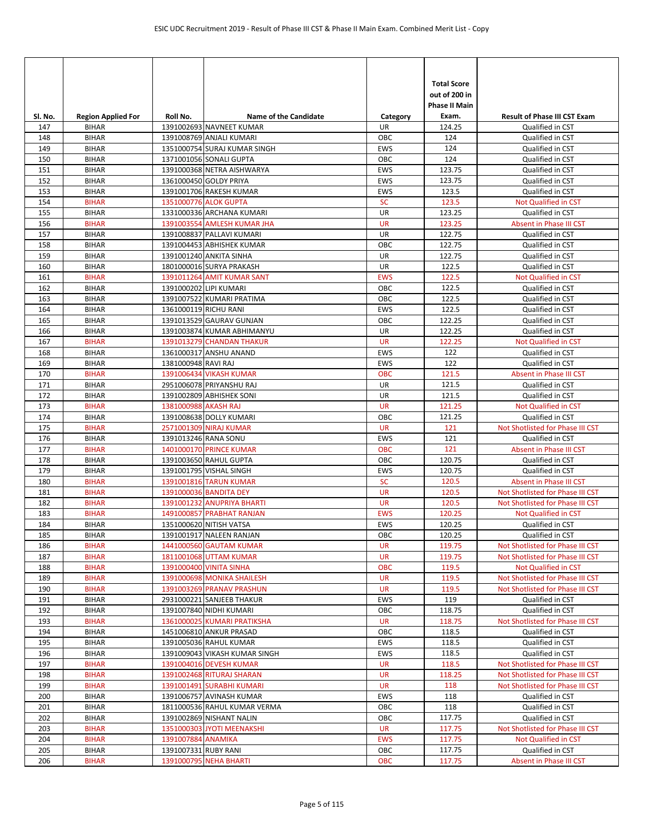| SI. No.    | <b>Region Applied For</b>    | Roll No.               | <b>Name of the Candidate</b>                           | Category          | <b>Total Score</b><br>out of 200 in<br><b>Phase II Main</b><br>Exam. | <b>Result of Phase III CST Exam</b>                                  |
|------------|------------------------------|------------------------|--------------------------------------------------------|-------------------|----------------------------------------------------------------------|----------------------------------------------------------------------|
| 147        | <b>BIHAR</b>                 |                        | 1391002693 NAVNEET KUMAR                               | UR                | 124.25                                                               | Qualified in CST                                                     |
| 148        | <b>BIHAR</b>                 |                        | 1391008769 ANJALI KUMARI                               | OBC               | 124                                                                  | Qualified in CST                                                     |
| 149        | <b>BIHAR</b>                 |                        | 1351000754 SURAJ KUMAR SINGH                           | <b>EWS</b>        | 124                                                                  | Qualified in CST                                                     |
| 150        | <b>BIHAR</b>                 |                        | 1371001056 SONALI GUPTA                                | OBC               | 124                                                                  | Qualified in CST                                                     |
| 151        | <b>BIHAR</b>                 |                        | 1391000368 NETRA AISHWARYA                             | EWS               | 123.75                                                               | Qualified in CST                                                     |
| 152        | <b>BIHAR</b>                 |                        | 1361000450 GOLDY PRIYA                                 | <b>EWS</b>        | 123.75                                                               | Qualified in CST                                                     |
| 153        | <b>BIHAR</b>                 |                        | 1391001706 RAKESH KUMAR                                | <b>EWS</b>        | 123.5                                                                | Qualified in CST                                                     |
| 154        | <b>BIHAR</b>                 |                        | 1351000776 ALOK GUPTA                                  | <b>SC</b>         | 123.5                                                                | Not Qualified in CST                                                 |
| 155        | <b>BIHAR</b>                 |                        | 1331000336 ARCHANA KUMARI                              | UR                | 123.25                                                               | Qualified in CST                                                     |
| 156        | <b>BIHAR</b>                 |                        | 1391003554 AMLESH KUMAR JHA                            | <b>UR</b>         | 123.25                                                               | Absent in Phase III CST                                              |
| 157        | <b>BIHAR</b>                 |                        | 1391008837 PALLAVI KUMARI                              | UR                | 122.75                                                               | Qualified in CST                                                     |
| 158        | <b>BIHAR</b>                 |                        | 1391004453 ABHISHEK KUMAR                              | OBC               | 122.75                                                               | Qualified in CST                                                     |
| 159        | <b>BIHAR</b>                 |                        | 1391001240 ANKITA SINHA                                | UR                | 122.75                                                               | Qualified in CST                                                     |
| 160        | <b>BIHAR</b>                 |                        | 1801000016 SURYA PRAKASH                               | UR                | 122.5                                                                | Qualified in CST                                                     |
| 161        | <b>BIHAR</b>                 |                        | 1391011264 AMIT KUMAR SANT                             | <b>EWS</b>        | 122.5                                                                | Not Qualified in CST                                                 |
| 162        | <b>BIHAR</b>                 | 1391000202 LIPI KUMARI |                                                        | OBC               | 122.5                                                                | Qualified in CST                                                     |
| 163        | <b>BIHAR</b>                 | 1361000119 RICHU RANI  | 1391007522 KUMARI PRATIMA                              | OBC               | 122.5                                                                | Qualified in CST                                                     |
| 164<br>165 | <b>BIHAR</b><br><b>BIHAR</b> |                        | 1391013529 GAURAV GUNJAN                               | <b>EWS</b><br>OBC | 122.5<br>122.25                                                      | Qualified in CST                                                     |
|            | <b>BIHAR</b>                 |                        | 1391003874 KUMAR ABHIMANYU                             | UR                | 122.25                                                               | Qualified in CST<br>Qualified in CST                                 |
| 166<br>167 | <b>BIHAR</b>                 |                        | 1391013279 CHANDAN THAKUR                              | <b>UR</b>         | 122.25                                                               | Not Qualified in CST                                                 |
| 168        | <b>BIHAR</b>                 |                        | 1361000317 ANSHU ANAND                                 | EWS               | 122                                                                  | Qualified in CST                                                     |
| 169        | <b>BIHAR</b>                 | 1381000948 RAVI RAJ    |                                                        | <b>EWS</b>        | 122                                                                  | Qualified in CST                                                     |
| 170        | <b>BIHAR</b>                 |                        | 1391006434 VIKASH KUMAR                                | <b>OBC</b>        | 121.5                                                                | Absent in Phase III CST                                              |
| 171        | <b>BIHAR</b>                 |                        | 2951006078 PRIYANSHU RAJ                               | UR                | 121.5                                                                | Qualified in CST                                                     |
| 172        | <b>BIHAR</b>                 |                        | 1391002809 ABHISHEK SONI                               | <b>UR</b>         | 121.5                                                                | Qualified in CST                                                     |
| 173        | <b>BIHAR</b>                 | 1381000988 AKASH RAJ   |                                                        | <b>UR</b>         | 121.25                                                               | Not Qualified in CST                                                 |
| 174        | <b>BIHAR</b>                 |                        | 1391008638 DOLLY KUMARI                                | OBC               | 121.25                                                               | Qualified in CST                                                     |
| 175        | <b>BIHAR</b>                 |                        | 2571001309 NIRAJ KUMAR                                 | <b>UR</b>         | 121                                                                  | Not Shotlisted for Phase III CST                                     |
| 176        | <b>BIHAR</b>                 | 1391013246 RANA SONU   |                                                        | EWS               | 121                                                                  | Qualified in CST                                                     |
| 177        | <b>BIHAR</b>                 |                        | 1401000170 PRINCE KUMAR                                | <b>OBC</b>        | 121                                                                  | Absent in Phase III CST                                              |
| 178        | <b>BIHAR</b>                 |                        | 1391003650 RAHUL GUPTA                                 | OBC               | 120.75                                                               | Qualified in CST                                                     |
| 179        | <b>BIHAR</b>                 |                        | 1391001795 VISHAL SINGH                                | <b>EWS</b>        | 120.75                                                               | Qualified in CST                                                     |
| 180        | <b>BIHAR</b>                 |                        | 1391001816 TARUN KUMAR                                 | <b>SC</b>         | 120.5                                                                | Absent in Phase III CST                                              |
| 181        | <b>BIHAR</b>                 |                        | 1391000036 BANDITA DEY                                 | <b>UR</b>         | 120.5                                                                | Not Shotlisted for Phase III CST                                     |
| 182        | <b>BIHAR</b>                 |                        | 1391001232 ANUPRIYA BHARTI                             | <b>UR</b>         | 120.5                                                                | Not Shotlisted for Phase III CST                                     |
| 183        | <b>BIHAR</b>                 |                        | 1491000857 PRABHAT RANJAN                              | <b>EWS</b>        | 120.25                                                               | <b>Not Qualified in CST</b>                                          |
| 184        | <b>BIHAR</b>                 |                        | 1351000620 NITISH VATSA                                | <b>EWS</b>        | 120.25                                                               | Qualified in CST                                                     |
| 185        | <b>BIHAR</b>                 |                        | 1391001917 NALEEN RANJAN                               | ОВС               | 120.25                                                               | Qualified in CST                                                     |
| 186        | <b>BIHAR</b>                 |                        | 1441000560 GAUTAM KUMAR                                | <b>UR</b>         | 119.75                                                               | Not Shotlisted for Phase III CST                                     |
| 187        | <b>BIHAR</b>                 |                        | 1811001068 UTTAM KUMAR                                 | <b>UR</b>         | 119.75                                                               | Not Shotlisted for Phase III CST                                     |
| 188        | <b>BIHAR</b>                 |                        | 1391000400 VINITA SINHA                                | <b>OBC</b>        | 119.5                                                                | Not Qualified in CST                                                 |
| 189        | <b>BIHAR</b>                 |                        | 1391000698 MONIKA SHAILESH                             | <b>UR</b>         | 119.5                                                                | Not Shotlisted for Phase III CST                                     |
| 190        | <b>BIHAR</b>                 |                        | 1391003269 PRANAV PRASHUN                              | <b>UR</b>         | 119.5                                                                | Not Shotlisted for Phase III CST                                     |
| 191        | <b>BIHAR</b>                 |                        | 2931000221 SANJEEB THAKUR                              | EWS               | 119                                                                  | Qualified in CST                                                     |
| 192        | <b>BIHAR</b>                 |                        | 1391007840 NIDHI KUMARI                                | OBC               | 118.75                                                               | Qualified in CST                                                     |
| 193        | <b>BIHAR</b>                 |                        | 1361000025 KUMARI PRATIKSHA                            | <b>UR</b>         | 118.75                                                               | Not Shotlisted for Phase III CST                                     |
| 194        | <b>BIHAR</b>                 |                        | 1451006810 ANKUR PRASAD                                | OBC               | 118.5                                                                | Qualified in CST                                                     |
| 195        | <b>BIHAR</b>                 |                        | 1391005036 RAHUL KUMAR                                 | EWS               | 118.5                                                                | Qualified in CST                                                     |
| 196        | <b>BIHAR</b>                 |                        | 1391009043 VIKASH KUMAR SINGH                          | <b>EWS</b>        | 118.5                                                                | Qualified in CST                                                     |
| 197<br>198 | <b>BIHAR</b><br><b>BIHAR</b> |                        | 1391004016 DEVESH KUMAR                                | UR<br><b>UR</b>   | 118.5                                                                | Not Shotlisted for Phase III CST                                     |
| 199        | <b>BIHAR</b>                 |                        | 1391002468 RITURAJ SHARAN<br>1391001491 SURABHI KUMARI | <b>UR</b>         | 118.25<br>118                                                        | Not Shotlisted for Phase III CST<br>Not Shotlisted for Phase III CST |
|            |                              |                        | 1391006757 AVINASH KUMAR                               | EWS               | 118                                                                  |                                                                      |
| 200<br>201 | <b>BIHAR</b><br><b>BIHAR</b> |                        | 1811000536 RAHUL KUMAR VERMA                           | OBC               | 118                                                                  | Qualified in CST<br>Qualified in CST                                 |
| 202        | <b>BIHAR</b>                 |                        | 1391002869 NISHANT NALIN                               | OBC               | 117.75                                                               | Qualified in CST                                                     |
| 203        | <b>BIHAR</b>                 |                        | 1351000303 JYOTI MEENAKSHI                             | <b>UR</b>         | 117.75                                                               | Not Shotlisted for Phase III CST                                     |
| 204        | <b>BIHAR</b>                 | 1391007884 ANAMIKA     |                                                        | <b>EWS</b>        | 117.75                                                               | Not Qualified in CST                                                 |
| 205        | <b>BIHAR</b>                 | 1391007331 RUBY RANI   |                                                        | ОВС               | 117.75                                                               | Qualified in CST                                                     |
| 206        | <b>BIHAR</b>                 |                        | 1391000795 NEHA BHARTI                                 | <b>OBC</b>        | 117.75                                                               | Absent in Phase III CST                                              |
|            |                              |                        |                                                        |                   |                                                                      |                                                                      |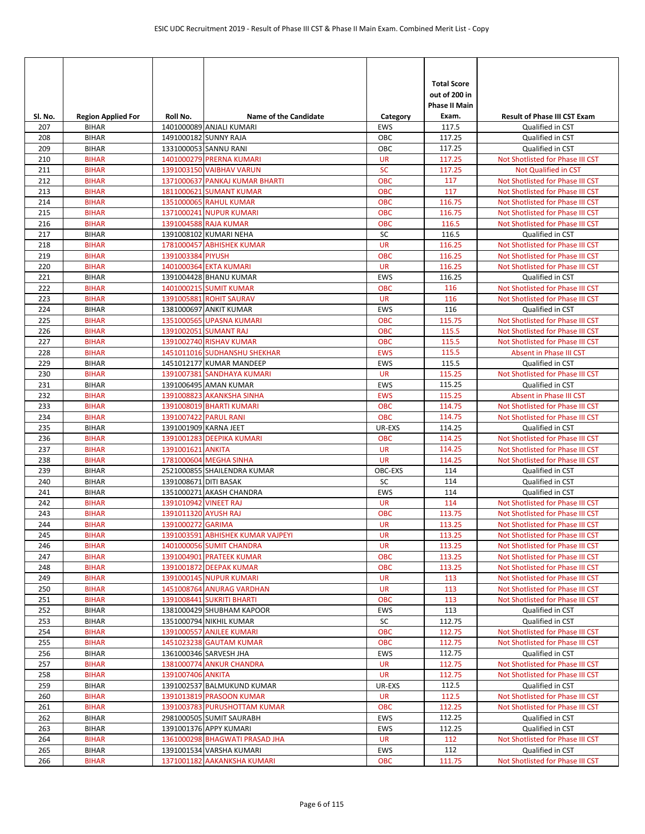| Sl. No.    | <b>Region Applied For</b>    | Roll No.              | <b>Name of the Candidate</b>                          | Category             | <b>Total Score</b><br>out of 200 in<br><b>Phase II Main</b><br>Exam. | <b>Result of Phase III CST Exam</b>  |
|------------|------------------------------|-----------------------|-------------------------------------------------------|----------------------|----------------------------------------------------------------------|--------------------------------------|
| 207        | <b>BIHAR</b>                 |                       | 1401000089 ANJALI KUMARI                              | EWS                  | 117.5                                                                | Qualified in CST                     |
| 208        | <b>BIHAR</b>                 |                       | 1491000182 SUNNY RAJA                                 | OBC                  | 117.25                                                               | Qualified in CST                     |
| 209        | <b>BIHAR</b>                 |                       | 1331000053 SANNU RANI                                 | OBC                  | 117.25                                                               | Qualified in CST                     |
| 210        | <b>BIHAR</b>                 |                       | 1401000279 PRERNA KUMARI                              | <b>UR</b>            | 117.25                                                               | Not Shotlisted for Phase III CST     |
| 211        | <b>BIHAR</b>                 |                       | 1391003150 VAIBHAV VARUN                              | <b>SC</b>            | 117.25                                                               | <b>Not Qualified in CST</b>          |
| 212        | <b>BIHAR</b>                 |                       | 1371000637 PANKAJ KUMAR BHARTI                        | <b>OBC</b>           | 117                                                                  | Not Shotlisted for Phase III CST     |
| 213        | <b>BIHAR</b>                 |                       | 1811000621 SUMANT KUMAR                               | <b>OBC</b>           | 117                                                                  | Not Shotlisted for Phase III CST     |
| 214        | <b>BIHAR</b>                 |                       | 1351000065 RAHUL KUMAR                                | <b>OBC</b>           | 116.75                                                               | Not Shotlisted for Phase III CST     |
| 215        | <b>BIHAR</b>                 |                       | 1371000241 NUPUR KUMARI                               | <b>OBC</b>           | 116.75                                                               | Not Shotlisted for Phase III CST     |
| 216        | <b>BIHAR</b>                 |                       | 1391004588 RAJA KUMAR                                 | <b>OBC</b>           | 116.5                                                                | Not Shotlisted for Phase III CST     |
| 217        | <b>BIHAR</b>                 |                       | 1391008102 KUMARI NEHA                                | SC                   | 116.5                                                                | Qualified in CST                     |
| 218        | <b>BIHAR</b>                 |                       | 1781000457 ABHISHEK KUMAR                             | <b>UR</b>            | 116.25                                                               | Not Shotlisted for Phase III CST     |
| 219        | <b>BIHAR</b>                 | 1391003384 PIYUSH     |                                                       | <b>OBC</b>           | 116.25                                                               | Not Shotlisted for Phase III CST     |
| 220        | <b>BIHAR</b>                 |                       | 1401000364 EKTA KUMARI                                | <b>UR</b>            | 116.25                                                               | Not Shotlisted for Phase III CST     |
| 221        | <b>BIHAR</b>                 |                       | 1391004428 BHANU KUMAR                                | EWS                  | 116.25                                                               | Qualified in CST                     |
| 222        | <b>BIHAR</b>                 |                       | 1401000215 SUMIT KUMAR                                | <b>OBC</b>           | 116                                                                  | Not Shotlisted for Phase III CST     |
| 223        | <b>BIHAR</b>                 |                       | 1391005881 ROHIT SAURAV                               | <b>UR</b>            | 116                                                                  | Not Shotlisted for Phase III CST     |
| 224        | <b>BIHAR</b>                 |                       | 1381000697 ANKIT KUMAR                                | <b>EWS</b>           | 116                                                                  | Qualified in CST                     |
| 225        | <b>BIHAR</b>                 |                       | 1351000565 UPASNA KUMARI                              | <b>OBC</b>           | 115.75                                                               | Not Shotlisted for Phase III CST     |
| 226        | <b>BIHAR</b>                 |                       | 1391002051 SUMANT RAJ                                 | <b>OBC</b>           | 115.5                                                                | Not Shotlisted for Phase III CST     |
| 227        | <b>BIHAR</b>                 |                       | 1391002740 RISHAV KUMAR                               | <b>OBC</b>           | 115.5                                                                | Not Shotlisted for Phase III CST     |
| 228        | <b>BIHAR</b>                 |                       | 1451011016 SUDHANSHU SHEKHAR                          | <b>EWS</b>           | 115.5                                                                | Absent in Phase III CST              |
| 229        | <b>BIHAR</b>                 |                       | 1451012177 KUMAR MANDEEP                              | <b>EWS</b>           | 115.5                                                                | Qualified in CST                     |
| 230        | <b>BIHAR</b>                 |                       | 1391007381 SANDHAYA KUMARI                            | <b>UR</b>            | 115.25                                                               | Not Shotlisted for Phase III CST     |
| 231        | <b>BIHAR</b>                 |                       | 1391006495 AMAN KUMAR                                 | EWS                  | 115.25                                                               | Qualified in CST                     |
| 232        | <b>BIHAR</b>                 |                       | 1391008823 AKANKSHA SINHA                             | <b>EWS</b>           | 115.25                                                               | Absent in Phase III CST              |
| 233        | <b>BIHAR</b>                 |                       | 1391008019 BHARTI KUMARI                              | <b>OBC</b>           | 114.75                                                               | Not Shotlisted for Phase III CST     |
| 234        | <b>BIHAR</b>                 | 1391007422 PARUL RANI |                                                       | <b>OBC</b>           | 114.75                                                               | Not Shotlisted for Phase III CST     |
| 235        | <b>BIHAR</b>                 | 1391001909 KARNA JEET |                                                       | UR-EXS               | 114.25                                                               | Qualified in CST                     |
| 236        | <b>BIHAR</b>                 |                       | 1391001283 DEEPIKA KUMARI                             | <b>OBC</b>           | 114.25                                                               | Not Shotlisted for Phase III CST     |
| 237        | <b>BIHAR</b>                 | 1391001621 ANKITA     |                                                       | <b>UR</b>            | 114.25                                                               | Not Shotlisted for Phase III CST     |
| 238<br>239 | <b>BIHAR</b><br><b>BIHAR</b> |                       | 1781000604 MEGHA SINHA<br>2521000855 SHAILENDRA KUMAR | <b>UR</b><br>OBC-EXS | 114.25<br>114                                                        | Not Shotlisted for Phase III CST     |
| 240        | <b>BIHAR</b>                 | 1391008671 DITI BASAK |                                                       | SC                   | 114                                                                  | Qualified in CST<br>Qualified in CST |
| 241        | <b>BIHAR</b>                 |                       | 1351000271 AKASH CHANDRA                              | EWS                  | 114                                                                  | Qualified in CST                     |
| 242        | <b>BIHAR</b>                 | 1391010942 VINEET RAJ |                                                       | <b>UR</b>            | 114                                                                  | Not Shotlisted for Phase III CST     |
| 243        | <b>BIHAR</b>                 | 1391011320 AYUSH RAJ  |                                                       | <b>OBC</b>           | 113.75                                                               | Not Shotlisted for Phase III CST     |
| 244        | <b>BIHAR</b>                 | 1391000272 GARIMA     |                                                       | <b>UR</b>            | 113.25                                                               | Not Shotlisted for Phase III CST     |
| 245        | <b>BIHAR</b>                 |                       | 1391003591 ABHISHEK KUMAR VAJPEYI                     | <b>UR</b>            | 113.25                                                               | Not Shotlisted for Phase III CST     |
| 246        | <b>BIHAR</b>                 |                       | 1401000056 SUMIT CHANDRA                              | <b>UR</b>            | 113.25                                                               | Not Shotlisted for Phase III CST     |
| 247        | <b>BIHAR</b>                 |                       | 1391004901 PRATEEK KUMAR                              | OBC                  | 113.25                                                               | Not Shotlisted for Phase III CST     |
| 248        | <b>BIHAR</b>                 |                       | 1391001872 DEEPAK KUMAR                               | <b>OBC</b>           | 113.25                                                               | Not Shotlisted for Phase III CST     |
| 249        | <b>BIHAR</b>                 |                       | 1391000145 NUPUR KUMARI                               | <b>UR</b>            | 113                                                                  | Not Shotlisted for Phase III CST     |
| 250        | <b>BIHAR</b>                 |                       | 1451008764 ANURAG VARDHAN                             | <b>UR</b>            | 113                                                                  | Not Shotlisted for Phase III CST     |
| 251        | <b>BIHAR</b>                 |                       | 1391008441 SUKRITI BHARTI                             | OBC                  | 113                                                                  | Not Shotlisted for Phase III CST     |
| 252        | <b>BIHAR</b>                 |                       | 1381000429 SHUBHAM KAPOOR                             | EWS                  | 113                                                                  | Qualified in CST                     |
| 253        | <b>BIHAR</b>                 |                       | 1351000794 NIKHIL KUMAR                               | SC                   | 112.75                                                               | Qualified in CST                     |
| 254        | <b>BIHAR</b>                 |                       | 1391000557 ANJLEE KUMARI                              | <b>OBC</b>           | 112.75                                                               | Not Shotlisted for Phase III CST     |
| 255        | <b>BIHAR</b>                 |                       | 1451023238 GAUTAM KUMAR                               | <b>OBC</b>           | 112.75                                                               | Not Shotlisted for Phase III CST     |
| 256        | <b>BIHAR</b>                 |                       | 1361000346 SARVESH JHA                                | <b>EWS</b>           | 112.75                                                               | Qualified in CST                     |
| 257        | <b>BIHAR</b>                 |                       | 1381000774 ANKUR CHANDRA                              | UR                   | 112.75                                                               | Not Shotlisted for Phase III CST     |
| 258        | <b>BIHAR</b>                 | 1391007406 ANKITA     |                                                       | <b>UR</b>            | 112.75                                                               | Not Shotlisted for Phase III CST     |
| 259        | <b>BIHAR</b>                 |                       | 1391002537 BALMUKUND KUMAR                            | UR-EXS               | 112.5                                                                | Qualified in CST                     |
| 260        | <b>BIHAR</b>                 |                       | 1391013819 PRASOON KUMAR                              | UR                   | 112.5                                                                | Not Shotlisted for Phase III CST     |
| 261        | <b>BIHAR</b>                 |                       | 1391003783 PURUSHOTTAM KUMAR                          | <b>OBC</b>           | 112.25                                                               | Not Shotlisted for Phase III CST     |
| 262        | <b>BIHAR</b>                 |                       | 2981000505 SUMIT SAURABH                              | EWS                  | 112.25                                                               | Qualified in CST                     |
| 263        | <b>BIHAR</b>                 |                       | 1391001376 APPY KUMARI                                | EWS                  | 112.25                                                               | Qualified in CST                     |
| 264        | <b>BIHAR</b>                 |                       | 1361000298 BHAGWATI PRASAD JHA                        | <b>UR</b>            | 112                                                                  | Not Shotlisted for Phase III CST     |
| 265        | <b>BIHAR</b>                 |                       | 1391001534 VARSHA KUMARI                              | EWS                  | 112                                                                  | Qualified in CST                     |
| 266        | <b>BIHAR</b>                 |                       | 1371001182 AAKANKSHA KUMARI                           | <b>OBC</b>           | 111.75                                                               | Not Shotlisted for Phase III CST     |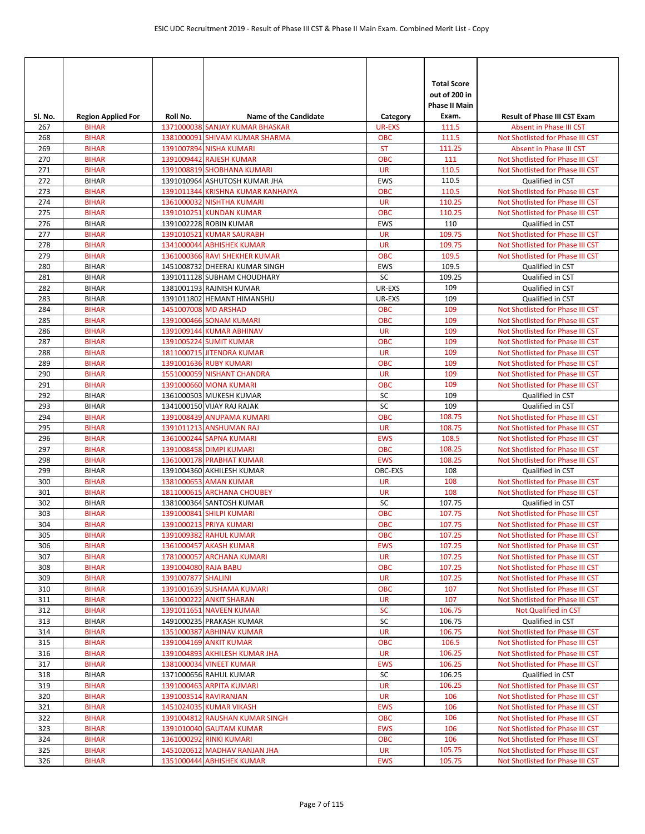| Sl. No.    | <b>Region Applied For</b>    | Roll No.             | <b>Name of the Candidate</b>                         | Category             | <b>Total Score</b><br>out of 200 in<br><b>Phase II Main</b><br>Exam. | <b>Result of Phase III CST Exam</b>                                  |
|------------|------------------------------|----------------------|------------------------------------------------------|----------------------|----------------------------------------------------------------------|----------------------------------------------------------------------|
| 267        | <b>BIHAR</b>                 |                      | 1371000038 SANJAY KUMAR BHASKAR                      | <b>UR-EXS</b>        | 111.5                                                                | Absent in Phase III CST                                              |
| 268        | <b>BIHAR</b>                 |                      | 1381000091 SHIVAM KUMAR SHARMA                       | <b>OBC</b>           | 111.5                                                                | Not Shotlisted for Phase III CST                                     |
| 269        | <b>BIHAR</b>                 |                      | 1391007894 NISHA KUMARI                              | <b>ST</b>            | 111.25                                                               | Absent in Phase III CST                                              |
| 270        | <b>BIHAR</b>                 |                      | 1391009442 RAJESH KUMAR                              | <b>OBC</b>           | 111                                                                  | Not Shotlisted for Phase III CST                                     |
| 271        | <b>BIHAR</b>                 |                      | 1391008819 SHOBHANA KUMARI                           | <b>UR</b>            | 110.5                                                                | Not Shotlisted for Phase III CST                                     |
| 272        | <b>BIHAR</b>                 |                      | 1391010964 ASHUTOSH KUMAR JHA                        | EWS                  | 110.5                                                                | Qualified in CST                                                     |
| 273        | <b>BIHAR</b>                 |                      | 1391011344 KRISHNA KUMAR KANHAIYA                    | <b>OBC</b>           | 110.5                                                                | Not Shotlisted for Phase III CST                                     |
| 274        | <b>BIHAR</b>                 |                      | 1361000032 NISHTHA KUMARI                            | <b>UR</b>            | 110.25                                                               | Not Shotlisted for Phase III CST                                     |
| 275        | <b>BIHAR</b>                 |                      | 1391010251 KUNDAN KUMAR                              | <b>OBC</b>           | 110.25                                                               | Not Shotlisted for Phase III CST                                     |
| 276        | <b>BIHAR</b>                 |                      | 1391002228 ROBIN KUMAR                               | <b>EWS</b>           | 110                                                                  | Qualified in CST                                                     |
| 277        | <b>BIHAR</b>                 |                      | 1391010521 KUMAR SAURABH                             | <b>UR</b>            | 109.75                                                               | Not Shotlisted for Phase III CST                                     |
| 278        | <b>BIHAR</b>                 |                      | 1341000044 ABHISHEK KUMAR                            | <b>UR</b>            | 109.75                                                               | Not Shotlisted for Phase III CST                                     |
| 279        | <b>BIHAR</b>                 |                      | 1361000366 RAVI SHEKHER KUMAR                        | <b>OBC</b>           | 109.5                                                                | Not Shotlisted for Phase III CST                                     |
| 280        | <b>BIHAR</b>                 |                      | 1451008732 DHEERAJ KUMAR SINGH                       | <b>EWS</b>           | 109.5                                                                | Qualified in CST                                                     |
| 281        | <b>BIHAR</b>                 |                      | 1391011128 SUBHAM CHOUDHARY                          | SC                   | 109.25<br>109                                                        | Qualified in CST                                                     |
| 282        | <b>BIHAR</b>                 |                      | 1381001193 RAJNISH KUMAR                             | UR-EXS               |                                                                      | Qualified in CST                                                     |
| 283<br>284 | <b>BIHAR</b><br><b>BIHAR</b> | 1451007008 MD ARSHAD | 1391011802 HEMANT HIMANSHU                           | UR-EXS<br><b>OBC</b> | 109<br>109                                                           | Qualified in CST<br>Not Shotlisted for Phase III CST                 |
| 285        | <b>BIHAR</b>                 |                      | 1391000466 SONAM KUMARI                              | <b>OBC</b>           | 109                                                                  | Not Shotlisted for Phase III CST                                     |
| 286        | <b>BIHAR</b>                 |                      | 1391009144 KUMAR ABHINAV                             | <b>UR</b>            | 109                                                                  | Not Shotlisted for Phase III CST                                     |
| 287        | <b>BIHAR</b>                 |                      | 1391005224 SUMIT KUMAR                               | <b>OBC</b>           | 109                                                                  | Not Shotlisted for Phase III CST                                     |
| 288        | <b>BIHAR</b>                 |                      | 1811000715 JITENDRA KUMAR                            | <b>UR</b>            | 109                                                                  | Not Shotlisted for Phase III CST                                     |
| 289        | <b>BIHAR</b>                 |                      | 1391001636 RUBY KUMARI                               | <b>OBC</b>           | 109                                                                  | Not Shotlisted for Phase III CST                                     |
| 290        | <b>BIHAR</b>                 |                      | 1551000059 NISHANT CHANDRA                           | <b>UR</b>            | 109                                                                  | Not Shotlisted for Phase III CST                                     |
| 291        | <b>BIHAR</b>                 |                      | 1391000660 MONA KUMARI                               | <b>OBC</b>           | 109                                                                  | Not Shotlisted for Phase III CST                                     |
| 292        | <b>BIHAR</b>                 |                      | 1361000503 MUKESH KUMAR                              | SC                   | 109                                                                  | Qualified in CST                                                     |
| 293        | <b>BIHAR</b>                 |                      | 1341000150 VIJAY RAJ RAJAK                           | SC                   | 109                                                                  | Qualified in CST                                                     |
| 294        | <b>BIHAR</b>                 |                      | 1391008439 ANUPAMA KUMARI                            | <b>OBC</b>           | 108.75                                                               | Not Shotlisted for Phase III CST                                     |
| 295        | <b>BIHAR</b>                 |                      | 1391011213 ANSHUMAN RAJ                              | <b>UR</b>            | 108.75                                                               | Not Shotlisted for Phase III CST                                     |
| 296        | <b>BIHAR</b>                 |                      | 1361000244 SAPNA KUMARI                              | <b>EWS</b>           | 108.5                                                                | Not Shotlisted for Phase III CST                                     |
| 297        | <b>BIHAR</b>                 |                      | 1391008458 DIMPI KUMARI                              | <b>OBC</b>           | 108.25                                                               | Not Shotlisted for Phase III CST                                     |
| 298        | <b>BIHAR</b>                 |                      | 1361000178 PRABHAT KUMAR                             | <b>EWS</b>           | 108.25                                                               | Not Shotlisted for Phase III CST                                     |
| 299        | <b>BIHAR</b>                 |                      | 1391004360 AKHILESH KUMAR                            | OBC-EXS              | 108                                                                  | Qualified in CST                                                     |
| 300        | <b>BIHAR</b>                 |                      | 1381000653 AMAN KUMAR                                | <b>UR</b>            | 108                                                                  | Not Shotlisted for Phase III CST                                     |
| 301        | <b>BIHAR</b>                 |                      | 1811000615 ARCHANA CHOUBEY                           | <b>UR</b>            | 108                                                                  | Not Shotlisted for Phase III CST                                     |
| 302        | <b>BIHAR</b>                 |                      | 1381000364 SANTOSH KUMAR                             | SC                   | 107.75                                                               | Qualified in CST                                                     |
| 303        | <b>BIHAR</b>                 |                      | 1391000841 SHILPI KUMARI                             | <b>OBC</b>           | 107.75                                                               | Not Shotlisted for Phase III CST                                     |
| 304        | <b>BIHAR</b>                 |                      | 1391000213 PRIYA KUMARI                              | <b>OBC</b>           | 107.75                                                               | Not Shotlisted for Phase III CST                                     |
| 305        | <b>BIHAR</b>                 |                      | 1391009382 RAHUL KUMAR                               | <b>OBC</b>           | 107.25                                                               | Not Shotlisted for Phase III CST                                     |
| 306        | <b>BIHAR</b>                 |                      | 1361000457 AKASH KUMAR                               | <b>EWS</b>           | 107.25                                                               | Not Shotlisted for Phase III CST                                     |
| 307        | <b>BIHAR</b>                 |                      | 1781000057 ARCHANA KUMARI                            | <b>UR</b>            | 107.25                                                               | Not Shotlisted for Phase III CST                                     |
| 308        | <b>BIHAR</b>                 | 1391004080 RAJA BABU |                                                      | OBC                  | 107.25                                                               | Not Shotlisted for Phase III CST                                     |
| 309        | <b>BIHAR</b>                 | 1391007877 SHALINI   |                                                      | <b>UR</b>            | 107.25<br>107                                                        | Not Shotlisted for Phase III CST                                     |
| 310<br>311 | <b>BIHAR</b><br><b>BIHAR</b> |                      | 1391001639 SUSHAMA KUMARI<br>1361000222 ANKIT SHARAN | OBC<br><b>UR</b>     | 107                                                                  | Not Shotlisted for Phase III CST<br>Not Shotlisted for Phase III CST |
| 312        | <b>BIHAR</b>                 |                      | 1391011651 NAVEEN KUMAR                              | SC                   | 106.75                                                               | Not Qualified in CST                                                 |
| 313        | <b>BIHAR</b>                 |                      | 1491000235 PRAKASH KUMAR                             | SC                   | 106.75                                                               | Qualified in CST                                                     |
| 314        | <b>BIHAR</b>                 |                      | 1351000387 ABHINAV KUMAR                             | <b>UR</b>            | 106.75                                                               | Not Shotlisted for Phase III CST                                     |
| 315        | <b>BIHAR</b>                 |                      | 1391004169 ANKIT KUMAR                               | OBC                  | 106.5                                                                | Not Shotlisted for Phase III CST                                     |
| 316        | <b>BIHAR</b>                 |                      | 1391004893 AKHILESH KUMAR JHA                        | <b>UR</b>            | 106.25                                                               | Not Shotlisted for Phase III CST                                     |
| 317        | <b>BIHAR</b>                 |                      | 1381000034 VINEET KUMAR                              | <b>EWS</b>           | 106.25                                                               | Not Shotlisted for Phase III CST                                     |
| 318        | <b>BIHAR</b>                 |                      | 1371000656 RAHUL KUMAR                               | SC                   | 106.25                                                               | Qualified in CST                                                     |
| 319        | <b>BIHAR</b>                 |                      | 1391000463 ARPITA KUMARI                             | <b>UR</b>            | 106.25                                                               | Not Shotlisted for Phase III CST                                     |
| 320        | <b>BIHAR</b>                 |                      | 1391003514 RAVIRANJAN                                | <b>UR</b>            | 106                                                                  | Not Shotlisted for Phase III CST                                     |
| 321        | <b>BIHAR</b>                 |                      | 1451024035 KUMAR VIKASH                              | <b>EWS</b>           | 106                                                                  | Not Shotlisted for Phase III CST                                     |
| 322        | <b>BIHAR</b>                 |                      | 1391004812 RAUSHAN KUMAR SINGH                       | <b>OBC</b>           | 106                                                                  | Not Shotlisted for Phase III CST                                     |
| 323        | <b>BIHAR</b>                 |                      | 1391010040 GAUTAM KUMAR                              | <b>EWS</b>           | 106                                                                  | Not Shotlisted for Phase III CST                                     |
| 324        | <b>BIHAR</b>                 |                      | 1361000292 RINKI KUMARI                              | <b>OBC</b>           | 106                                                                  | Not Shotlisted for Phase III CST                                     |
| 325        | <b>BIHAR</b>                 |                      | 1451020612 MADHAV RANJAN JHA                         | <b>UR</b>            | 105.75                                                               | Not Shotlisted for Phase III CST                                     |
| 326        | <b>BIHAR</b>                 |                      | 1351000444 ABHISHEK KUMAR                            | <b>EWS</b>           | 105.75                                                               | Not Shotlisted for Phase III CST                                     |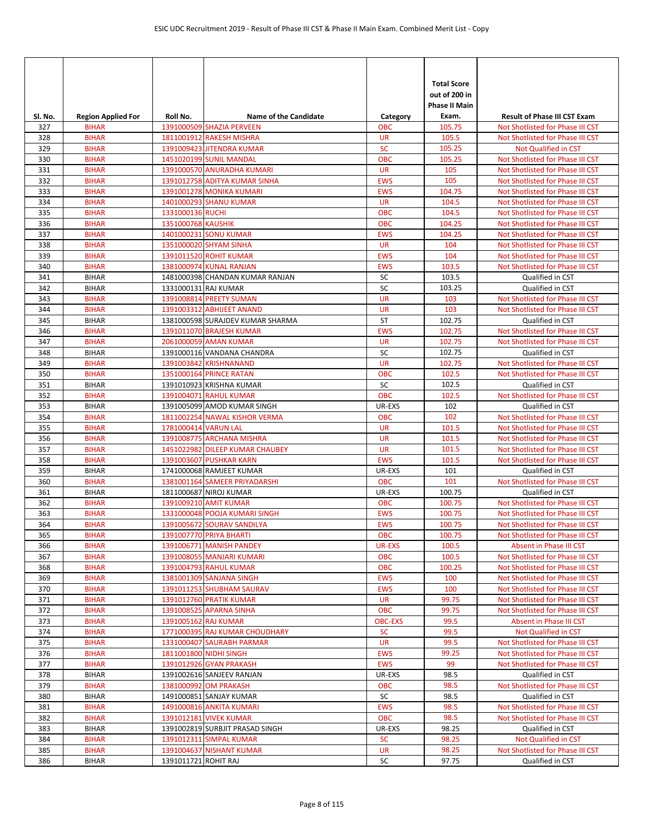| Sl. No.    | <b>Region Applied For</b>    | Roll No.             | <b>Name of the Candidate</b>                          | Category                | <b>Total Score</b><br>out of 200 in<br>Phase II Main<br>Exam. | <b>Result of Phase III CST Exam</b>                                  |
|------------|------------------------------|----------------------|-------------------------------------------------------|-------------------------|---------------------------------------------------------------|----------------------------------------------------------------------|
| 327        | <b>BIHAR</b>                 |                      | 1391000509 SHAZIA PERVEEN                             | <b>OBC</b>              | 105.75                                                        | Not Shotlisted for Phase III CST                                     |
| 328        | <b>BIHAR</b>                 |                      | 1811001912 RAKESH MISHRA                              | <b>UR</b>               | 105.5                                                         | Not Shotlisted for Phase III CST                                     |
| 329        | <b>BIHAR</b>                 |                      | 1391009423 JITENDRA KUMAR                             | <b>SC</b>               | 105.25                                                        | Not Qualified in CST                                                 |
| 330        | <b>BIHAR</b>                 |                      | 1451020199 SUNIL MANDAL                               | <b>OBC</b>              | 105.25                                                        | Not Shotlisted for Phase III CST                                     |
| 331        | <b>BIHAR</b>                 |                      | 1391000570 ANURADHA KUMARI                            | <b>UR</b>               | 105                                                           | Not Shotlisted for Phase III CST                                     |
| 332        | <b>BIHAR</b>                 |                      | 1391012758 ADITYA KUMAR SINHA                         | <b>EWS</b>              | 105                                                           | Not Shotlisted for Phase III CST                                     |
| 333        | <b>BIHAR</b>                 |                      | <b>1391001278 MONIKA KUMARI</b>                       | <b>EWS</b>              | 104.75                                                        | Not Shotlisted for Phase III CST                                     |
| 334        | <b>BIHAR</b>                 |                      | 1401000293 SHANU KUMAR                                | <b>UR</b>               | 104.5                                                         | Not Shotlisted for Phase III CST                                     |
| 335        | <b>BIHAR</b>                 | 1331000136 RUCHI     |                                                       | <b>OBC</b>              | 104.5                                                         | Not Shotlisted for Phase III CST                                     |
| 336<br>337 | <b>BIHAR</b><br><b>BIHAR</b> | 1351000768 KAUSHIK   |                                                       | <b>OBC</b>              | 104.25<br>104.25                                              | Not Shotlisted for Phase III CST                                     |
| 338        | <b>BIHAR</b>                 |                      | 1401000231 SONU KUMAR<br>1351000020 SHYAM SINHA       | <b>EWS</b><br><b>UR</b> | 104                                                           | Not Shotlisted for Phase III CST<br>Not Shotlisted for Phase III CST |
| 339        | <b>BIHAR</b>                 |                      | 1391011520 ROHIT KUMAR                                | <b>EWS</b>              | 104                                                           | Not Shotlisted for Phase III CST                                     |
| 340        | <b>BIHAR</b>                 |                      | 1381000974 KUNAL RANJAN                               | <b>EWS</b>              | 103.5                                                         | Not Shotlisted for Phase III CST                                     |
| 341        | <b>BIHAR</b>                 |                      | 1481000398 CHANDAN KUMAR RANJAN                       | SC                      | 103.5                                                         | Qualified in CST                                                     |
| 342        | <b>BIHAR</b>                 | 1331000131 RAJ KUMAR |                                                       | SC                      | 103.25                                                        | Qualified in CST                                                     |
| 343        | <b>BIHAR</b>                 |                      | 1391008814 PREETY SUMAN                               | <b>UR</b>               | 103                                                           | Not Shotlisted for Phase III CST                                     |
| 344        | <b>BIHAR</b>                 |                      | 1391003312 ABHIJEET ANAND                             | <b>UR</b>               | 103                                                           | Not Shotlisted for Phase III CST                                     |
| 345        | <b>BIHAR</b>                 |                      | 1381000598 SURAJDEV KUMAR SHARMA                      | <b>ST</b>               | 102.75                                                        | Qualified in CST                                                     |
| 346        | <b>BIHAR</b>                 |                      | 1391011070 BRAJESH KUMAR                              | <b>EWS</b>              | 102.75                                                        | Not Shotlisted for Phase III CST                                     |
| 347        | <b>BIHAR</b>                 |                      | 2061000059 AMAN KUMAR                                 | <b>UR</b>               | 102.75                                                        | Not Shotlisted for Phase III CST                                     |
| 348        | <b>BIHAR</b>                 |                      | 1391000116 VANDANA CHANDRA                            | SC                      | 102.75                                                        | Qualified in CST                                                     |
| 349        | <b>BIHAR</b>                 |                      | 1391003842 KRISHNANAND                                | <b>UR</b>               | 102.75                                                        | Not Shotlisted for Phase III CST                                     |
| 350        | <b>BIHAR</b>                 |                      | 1351000164 PRINCE RATAN                               | <b>OBC</b>              | 102.5                                                         | Not Shotlisted for Phase III CST                                     |
| 351        | <b>BIHAR</b>                 |                      | 1391010923 KRISHNA KUMAR                              | SC<br><b>OBC</b>        | 102.5<br>102.5                                                | Qualified in CST                                                     |
| 352<br>353 | <b>BIHAR</b><br><b>BIHAR</b> |                      | 1391004071 RAHUL KUMAR<br>1391005099 AMOD KUMAR SINGH | UR-EXS                  | 102                                                           | Not Shotlisted for Phase III CST<br>Qualified in CST                 |
| 354        | <b>BIHAR</b>                 |                      | 1811002254 NAWAL KISHOR VERMA                         | <b>OBC</b>              | 102                                                           | Not Shotlisted for Phase III CST                                     |
| 355        | <b>BIHAR</b>                 | 1781000414 VARUN LAL |                                                       | <b>UR</b>               | 101.5                                                         | Not Shotlisted for Phase III CST                                     |
| 356        | <b>BIHAR</b>                 |                      | 1391008775 ARCHANA MISHRA                             | <b>UR</b>               | 101.5                                                         | Not Shotlisted for Phase III CST                                     |
| 357        | <b>BIHAR</b>                 |                      | 1451022982 DILEEP KUMAR CHAUBEY                       | <b>UR</b>               | 101.5                                                         | Not Shotlisted for Phase III CST                                     |
| 358        | <b>BIHAR</b>                 |                      | 1391003607 PUSHKAR KARN                               | <b>EWS</b>              | 101.5                                                         | Not Shotlisted for Phase III CST                                     |
| 359        | <b>BIHAR</b>                 |                      | 1741000068 RAMJEET KUMAR                              | UR-EXS                  | 101                                                           | Qualified in CST                                                     |
| 360        | <b>BIHAR</b>                 |                      | 1381001164 SAMEER PRIYADARSHI                         | <b>OBC</b>              | 101                                                           | Not Shotlisted for Phase III CST                                     |
| 361        | <b>BIHAR</b>                 |                      | 1811000687 NIROJ KUMAR                                | UR-EXS                  | 100.75                                                        | Qualified in CST                                                     |
| 362        | <b>BIHAR</b>                 |                      | 1391009210 AMIT KUMAR                                 | <b>OBC</b>              | 100.75                                                        | Not Shotlisted for Phase III CST                                     |
| 363        | <b>BIHAR</b>                 |                      | 1331000048 POOJA KUMARI SINGH                         | <b>EWS</b>              | 100.75                                                        | Not Shotlisted for Phase III CST                                     |
| 364        | <b>BIHAR</b>                 |                      | 1391005672 SOURAV SANDILYA                            | <b>EWS</b>              | 100.75                                                        | Not Shotlisted for Phase III CST                                     |
| 365        | <b>BIHAR</b>                 |                      | 1391007770 PRIYA BHARTI                               | <b>OBC</b>              | 100.75                                                        | Not Shotlisted for Phase III CST                                     |
| 366<br>367 | <b>BIHAR</b><br><b>BIHAR</b> |                      | 1391006771 MANISH PANDEY<br>1391008055 MANJARI KUMARI | UR-EXS<br><b>OBC</b>    | 100.5<br>100.5                                                | Absent in Phase III CST<br>Not Shotlisted for Phase III CST          |
| 368        | <b>BIHAR</b>                 |                      | 1391004793 RAHUL KUMAR                                | <b>OBC</b>              | 100.25                                                        | Not Shotlisted for Phase III CST                                     |
| 369        | <b>BIHAR</b>                 |                      | 1381001309 SANJANA SINGH                              | <b>EWS</b>              | 100                                                           | Not Shotlisted for Phase III CST                                     |
| 370        | <b>BIHAR</b>                 |                      | 1391011253 SHUBHAM SAURAV                             | <b>EWS</b>              | 100                                                           | Not Shotlisted for Phase III CST                                     |
| 371        | <b>BIHAR</b>                 |                      | 1391012760 PRATIK KUMAR                               | <b>UR</b>               | 99.75                                                         | Not Shotlisted for Phase III CST                                     |
| 372        | <b>BIHAR</b>                 |                      | 1391008525 APARNA SINHA                               | <b>OBC</b>              | 99.75                                                         | Not Shotlisted for Phase III CST                                     |
| 373        | <b>BIHAR</b>                 | 1391005162 RAJ KUMAR |                                                       | <b>OBC-EXS</b>          | 99.5                                                          | Absent in Phase III CST                                              |
| 374        | <b>BIHAR</b>                 |                      | 1771000395 RAJ KUMAR CHOUDHARY                        | <b>SC</b>               | 99.5                                                          | Not Qualified in CST                                                 |
| 375        | <b>BIHAR</b>                 |                      | 1331000407 SAURABH PARMAR                             | <b>UR</b>               | 99.5                                                          | Not Shotlisted for Phase III CST                                     |
| 376        | <b>BIHAR</b>                 |                      | 1811001800 NIDHI SINGH                                | <b>EWS</b>              | 99.25                                                         | Not Shotlisted for Phase III CST                                     |
| 377        | <b>BIHAR</b>                 |                      | 1391012926 GYAN PRAKASH                               | <b>EWS</b>              | 99                                                            | Not Shotlisted for Phase III CST                                     |
| 378        | <b>BIHAR</b>                 |                      | 1391002616 SANJEEV RANJAN                             | UR-EXS                  | 98.5                                                          | Qualified in CST                                                     |
| 379<br>380 | <b>BIHAR</b><br><b>BIHAR</b> |                      | 1381000992 OM PRAKASH<br>1491000851 SANJAY KUMAR      | <b>OBC</b><br>SC        | 98.5<br>98.5                                                  | Not Shotlisted for Phase III CST<br>Qualified in CST                 |
| 381        | <b>BIHAR</b>                 |                      | 1491000816 ANKITA KUMARI                              | <b>EWS</b>              | 98.5                                                          | Not Shotlisted for Phase III CST                                     |
| 382        | <b>BIHAR</b>                 |                      | 1391012181 VIVEK KUMAR                                | <b>OBC</b>              | 98.5                                                          | Not Shotlisted for Phase III CST                                     |
| 383        | <b>BIHAR</b>                 |                      | 1391002819 SURBJIT PRASAD SINGH                       | UR-EXS                  | 98.25                                                         | Qualified in CST                                                     |
| 384        | <b>BIHAR</b>                 |                      | 1391012311 SIMPAL KUMAR                               | <b>SC</b>               | 98.25                                                         | Not Qualified in CST                                                 |
| 385        | <b>BIHAR</b>                 |                      | 1391004637 NISHANT KUMAR                              | <b>UR</b>               | 98.25                                                         | Not Shotlisted for Phase III CST                                     |
| 386        | <b>BIHAR</b>                 | 1391011721 ROHIT RAJ |                                                       | SC                      | 97.75                                                         | Qualified in CST                                                     |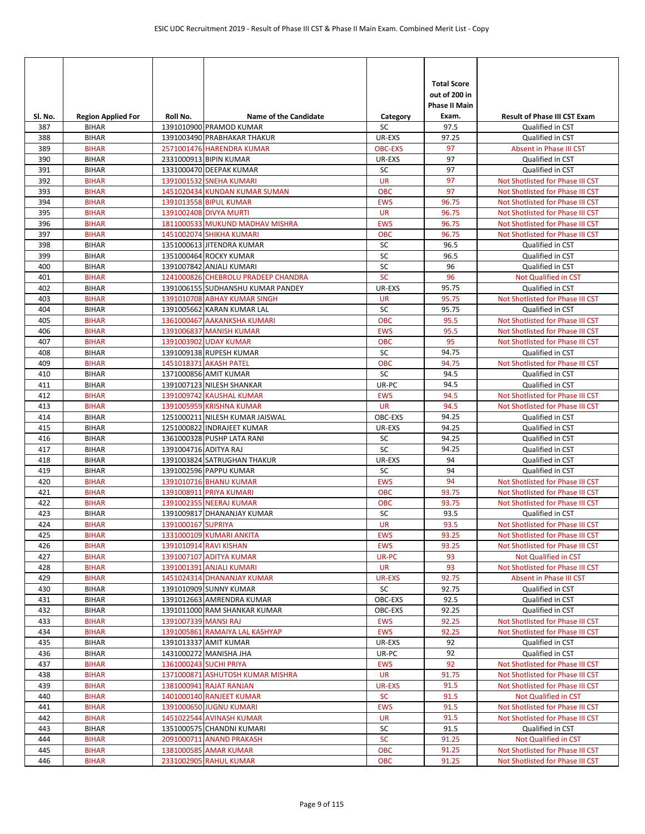| SI. No.    | <b>Region Applied For</b>    | Roll No.              | <b>Name of the Candidate</b>                       | Category        | <b>Total Score</b><br>out of 200 in<br><b>Phase II Main</b><br>Exam. | <b>Result of Phase III CST Exam</b>                  |
|------------|------------------------------|-----------------------|----------------------------------------------------|-----------------|----------------------------------------------------------------------|------------------------------------------------------|
| 387        | <b>BIHAR</b>                 |                       | 1391010900 PRAMOD KUMAR                            | SC              | 97.5                                                                 | Qualified in CST                                     |
| 388        | <b>BIHAR</b>                 |                       | 1391003490 PRABHAKAR THAKUR                        | UR-EXS          | 97.25                                                                | Qualified in CST                                     |
| 389        | <b>BIHAR</b>                 |                       | 2571001476 HARENDRA KUMAR                          | <b>OBC-EXS</b>  | 97                                                                   | Absent in Phase III CST                              |
| 390        | <b>BIHAR</b>                 |                       | 2331000913 BIPIN KUMAR                             | UR-EXS          | 97                                                                   | Qualified in CST                                     |
| 391        | <b>BIHAR</b>                 |                       | 1331000470 DEEPAK KUMAR                            | SC              | 97                                                                   | Qualified in CST                                     |
| 392        | <b>BIHAR</b>                 |                       | 1391001532 SNEHA KUMARI                            | <b>UR</b>       | 97                                                                   | Not Shotlisted for Phase III CST                     |
| 393        | <b>BIHAR</b>                 |                       | 1451020434 KUNDAN KUMAR SUMAN                      | <b>OBC</b>      | 97                                                                   | Not Shotlisted for Phase III CST                     |
| 394        | <b>BIHAR</b>                 |                       | 1391013558 BIPUL KUMAR                             | <b>EWS</b>      | 96.75                                                                | Not Shotlisted for Phase III CST                     |
| 395        | <b>BIHAR</b>                 |                       | 1391002408 DIVYA MURTI                             | <b>UR</b>       | 96.75                                                                | Not Shotlisted for Phase III CST                     |
| 396        | <b>BIHAR</b>                 |                       | 1811000533 MUKUND MADHAV MISHRA                    | <b>EWS</b>      | 96.75                                                                | Not Shotlisted for Phase III CST                     |
| 397        | <b>BIHAR</b>                 |                       | 1451002074 SHIKHA KUMARI                           | <b>OBC</b>      | 96.75                                                                | Not Shotlisted for Phase III CST                     |
| 398        | <b>BIHAR</b>                 |                       | 1351000613 JITENDRA KUMAR                          | SC              | 96.5                                                                 | Qualified in CST                                     |
| 399<br>400 | <b>BIHAR</b>                 |                       | 1351000464 ROCKY KUMAR<br>1391007842 ANJALI KUMARI | SC<br>SC        | 96.5<br>96                                                           | Qualified in CST                                     |
| 401        | <b>BIHAR</b><br><b>BIHAR</b> |                       | 1241000826 CHEBROLU PRADEEP CHANDRA                | SC              | 96                                                                   | Qualified in CST<br>Not Qualified in CST             |
| 402        | <b>BIHAR</b>                 |                       | 1391006155 SUDHANSHU KUMAR PANDEY                  | UR-EXS          | 95.75                                                                | Qualified in CST                                     |
| 403        | <b>BIHAR</b>                 |                       | 1391010708 ABHAY KUMAR SINGH                       | <b>UR</b>       | 95.75                                                                | Not Shotlisted for Phase III CST                     |
| 404        | <b>BIHAR</b>                 |                       | 1391005662 KARAN KUMAR LAL                         | SC              | 95.75                                                                | Qualified in CST                                     |
| 405        | <b>BIHAR</b>                 |                       | 1361000467 AAKANKSHA KUMARI                        | <b>OBC</b>      | 95.5                                                                 | Not Shotlisted for Phase III CST                     |
| 406        | <b>BIHAR</b>                 |                       | 1391006837 MANISH KUMAR                            | <b>EWS</b>      | 95.5                                                                 | Not Shotlisted for Phase III CST                     |
| 407        | <b>BIHAR</b>                 |                       | 1391003902 UDAY KUMAR                              | <b>OBC</b>      | 95                                                                   | Not Shotlisted for Phase III CST                     |
| 408        | <b>BIHAR</b>                 |                       | 1391009138 RUPESH KUMAR                            | SC              | 94.75                                                                | Qualified in CST                                     |
| 409        | <b>BIHAR</b>                 |                       | 1451018371 AKASH PATEL                             | <b>OBC</b>      | 94.75                                                                | Not Shotlisted for Phase III CST                     |
| 410        | <b>BIHAR</b>                 |                       | 1371000856 AMIT KUMAR                              | SC              | 94.5                                                                 | Qualified in CST                                     |
| 411        | <b>BIHAR</b>                 |                       | 1391007123 NILESH SHANKAR                          | UR-PC           | 94.5                                                                 | Qualified in CST                                     |
| 412        | <b>BIHAR</b>                 |                       | 1391009742 KAUSHAL KUMAR                           | <b>EWS</b>      | 94.5                                                                 | Not Shotlisted for Phase III CST                     |
| 413        | <b>BIHAR</b>                 |                       | 1391005959 KRISHNA KUMAR                           | <b>UR</b>       | 94.5                                                                 | Not Shotlisted for Phase III CST                     |
| 414        | <b>BIHAR</b>                 |                       | 1251000211 NILESH KUMAR JAISWAL                    | OBC-EXS         | 94.25                                                                | Qualified in CST                                     |
| 415        | <b>BIHAR</b>                 |                       | 1251000822 INDRAJEET KUMAR                         | UR-EXS          | 94.25                                                                | Qualified in CST                                     |
| 416        | <b>BIHAR</b>                 |                       | 1361000328 PUSHP LATA RANI                         | SC              | 94.25                                                                | Qualified in CST                                     |
| 417        | <b>BIHAR</b>                 | 1391004716 ADITYA RAJ |                                                    | SC              | 94.25                                                                | Qualified in CST                                     |
| 418        | <b>BIHAR</b>                 |                       | 1391003824 SATRUGHAN THAKUR                        | UR-EXS          | 94                                                                   | Qualified in CST                                     |
| 419        | <b>BIHAR</b>                 |                       | 1391002596 PAPPU KUMAR                             | SC              | 94                                                                   | Qualified in CST                                     |
| 420        | <b>BIHAR</b>                 |                       | 1391010716 BHANU KUMAR                             | <b>EWS</b>      | 94                                                                   | Not Shotlisted for Phase III CST                     |
| 421        | <b>BIHAR</b>                 |                       | 1391008911 PRIYA KUMARI                            | <b>OBC</b>      | 93.75                                                                | Not Shotlisted for Phase III CST                     |
| 422        | <b>BIHAR</b>                 |                       | 1391002355 NEERAJ KUMAR                            | <b>OBC</b>      | 93.75                                                                | Not Shotlisted for Phase III CST                     |
| 423<br>424 | <b>BIHAR</b><br><b>BIHAR</b> | 1391000167 SUPRIYA    | 1391009817 DHANANJAY KUMAR                         | SC<br><b>UR</b> | 93.5<br>93.5                                                         | Qualified in CST<br>Not Shotlisted for Phase III CST |
| 425        | <b>BIHAR</b>                 |                       | 1331000109 KUMARI ANKITA                           | <b>EWS</b>      | 93.25                                                                | Not Shotlisted for Phase III CST                     |
| 426        | <b>BIHAR</b>                 |                       | 1391010914 RAVI KISHAN                             | <b>EWS</b>      | 93.25                                                                | Not Shotlisted for Phase III CST                     |
| 427        | <b>BIHAR</b>                 |                       | 1391007107 ADITYA KUMAR                            | UR-PC           | 93                                                                   | Not Qualified in CST                                 |
| 428        | <b>BIHAR</b>                 |                       | 1391001391 ANJALI KUMARI                           | <b>UR</b>       | 93                                                                   | Not Shotlisted for Phase III CST                     |
| 429        | <b>BIHAR</b>                 |                       | 1451024314 DHANANJAY KUMAR                         | UR-EXS          | 92.75                                                                | Absent in Phase III CST                              |
| 430        | <b>BIHAR</b>                 |                       | 1391010909 SUNNY KUMAR                             | SC              | 92.75                                                                | Qualified in CST                                     |
| 431        | <b>BIHAR</b>                 |                       | 1391012663 AMRENDRA KUMAR                          | OBC-EXS         | 92.5                                                                 | Qualified in CST                                     |
| 432        | <b>BIHAR</b>                 |                       | 1391011000 RAM SHANKAR KUMAR                       | OBC-EXS         | 92.25                                                                | Qualified in CST                                     |
| 433        | <b>BIHAR</b>                 | 1391007339 MANSI RAJ  |                                                    | <b>EWS</b>      | 92.25                                                                | Not Shotlisted for Phase III CST                     |
| 434        | <b>BIHAR</b>                 |                       | 1391005861 RAMAIYA LAL KASHYAP                     | <b>EWS</b>      | 92.25                                                                | Not Shotlisted for Phase III CST                     |
| 435        | <b>BIHAR</b>                 |                       | 1391013337 AMIT KUMAR                              | UR-EXS          | 92                                                                   | Qualified in CST                                     |
| 436        | <b>BIHAR</b>                 |                       | 1431000272 MANISHA JHA                             | UR-PC           | 92                                                                   | Qualified in CST                                     |
| 437        | <b>BIHAR</b>                 |                       | 1361000243 SUCHI PRIYA                             | <b>EWS</b>      | 92                                                                   | Not Shotlisted for Phase III CST                     |
| 438        | <b>BIHAR</b>                 |                       | 1371000871 ASHUTOSH KUMAR MISHRA                   | <b>UR</b>       | 91.75                                                                | Not Shotlisted for Phase III CST                     |
| 439        | <b>BIHAR</b>                 |                       | 1381000941 RAJAT RANJAN                            | <b>UR-EXS</b>   | 91.5                                                                 | Not Shotlisted for Phase III CST                     |
| 440        | <b>BIHAR</b>                 |                       | 1401000140 RANJEET KUMAR                           | <b>SC</b>       | 91.5                                                                 | Not Qualified in CST                                 |
| 441        | <b>BIHAR</b>                 |                       | 1391000650 JUGNU KUMARI                            | <b>EWS</b>      | 91.5                                                                 | Not Shotlisted for Phase III CST                     |
| 442        | <b>BIHAR</b>                 |                       | 1451022544 AVINASH KUMAR                           | <b>UR</b>       | 91.5                                                                 | Not Shotlisted for Phase III CST                     |
| 443        | <b>BIHAR</b>                 |                       | 1351000575 CHANDNI KUMARI                          | SC              | 91.5                                                                 | Qualified in CST                                     |
| 444        | <b>BIHAR</b>                 |                       | 2091000711 ANAND PRAKASH                           | <b>SC</b>       | 91.25                                                                | Not Qualified in CST                                 |
| 445        | <b>BIHAR</b>                 |                       | 1381000585 AMAR KUMAR                              | OBC             | 91.25                                                                | Not Shotlisted for Phase III CST                     |
| 446        | <b>BIHAR</b>                 |                       | 2331002905 RAHUL KUMAR                             | <b>OBC</b>      | 91.25                                                                | Not Shotlisted for Phase III CST                     |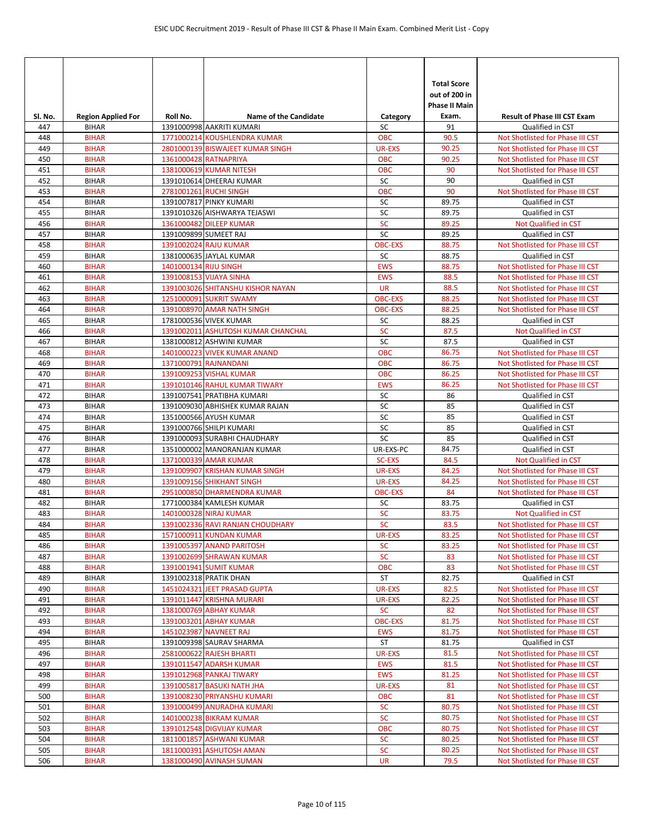| Sl. No.    | <b>Region Applied For</b>    | Roll No.              | <b>Name of the Candidate</b>                       | Category             | <b>Total Score</b><br>out of 200 in<br><b>Phase II Main</b><br>Exam. | <b>Result of Phase III CST Exam</b>                  |
|------------|------------------------------|-----------------------|----------------------------------------------------|----------------------|----------------------------------------------------------------------|------------------------------------------------------|
| 447        | <b>BIHAR</b>                 |                       | 1391000998 AAKRITI KUMARI                          | SC                   | 91                                                                   | Qualified in CST                                     |
| 448        | <b>BIHAR</b>                 |                       | 1771000214 KOUSHLENDRA KUMAR                       | <b>OBC</b>           | 90.5                                                                 | Not Shotlisted for Phase III CST                     |
| 449        | <b>BIHAR</b>                 |                       | 2801000139 BISWAJEET KUMAR SINGH                   | <b>UR-EXS</b>        | 90.25                                                                | Not Shotlisted for Phase III CST                     |
| 450        | <b>BIHAR</b>                 |                       | 1361000428 RATNAPRIYA                              | <b>OBC</b>           | 90.25                                                                | Not Shotlisted for Phase III CST                     |
| 451        | <b>BIHAR</b>                 |                       | 1381000619 KUMAR NITESH                            | <b>OBC</b>           | 90                                                                   | Not Shotlisted for Phase III CST                     |
| 452        | <b>BIHAR</b>                 |                       | 1391010614 DHEERAJ KUMAR                           | SC                   | 90                                                                   | Qualified in CST                                     |
| 453        | <b>BIHAR</b>                 |                       | 2781001261 RUCHI SINGH                             | <b>OBC</b>           | 90                                                                   | Not Shotlisted for Phase III CST                     |
| 454        | <b>BIHAR</b>                 |                       | 1391007817 PINKY KUMARI                            | SC                   | 89.75                                                                | Qualified in CST                                     |
| 455        | <b>BIHAR</b>                 |                       | 1391010326 AISHWARYA TEJASWI                       | SC                   | 89.75                                                                | Qualified in CST                                     |
| 456        | <b>BIHAR</b>                 |                       | 1361000482 DILEEP KUMAR                            | <b>SC</b>            | 89.25                                                                | Not Qualified in CST                                 |
| 457        | <b>BIHAR</b>                 | 1391009899 SUMEET RAJ |                                                    | SC                   | 89.25                                                                | Qualified in CST                                     |
| 458<br>459 | <b>BIHAR</b><br><b>BIHAR</b> |                       | 1391002024 RAJU KUMAR<br>1381000635 JAYLAL KUMAR   | <b>OBC-EXS</b><br>SC | 88.75<br>88.75                                                       | Not Shotlisted for Phase III CST<br>Qualified in CST |
| 460        | <b>BIHAR</b>                 | 1401000134 RIJU SINGH |                                                    | <b>EWS</b>           | 88.75                                                                | Not Shotlisted for Phase III CST                     |
| 461        | <b>BIHAR</b>                 |                       | 1391008153 VIJAYA SINHA                            | <b>EWS</b>           | 88.5                                                                 | Not Shotlisted for Phase III CST                     |
| 462        | <b>BIHAR</b>                 |                       | 1391003026 SHITANSHU KISHOR NAYAN                  | <b>UR</b>            | 88.5                                                                 | Not Shotlisted for Phase III CST                     |
| 463        | <b>BIHAR</b>                 |                       | 1251000091 SUKRIT SWAMY                            | <b>OBC-EXS</b>       | 88.25                                                                | Not Shotlisted for Phase III CST                     |
| 464        | <b>BIHAR</b>                 |                       | 1391008970 AMAR NATH SINGH                         | <b>OBC-EXS</b>       | 88.25                                                                | Not Shotlisted for Phase III CST                     |
| 465        | <b>BIHAR</b>                 |                       | 1781000536 VIVEK KUMAR                             | SC                   | 88.25                                                                | Qualified in CST                                     |
| 466        | <b>BIHAR</b>                 |                       | 1391002011 ASHUTOSH KUMAR CHANCHAL                 | SC                   | 87.5                                                                 | Not Qualified in CST                                 |
| 467        | <b>BIHAR</b>                 |                       | 1381000812 ASHWINI KUMAR                           | SC                   | 87.5                                                                 | Qualified in CST                                     |
| 468        | <b>BIHAR</b>                 |                       | 1401000223 VIVEK KUMAR ANAND                       | <b>OBC</b>           | 86.75                                                                | Not Shotlisted for Phase III CST                     |
| 469        | <b>BIHAR</b>                 |                       | 1371000791 RAJNANDANI                              | <b>OBC</b>           | 86.75                                                                | Not Shotlisted for Phase III CST                     |
| 470        | <b>BIHAR</b>                 |                       | 1391009253 VISHAL KUMAR                            | <b>OBC</b>           | 86.25                                                                | Not Shotlisted for Phase III CST                     |
| 471        | <b>BIHAR</b>                 |                       | 1391010146 RAHUL KUMAR TIWARY                      | <b>EWS</b>           | 86.25                                                                | Not Shotlisted for Phase III CST                     |
| 472        | <b>BIHAR</b>                 |                       | 1391007541 PRATIBHA KUMARI                         | SC                   | 86                                                                   | Qualified in CST                                     |
| 473        | <b>BIHAR</b>                 |                       | 1391009030 ABHISHEK KUMAR RAJAN                    | SC                   | 85                                                                   | Qualified in CST                                     |
| 474        | <b>BIHAR</b>                 |                       | 1351000566 AYUSH KUMAR                             | SC                   | 85                                                                   | Qualified in CST                                     |
| 475        | <b>BIHAR</b>                 |                       | 1391000766 SHILPI KUMARI                           | SC                   | 85                                                                   | Qualified in CST                                     |
| 476        | <b>BIHAR</b>                 |                       | 1391000093 SURABHI CHAUDHARY                       | SC                   | 85                                                                   | Qualified in CST                                     |
| 477        | <b>BIHAR</b>                 |                       | 1351000002 MANORANJAN KUMAR                        | UR-EXS-PC            | 84.75                                                                | Qualified in CST                                     |
| 478        | <b>BIHAR</b>                 |                       | 1371000339 AMAR KUMAR                              | <b>SC-EXS</b>        | 84.5                                                                 | Not Qualified in CST                                 |
| 479        | <b>BIHAR</b>                 |                       | 1391009907 KRISHAN KUMAR SINGH                     | <b>UR-EXS</b>        | 84.25                                                                | Not Shotlisted for Phase III CST                     |
| 480        | <b>BIHAR</b>                 |                       | 1391009156 SHIKHANT SINGH                          | <b>UR-EXS</b>        | 84.25                                                                | Not Shotlisted for Phase III CST                     |
| 481        | <b>BIHAR</b>                 |                       | 2951000850 DHARMENDRA KUMAR                        | <b>OBC-EXS</b>       | 84                                                                   | Not Shotlisted for Phase III CST                     |
| 482<br>483 | <b>BIHAR</b><br><b>BIHAR</b> |                       | 1771000384 KAMLESH KUMAR<br>1401000328 NIRAJ KUMAR | SC<br><b>SC</b>      | 83.75<br>83.75                                                       | Qualified in CST<br>Not Qualified in CST             |
| 484        | <b>BIHAR</b>                 |                       | 1391002336 RAVI RANJAN CHOUDHARY                   | <b>SC</b>            | 83.5                                                                 | Not Shotlisted for Phase III CST                     |
| 485        | <b>BIHAR</b>                 |                       | 1571000911 KUNDAN KUMAR                            | UR-EXS               | 83.25                                                                | Not Shotlisted for Phase III CST                     |
| 486        | <b>BIHAR</b>                 |                       | 1391005397 ANAND PARITOSH                          | <b>SC</b>            | 83.25                                                                | Not Shotlisted for Phase III CST                     |
| 487        | <b>BIHAR</b>                 |                       | 1391002699 SHRAWAN KUMAR                           | SC                   | 83                                                                   | Not Shotlisted for Phase III CST                     |
| 488        | <b>BIHAR</b>                 |                       | 1391001941 SUMIT KUMAR                             | <b>OBC</b>           | 83                                                                   | Not Shotlisted for Phase III CST                     |
| 489        | <b>BIHAR</b>                 |                       | 1391002318 PRATIK DHAN                             | ST                   | 82.75                                                                | Qualified in CST                                     |
| 490        | <b>BIHAR</b>                 |                       | 1451024321 JEET PRASAD GUPTA                       | UR-EXS               | 82.5                                                                 | Not Shotlisted for Phase III CST                     |
| 491        | <b>BIHAR</b>                 |                       | 1391011447 KRISHNA MURARI                          | UR-EXS               | 82.25                                                                | Not Shotlisted for Phase III CST                     |
| 492        | <b>BIHAR</b>                 |                       | 1381000769 ABHAY KUMAR                             | <b>SC</b>            | 82                                                                   | Not Shotlisted for Phase III CST                     |
| 493        | <b>BIHAR</b>                 |                       | 1391003201 ABHAY KUMAR                             | <b>OBC-EXS</b>       | 81.75                                                                | Not Shotlisted for Phase III CST                     |
| 494        | <b>BIHAR</b>                 |                       | 1451023987 NAVNEET RAJ                             | <b>EWS</b>           | 81.75                                                                | Not Shotlisted for Phase III CST                     |
| 495        | <b>BIHAR</b>                 |                       | 1391009398 SAURAV SHARMA                           | ST                   | 81.75                                                                | Qualified in CST                                     |
| 496        | <b>BIHAR</b>                 |                       | 2581000622 RAJESH BHARTI                           | <b>UR-EXS</b>        | 81.5                                                                 | Not Shotlisted for Phase III CST                     |
| 497        | <b>BIHAR</b>                 |                       | 1391011547 ADARSH KUMAR                            | <b>EWS</b>           | 81.5                                                                 | Not Shotlisted for Phase III CST                     |
| 498        | <b>BIHAR</b>                 |                       | 1391012968 PANKAJ TIWARY                           | <b>EWS</b>           | 81.25                                                                | Not Shotlisted for Phase III CST                     |
| 499        | <b>BIHAR</b>                 |                       | 1391005817 BASUKI NATH JHA                         | UR-EXS               | 81                                                                   | Not Shotlisted for Phase III CST                     |
| 500        | <b>BIHAR</b>                 |                       | 1391008230 PRIYANSHU KUMARI                        | <b>OBC</b>           | 81                                                                   | Not Shotlisted for Phase III CST                     |
| 501        | <b>BIHAR</b>                 |                       | 1391000499 ANURADHA KUMARI                         | <b>SC</b>            | 80.75                                                                | Not Shotlisted for Phase III CST                     |
| 502        | <b>BIHAR</b>                 |                       | 1401000238 BIKRAM KUMAR                            | SC                   | 80.75                                                                | Not Shotlisted for Phase III CST                     |
| 503        | <b>BIHAR</b>                 |                       | 1391012548 DIGVIJAY KUMAR                          | OBC                  | 80.75                                                                | Not Shotlisted for Phase III CST                     |
| 504        | <b>BIHAR</b>                 |                       | 1811001857 ASHWANI KUMAR                           | <b>SC</b>            | 80.25                                                                | Not Shotlisted for Phase III CST                     |
| 505        | <b>BIHAR</b>                 |                       | 1811000391 ASHUTOSH AMAN                           | <b>SC</b>            | 80.25                                                                | Not Shotlisted for Phase III CST                     |
| 506        | <b>BIHAR</b>                 |                       | 1381000490 AVINASH SUMAN                           | <b>UR</b>            | 79.5                                                                 | Not Shotlisted for Phase III CST                     |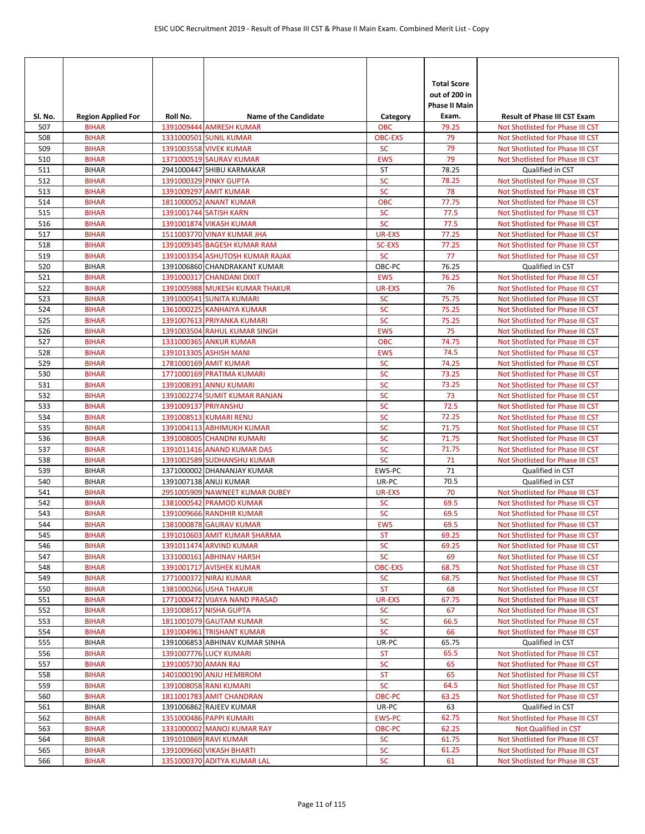| Sl. No.    | <b>Region Applied For</b>    | Roll No.             | <b>Name of the Candidate</b>                             | Category               | <b>Total Score</b><br>out of 200 in<br><b>Phase II Main</b><br>Exam. | <b>Result of Phase III CST Exam</b>                  |
|------------|------------------------------|----------------------|----------------------------------------------------------|------------------------|----------------------------------------------------------------------|------------------------------------------------------|
| 507        | <b>BIHAR</b>                 |                      | 1391009444 AMRESH KUMAR                                  | <b>OBC</b>             | 79.25                                                                | Not Shotlisted for Phase III CST                     |
| 508        | <b>BIHAR</b>                 |                      | 1331000501 SUNIL KUMAR                                   | <b>OBC-EXS</b>         | 79                                                                   | Not Shotlisted for Phase III CST                     |
| 509        | <b>BIHAR</b>                 |                      | 1391003558 VIVEK KUMAR                                   | <b>SC</b>              | 79                                                                   | Not Shotlisted for Phase III CST                     |
| 510        | <b>BIHAR</b>                 |                      | 1371000519 SAURAV KUMAR                                  | <b>EWS</b>             | 79                                                                   | Not Shotlisted for Phase III CST                     |
| 511        | <b>BIHAR</b>                 |                      | 2941000447 SHIBU KARMAKAR                                | ST                     | 78.25                                                                | Qualified in CST                                     |
| 512        | <b>BIHAR</b>                 |                      | 1391000329 PINKY GUPTA                                   | <b>SC</b>              | 78.25                                                                | Not Shotlisted for Phase III CST                     |
| 513        | <b>BIHAR</b>                 |                      | 1391009297 AMIT KUMAR                                    | <b>SC</b>              | 78                                                                   | Not Shotlisted for Phase III CST                     |
| 514        | <b>BIHAR</b>                 |                      | 1811000052 ANANT KUMAR                                   | <b>OBC</b>             | 77.75                                                                | Not Shotlisted for Phase III CST                     |
| 515        | <b>BIHAR</b>                 |                      | 1391001744 SATISH KARN                                   | <b>SC</b>              | 77.5                                                                 | Not Shotlisted for Phase III CST                     |
| 516        | <b>BIHAR</b>                 |                      | 1391001874 VIKASH KUMAR                                  | <b>SC</b>              | 77.5                                                                 | Not Shotlisted for Phase III CST                     |
| 517        | <b>BIHAR</b>                 |                      | 1511003770 VINAY KUMAR JHA                               | UR-EXS                 | 77.25                                                                | Not Shotlisted for Phase III CST                     |
| 518        | <b>BIHAR</b>                 |                      | 1391009345 BAGESH KUMAR RAM                              | <b>SC-EXS</b>          | 77.25                                                                | Not Shotlisted for Phase III CST                     |
| 519        | <b>BIHAR</b>                 |                      | 1391003354 ASHUTOSH KUMAR RAJAK                          | <b>SC</b>              | 77                                                                   | Not Shotlisted for Phase III CST                     |
| 520        | <b>BIHAR</b>                 |                      | 1391006860 CHANDRAKANT KUMAR                             | OBC-PC                 | 76.25                                                                | Qualified in CST                                     |
| 521        | <b>BIHAR</b>                 |                      | 1391000317 CHANDANI DIXIT                                | <b>EWS</b>             | 76.25                                                                | Not Shotlisted for Phase III CST                     |
| 522        | <b>BIHAR</b>                 |                      | 1391005988 MUKESH KUMAR THAKUR                           | <b>UR-EXS</b>          | 76                                                                   | Not Shotlisted for Phase III CST                     |
| 523        | <b>BIHAR</b>                 |                      | <b>1391000541 SUNITA KUMARI</b>                          | <b>SC</b>              | 75.75                                                                | Not Shotlisted for Phase III CST                     |
| 524        | <b>BIHAR</b>                 |                      | 1361000225 KANHAIYA KUMAR                                | SC                     | 75.25                                                                | Not Shotlisted for Phase III CST                     |
| 525        | <b>BIHAR</b>                 |                      | 1391007613 PRIYANKA KUMARI                               | <b>SC</b>              | 75.25                                                                | Not Shotlisted for Phase III CST                     |
| 526        | <b>BIHAR</b>                 |                      | 1391003504 RAHUL KUMAR SINGH                             | <b>EWS</b>             | 75                                                                   | Not Shotlisted for Phase III CST                     |
| 527        | <b>BIHAR</b>                 |                      | 1331000365 ANKUR KUMAR                                   | <b>OBC</b>             | 74.75                                                                | Not Shotlisted for Phase III CST                     |
| 528        | <b>BIHAR</b>                 |                      | 1391013305 ASHISH MANI                                   | <b>EWS</b>             | 74.5                                                                 | Not Shotlisted for Phase III CST                     |
| 529        | <b>BIHAR</b>                 |                      | 1781000169 AMIT KUMAR                                    | <b>SC</b>              | 74.25                                                                | Not Shotlisted for Phase III CST                     |
| 530        | <b>BIHAR</b>                 |                      | 1771000169 PRATIMA KUMARI                                | <b>SC</b>              | 73.25                                                                | Not Shotlisted for Phase III CST                     |
| 531        | <b>BIHAR</b>                 |                      | 1391008391 ANNU KUMARI                                   | <b>SC</b>              | 73.25                                                                | Not Shotlisted for Phase III CST                     |
| 532        | <b>BIHAR</b>                 |                      | 1391002274 SUMIT KUMAR RANJAN                            | <b>SC</b>              | 73                                                                   | Not Shotlisted for Phase III CST                     |
| 533        | <b>BIHAR</b>                 | 1391009137 PRIYANSHU |                                                          | <b>SC</b>              | 72.5                                                                 | Not Shotlisted for Phase III CST                     |
| 534        | <b>BIHAR</b>                 |                      | 1391008513 KUMARI RENU                                   | <b>SC</b>              | 72.25                                                                | Not Shotlisted for Phase III CST                     |
| 535        | <b>BIHAR</b>                 |                      | 1391004113 ABHIMUKH KUMAR                                | <b>SC</b>              | 71.75                                                                | Not Shotlisted for Phase III CST                     |
| 536        | <b>BIHAR</b>                 |                      | 1391008005 CHANDNI KUMARI                                | <b>SC</b>              | 71.75                                                                | Not Shotlisted for Phase III CST                     |
| 537<br>538 | <b>BIHAR</b><br><b>BIHAR</b> |                      | 1391011416 ANAND KUMAR DAS                               | <b>SC</b><br><b>SC</b> | 71.75<br>71                                                          | Not Shotlisted for Phase III CST                     |
| 539        | <b>BIHAR</b>                 |                      | 1391002589 SUDHANSHU KUMAR<br>1371000002 DHANANJAY KUMAR | EWS-PC                 | 71                                                                   | Not Shotlisted for Phase III CST<br>Qualified in CST |
| 540        | <b>BIHAR</b>                 |                      | 1391007138 ANUJ KUMAR                                    | UR-PC                  | 70.5                                                                 | Qualified in CST                                     |
| 541        | <b>BIHAR</b>                 |                      | 2951005909 NAWNEET KUMAR DUBEY                           | <b>UR-EXS</b>          | 70                                                                   | Not Shotlisted for Phase III CST                     |
| 542        | <b>BIHAR</b>                 |                      | 1381000542 PRAMOD KUMAR                                  | <b>SC</b>              | 69.5                                                                 | Not Shotlisted for Phase III CST                     |
| 543        | <b>BIHAR</b>                 |                      | 1391009666 RANDHIR KUMAR                                 | <b>SC</b>              | 69.5                                                                 | Not Shotlisted for Phase III CST                     |
| 544        | <b>BIHAR</b>                 |                      | 1381000878 GAURAV KUMAR                                  | <b>EWS</b>             | 69.5                                                                 | Not Shotlisted for Phase III CST                     |
| 545        | <b>BIHAR</b>                 |                      | 1391010603 AMIT KUMAR SHARMA                             | <b>ST</b>              | 69.25                                                                | Not Shotlisted for Phase III CST                     |
| 546        | <b>BIHAR</b>                 |                      | 1391011474 ARVIND KUMAR                                  | <b>SC</b>              | 69.25                                                                | Not Shotlisted for Phase III CST                     |
| 547        | <b>BIHAR</b>                 |                      | 1331000161 ABHINAV HARSH                                 | <b>SC</b>              | 69                                                                   | Not Shotlisted for Phase III CST                     |
| 548        | <b>BIHAR</b>                 |                      | 1391001717 AVISHEK KUMAR                                 | <b>OBC-EXS</b>         | 68.75                                                                | Not Shotlisted for Phase III CST                     |
| 549        | <b>BIHAR</b>                 |                      | 1771000372 NIRAJ KUMAR                                   | <b>SC</b>              | 68.75                                                                | Not Shotlisted for Phase III CST                     |
| 550        | <b>BIHAR</b>                 |                      | 1381000266 USHA THAKUR                                   | <b>ST</b>              | 68                                                                   | Not Shotlisted for Phase III CST                     |
| 551        | <b>BIHAR</b>                 |                      | 1771000472 VIJAYA NAND PRASAD                            | <b>UR-EXS</b>          | 67.75                                                                | Not Shotlisted for Phase III CST                     |
| 552        | <b>BIHAR</b>                 |                      | 1391008517 NISHA GUPTA                                   | <b>SC</b>              | 67                                                                   | Not Shotlisted for Phase III CST                     |
| 553        | <b>BIHAR</b>                 |                      | 1811001079 GAUTAM KUMAR                                  | <b>SC</b>              | 66.5                                                                 | Not Shotlisted for Phase III CST                     |
| 554        | <b>BIHAR</b>                 |                      | 1391004961 TRISHANT KUMAR                                | ${\sf SC}$             | 66                                                                   | Not Shotlisted for Phase III CST                     |
| 555        | <b>BIHAR</b>                 |                      | 1391006853 ABHINAV KUMAR SINHA                           | UR-PC                  | 65.75                                                                | Qualified in CST                                     |
| 556        | <b>BIHAR</b>                 |                      | 1391007776 LUCY KUMARI                                   | <b>ST</b>              | 65.5                                                                 | Not Shotlisted for Phase III CST                     |
| 557        | <b>BIHAR</b>                 | 1391005730 AMAN RAJ  |                                                          | <b>SC</b>              | 65                                                                   | Not Shotlisted for Phase III CST                     |
| 558        | <b>BIHAR</b>                 |                      | 1401000190 ANJU HEMBROM                                  | <b>ST</b>              | 65                                                                   | Not Shotlisted for Phase III CST                     |
| 559        | <b>BIHAR</b>                 |                      | 1391008058 RANI KUMARI                                   | SC                     | 64.5                                                                 | Not Shotlisted for Phase III CST                     |
| 560        | <b>BIHAR</b>                 |                      | 1811001783 AMIT CHANDRAN                                 | OBC-PC                 | 63.25                                                                | Not Shotlisted for Phase III CST                     |
| 561        | <b>BIHAR</b>                 |                      | 1391006862 RAJEEV KUMAR                                  | UR-PC                  | 63                                                                   | Qualified in CST                                     |
| 562        | <b>BIHAR</b>                 |                      | 1351000486 PAPPI KUMARI                                  | <b>EWS-PC</b>          | 62.75                                                                | Not Shotlisted for Phase III CST                     |
| 563        | <b>BIHAR</b>                 |                      | 1331000002 MANOJ KUMAR RAY                               | OBC-PC                 | 62.25                                                                | Not Qualified in CST                                 |
| 564        | <b>BIHAR</b>                 |                      | 1391010869 RAVI KUMAR                                    | <b>SC</b>              | 61.75                                                                | Not Shotlisted for Phase III CST                     |
| 565        | <b>BIHAR</b>                 |                      | 1391009660 VIKASH BHARTI                                 | <b>SC</b>              | 61.25                                                                | Not Shotlisted for Phase III CST                     |
| 566        | <b>BIHAR</b>                 |                      | 1351000370 ADITYA KUMAR LAL                              | <b>SC</b>              | 61                                                                   | Not Shotlisted for Phase III CST                     |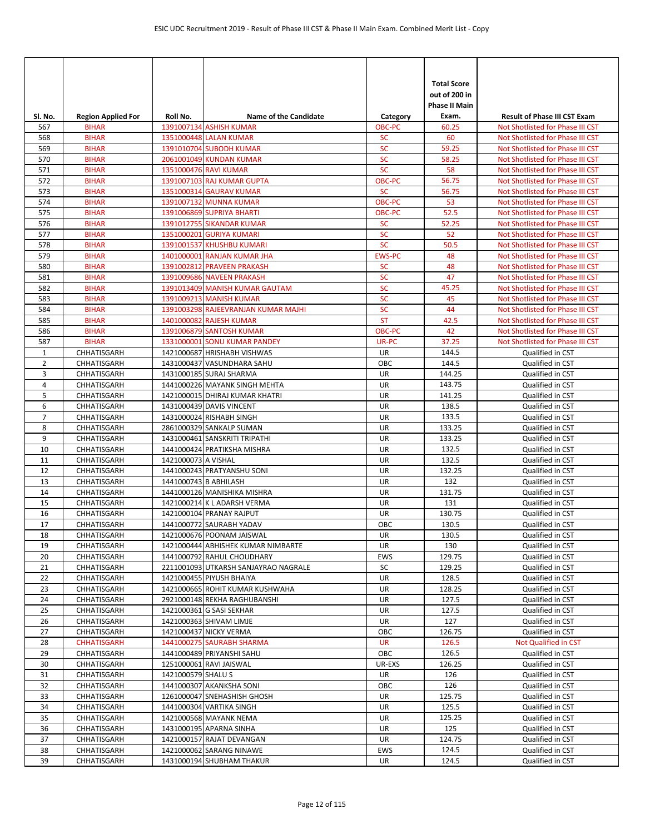| Sl. No.        | <b>Region Applied For</b>    | Roll No.              | <b>Name of the Candidate</b>                                     | Category               | <b>Total Score</b><br>out of 200 in<br><b>Phase II Main</b><br>Exam. | <b>Result of Phase III CST Exam</b>                                  |
|----------------|------------------------------|-----------------------|------------------------------------------------------------------|------------------------|----------------------------------------------------------------------|----------------------------------------------------------------------|
| 567            | <b>BIHAR</b>                 |                       | 1391007134 ASHISH KUMAR                                          | OBC-PC                 | 60.25                                                                | Not Shotlisted for Phase III CST                                     |
| 568            | <b>BIHAR</b>                 |                       | 1351000448 LALAN KUMAR                                           | <b>SC</b>              | 60                                                                   | Not Shotlisted for Phase III CST                                     |
| 569            | <b>BIHAR</b>                 |                       | 1391010704 SUBODH KUMAR                                          | SC                     | 59.25                                                                | Not Shotlisted for Phase III CST                                     |
| 570            | <b>BIHAR</b>                 |                       | 2061001049 KUNDAN KUMAR                                          | <b>SC</b>              | 58.25                                                                | Not Shotlisted for Phase III CST                                     |
| 571            | <b>BIHAR</b>                 |                       | 1351000476 RAVI KUMAR                                            | <b>SC</b>              | 58                                                                   | Not Shotlisted for Phase III CST                                     |
| 572            | <b>BIHAR</b>                 |                       | 1391007103 RAJ KUMAR GUPTA                                       | OBC-PC                 | 56.75                                                                | Not Shotlisted for Phase III CST                                     |
| 573            | <b>BIHAR</b>                 |                       | 1351000314 GAURAV KUMAR                                          | <b>SC</b>              | 56.75                                                                | Not Shotlisted for Phase III CST                                     |
| 574            | <b>BIHAR</b>                 |                       | 1391007132 MUNNA KUMAR                                           | OBC-PC                 | 53                                                                   | Not Shotlisted for Phase III CST                                     |
| 575            | <b>BIHAR</b>                 |                       | 1391006869 SUPRIYA BHARTI                                        | <b>OBC-PC</b>          | 52.5                                                                 | Not Shotlisted for Phase III CST                                     |
| 576            | <b>BIHAR</b>                 |                       | 1391012755 SIKANDAR KUMAR                                        | <b>SC</b>              | 52.25                                                                | Not Shotlisted for Phase III CST                                     |
| 577            | <b>BIHAR</b>                 |                       | 1351000201 GURIYA KUMARI                                         | <b>SC</b><br><b>SC</b> | 52                                                                   | Not Shotlisted for Phase III CST                                     |
| 578<br>579     | <b>BIHAR</b><br><b>BIHAR</b> |                       | 1391001537 KHUSHBU KUMARI<br>1401000001 RANJAN KUMAR JHA         | <b>EWS-PC</b>          | 50.5<br>48                                                           | Not Shotlisted for Phase III CST                                     |
| 580            | <b>BIHAR</b>                 |                       | 1391002812 PRAVEEN PRAKASH                                       | <b>SC</b>              | 48                                                                   | Not Shotlisted for Phase III CST<br>Not Shotlisted for Phase III CST |
| 581            | <b>BIHAR</b>                 |                       | 1391009686 NAVEEN PRAKASH                                        | <b>SC</b>              | 47                                                                   | Not Shotlisted for Phase III CST                                     |
| 582            | <b>BIHAR</b>                 |                       | 1391013409 MANISH KUMAR GAUTAM                                   | <b>SC</b>              | 45.25                                                                | Not Shotlisted for Phase III CST                                     |
| 583            | <b>BIHAR</b>                 |                       | 1391009213 MANISH KUMAR                                          | <b>SC</b>              | 45                                                                   | Not Shotlisted for Phase III CST                                     |
| 584            | <b>BIHAR</b>                 |                       | 1391003298 RAJEEVRANJAN KUMAR MAJHI                              | SC                     | 44                                                                   | Not Shotlisted for Phase III CST                                     |
| 585            | <b>BIHAR</b>                 |                       | 1401000082 RAJESH KUMAR                                          | <b>ST</b>              | 42.5                                                                 | Not Shotlisted for Phase III CST                                     |
| 586            | <b>BIHAR</b>                 |                       | 1391006879 SANTOSH KUMAR                                         | <b>OBC-PC</b>          | 42                                                                   | Not Shotlisted for Phase III CST                                     |
| 587            | <b>BIHAR</b>                 |                       | 1331000001 SONU KUMAR PANDEY                                     | UR-PC                  | 37.25                                                                | Not Shotlisted for Phase III CST                                     |
| $\mathbf{1}$   | CHHATISGARH                  |                       | 1421000687 HRISHABH VISHWAS                                      | UR                     | 144.5                                                                | Qualified in CST                                                     |
| $\overline{2}$ | CHHATISGARH                  |                       | 1431000437 VASUNDHARA SAHU                                       | OBC                    | 144.5                                                                | Qualified in CST                                                     |
| 3              | CHHATISGARH                  |                       | 1431000185 SURAJ SHARMA                                          | UR                     | 144.25                                                               | Qualified in CST                                                     |
| $\overline{4}$ | CHHATISGARH                  |                       | 1441000226 MAYANK SINGH MEHTA                                    | UR                     | 143.75                                                               | Qualified in CST                                                     |
| 5              | CHHATISGARH                  |                       | 1421000015 DHIRAJ KUMAR KHATRI                                   | UR                     | 141.25                                                               | Qualified in CST                                                     |
| 6              | CHHATISGARH                  |                       | 1431000439 DAVIS VINCENT                                         | UR                     | 138.5                                                                | Qualified in CST                                                     |
| $\overline{7}$ | CHHATISGARH                  |                       | 1431000024 RISHABH SINGH                                         | UR                     | 133.5                                                                | Qualified in CST                                                     |
| 8              | CHHATISGARH                  |                       | 2861000329 SANKALP SUMAN                                         | UR                     | 133.25                                                               | Qualified in CST                                                     |
| 9              | CHHATISGARH                  |                       | 1431000461 SANSKRITI TRIPATHI                                    | UR                     | 133.25                                                               | Qualified in CST                                                     |
| 10             | CHHATISGARH                  |                       | 1441000424 PRATIKSHA MISHRA                                      | UR                     | 132.5                                                                | Qualified in CST                                                     |
| 11             | CHHATISGARH                  | 1421000073 A VISHAL   |                                                                  | UR                     | 132.5                                                                | Qualified in CST                                                     |
| 12             | CHHATISGARH                  |                       | 1441000243 PRATYANSHU SONI                                       | UR                     | 132.25                                                               | Qualified in CST                                                     |
| 13             | CHHATISGARH                  | 1441000743 B ABHILASH |                                                                  | UR                     | 132                                                                  | Qualified in CST                                                     |
| 14             | CHHATISGARH                  |                       | 1441000126 MANISHIKA MISHRA                                      | UR                     | 131.75                                                               | Qualified in CST                                                     |
| 15             | CHHATISGARH                  |                       | 1421000214 K L ADARSH VERMA                                      | UR                     | 131                                                                  | Qualified in CST                                                     |
| 16             | CHHATISGARH                  |                       | 1421000104 PRANAY RAJPUT                                         | UR                     | 130.75                                                               | Qualified in CST                                                     |
| 17             | CHHATISGARH                  |                       | 1441000772 SAURABH YADAV<br>1421000676 POONAM JAISWAL            | OBC                    | 130.5                                                                | Qualified in CST                                                     |
| 18             | CHHATISGARH                  |                       |                                                                  | UR                     | 130.5<br>130                                                         | Qualified in CST                                                     |
| 19             | CHHATISGARH<br>CHHATISGARH   |                       | 1421000444 ABHISHEK KUMAR NIMBARTE<br>1441000792 RAHUL CHOUDHARY | UR<br>EWS              | 129.75                                                               | Qualified in CST<br>Qualified in CST                                 |
| 20<br>21       | CHHATISGARH                  |                       | 2211001093 UTKARSH SANJAYRAO NAGRALE                             | SC                     | 129.25                                                               | Qualified in CST                                                     |
| 22             | CHHATISGARH                  |                       | 1421000455 PIYUSH BHAIYA                                         | UR                     | 128.5                                                                | Qualified in CST                                                     |
| 23             | CHHATISGARH                  |                       | 1421000665 ROHIT KUMAR KUSHWAHA                                  | UR                     | 128.25                                                               | Qualified in CST                                                     |
| 24             | CHHATISGARH                  |                       | 2921000148 REKHA RAGHUBANSHI                                     | UR                     | 127.5                                                                | Qualified in CST                                                     |
| 25             | CHHATISGARH                  |                       | 1421000361 G SASI SEKHAR                                         | UR                     | 127.5                                                                | Qualified in CST                                                     |
| 26             | CHHATISGARH                  |                       | 1421000363 SHIVAM LIMJE                                          | UR                     | 127                                                                  | Qualified in CST                                                     |
| 27             | CHHATISGARH                  |                       | 1421000437 NICKY VERMA                                           | OBC                    | 126.75                                                               | Qualified in CST                                                     |
| 28             | <b>CHHATISGARH</b>           |                       | 1441000275 SAURABH SHARMA                                        | <b>UR</b>              | 126.5                                                                | Not Qualified in CST                                                 |
| 29             | CHHATISGARH                  |                       | 1441000489 PRIYANSHI SAHU                                        | OBC                    | 126.5                                                                | Qualified in CST                                                     |
| 30             | CHHATISGARH                  |                       | 1251000061 RAVI JAISWAL                                          | UR-EXS                 | 126.25                                                               | Qualified in CST                                                     |
| 31             | CHHATISGARH                  | 1421000579 SHALU S    |                                                                  | UR                     | 126                                                                  | Qualified in CST                                                     |
| 32             | CHHATISGARH                  |                       | 1441000307 AKANKSHA SONI                                         | OBC                    | 126                                                                  | Qualified in CST                                                     |
| 33             | CHHATISGARH                  |                       | 1261000047 SNEHASHISH GHOSH                                      | UR                     | 125.75                                                               | Qualified in CST                                                     |
| 34             | CHHATISGARH                  |                       | 1441000304 VARTIKA SINGH                                         | UR                     | 125.5                                                                | Qualified in CST                                                     |
| 35             | CHHATISGARH                  |                       | 1421000568 MAYANK NEMA                                           | UR                     | 125.25                                                               | Qualified in CST                                                     |
| 36             | CHHATISGARH                  |                       | 1431000195 APARNA SINHA                                          | UR                     | 125                                                                  | Qualified in CST                                                     |
| 37             | CHHATISGARH                  |                       | 1421000157 RAJAT DEVANGAN                                        | UR                     | 124.75                                                               | Qualified in CST                                                     |
| 38             | CHHATISGARH                  |                       | 1421000062 SARANG NINAWE                                         | EWS                    | 124.5                                                                | Qualified in CST                                                     |
| 39             | CHHATISGARH                  |                       | 1431000194 SHUBHAM THAKUR                                        | UR                     | 124.5                                                                | Qualified in CST                                                     |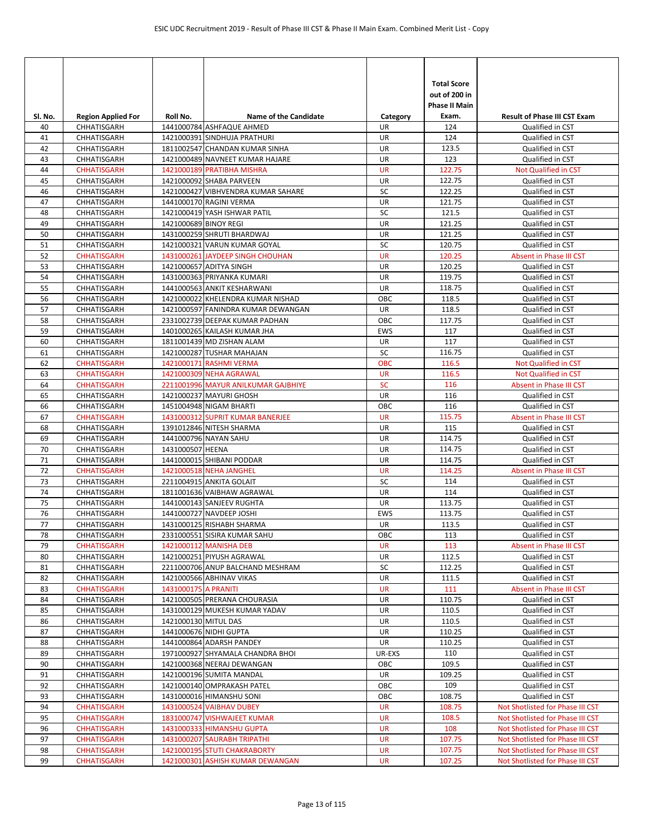|               |                                          |                       |                                                                      |                 | <b>Total Score</b><br>out of 200 in<br>Phase II Main |                                                         |
|---------------|------------------------------------------|-----------------------|----------------------------------------------------------------------|-----------------|------------------------------------------------------|---------------------------------------------------------|
| SI. No.<br>40 | <b>Region Applied For</b><br>CHHATISGARH | Roll No.              | <b>Name of the Candidate</b><br>1441000784 ASHFAQUE AHMED            | Category<br>UR  | Exam.<br>124                                         | <b>Result of Phase III CST Exam</b><br>Qualified in CST |
| 41            | CHHATISGARH                              |                       | 1421000391 SINDHUJA PRATHURI                                         | UR              | 124                                                  | Qualified in CST                                        |
| 42            | CHHATISGARH                              |                       | 1811002547 CHANDAN KUMAR SINHA                                       | UR              | 123.5                                                | Qualified in CST                                        |
| 43            | CHHATISGARH                              |                       | 1421000489 NAVNEET KUMAR HAJARE                                      | UR              | 123                                                  | Qualified in CST                                        |
| 44            | <b>CHHATISGARH</b>                       |                       | 1421000189 PRATIBHA MISHRA                                           | <b>UR</b>       | 122.75                                               | Not Qualified in CST                                    |
| 45            | CHHATISGARH                              |                       | 1421000092 SHABA PARVEEN                                             | UR              | 122.75                                               | Qualified in CST                                        |
| 46            | CHHATISGARH                              |                       | 1421000427 VIBHVENDRA KUMAR SAHARE                                   | SC              | 122.25                                               | Qualified in CST                                        |
| 47            | CHHATISGARH                              |                       | 1441000170 RAGINI VERMA                                              | UR              | 121.75                                               | Qualified in CST                                        |
| 48            | CHHATISGARH                              |                       | 1421000419 YASH ISHWAR PATIL                                         | SC              | 121.5                                                | Qualified in CST                                        |
| 49            | CHHATISGARH                              | 1421000689 BINOY REGI |                                                                      | <b>UR</b>       | 121.25                                               | Qualified in CST                                        |
| 50            | CHHATISGARH                              |                       | 1431000259 SHRUTI BHARDWAJ                                           | UR              | 121.25                                               | Qualified in CST                                        |
| 51            | CHHATISGARH                              |                       | 1421000321 VARUN KUMAR GOYAL                                         | SC              | 120.75                                               | Qualified in CST                                        |
| 52            | <b>CHHATISGARH</b>                       |                       | 1431000261 JAYDEEP SINGH CHOUHAN                                     | <b>UR</b>       | 120.25                                               | Absent in Phase III CST                                 |
| 53            | CHHATISGARH                              |                       | 1421000657 ADITYA SINGH                                              | UR              | 120.25                                               | Qualified in CST                                        |
| 54            | CHHATISGARH                              |                       | 1431000363 PRIYANKA KUMARI                                           | UR              | 119.75                                               | Qualified in CST                                        |
| 55            | CHHATISGARH                              |                       | 1441000563 ANKIT KESHARWANI                                          | UR              | 118.75                                               | Qualified in CST                                        |
| 56            | CHHATISGARH                              |                       | 1421000022 KHELENDRA KUMAR NISHAD                                    | OBC             | 118.5                                                | Qualified in CST                                        |
| 57<br>58      | CHHATISGARH<br>CHHATISGARH               |                       | 1421000597 FANINDRA KUMAR DEWANGAN<br>2331002739 DEEPAK KUMAR PADHAN | UR<br>OBC       | 118.5<br>117.75                                      | Qualified in CST                                        |
| 59            | CHHATISGARH                              |                       | 1401000265 KAILASH KUMAR JHA                                         | <b>EWS</b>      | 117                                                  | Qualified in CST                                        |
| 60            | CHHATISGARH                              |                       | 1811001439 MD ZISHAN ALAM                                            | UR              | 117                                                  | Qualified in CST<br>Qualified in CST                    |
| 61            | CHHATISGARH                              |                       | 1421000287 TUSHAR MAHAJAN                                            | SC              | 116.75                                               | Qualified in CST                                        |
| 62            | <b>CHHATISGARH</b>                       |                       | 1421000171 RASHMI VERMA                                              | <b>OBC</b>      | 116.5                                                | Not Qualified in CST                                    |
| 63            | <b>CHHATISGARH</b>                       |                       | 1421000309 NEHA AGRAWAL                                              | <b>UR</b>       | 116.5                                                | <b>Not Qualified in CST</b>                             |
| 64            | <b>CHHATISGARH</b>                       |                       | 2211001996 MAYUR ANILKUMAR GAJBHIYE                                  | <b>SC</b>       | 116                                                  | Absent in Phase III CST                                 |
| 65            | CHHATISGARH                              |                       | 1421000237 MAYURI GHOSH                                              | UR              | 116                                                  | Qualified in CST                                        |
| 66            | CHHATISGARH                              |                       | 1451004948 NIGAM BHARTI                                              | OBC             | 116                                                  | Qualified in CST                                        |
| 67            | <b>CHHATISGARH</b>                       |                       | 1431000312 SUPRIT KUMAR BANERJEE                                     | <b>UR</b>       | 115.75                                               | Absent in Phase III CST                                 |
| 68            | CHHATISGARH                              |                       | 1391012846 NITESH SHARMA                                             | UR              | 115                                                  | Qualified in CST                                        |
| 69            | CHHATISGARH                              |                       | 1441000796 NAYAN SAHU                                                | UR              | 114.75                                               | Qualified in CST                                        |
| 70            | CHHATISGARH                              | 1431000507 HEENA      |                                                                      | UR              | 114.75                                               | Qualified in CST                                        |
| 71            | CHHATISGARH                              |                       | 1441000015 SHIBANI PODDAR                                            | UR              | 114.75                                               | Qualified in CST                                        |
| 72            | <b>CHHATISGARH</b>                       |                       | 1421000518 NEHA JANGHEL                                              | <b>UR</b>       | 114.25                                               | Absent in Phase III CST                                 |
| 73            | CHHATISGARH                              |                       | 2211004915 ANKITA GOLAIT                                             | SC              | 114                                                  | Qualified in CST                                        |
| 74            | CHHATISGARH                              |                       | 1811001636 VAIBHAW AGRAWAL                                           | UR              | 114                                                  | Qualified in CST                                        |
| 75            | CHHATISGARH                              |                       | 1441000143 SANJEEV RUGHTA                                            | UR              | 113.75                                               | Qualified in CST                                        |
| 76            | CHHATISGARH                              |                       | 1441000727 NAVDEEP JOSHI                                             | <b>EWS</b>      | 113.75                                               | Qualified in CST                                        |
| 77            | CHHATISGARH                              |                       | 1431000125 RISHABH SHARMA                                            | <b>UR</b>       | 113.5                                                | Qualified in CST                                        |
| 78            | CHHATISGARH                              |                       | 2331000551 SISIRA KUMAR SAHU                                         | OBC             | 113                                                  | Qualified in CST                                        |
| 79            | <b>CHHATISGARH</b><br>CHHATISGARH        |                       | 1421000112 MANISHA DEB<br>1421000251 PIYUSH AGRAWAL                  | <b>UR</b><br>UR | 113                                                  | Absent in Phase III CST<br>Qualified in CST             |
| 80<br>81      | CHHATISGARH                              |                       | 2211000706 ANUP BALCHAND MESHRAM                                     | SC              | 112.5<br>112.25                                      | Qualified in CST                                        |
| 82            | CHHATISGARH                              |                       | 1421000566 ABHINAV VIKAS                                             | UR              | 111.5                                                | Qualified in CST                                        |
| 83            | <b>CHHATISGARH</b>                       | 1431000175 A PRANITI  |                                                                      | UR              | 111                                                  | Absent in Phase III CST                                 |
| 84            | CHHATISGARH                              |                       | 1421000505 PRERANA CHOURASIA                                         | UR              | 110.75                                               | Qualified in CST                                        |
| 85            | CHHATISGARH                              |                       | 1431000129 MUKESH KUMAR YADAV                                        | UR              | 110.5                                                | Qualified in CST                                        |
| 86            | CHHATISGARH                              | 1421000130 MITUL DAS  |                                                                      | UR              | 110.5                                                | Qualified in CST                                        |
| 87            | CHHATISGARH                              |                       | 1441000676 NIDHI GUPTA                                               | UR              | 110.25                                               | Qualified in CST                                        |
| 88            | CHHATISGARH                              |                       | 1441000864 ADARSH PANDEY                                             | UR              | 110.25                                               | Qualified in CST                                        |
| 89            | CHHATISGARH                              |                       | 1971000927 SHYAMALA CHANDRA BHOI                                     | UR-EXS          | 110                                                  | Qualified in CST                                        |
| 90            | CHHATISGARH                              |                       | 1421000368 NEERAJ DEWANGAN                                           | OBC             | 109.5                                                | Qualified in CST                                        |
| 91            | CHHATISGARH                              |                       | 1421000196 SUMITA MANDAL                                             | UR              | 109.25                                               | Qualified in CST                                        |
| 92            | CHHATISGARH                              |                       | 1421000140 OMPRAKASH PATEL                                           | OBC             | 109                                                  | Qualified in CST                                        |
| 93            | CHHATISGARH                              |                       | 1431000016 HIMANSHU SONI                                             | ОВС             | 108.75                                               | Qualified in CST                                        |
| 94            | <b>CHHATISGARH</b>                       |                       | 1431000524 VAIBHAV DUBEY                                             | UR              | 108.75                                               | Not Shotlisted for Phase III CST                        |
| 95            | <b>CHHATISGARH</b>                       |                       | 1831000747 VISHWAJEET KUMAR                                          | <b>UR</b>       | 108.5                                                | Not Shotlisted for Phase III CST                        |
| 96            | <b>CHHATISGARH</b>                       |                       | 1431000333 HIMANSHU GUPTA                                            | <b>UR</b>       | 108                                                  | Not Shotlisted for Phase III CST                        |
| 97            | <b>CHHATISGARH</b>                       |                       | 1431000207 SAURABH TRIPATHI                                          | UR              | 107.75                                               | Not Shotlisted for Phase III CST                        |
| 98            | <b>CHHATISGARH</b>                       |                       | 1421000195 STUTI CHAKRABORTY                                         | <b>UR</b>       | 107.75                                               | Not Shotlisted for Phase III CST                        |
| 99            | <b>CHHATISGARH</b>                       |                       | 1421000301 ASHISH KUMAR DEWANGAN                                     | <b>UR</b>       | 107.25                                               | Not Shotlisted for Phase III CST                        |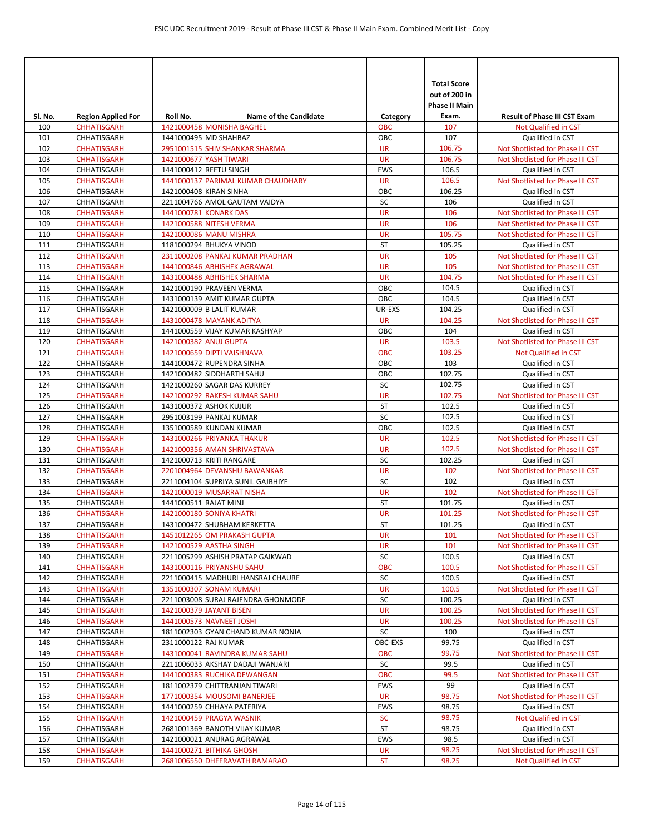| SI. No.    | <b>Region Applied For</b>         | Roll No.              | <b>Name of the Candidate</b>                            | Category               | <b>Total Score</b><br>out of 200 in<br><b>Phase II Main</b><br>Exam. | <b>Result of Phase III CST Exam</b>                                  |
|------------|-----------------------------------|-----------------------|---------------------------------------------------------|------------------------|----------------------------------------------------------------------|----------------------------------------------------------------------|
| 100        | <b>CHHATISGARH</b>                |                       | 1421000458 MONISHA BAGHEL                               | <b>OBC</b>             | 107                                                                  | Not Qualified in CST                                                 |
| 101        | CHHATISGARH                       |                       | 1441000495 MD SHAHBAZ                                   | OBC                    | 107                                                                  | Qualified in CST                                                     |
| 102        | <b>CHHATISGARH</b>                |                       | 2951001515 SHIV SHANKAR SHARMA                          | <b>UR</b>              | 106.75                                                               | Not Shotlisted for Phase III CST                                     |
| 103        | <b>CHHATISGARH</b>                |                       | 1421000677 YASH TIWARI                                  | <b>UR</b>              | 106.75                                                               | Not Shotlisted for Phase III CST                                     |
| 104        | CHHATISGARH                       |                       | 1441000412 REETU SINGH                                  | <b>EWS</b>             | 106.5                                                                | Qualified in CST                                                     |
| 105        | <b>CHHATISGARH</b>                |                       | 1441000137 PARIMAL KUMAR CHAUDHARY                      | <b>UR</b>              | 106.5                                                                | Not Shotlisted for Phase III CST                                     |
| 106        | CHHATISGARH                       |                       | 1421000408 KIRAN SINHA                                  | OBC                    | 106.25                                                               | Qualified in CST                                                     |
| 107        | CHHATISGARH                       |                       | 2211004766 AMOL GAUTAM VAIDYA                           | SC                     | 106                                                                  | Qualified in CST                                                     |
| 108        | <b>CHHATISGARH</b>                |                       | 1441000781 KONARK DAS                                   | <b>UR</b>              | 106                                                                  | Not Shotlisted for Phase III CST                                     |
| 109        | <b>CHHATISGARH</b>                |                       | 1421000588 NITESH VERMA                                 | <b>UR</b>              | 106                                                                  | Not Shotlisted for Phase III CST                                     |
| 110        | <b>CHHATISGARH</b>                |                       | 1421000086 MANU MISHRA                                  | <b>UR</b>              | 105.75                                                               | Not Shotlisted for Phase III CST                                     |
| 111        | CHHATISGARH                       |                       | 1181000294 BHUKYA VINOD                                 | <b>ST</b>              | 105.25                                                               | Qualified in CST                                                     |
| 112        | <b>CHHATISGARH</b>                |                       | 2311000208 PANKAJ KUMAR PRADHAN                         | <b>UR</b>              | 105                                                                  | Not Shotlisted for Phase III CST                                     |
| 113        | <b>CHHATISGARH</b>                |                       | 1441000846 ABHISHEK AGRAWAL                             | <b>UR</b><br><b>UR</b> | 105<br>104.75                                                        | Not Shotlisted for Phase III CST<br>Not Shotlisted for Phase III CST |
| 114<br>115 | <b>CHHATISGARH</b><br>CHHATISGARH |                       | 1431000488 ABHISHEK SHARMA<br>1421000190 PRAVEEN VERMA  | OBC                    | 104.5                                                                | Qualified in CST                                                     |
| 116        | CHHATISGARH                       |                       | 1431000139 AMIT KUMAR GUPTA                             | OBC                    | 104.5                                                                | Qualified in CST                                                     |
| 117        | CHHATISGARH                       |                       | 1421000009 B LALIT KUMAR                                | UR-EXS                 | 104.25                                                               | Qualified in CST                                                     |
| 118        | <b>CHHATISGARH</b>                |                       | 1431000478 MAYANK ADITYA                                | <b>UR</b>              | 104.25                                                               | Not Shotlisted for Phase III CST                                     |
| 119        | CHHATISGARH                       |                       | 1441000559 VIJAY KUMAR KASHYAP                          | OBC                    | 104                                                                  | Qualified in CST                                                     |
| 120        | <b>CHHATISGARH</b>                |                       | 1421000382 ANUJ GUPTA                                   | <b>UR</b>              | 103.5                                                                | Not Shotlisted for Phase III CST                                     |
| 121        | <b>CHHATISGARH</b>                |                       | 1421000659 DIPTI VAISHNAVA                              | <b>OBC</b>             | 103.25                                                               | Not Qualified in CST                                                 |
| 122        | CHHATISGARH                       |                       | 1441000472 RUPENDRA SINHA                               | OBC                    | 103                                                                  | Qualified in CST                                                     |
| 123        | CHHATISGARH                       |                       | 1421000482 SIDDHARTH SAHU                               | OBC                    | 102.75                                                               | Qualified in CST                                                     |
| 124        | CHHATISGARH                       |                       | 1421000260 SAGAR DAS KURREY                             | SC                     | 102.75                                                               | Qualified in CST                                                     |
| 125        | <b>CHHATISGARH</b>                |                       | 1421000292 RAKESH KUMAR SAHU                            | <b>UR</b>              | 102.75                                                               | Not Shotlisted for Phase III CST                                     |
| 126        | CHHATISGARH                       |                       | 1431000372 ASHOK KUJUR                                  | <b>ST</b>              | 102.5                                                                | Qualified in CST                                                     |
| 127        | CHHATISGARH                       |                       | 2951003199 PANKAJ KUMAR                                 | SC                     | 102.5                                                                | Qualified in CST                                                     |
| 128        | CHHATISGARH                       |                       | 1351000589 KUNDAN KUMAR                                 | OBC                    | 102.5                                                                | Qualified in CST                                                     |
| 129        | <b>CHHATISGARH</b>                |                       | 1431000266 PRIYANKA THAKUR                              | <b>UR</b>              | 102.5                                                                | Not Shotlisted for Phase III CST                                     |
| 130        | <b>CHHATISGARH</b>                |                       | 1421000356 AMAN SHRIVASTAVA                             | <b>UR</b>              | 102.5                                                                | Not Shotlisted for Phase III CST                                     |
| 131        | CHHATISGARH                       |                       | 1421000713 KRITI RANGARE                                | SC                     | 102.25                                                               | Qualified in CST                                                     |
| 132        | <b>CHHATISGARH</b>                |                       | 2201004964 DEVANSHU BAWANKAR                            | <b>UR</b>              | 102                                                                  | Not Shotlisted for Phase III CST                                     |
| 133        | CHHATISGARH                       |                       | 2211004104 SUPRIYA SUNIL GAJBHIYE                       | SC                     | 102                                                                  | Qualified in CST                                                     |
| 134        | <b>CHHATISGARH</b>                |                       | 1421000019 MUSARRAT NISHA                               | <b>UR</b>              | 102                                                                  | Not Shotlisted for Phase III CST                                     |
| 135        | CHHATISGARH                       | 1441000511 RAJAT MINJ |                                                         | <b>ST</b>              | 101.75                                                               | <b>Oualified in CST</b>                                              |
| 136        | <b>CHHATISGARH</b>                |                       | 1421000180 SONIYA KHATRI<br>1431000472 SHUBHAM KERKETTA | <b>UR</b>              | 101.25                                                               | Not Shotlisted for Phase III CST                                     |
| 137        | CHHATISGARH                       |                       |                                                         | ST                     | 101.25                                                               | Qualified in CST<br>Not Shotlisted for Phase III CST                 |
| 138        | <b>CHHATISGARH</b>                |                       | 1451012265 OM PRAKASH GUPTA<br>1421000529 AASTHA SINGH  | <b>UR</b><br><b>UR</b> | 101<br>101                                                           |                                                                      |
| 139<br>140 | <b>CHHATISGARH</b><br>CHHATISGARH |                       | 2211005299 ASHISH PRATAP GAIKWAD                        | SC                     | 100.5                                                                | Not Shotlisted for Phase III CST<br>Qualified in CST                 |
| 141        | <b>CHHATISGARH</b>                |                       | 1431000116 PRIYANSHU SAHU                               | <b>OBC</b>             | 100.5                                                                | Not Shotlisted for Phase III CST                                     |
| 142        | CHHATISGARH                       |                       | 2211000415 MADHURI HANSRAJ CHAURE                       | SC                     | 100.5                                                                | Qualified in CST                                                     |
| 143        | <b>CHHATISGARH</b>                |                       | 1351000307 SONAM KUMARI                                 | UR                     | 100.5                                                                | Not Shotlisted for Phase III CST                                     |
| 144        | CHHATISGARH                       |                       | 2211003008 SURAJ RAJENDRA GHONMODE                      | SC                     | 100.25                                                               | Qualified in CST                                                     |
| 145        | <b>CHHATISGARH</b>                |                       | 1421000379 JAYANT BISEN                                 | <b>UR</b>              | 100.25                                                               | Not Shotlisted for Phase III CST                                     |
| 146        | <b>CHHATISGARH</b>                |                       | 1441000573 NAVNEET JOSHI                                | <b>UR</b>              | 100.25                                                               | Not Shotlisted for Phase III CST                                     |
| 147        | CHHATISGARH                       |                       | 1811002303 GYAN CHAND KUMAR NONIA                       | SC                     | 100                                                                  | Qualified in CST                                                     |
| 148        | CHHATISGARH                       | 2311000122 RAJ KUMAR  |                                                         | OBC-EXS                | 99.75                                                                | Qualified in CST                                                     |
| 149        | <b>CHHATISGARH</b>                |                       | 1431000041 RAVINDRA KUMAR SAHU                          | <b>OBC</b>             | 99.75                                                                | Not Shotlisted for Phase III CST                                     |
| 150        | CHHATISGARH                       |                       | 2211006033 AKSHAY DADAJI WANJARI                        | SC                     | 99.5                                                                 | Qualified in CST                                                     |
| 151        | <b>CHHATISGARH</b>                |                       | 1441000383 RUCHIKA DEWANGAN                             | <b>OBC</b>             | 99.5                                                                 | Not Shotlisted for Phase III CST                                     |
| 152        | CHHATISGARH                       |                       | 1811002379 CHITTRANJAN TIWARI                           | EWS                    | 99                                                                   | Qualified in CST                                                     |
| 153        | <b>CHHATISGARH</b>                |                       | 1771000354 MOUSOMI BANERJEE                             | UR                     | 98.75                                                                | Not Shotlisted for Phase III CST                                     |
| 154        | CHHATISGARH                       |                       | 1441000259 CHHAYA PATERIYA                              | EWS                    | 98.75                                                                | Qualified in CST                                                     |
| 155        | <b>CHHATISGARH</b>                |                       | 1421000459 PRAGYA WASNIK                                | <b>SC</b>              | 98.75                                                                | Not Qualified in CST                                                 |
| 156        | CHHATISGARH                       |                       | 2681001369 BANOTH VIJAY KUMAR                           | ST                     | 98.75                                                                | Qualified in CST                                                     |
| 157        | CHHATISGARH                       |                       | 1421000021 ANURAG AGRAWAL                               | EWS                    | 98.5                                                                 | Qualified in CST                                                     |
| 158        | <b>CHHATISGARH</b>                |                       | 1441000271 BITHIKA GHOSH                                | <b>UR</b>              | 98.25                                                                | Not Shotlisted for Phase III CST                                     |
| 159        | <b>CHHATISGARH</b>                |                       | 2681006550 DHEERAVATH RAMARAO                           | <b>ST</b>              | 98.25                                                                | Not Qualified in CST                                                 |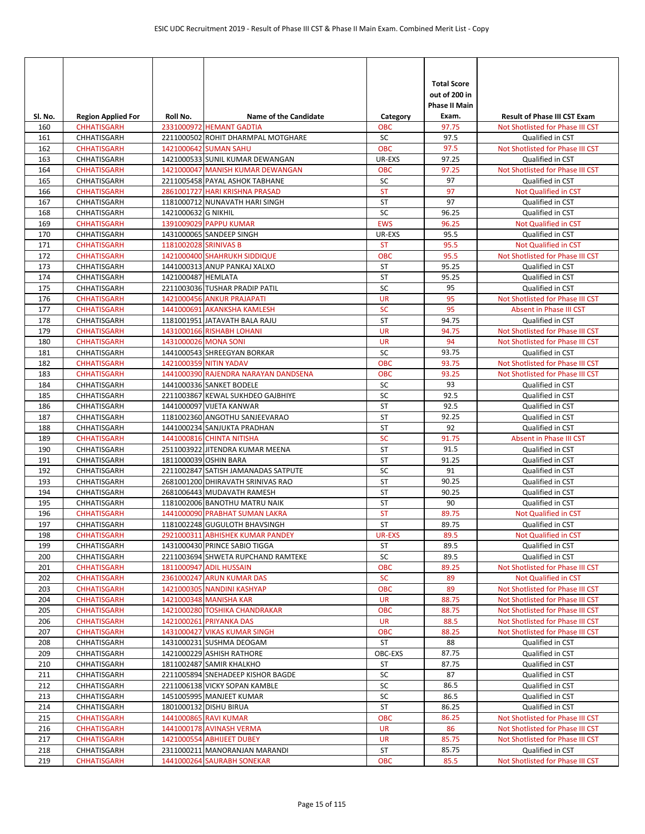| SI. No.    | <b>Region Applied For</b>                | Roll No.              | <b>Name of the Candidate</b>                                    | Category               | <b>Total Score</b><br>out of 200 in<br><b>Phase II Main</b><br>Exam. | <b>Result of Phase III CST Exam</b>             |
|------------|------------------------------------------|-----------------------|-----------------------------------------------------------------|------------------------|----------------------------------------------------------------------|-------------------------------------------------|
| 160        | <b>CHHATISGARH</b>                       |                       | 2331000972 HEMANT GADTIA                                        | ОВС                    | 97.75                                                                | Not Shotlisted for Phase III CST                |
| 161        | CHHATISGARH                              |                       | 2211000502 ROHIT DHARMPAL MOTGHARE                              | <b>SC</b>              | 97.5                                                                 | Qualified in CST                                |
| 162        | <b>CHHATISGARH</b>                       |                       | 1421000642 SUMAN SAHU                                           | <b>OBC</b>             | 97.5                                                                 | Not Shotlisted for Phase III CST                |
| 163        | CHHATISGARH                              |                       | 1421000533 SUNIL KUMAR DEWANGAN                                 | UR-EXS                 | 97.25                                                                | Qualified in CST                                |
| 164        | <b>CHHATISGARH</b>                       |                       | 1421000047 MANISH KUMAR DEWANGAN                                | <b>OBC</b>             | 97.25                                                                | Not Shotlisted for Phase III CST                |
| 165        | CHHATISGARH                              |                       | 2211005458 PAYAL ASHOK TABHANE                                  | SC                     | 97                                                                   | Qualified in CST                                |
| 166        | <b>CHHATISGARH</b>                       |                       | 2861001727 HARI KRISHNA PRASAD                                  | <b>ST</b>              | 97                                                                   | Not Qualified in CST                            |
| 167        | CHHATISGARH                              |                       | 1181000712 NUNAVATH HARI SINGH                                  | ST                     | 97                                                                   | Qualified in CST                                |
| 168        | CHHATISGARH                              | 1421000632 G NIKHIL   |                                                                 | SC                     | 96.25                                                                | Qualified in CST                                |
| 169        | <b>CHHATISGARH</b>                       |                       | 1391009029 PAPPU KUMAR                                          | <b>EWS</b>             | 96.25<br>95.5                                                        | Not Qualified in CST                            |
| 170<br>171 | CHHATISGARH<br><b>CHHATISGARH</b>        | 1181002028 SRINIVAS B | 1431000065 SANDEEP SINGH                                        | UR-EXS<br><b>ST</b>    | 95.5                                                                 | Qualified in CST<br><b>Not Qualified in CST</b> |
| 172        | <b>CHHATISGARH</b>                       |                       | 1421000400 SHAHRUKH SIDDIQUE                                    | <b>OBC</b>             | 95.5                                                                 | Not Shotlisted for Phase III CST                |
| 173        | CHHATISGARH                              |                       | 1441000313 ANUP PANKAJ XALXO                                    | ST                     | 95.25                                                                | Qualified in CST                                |
| 174        | CHHATISGARH                              | 1421000487 HEMLATA    |                                                                 | <b>ST</b>              | 95.25                                                                | Qualified in CST                                |
| 175        | CHHATISGARH                              |                       | 2211003036 TUSHAR PRADIP PATIL                                  | SC                     | 95                                                                   | Qualified in CST                                |
| 176        | <b>CHHATISGARH</b>                       |                       | 1421000456 ANKUR PRAJAPATI                                      | <b>UR</b>              | 95                                                                   | Not Shotlisted for Phase III CST                |
| 177        | <b>CHHATISGARH</b>                       |                       | 1441000691 AKANKSHA KAMLESH                                     | <b>SC</b>              | 95                                                                   | Absent in Phase III CST                         |
| 178        | CHHATISGARH                              |                       | 1181001951 JATAVATH BALA RAJU                                   | <b>ST</b>              | 94.75                                                                | Qualified in CST                                |
| 179        | <b>CHHATISGARH</b>                       |                       | 1431000166 RISHABH LOHANI                                       | <b>UR</b>              | 94.75                                                                | Not Shotlisted for Phase III CST                |
| 180        | <b>CHHATISGARH</b>                       |                       | 1431000026 MONA SONI                                            | <b>UR</b>              | 94                                                                   | Not Shotlisted for Phase III CST                |
| 181        | CHHATISGARH                              |                       | 1441000543 SHREEGYAN BORKAR                                     | SC                     | 93.75                                                                | Qualified in CST                                |
| 182        | <b>CHHATISGARH</b>                       |                       | 1421000359 NITIN YADAV                                          | <b>OBC</b>             | 93.75                                                                | Not Shotlisted for Phase III CST                |
| 183        | <b>CHHATISGARH</b>                       |                       | 1441000390 RAJENDRA NARAYAN DANDSENA                            | <b>OBC</b>             | 93.25                                                                | Not Shotlisted for Phase III CST                |
| 184        | CHHATISGARH                              |                       | 1441000336 SANKET BODELE                                        | SC                     | 93                                                                   | Qualified in CST                                |
| 185        | CHHATISGARH                              |                       | 2211003867 KEWAL SUKHDEO GAJBHIYE                               | SC                     | 92.5                                                                 | Qualified in CST                                |
| 186        | CHHATISGARH                              |                       | 1441000097 VIJETA KANWAR                                        | <b>ST</b>              | 92.5                                                                 | Qualified in CST                                |
| 187        | CHHATISGARH                              |                       | 1181002360 ANGOTHU SANJEEVARAO                                  | ST                     | 92.25                                                                | Qualified in CST                                |
| 188        | CHHATISGARH                              |                       | 1441000234 SANJUKTA PRADHAN                                     | <b>ST</b>              | 92                                                                   | Qualified in CST                                |
| 189        | <b>CHHATISGARH</b>                       |                       | 1441000816 CHINTA NITISHA                                       | SC                     | 91.75                                                                | Absent in Phase III CST                         |
| 190        | CHHATISGARH                              |                       | 2511003922 JITENDRA KUMAR MEENA                                 | ST                     | 91.5                                                                 | Qualified in CST                                |
| 191        | CHHATISGARH                              |                       | 1811000039 OSHIN BARA                                           | ST                     | 91.25                                                                | Qualified in CST                                |
| 192        | CHHATISGARH                              |                       | 2211002847 SATISH JAMANADAS SATPUTE                             | SC                     | 91                                                                   | Qualified in CST                                |
| 193        | CHHATISGARH                              |                       | 2681001200 DHIRAVATH SRINIVAS RAO                               | ST                     | 90.25                                                                | Qualified in CST                                |
| 194        | CHHATISGARH                              |                       | 2681006443 MUDAVATH RAMESH                                      | ST                     | 90.25                                                                | Qualified in CST                                |
| 195        | CHHATISGARH                              |                       | 1181002006 BANOTHU MATRU NAIK                                   | <b>ST</b><br><b>ST</b> | 90                                                                   | Qualified in CST                                |
| 196<br>197 | <b>CHHATISGARH</b><br><b>CHHATISGARH</b> |                       | 1441000090 PRABHAT SUMAN LAKRA<br>1181002248 GUGULOTH BHAVSINGH | <b>ST</b>              | 89.75<br>89.75                                                       | <b>Not Qualified in CST</b><br>Qualified in CST |
| 198        | <b>CHHATISGARH</b>                       |                       | 2921000311 ABHISHEK KUMAR PANDEY                                | UR-EXS                 | 89.5                                                                 | Not Qualified in CST                            |
| 199        | CHHATISGARH                              |                       | 1431000430 PRINCE SABIO TIGGA                                   | ST                     | 89.5                                                                 | Qualified in CST                                |
| 200        | CHHATISGARH                              |                       | 2211003694 SHWETA RUPCHAND RAMTEKE                              | SC                     | 89.5                                                                 | Qualified in CST                                |
| 201        | <b>CHHATISGARH</b>                       |                       | 1811000947 ADIL HUSSAIN                                         | <b>OBC</b>             | 89.25                                                                | Not Shotlisted for Phase III CST                |
| 202        | <b>CHHATISGARH</b>                       |                       | 2361000247 ARUN KUMAR DAS                                       | <b>SC</b>              | 89                                                                   | Not Qualified in CST                            |
| 203        | <b>CHHATISGARH</b>                       |                       | 1421000305 NANDINI KASHYAP                                      | OBC                    | 89                                                                   | Not Shotlisted for Phase III CST                |
| 204        | <b>CHHATISGARH</b>                       |                       | 1421000348 MANISHA KAR                                          | UR                     | 88.75                                                                | Not Shotlisted for Phase III CST                |
| 205        | <b>CHHATISGARH</b>                       |                       | 1421000280 TOSHIKA CHANDRAKAR                                   | OBC                    | 88.75                                                                | Not Shotlisted for Phase III CST                |
| 206        | <b>CHHATISGARH</b>                       |                       | 1421000261 PRIYANKA DAS                                         | <b>UR</b>              | 88.5                                                                 | Not Shotlisted for Phase III CST                |
| 207        | <b>CHHATISGARH</b>                       |                       | 1431000427 VIKAS KUMAR SINGH                                    | OBC                    | 88.25                                                                | Not Shotlisted for Phase III CST                |
| 208        | CHHATISGARH                              |                       | 1431000231 SUSHMA DEOGAM                                        | ST                     | 88                                                                   | Qualified in CST                                |
| 209        | CHHATISGARH                              |                       | 1421000229 ASHISH RATHORE                                       | OBC-EXS                | 87.75                                                                | Qualified in CST                                |
| 210        | CHHATISGARH                              |                       | 1811002487 SAMIR KHALKHO                                        | ST                     | 87.75                                                                | Qualified in CST                                |
| 211        | CHHATISGARH                              |                       | 2211005894 SNEHADEEP KISHOR BAGDE                               | SC                     | 87                                                                   | Qualified in CST                                |
| 212        | CHHATISGARH                              |                       | 2211006138 VICKY SOPAN KAMBLE                                   | SC                     | 86.5                                                                 | Qualified in CST                                |
| 213        | CHHATISGARH                              |                       | 1451005995 MANJEET KUMAR                                        | SC                     | 86.5                                                                 | Qualified in CST                                |
| 214        | CHHATISGARH                              |                       | 1801000132 DISHU BIRUA                                          | ST                     | 86.25                                                                | Qualified in CST                                |
| 215        | <b>CHHATISGARH</b>                       |                       | 1441000865 RAVI KUMAR                                           | <b>OBC</b>             | 86.25                                                                | Not Shotlisted for Phase III CST                |
| 216        | <b>CHHATISGARH</b>                       |                       | 1441000178 AVINASH VERMA                                        | <b>UR</b>              | 86                                                                   | Not Shotlisted for Phase III CST                |
| 217        | <b>CHHATISGARH</b>                       |                       | 1421000554 ABHIJEET DUBEY                                       | <b>UR</b>              | 85.75                                                                | Not Shotlisted for Phase III CST                |
| 218        | CHHATISGARH                              |                       | 2311000211 MANORANJAN MARANDI                                   | ST                     | 85.75                                                                | Qualified in CST                                |
| 219        | <b>CHHATISGARH</b>                       |                       | 1441000264 SAURABH SONEKAR                                      | <b>OBC</b>             | 85.5                                                                 | Not Shotlisted for Phase III CST                |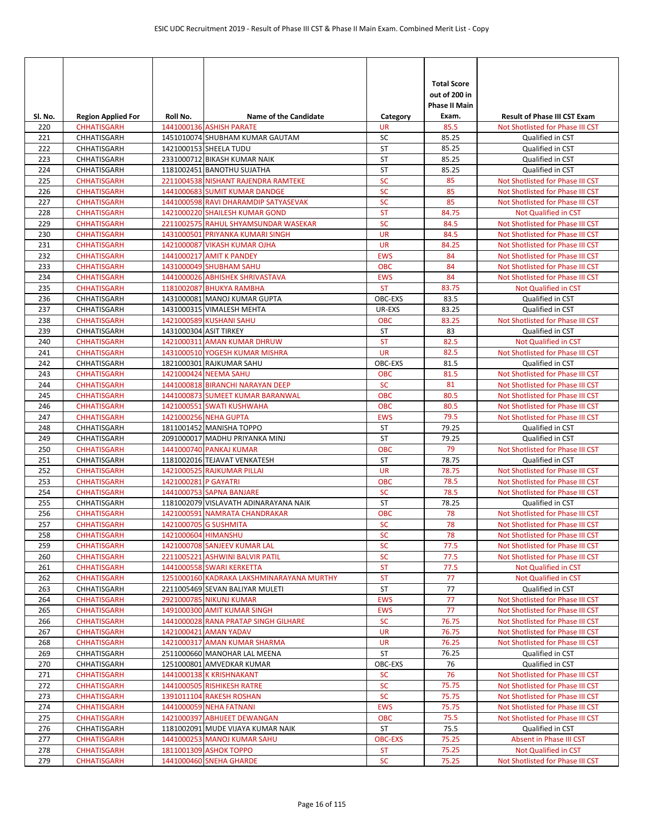|            |                                          |                        |                                                                          |                             | <b>Total Score</b><br>out of 200 in<br><b>Phase II Main</b> |                                                                      |
|------------|------------------------------------------|------------------------|--------------------------------------------------------------------------|-----------------------------|-------------------------------------------------------------|----------------------------------------------------------------------|
| SI. No.    | <b>Region Applied For</b>                | Roll No.               | <b>Name of the Candidate</b>                                             | Category<br><b>UR</b>       | Exam.<br>85.5                                               | <b>Result of Phase III CST Exam</b>                                  |
| 220<br>221 | <b>CHHATISGARH</b><br>CHHATISGARH        |                        | 1441000136 ASHISH PARATE<br>1451010074 SHUBHAM KUMAR GAUTAM              | SC                          | 85.25                                                       | Not Shotlisted for Phase III CST<br>Qualified in CST                 |
| 222        | CHHATISGARH                              |                        | 1421000153 SHEELA TUDU                                                   | ST                          | 85.25                                                       | Qualified in CST                                                     |
| 223        | CHHATISGARH                              |                        | 2331000712 BIKASH KUMAR NAIK                                             | ST                          | 85.25                                                       | Qualified in CST                                                     |
| 224        | CHHATISGARH                              |                        | 1181002451 BANOTHU SUJATHA                                               | <b>ST</b>                   | 85.25                                                       | Qualified in CST                                                     |
| 225        | <b>CHHATISGARH</b>                       |                        | 2211004538 NISHANT RAJENDRA RAMTEKE                                      | SC                          | 85                                                          | Not Shotlisted for Phase III CST                                     |
| 226        | <b>CHHATISGARH</b>                       |                        | 1441000683 SUMIT KUMAR DANDGE                                            | <b>SC</b>                   | 85                                                          | Not Shotlisted for Phase III CST                                     |
| 227        | <b>CHHATISGARH</b>                       |                        | 1441000598 RAVI DHARAMDIP SATYASEVAK                                     | <b>SC</b>                   | 85                                                          | Not Shotlisted for Phase III CST                                     |
| 228        | <b>CHHATISGARH</b>                       |                        | 1421000220 SHAILESH KUMAR GOND                                           | <b>ST</b>                   | 84.75                                                       | Not Qualified in CST                                                 |
| 229<br>230 | <b>CHHATISGARH</b><br><b>CHHATISGARH</b> |                        | 2211002575 RAHUL SHYAMSUNDAR WASEKAR<br>1431000501 PRIYANKA KUMARI SINGH | <b>SC</b><br><b>UR</b>      | 84.5<br>84.5                                                | Not Shotlisted for Phase III CST<br>Not Shotlisted for Phase III CST |
| 231        | <b>CHHATISGARH</b>                       |                        | 1421000087 VIKASH KUMAR OJHA                                             | <b>UR</b>                   | 84.25                                                       | Not Shotlisted for Phase III CST                                     |
| 232        | <b>CHHATISGARH</b>                       |                        | 1441000217 AMIT K PANDEY                                                 | <b>EWS</b>                  | 84                                                          | Not Shotlisted for Phase III CST                                     |
| 233        | <b>CHHATISGARH</b>                       |                        | 1431000049 SHUBHAM SAHU                                                  | <b>OBC</b>                  | 84                                                          | Not Shotlisted for Phase III CST                                     |
| 234        | <b>CHHATISGARH</b>                       |                        | 1441000026 ABHISHEK SHRIVASTAVA                                          | <b>EWS</b>                  | 84                                                          | Not Shotlisted for Phase III CST                                     |
| 235        | <b>CHHATISGARH</b>                       |                        | 1181002087 BHUKYA RAMBHA                                                 | <b>ST</b>                   | 83.75                                                       | Not Qualified in CST                                                 |
| 236        | CHHATISGARH                              |                        | 1431000081 MANOJ KUMAR GUPTA                                             | OBC-EXS                     | 83.5                                                        | Qualified in CST                                                     |
| 237        | CHHATISGARH                              |                        | 1431000315 VIMALESH MEHTA                                                | UR-EXS                      | 83.25                                                       | Qualified in CST                                                     |
| 238        | <b>CHHATISGARH</b>                       |                        | 1421000589 KUSHANI SAHU                                                  | <b>OBC</b>                  | 83.25                                                       | Not Shotlisted for Phase III CST                                     |
| 239        | CHHATISGARH                              | 1431000304 ASIT TIRKEY |                                                                          | ST                          | 83                                                          | Qualified in CST                                                     |
| 240        | <b>CHHATISGARH</b>                       |                        | 1421000311 AMAN KUMAR DHRUW                                              | <b>ST</b>                   | 82.5                                                        | <b>Not Qualified in CST</b>                                          |
| 241        | <b>CHHATISGARH</b>                       |                        | 1431000510 YOGESH KUMAR MISHRA                                           | <b>UR</b>                   | 82.5                                                        | Not Shotlisted for Phase III CST                                     |
| 242        | CHHATISGARH                              |                        | 1821000301 RAJKUMAR SAHU                                                 | OBC-EXS                     | 81.5                                                        | Qualified in CST                                                     |
| 243        | <b>CHHATISGARH</b>                       |                        | 1421000424 NEEMA SAHU                                                    | <b>OBC</b>                  | 81.5                                                        | Not Shotlisted for Phase III CST                                     |
| 244        | <b>CHHATISGARH</b>                       |                        | 1441000818 BIRANCHI NARAYAN DEEP                                         | <b>SC</b>                   | 81                                                          | Not Shotlisted for Phase III CST                                     |
| 245        | <b>CHHATISGARH</b>                       |                        | 1441000873 SUMEET KUMAR BARANWAL                                         | <b>OBC</b>                  | 80.5                                                        | Not Shotlisted for Phase III CST                                     |
| 246<br>247 | <b>CHHATISGARH</b><br><b>CHHATISGARH</b> |                        | 1421000551 SWATI KUSHWAHA<br>1421000256 NEHA GUPTA                       | <b>OBC</b><br><b>EWS</b>    | 80.5<br>79.5                                                | Not Shotlisted for Phase III CST<br>Not Shotlisted for Phase III CST |
| 248        | CHHATISGARH                              |                        | 1811001452 MANISHA TOPPO                                                 | <b>ST</b>                   | 79.25                                                       | Qualified in CST                                                     |
| 249        | CHHATISGARH                              |                        | 2091000017 MADHU PRIYANKA MINJ                                           | <b>ST</b>                   | 79.25                                                       | Qualified in CST                                                     |
| 250        | <b>CHHATISGARH</b>                       |                        | 1441000740 PANKAJ KUMAR                                                  | <b>OBC</b>                  | 79                                                          | Not Shotlisted for Phase III CST                                     |
| 251        | CHHATISGARH                              |                        | 1181002016 TEJAVAT VENKATESH                                             | <b>ST</b>                   | 78.75                                                       | Qualified in CST                                                     |
| 252        | <b>CHHATISGARH</b>                       |                        | 1421000525 RAJKUMAR PILLAI                                               | <b>UR</b>                   | 78.75                                                       | Not Shotlisted for Phase III CST                                     |
| 253        | <b>CHHATISGARH</b>                       | 1421000281 P GAYATRI   |                                                                          | <b>OBC</b>                  | 78.5                                                        | Not Shotlisted for Phase III CST                                     |
| 254        | <b>CHHATISGARH</b>                       |                        | 1441000753 SAPNA BANJARE                                                 | <b>SC</b>                   | 78.5                                                        | Not Shotlisted for Phase III CST                                     |
| 255        | CHHATISGARH                              |                        | 1181002079 VISLAVATH ADINARAYANA NAIK                                    | <b>ST</b>                   | 78.25                                                       | Qualified in CST                                                     |
| 256        | <b>CHHATISGARH</b>                       |                        | 1421000591 NAMRATA CHANDRAKAR                                            | <b>OBC</b>                  | 78                                                          | Not Shotlisted for Phase III CST                                     |
| 257        | <b>CHHATISGARH</b>                       |                        | 1421000705 G SUSHMITA                                                    | <b>SC</b>                   | 78                                                          | Not Shotlisted for Phase III CST                                     |
| 258        | <b>CHHATISGARH</b>                       | 1421000604 HIMANSHU    |                                                                          | <b>SC</b>                   | 78                                                          | Not Shotlisted for Phase III CST                                     |
| 259        | <b>CHHATISGARH</b>                       |                        | 1421000708 SANJEEV KUMAR LAL                                             | ${\sf SC}$                  | 77.5                                                        | Not Shotlisted for Phase III CST                                     |
| 260        | <b>CHHATISGARH</b>                       |                        | 2211005221 ASHWINI BALVIR PATIL                                          | <b>SC</b>                   | 77.5                                                        | Not Shotlisted for Phase III CST                                     |
| 261<br>262 | <b>CHHATISGARH</b>                       |                        | 1441000558 SWARI KERKETTA<br>1251000160 KADRAKA LAKSHMINARAYANA MURTHY   | <b>ST</b><br><b>ST</b>      | 77.5<br>77                                                  | Not Qualified in CST<br>Not Qualified in CST                         |
| 263        | <b>CHHATISGARH</b><br>CHHATISGARH        |                        | 2211005469 SEVAN BALIYAR MULETI                                          | ST                          | 77                                                          | Qualified in CST                                                     |
| 264        | <b>CHHATISGARH</b>                       |                        | 2921000785 NIKUNJ KUMAR                                                  | <b>EWS</b>                  | 77                                                          | Not Shotlisted for Phase III CST                                     |
| 265        | <b>CHHATISGARH</b>                       |                        | 1491000300 AMIT KUMAR SINGH                                              | <b>EWS</b>                  | 77                                                          | Not Shotlisted for Phase III CST                                     |
| 266        | <b>CHHATISGARH</b>                       |                        | 1441000028 RANA PRATAP SINGH GILHARE                                     | <b>SC</b>                   | 76.75                                                       | Not Shotlisted for Phase III CST                                     |
| 267        | <b>CHHATISGARH</b>                       |                        | 1421000421 AMAN YADAV                                                    | <b>UR</b>                   | 76.75                                                       | Not Shotlisted for Phase III CST                                     |
| 268        | <b>CHHATISGARH</b>                       |                        | 1421000317 AMAN KUMAR SHARMA                                             | <b>UR</b>                   | 76.25                                                       | Not Shotlisted for Phase III CST                                     |
| 269        | CHHATISGARH                              |                        | 2511000660 MANOHAR LAL MEENA                                             | <b>ST</b>                   | 76.25                                                       | Qualified in CST                                                     |
| 270        | CHHATISGARH                              |                        | 1251000801 AMVEDKAR KUMAR                                                | OBC-EXS                     | 76                                                          | Qualified in CST                                                     |
| 271        | <b>CHHATISGARH</b>                       |                        | 1441000138 K KRISHNAKANT                                                 | <b>SC</b>                   | 76                                                          | Not Shotlisted for Phase III CST                                     |
| 272        | <b>CHHATISGARH</b>                       |                        | 1441000505 RISHIKESH RATRE                                               | <b>SC</b>                   | 75.75                                                       | Not Shotlisted for Phase III CST                                     |
| 273        | <b>CHHATISGARH</b>                       |                        | 1391011104 RAKESH ROSHAN                                                 | <b>SC</b>                   | 75.75                                                       | Not Shotlisted for Phase III CST                                     |
| 274        | <b>CHHATISGARH</b>                       |                        | 1441000059 NEHA FATNANI                                                  | <b>EWS</b>                  | 75.75                                                       | Not Shotlisted for Phase III CST                                     |
| 275        | <b>CHHATISGARH</b>                       |                        | 1421000397 ABHIJEET DEWANGAN                                             | <b>OBC</b>                  | 75.5                                                        | Not Shotlisted for Phase III CST                                     |
| 276        | CHHATISGARH                              |                        | 1181002091 MUDE VIJAYA KUMAR NAIK                                        | ST                          | 75.5                                                        | Qualified in CST                                                     |
| 277<br>278 | <b>CHHATISGARH</b><br><b>CHHATISGARH</b> |                        | 1441000253 MANOJ KUMAR SAHU<br>1811001309 ASHOK TOPPO                    | <b>OBC-EXS</b><br><b>ST</b> | 75.25<br>75.25                                              | Absent in Phase III CST<br>Not Qualified in CST                      |
| 279        | <b>CHHATISGARH</b>                       |                        | 1441000460 SNEHA GHARDE                                                  | <b>SC</b>                   | 75.25                                                       | Not Shotlisted for Phase III CST                                     |
|            |                                          |                        |                                                                          |                             |                                                             |                                                                      |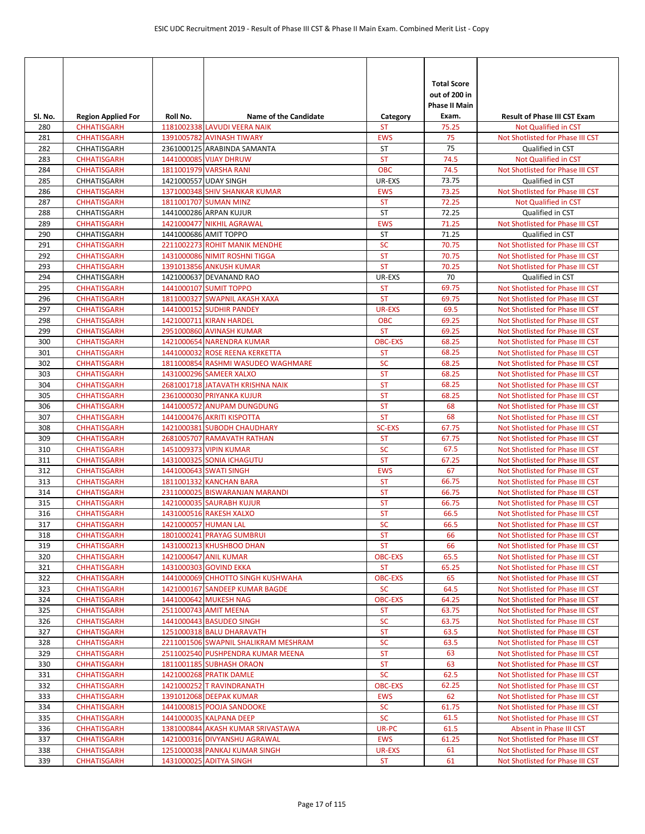| SI. No.    | <b>Region Applied For</b>                | Roll No.             | <b>Name of the Candidate</b>                                 | Category                | <b>Total Score</b><br>out of 200 in<br><b>Phase II Main</b><br>Exam. | <b>Result of Phase III CST Exam</b>                                  |
|------------|------------------------------------------|----------------------|--------------------------------------------------------------|-------------------------|----------------------------------------------------------------------|----------------------------------------------------------------------|
| 280        | <b>CHHATISGARH</b>                       |                      | 1181002338 LAVUDI VEERA NAIK                                 | <b>ST</b>               | 75.25                                                                | <b>Not Qualified in CST</b>                                          |
| 281        | <b>CHHATISGARH</b>                       |                      | 1391005782 AVINASH TIWARY                                    | <b>EWS</b>              | 75                                                                   | Not Shotlisted for Phase III CST                                     |
| 282        | CHHATISGARH                              |                      | 2361000125 ARABINDA SAMANTA                                  | <b>ST</b>               | 75                                                                   | Qualified in CST                                                     |
| 283        | <b>CHHATISGARH</b>                       |                      | 1441000085 VIJAY DHRUW                                       | <b>ST</b>               | 74.5                                                                 | Not Qualified in CST                                                 |
| 284        | <b>CHHATISGARH</b>                       |                      | 1811001979 VARSHA RANI                                       | <b>OBC</b>              | 74.5                                                                 | Not Shotlisted for Phase III CST                                     |
| 285        | CHHATISGARH                              |                      | 1421000557 UDAY SINGH                                        | UR-EXS                  | 73.75                                                                | Qualified in CST                                                     |
| 286        | <b>CHHATISGARH</b>                       |                      | 1371000348 SHIV SHANKAR KUMAR                                | <b>EWS</b>              | 73.25                                                                | Not Shotlisted for Phase III CST                                     |
| 287        | <b>CHHATISGARH</b>                       |                      | 1811001707 SUMAN MINZ                                        | <b>ST</b>               | 72.25                                                                | Not Qualified in CST                                                 |
| 288<br>289 | CHHATISGARH                              |                      | 1441000286 ARPAN KUJUR                                       | <b>ST</b><br><b>EWS</b> | 72.25<br>71.25                                                       | Qualified in CST<br>Not Shotlisted for Phase III CST                 |
| 290        | <b>CHHATISGARH</b><br>CHHATISGARH        |                      | 1421000477 NIKHIL AGRAWAL<br>1441000686 AMIT TOPPO           | ST                      | 71.25                                                                | Qualified in CST                                                     |
| 291        | <b>CHHATISGARH</b>                       |                      | 2211002273 ROHIT MANIK MENDHE                                | <b>SC</b>               | 70.75                                                                | Not Shotlisted for Phase III CST                                     |
| 292        | <b>CHHATISGARH</b>                       |                      | 1431000086 NIMIT ROSHNI TIGGA                                | <b>ST</b>               | 70.75                                                                | Not Shotlisted for Phase III CST                                     |
| 293        | <b>CHHATISGARH</b>                       |                      | 1391013856 ANKUSH KUMAR                                      | <b>ST</b>               | 70.25                                                                | Not Shotlisted for Phase III CST                                     |
| 294        | CHHATISGARH                              |                      | 1421000637 DEVANAND RAO                                      | UR-EXS                  | 70                                                                   | Qualified in CST                                                     |
| 295        | <b>CHHATISGARH</b>                       |                      | 1441000107 SUMIT TOPPO                                       | <b>ST</b>               | 69.75                                                                | Not Shotlisted for Phase III CST                                     |
| 296        | <b>CHHATISGARH</b>                       |                      | 1811000327 SWAPNIL AKASH XAXA                                | <b>ST</b>               | 69.75                                                                | Not Shotlisted for Phase III CST                                     |
| 297        | <b>CHHATISGARH</b>                       |                      | 1441000152 SUDHIR PANDEY                                     | UR-EXS                  | 69.5                                                                 | Not Shotlisted for Phase III CST                                     |
| 298        | <b>CHHATISGARH</b>                       |                      | 1421000711 KIRAN HARDEL                                      | <b>OBC</b>              | 69.25                                                                | Not Shotlisted for Phase III CST                                     |
| 299        | <b>CHHATISGARH</b>                       |                      | 2951000860 AVINASH KUMAR                                     | <b>ST</b>               | 69.25                                                                | Not Shotlisted for Phase III CST                                     |
| 300        | <b>CHHATISGARH</b>                       |                      | 1421000654 NARENDRA KUMAR                                    | <b>OBC-EXS</b>          | 68.25                                                                | Not Shotlisted for Phase III CST                                     |
| 301        | <b>CHHATISGARH</b>                       |                      | 1441000032 ROSE REENA KERKETTA                               | <b>ST</b>               | 68.25                                                                | Not Shotlisted for Phase III CST                                     |
| 302        | <b>CHHATISGARH</b>                       |                      | 1811000854 RASHMI WASUDEO WAGHMARE                           | <b>SC</b>               | 68.25                                                                | Not Shotlisted for Phase III CST                                     |
| 303        | <b>CHHATISGARH</b>                       |                      | 1431000296 SAMEER XALXO                                      | <b>ST</b>               | 68.25                                                                | Not Shotlisted for Phase III CST                                     |
| 304        | <b>CHHATISGARH</b>                       |                      | 2681001718 JATAVATH KRISHNA NAIK                             | <b>ST</b>               | 68.25                                                                | Not Shotlisted for Phase III CST                                     |
| 305        | <b>CHHATISGARH</b>                       |                      | 2361000030 PRIYANKA KUJUR<br>1441000572 ANUPAM DUNGDUNG      | <b>ST</b><br><b>ST</b>  | 68.25                                                                | Not Shotlisted for Phase III CST                                     |
| 306<br>307 | <b>CHHATISGARH</b><br><b>CHHATISGARH</b> |                      | 1441000476 AKRITI KISPOTTA                                   | <b>ST</b>               | 68<br>68                                                             | Not Shotlisted for Phase III CST<br>Not Shotlisted for Phase III CST |
| 308        | <b>CHHATISGARH</b>                       |                      | 1421000381 SUBODH CHAUDHARY                                  | <b>SC-EXS</b>           | 67.75                                                                | Not Shotlisted for Phase III CST                                     |
| 309        | <b>CHHATISGARH</b>                       |                      | 2681005707 RAMAVATH RATHAN                                   | <b>ST</b>               | 67.75                                                                | Not Shotlisted for Phase III CST                                     |
| 310        | <b>CHHATISGARH</b>                       |                      | 1451009373 VIPIN KUMAR                                       | <b>SC</b>               | 67.5                                                                 | Not Shotlisted for Phase III CST                                     |
| 311        | <b>CHHATISGARH</b>                       |                      | 1431000325 SONIA ICHAGUTU                                    | <b>ST</b>               | 67.25                                                                | Not Shotlisted for Phase III CST                                     |
| 312        | <b>CHHATISGARH</b>                       |                      | 1441000643 SWATI SINGH                                       | <b>EWS</b>              | 67                                                                   | Not Shotlisted for Phase III CST                                     |
| 313        | <b>CHHATISGARH</b>                       |                      | 1811001332 KANCHAN BARA                                      | <b>ST</b>               | 66.75                                                                | Not Shotlisted for Phase III CST                                     |
| 314        | <b>CHHATISGARH</b>                       |                      | 2311000025 BISWARANJAN MARANDI                               | <b>ST</b>               | 66.75                                                                | Not Shotlisted for Phase III CST                                     |
| 315        | <b>CHHATISGARH</b>                       |                      | 1421000035 SAURABH KUJUR                                     | <b>ST</b>               | 66.75                                                                | Not Shotlisted for Phase III CST                                     |
| 316        | <b>CHHATISGARH</b>                       |                      | 1431000516 RAKESH XALXO                                      | <b>ST</b>               | 66.5                                                                 | Not Shotlisted for Phase III CST                                     |
| 317        | <b>CHHATISGARH</b>                       | 1421000057 HUMAN LAL |                                                              | <b>SC</b>               | 66.5                                                                 | Not Shotlisted for Phase III CST                                     |
| 318        | <b>CHHATISGARH</b>                       |                      | 1801000241 PRAYAG SUMBRUI                                    | ST                      | 66                                                                   | Not Shotlisted for Phase III CST                                     |
| 319        | <b>CHHATISGARH</b>                       |                      | 1431000213 KHUSHBOO DHAN                                     | <b>ST</b>               | 66                                                                   | Not Shotlisted for Phase III CST                                     |
| 320        | <b>CHHATISGARH</b>                       |                      | 1421000647 ANIL KUMAR                                        | <b>OBC-EXS</b>          | 65.5                                                                 | Not Shotlisted for Phase III CST                                     |
| 321<br>322 | <b>CHHATISGARH</b><br><b>CHHATISGARH</b> |                      | 1431000303 GOVIND EKKA<br>1441000069 CHHOTTO SINGH KUSHWAHA  | ST<br><b>OBC-EXS</b>    | 65.25<br>65                                                          | Not Shotlisted for Phase III CST<br>Not Shotlisted for Phase III CST |
| 323        | <b>CHHATISGARH</b>                       |                      | 1421000167 SANDEEP KUMAR BAGDE                               | <b>SC</b>               | 64.5                                                                 | Not Shotlisted for Phase III CST                                     |
| 324        | <b>CHHATISGARH</b>                       |                      | 1441000642 MUKESH NAG                                        | <b>OBC-EXS</b>          | 64.25                                                                | Not Shotlisted for Phase III CST                                     |
| 325        | <b>CHHATISGARH</b>                       |                      | 2511000743 AMIT MEENA                                        | <b>ST</b>               | 63.75                                                                | Not Shotlisted for Phase III CST                                     |
| 326        | <b>CHHATISGARH</b>                       |                      | 1441000443 BASUDEO SINGH                                     | <b>SC</b>               | 63.75                                                                | Not Shotlisted for Phase III CST                                     |
| 327        | <b>CHHATISGARH</b>                       |                      | 1251000318 BALU DHARAVATH                                    | ST                      | 63.5                                                                 | Not Shotlisted for Phase III CST                                     |
| 328        | <b>CHHATISGARH</b>                       |                      | 2211001506 SWAPNIL SHALIKRAM MESHRAM                         | SC                      | 63.5                                                                 | Not Shotlisted for Phase III CST                                     |
| 329        | <b>CHHATISGARH</b>                       |                      | 2511002540 PUSHPENDRA KUMAR MEENA                            | <b>ST</b>               | 63                                                                   | Not Shotlisted for Phase III CST                                     |
| 330        | <b>CHHATISGARH</b>                       |                      | 1811001185 SUBHASH ORAON                                     | ST                      | 63                                                                   | Not Shotlisted for Phase III CST                                     |
| 331        | <b>CHHATISGARH</b>                       |                      | 1421000268 PRATIK DAMLE                                      | <b>SC</b>               | 62.5                                                                 | Not Shotlisted for Phase III CST                                     |
| 332        | <b>CHHATISGARH</b>                       |                      | 1421000252 T RAVINDRANATH                                    | <b>OBC-EXS</b>          | 62.25                                                                | Not Shotlisted for Phase III CST                                     |
| 333        | <b>CHHATISGARH</b>                       |                      | 1391012068 DEEPAK KUMAR                                      | <b>EWS</b>              | 62                                                                   | Not Shotlisted for Phase III CST                                     |
| 334        | <b>CHHATISGARH</b>                       |                      | 1441000815 POOJA SANDOOKE                                    | <b>SC</b><br><b>SC</b>  | 61.75                                                                | Not Shotlisted for Phase III CST                                     |
| 335<br>336 | <b>CHHATISGARH</b><br><b>CHHATISGARH</b> |                      | 1441000035 KALPANA DEEP<br>1381000844 AKASH KUMAR SRIVASTAWA | UR-PC                   | 61.5<br>61.5                                                         | Not Shotlisted for Phase III CST<br>Absent in Phase III CST          |
| 337        | <b>CHHATISGARH</b>                       |                      | 1421000316 DIVYANSHU AGRAWAL                                 | <b>EWS</b>              | 61.25                                                                | Not Shotlisted for Phase III CST                                     |
| 338        | <b>CHHATISGARH</b>                       |                      | 1251000038 PANKAJ KUMAR SINGH                                | <b>UR-EXS</b>           | 61                                                                   | Not Shotlisted for Phase III CST                                     |
| 339        | <b>CHHATISGARH</b>                       |                      | 1431000025 ADITYA SINGH                                      | <b>ST</b>               | 61                                                                   | Not Shotlisted for Phase III CST                                     |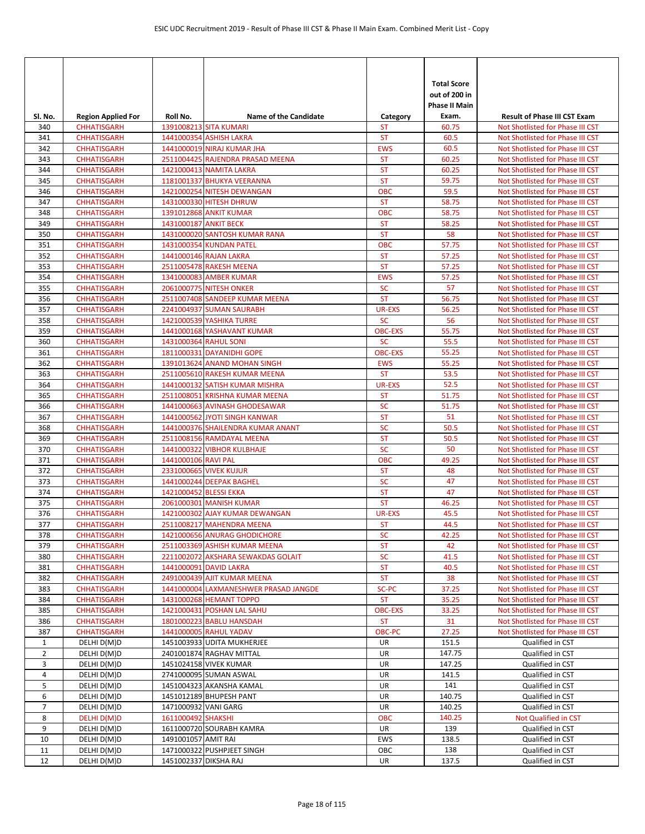|                |                                                 |                        |                                                           |                             | <b>Total Score</b><br>out of 200 in<br>Phase II Main |                                                                         |
|----------------|-------------------------------------------------|------------------------|-----------------------------------------------------------|-----------------------------|------------------------------------------------------|-------------------------------------------------------------------------|
| SI. No.<br>340 | <b>Region Applied For</b><br><b>CHHATISGARH</b> | Roll No.               | <b>Name of the Candidate</b><br>1391008213 SITA KUMARI    | Category<br>ST              | Exam.<br>60.75                                       | <b>Result of Phase III CST Exam</b><br>Not Shotlisted for Phase III CST |
| 341            | <b>CHHATISGARH</b>                              |                        | 1441000354 ASHISH LAKRA                                   | <b>ST</b>                   | 60.5                                                 | Not Shotlisted for Phase III CST                                        |
| 342            | <b>CHHATISGARH</b>                              |                        | 1441000019 NIRAJ KUMAR JHA                                | <b>EWS</b>                  | 60.5                                                 | Not Shotlisted for Phase III CST                                        |
| 343            | <b>CHHATISGARH</b>                              |                        | 2511004425 RAJENDRA PRASAD MEENA                          | <b>ST</b>                   | 60.25                                                | Not Shotlisted for Phase III CST                                        |
| 344            | <b>CHHATISGARH</b>                              |                        | 1421000413 NAMITA LAKRA                                   | <b>ST</b>                   | 60.25                                                | Not Shotlisted for Phase III CST                                        |
| 345            | <b>CHHATISGARH</b>                              |                        | 1181001337 BHUKYA VEERANNA                                | <b>ST</b>                   | 59.75                                                | Not Shotlisted for Phase III CST                                        |
| 346            | <b>CHHATISGARH</b>                              |                        | 1421000254 NITESH DEWANGAN                                | <b>OBC</b>                  | 59.5                                                 | Not Shotlisted for Phase III CST                                        |
| 347            | <b>CHHATISGARH</b>                              |                        | 1431000330 HITESH DHRUW                                   | <b>ST</b>                   | 58.75                                                | Not Shotlisted for Phase III CST                                        |
| 348            | <b>CHHATISGARH</b>                              |                        | 1391012868 ANKIT KUMAR                                    | <b>OBC</b>                  | 58.75                                                | Not Shotlisted for Phase III CST                                        |
| 349            | <b>CHHATISGARH</b>                              | 1431000187 ANKIT BECK  |                                                           | <b>ST</b>                   | 58.25                                                | Not Shotlisted for Phase III CST                                        |
| 350            | <b>CHHATISGARH</b>                              |                        | 1431000020 SANTOSH KUMAR RANA                             | <b>ST</b>                   | 58                                                   | Not Shotlisted for Phase III CST                                        |
| 351            | <b>CHHATISGARH</b>                              |                        | 1431000354 KUNDAN PATEL                                   | <b>OBC</b>                  | 57.75                                                | Not Shotlisted for Phase III CST                                        |
| 352            | <b>CHHATISGARH</b>                              |                        | 1441000146 RAJAN LAKRA                                    | <b>ST</b>                   | 57.25                                                | Not Shotlisted for Phase III CST                                        |
| 353            | <b>CHHATISGARH</b>                              |                        | 2511005478 RAKESH MEENA                                   | <b>ST</b>                   | 57.25                                                | Not Shotlisted for Phase III CST                                        |
| 354            | <b>CHHATISGARH</b>                              |                        | 1341000083 AMBER KUMAR                                    | <b>EWS</b>                  | 57.25                                                | Not Shotlisted for Phase III CST                                        |
| 355            | <b>CHHATISGARH</b>                              |                        | <b>2061000775 NITESH ONKER</b>                            | <b>SC</b>                   | 57                                                   | Not Shotlisted for Phase III CST                                        |
| 356            | <b>CHHATISGARH</b>                              |                        | 2511007408 SANDEEP KUMAR MEENA                            | <b>ST</b>                   | 56.75                                                | Not Shotlisted for Phase III CST                                        |
| 357            | <b>CHHATISGARH</b>                              |                        | 2241004937 SUMAN SAURABH                                  | <b>UR-EXS</b>               | 56.25                                                | Not Shotlisted for Phase III CST                                        |
| 358            | <b>CHHATISGARH</b>                              |                        | 1421000539 YASHIKA TURRE                                  | <b>SC</b>                   | 56                                                   | Not Shotlisted for Phase III CST                                        |
| 359            | <b>CHHATISGARH</b>                              |                        | 1441000168 YASHAVANT KUMAR                                | <b>OBC-EXS</b>              | 55.75                                                | Not Shotlisted for Phase III CST                                        |
| 360            | <b>CHHATISGARH</b>                              | 1431000364 RAHUL SONI  |                                                           | <b>SC</b><br><b>OBC-EXS</b> | 55.5                                                 | Not Shotlisted for Phase III CST                                        |
| 361<br>362     | <b>CHHATISGARH</b><br><b>CHHATISGARH</b>        |                        | 1811000331 DAYANIDHI GOPE<br>1391013624 ANAND MOHAN SINGH | <b>EWS</b>                  | 55.25<br>55.25                                       | Not Shotlisted for Phase III CST<br>Not Shotlisted for Phase III CST    |
| 363            | <b>CHHATISGARH</b>                              |                        | 2511005610 RAKESH KUMAR MEENA                             | <b>ST</b>                   | 53.5                                                 | Not Shotlisted for Phase III CST                                        |
| 364            | <b>CHHATISGARH</b>                              |                        | 1441000132 SATISH KUMAR MISHRA                            | UR-EXS                      | 52.5                                                 | Not Shotlisted for Phase III CST                                        |
| 365            | <b>CHHATISGARH</b>                              |                        | 2511008051 KRISHNA KUMAR MEENA                            | <b>ST</b>                   | 51.75                                                | Not Shotlisted for Phase III CST                                        |
| 366            | <b>CHHATISGARH</b>                              |                        | 1441000663 AVINASH GHODESAWAR                             | <b>SC</b>                   | 51.75                                                | Not Shotlisted for Phase III CST                                        |
| 367            | <b>CHHATISGARH</b>                              |                        | 1441000562 JYOTI SINGH KANWAR                             | <b>ST</b>                   | 51                                                   | Not Shotlisted for Phase III CST                                        |
| 368            | <b>CHHATISGARH</b>                              |                        | 1441000376 SHAILENDRA KUMAR ANANT                         | <b>SC</b>                   | 50.5                                                 | Not Shotlisted for Phase III CST                                        |
| 369            | <b>CHHATISGARH</b>                              |                        | 2511008156 RAMDAYAL MEENA                                 | <b>ST</b>                   | 50.5                                                 | Not Shotlisted for Phase III CST                                        |
| 370            | <b>CHHATISGARH</b>                              |                        | 1441000322 VIBHOR KULBHAJE                                | <b>SC</b>                   | 50                                                   | Not Shotlisted for Phase III CST                                        |
| 371            | <b>CHHATISGARH</b>                              | 1441000106 RAVI PAL    |                                                           | <b>OBC</b>                  | 49.25                                                | Not Shotlisted for Phase III CST                                        |
| 372            | <b>CHHATISGARH</b>                              |                        | 2331000665 VIVEK KUJUR                                    | <b>ST</b>                   | 48                                                   | Not Shotlisted for Phase III CST                                        |
| 373            | <b>CHHATISGARH</b>                              |                        | 1441000244 DEEPAK BAGHEL                                  | <b>SC</b>                   | 47                                                   | Not Shotlisted for Phase III CST                                        |
| 374            | <b>CHHATISGARH</b>                              | 1421000452 BLESSI EKKA |                                                           | <b>ST</b>                   | 47                                                   | Not Shotlisted for Phase III CST                                        |
| 375            | <b>CHHATISGARH</b>                              |                        | 2061000301 MANISH KUMAR                                   | <b>ST</b>                   | 46.25                                                | Not Shotlisted for Phase III CST                                        |
| 376            | <b>CHHATISGARH</b>                              |                        | 1421000302 AJAY KUMAR DEWANGAN                            | UR-EXS                      | 45.5                                                 | Not Shotlisted for Phase III CST                                        |
| 377            | <b>CHHATISGARH</b>                              |                        | 2511008217 MAHENDRA MEENA                                 | <b>ST</b>                   | 44.5                                                 | Not Shotlisted for Phase III CST                                        |
| 378            | <b>CHHATISGARH</b>                              |                        | 1421000656 ANURAG GHODICHORE                              | <b>SC</b>                   | 42.25                                                | Not Shotlisted for Phase III CST                                        |
| 379            | <b>CHHATISGARH</b>                              |                        | 2511003369 ASHISH KUMAR MEENA                             | <b>ST</b>                   | 42                                                   | Not Shotlisted for Phase III CST                                        |
| 380            | <b>CHHATISGARH</b>                              |                        | 2211002072 AKSHARA SEWAKDAS GOLAIT                        | <b>SC</b>                   | 41.5                                                 | Not Shotlisted for Phase III CST                                        |
| 381            | <b>CHHATISGARH</b>                              |                        | 1441000091 DAVID LAKRA                                    | <b>ST</b>                   | 40.5                                                 | Not Shotlisted for Phase III CST                                        |
| 382            | <b>CHHATISGARH</b>                              |                        | 2491000439 AJIT KUMAR MEENA                               | <b>ST</b>                   | 38                                                   | Not Shotlisted for Phase III CST                                        |
| 383            | <b>CHHATISGARH</b>                              |                        | 1441000004 LAXMANESHWER PRASAD JANGDE                     | SC-PC                       | 37.25<br>35.25                                       | Not Shotlisted for Phase III CST                                        |
| 384<br>385     | <b>CHHATISGARH</b><br><b>CHHATISGARH</b>        |                        | 1431000268 HEMANT TOPPO<br>1421000431 POSHAN LAL SAHU     | <b>ST</b><br><b>OBC-EXS</b> | 33.25                                                | Not Shotlisted for Phase III CST<br>Not Shotlisted for Phase III CST    |
|                |                                                 |                        | 1801000223 BABLU HANSDAH                                  | <b>ST</b>                   | 31                                                   |                                                                         |
| 386<br>387     | <b>CHHATISGARH</b><br><b>CHHATISGARH</b>        |                        | 1441000005 RAHUL YADAV                                    | OBC-PC                      | 27.25                                                | Not Shotlisted for Phase III CST<br>Not Shotlisted for Phase III CST    |
| $\mathbf{1}$   | DELHI D(M)D                                     |                        | 1451003933 UDITA MUKHERJEE                                | UR                          | 151.5                                                | Qualified in CST                                                        |
| $\overline{2}$ | DELHI D(M)D                                     |                        | 2401001874 RAGHAV MITTAL                                  | UR                          | 147.75                                               | Qualified in CST                                                        |
| 3              | DELHI D(M)D                                     |                        | 1451024158 VIVEK KUMAR                                    | UR                          | 147.25                                               | Qualified in CST                                                        |
| 4              | DELHI D(M)D                                     |                        | 2741000095 SUMAN ASWAL                                    | UR                          | 141.5                                                | Qualified in CST                                                        |
| 5              | DELHI D(M)D                                     |                        | 1451004323 AKANSHA KAMAL                                  | UR                          | 141                                                  | Qualified in CST                                                        |
| 6              | DELHI D(M)D                                     |                        | 1451012189 BHUPESH PANT                                   | UR                          | 140.75                                               | Qualified in CST                                                        |
| 7              | DELHI D(M)D                                     | 1471000932 VANI GARG   |                                                           | UR                          | 140.25                                               | Qualified in CST                                                        |
| 8              | DELHI D(M)D                                     | 1611000492 SHAKSHI     |                                                           | OBC                         | 140.25                                               | Not Qualified in CST                                                    |
| 9              | DELHI D(M)D                                     |                        | 1611000720 SOURABH KAMRA                                  | UR                          | 139                                                  | Qualified in CST                                                        |
| 10             | DELHI D(M)D                                     | 1491001057 AMIT RAI    |                                                           | EWS                         | 138.5                                                | Qualified in CST                                                        |
| 11             | DELHI D(M)D                                     |                        | 1471000322 PUSHPJEET SINGH                                | OBC                         | 138                                                  | Qualified in CST                                                        |
| 12             | DELHI D(M)D                                     | 1451002337 DIKSHA RAJ  |                                                           | UR                          | 137.5                                                | Qualified in CST                                                        |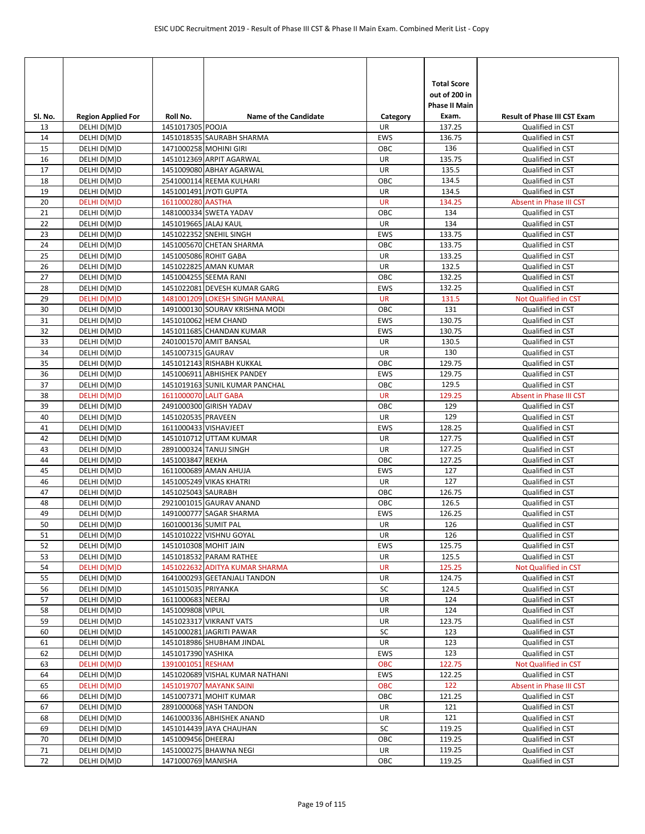| Sl. No.  | <b>Region Applied For</b>  | Roll No.              | <b>Name of the Candidate</b>                               | Category          | <b>Total Score</b><br>out of 200 in<br><b>Phase II Main</b><br>Exam. | <b>Result of Phase III CST Exam</b>  |
|----------|----------------------------|-----------------------|------------------------------------------------------------|-------------------|----------------------------------------------------------------------|--------------------------------------|
| 13       | DELHI D(M)D                | 1451017305 POOJA      |                                                            | UR                | 137.25                                                               | Qualified in CST                     |
| 14       | DELHI D(M)D                |                       | 1451018535 SAURABH SHARMA                                  | <b>EWS</b>        | 136.75                                                               | Qualified in CST                     |
| 15       | DELHI D(M)D                |                       | 1471000258 MOHINI GIRI                                     | OBC               | 136                                                                  | Qualified in CST                     |
| 16       | DELHI D(M)D                |                       | 1451012369 ARPIT AGARWAL                                   | <b>UR</b>         | 135.75                                                               | Qualified in CST                     |
| 17       | DELHI D(M)D                |                       | 1451009080 ABHAY AGARWAL                                   | UR                | 135.5                                                                | Qualified in CST                     |
| 18       | DELHI D(M)D                |                       | 2541000114 REEMA KULHARI                                   | OBC               | 134.5                                                                | Qualified in CST                     |
| 19       | DELHI D(M)D                |                       | 1451001491 JYOTI GUPTA                                     | <b>UR</b>         | 134.5                                                                | Qualified in CST                     |
| 20       | DELHI D(M)D                | 1611000280 AASTHA     |                                                            | <b>UR</b>         | 134.25                                                               | Absent in Phase III CST              |
| 21       | DELHI D(M)D                |                       | 1481000334 SWETA YADAV                                     | OBC               | 134                                                                  | Qualified in CST                     |
| 22       | DELHI D(M)D                | 1451019665 JALAJ KAUL |                                                            | UR                | 134                                                                  | Qualified in CST                     |
| 23       | DELHI D(M)D                |                       | 1451022352 SNEHIL SINGH                                    | EWS               | 133.75                                                               | Qualified in CST                     |
| 24       | DELHI D(M)D                |                       | 1451005670 CHETAN SHARMA                                   | OBC               | 133.75                                                               | Qualified in CST                     |
| 25       | DELHI D(M)D                |                       | 1451005086 ROHIT GABA                                      | <b>UR</b>         | 133.25                                                               | Qualified in CST                     |
| 26       | DELHI D(M)D                |                       | 1451022825 AMAN KUMAR                                      | UR                | 132.5                                                                | Qualified in CST                     |
| 27       | DELHI D(M)D                |                       | 1451004255 SEEMA RANI                                      | OBC               | 132.25                                                               | Qualified in CST                     |
| 28       | DELHI D(M)D                |                       | 1451022081 DEVESH KUMAR GARG                               | <b>EWS</b>        | 132.25                                                               | Qualified in CST                     |
| 29       | <b>DELHI D(M)D</b>         |                       | 1481001209 LOKESH SINGH MANRAL                             | <b>UR</b>         | 131.5                                                                | Not Qualified in CST                 |
| 30       | DELHI D(M)D                |                       | 1491000130 SOURAV KRISHNA MODI                             | OBC               | 131                                                                  | Qualified in CST                     |
| 31       | DELHI D(M)D                |                       | 1451010062 HEM CHAND                                       | EWS               | 130.75                                                               | Qualified in CST                     |
| 32       | DELHI D(M)D                |                       | 1451011685 CHANDAN KUMAR                                   | <b>EWS</b>        | 130.75                                                               | Qualified in CST                     |
| 33       | DELHI D(M)D                |                       | 2401001570 AMIT BANSAL                                     | UR                | 130.5                                                                | Qualified in CST                     |
| 34       | DELHI D(M)D                | 1451007315 GAURAV     |                                                            | UR                | 130                                                                  | Qualified in CST                     |
| 35       | DELHI D(M)D                |                       | 1451012143 RISHABH KUKKAL                                  | OBC               | 129.75                                                               | Qualified in CST                     |
| 36       | DELHI D(M)D                |                       | 1451006911 ABHISHEK PANDEY                                 | EWS               | 129.75                                                               | Qualified in CST                     |
| 37       | DELHI D(M)D                |                       | 1451019163 SUNIL KUMAR PANCHAL                             | OBC               | 129.5                                                                | Qualified in CST                     |
| 38       | DELHI D(M)D                | 1611000070 LALIT GABA |                                                            | <b>UR</b>         | 129.25                                                               | Absent in Phase III CST              |
| 39       | DELHI D(M)D                |                       | 2491000300 GIRISH YADAV                                    | OBC               | 129                                                                  | Qualified in CST                     |
| 40       | DELHI D(M)D                | 1451020535 PRAVEEN    |                                                            | UR                | 129                                                                  | Qualified in CST                     |
| 41       | DELHI D(M)D                | 1611000433 VISHAVJEET |                                                            | <b>EWS</b>        | 128.25                                                               | Qualified in CST                     |
| 42       | DELHI D(M)D                |                       | 1451010712 UTTAM KUMAR                                     | <b>UR</b>         | 127.75                                                               | Qualified in CST                     |
| 43       | DELHI D(M)D                |                       | 2891000324 TANUJ SINGH                                     | UR                | 127.25                                                               | Qualified in CST                     |
| 44       | DELHI D(M)D                | 1451003847 REKHA      |                                                            | ОВС               | 127.25                                                               | Qualified in CST                     |
| 45       | DELHI D(M)D                |                       | 1611000689 AMAN AHUJA                                      | <b>EWS</b>        | 127                                                                  | Qualified in CST                     |
| 46       | DELHI D(M)D                |                       | 1451005249 VIKAS KHATRI                                    | <b>UR</b>         | 127                                                                  | Qualified in CST                     |
| 47       | DELHI D(M)D                | 1451025043 SAURABH    |                                                            | ОВС               | 126.75                                                               | Qualified in CST                     |
| 48       | DELHI D(M)D                |                       | 2921001015 GAURAV ANAND                                    | OBC               | 126.5                                                                | Qualified in CST                     |
| 49       | DELHI D(M)D                |                       | 1491000777 SAGAR SHARMA                                    | <b>EWS</b>        | 126.25                                                               | Qualified in CST                     |
| 50       | DELHI D(M)D                | 1601000136 SUMIT PAL  |                                                            | <b>UR</b>         | 126                                                                  | Qualified in CST                     |
| 51       | DELHI D(M)D                |                       | 1451010222 VISHNU GOYAL                                    | <b>UR</b>         | 126                                                                  | Qualified in CST                     |
| 52       | DELHI D(M)D                | 1451010308 MOHIT JAIN |                                                            | EWS               | 125.75                                                               | Qualified in CST                     |
| 53       | DELHI D(M)D                |                       | 1451018532 PARAM RATHEE                                    | UR                | 125.5                                                                | Qualified in CST                     |
| 54       | DELHI D(M)D                |                       | 1451022632 ADITYA KUMAR SHARMA                             | UR                | 125.25                                                               | Not Qualified in CST                 |
| 55       | DELHI D(M)D                |                       | 1641000293 GEETANJALI TANDON                               | UR                | 124.75                                                               | Qualified in CST                     |
| 56       | DELHI D(M)D                | 1451015035 PRIYANKA   |                                                            | SC                | 124.5                                                                | Qualified in CST                     |
| 57       | DELHI D(M)D                | 1611000683 NEERAJ     |                                                            | UR                | 124                                                                  | Qualified in CST                     |
| 58       | DELHI D(M)D                | 1451009808 VIPUL      |                                                            | UR                | 124                                                                  | Qualified in CST                     |
| 59       | DELHI D(M)D                |                       | 1451023317 VIKRANT VATS                                    | <b>UR</b><br>SC   | 123.75                                                               | Qualified in CST                     |
| 60       | DELHI D(M)D                |                       | 1451000281 JAGRITI PAWAR                                   |                   | 123                                                                  | Qualified in CST                     |
| 61       | DELHI D(M)D                |                       | 1451018986 SHUBHAM JINDAL                                  | UR                | 123<br>123                                                           | Qualified in CST<br>Qualified in CST |
| 62       | DELHI D(M)D                | 1451017390 YASHIKA    |                                                            | EWS<br><b>OBC</b> | 122.75                                                               | Not Qualified in CST                 |
| 63<br>64 | DELHI D(M)D                | 1391001051 RESHAM     |                                                            | EWS               | 122.25                                                               | Qualified in CST                     |
| 65       | DELHI D(M)D<br>DELHI D(M)D |                       | 1451020689 VISHAL KUMAR NATHANI<br>1451019707 MAYANK SAINI | OBC               | 122                                                                  | Absent in Phase III CST              |
| 66       | DELHI D(M)D                |                       | 1451007371 MOHIT KUMAR                                     | OBC               | 121.25                                                               | Qualified in CST                     |
| 67       | DELHI D(M)D                |                       | 2891000068 YASH TANDON                                     | UR                | 121                                                                  | Qualified in CST                     |
| 68       | DELHI D(M)D                |                       | 1461000336 ABHISHEK ANAND                                  | UR                | 121                                                                  | Qualified in CST                     |
| 69       | DELHI D(M)D                |                       | 1451014439 JAYA CHAUHAN                                    | SC                | 119.25                                                               | Qualified in CST                     |
| 70       | DELHI D(M)D                | 1451009456 DHEERAJ    |                                                            | OBC               | 119.25                                                               | Qualified in CST                     |
| 71       | DELHI D(M)D                |                       | 1451000275 BHAWNA NEGI                                     | UR                | 119.25                                                               | Qualified in CST                     |
| 72       | DELHI D(M)D                | 1471000769 MANISHA    |                                                            | OBC               | 119.25                                                               | Qualified in CST                     |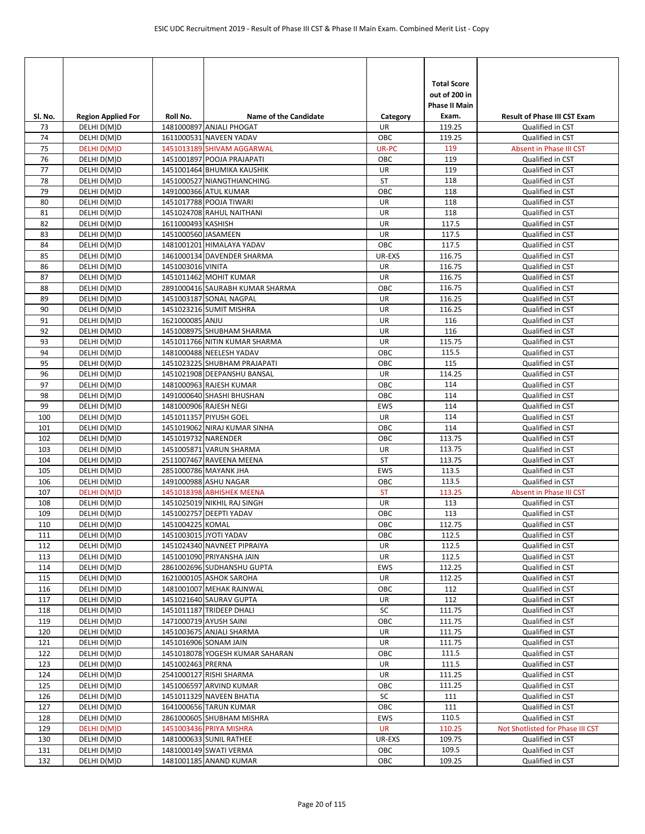| SI. No.    | <b>Region Applied For</b>  | Roll No.            | <b>Name of the Candidate</b>                             | Category   | <b>Total Score</b><br>out of 200 in<br><b>Phase II Main</b><br>Exam. | <b>Result of Phase III CST Exam</b>  |
|------------|----------------------------|---------------------|----------------------------------------------------------|------------|----------------------------------------------------------------------|--------------------------------------|
| 73         | DELHI D(M)D                |                     | 1481000897 ANJALI PHOGAT                                 | <b>UR</b>  | 119.25                                                               | Qualified in CST                     |
| 74         | DELHI D(M)D                |                     | 1611000531 NAVEEN YADAV                                  | OBC        | 119.25                                                               | Qualified in CST                     |
| 75         | DELHI D(M)D                |                     | 1451013189 SHIVAM AGGARWAL                               | UR-PC      | 119                                                                  | Absent in Phase III CST              |
| 76         | DELHI D(M)D                |                     | 1451001897 POOJA PRAJAPATI                               | OBC        | 119                                                                  | Qualified in CST                     |
| 77         | DELHI D(M)D                |                     | 1451001464 BHUMIKA KAUSHIK                               | UR         | 119                                                                  | Qualified in CST                     |
| 78         | DELHI D(M)D                |                     | 1451000527 NIANGTHIANCHING                               | <b>ST</b>  | 118                                                                  | Qualified in CST                     |
| 79         | DELHI D(M)D                |                     | 1491000366 ATUL KUMAR                                    | OBC        | 118                                                                  | Qualified in CST                     |
| 80         | DELHI D(M)D                |                     | 1451017788 POOJA TIWARI                                  | UR         | 118                                                                  | Qualified in CST                     |
| 81         | DELHI D(M)D                |                     | 1451024708 RAHUL NAITHANI                                | UR         | 118                                                                  | Qualified in CST                     |
| 82         | DELHI D(M)D                | 1611000493 KASHISH  |                                                          | UR         | 117.5                                                                | Qualified in CST                     |
| 83         | DELHI D(M)D                | 1451000560 JASAMEEN |                                                          | UR         | 117.5                                                                | Qualified in CST                     |
| 84         | DELHI D(M)D                |                     | 1481001201 HIMALAYA YADAV                                | OBC        | 117.5                                                                | Qualified in CST                     |
| 85         | DELHI D(M)D                |                     | 1461000134 DAVENDER SHARMA                               | UR-EXS     | 116.75                                                               | Qualified in CST                     |
| 86         | DELHI D(M)D                | 1451003016 VINITA   |                                                          | UR         | 116.75                                                               | Qualified in CST                     |
| 87         | DELHI D(M)D                |                     | 1451011462 MOHIT KUMAR                                   | UR         | 116.75                                                               | Qualified in CST                     |
| 88         | DELHI D(M)D                |                     | 2891000416 SAURABH KUMAR SHARMA                          | OBC        | 116.75<br>116.25                                                     | Qualified in CST                     |
| 89<br>90   | DELHI D(M)D<br>DELHI D(M)D |                     | 1451003187 SONAL NAGPAL<br>1451023216 SUMIT MISHRA       | UR<br>UR   | 116.25                                                               | Qualified in CST<br>Qualified in CST |
| 91         | DELHI D(M)D                | 1621000085 ANJU     |                                                          | UR         | 116                                                                  | Qualified in CST                     |
| 92         | DELHI D(M)D                |                     | 1451008975 SHUBHAM SHARMA                                | UR         | 116                                                                  | Qualified in CST                     |
| 93         | DELHI D(M)D                |                     | 1451011766 NITIN KUMAR SHARMA                            | UR         | 115.75                                                               | Qualified in CST                     |
| 94         | DELHI D(M)D                |                     | 1481000488 NEELESH YADAV                                 | OBC        | 115.5                                                                | Qualified in CST                     |
| 95         | DELHI D(M)D                |                     | 1451023225 SHUBHAM PRAJAPATI                             | OBC        | 115                                                                  | Qualified in CST                     |
| 96         | DELHI D(M)D                |                     | 1451021908 DEEPANSHU BANSAL                              | UR         | 114.25                                                               | Qualified in CST                     |
| 97         | DELHI D(M)D                |                     | 1481000963 RAJESH KUMAR                                  | OBC        | 114                                                                  | Qualified in CST                     |
| 98         | DELHI D(M)D                |                     | 1491000640 SHASHI BHUSHAN                                | OBC        | 114                                                                  | Qualified in CST                     |
| 99         | DELHI D(M)D                |                     | 1481000906 RAJESH NEGI                                   | <b>EWS</b> | 114                                                                  | Qualified in CST                     |
| 100        | DELHI D(M)D                |                     | 1451011357 PIYUSH GOEL                                   | UR         | 114                                                                  | Qualified in CST                     |
| 101        | DELHI D(M)D                |                     | 1451019062 NIRAJ KUMAR SINHA                             | OBC        | 114                                                                  | Qualified in CST                     |
| 102        | DELHI D(M)D                | 1451019732 NARENDER |                                                          | OBC        | 113.75                                                               | Qualified in CST                     |
| 103        | DELHI D(M)D                |                     | 1451005871 VARUN SHARMA                                  | UR         | 113.75                                                               | Qualified in CST                     |
| 104        | DELHI D(M)D                |                     | 2511007467 RAVEENA MEENA                                 | ST         | 113.75                                                               | Qualified in CST                     |
| 105        | DELHI D(M)D                |                     | 2851000786 MAYANK JHA                                    | <b>EWS</b> | 113.5                                                                | Qualified in CST                     |
| 106        | DELHI D(M)D                |                     | 1491000988 ASHU NAGAR                                    | OBC        | 113.5                                                                | Qualified in CST                     |
| 107        | DELHI D(M)D                |                     | 1451018398 ABHISHEK MEENA                                | <b>ST</b>  | 113.25                                                               | Absent in Phase III CST              |
| 108        | DELHI D(M)D                |                     | 1451025019 NIKHIL RAJ SINGH                              | <b>UR</b>  | 113                                                                  | Qualified in CST                     |
| 109        | DELHI D(M)D                |                     | 1451002757 DEEPTI YADAV                                  | OBC        | 113                                                                  | Qualified in CST                     |
| 110        | DELHI D(M)D                | 1451004225 KOMAL    |                                                          | OBC        | 112.75                                                               | Qualified in CST                     |
| 111        | DELHI D(M)D                |                     | 1451003015 JYOTI YADAV                                   | OBC        | 112.5                                                                | Qualified in CST                     |
| 112        | DELHI D(M)D                |                     | 1451024340 NAVNEET PIPRAIYA<br>1451001090 PRIYANSHA JAIN | UR         | 112.5                                                                | Qualified in CST                     |
| 113        | DELHI D(M)D                |                     |                                                          | UR         | 112.5                                                                | Qualified in CST                     |
| 114<br>115 | DELHI D(M)D<br>DELHI D(M)D |                     | 2861002696 SUDHANSHU GUPTA<br>1621000105 ASHOK SAROHA    | EWS<br>UR  | 112.25<br>112.25                                                     | Qualified in CST<br>Qualified in CST |
| 116        | DELHI D(M)D                |                     | 1481001007 MEHAK RAJNWAL                                 | OBC        | 112                                                                  | Qualified in CST                     |
| 117        | DELHI D(M)D                |                     | 1451021640 SAURAV GUPTA                                  | UR         | 112                                                                  | Qualified in CST                     |
| 118        | DELHI D(M)D                |                     | 1451011187 TRIDEEP DHALI                                 | SC         | 111.75                                                               | Qualified in CST                     |
| 119        | DELHI D(M)D                |                     | 1471000719 AYUSH SAINI                                   | OBC        | 111.75                                                               | Qualified in CST                     |
| 120        | DELHI D(M)D                |                     | 1451003675 ANJALI SHARMA                                 | UR         | 111.75                                                               | Qualified in CST                     |
| 121        | DELHI D(M)D                |                     | 1451016906 SONAM JAIN                                    | UR         | 111.75                                                               | Qualified in CST                     |
| 122        | DELHI D(M)D                |                     | 1451018078 YOGESH KUMAR SAHARAN                          | OBC        | 111.5                                                                | Qualified in CST                     |
| 123        | DELHI D(M)D                | 1451002463 PRERNA   |                                                          | UR         | 111.5                                                                | Qualified in CST                     |
| 124        | DELHI D(M)D                |                     | 2541000127 RISHI SHARMA                                  | UR         | 111.25                                                               | Qualified in CST                     |
| 125        | DELHI D(M)D                |                     | 1451006597 ARVIND KUMAR                                  | OBC        | 111.25                                                               | Qualified in CST                     |
| 126        | DELHI D(M)D                |                     | 1451011329 NAVEEN BHATIA                                 | SC         | 111                                                                  | Qualified in CST                     |
| 127        | DELHI D(M)D                |                     | 1641000656 TARUN KUMAR                                   | OBC        | 111                                                                  | Qualified in CST                     |
| 128        | DELHI D(M)D                |                     | 2861000605 SHUBHAM MISHRA                                | EWS        | 110.5                                                                | Qualified in CST                     |
| 129        | DELHI D(M)D                |                     | 1451003436 PRIYA MISHRA                                  | <b>UR</b>  | 110.25                                                               | Not Shotlisted for Phase III CST     |
| 130        | DELHI D(M)D                |                     | 1481000633 SUNIL RATHEE                                  | UR-EXS     | 109.75                                                               | Qualified in CST                     |
| 131        | DELHI D(M)D                |                     | 1481000149 SWATI VERMA                                   | OBC        | 109.5                                                                | Qualified in CST                     |
| 132        | DELHI D(M)D                |                     | 1481001185 ANAND KUMAR                                   | OBC        | 109.25                                                               | Qualified in CST                     |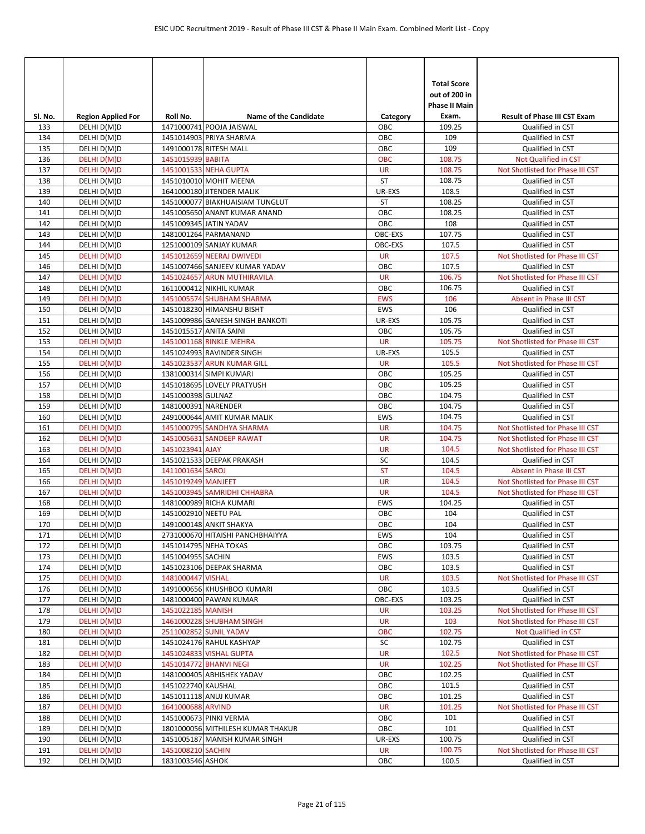| SI. No.    | <b>Region Applied For</b>  | Roll No.               | <b>Name of the Candidate</b>                                 | Category          | <b>Total Score</b><br>out of 200 in<br><b>Phase II Main</b><br>Exam. | <b>Result of Phase III CST Exam</b>                  |
|------------|----------------------------|------------------------|--------------------------------------------------------------|-------------------|----------------------------------------------------------------------|------------------------------------------------------|
| 133        | DELHI D(M)D                |                        | 1471000741 POOJA JAISWAL                                     | ОВС               | 109.25                                                               | Qualified in CST                                     |
| 134        | DELHI D(M)D                |                        | 1451014903 PRIYA SHARMA                                      | OBC               | 109                                                                  | Qualified in CST                                     |
| 135        | DELHI D(M)D                |                        | 1491000178 RITESH MALL                                       | OBC               | 109                                                                  | Qualified in CST                                     |
| 136        | DELHI D(M)D                | 1451015939 BABITA      |                                                              | <b>OBC</b>        | 108.75                                                               | Not Qualified in CST                                 |
| 137        | DELHI D(M)D                |                        | 1451001533 NEHA GUPTA                                        | <b>UR</b>         | 108.75                                                               | Not Shotlisted for Phase III CST                     |
| 138        | DELHI D(M)D                |                        | 1451010010 MOHIT MEENA                                       | <b>ST</b>         | 108.75                                                               | Qualified in CST                                     |
| 139        | DELHI D(M)D                |                        | 1641000180 JITENDER MALIK                                    | UR-EXS            | 108.5                                                                | Qualified in CST                                     |
| 140        | DELHI D(M)D                |                        | 1451000077 BIAKHUAISIAM TUNGLUT                              | <b>ST</b>         | 108.25                                                               | Qualified in CST                                     |
| 141        | DELHI D(M)D                |                        | 1451005650 ANANT KUMAR ANAND                                 | OBC               | 108.25                                                               | Qualified in CST                                     |
| 142        | DELHI D(M)D                |                        | 1451009345 JATIN YADAV                                       | <b>OBC</b>        | 108                                                                  | Qualified in CST                                     |
| 143        | DELHI D(M)D                |                        | 1481001264 PARMANAND                                         | OBC-EXS           | 107.75                                                               | Qualified in CST                                     |
| 144        | DELHI D(M)D                |                        | 1251000109 SANJAY KUMAR                                      | OBC-EXS           | 107.5                                                                | Qualified in CST                                     |
| 145        | DELHI D(M)D                |                        | 1451012659 NEERAJ DWIVEDI                                    | <b>UR</b>         | 107.5                                                                | Not Shotlisted for Phase III CST                     |
| 146        | DELHI D(M)D                |                        | 1451007466 SANJEEV KUMAR YADAV                               | OBC               | 107.5                                                                | Qualified in CST                                     |
| 147        | DELHI D(M)D                |                        | 1451024657 ARUN MUTHIRAVILA                                  | <b>UR</b>         | 106.75                                                               | Not Shotlisted for Phase III CST                     |
| 148        | DELHI D(M)D                |                        | 1611000412 NIKHIL KUMAR                                      | OBC<br><b>EWS</b> | 106.75                                                               | Qualified in CST                                     |
| 149        | DELHI D(M)D                |                        | 1451005574 SHUBHAM SHARMA                                    | <b>EWS</b>        | 106                                                                  | Absent in Phase III CST                              |
| 150        | DELHI D(M)D                |                        | 1451018230 HIMANSHU BISHT<br>1451009986 GANESH SINGH BANKOTI | UR-EXS            | 106<br>105.75                                                        | Qualified in CST                                     |
| 151        | DELHI D(M)D                |                        |                                                              | OBC               | 105.75                                                               | Qualified in CST                                     |
| 152<br>153 | DELHI D(M)D<br>DELHI D(M)D | 1451015517 ANITA SAINI | 1451001168 RINKLE MEHRA                                      | <b>UR</b>         | 105.75                                                               | Qualified in CST<br>Not Shotlisted for Phase III CST |
| 154        | DELHI D(M)D                |                        | 1451024993 RAVINDER SINGH                                    | UR-EXS            | 105.5                                                                | Qualified in CST                                     |
| 155        | DELHI D(M)D                |                        | 1451023537 ARUN KUMAR GILL                                   | <b>UR</b>         | 105.5                                                                | Not Shotlisted for Phase III CST                     |
| 156        | DELHI D(M)D                |                        | 1381000314 SIMPI KUMARI                                      | OBC               | 105.25                                                               | Qualified in CST                                     |
| 157        | DELHI D(M)D                |                        | 1451018695 LOVELY PRATYUSH                                   | OBC               | 105.25                                                               | Qualified in CST                                     |
| 158        | DELHI D(M)D                | 1451000398 GULNAZ      |                                                              | OBC               | 104.75                                                               | Qualified in CST                                     |
| 159        | DELHI D(M)D                | 1481000391 NARENDER    |                                                              | OBC               | 104.75                                                               | Qualified in CST                                     |
| 160        | DELHI D(M)D                |                        | 2491000644 AMIT KUMAR MALIK                                  | <b>EWS</b>        | 104.75                                                               | Qualified in CST                                     |
| 161        | DELHI D(M)D                |                        | 1451000795 SANDHYA SHARMA                                    | <b>UR</b>         | 104.75                                                               | Not Shotlisted for Phase III CST                     |
| 162        | DELHI D(M)D                |                        | 1451005631 SANDEEP RAWAT                                     | <b>UR</b>         | 104.75                                                               | Not Shotlisted for Phase III CST                     |
| 163        | DELHI D(M)D                | 1451023941 AJAY        |                                                              | <b>UR</b>         | 104.5                                                                | Not Shotlisted for Phase III CST                     |
| 164        | DELHI D(M)D                |                        | 1451021533 DEEPAK PRAKASH                                    | SC                | 104.5                                                                | Qualified in CST                                     |
| 165        | DELHI D(M)D                | 1411001634 SAROJ       |                                                              | <b>ST</b>         | 104.5                                                                | Absent in Phase III CST                              |
| 166        | DELHI D(M)D                | 1451019249 MANJEET     |                                                              | <b>UR</b>         | 104.5                                                                | Not Shotlisted for Phase III CST                     |
| 167        | DELHI D(M)D                |                        | 1451003945 SAMRIDHI CHHABRA                                  | <b>UR</b>         | 104.5                                                                | Not Shotlisted for Phase III CST                     |
| 168        | DELHI D(M)D                |                        | 1481000989 RICHA KUMARI                                      | <b>EWS</b>        | 104.25                                                               | Qualified in CST                                     |
| 169        | DELHI D(M)D                | 1451002910 NEETU PAL   |                                                              | OBC               | 104                                                                  | Qualified in CST                                     |
| 170        | DELHI D(M)D                |                        | 1491000148 ANKIT SHAKYA                                      | OBC               | 104                                                                  | Qualified in CST                                     |
| 171        | DELHI D(M)D                |                        | 2731000670 HITAISHI PANCHBHAIYYA                             | EWS               | 104                                                                  | Qualified in CST                                     |
| 172        | DELHI D(M)D                |                        | 1451014795 NEHA TOKAS                                        | OBC               | 103.75                                                               | Qualified in CST                                     |
| 173        | DELHI D(M)D                | 1451004955 SACHIN      |                                                              | EWS               | 103.5                                                                | Qualified in CST                                     |
| 174        | DELHI D(M)D                |                        | 1451023106 DEEPAK SHARMA                                     | ОВС               | 103.5                                                                | Qualified in CST                                     |
| 175        | DELHI D(M)D                | 1481000447 VISHAL      |                                                              | <b>UR</b>         | 103.5                                                                | Not Shotlisted for Phase III CST                     |
| 176        | DELHI D(M)D                |                        | 1491000656 KHUSHBOO KUMARI                                   | OBC               | 103.5                                                                | Qualified in CST                                     |
| 177        | DELHI D(M)D                |                        | 1481000400 PAWAN KUMAR                                       | OBC-EXS           | 103.25                                                               | Qualified in CST                                     |
| 178        | DELHI D(M)D                | 1451022185 MANISH      |                                                              | <b>UR</b>         | 103.25                                                               | Not Shotlisted for Phase III CST                     |
| 179        | DELHI D(M)D                |                        | 1461000228 SHUBHAM SINGH                                     | <b>UR</b>         | 103                                                                  | Not Shotlisted for Phase III CST                     |
| 180        | DELHI D(M)D                |                        | 2511002852 SUNIL YADAV                                       | <b>OBC</b>        | 102.75                                                               | Not Qualified in CST                                 |
| 181        | DELHI D(M)D                |                        | 1451024176 RAHUL KASHYAP                                     | SC                | 102.75                                                               | Qualified in CST                                     |
| 182        | DELHI D(M)D                |                        | 1451024833 VISHAL GUPTA                                      | <b>UR</b>         | 102.5                                                                | Not Shotlisted for Phase III CST                     |
| 183        | DELHI D(M)D                |                        | 1451014772 BHANVI NEGI                                       | <b>UR</b>         | 102.25                                                               | Not Shotlisted for Phase III CST                     |
| 184        | DELHI D(M)D                |                        | 1481000405 ABHISHEK YADAV                                    | ОВС               | 102.25                                                               | Qualified in CST                                     |
| 185        | DELHI D(M)D                | 1451022740 KAUSHAL     |                                                              | OBC               | 101.5                                                                | Qualified in CST                                     |
| 186        | DELHI D(M)D                |                        | 1451011118 ANUJ KUMAR                                        | ОВС               | 101.25                                                               | Qualified in CST                                     |
| 187        | DELHI D(M)D                | 1641000688 ARVIND      |                                                              | <b>UR</b>         | 101.25                                                               | Not Shotlisted for Phase III CST                     |
| 188        | DELHI D(M)D                |                        | 1451000673 PINKI VERMA                                       | ОВС               | 101                                                                  | Qualified in CST                                     |
| 189        | DELHI D(M)D                |                        | 1801000056 MITHILESH KUMAR THAKUR                            | OBC               | 101                                                                  | Qualified in CST                                     |
| 190        | DELHI D(M)D                |                        | 1451005187 MANISH KUMAR SINGH                                | UR-EXS            | 100.75                                                               | Qualified in CST                                     |
| 191        | DELHI D(M)D                | 1451008210 SACHIN      |                                                              | <b>UR</b><br>OBC  | 100.75<br>100.5                                                      | Not Shotlisted for Phase III CST                     |
| 192        | DELHI D(M)D                | 1831003546 ASHOK       |                                                              |                   |                                                                      | Qualified in CST                                     |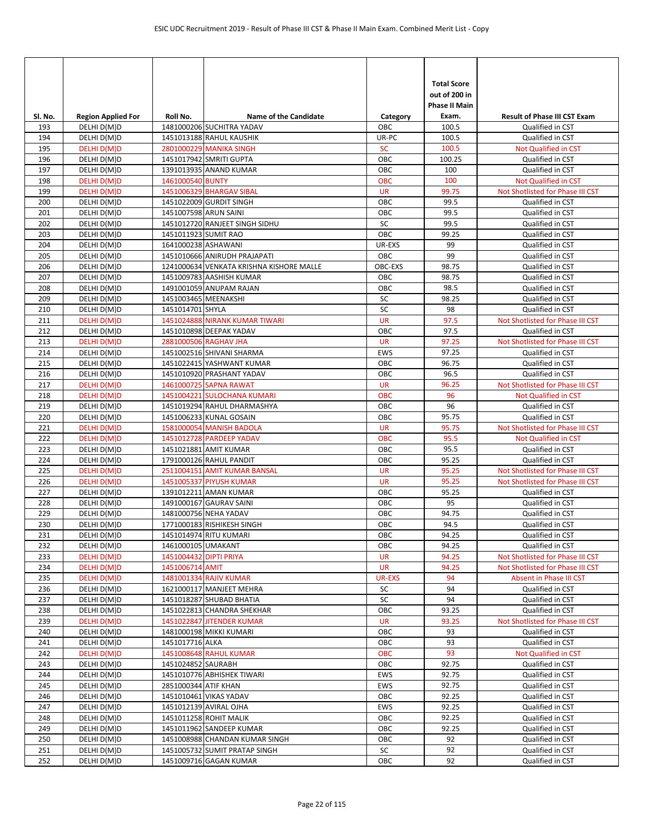| SI. No.    | <b>Region Applied For</b>  | Roll No.               | Name of the Candidate                                      | Category         | <b>Total Score</b><br>out of 200 in<br>Phase II Main<br>Exam. | <b>Result of Phase III CST Exam</b>                  |
|------------|----------------------------|------------------------|------------------------------------------------------------|------------------|---------------------------------------------------------------|------------------------------------------------------|
| 193        | DELHI D(M)D                |                        | 1481000206 SUCHITRA YADAV                                  | OBC              | 100.5                                                         | Qualified in CST                                     |
| 194        | DELHI D(M)D                |                        | 1451013188 RAHUL KAUSHIK                                   | UR-PC            | 100.5                                                         | Qualified in CST                                     |
| 195        | DELHI D(M)D                |                        | 2801000229 MANIKA SINGH                                    | <b>SC</b>        | 100.5                                                         | Not Qualified in CST                                 |
| 196        | DELHI D(M)D                |                        | 1451017942 SMRITI GUPTA                                    | OBC              | 100.25                                                        | Qualified in CST                                     |
| 197        | DELHI D(M)D                |                        | 1391013935 ANAND KUMAR                                     | OBC              | 100                                                           | Qualified in CST                                     |
| 198        | DELHI D(M)D                | 1461000540 BUNTY       |                                                            | <b>OBC</b>       | 100                                                           | <b>Not Qualified in CST</b>                          |
| 199        | DELHI D(M)D                |                        | 1451006329 BHARGAV SIBAL                                   | <b>UR</b>        | 99.75                                                         | Not Shotlisted for Phase III CST                     |
| 200<br>201 | DELHI D(M)D<br>DELHI D(M)D | 1451007598 ARUN SAINI  | 1451022009 GURDIT SINGH                                    | OBC<br>OBC       | 99.5<br>99.5                                                  | Qualified in CST<br>Qualified in CST                 |
| 202        | DELHI D(M)D                |                        | 1451012720 RANJEET SINGH SIDHU                             | SC               | 99.5                                                          | Qualified in CST                                     |
| 203        | DELHI D(M)D                | 1451011923 SUMIT RAO   |                                                            | OBC              | 99.25                                                         | Qualified in CST                                     |
| 204        | DELHI D(M)D                | 1641000238 ASHAWANI    |                                                            | UR-EXS           | 99                                                            | Qualified in CST                                     |
| 205        | DELHI D(M)D                |                        | 1451010666 ANIRUDH PRAJAPATI                               | OBC              | 99                                                            | Qualified in CST                                     |
| 206        | DELHI D(M)D                |                        | 1241000634 VENKATA KRISHNA KISHORE MALLE                   | OBC-EXS          | 98.75                                                         | Qualified in CST                                     |
| 207        | DELHI D(M)D                |                        | 1451009783 AASHISH KUMAR                                   | OBC              | 98.75                                                         | Qualified in CST                                     |
| 208        | DELHI D(M)D                |                        | 1491001059 ANUPAM RAJAN                                    | OBC              | 98.5                                                          | Qualified in CST                                     |
| 209        | DELHI D(M)D                | 1451003465 MEENAKSHI   |                                                            | SC               | 98.25                                                         | Qualified in CST                                     |
| 210        | DELHI D(M)D                | 1451014701 SHYLA       |                                                            | SC               | 98                                                            | Qualified in CST                                     |
| 211        | DELHI D(M)D                |                        | 1451024888 NIRANK KUMAR TIWARI                             | <b>UR</b>        | 97.5                                                          | Not Shotlisted for Phase III CST                     |
| 212        | DELHI D(M)D                |                        | 1451010898 DEEPAK YADAV                                    | OBC              | 97.5                                                          | Qualified in CST                                     |
| 213        | DELHI D(M)D                |                        | 2881000506 RAGHAV JHA                                      | <b>UR</b>        | 97.25                                                         | Not Shotlisted for Phase III CST                     |
| 214        | DELHI D(M)D                |                        | 1451002516 SHIVANI SHARMA                                  | <b>EWS</b>       | 97.25                                                         | Qualified in CST                                     |
| 215        | DELHI D(M)D                |                        | 1451022415 YASHWANT KUMAR                                  | OBC              | 96.75                                                         | Qualified in CST                                     |
| 216        | DELHI D(M)D                |                        | 1451010920 PRASHANT YADAV                                  | OBC              | 96.5                                                          | Qualified in CST                                     |
| 217        | DELHI D(M)D                |                        | 1461000725 SAPNA RAWAT                                     | <b>UR</b>        | 96.25                                                         | Not Shotlisted for Phase III CST                     |
| 218        | DELHI D(M)D                |                        | 1451004221 SULOCHANA KUMARI                                | <b>OBC</b>       | 96                                                            | Not Qualified in CST                                 |
| 219        | DELHI D(M)D                |                        | 1451019294 RAHUL DHARMASHYA                                | OBC              | 96                                                            | Qualified in CST                                     |
| 220        | DELHI D(M)D                |                        | 1451006233 KUNAL GOSAIN                                    | OBC              | 95.75                                                         | Qualified in CST                                     |
| 221        | DELHI D(M)D                |                        | 1581000054 MANISH BADOLA                                   | <b>UR</b>        | 95.75                                                         | Not Shotlisted for Phase III CST                     |
| 222        | DELHI D(M)D                |                        | 1451012728 PARDEEP YADAV                                   | <b>OBC</b>       | 95.5                                                          | Not Qualified in CST                                 |
| 223        | DELHI D(M)D                |                        | 1451021881 AMIT KUMAR                                      | OBC              | 95.5                                                          | Qualified in CST                                     |
| 224<br>225 | DELHI D(M)D                |                        | 1791000126 RAHUL PANDIT                                    | OBC<br><b>UR</b> | 95.25<br>95.25                                                | Qualified in CST<br>Not Shotlisted for Phase III CST |
| 226        | DELHI D(M)D<br>DELHI D(M)D |                        | 2511004151 AMIT KUMAR BANSAL<br>1451005337 PIYUSH KUMAR    | <b>UR</b>        | 95.25                                                         | Not Shotlisted for Phase III CST                     |
| 227        | DELHI D(M)D                |                        | 1391012211 AMAN KUMAR                                      | OBC              | 95.25                                                         | Qualified in CST                                     |
| 228        | DELHI D(M)D                |                        | 1491000167 GAURAV SAINI                                    | OBC              | 95                                                            | Qualified in CST                                     |
| 229        | DELHI D(M)D                |                        | 1481000756 NEHA YADAV                                      | OBC              | 94.75                                                         | Qualified in CST                                     |
| 230        | DELHI D(M)D                |                        | 1771000183 RISHIKESH SINGH                                 | OBC              | 94.5                                                          | Qualified in CST                                     |
| 231        | DELHI D(M)D                |                        | 1451014974 RITU KUMARI                                     | OBC              | 94.25                                                         | Qualified in CST                                     |
| 232        | DELHI D(M)D                | 1461000105 UMAKANT     |                                                            | OBC              | 94.25                                                         | Qualified in CST                                     |
| 233        | DELHI D(M)D                | 1451004432 DIPTI PRIYA |                                                            | <b>UR</b>        | 94.25                                                         | Not Shotlisted for Phase III CST                     |
| 234        | DELHI D(M)D                | 1451006714 AMIT        |                                                            | <b>UR</b>        | 94.25                                                         | Not Shotlisted for Phase III CST                     |
| 235        | DELHI D(M)D                |                        | 1481001334 RAJIV KUMAR                                     | <b>UR-EXS</b>    | 94                                                            | Absent in Phase III CST                              |
| 236        | DELHI D(M)D                |                        | 1621000117 MANJEET MEHRA                                   | SC               | 94                                                            | Qualified in CST                                     |
| 237        | DELHI D(M)D                |                        | 1451018287 SHUBAD BHATIA                                   | SC               | 94                                                            | Qualified in CST                                     |
| 238        | DELHI D(M)D                |                        | 1451022813 CHANDRA SHEKHAR                                 | OBC              | 93.25                                                         | Qualified in CST                                     |
| 239        | DELHI D(M)D                |                        | 1451022847 JITENDER KUMAR                                  | <b>UR</b>        | 93.25                                                         | Not Shotlisted for Phase III CST                     |
| 240        | DELHI D(M)D                |                        | 1481000198 MIKKI KUMARI                                    | OBC              | 93                                                            | Qualified in CST                                     |
| 241        | DELHI D(M)D                | 1451017716 ALKA        |                                                            | OBC              | 93                                                            | Qualified in CST                                     |
| 242        | DELHI D(M)D                |                        | 1451008648 RAHUL KUMAR                                     | OBC              | 93                                                            | Not Qualified in CST                                 |
| 243        | DELHI D(M)D                | 1451024852 SAURABH     |                                                            | OBC              | 92.75                                                         | Qualified in CST                                     |
| 244        | DELHI D(M)D                |                        | 1451010776 ABHISHEK TIWARI                                 | EWS              | 92.75                                                         | Qualified in CST                                     |
| 245        | DELHI D(M)D                | 2851000344 ATIF KHAN   |                                                            | EWS              | 92.75                                                         | Qualified in CST                                     |
| 246        | DELHI D(M)D                |                        | 1451010461 VIKAS YADAV                                     | OBC              | 92.25                                                         | Qualified in CST                                     |
| 247        | DELHI D(M)D                |                        | 1451012139 AVIRAL OJHA                                     | EWS              | 92.25                                                         | Qualified in CST                                     |
| 248        | DELHI D(M)D                |                        | 1451011258 ROHIT MALIK                                     | OBC              | 92.25                                                         | Qualified in CST                                     |
| 249<br>250 | DELHI D(M)D<br>DELHI D(M)D |                        | 1451011962 SANDEEP KUMAR<br>1451008988 CHANDAN KUMAR SINGH | OBC<br>OBC       | 92.25<br>92                                                   | Qualified in CST<br>Qualified in CST                 |
| 251        |                            |                        | 1451005732 SUMIT PRATAP SINGH                              | SC               | 92                                                            | Qualified in CST                                     |
| 252        | DELHI D(M)D<br>DELHI D(M)D |                        | 1451009716 GAGAN KUMAR                                     | OBC              | 92                                                            | Qualified in CST                                     |
|            |                            |                        |                                                            |                  |                                                               |                                                      |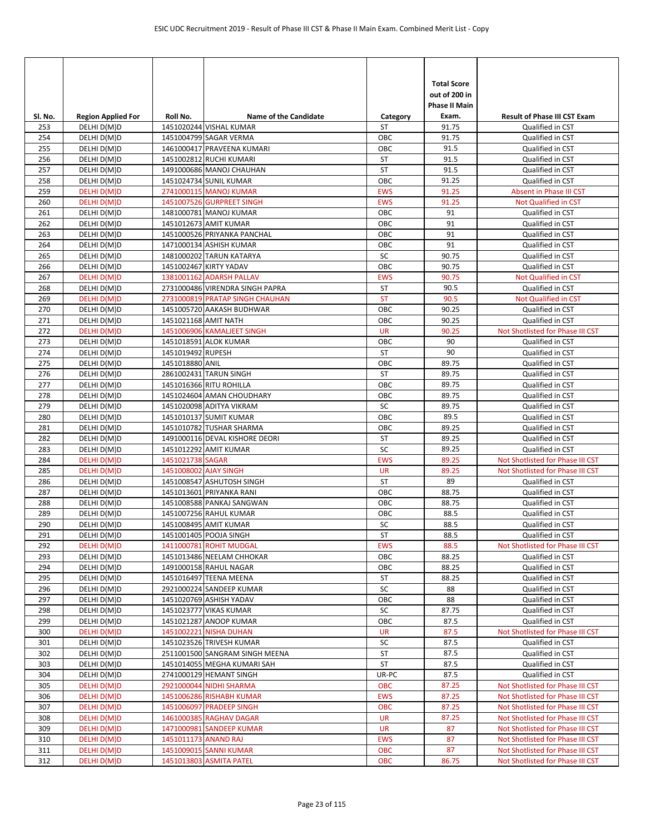|         |                           |                       |                                                              |            | <b>Total Score</b><br>out of 200 in<br><b>Phase II Main</b> |                                     |
|---------|---------------------------|-----------------------|--------------------------------------------------------------|------------|-------------------------------------------------------------|-------------------------------------|
| SI. No. | <b>Region Applied For</b> | Roll No.              | <b>Name of the Candidate</b>                                 | Category   | Exam.                                                       | <b>Result of Phase III CST Exam</b> |
| 253     | DELHI D(M)D               |                       | 1451020244 VISHAL KUMAR                                      | <b>ST</b>  | 91.75                                                       | Qualified in CST                    |
| 254     | DELHI D(M)D               |                       | 1451004799 SAGAR VERMA                                       | OBC        | 91.75<br>91.5                                               | Qualified in CST                    |
| 255     | DELHI D(M)D               |                       | 1461000417 PRAVEENA KUMARI                                   | OBC        |                                                             | Qualified in CST                    |
| 256     | DELHI D(M)D               |                       | 1451002812 RUCHI KUMARI                                      | ST         | 91.5                                                        | Qualified in CST                    |
| 257     | DELHI D(M)D               |                       | 1491000686 MANOJ CHAUHAN                                     | ST         | 91.5<br>91.25                                               | Qualified in CST                    |
| 258     | DELHI D(M)D               |                       | 1451024734 SUNIL KUMAR                                       | OBC        |                                                             | Qualified in CST                    |
| 259     | DELHI D(M)D               |                       | 2741000115 MANOJ KUMAR<br>1451007526 GURPREET SINGH          | <b>EWS</b> | 91.25                                                       | Absent in Phase III CST             |
| 260     | DELHI D(M)D               |                       |                                                              | <b>EWS</b> | 91.25                                                       | Not Qualified in CST                |
| 261     | DELHI D(M)D               |                       | 1481000781 MANOJ KUMAR                                       | OBC<br>OBC | 91<br>91                                                    | Qualified in CST                    |
| 262     | DELHI D(M)D               |                       | 1451012673 AMIT KUMAR                                        |            | 91                                                          | Qualified in CST                    |
| 263     | DELHI D(M)D               |                       | 1451000526 PRIYANKA PANCHAL                                  | OBC        |                                                             | Qualified in CST                    |
| 264     | DELHI D(M)D               |                       | 1471000134 ASHISH KUMAR                                      | OBC<br>SC  | 91                                                          | Qualified in CST                    |
| 265     | DELHI D(M)D               |                       | 1481000202 TARUN KATARYA                                     |            | 90.75                                                       | Qualified in CST                    |
| 266     | DELHI D(M)D               |                       | 1451002467 KIRTY YADAV                                       | OBC        | 90.75                                                       | Qualified in CST                    |
| 267     | DELHI D(M)D               |                       | 1381001162 ADARSH PALLAV                                     | <b>EWS</b> | 90.75                                                       | Not Qualified in CST                |
| 268     | DELHI D(M)D               |                       | 2731000486 VIRENDRA SINGH PAPRA                              | ST         | 90.5                                                        | Qualified in CST                    |
| 269     | DELHI D(M)D               |                       | 2731000819 PRATAP SINGH CHAUHAN<br>1451005720 AAKASH BUDHWAR | <b>ST</b>  | 90.5                                                        | Not Qualified in CST                |
| 270     | DELHI D(M)D               |                       |                                                              | OBC        | 90.25                                                       | Qualified in CST                    |
| 271     | DELHI D(M)D               | 1451021168 AMIT NATH  |                                                              | OBC        | 90.25                                                       | Qualified in CST                    |
| 272     | DELHI D(M)D               |                       | 1451006906 KAMALJEET SINGH                                   | <b>UR</b>  | 90.25                                                       | Not Shotlisted for Phase III CST    |
| 273     | DELHI D(M)D               |                       | 1451018591 ALOK KUMAR                                        | OBC        | 90                                                          | Qualified in CST                    |
| 274     | DELHI D(M)D               | 1451019492 RUPESH     |                                                              | ST         | 90                                                          | Qualified in CST                    |
| 275     | DELHI D(M)D               | 1451018880 ANIL       |                                                              | OBC        | 89.75                                                       | Qualified in CST                    |
| 276     | DELHI D(M)D               |                       | 2861002431 TARUN SINGH                                       | ST         | 89.75                                                       | Qualified in CST                    |
| 277     | DELHI D(M)D               |                       | 1451016366 RITU ROHILLA                                      | ОВС        | 89.75                                                       | Qualified in CST                    |
| 278     | DELHI D(M)D               |                       | 1451024604 AMAN CHOUDHARY                                    | OBC        | 89.75                                                       | Qualified in CST                    |
| 279     | DELHI D(M)D               |                       | 1451020098 ADITYA VIKRAM                                     | SC         | 89.75                                                       | Qualified in CST                    |
| 280     | DELHI D(M)D               |                       | 1451010137 SUMIT KUMAR                                       | OBC        | 89.5                                                        | Qualified in CST                    |
| 281     | DELHI D(M)D               |                       | 1451010782 TUSHAR SHARMA                                     | OBC        | 89.25                                                       | Qualified in CST                    |
| 282     | DELHI D(M)D               |                       | 1491000116 DEVAL KISHORE DEORI                               | ST         | 89.25                                                       | Qualified in CST                    |
| 283     | DELHI D(M)D               |                       | 1451012292 AMIT KUMAR                                        | SC         | 89.25                                                       | Qualified in CST                    |
| 284     | DELHI D(M)D               | 1451021738 SAGAR      |                                                              | <b>EWS</b> | 89.25                                                       | Not Shotlisted for Phase III CST    |
| 285     | DELHI D(M)D               | 1451008002 AJAY SINGH |                                                              | <b>UR</b>  | 89.25                                                       | Not Shotlisted for Phase III CST    |
| 286     | DELHI D(M)D               |                       | 1451008547 ASHUTOSH SINGH                                    | ST         | 89                                                          | Qualified in CST                    |
| 287     | DELHI D(M)D               |                       | 1451013601 PRIYANKA RANI                                     | ОВС        | 88.75                                                       | Qualified in CST                    |
| 288     | DELHI D(M)D               |                       | 1451008588 PANKAJ SANGWAN                                    | OBC        | 88.75                                                       | Qualified in CST                    |
| 289     | DELHI D(M)D               |                       | 1451007256 RAHUL KUMAR                                       | OBC        | 88.5                                                        | Qualified in CST                    |
| 290     | DELHI D(M)D               |                       | 1451008495 AMIT KUMAR                                        | SC         | 88.5                                                        | Qualified in CST                    |
| 291     | DELHI D(M)D               |                       | 1451001405 POOJA SINGH                                       | ST         | 88.5                                                        | Qualified in CST                    |
| 292     | DELHI D(M)D               |                       | 1411000781 ROHIT MUDGAL                                      | <b>EWS</b> | 88.5                                                        | Not Shotlisted for Phase III CST    |
| 293     | DELHI D(M)D               |                       | 1451013486 NEELAM CHHOKAR                                    | ОВС        | 88.25                                                       | Qualified in CST                    |
| 294     | DELHI D(M)D               |                       | 1491000158 RAHUL NAGAR                                       | OBC        | 88.25                                                       | Qualified in CST                    |
| 295     | DELHI D(M)D               |                       | 1451016497 TEENA MEENA                                       | ST         | 88.25                                                       | Qualified in CST                    |
| 296     | DELHI D(M)D               |                       | 2921000224 SANDEEP KUMAR                                     | SC         | 88                                                          | Qualified in CST                    |
| 297     | DELHI D(M)D               |                       | 1451020769 ASHISH YADAV                                      | OBC        | 88                                                          | Qualified in CST                    |
| 298     | DELHI D(M)D               |                       | 1451023777 VIKAS KUMAR                                       | SC         | 87.75                                                       | Qualified in CST                    |
| 299     | DELHI D(M)D               |                       | 1451021287 ANOOP KUMAR                                       | OBC        | 87.5                                                        | Qualified in CST                    |
| 300     | DELHI D(M)D               |                       | 1451002221 NISHA DUHAN                                       | <b>UR</b>  | 87.5                                                        | Not Shotlisted for Phase III CST    |
| 301     | DELHI D(M)D               |                       | 1451023526 TRIVESH KUMAR                                     | SC         | 87.5                                                        | Qualified in CST                    |
| 302     | DELHI D(M)D               |                       | 2511001500 SANGRAM SINGH MEENA                               | ST         | 87.5                                                        | Qualified in CST                    |
| 303     | DELHI D(M)D               |                       | 1451014055 MEGHA KUMARI SAH                                  | ST         | 87.5                                                        | Qualified in CST                    |
| 304     | DELHI D(M)D               |                       | 2741000129 HEMANT SINGH                                      | UR-PC      | 87.5                                                        | Qualified in CST                    |
| 305     | DELHI D(M)D               |                       | 2921000044 NIDHI SHARMA                                      | OBC        | 87.25                                                       | Not Shotlisted for Phase III CST    |
| 306     | DELHI D(M)D               |                       | 1451006286 RISHABH KUMAR                                     | <b>EWS</b> | 87.25                                                       | Not Shotlisted for Phase III CST    |
| 307     | DELHI D(M)D               |                       | 1451006097 PRADEEP SINGH                                     | OBC        | 87.25                                                       | Not Shotlisted for Phase III CST    |
| 308     | DELHI D(M)D               |                       | 1461000385 RAGHAV DAGAR                                      | <b>UR</b>  | 87.25                                                       | Not Shotlisted for Phase III CST    |
| 309     | DELHI D(M)D               |                       | 1471000981 SANDEEP KUMAR                                     | <b>UR</b>  | 87                                                          | Not Shotlisted for Phase III CST    |
| 310     | DELHI D(M)D               | 1451011173 ANAND RAJ  |                                                              | <b>EWS</b> | 87                                                          | Not Shotlisted for Phase III CST    |
| 311     | DELHI D(M)D               |                       | 1451009015 SANNI KUMAR                                       | <b>OBC</b> | 87                                                          | Not Shotlisted for Phase III CST    |
| 312     | DELHI D(M)D               |                       | 1451013803 ASMITA PATEL                                      | OBC        | 86.75                                                       | Not Shotlisted for Phase III CST    |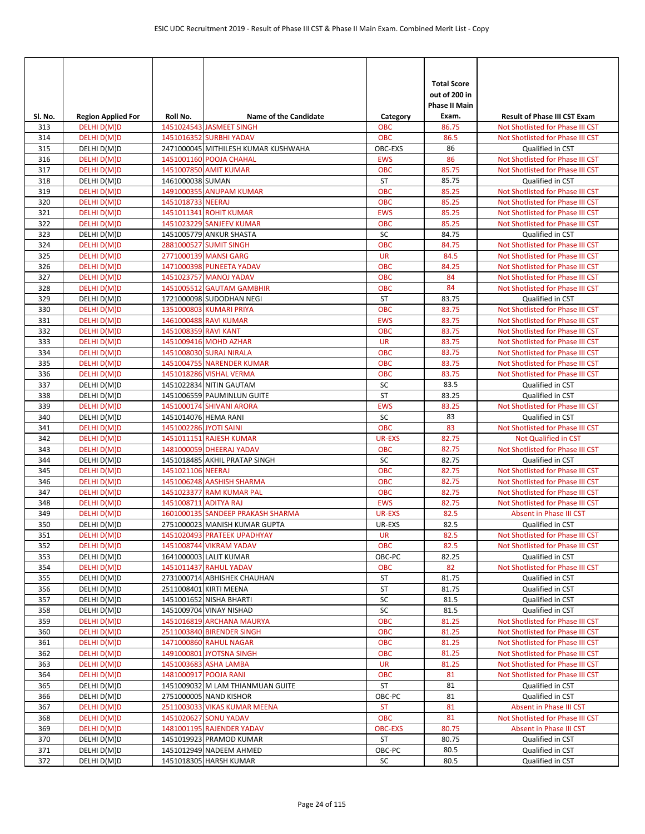|            |                            |                        |                                                       |                          | <b>Total Score</b>            |                                                                      |
|------------|----------------------------|------------------------|-------------------------------------------------------|--------------------------|-------------------------------|----------------------------------------------------------------------|
|            |                            |                        |                                                       |                          | out of 200 in                 |                                                                      |
| SI. No.    | <b>Region Applied For</b>  | Roll No.               | <b>Name of the Candidate</b>                          | Category                 | <b>Phase II Main</b><br>Exam. | <b>Result of Phase III CST Exam</b>                                  |
| 313        | DELHI D(M)D                |                        | 1451024543 JASMEET SINGH                              | <b>OBC</b>               | 86.75                         | Not Shotlisted for Phase III CST                                     |
| 314        | DELHI D(M)D                |                        | 1451016352 SURBHI YADAV                               | <b>OBC</b>               | 86.5                          | Not Shotlisted for Phase III CST                                     |
| 315        | DELHI D(M)D                |                        | 2471000045 MITHILESH KUMAR KUSHWAHA                   | OBC-EXS                  | 86                            | Qualified in CST                                                     |
| 316        | DELHI D(M)D                |                        | 1451001160 POOJA CHAHAL                               | <b>EWS</b>               | 86                            | Not Shotlisted for Phase III CST                                     |
| 317        | DELHI D(M)D                |                        | 1451007850 AMIT KUMAR                                 | <b>OBC</b>               | 85.75                         | Not Shotlisted for Phase III CST                                     |
| 318        | DELHI D(M)D                | 1461000038 SUMAN       |                                                       | <b>ST</b>                | 85.75                         | Qualified in CST                                                     |
| 319        | DELHI D(M)D                |                        | 1491000355 ANUPAM KUMAR                               | <b>OBC</b>               | 85.25                         | Not Shotlisted for Phase III CST                                     |
| 320        | DELHI D(M)D                | 1451018733 NEERAJ      |                                                       | <b>OBC</b>               | 85.25                         | Not Shotlisted for Phase III CST                                     |
| 321        | DELHI D(M)D                |                        | 1451011341 ROHIT KUMAR                                | <b>EWS</b>               | 85.25                         | Not Shotlisted for Phase III CST                                     |
| 322        | DELHI D(M)D                |                        | 1451023229 SANJEEV KUMAR                              | <b>OBC</b>               | 85.25                         | Not Shotlisted for Phase III CST                                     |
| 323        | DELHI D(M)D                |                        | 1451005779 ANKUR SHASTA                               | SC                       | 84.75                         | Qualified in CST                                                     |
| 324<br>325 | DELHI D(M)D                |                        | 2881000527 SUMIT SINGH<br>2771000139 MANSI GARG       | <b>OBC</b><br><b>UR</b>  | 84.75<br>84.5                 | Not Shotlisted for Phase III CST<br>Not Shotlisted for Phase III CST |
| 326        | DELHI D(M)D<br>DELHI D(M)D |                        | 1471000398 PUNEETA YADAV                              | <b>OBC</b>               | 84.25                         | Not Shotlisted for Phase III CST                                     |
| 327        | DELHI D(M)D                |                        | 1451023757 MANOJ YADAV                                | <b>OBC</b>               | 84                            | Not Shotlisted for Phase III CST                                     |
| 328        | DELHI D(M)D                |                        | 1451005512 GAUTAM GAMBHIR                             | <b>OBC</b>               | 84                            | Not Shotlisted for Phase III CST                                     |
| 329        | DELHI D(M)D                |                        | 1721000098 SUDODHAN NEGI                              | ST                       | 83.75                         | Qualified in CST                                                     |
| 330        | DELHI D(M)D                |                        | 1351000803 KUMARI PRIYA                               | <b>OBC</b>               | 83.75                         | Not Shotlisted for Phase III CST                                     |
| 331        | DELHI D(M)D                |                        | 1461000488 RAVI KUMAR                                 | <b>EWS</b>               | 83.75                         | Not Shotlisted for Phase III CST                                     |
| 332        | DELHI D(M)D                | 1451008359 RAVI KANT   |                                                       | <b>OBC</b>               | 83.75                         | Not Shotlisted for Phase III CST                                     |
| 333        | DELHI D(M)D                |                        | 1451009416 MOHD AZHAR                                 | <b>UR</b>                | 83.75                         | Not Shotlisted for Phase III CST                                     |
| 334        | DELHI D(M)D                |                        | 1451008030 SURAJ NIRALA                               | <b>OBC</b>               | 83.75                         | Not Shotlisted for Phase III CST                                     |
| 335        | DELHI D(M)D                |                        | 1451004755 NARENDER KUMAR                             | <b>OBC</b>               | 83.75                         | Not Shotlisted for Phase III CST                                     |
| 336        | DELHI D(M)D                |                        | 1451018286 VISHAL VERMA                               | <b>OBC</b>               | 83.75                         | Not Shotlisted for Phase III CST                                     |
| 337        | DELHI D(M)D                |                        | 1451022834 NITIN GAUTAM                               | SC                       | 83.5                          | Qualified in CST                                                     |
| 338        | DELHI D(M)D                |                        | 1451006559 PAUMINLUN GUITE                            | <b>ST</b>                | 83.25                         | Qualified in CST                                                     |
| 339        | DELHI D(M)D                |                        | 1451000174 SHIVANI ARORA                              | <b>EWS</b>               | 83.25                         | Not Shotlisted for Phase III CST                                     |
| 340        | DELHI D(M)D                | 1451014076 HEMA RANI   |                                                       | SC                       | 83                            | Qualified in CST                                                     |
| 341        | DELHI D(M)D                | 1451002286 JYOTI SAINI |                                                       | <b>OBC</b>               | 83                            | Not Shotlisted for Phase III CST                                     |
| 342        | DELHI D(M)D                |                        | 1451011151 RAJESH KUMAR                               | <b>UR-EXS</b>            | 82.75                         | <b>Not Qualified in CST</b>                                          |
| 343        | DELHI D(M)D                |                        | 1481000059 DHEERAJ YADAV                              | <b>OBC</b>               | 82.75                         | Not Shotlisted for Phase III CST                                     |
| 344        | DELHI D(M)D                |                        | 1451018485 AKHIL PRATAP SINGH                         | SC                       | 82.75                         | Qualified in CST                                                     |
| 345        | DELHI D(M)D                | 1451021106 NEERAJ      |                                                       | <b>OBC</b>               | 82.75                         | Not Shotlisted for Phase III CST                                     |
| 346        | DELHI D(M)D                |                        | 1451006248 AASHISH SHARMA<br>1451023377 RAM KUMAR PAL | <b>OBC</b><br><b>OBC</b> | 82.75<br>82.75                | Not Shotlisted for Phase III CST                                     |
| 347<br>348 | DELHI D(M)D<br>DELHI D(M)D | 1451008711 ADITYA RAJ  |                                                       | <b>EWS</b>               | 82.75                         | Not Shotlisted for Phase III CST<br>Not Shotlisted for Phase III CST |
| 349        | DELHI D(M)D                |                        | 1601000135 SANDEEP PRAKASH SHARMA                     | UR-EXS                   | 82.5                          | Absent in Phase III CST                                              |
| 350        | DELHI D(M)D                |                        | 2751000023 MANISH KUMAR GUPTA                         | UR-EXS                   | 82.5                          | Qualified in CST                                                     |
| 351        | DELHI D(M)D                |                        | 1451020493 PRATEEK UPADHYAY                           | UR                       | 82.5                          | Not Shotlisted for Phase III CST                                     |
| 352        | DELHI D(M)D                |                        | 1451008744 VIKRAM YADAV                               | <b>OBC</b>               | 82.5                          | Not Shotlisted for Phase III CST                                     |
| 353        | DELHI D(M)D                |                        | 1641000003 LALIT KUMAR                                | OBC-PC                   | 82.25                         | Qualified in CST                                                     |
| 354        | DELHI D(M)D                |                        | 1451011437 RAHUL YADAV                                | <b>OBC</b>               | 82                            | Not Shotlisted for Phase III CST                                     |
| 355        | DELHI D(M)D                |                        | 2731000714 ABHISHEK CHAUHAN                           | ST                       | 81.75                         | Qualified in CST                                                     |
| 356        | DELHI D(M)D                |                        | 2511008401 KIRTI MEENA                                | ST                       | 81.75                         | Qualified in CST                                                     |
| 357        | DELHI D(M)D                |                        | 1451001652 NISHA BHARTI                               | SC                       | 81.5                          | Qualified in CST                                                     |
| 358        | DELHI D(M)D                |                        | 1451009704 VINAY NISHAD                               | SC                       | 81.5                          | Qualified in CST                                                     |
| 359        | DELHI D(M)D                |                        | 1451016819 ARCHANA MAURYA                             | OBC                      | 81.25                         | Not Shotlisted for Phase III CST                                     |
| 360        | DELHI D(M)D                |                        | 2511003840 BIRENDER SINGH                             | <b>OBC</b>               | 81.25                         | Not Shotlisted for Phase III CST                                     |
| 361        | DELHI D(M)D                |                        | 1471000860 RAHUL NAGAR                                | <b>OBC</b>               | 81.25                         | Not Shotlisted for Phase III CST                                     |
| 362        | DELHI D(M)D                |                        | 1491000801 JYOTSNA SINGH                              | <b>OBC</b>               | 81.25                         | Not Shotlisted for Phase III CST                                     |
| 363        | DELHI D(M)D                |                        | 1451003683 ASHA LAMBA                                 | <b>UR</b>                | 81.25                         | Not Shotlisted for Phase III CST                                     |
| 364        | DELHI D(M)D                |                        | 1481000917 POOJA RANI                                 | <b>OBC</b>               | 81                            | Not Shotlisted for Phase III CST                                     |
| 365        | DELHI D(M)D                |                        | 1451009032 M LAM THIANMUAN GUITE                      | ST                       | 81                            | Qualified in CST                                                     |
| 366        | DELHI D(M)D                |                        | 2751000005 NAND KISHOR                                | OBC-PC                   | 81                            | Qualified in CST                                                     |
| 367<br>368 | DELHI D(M)D<br>DELHI D(M)D |                        | 2511003033 VIKAS KUMAR MEENA<br>1451020627 SONU YADAV | <b>ST</b><br><b>OBC</b>  | 81<br>81                      | Absent in Phase III CST<br>Not Shotlisted for Phase III CST          |
| 369        | DELHI D(M)D                |                        | 1481001195 RAJENDER YADAV                             | <b>OBC-EXS</b>           | 80.75                         | Absent in Phase III CST                                              |
| 370        | DELHI D(M)D                |                        | 1451019923 PRAMOD KUMAR                               | ST                       | 80.75                         | Qualified in CST                                                     |
| 371        | DELHI D(M)D                |                        | 1451012949 NADEEM AHMED                               | OBC-PC                   | 80.5                          | Qualified in CST                                                     |
| 372        | DELHI D(M)D                |                        | 1451018305 HARSH KUMAR                                | SC                       | 80.5                          | Qualified in CST                                                     |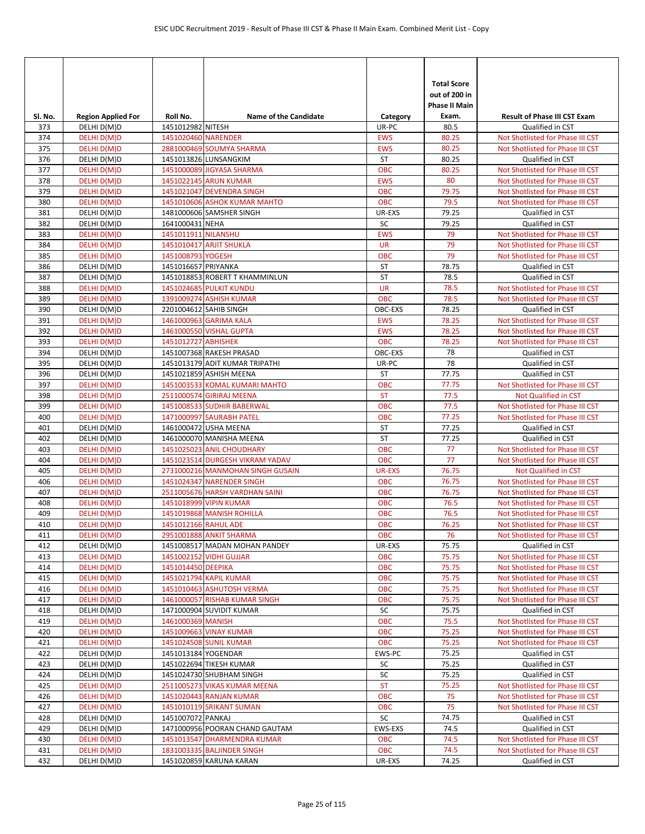| SI. No.    | <b>Region Applied For</b>  | Roll No.             | <b>Name of the Candidate</b>                                        | Category                    | <b>Total Score</b><br>out of 200 in<br><b>Phase II Main</b><br>Exam. | <b>Result of Phase III CST Exam</b>                      |
|------------|----------------------------|----------------------|---------------------------------------------------------------------|-----------------------------|----------------------------------------------------------------------|----------------------------------------------------------|
| 373        | DELHI D(M)D                | 1451012982 NITESH    |                                                                     | UR-PC                       | 80.5                                                                 | Qualified in CST                                         |
| 374        | DELHI D(M)D                | 1451020460 NARENDER  |                                                                     | <b>EWS</b>                  | 80.25                                                                | Not Shotlisted for Phase III CST                         |
| 375        | DELHI D(M)D                |                      | 2881000469 SOUMYA SHARMA                                            | <b>EWS</b>                  | 80.25                                                                | Not Shotlisted for Phase III CST                         |
| 376        | DELHI D(M)D                |                      | 1451013826 LUNSANGKIM                                               | ST                          | 80.25                                                                | Qualified in CST                                         |
| 377        | DELHI D(M)D                |                      | 1451000089 JIGYASA SHARMA                                           | <b>OBC</b>                  | 80.25                                                                | Not Shotlisted for Phase III CST                         |
| 378        | DELHI D(M)D                |                      | 1451022145 ARUN KUMAR                                               | <b>EWS</b>                  | 80                                                                   | Not Shotlisted for Phase III CST                         |
| 379        | DELHI D(M)D                |                      | 1451021047 DEVENDRA SINGH                                           | <b>OBC</b>                  | 79.75                                                                | Not Shotlisted for Phase III CST                         |
| 380<br>381 | DELHI D(M)D<br>DELHI D(M)D |                      | 1451010606 ASHOK KUMAR MAHTO<br>1481000606 SAMSHER SINGH            | OBC<br>UR-EXS               | 79.5<br>79.25                                                        | Not Shotlisted for Phase III CST<br>Qualified in CST     |
| 382        | DELHI D(M)D                | 1641000431 NEHA      |                                                                     | SC                          | 79.25                                                                | Qualified in CST                                         |
| 383        | DELHI D(M)D                | 1451011911 NILANSHU  |                                                                     | <b>EWS</b>                  | 79                                                                   | Not Shotlisted for Phase III CST                         |
| 384        | DELHI D(M)D                |                      | 1451010417 ARJIT SHUKLA                                             | <b>UR</b>                   | 79                                                                   | Not Shotlisted for Phase III CST                         |
| 385        | DELHI D(M)D                | 1451008793 YOGESH    |                                                                     | <b>OBC</b>                  | 79                                                                   | Not Shotlisted for Phase III CST                         |
| 386        | DELHI D(M)D                | 1451016657 PRIYANKA  |                                                                     | ST                          | 78.75                                                                | Qualified in CST                                         |
| 387        | DELHI D(M)D                |                      | 1451018853 ROBERT T KHAMMINLUN                                      | ST                          | 78.5                                                                 | Qualified in CST                                         |
| 388        | DELHI D(M)D                |                      | 1451024685 PULKIT KUNDU                                             | <b>UR</b>                   | 78.5                                                                 | Not Shotlisted for Phase III CST                         |
| 389        | DELHI D(M)D                |                      | 1391009274 ASHISH KUMAR                                             | <b>OBC</b>                  | 78.5                                                                 | Not Shotlisted for Phase III CST                         |
| 390        | DELHI D(M)D                |                      | 2201004612 SAHIB SINGH                                              | OBC-EXS                     | 78.25                                                                | Qualified in CST                                         |
| 391        | DELHI D(M)D                |                      | 1461000963 GARIMA KALA                                              | <b>EWS</b>                  | 78.25                                                                | Not Shotlisted for Phase III CST                         |
| 392        | DELHI D(M)D                |                      | 1461000550 VISHAL GUPTA                                             | <b>EWS</b>                  | 78.25                                                                | Not Shotlisted for Phase III CST                         |
| 393        | DELHI D(M)D                | 1451012727 ABHISHEK  |                                                                     | <b>OBC</b>                  | 78.25                                                                | Not Shotlisted for Phase III CST                         |
| 394        | DELHI D(M)D                |                      | 1451007368 RAKESH PRASAD                                            | OBC-EXS                     | 78                                                                   | Qualified in CST                                         |
| 395        | DELHI D(M)D                |                      | 1451013179 ADIT KUMAR TRIPATHI                                      | UR-PC                       | 78                                                                   | Qualified in CST                                         |
| 396        | DELHI D(M)D                |                      | 1451021859 ASHISH MEENA                                             | <b>ST</b>                   | 77.75                                                                | Qualified in CST                                         |
| 397        | DELHI D(M)D                |                      | 1451003533 KOMAL KUMARI MAHTO                                       | <b>OBC</b>                  | 77.75                                                                | Not Shotlisted for Phase III CST                         |
| 398        | DELHI D(M)D                |                      | 2511000574 GIRIRAJ MEENA                                            | <b>ST</b>                   | 77.5                                                                 | Not Qualified in CST                                     |
| 399        | DELHI D(M)D                |                      | 1451008533 SUDHIR BABERWAL                                          | <b>OBC</b>                  | 77.5                                                                 | Not Shotlisted for Phase III CST                         |
| 400        | DELHI D(M)D                |                      | 1471000997 SAURABH PATEL                                            | <b>OBC</b>                  | 77.25                                                                | Not Shotlisted for Phase III CST                         |
| 401        | DELHI D(M)D                |                      | 1461000472 USHA MEENA                                               | <b>ST</b>                   | 77.25                                                                | Qualified in CST                                         |
| 402        | DELHI D(M)D                |                      | 1461000070 MANISHA MEENA                                            | ST                          | 77.25                                                                | Qualified in CST                                         |
| 403        | DELHI D(M)D                |                      | 1451025023 ANIL CHOUDHARY                                           | <b>OBC</b>                  | 77<br>77                                                             | Not Shotlisted for Phase III CST                         |
| 404<br>405 | DELHI D(M)D<br>DELHI D(M)D |                      | 1451023514 DURGESH VIKRAM YADAV<br>2731000216 MANMOHAN SINGH GUSAIN | <b>OBC</b><br><b>UR-EXS</b> | 76.75                                                                | Not Shotlisted for Phase III CST<br>Not Qualified in CST |
| 406        | DELHI D(M)D                |                      | 1451024347 NARENDER SINGH                                           | <b>OBC</b>                  | 76.75                                                                | Not Shotlisted for Phase III CST                         |
| 407        | DELHI D(M)D                |                      | 2511005676 HARSH VARDHAN SAINI                                      | <b>OBC</b>                  | 76.75                                                                | Not Shotlisted for Phase III CST                         |
| 408        | DELHI D(M)D                |                      | 1451018999 VIPIN KUMAR                                              | <b>OBC</b>                  | 76.5                                                                 | Not Shotlisted for Phase III CST                         |
| 409        | DELHI D(M)D                |                      | 1451019868 MANISH ROHILLA                                           | <b>OBC</b>                  | 76.5                                                                 | Not Shotlisted for Phase III CST                         |
| 410        | DELHI D(M)D                | 1451012166 RAHUL ADE |                                                                     | <b>OBC</b>                  | 76.25                                                                | Not Shotlisted for Phase III CST                         |
| 411        | DELHI D(M)D                |                      | 2951001888 ANKIT SHARMA                                             | <b>OBC</b>                  | 76                                                                   | Not Shotlisted for Phase III CST                         |
| 412        | DELHI D(M)D                |                      | 1451008517 MADAN MOHAN PANDEY                                       | UR-EXS                      | 75.75                                                                | Qualified in CST                                         |
| 413        | DELHI D(M)D                |                      | 1451002152 VIDHI GUJJAR                                             | <b>OBC</b>                  | 75.75                                                                | Not Shotlisted for Phase III CST                         |
| 414        | DELHI D(M)D                | 1451014450 DEEPIKA   |                                                                     | <b>OBC</b>                  | 75.75                                                                | Not Shotlisted for Phase III CST                         |
| 415        | DELHI D(M)D                |                      | 1451021794 KAPIL KUMAR                                              | <b>OBC</b>                  | 75.75                                                                | Not Shotlisted for Phase III CST                         |
| 416        | DELHI D(M)D                |                      | 1451010463 ASHUTOSH VERMA                                           | OBC                         | 75.75                                                                | Not Shotlisted for Phase III CST                         |
| 417        | DELHI D(M)D                |                      | 1461000057 RISHAB KUMAR SINGH                                       | OBC                         | 75.75                                                                | Not Shotlisted for Phase III CST                         |
| 418        | DELHI D(M)D                |                      | 1471000904 SUVIDIT KUMAR                                            | SC                          | 75.75                                                                | Qualified in CST                                         |
| 419        | DELHI D(M)D                | 1461000369 MANISH    |                                                                     | <b>OBC</b>                  | 75.5                                                                 | Not Shotlisted for Phase III CST                         |
| 420        | DELHI D(M)D                |                      | 1451009663 VINAY KUMAR                                              | <b>OBC</b>                  | 75.25                                                                | Not Shotlisted for Phase III CST                         |
| 421        | DELHI D(M)D                |                      | 1451024508 SUNIL KUMAR                                              | <b>OBC</b>                  | 75.25                                                                | Not Shotlisted for Phase III CST                         |
| 422        | DELHI D(M)D                | 1451013184 YOGENDAR  |                                                                     | EWS-PC                      | 75.25                                                                | Qualified in CST                                         |
| 423        | DELHI D(M)D                |                      | 1451022694 TIKESH KUMAR                                             | SC                          | 75.25                                                                | Qualified in CST                                         |
| 424        | DELHI D(M)D                |                      | 1451024730 SHUBHAM SINGH                                            | SC<br><b>ST</b>             | 75.25                                                                | Qualified in CST                                         |
| 425        | DELHI D(M)D                |                      | 2511005273 VIKAS KUMAR MEENA                                        |                             | 75.25<br>75                                                          | Not Shotlisted for Phase III CST                         |
| 426<br>427 | DELHI D(M)D                |                      | 1451020443 RANJAN KUMAR<br>1451010119 SRIKANT SUMAN                 | OBC<br><b>OBC</b>           | 75                                                                   | Not Shotlisted for Phase III CST                         |
| 428        | DELHI D(M)D<br>DELHI D(M)D | 1451007072 PANKAJ    |                                                                     | SC                          | 74.75                                                                | Not Shotlisted for Phase III CST<br>Qualified in CST     |
| 429        | DELHI D(M)D                |                      | 1471000956 POORAN CHAND GAUTAM                                      | EWS-EXS                     | 74.5                                                                 | Qualified in CST                                         |
| 430        | DELHI D(M)D                |                      | 1451013547 DHARMENDRA KUMAR                                         | <b>OBC</b>                  | 74.5                                                                 | Not Shotlisted for Phase III CST                         |
| 431        | DELHI D(M)D                |                      | 1831003335 BALJINDER SINGH                                          | <b>OBC</b>                  | 74.5                                                                 | Not Shotlisted for Phase III CST                         |
| 432        | DELHI D(M)D                |                      | 1451020859 KARUNA KARAN                                             | UR-EXS                      | 74.25                                                                | Qualified in CST                                         |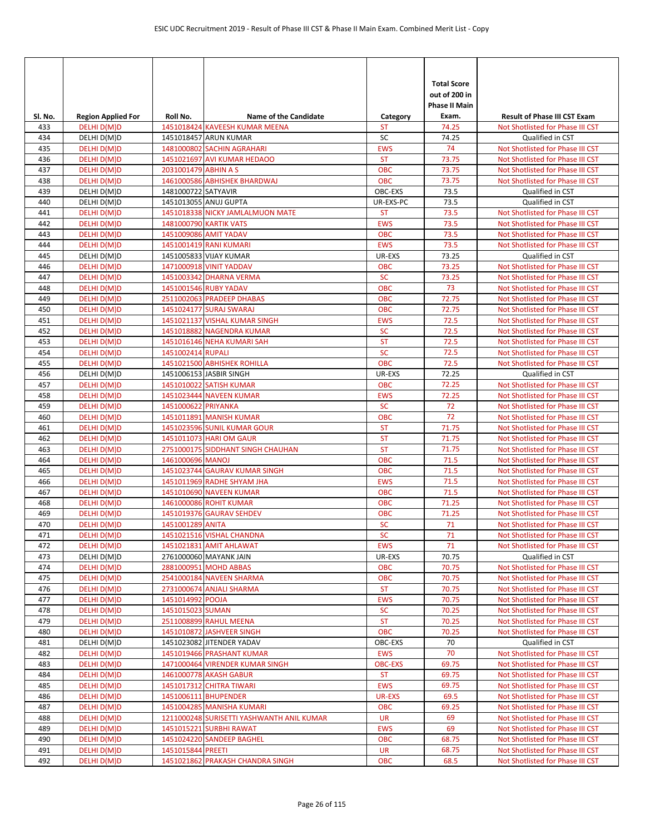| SI. No. | <b>Region Applied For</b> | Roll No.             | <b>Name of the Candidate</b>              | Category       | <b>Total Score</b><br>out of 200 in<br><b>Phase II Main</b><br>Exam. | <b>Result of Phase III CST Exam</b> |
|---------|---------------------------|----------------------|-------------------------------------------|----------------|----------------------------------------------------------------------|-------------------------------------|
| 433     | DELHI D(M)D               |                      | 1451018424 KAVEESH KUMAR MEENA            | <b>ST</b>      | 74.25                                                                | Not Shotlisted for Phase III CST    |
| 434     | DELHI D(M)D               |                      | 1451018457 ARUN KUMAR                     | SC             | 74.25                                                                | Qualified in CST                    |
| 435     | DELHI D(M)D               |                      | 1481000802 SACHIN AGRAHARI                | <b>EWS</b>     | 74                                                                   | Not Shotlisted for Phase III CST    |
| 436     | DELHI D(M)D               |                      | 1451021697 AVI KUMAR HEDAOO               | <b>ST</b>      | 73.75                                                                | Not Shotlisted for Phase III CST    |
| 437     | DELHI D(M)D               | 2031001479 ABHIN A S |                                           | <b>OBC</b>     | 73.75                                                                | Not Shotlisted for Phase III CST    |
| 438     | DELHI D(M)D               |                      | 1461000586 ABHISHEK BHARDWAJ              | <b>OBC</b>     | 73.75                                                                | Not Shotlisted for Phase III CST    |
| 439     | DELHI D(M)D               | 1481000722 SATYAVIR  |                                           | OBC-EXS        | 73.5                                                                 | Qualified in CST                    |
| 440     | DELHI D(M)D               |                      | 1451013055 ANUJ GUPTA                     | UR-EXS-PC      | 73.5                                                                 | Qualified in CST                    |
| 441     | DELHI D(M)D               |                      | 1451018338 NICKY JAMLALMUON MATE          | <b>ST</b>      | 73.5                                                                 | Not Shotlisted for Phase III CST    |
| 442     | DELHI D(M)D               |                      | 1481000790 KARTIK VATS                    | <b>EWS</b>     | 73.5                                                                 | Not Shotlisted for Phase III CST    |
| 443     | DELHI D(M)D               |                      | 1451009086 AMIT YADAV                     | <b>OBC</b>     | 73.5                                                                 | Not Shotlisted for Phase III CST    |
| 444     | DELHI D(M)D               |                      | 1451001419 RANI KUMARI                    | <b>EWS</b>     | 73.5                                                                 | Not Shotlisted for Phase III CST    |
| 445     | DELHI D(M)D               |                      | 1451005833 VIJAY KUMAR                    | UR-EXS         | 73.25                                                                | Qualified in CST                    |
| 446     | DELHI D(M)D               |                      | 1471000918 VINIT YADDAV                   | <b>OBC</b>     | 73.25                                                                | Not Shotlisted for Phase III CST    |
| 447     | DELHI D(M)D               |                      | 1451003342 DHARNA VERMA                   | <b>SC</b>      | 73.25                                                                | Not Shotlisted for Phase III CST    |
| 448     | DELHI D(M)D               |                      | 1451001546 RUBY YADAV                     | <b>OBC</b>     | 73                                                                   | Not Shotlisted for Phase III CST    |
| 449     | DELHI D(M)D               |                      | 2511002063 PRADEEP DHABAS                 | <b>OBC</b>     | 72.75                                                                | Not Shotlisted for Phase III CST    |
| 450     | DELHI D(M)D               |                      | 1451024177 SURAJ SWARAJ                   | <b>OBC</b>     | 72.75                                                                | Not Shotlisted for Phase III CST    |
| 451     | DELHI D(M)D               |                      | 1451021137 VISHAL KUMAR SINGH             | <b>EWS</b>     | 72.5                                                                 | Not Shotlisted for Phase III CST    |
| 452     | DELHI D(M)D               |                      | 1451018882 NAGENDRA KUMAR                 | <b>SC</b>      | 72.5                                                                 | Not Shotlisted for Phase III CST    |
| 453     | DELHI D(M)D               |                      | 1451016146 NEHA KUMARI SAH                | <b>ST</b>      | 72.5                                                                 | Not Shotlisted for Phase III CST    |
| 454     | DELHI D(M)D               | 1451002414 RUPALI    |                                           | <b>SC</b>      | 72.5                                                                 | Not Shotlisted for Phase III CST    |
| 455     | DELHI D(M)D               |                      | 1451021500 ABHISHEK ROHILLA               | <b>OBC</b>     | 72.5                                                                 | Not Shotlisted for Phase III CST    |
| 456     | DELHI D(M)D               |                      | 1451006153 JASBIR SINGH                   | UR-EXS         | 72.25                                                                | Qualified in CST                    |
| 457     | DELHI D(M)D               |                      | 1451010022 SATISH KUMAR                   | <b>OBC</b>     | 72.25                                                                | Not Shotlisted for Phase III CST    |
| 458     | DELHI D(M)D               |                      | 1451023444 NAVEEN KUMAR                   | <b>EWS</b>     | 72.25                                                                | Not Shotlisted for Phase III CST    |
| 459     | DELHI D(M)D               | 1451000622 PRIYANKA  |                                           | <b>SC</b>      | 72                                                                   | Not Shotlisted for Phase III CST    |
| 460     | DELHI D(M)D               |                      | 1451011891 MANISH KUMAR                   | <b>OBC</b>     | 72                                                                   | Not Shotlisted for Phase III CST    |
| 461     | DELHI D(M)D               |                      | 1451023596 SUNIL KUMAR GOUR               | <b>ST</b>      | 71.75                                                                | Not Shotlisted for Phase III CST    |
| 462     | DELHI D(M)D               |                      | 1451011073 HARI OM GAUR                   | <b>ST</b>      | 71.75                                                                | Not Shotlisted for Phase III CST    |
| 463     | DELHI D(M)D               |                      | 2751000175 SIDDHANT SINGH CHAUHAN         | <b>ST</b>      | 71.75                                                                | Not Shotlisted for Phase III CST    |
| 464     | DELHI D(M)D               | 1461000696 MANOJ     |                                           | <b>OBC</b>     | 71.5                                                                 | Not Shotlisted for Phase III CST    |
| 465     | DELHI D(M)D               |                      | 1451023744 GAURAV KUMAR SINGH             | <b>OBC</b>     | 71.5                                                                 | Not Shotlisted for Phase III CST    |
| 466     | DELHI D(M)D               |                      | 1451011969 RADHE SHYAM JHA                | <b>EWS</b>     | 71.5                                                                 | Not Shotlisted for Phase III CST    |
| 467     | DELHI D(M)D               |                      | 1451010690 NAVEEN KUMAR                   | <b>OBC</b>     | 71.5                                                                 | Not Shotlisted for Phase III CST    |
| 468     | DELHI D(M)D               |                      | 1461000086 ROHIT KUMAR                    | <b>OBC</b>     | 71.25                                                                | Not Shotlisted for Phase III CST    |
| 469     | DELHI D(M)D               |                      | 1451019376 GAURAV SEHDEV                  | <b>OBC</b>     | 71.25                                                                | Not Shotlisted for Phase III CST    |
| 470     | DELHI D(M)D               | 1451001289 ANITA     |                                           | <b>SC</b>      | 71                                                                   | Not Shotlisted for Phase III CST    |
| 471     | DELHI D(M)D               |                      | 1451021516 VISHAL CHANDNA                 | <b>SC</b>      | 71                                                                   | Not Shotlisted for Phase III CST    |
| 472     | DELHI D(M)D               |                      | 1451021831 AMIT AHLAWAT                   | <b>EWS</b>     | 71                                                                   | Not Shotlisted for Phase III CST    |
| 473     | DELHI D(M)D               |                      | 2761000060 MAYANK JAIN                    | UR-EXS         | 70.75                                                                | Qualified in CST                    |
| 474     | DELHI D(M)D               |                      | 2881000951 MOHD ABBAS                     | <b>OBC</b>     | 70.75                                                                | Not Shotlisted for Phase III CST    |
| 475     | DELHI D(M)D               |                      | 2541000184 NAVEEN SHARMA                  | <b>OBC</b>     | 70.75                                                                | Not Shotlisted for Phase III CST    |
| 476     | DELHI D(M)D               |                      | 2731000674 ANJALI SHARMA                  | <b>ST</b>      | 70.75                                                                | Not Shotlisted for Phase III CST    |
| 477     | DELHI D(M)D               | 1451014992 POOJA     |                                           | <b>EWS</b>     | 70.75                                                                | Not Shotlisted for Phase III CST    |
| 478     | DELHI D(M)D               | 1451015023 SUMAN     |                                           | <b>SC</b>      | 70.25                                                                | Not Shotlisted for Phase III CST    |
| 479     | DELHI D(M)D               |                      | 2511008899 RAHUL MEENA                    | <b>ST</b>      | 70.25                                                                | Not Shotlisted for Phase III CST    |
| 480     | DELHI D(M)D               |                      | 1451010872 JASHVEER SINGH                 | OBC            | 70.25                                                                | Not Shotlisted for Phase III CST    |
| 481     | DELHI D(M)D               |                      | 1451023082 JITENDER YADAV                 | OBC-EXS        | 70                                                                   | Qualified in CST                    |
| 482     | DELHI D(M)D               |                      | 1451019466 PRASHANT KUMAR                 | <b>EWS</b>     | 70                                                                   | Not Shotlisted for Phase III CST    |
| 483     | DELHI D(M)D               |                      | 1471000464 VIRENDER KUMAR SINGH           | <b>OBC-EXS</b> | 69.75                                                                | Not Shotlisted for Phase III CST    |
| 484     | DELHI D(M)D               |                      | 1461000778 AKASH GABUR                    | <b>ST</b>      | 69.75                                                                | Not Shotlisted for Phase III CST    |
| 485     | DELHI D(M)D               |                      | 1451017312 CHITRA TIWARI                  | <b>EWS</b>     | 69.75                                                                | Not Shotlisted for Phase III CST    |
| 486     | DELHI D(M)D               |                      | 1451006111 BHUPENDER                      | UR-EXS         | 69.5                                                                 | Not Shotlisted for Phase III CST    |
| 487     | DELHI D(M)D               |                      | 1451004285 MANISHA KUMARI                 | <b>OBC</b>     | 69.25                                                                | Not Shotlisted for Phase III CST    |
| 488     | DELHI D(M)D               |                      | 1211000248 SURISETTI YASHWANTH ANIL KUMAR | <b>UR</b>      | 69                                                                   | Not Shotlisted for Phase III CST    |
| 489     | DELHI D(M)D               |                      | 1451015221 SURBHI RAWAT                   | <b>EWS</b>     | 69                                                                   | Not Shotlisted for Phase III CST    |
| 490     | DELHI D(M)D               |                      | 1451024220 SANDEEP BAGHEL                 | <b>OBC</b>     | 68.75                                                                | Not Shotlisted for Phase III CST    |
| 491     | DELHI D(M)D               | 1451015844 PREETI    |                                           | <b>UR</b>      | 68.75                                                                | Not Shotlisted for Phase III CST    |
| 492     | DELHI D(M)D               |                      | 1451021862 PRAKASH CHANDRA SINGH          | <b>OBC</b>     | 68.5                                                                 | Not Shotlisted for Phase III CST    |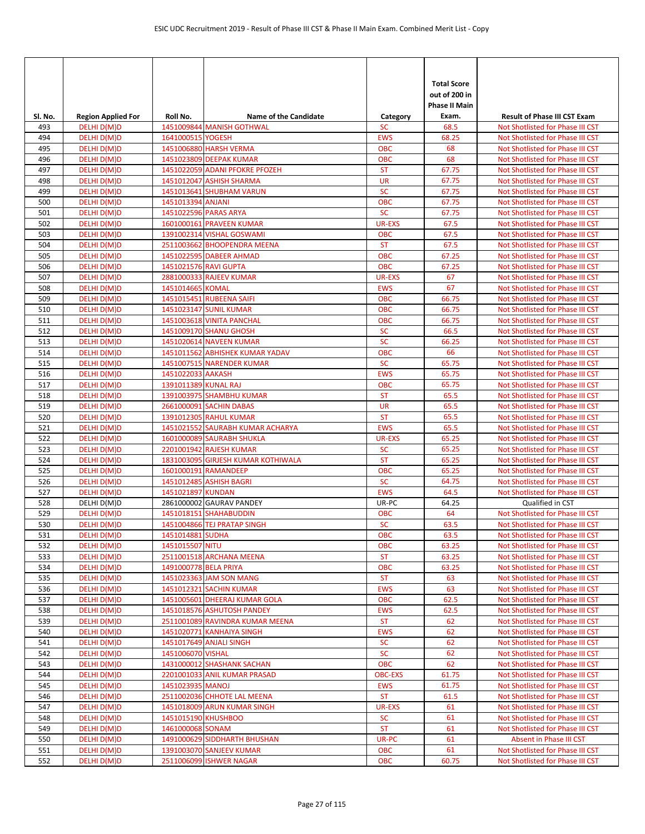| Sl. No.    | <b>Region Applied For</b>  | Roll No.              | <b>Name of the Candidate</b>                                  | Category                 | <b>Total Score</b><br>out of 200 in<br>Phase II Main<br>Exam. | <b>Result of Phase III CST Exam</b>                                  |
|------------|----------------------------|-----------------------|---------------------------------------------------------------|--------------------------|---------------------------------------------------------------|----------------------------------------------------------------------|
| 493        | DELHI D(M)D                |                       | 1451009844 MANISH GOTHWAL                                     | <b>SC</b>                | 68.5                                                          | Not Shotlisted for Phase III CST                                     |
| 494        | DELHI D(M)D                | 1641000515 YOGESH     |                                                               | <b>EWS</b>               | 68.25                                                         | Not Shotlisted for Phase III CST                                     |
| 495        | DELHI D(M)D                |                       | 1451006880 HARSH VERMA                                        | <b>OBC</b>               | 68                                                            | Not Shotlisted for Phase III CST                                     |
| 496        | DELHI D(M)D                |                       | 1451023809 DEEPAK KUMAR                                       | <b>OBC</b>               | 68                                                            | Not Shotlisted for Phase III CST                                     |
| 497        | DELHI D(M)D                |                       | 1451022059 ADANI PFOKRE PFOZEH                                | <b>ST</b>                | 67.75                                                         | Not Shotlisted for Phase III CST                                     |
| 498        | DELHI D(M)D                |                       | 1451012047 ASHISH SHARMA                                      | <b>UR</b>                | 67.75                                                         | Not Shotlisted for Phase III CST                                     |
| 499        | DELHI D(M)D                |                       | 1451013641 SHUBHAM VARUN                                      | <b>SC</b>                | 67.75                                                         | Not Shotlisted for Phase III CST                                     |
| 500        | DELHI D(M)D                | 1451013394 ANJANI     |                                                               | <b>OBC</b>               | 67.75                                                         | Not Shotlisted for Phase III CST                                     |
| 501        | DELHI D(M)D                |                       | 1451022596 PARAS ARYA                                         | <b>SC</b>                | 67.75                                                         | Not Shotlisted for Phase III CST                                     |
| 502        | DELHI D(M)D                |                       | 1601000161 PRAVEEN KUMAR                                      | <b>UR-EXS</b>            | 67.5                                                          | Not Shotlisted for Phase III CST                                     |
| 503        | DELHI D(M)D                |                       | 1391002314 VISHAL GOSWAMI                                     | <b>OBC</b>               | 67.5                                                          | Not Shotlisted for Phase III CST                                     |
| 504<br>505 | DELHI D(M)D<br>DELHI D(M)D |                       | 2511003662 BHOOPENDRA MEENA<br>1451022595 DABEER AHMAD        | <b>ST</b><br><b>OBC</b>  | 67.5<br>67.25                                                 | Not Shotlisted for Phase III CST                                     |
| 506        | DELHI D(M)D                | 1451021576 RAVI GUPTA |                                                               | <b>OBC</b>               | 67.25                                                         | Not Shotlisted for Phase III CST<br>Not Shotlisted for Phase III CST |
| 507        | DELHI D(M)D                |                       | 2881000333 RAJEEV KUMAR                                       | <b>UR-EXS</b>            | 67                                                            | Not Shotlisted for Phase III CST                                     |
| 508        | DELHI D(M)D                | 1451014665 KOMAL      |                                                               | <b>EWS</b>               | 67                                                            | Not Shotlisted for Phase III CST                                     |
| 509        | DELHI D(M)D                |                       | 1451015451 RUBEENA SAIFI                                      | <b>OBC</b>               | 66.75                                                         | Not Shotlisted for Phase III CST                                     |
| 510        | DELHI D(M)D                |                       | 1451023147 SUNIL KUMAR                                        | <b>OBC</b>               | 66.75                                                         | Not Shotlisted for Phase III CST                                     |
| 511        | DELHI D(M)D                |                       | 1451003618 VINITA PANCHAL                                     | <b>OBC</b>               | 66.75                                                         | Not Shotlisted for Phase III CST                                     |
| 512        | DELHI D(M)D                |                       | 1451009170 SHANU GHOSH                                        | <b>SC</b>                | 66.5                                                          | Not Shotlisted for Phase III CST                                     |
| 513        | DELHI D(M)D                |                       | 1451020614 NAVEEN KUMAR                                       | <b>SC</b>                | 66.25                                                         | Not Shotlisted for Phase III CST                                     |
| 514        | DELHI D(M)D                |                       | 1451011562 ABHISHEK KUMAR YADAV                               | <b>OBC</b>               | 66                                                            | Not Shotlisted for Phase III CST                                     |
| 515        | DELHI D(M)D                |                       | 1451007515 NARENDER KUMAR                                     | <b>SC</b>                | 65.75                                                         | Not Shotlisted for Phase III CST                                     |
| 516        | DELHI D(M)D                | 1451022033 AAKASH     |                                                               | <b>EWS</b>               | 65.75                                                         | Not Shotlisted for Phase III CST                                     |
| 517        | DELHI D(M)D                | 1391011389 KUNAL RAJ  |                                                               | <b>OBC</b>               | 65.75                                                         | Not Shotlisted for Phase III CST                                     |
| 518        | DELHI D(M)D                |                       | 1391003975 SHAMBHU KUMAR                                      | <b>ST</b>                | 65.5                                                          | Not Shotlisted for Phase III CST                                     |
| 519        | DELHI D(M)D                |                       | 2661000091 SACHIN DABAS                                       | <b>UR</b>                | 65.5                                                          | Not Shotlisted for Phase III CST                                     |
| 520        | DELHI D(M)D                |                       | 1391012305 RAHUL KUMAR                                        | <b>ST</b>                | 65.5                                                          | Not Shotlisted for Phase III CST                                     |
| 521        | DELHI D(M)D                |                       | 1451021552 SAURABH KUMAR ACHARYA                              | <b>EWS</b>               | 65.5                                                          | Not Shotlisted for Phase III CST                                     |
| 522        | DELHI D(M)D                |                       | 1601000089 SAURABH SHUKLA                                     | <b>UR-EXS</b>            | 65.25                                                         | Not Shotlisted for Phase III CST                                     |
| 523<br>524 | DELHI D(M)D<br>DELHI D(M)D |                       | 2201001942 RAJESH KUMAR<br>1831003095 GIRJESH KUMAR KOTHIWALA | <b>SC</b><br><b>ST</b>   | 65.25<br>65.25                                                | Not Shotlisted for Phase III CST<br>Not Shotlisted for Phase III CST |
| 525        | DELHI D(M)D                |                       | 1601000191 RAMANDEEP                                          | <b>OBC</b>               | 65.25                                                         | Not Shotlisted for Phase III CST                                     |
| 526        | DELHI D(M)D                |                       | 1451012485 ASHISH BAGRI                                       | <b>SC</b>                | 64.75                                                         | Not Shotlisted for Phase III CST                                     |
| 527        | DELHI D(M)D                | 1451021897 KUNDAN     |                                                               | <b>EWS</b>               | 64.5                                                          | Not Shotlisted for Phase III CST                                     |
| 528        | DELHI D(M)D                |                       | 2861000002 GAURAV PANDEY                                      | UR-PC                    | 64.25                                                         | Qualified in CST                                                     |
| 529        | DELHI D(M)D                |                       | 1451018151 SHAHABUDDIN                                        | <b>OBC</b>               | 64                                                            | Not Shotlisted for Phase III CST                                     |
| 530        | DELHI D(M)D                |                       | 1451004866 TEJ PRATAP SINGH                                   | <b>SC</b>                | 63.5                                                          | Not Shotlisted for Phase III CST                                     |
| 531        | DELHI D(M)D                | 1451014881 SUDHA      |                                                               | <b>OBC</b>               | 63.5                                                          | Not Shotlisted for Phase III CST                                     |
| 532        | DELHI D(M)D                | 1451015507 NITU       |                                                               | <b>OBC</b>               | 63.25                                                         | Not Shotlisted for Phase III CST                                     |
| 533        | DELHI D(M)D                |                       | 2511001518 ARCHANA MEENA                                      | <b>ST</b>                | 63.25                                                         | Not Shotlisted for Phase III CST                                     |
| 534        | DELHI D(M)D                | 1491000778 BELA PRIYA |                                                               | <b>OBC</b>               | 63.25                                                         | Not Shotlisted for Phase III CST                                     |
| 535        | DELHI D(M)D                |                       | 1451023363 JAM SON MANG                                       | <b>ST</b>                | 63                                                            | Not Shotlisted for Phase III CST                                     |
| 536        | DELHI D(M)D                |                       | 1451012321 SACHIN KUMAR                                       | <b>EWS</b>               | 63                                                            | Not Shotlisted for Phase III CST                                     |
| 537<br>538 | DELHI D(M)D<br>DELHI D(M)D |                       | 1451005601 DHEERAJ KUMAR GOLA<br>1451018576 ASHUTOSH PANDEY   | <b>OBC</b><br><b>EWS</b> | 62.5                                                          | Not Shotlisted for Phase III CST<br>Not Shotlisted for Phase III CST |
| 539        | DELHI D(M)D                |                       | 2511001089 RAVINDRA KUMAR MEENA                               | <b>ST</b>                | 62.5<br>62                                                    | Not Shotlisted for Phase III CST                                     |
| 540        | DELHI D(M)D                |                       | 1451020771 KANHAIYA SINGH                                     | <b>EWS</b>               | 62                                                            | Not Shotlisted for Phase III CST                                     |
| 541        | DELHI D(M)D                |                       | 1451017649 ANJALI SINGH                                       | <b>SC</b>                | 62                                                            | Not Shotlisted for Phase III CST                                     |
| 542        | DELHI D(M)D                | 1451006070 VISHAL     |                                                               | <b>SC</b>                | 62                                                            | Not Shotlisted for Phase III CST                                     |
| 543        | DELHI D(M)D                |                       | 1431000012 SHASHANK SACHAN                                    | <b>OBC</b>               | 62                                                            | Not Shotlisted for Phase III CST                                     |
| 544        | DELHI D(M)D                |                       | 2201001033 ANIL KUMAR PRASAD                                  | <b>OBC-EXS</b>           | 61.75                                                         | Not Shotlisted for Phase III CST                                     |
| 545        | DELHI D(M)D                | 1451023935 MANOJ      |                                                               | <b>EWS</b>               | 61.75                                                         | Not Shotlisted for Phase III CST                                     |
| 546        | DELHI D(M)D                |                       | 2511002036 CHHOTE LAL MEENA                                   | <b>ST</b>                | 61.5                                                          | Not Shotlisted for Phase III CST                                     |
| 547        | DELHI D(M)D                |                       | 1451018009 ARUN KUMAR SINGH                                   | UR-EXS                   | 61                                                            | Not Shotlisted for Phase III CST                                     |
| 548        | DELHI D(M)D                | 1451015190 KHUSHBOO   |                                                               | <b>SC</b>                | 61                                                            | Not Shotlisted for Phase III CST                                     |
| 549        | DELHI D(M)D                | 1461000068 SONAM      |                                                               | <b>ST</b>                | 61                                                            | Not Shotlisted for Phase III CST                                     |
| 550        | DELHI D(M)D                |                       | 1491000629 SIDDHARTH BHUSHAN                                  | UR-PC                    | 61                                                            | Absent in Phase III CST                                              |
| 551        | DELHI D(M)D                |                       | 1391003070 SANJEEV KUMAR                                      | <b>OBC</b>               | 61                                                            | Not Shotlisted for Phase III CST                                     |
| 552        | DELHI D(M)D                |                       | 2511006099 ISHWER NAGAR                                       | <b>OBC</b>               | 60.75                                                         | Not Shotlisted for Phase III CST                                     |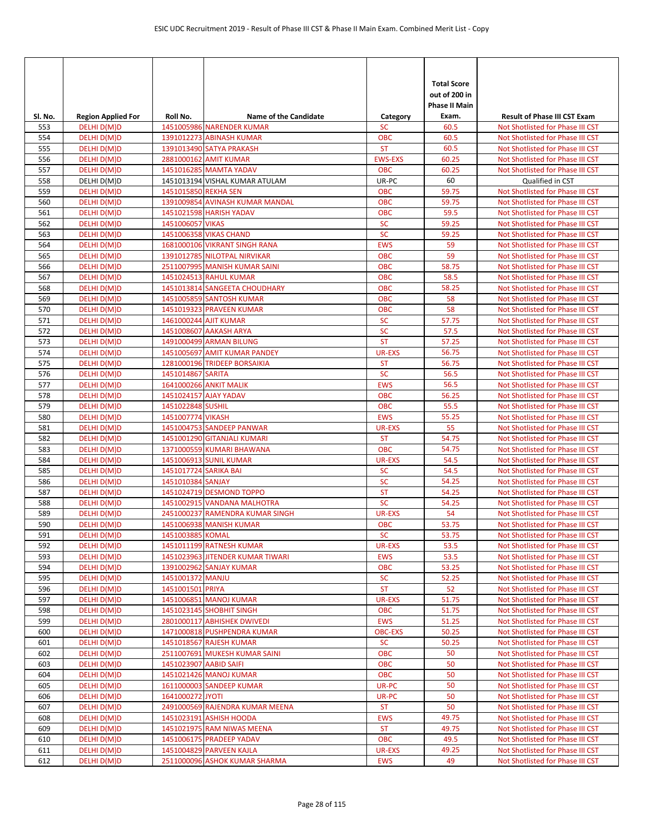| Sl. No.    | <b>Region Applied For</b>  | Roll No.                                   | <b>Name of the Candidate</b>                                  | Category                 | <b>Total Score</b><br>out of 200 in<br>Phase II Main<br>Exam. | <b>Result of Phase III CST Exam</b>                                  |
|------------|----------------------------|--------------------------------------------|---------------------------------------------------------------|--------------------------|---------------------------------------------------------------|----------------------------------------------------------------------|
| 553        | DELHI D(M)D                |                                            | 1451005986 NARENDER KUMAR                                     | <b>SC</b>                | 60.5                                                          | Not Shotlisted for Phase III CST                                     |
| 554        | DELHI D(M)D                |                                            | 1391012273 ABINASH KUMAR                                      | <b>OBC</b>               | 60.5                                                          | Not Shotlisted for Phase III CST                                     |
| 555        | DELHI D(M)D                |                                            | 1391013490 SATYA PRAKASH                                      | <b>ST</b>                | 60.5                                                          | Not Shotlisted for Phase III CST                                     |
| 556        | DELHI D(M)D                |                                            | 2881000162 AMIT KUMAR                                         | <b>EWS-EXS</b>           | 60.25                                                         | Not Shotlisted for Phase III CST                                     |
| 557        | DELHI D(M)D                |                                            | 1451016285 MAMTA YADAV                                        | <b>OBC</b>               | 60.25                                                         | Not Shotlisted for Phase III CST                                     |
| 558        | DELHI D(M)D                |                                            | 1451013194 VISHAL KUMAR ATULAM                                | UR-PC                    | 60                                                            | Qualified in CST                                                     |
| 559        | DELHI D(M)D                | 1451015850 REKHA SEN                       |                                                               | <b>OBC</b>               | 59.75                                                         | Not Shotlisted for Phase III CST                                     |
| 560        | DELHI D(M)D                |                                            | 1391009854 AVINASH KUMAR MANDAL                               | <b>OBC</b>               | 59.75                                                         | Not Shotlisted for Phase III CST                                     |
| 561        | DELHI D(M)D                |                                            | 1451021598 HARISH YADAV                                       | <b>OBC</b>               | 59.5                                                          | Not Shotlisted for Phase III CST                                     |
| 562        | DELHI D(M)D                | 1451006057 VIKAS                           |                                                               | <b>SC</b>                | 59.25                                                         | Not Shotlisted for Phase III CST                                     |
| 563        | DELHI D(M)D                |                                            | 1451006358 VIKAS CHAND                                        | <b>SC</b>                | 59.25                                                         | Not Shotlisted for Phase III CST                                     |
| 564        | DELHI D(M)D                |                                            | 1681000106 VIKRANT SINGH RANA                                 | <b>EWS</b>               | 59                                                            | Not Shotlisted for Phase III CST                                     |
| 565        | DELHI D(M)D<br>DELHI D(M)D |                                            | 1391012785 NILOTPAL NIRVIKAR<br>2511007995 MANISH KUMAR SAINI | <b>OBC</b>               | 59                                                            | Not Shotlisted for Phase III CST<br>Not Shotlisted for Phase III CST |
| 566<br>567 | DELHI D(M)D                |                                            | 1451024513 RAHUL KUMAR                                        | <b>OBC</b><br><b>OBC</b> | 58.75<br>58.5                                                 | Not Shotlisted for Phase III CST                                     |
| 568        | DELHI D(M)D                |                                            | 1451013814 SANGEETA CHOUDHARY                                 | <b>OBC</b>               | 58.25                                                         | Not Shotlisted for Phase III CST                                     |
| 569        | DELHI D(M)D                |                                            | 1451005859 SANTOSH KUMAR                                      | <b>OBC</b>               | 58                                                            | Not Shotlisted for Phase III CST                                     |
| 570        | DELHI D(M)D                |                                            | 1451019323 PRAVEEN KUMAR                                      | <b>OBC</b>               | 58                                                            | Not Shotlisted for Phase III CST                                     |
| 571        | DELHI D(M)D                | 1461000244 AJIT KUMAR                      |                                                               | <b>SC</b>                | 57.75                                                         | Not Shotlisted for Phase III CST                                     |
| 572        | DELHI D(M)D                |                                            | 1451008607 AAKASH ARYA                                        | <b>SC</b>                | 57.5                                                          | Not Shotlisted for Phase III CST                                     |
| 573        | DELHI D(M)D                |                                            | 1491000499 ARMAN BILUNG                                       | <b>ST</b>                | 57.25                                                         | Not Shotlisted for Phase III CST                                     |
| 574        | DELHI D(M)D                |                                            | 1451005697 AMIT KUMAR PANDEY                                  | <b>UR-EXS</b>            | 56.75                                                         | Not Shotlisted for Phase III CST                                     |
| 575        | DELHI D(M)D                |                                            | 1281000196 TRIDEEP BORSAIKIA                                  | <b>ST</b>                | 56.75                                                         | Not Shotlisted for Phase III CST                                     |
| 576        | DELHI D(M)D                | 1451014867 SARITA                          |                                                               | <b>SC</b>                | 56.5                                                          | Not Shotlisted for Phase III CST                                     |
| 577        | DELHI D(M)D                |                                            | 1641000266 ANKIT MALIK                                        | <b>EWS</b>               | 56.5                                                          | Not Shotlisted for Phase III CST                                     |
| 578        | DELHI D(M)D                |                                            | 1451024157 AJAY YADAV                                         | <b>OBC</b>               | 56.25                                                         | Not Shotlisted for Phase III CST                                     |
| 579        | DELHI D(M)D                | 1451022848 SUSHIL                          |                                                               | <b>OBC</b>               | 55.5                                                          | Not Shotlisted for Phase III CST                                     |
| 580        | DELHI D(M)D                | 1451007774 VIKASH                          |                                                               | <b>EWS</b>               | 55.25                                                         | Not Shotlisted for Phase III CST                                     |
| 581        | DELHI D(M)D                |                                            | 1451004753 SANDEEP PANWAR                                     | <b>UR-EXS</b>            | 55                                                            | Not Shotlisted for Phase III CST                                     |
| 582        | DELHI D(M)D                |                                            | 1451001290 GITANJALI KUMARI                                   | <b>ST</b>                | 54.75                                                         | Not Shotlisted for Phase III CST                                     |
| 583        | DELHI D(M)D                |                                            | 1371000559 KUMARI BHAWANA                                     | <b>OBC</b>               | 54.75                                                         | Not Shotlisted for Phase III CST                                     |
| 584        | DELHI D(M)D                |                                            | 1451006913 SUNIL KUMAR                                        | <b>UR-EXS</b>            | 54.5                                                          | Not Shotlisted for Phase III CST                                     |
| 585<br>586 | DELHI D(M)D                | 1451017724 SARIKA BAI<br>1451010384 SANJAY |                                                               | <b>SC</b><br><b>SC</b>   | 54.5<br>54.25                                                 | Not Shotlisted for Phase III CST<br>Not Shotlisted for Phase III CST |
| 587        | DELHI D(M)D                |                                            |                                                               | <b>ST</b>                | 54.25                                                         | Not Shotlisted for Phase III CST                                     |
| 588        | DELHI D(M)D<br>DELHI D(M)D |                                            | 1451024719 DESMOND TOPPO<br>1451002915 VANDANA MALHOTRA       | <b>SC</b>                | 54.25                                                         | Not Shotlisted for Phase III CST                                     |
| 589        | DELHI D(M)D                |                                            | 2451000237 RAMENDRA KUMAR SINGH                               | <b>UR-EXS</b>            | 54                                                            | Not Shotlisted for Phase III CST                                     |
| 590        | DELHI D(M)D                |                                            | 1451006938 MANISH KUMAR                                       | <b>OBC</b>               | 53.75                                                         | Not Shotlisted for Phase III CST                                     |
| 591        | DELHI D(M)D                | 1451003885 KOMAL                           |                                                               | <b>SC</b>                | 53.75                                                         | Not Shotlisted for Phase III CST                                     |
| 592        | DELHI D(M)D                |                                            | 1451011199 RATNESH KUMAR                                      | <b>UR-EXS</b>            | 53.5                                                          | Not Shotlisted for Phase III CST                                     |
| 593        | DELHI D(M)D                |                                            | 1451023963 JITENDER KUMAR TIWARI                              | <b>EWS</b>               | 53.5                                                          | Not Shotlisted for Phase III CST                                     |
| 594        | DELHI D(M)D                |                                            | 1391002962 SANJAY KUMAR                                       | <b>OBC</b>               | 53.25                                                         | Not Shotlisted for Phase III CST                                     |
| 595        | DELHI D(M)D                | 1451001372 MANJU                           |                                                               | <b>SC</b>                | 52.25                                                         | Not Shotlisted for Phase III CST                                     |
| 596        | DELHI D(M)D                | 1451001501 PRIYA                           |                                                               | <b>ST</b>                | 52                                                            | Not Shotlisted for Phase III CST                                     |
| 597        | DELHI D(M)D                |                                            | 1451006851 MANOJ KUMAR                                        | UR-EXS                   | 51.75                                                         | Not Shotlisted for Phase III CST                                     |
| 598        | DELHI D(M)D                |                                            | 1451023145 SHOBHIT SINGH                                      | <b>OBC</b>               | 51.75                                                         | Not Shotlisted for Phase III CST                                     |
| 599        | DELHI D(M)D                |                                            | 2801000117 ABHISHEK DWIVEDI                                   | <b>EWS</b>               | 51.25                                                         | Not Shotlisted for Phase III CST                                     |
| 600        | DELHI D(M)D                |                                            | 1471000818 PUSHPENDRA KUMAR                                   | <b>OBC-EXS</b>           | 50.25                                                         | Not Shotlisted for Phase III CST                                     |
| 601        | DELHI D(M)D                |                                            | 1451018567 RAJESH KUMAR                                       | <b>SC</b>                | 50.25                                                         | Not Shotlisted for Phase III CST                                     |
| 602        | DELHI D(M)D                |                                            | 2511007691 MUKESH KUMAR SAINI                                 | <b>OBC</b>               | 50                                                            | Not Shotlisted for Phase III CST                                     |
| 603<br>604 | DELHI D(M)D<br>DELHI D(M)D | 1451023907 AABID SAIFI                     | 1451021426 MANOJ KUMAR                                        | <b>OBC</b><br><b>OBC</b> | 50<br>50                                                      | Not Shotlisted for Phase III CST<br>Not Shotlisted for Phase III CST |
| 605        | DELHI D(M)D                |                                            | 1611000003 SANDEEP KUMAR                                      | UR-PC                    | 50                                                            | Not Shotlisted for Phase III CST                                     |
| 606        | DELHI D(M)D                | 1641000272 JYOTI                           |                                                               | UR-PC                    | 50                                                            | Not Shotlisted for Phase III CST                                     |
| 607        | DELHI D(M)D                |                                            | 2491000569 RAJENDRA KUMAR MEENA                               | <b>ST</b>                | 50                                                            | Not Shotlisted for Phase III CST                                     |
| 608        | DELHI D(M)D                |                                            | 1451023191 ASHISH HOODA                                       | <b>EWS</b>               | 49.75                                                         | Not Shotlisted for Phase III CST                                     |
| 609        | DELHI D(M)D                |                                            | 1451021975 RAM NIWAS MEENA                                    | <b>ST</b>                | 49.75                                                         | Not Shotlisted for Phase III CST                                     |
| 610        | DELHI D(M)D                |                                            | 1451006175 PRADEEP YADAV                                      | <b>OBC</b>               | 49.5                                                          | Not Shotlisted for Phase III CST                                     |
| 611        | DELHI D(M)D                |                                            | 1451004829 PARVEEN KAJLA                                      | <b>UR-EXS</b>            | 49.25                                                         | Not Shotlisted for Phase III CST                                     |
| 612        | DELHI D(M)D                |                                            | 2511000096 ASHOK KUMAR SHARMA                                 | <b>EWS</b>               | 49                                                            | Not Shotlisted for Phase III CST                                     |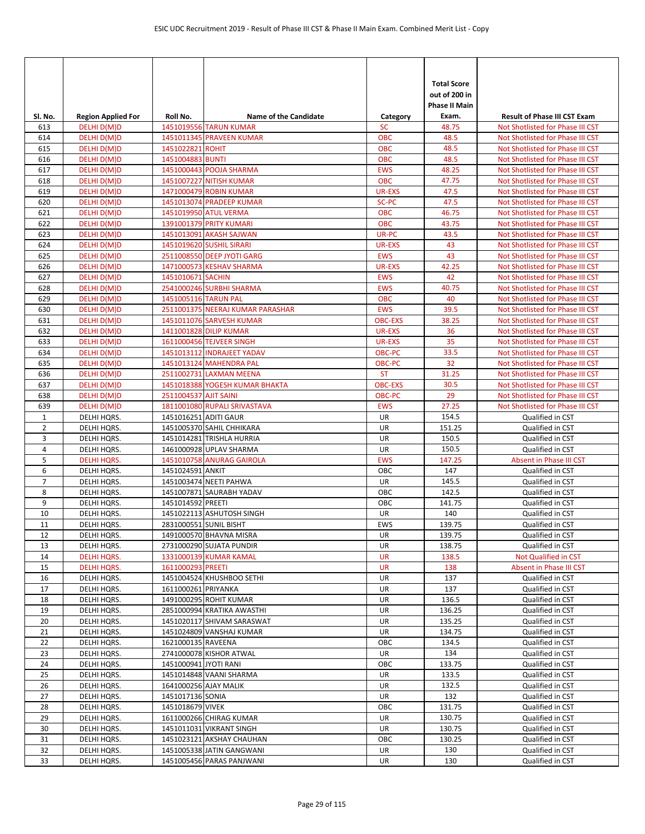|                |                                          | Roll No.              | <b>Name of the Candidate</b>                         |                       | <b>Total Score</b><br>out of 200 in<br>Phase II Main<br>Exam. | <b>Result of Phase III CST Exam</b>                                  |
|----------------|------------------------------------------|-----------------------|------------------------------------------------------|-----------------------|---------------------------------------------------------------|----------------------------------------------------------------------|
| SI. No.<br>613 | <b>Region Applied For</b><br>DELHI D(M)D |                       | 1451019556 TARUN KUMAR                               | Category<br><b>SC</b> | 48.75                                                         | Not Shotlisted for Phase III CST                                     |
| 614            | DELHI D(M)D                              |                       | 1451011345 PRAVEEN KUMAR                             | <b>OBC</b>            | 48.5                                                          | Not Shotlisted for Phase III CST                                     |
| 615            | DELHI D(M)D                              | 1451022821 ROHIT      |                                                      | <b>OBC</b>            | 48.5                                                          | Not Shotlisted for Phase III CST                                     |
| 616            | DELHI D(M)D                              | 1451004883 BUNTI      |                                                      | <b>OBC</b>            | 48.5                                                          | Not Shotlisted for Phase III CST                                     |
| 617            | DELHI D(M)D                              |                       | 1451000443 POOJA SHARMA                              | <b>EWS</b>            | 48.25                                                         | Not Shotlisted for Phase III CST                                     |
| 618            | DELHI D(M)D                              |                       | 1451007227 NITISH KUMAR                              | <b>OBC</b>            | 47.75                                                         | Not Shotlisted for Phase III CST                                     |
| 619            | DELHI D(M)D                              |                       | 1471000479 ROBIN KUMAR                               | <b>UR-EXS</b>         | 47.5                                                          | Not Shotlisted for Phase III CST                                     |
| 620            | DELHI D(M)D                              |                       | 1451013074 PRADEEP KUMAR                             | SC-PC                 | 47.5                                                          | Not Shotlisted for Phase III CST                                     |
| 621            | DELHI D(M)D                              |                       | 1451019950 ATUL VERMA                                | <b>OBC</b>            | 46.75                                                         | Not Shotlisted for Phase III CST                                     |
| 622            | DELHI D(M)D                              |                       | 1391001379 PRITY KUMARI                              | <b>OBC</b>            | 43.75                                                         | Not Shotlisted for Phase III CST                                     |
| 623            | DELHI D(M)D                              |                       | 1451013091 AKASH SAJWAN                              | UR-PC                 | 43.5                                                          | Not Shotlisted for Phase III CST                                     |
| 624            | DELHI D(M)D                              |                       | 1451019620 SUSHIL SIRARI                             | <b>UR-EXS</b>         | 43                                                            | Not Shotlisted for Phase III CST                                     |
| 625            | DELHI D(M)D                              |                       | 2511008550 DEEP JYOTI GARG                           | <b>EWS</b>            | 43                                                            | Not Shotlisted for Phase III CST                                     |
| 626            | DELHI D(M)D                              |                       | 1471000573 KESHAV SHARMA                             | UR-EXS                | 42.25                                                         | Not Shotlisted for Phase III CST                                     |
| 627            | DELHI D(M)D                              | 1451010671 SACHIN     |                                                      | <b>EWS</b>            | 42                                                            | Not Shotlisted for Phase III CST                                     |
| 628            | DELHI D(M)D                              |                       | 2541000246 SURBHI SHARMA                             | <b>EWS</b>            | 40.75                                                         | Not Shotlisted for Phase III CST                                     |
| 629            | DELHI D(M)D                              | 1451005116 TARUN PAL  |                                                      | <b>OBC</b>            | 40                                                            | Not Shotlisted for Phase III CST                                     |
| 630            | DELHI D(M)D                              |                       | 2511001375 NEERAJ KUMAR PARASHAR                     | <b>EWS</b>            | 39.5                                                          | Not Shotlisted for Phase III CST                                     |
| 631            | DELHI D(M)D                              |                       | 1451011076 SARVESH KUMAR                             | <b>OBC-EXS</b>        | 38.25                                                         | Not Shotlisted for Phase III CST                                     |
| 632            | DELHI D(M)D                              |                       | 1411001828 DILIP KUMAR<br>1611000456 TEJVEER SINGH   | <b>UR-EXS</b>         | 36<br>35                                                      | Not Shotlisted for Phase III CST                                     |
| 633            | DELHI D(M)D<br>DELHI D(M)D               |                       | 1451013112 INDRAJEET YADAV                           | UR-EXS<br>OBC-PC      | 33.5                                                          | Not Shotlisted for Phase III CST<br>Not Shotlisted for Phase III CST |
| 634<br>635     | DELHI D(M)D                              |                       | 1451013124 MAHENDRA PAL                              | <b>OBC-PC</b>         | 32                                                            | Not Shotlisted for Phase III CST                                     |
| 636            | DELHI D(M)D                              |                       | 2511002731 LAXMAN MEENA                              | <b>ST</b>             | 31.25                                                         | Not Shotlisted for Phase III CST                                     |
| 637            | DELHI D(M)D                              |                       | 1451018388 YOGESH KUMAR BHAKTA                       | <b>OBC-EXS</b>        | 30.5                                                          | Not Shotlisted for Phase III CST                                     |
| 638            | DELHI D(M)D                              | 2511004537 AJIT SAINI |                                                      | OBC-PC                | 29                                                            | Not Shotlisted for Phase III CST                                     |
| 639            | DELHI D(M)D                              |                       | 1811001080 RUPALI SRIVASTAVA                         | <b>EWS</b>            | 27.25                                                         | Not Shotlisted for Phase III CST                                     |
| $\mathbf{1}$   | DELHI HQRS.                              | 1451016251 ADITI GAUR |                                                      | UR                    | 154.5                                                         | Qualified in CST                                                     |
| $\overline{2}$ | DELHI HQRS.                              |                       | 1451005370 SAHIL CHHIKARA                            | UR                    | 151.25                                                        | Qualified in CST                                                     |
| 3              | DELHI HQRS.                              |                       | 1451014281 TRISHLA HURRIA                            | UR                    | 150.5                                                         | Qualified in CST                                                     |
| 4              | DELHI HQRS.                              |                       | 1461000928 UPLAV SHARMA                              | UR                    | 150.5                                                         | Qualified in CST                                                     |
| 5              | <b>DELHI HQRS.</b>                       |                       | 1451010758 ANURAG GAIROLA                            | <b>EWS</b>            | 147.25                                                        | Absent in Phase III CST                                              |
| 6              | DELHI HQRS.                              | 1451024591 ANKIT      |                                                      | OBC                   | 147                                                           | Qualified in CST                                                     |
| $\overline{7}$ | DELHI HQRS.                              |                       | 1451003474 NEETI PAHWA                               | UR                    | 145.5                                                         | Qualified in CST                                                     |
| 8              | DELHI HQRS.                              |                       | 1451007871 SAURABH YADAV                             | OBC                   | 142.5                                                         | Qualified in CST                                                     |
| 9              | DELHI HQRS.                              | 1451014592 PREETI     |                                                      | OBC                   | 141.75                                                        | Qualified in CST                                                     |
| 10             | DELHI HQRS.                              |                       | 1451022113 ASHUTOSH SINGH                            | UR                    | 140                                                           | Qualified in CST                                                     |
| 11             | DELHI HQRS.                              |                       | 2831000551 SUNIL BISHT                               | EWS                   | 139.75                                                        | Qualified in CST                                                     |
| 12             | DELHI HQRS.                              |                       | 1491000570 BHAVNA MISRA                              | UR                    | 139.75                                                        | Qualified in CST                                                     |
| 13             | DELHI HQRS.                              |                       | 2731000290 SUJATA PUNDIR                             | UR                    | 138.75                                                        | Qualified in CST                                                     |
| 14             | <b>DELHI HQRS.</b>                       |                       | 1331000139 KUMAR KAMAL                               | <b>UR</b>             | 138.5                                                         | Not Qualified in CST                                                 |
| 15             | <b>DELHI HQRS.</b>                       | 1611000293 PREETI     |                                                      | <b>UR</b>             | 138                                                           | Absent in Phase III CST                                              |
| 16             | DELHI HQRS.                              |                       | 1451004524 KHUSHBOO SETHI                            | UR                    | 137                                                           | Qualified in CST                                                     |
| 17             | DELHI HQRS.                              | 1611000261 PRIYANKA   |                                                      | UR                    | 137<br>136.5                                                  | Qualified in CST                                                     |
| 18<br>19       | DELHI HQRS.<br>DELHI HQRS.               |                       | 1491000295 ROHIT KUMAR<br>2851000994 KRATIKA AWASTHI | UR<br>UR              | 136.25                                                        | Qualified in CST<br>Qualified in CST                                 |
| 20             | DELHI HQRS.                              |                       | 1451020117 SHIVAM SARASWAT                           | UR                    | 135.25                                                        | Qualified in CST                                                     |
| 21             | DELHI HQRS.                              |                       | 1451024809 VANSHAJ KUMAR                             | UR                    | 134.75                                                        | Qualified in CST                                                     |
| 22             | DELHI HQRS.                              | 1621000135 RAVEENA    |                                                      | OBC                   | 134.5                                                         | Qualified in CST                                                     |
| 23             | DELHI HQRS.                              |                       | 2741000078 KISHOR ATWAL                              | UR                    | 134                                                           | Qualified in CST                                                     |
| 24             | DELHI HQRS.                              | 1451000941 JYOTI RANI |                                                      | OBC                   | 133.75                                                        | Qualified in CST                                                     |
| 25             | DELHI HQRS.                              |                       | 1451014848 VAANI SHARMA                              | UR                    | 133.5                                                         | Qualified in CST                                                     |
| 26             | DELHI HQRS.                              | 1641000256 AJAY MALIK |                                                      | UR                    | 132.5                                                         | Qualified in CST                                                     |
| 27             | DELHI HQRS.                              | 1451017136 SONIA      |                                                      | UR                    | 132                                                           | Qualified in CST                                                     |
| 28             | DELHI HQRS.                              | 1451018679 VIVEK      |                                                      | OBC                   | 131.75                                                        | Qualified in CST                                                     |
| 29             | DELHI HQRS.                              |                       | 1611000266 CHIRAG KUMAR                              | UR                    | 130.75                                                        | Qualified in CST                                                     |
| 30             | DELHI HQRS.                              |                       | 1451011031 VIKRANT SINGH                             | UR                    | 130.75                                                        | Qualified in CST                                                     |
| 31             | DELHI HQRS.                              |                       | 1451023121 AKSHAY CHAUHAN                            | OBC                   | 130.25                                                        | Qualified in CST                                                     |
| 32             | DELHI HQRS.                              |                       | 1451005338 JATIN GANGWANI                            | UR                    | 130                                                           | Qualified in CST                                                     |
| 33             | DELHI HQRS.                              |                       | 1451005456 PARAS PANJWANI                            | UR                    | 130                                                           | Qualified in CST                                                     |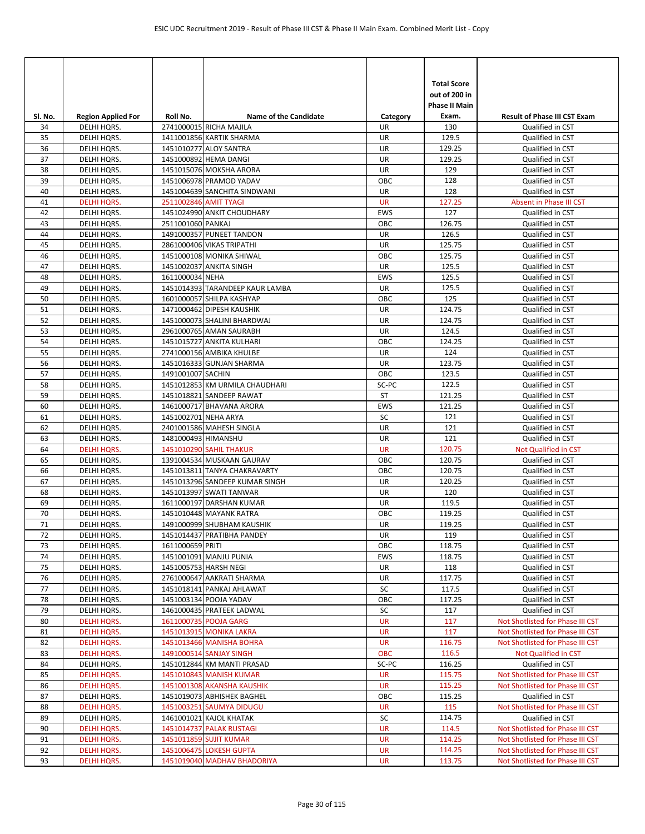| SI. No.  | <b>Region Applied For</b>         | Roll No.              | <b>Name of the Candidate</b>                              | Category                | <b>Total Score</b><br>out of 200 in<br><b>Phase II Main</b><br>Exam. | <b>Result of Phase III CST Exam</b>         |
|----------|-----------------------------------|-----------------------|-----------------------------------------------------------|-------------------------|----------------------------------------------------------------------|---------------------------------------------|
| 34       | DELHI HQRS.                       |                       | 2741000015 RICHA MAJILA                                   | UR.                     | 130                                                                  | Qualified in CST                            |
| 35       | DELHI HQRS.                       |                       | 1411001856 KARTIK SHARMA                                  | UR                      | 129.5                                                                | Qualified in CST                            |
| 36       | DELHI HQRS.                       |                       | 1451010277 ALOY SANTRA                                    | UR                      | 129.25                                                               | Qualified in CST                            |
| 37       | DELHI HQRS.                       |                       | 1451000892 HEMA DANGI                                     | UR                      | 129.25                                                               | Qualified in CST                            |
| 38       | DELHI HQRS.                       |                       | 1451015076 MOKSHA ARORA                                   | UR                      | 129                                                                  | Qualified in CST                            |
| 39       | DELHI HQRS.                       |                       | 1451006978 PRAMOD YADAV                                   | ОВС                     | 128                                                                  | Qualified in CST                            |
| 40       | DELHI HQRS.                       |                       | 1451004639 SANCHITA SINDWANI                              | UR                      | 128                                                                  | Qualified in CST                            |
| 41<br>42 | <b>DELHI HQRS.</b><br>DELHI HQRS. | 2511002846 AMIT TYAGI | 1451024990 ANKIT CHOUDHARY                                | <b>UR</b><br><b>EWS</b> | 127.25<br>127                                                        | Absent in Phase III CST<br>Qualified in CST |
| 43       | DELHI HQRS.                       | 2511001060 PANKAJ     |                                                           | OBC                     | 126.75                                                               | Qualified in CST                            |
| 44       | DELHI HQRS.                       |                       | 1491000357 PUNEET TANDON                                  | UR                      | 126.5                                                                | Qualified in CST                            |
| 45       | DELHI HQRS.                       |                       | 2861000406 VIKAS TRIPATHI                                 | UR                      | 125.75                                                               | Qualified in CST                            |
| 46       | DELHI HQRS.                       |                       | 1451000108 MONIKA SHIWAL                                  | OBC                     | 125.75                                                               | Qualified in CST                            |
| 47       | DELHI HQRS.                       |                       | 1451002037 ANKITA SINGH                                   | UR                      | 125.5                                                                | Qualified in CST                            |
| 48       | DELHI HQRS.                       | 1611000034 NEHA       |                                                           | <b>EWS</b>              | 125.5                                                                | Qualified in CST                            |
| 49       | DELHI HQRS.                       |                       | 1451014393 TARANDEEP KAUR LAMBA                           | UR                      | 125.5                                                                | Qualified in CST                            |
| 50       | DELHI HQRS.                       |                       | 1601000057 SHILPA KASHYAP                                 | OBC                     | 125                                                                  | Qualified in CST                            |
| 51       | DELHI HQRS.                       |                       | 1471000462 DIPESH KAUSHIK                                 | UR                      | 124.75                                                               | Qualified in CST                            |
| 52       | DELHI HQRS.                       |                       | 1451000073 SHALINI BHARDWAJ                               | UR                      | 124.75                                                               | Qualified in CST                            |
| 53       | DELHI HQRS.                       |                       | 2961000765 AMAN SAURABH                                   | UR                      | 124.5                                                                | Qualified in CST                            |
| 54       | DELHI HQRS.                       |                       | 1451015727 ANKITA KULHARI                                 | ОВС                     | 124.25                                                               | Qualified in CST                            |
| 55       | DELHI HQRS.                       |                       | 2741000156 AMBIKA KHULBE                                  | UR                      | 124                                                                  | Qualified in CST                            |
| 56       | DELHI HQRS.                       |                       | 1451016333 GUNJAN SHARMA                                  | UR                      | 123.75                                                               | Qualified in CST                            |
| 57       | DELHI HQRS.                       | 1491001007 SACHIN     |                                                           | OBC                     | 123.5                                                                | Qualified in CST                            |
| 58       | DELHI HQRS.                       |                       | 1451012853 KM URMILA CHAUDHARI                            | SC-PC                   | 122.5                                                                | Qualified in CST                            |
| 59       | DELHI HQRS.                       |                       | 1451018821 SANDEEP RAWAT                                  | ST                      | 121.25                                                               | Qualified in CST                            |
| 60       | DELHI HQRS.                       |                       | 1461000717 BHAVANA ARORA                                  | <b>EWS</b>              | 121.25                                                               | Qualified in CST                            |
| 61       | DELHI HQRS.                       | 1451002701 NEHA ARYA  |                                                           | SC                      | 121                                                                  | Qualified in CST                            |
| 62       | DELHI HQRS.                       |                       | 2401001586 MAHESH SINGLA                                  | UR                      | 121                                                                  | Qualified in CST                            |
| 63       | DELHI HQRS.                       | 1481000493 HIMANSHU   |                                                           | UR                      | 121                                                                  | Qualified in CST                            |
| 64<br>65 | <b>DELHI HQRS.</b>                |                       | 1451010290 SAHIL THAKUR                                   | <b>UR</b><br>OBC        | 120.75<br>120.75                                                     | Not Qualified in CST                        |
| 66       | DELHI HQRS.<br>DELHI HQRS.        |                       | 1391004534 MUSKAAN GAURAV<br>1451013811 TANYA CHAKRAVARTY | ОВС                     | 120.75                                                               | Qualified in CST<br>Qualified in CST        |
| 67       | DELHI HQRS.                       |                       | 1451013296 SANDEEP KUMAR SINGH                            | UR                      | 120.25                                                               | Qualified in CST                            |
| 68       | DELHI HQRS.                       |                       | 1451013997 SWATI TANWAR                                   | UR                      | 120                                                                  | Qualified in CST                            |
| 69       | DELHI HQRS.                       |                       | 1611000197 DARSHAN KUMAR                                  | UR                      | 119.5                                                                | Qualified in CST                            |
| 70       | DELHI HQRS.                       |                       | 1451010448 MAYANK RATRA                                   | OBC                     | 119.25                                                               | Qualified in CST                            |
| 71       | DELHI HQRS.                       |                       | 1491000999 SHUBHAM KAUSHIK                                | UR                      | 119.25                                                               | Qualified in CST                            |
| 72       | DELHI HQRS.                       |                       | 1451014437 PRATIBHA PANDEY                                | UR                      | 119                                                                  | Qualified in CST                            |
| 73       | DELHI HQRS.                       | 1611000659 PRITI      |                                                           | OBC                     | 118.75                                                               | Qualified in CST                            |
| 74       | DELHI HQRS.                       |                       | 1451001091 MANJU PUNIA                                    | EWS                     | 118.75                                                               | Qualified in CST                            |
| 75       | DELHI HQRS.                       |                       | 1451005753 HARSH NEGI                                     | UR                      | 118                                                                  | Qualified in CST                            |
| 76       | DELHI HQRS.                       |                       | 2761000647 AAKRATI SHARMA                                 | UR                      | 117.75                                                               | Qualified in CST                            |
| 77       | DELHI HQRS.                       |                       | 1451018141 PANKAJ AHLAWAT                                 | SC                      | 117.5                                                                | Qualified in CST                            |
| 78       | DELHI HQRS.                       |                       | 1451003134 POOJA YADAV                                    | OBC                     | 117.25                                                               | Qualified in CST                            |
| 79       | DELHI HQRS.                       |                       | 1461000435 PRATEEK LADWAL                                 | SC                      | 117                                                                  | Qualified in CST                            |
| 80       | <b>DELHI HQRS.</b>                |                       | 1611000735 POOJA GARG                                     | <b>UR</b>               | 117                                                                  | Not Shotlisted for Phase III CST            |
| 81       | <b>DELHI HQRS.</b>                |                       | 1451013915 MONIKA LAKRA                                   | <b>UR</b>               | 117                                                                  | Not Shotlisted for Phase III CST            |
| 82       | <b>DELHI HQRS.</b>                |                       | 1451013466 MANISHA BOHRA                                  | UR                      | 116.75                                                               | Not Shotlisted for Phase III CST            |
| 83<br>84 | <b>DELHI HQRS.</b><br>DELHI HQRS. |                       | 1491000514 SANJAY SINGH<br>1451012844 KM MANTI PRASAD     | <b>OBC</b><br>SC-PC     | 116.5<br>116.25                                                      | Not Qualified in CST<br>Qualified in CST    |
| 85       | <b>DELHI HQRS.</b>                |                       | 1451010843 MANISH KUMAR                                   | <b>UR</b>               | 115.75                                                               | Not Shotlisted for Phase III CST            |
| 86       | <b>DELHI HQRS.</b>                |                       | 1451001308 AKANSHA KAUSHIK                                | <b>UR</b>               | 115.25                                                               | Not Shotlisted for Phase III CST            |
| 87       | DELHI HQRS.                       |                       | 1451019073 ABHISHEK BAGHEL                                | OBC                     | 115.25                                                               | Qualified in CST                            |
| 88       | <b>DELHI HQRS.</b>                |                       | 1451003251 SAUMYA DIDUGU                                  | <b>UR</b>               | 115                                                                  | Not Shotlisted for Phase III CST            |
| 89       | DELHI HQRS.                       |                       | 1461001021 KAJOL KHATAK                                   | SC                      | 114.75                                                               | Qualified in CST                            |
| 90       | <b>DELHI HQRS.</b>                |                       | 1451014737 PALAK RUSTAGI                                  | <b>UR</b>               | 114.5                                                                | Not Shotlisted for Phase III CST            |
| 91       | <b>DELHI HQRS.</b>                |                       | 1451011859 SUJIT KUMAR                                    | <b>UR</b>               | 114.25                                                               | Not Shotlisted for Phase III CST            |
| 92       | <b>DELHI HQRS.</b>                |                       | 1451006475 LOKESH GUPTA                                   | <b>UR</b>               | 114.25                                                               | Not Shotlisted for Phase III CST            |
| 93       | <b>DELHI HQRS.</b>                |                       | 1451019040 MADHAV BHADORIYA                               | <b>UR</b>               | 113.75                                                               | Not Shotlisted for Phase III CST            |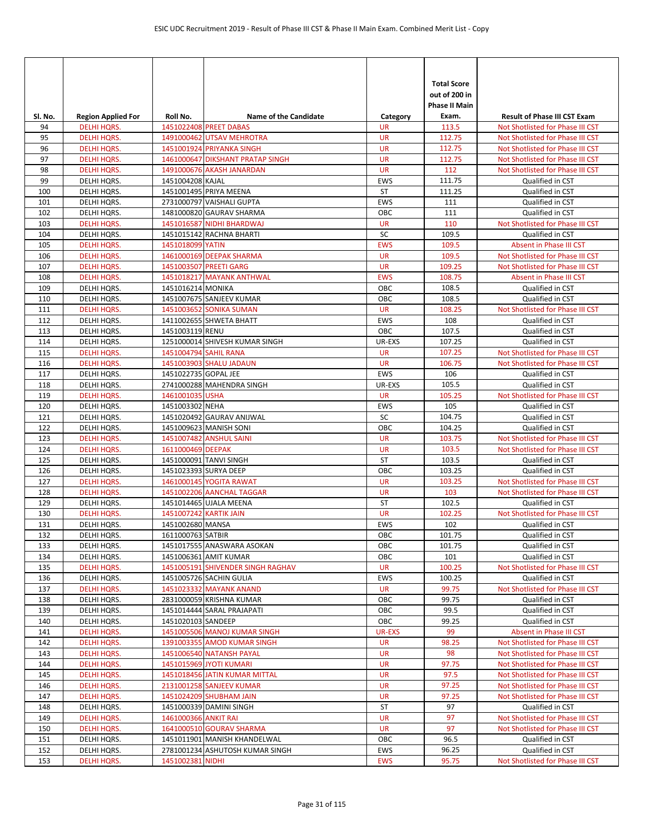| Sl. No.    | <b>Region Applied For</b>                | Roll No.               | <b>Name of the Candidate</b>                        | Category         | <b>Total Score</b><br>out of 200 in<br>Phase II Main<br>Exam. | <b>Result of Phase III CST Exam</b>                         |
|------------|------------------------------------------|------------------------|-----------------------------------------------------|------------------|---------------------------------------------------------------|-------------------------------------------------------------|
| 94         | <b>DELHI HORS.</b>                       |                        | 1451022408 PREET DABAS                              | <b>UR</b>        | 113.5                                                         | Not Shotlisted for Phase III CST                            |
| 95         | <b>DELHI HQRS.</b>                       |                        | 1491000462 UTSAV MEHROTRA                           | <b>UR</b>        | 112.75                                                        | Not Shotlisted for Phase III CST                            |
| 96         | <b>DELHI HQRS.</b>                       |                        | 1451001924 PRIYANKA SINGH                           | <b>UR</b>        | 112.75                                                        | Not Shotlisted for Phase III CST                            |
| 97         | <b>DELHI HQRS.</b>                       |                        | 1461000647 DIKSHANT PRATAP SINGH                    | <b>UR</b>        | 112.75                                                        | Not Shotlisted for Phase III CST                            |
| 98         | <b>DELHI HQRS.</b>                       |                        | 1491000676 AKASH JANARDAN                           | <b>UR</b>        | 112                                                           | Not Shotlisted for Phase III CST                            |
| 99         | DELHI HQRS.                              | 1451004208 KAJAL       |                                                     | EWS              | 111.75                                                        | Qualified in CST                                            |
| 100        | DELHI HQRS.                              |                        | 1451001495 PRIYA MEENA                              | <b>ST</b>        | 111.25                                                        | Qualified in CST                                            |
| 101        | DELHI HQRS.                              |                        | 2731000797 VAISHALI GUPTA                           | <b>EWS</b>       | 111                                                           | Qualified in CST                                            |
| 102        | DELHI HQRS.                              |                        | 1481000820 GAURAV SHARMA                            | ОВС              | 111                                                           | Qualified in CST                                            |
| 103        | <b>DELHI HQRS.</b>                       |                        | 1451016587 NIDHI BHARDWAJ                           | <b>UR</b>        | 110                                                           | Not Shotlisted for Phase III CST                            |
| 104        | DELHI HQRS.                              | 1451018099 YATIN       | 1451015142 RACHNA BHARTI                            | SC<br><b>EWS</b> | 109.5<br>109.5                                                | Qualified in CST                                            |
| 105<br>106 | <b>DELHI HQRS.</b><br><b>DELHI HQRS.</b> |                        | 1461000169 DEEPAK SHARMA                            | <b>UR</b>        | 109.5                                                         | Absent in Phase III CST<br>Not Shotlisted for Phase III CST |
| 107        | <b>DELHI HQRS.</b>                       |                        | 1451003507 PREETI GARG                              | <b>UR</b>        | 109.25                                                        | Not Shotlisted for Phase III CST                            |
| 108        | <b>DELHI HQRS.</b>                       |                        | 1451018217 MAYANK ANTHWAL                           | <b>EWS</b>       | 108.75                                                        | Absent in Phase III CST                                     |
| 109        | DELHI HQRS.                              | 1451016214 MONIKA      |                                                     | OBC              | 108.5                                                         | Qualified in CST                                            |
| 110        | DELHI HQRS.                              |                        | 1451007675 SANJEEV KUMAR                            | OBC              | 108.5                                                         | Qualified in CST                                            |
| 111        | <b>DELHI HQRS.</b>                       |                        | 1451003652 SONIKA SUMAN                             | <b>UR</b>        | 108.25                                                        | Not Shotlisted for Phase III CST                            |
| 112        | DELHI HQRS.                              |                        | 1411002655 SHWETA BHATT                             | <b>EWS</b>       | 108                                                           | Qualified in CST                                            |
| 113        | DELHI HQRS.                              | 1451003119 RENU        |                                                     | OBC              | 107.5                                                         | Qualified in CST                                            |
| 114        | DELHI HQRS.                              |                        | 1251000014 SHIVESH KUMAR SINGH                      | UR-EXS           | 107.25                                                        | Qualified in CST                                            |
| 115        | <b>DELHI HQRS.</b>                       | 1451004794 SAHIL RANA  |                                                     | <b>UR</b>        | 107.25                                                        | Not Shotlisted for Phase III CST                            |
| 116        | <b>DELHI HQRS.</b>                       |                        | 1451003903 SHALU JADAUN                             | <b>UR</b>        | 106.75                                                        | Not Shotlisted for Phase III CST                            |
| 117        | DELHI HQRS.                              | 1451022735 GOPAL JEE   |                                                     | <b>EWS</b>       | 106                                                           | Qualified in CST                                            |
| 118        | DELHI HQRS.                              |                        | 2741000288 MAHENDRA SINGH                           | UR-EXS           | 105.5                                                         | Qualified in CST                                            |
| 119        | <b>DELHI HQRS.</b>                       | 1461001035 USHA        |                                                     | <b>UR</b>        | 105.25                                                        | Not Shotlisted for Phase III CST                            |
| 120        | DELHI HQRS.                              | 1451003302 NEHA        |                                                     | EWS              | 105                                                           | Qualified in CST                                            |
| 121        | DELHI HQRS.                              |                        | 1451020492 GAURAV ANIJWAL                           | SC               | 104.75                                                        | Qualified in CST                                            |
| 122        | DELHI HQRS.                              |                        | 1451009623 MANISH SONI                              | OBC              | 104.25                                                        | Qualified in CST                                            |
| 123        | <b>DELHI HQRS.</b>                       |                        | 1451007482 ANSHUL SAINI                             | <b>UR</b>        | 103.75                                                        | Not Shotlisted for Phase III CST                            |
| 124        | <b>DELHI HQRS.</b>                       | 1611000469 DEEPAK      |                                                     | <b>UR</b>        | 103.5                                                         | Not Shotlisted for Phase III CST                            |
| 125        | DELHI HQRS.                              |                        | 1451000091 TANVI SINGH                              | ST               | 103.5                                                         | Qualified in CST                                            |
| 126        | DELHI HQRS.                              |                        | 1451023393 SURYA DEEP                               | OBC              | 103.25                                                        | Qualified in CST                                            |
| 127        | <b>DELHI HQRS.</b>                       |                        | 1461000145 YOGITA RAWAT                             | <b>UR</b>        | 103.25                                                        | Not Shotlisted for Phase III CST                            |
| 128        | <b>DELHI HQRS.</b>                       |                        | 1451002206 AANCHAL TAGGAR                           | <b>UR</b>        | 103                                                           | Not Shotlisted for Phase III CST                            |
| 129        | DELHI HQRS.                              |                        | 1451014465 UJALA MEENA                              | <b>ST</b>        | 102.5                                                         | Qualified in CST                                            |
| 130        | <b>DELHI HQRS.</b>                       | 1451007242 KARTIK JAIN |                                                     | <b>UR</b>        | 102.25                                                        | Not Shotlisted for Phase III CST                            |
| 131        | DELHI HQRS.                              | 1451002680 MANSA       |                                                     | <b>EWS</b>       | 102                                                           | Qualified in CST                                            |
| 132        | DELHI HQRS.                              | 1611000763 SATBIR      |                                                     | OBC              | 101.75<br>101.75                                              | Qualified in CST                                            |
| 133<br>134 | DELHI HQRS.<br>DELHI HQRS.               |                        | 1451017555 ANASWARA ASOKAN<br>1451006361 AMIT KUMAR | OBC<br>OBC       | 101                                                           | Qualified in CST<br>Qualified in CST                        |
| 135        | <b>DELHI HQRS.</b>                       |                        | 1451005191 SHIVENDER SINGH RAGHAV                   | UR               | 100.25                                                        | Not Shotlisted for Phase III CST                            |
| 136        | DELHI HQRS.                              |                        | 1451005726 SACHIN GULIA                             | EWS              | 100.25                                                        | Qualified in CST                                            |
| 137        | <b>DELHI HQRS.</b>                       |                        | 1451023332 MAYANK ANAND                             | UR               | 99.75                                                         | Not Shotlisted for Phase III CST                            |
| 138        | DELHI HQRS.                              |                        | 2831000059 KRISHNA KUMAR                            | OBC              | 99.75                                                         | Qualified in CST                                            |
| 139        | DELHI HQRS.                              |                        | 1451014444 SARAL PRAJAPATI                          | OBC              | 99.5                                                          | Qualified in CST                                            |
| 140        | DELHI HQRS.                              | 1451020103 SANDEEP     |                                                     | OBC              | 99.25                                                         | Qualified in CST                                            |
| 141        | <b>DELHI HQRS.</b>                       |                        | 1451005506 MANOJ KUMAR SINGH                        | <b>UR-EXS</b>    | 99                                                            | Absent in Phase III CST                                     |
| 142        | <b>DELHI HQRS.</b>                       |                        | 1391003355 AMOD KUMAR SINGH                         | <b>UR</b>        | 98.25                                                         | Not Shotlisted for Phase III CST                            |
| 143        | <b>DELHI HQRS.</b>                       |                        | 1451006540 NATANSH PAYAL                            | <b>UR</b>        | 98                                                            | Not Shotlisted for Phase III CST                            |
| 144        | <b>DELHI HQRS.</b>                       |                        | 1451015969 JYOTI KUMARI                             | <b>UR</b>        | 97.75                                                         | Not Shotlisted for Phase III CST                            |
| 145        | <b>DELHI HQRS.</b>                       |                        | 1451018456 JATIN KUMAR MITTAL                       | UR               | 97.5                                                          | Not Shotlisted for Phase III CST                            |
| 146        | <b>DELHI HQRS.</b>                       |                        | 2131001258 SANJEEV KUMAR                            | <b>UR</b>        | 97.25                                                         | Not Shotlisted for Phase III CST                            |
| 147        | <b>DELHI HQRS.</b>                       |                        | 1451024209 SHUBHAM JAIN                             | <b>UR</b>        | 97.25                                                         | Not Shotlisted for Phase III CST                            |
| 148        | DELHI HQRS.                              |                        | 1451000339 DAMINI SINGH                             | ST               | 97                                                            | Qualified in CST                                            |
| 149        | <b>DELHI HQRS.</b>                       | 1461000366 ANKIT RAI   |                                                     | <b>UR</b>        | 97                                                            | Not Shotlisted for Phase III CST                            |
| 150        | <b>DELHI HQRS.</b>                       |                        | 1641000510 GOURAV SHARMA                            | UR               | 97                                                            | Not Shotlisted for Phase III CST                            |
| 151        | DELHI HQRS.                              |                        | 1451011901 MANISH KHANDELWAL                        | OBC              | 96.5                                                          | Qualified in CST                                            |
| 152        | DELHI HQRS.                              |                        | 2781001234 ASHUTOSH KUMAR SINGH                     | EWS              | 96.25                                                         | Qualified in CST                                            |
| 153        | <b>DELHI HQRS.</b>                       | 1451002381 NIDHI       |                                                     | <b>EWS</b>       | 95.75                                                         | Not Shotlisted for Phase III CST                            |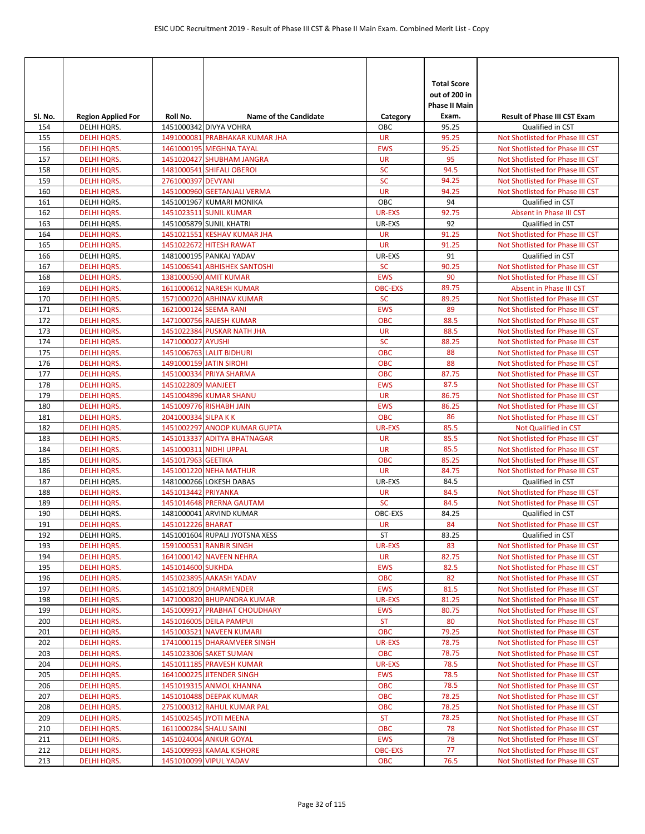| Sl. No.    | <b>Region Applied For</b>                | Roll No.             | <b>Name of the Candidate</b>                            | Category             | <b>Total Score</b><br>out of 200 in<br><b>Phase II Main</b><br>Exam. | <b>Result of Phase III CST Exam</b>                                  |
|------------|------------------------------------------|----------------------|---------------------------------------------------------|----------------------|----------------------------------------------------------------------|----------------------------------------------------------------------|
| 154        | DELHI HQRS.                              |                      | 1451000342 DIVYA VOHRA                                  | ОВС                  | 95.25                                                                | Qualified in CST                                                     |
| 155        | <b>DELHI HQRS.</b>                       |                      | 1491000081 PRABHAKAR KUMAR JHA                          | <b>UR</b>            | 95.25                                                                | Not Shotlisted for Phase III CST                                     |
| 156        | <b>DELHI HQRS.</b>                       |                      | 1461000195 MEGHNA TAYAL                                 | <b>EWS</b>           | 95.25                                                                | Not Shotlisted for Phase III CST                                     |
| 157        | <b>DELHI HQRS.</b>                       |                      | 1451020427 SHUBHAM JANGRA                               | <b>UR</b>            | 95                                                                   | Not Shotlisted for Phase III CST                                     |
| 158        | <b>DELHI HQRS.</b>                       |                      | 1481000541 SHIFALI OBEROI                               | <b>SC</b>            | 94.5                                                                 | Not Shotlisted for Phase III CST                                     |
| 159        | <b>DELHI HQRS.</b>                       | 2761000397 DEVYANI   |                                                         | <b>SC</b>            | 94.25                                                                | Not Shotlisted for Phase III CST                                     |
| 160        | <b>DELHI HQRS.</b>                       |                      | 1451000960 GEETANJALI VERMA                             | <b>UR</b>            | 94.25                                                                | Not Shotlisted for Phase III CST                                     |
| 161        | DELHI HQRS.                              |                      | 1451001967 KUMARI MONIKA                                | OBC                  | 94                                                                   | Qualified in CST                                                     |
| 162        | <b>DELHI HQRS.</b>                       |                      | 1451023511 SUNIL KUMAR                                  | <b>UR-EXS</b>        | 92.75                                                                | Absent in Phase III CST                                              |
| 163        | DELHI HQRS.                              |                      | 1451005879 SUNIL KHATRI                                 | UR-EXS               | 92                                                                   | Qualified in CST                                                     |
| 164        | <b>DELHI HQRS.</b>                       |                      | 1451021551 KESHAV KUMAR JHA                             | <b>UR</b>            | 91.25                                                                | Not Shotlisted for Phase III CST                                     |
| 165        | <b>DELHI HQRS.</b>                       |                      | 1451022672 HITESH RAWAT                                 | <b>UR</b>            | 91.25                                                                | Not Shotlisted for Phase III CST                                     |
| 166        | DELHI HQRS.                              |                      | 1481000195 PANKAJ YADAV                                 | UR-EXS               | 91                                                                   | Qualified in CST                                                     |
| 167        | <b>DELHI HQRS.</b>                       |                      | 1451006541 ABHISHEK SANTOSHI                            | <b>SC</b>            | 90.25                                                                | Not Shotlisted for Phase III CST                                     |
| 168        | <b>DELHI HQRS.</b>                       |                      | 1381000590 AMIT KUMAR                                   | <b>EWS</b>           | 90                                                                   | Not Shotlisted for Phase III CST                                     |
| 169        | <b>DELHI HQRS.</b>                       |                      | 1611000612 NARESH KUMAR                                 | <b>OBC-EXS</b>       | 89.75                                                                | Absent in Phase III CST                                              |
| 170        | <b>DELHI HQRS.</b>                       |                      | 1571000220 ABHINAV KUMAR                                | <b>SC</b>            | 89.25                                                                | Not Shotlisted for Phase III CST                                     |
| 171        | <b>DELHI HQRS.</b>                       |                      | 1621000124 SEEMA RANI                                   | <b>EWS</b>           | 89                                                                   | Not Shotlisted for Phase III CST                                     |
| 172        | <b>DELHI HQRS.</b>                       |                      | 1471000756 RAJESH KUMAR                                 | <b>OBC</b>           | 88.5                                                                 | Not Shotlisted for Phase III CST                                     |
| 173        | <b>DELHI HQRS.</b>                       |                      | 1451022384 PUSKAR NATH JHA                              | <b>UR</b>            | 88.5                                                                 | Not Shotlisted for Phase III CST                                     |
| 174        | <b>DELHI HQRS.</b>                       | 1471000027 AYUSHI    |                                                         | <b>SC</b>            | 88.25                                                                | Not Shotlisted for Phase III CST                                     |
| 175        | <b>DELHI HQRS.</b>                       |                      | 1451006763 LALIT BIDHURI                                | <b>OBC</b>           | 88                                                                   | Not Shotlisted for Phase III CST                                     |
| 176        | <b>DELHI HQRS.</b>                       |                      | 1491000159 JATIN SIROHI                                 | <b>OBC</b>           | 88                                                                   | Not Shotlisted for Phase III CST                                     |
| 177        | <b>DELHI HQRS.</b>                       |                      | 1451000334 PRIYA SHARMA                                 | <b>OBC</b>           | 87.75                                                                | Not Shotlisted for Phase III CST                                     |
| 178        | <b>DELHI HQRS.</b>                       | 1451022809 MANJEET   |                                                         | <b>EWS</b>           | 87.5                                                                 | Not Shotlisted for Phase III CST                                     |
| 179        | <b>DELHI HQRS.</b>                       |                      | 1451004896 KUMAR SHANU                                  | <b>UR</b>            | 86.75                                                                | Not Shotlisted for Phase III CST                                     |
| 180        | <b>DELHI HQRS.</b>                       |                      | 1451009776 RISHABH JAIN                                 | <b>EWS</b>           | 86.25                                                                | Not Shotlisted for Phase III CST                                     |
| 181        | <b>DELHI HQRS.</b>                       | 2041000334 SILPA K K |                                                         | <b>OBC</b>           | 86                                                                   | Not Shotlisted for Phase III CST                                     |
| 182        | <b>DELHI HQRS.</b>                       |                      | 1451002297 ANOOP KUMAR GUPTA                            | <b>UR-EXS</b>        | 85.5                                                                 | Not Qualified in CST                                                 |
| 183        | <b>DELHI HQRS.</b>                       |                      | 1451013337 ADITYA BHATNAGAR                             | <b>UR</b>            | 85.5                                                                 | Not Shotlisted for Phase III CST                                     |
| 184        | <b>DELHI HQRS.</b>                       |                      | 1451000311 NIDHI UPPAL                                  | <b>UR</b>            | 85.5                                                                 | Not Shotlisted for Phase III CST                                     |
| 185        | <b>DELHI HQRS.</b>                       | 1451017963 GEETIKA   |                                                         | <b>OBC</b>           | 85.25                                                                | Not Shotlisted for Phase III CST                                     |
| 186        | <b>DELHI HQRS.</b>                       |                      | 1451001220 NEHA MATHUR                                  | <b>UR</b>            | 84.75                                                                | Not Shotlisted for Phase III CST                                     |
| 187        | DELHI HQRS.                              |                      | 1481000266 LOKESH DABAS                                 | UR-EXS               | 84.5                                                                 | Qualified in CST                                                     |
| 188        | <b>DELHI HQRS.</b>                       | 1451013442 PRIYANKA  |                                                         | <b>UR</b>            | 84.5                                                                 | Not Shotlisted for Phase III CST                                     |
| 189        | <b>DELHI HQRS.</b>                       |                      | 1451014648 PRERNA GAUTAM                                | <b>SC</b>            | 84.5                                                                 | Not Shotlisted for Phase III CST                                     |
| 190        | DELHI HQRS.                              |                      | 1481000041 ARVIND KUMAR                                 | OBC-EXS              | 84.25                                                                | Qualified in CST                                                     |
| 191        | <b>DELHI HQRS.</b>                       | 1451012226 BHARAT    |                                                         | <b>UR</b>            | 84                                                                   | Not Shotlisted for Phase III CST                                     |
| 192        | DELHI HQRS.                              |                      | 1451001604 RUPALI JYOTSNA XESS                          | ST                   | 83.25                                                                | Qualified in CST                                                     |
| 193        | <b>DELHI HQRS.</b>                       |                      | 1591000531 RANBIR SINGH                                 | UR-EXS               | 83                                                                   | Not Shotlisted for Phase III CST                                     |
| 194        | <b>DELHI HQRS.</b>                       |                      | 1641000142 NAVEEN NEHRA                                 | <b>UR</b>            | 82.75                                                                | Not Shotlisted for Phase III CST                                     |
| 195        | <b>DELHI HQRS.</b>                       | 1451014600 SUKHDA    | 1451023895 AAKASH YADAV                                 | <b>EWS</b>           | 82.5                                                                 | Not Shotlisted for Phase III CST<br>Not Shotlisted for Phase III CST |
| 196        | DELHI HQRS.                              |                      |                                                         | <b>OBC</b>           | 82                                                                   |                                                                      |
| 197        | <b>DELHI HQRS.</b>                       |                      | 1451021809 DHARMENDER                                   | <b>EWS</b>           | 81.5<br>81.25                                                        | Not Shotlisted for Phase III CST                                     |
| 198        | <b>DELHI HQRS.</b><br><b>DELHI HQRS.</b> |                      | 1471000820 BHUPANDRA KUMAR                              | UR-EXS<br><b>EWS</b> | 80.75                                                                | Not Shotlisted for Phase III CST                                     |
| 199<br>200 | <b>DELHI HQRS.</b>                       |                      | 1451009917 PRABHAT CHOUDHARY<br>1451016005 DEILA PAMPUI | <b>ST</b>            | 80                                                                   | Not Shotlisted for Phase III CST<br>Not Shotlisted for Phase III CST |
| 201        | <b>DELHI HQRS.</b>                       |                      | 1451003521 NAVEEN KUMARI                                | OBC                  | 79.25                                                                | Not Shotlisted for Phase III CST                                     |
| 202        | <b>DELHI HQRS.</b>                       |                      | 1741000115 DHARAMVEER SINGH                             | <b>UR-EXS</b>        | 78.75                                                                | Not Shotlisted for Phase III CST                                     |
| 203        | <b>DELHI HQRS.</b>                       |                      | 1451023306 SAKET SUMAN                                  | <b>OBC</b>           | 78.75                                                                | Not Shotlisted for Phase III CST                                     |
| 204        | <b>DELHI HQRS.</b>                       |                      | 1451011185 PRAVESH KUMAR                                | UR-EXS               | 78.5                                                                 | Not Shotlisted for Phase III CST                                     |
| 205        | <b>DELHI HQRS.</b>                       |                      | 1641000225 JITENDER SINGH                               | <b>EWS</b>           | 78.5                                                                 | Not Shotlisted for Phase III CST                                     |
| 206        | <b>DELHI HQRS.</b>                       |                      | 1451019315 ANMOL KHANNA                                 | <b>OBC</b>           | 78.5                                                                 | Not Shotlisted for Phase III CST                                     |
| 207        | <b>DELHI HQRS.</b>                       |                      | 1451010488 DEEPAK KUMAR                                 | <b>OBC</b>           | 78.25                                                                | Not Shotlisted for Phase III CST                                     |
| 208        | <b>DELHI HQRS.</b>                       |                      | 2751000312 RAHUL KUMAR PAL                              | <b>OBC</b>           | 78.25                                                                | Not Shotlisted for Phase III CST                                     |
| 209        | <b>DELHI HQRS.</b>                       |                      | 1451002545 JYOTI MEENA                                  | <b>ST</b>            | 78.25                                                                | Not Shotlisted for Phase III CST                                     |
| 210        | DELHI HQRS.                              |                      | 1611000284 SHALU SAINI                                  | <b>OBC</b>           | 78                                                                   | Not Shotlisted for Phase III CST                                     |
| 211        | <b>DELHI HQRS.</b>                       |                      | 1451024004 ANKUR GOYAL                                  | <b>EWS</b>           | 78                                                                   | Not Shotlisted for Phase III CST                                     |
| 212        | <b>DELHI HQRS.</b>                       |                      | 1451009993 KAMAL KISHORE                                | <b>OBC-EXS</b>       | 77                                                                   | Not Shotlisted for Phase III CST                                     |
| 213        | <b>DELHI HQRS.</b>                       |                      | 1451010099 VIPUL YADAV                                  | <b>OBC</b>           | 76.5                                                                 | Not Shotlisted for Phase III CST                                     |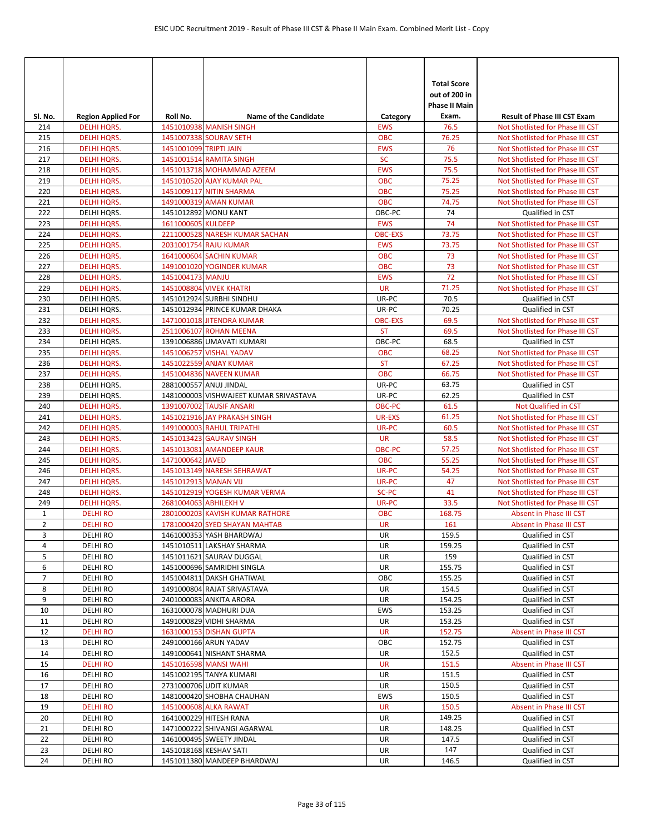| SI. No.                        | <b>Region Applied For</b>                | Roll No.               | <b>Name of the Candidate</b>                                     | Category                 | <b>Total Score</b><br>out of 200 in<br><b>Phase II Main</b><br>Exam. | <b>Result of Phase III CST Exam</b>                                  |
|--------------------------------|------------------------------------------|------------------------|------------------------------------------------------------------|--------------------------|----------------------------------------------------------------------|----------------------------------------------------------------------|
| 214                            | <b>DELHI HQRS.</b>                       |                        | 1451010938 MANISH SINGH                                          | <b>EWS</b>               | 76.5                                                                 | Not Shotlisted for Phase III CST                                     |
| 215                            | <b>DELHI HQRS.</b>                       |                        | 1451007338 SOURAV SETH                                           | OBC                      | 76.25                                                                | Not Shotlisted for Phase III CST                                     |
| 216                            | <b>DELHI HQRS.</b>                       | 1451001099 TRIPTI JAIN |                                                                  | <b>EWS</b>               | 76                                                                   | Not Shotlisted for Phase III CST                                     |
| 217                            | <b>DELHI HQRS.</b>                       |                        | 1451001514 RAMITA SINGH                                          | <b>SC</b>                | 75.5                                                                 | Not Shotlisted for Phase III CST                                     |
| 218                            | <b>DELHI HQRS.</b>                       |                        | 1451013718 MOHAMMAD AZEEM                                        | <b>EWS</b>               | 75.5                                                                 | Not Shotlisted for Phase III CST                                     |
| 219                            | <b>DELHI HQRS.</b>                       |                        | 1451010520 AJAY KUMAR PAL                                        | <b>OBC</b>               | 75.25                                                                | Not Shotlisted for Phase III CST                                     |
| 220                            | <b>DELHI HQRS.</b>                       |                        | 1451009117 NITIN SHARMA                                          | <b>OBC</b>               | 75.25                                                                | Not Shotlisted for Phase III CST                                     |
| 221                            | <b>DELHI HQRS.</b>                       |                        | 1491000319 AMAN KUMAR                                            | OBC                      | 74.75                                                                | Not Shotlisted for Phase III CST                                     |
| 222                            | DELHI HQRS.                              |                        | 1451012892 MONU KANT                                             | OBC-PC                   | 74                                                                   | Qualified in CST                                                     |
| 223                            | <b>DELHI HQRS.</b>                       | 1611000605 KULDEEP     |                                                                  | <b>EWS</b>               | 74                                                                   | Not Shotlisted for Phase III CST                                     |
| 224                            | <b>DELHI HQRS.</b>                       |                        | 2211000528 NARESH KUMAR SACHAN                                   | <b>OBC-EXS</b>           | 73.75                                                                | Not Shotlisted for Phase III CST                                     |
| 225                            | <b>DELHI HQRS.</b>                       |                        | 2031001754 RAJU KUMAR<br>1641000604 SACHIN KUMAR                 | <b>EWS</b><br><b>OBC</b> | 73.75<br>73                                                          | Not Shotlisted for Phase III CST                                     |
| 226<br>227                     | <b>DELHI HQRS.</b><br><b>DELHI HQRS.</b> |                        | 1491001020 YOGINDER KUMAR                                        | <b>OBC</b>               | 73                                                                   | Not Shotlisted for Phase III CST<br>Not Shotlisted for Phase III CST |
| 228                            | <b>DELHI HQRS.</b>                       | 1451004173 MANJU       |                                                                  | <b>EWS</b>               | 72                                                                   | Not Shotlisted for Phase III CST                                     |
| 229                            | <b>DELHI HQRS.</b>                       |                        | 1451008804 VIVEK KHATRI                                          | <b>UR</b>                | 71.25                                                                | Not Shotlisted for Phase III CST                                     |
| 230                            | DELHI HQRS.                              |                        | 1451012924 SURBHI SINDHU                                         | UR-PC                    | 70.5                                                                 | Qualified in CST                                                     |
| 231                            | DELHI HQRS.                              |                        | 1451012934 PRINCE KUMAR DHAKA                                    | UR-PC                    | 70.25                                                                | Qualified in CST                                                     |
| 232                            | <b>DELHI HQRS.</b>                       |                        | 1471001018 JITENDRA KUMAR                                        | <b>OBC-EXS</b>           | 69.5                                                                 | Not Shotlisted for Phase III CST                                     |
| 233                            | <b>DELHI HORS.</b>                       |                        | 2511006107 ROHAN MEENA                                           | <b>ST</b>                | 69.5                                                                 | Not Shotlisted for Phase III CST                                     |
| 234                            | DELHI HQRS.                              |                        | 1391006886 UMAVATI KUMARI                                        | OBC-PC                   | 68.5                                                                 | Qualified in CST                                                     |
| 235                            | <b>DELHI HQRS.</b>                       |                        | 1451006257 VISHAL YADAV                                          | <b>OBC</b>               | 68.25                                                                | Not Shotlisted for Phase III CST                                     |
| 236                            | <b>DELHI HQRS.</b>                       |                        | 1451022559 ANJAY KUMAR                                           | <b>ST</b>                | 67.25                                                                | Not Shotlisted for Phase III CST                                     |
| 237                            | <b>DELHI HQRS.</b>                       |                        | 1451004836 NAVEEN KUMAR                                          | <b>OBC</b>               | 66.75                                                                | Not Shotlisted for Phase III CST                                     |
| 238                            | DELHI HQRS.                              |                        | 2881000557 ANUJ JINDAL                                           | UR-PC                    | 63.75                                                                | Qualified in CST                                                     |
| 239                            | DELHI HQRS.                              |                        | 1481000003 VISHWAJEET KUMAR SRIVASTAVA                           | UR-PC                    | 62.25                                                                | Qualified in CST                                                     |
| 240                            | <b>DELHI HQRS.</b>                       |                        | 1391007002 TAUSIF ANSARI                                         | <b>OBC-PC</b>            | 61.5                                                                 | Not Qualified in CST                                                 |
| 241                            | <b>DELHI HQRS.</b>                       |                        | 1451021916 JAY PRAKASH SINGH                                     | <b>UR-EXS</b>            | 61.25                                                                | Not Shotlisted for Phase III CST                                     |
| 242                            | <b>DELHI HQRS.</b>                       |                        | 1491000003 RAHUL TRIPATHI                                        | UR-PC                    | 60.5                                                                 | Not Shotlisted for Phase III CST                                     |
| 243                            | <b>DELHI HQRS.</b>                       |                        | 1451013423 GAURAV SINGH                                          | <b>UR</b>                | 58.5                                                                 | Not Shotlisted for Phase III CST                                     |
| 244                            | <b>DELHI HQRS.</b>                       |                        | 1451013081 AMANDEEP KAUR                                         | OBC-PC                   | 57.25                                                                | Not Shotlisted for Phase III CST                                     |
| 245                            | <b>DELHI HQRS.</b>                       | 1471000642 JAVED       |                                                                  | <b>OBC</b>               | 55.25                                                                | Not Shotlisted for Phase III CST                                     |
| 246                            | <b>DELHI HQRS.</b>                       |                        | 1451013149 NARESH SEHRAWAT                                       | UR-PC                    | 54.25                                                                | Not Shotlisted for Phase III CST                                     |
| 247                            | <b>DELHI HQRS.</b>                       | 1451012913 MANAN VIJ   |                                                                  | UR-PC                    | 47                                                                   | Not Shotlisted for Phase III CST                                     |
| 248                            | <b>DELHI HQRS.</b>                       |                        | 1451012919 YOGESH KUMAR VERMA                                    | SC-PC                    | 41                                                                   | Not Shotlisted for Phase III CST                                     |
| 249                            | <b>DELHI HQRS.</b>                       | 2681004063 ABHILEKH V  |                                                                  | UR-PC                    | 33.5                                                                 | Not Shotlisted for Phase III CST                                     |
| $\mathbf{1}$<br>$\overline{2}$ | <b>DELHIRO</b>                           |                        | 2801000203 KAVISH KUMAR RATHORE<br>1781000420 SYED SHAYAN MAHTAB | <b>OBC</b><br><b>UR</b>  | 168.75<br>161                                                        | Absent in Phase III CST<br>Absent in Phase III CST                   |
| 3                              | <b>DELHIRO</b><br><b>DELHIRO</b>         |                        | 1461000353 YASH BHARDWAJ                                         | UR                       | 159.5                                                                | Qualified in CST                                                     |
| 4                              | <b>DELHI RO</b>                          |                        | 1451010511 LAKSHAY SHARMA                                        | UR                       | 159.25                                                               | Qualified in CST                                                     |
| 5                              | DELHI RO                                 |                        | 1451011621 SAURAV DUGGAL                                         | UR                       | 159                                                                  | Qualified in CST                                                     |
| 6                              | DELHI RO                                 |                        | 1451000696 SAMRIDHI SINGLA                                       | UR                       | 155.75                                                               | Qualified in CST                                                     |
| $\overline{7}$                 | DELHI RO                                 |                        | 1451004811 DAKSH GHATIWAL                                        | OBC                      | 155.25                                                               | Qualified in CST                                                     |
| 8                              | DELHI RO                                 |                        | 1491000804 RAJAT SRIVASTAVA                                      | UR                       | 154.5                                                                | Qualified in CST                                                     |
| 9                              | DELHI RO                                 |                        | 2401000083 ANKITA ARORA                                          | UR                       | 154.25                                                               | Qualified in CST                                                     |
| 10                             | DELHI RO                                 |                        | 1631000078 MADHURI DUA                                           | EWS                      | 153.25                                                               | Qualified in CST                                                     |
| 11                             | DELHI RO                                 |                        | 1491000829 VIDHI SHARMA                                          | UR                       | 153.25                                                               | Qualified in CST                                                     |
| 12                             | <b>DELHI RO</b>                          |                        | 1631000153 DISHAN GUPTA                                          | <b>UR</b>                | 152.75                                                               | Absent in Phase III CST                                              |
| 13                             | DELHI RO                                 |                        | 2491000166 ARUN YADAV                                            | OBC                      | 152.75                                                               | Qualified in CST                                                     |
| 14                             | <b>DELHI RO</b>                          |                        | 1491000641 NISHANT SHARMA                                        | UR                       | 152.5                                                                | Qualified in CST                                                     |
| 15                             | <b>DELHIRO</b>                           |                        | 1451016598 MANSI WAHI                                            | UR                       | 151.5                                                                | Absent in Phase III CST                                              |
| 16                             | DELHI RO                                 |                        | 1451002195 TANYA KUMARI                                          | UR                       | 151.5                                                                | Qualified in CST                                                     |
| 17                             | <b>DELHI RO</b>                          |                        | 2731000706 UDIT KUMAR                                            | UR                       | 150.5                                                                | Qualified in CST                                                     |
| 18                             | DELHI RO                                 |                        | 1481000420 SHOBHA CHAUHAN                                        | EWS                      | 150.5                                                                | Qualified in CST                                                     |
| 19                             | <b>DELHIRO</b>                           |                        | 1451000608 ALKA RAWAT                                            | <b>UR</b>                | 150.5                                                                | Absent in Phase III CST                                              |
| 20                             | DELHI RO                                 |                        | 1641000229 HITESH RANA                                           | UR                       | 149.25                                                               | Qualified in CST                                                     |
| 21                             | DELHI RO                                 |                        | 1471000222 SHIVANGI AGARWAL                                      | UR                       | 148.25                                                               | Qualified in CST                                                     |
| 22                             | DELHI RO                                 |                        | 1461000495 SWEETY JINDAL                                         | UR                       | 147.5                                                                | Qualified in CST                                                     |
| 23                             | DELHI RO                                 |                        | 1451018168 KESHAV SATI                                           | UR                       | 147                                                                  | Qualified in CST                                                     |
| 24                             | <b>DELHI RO</b>                          |                        | 1451011380 MANDEEP BHARDWAJ                                      | UR                       | 146.5                                                                | Qualified in CST                                                     |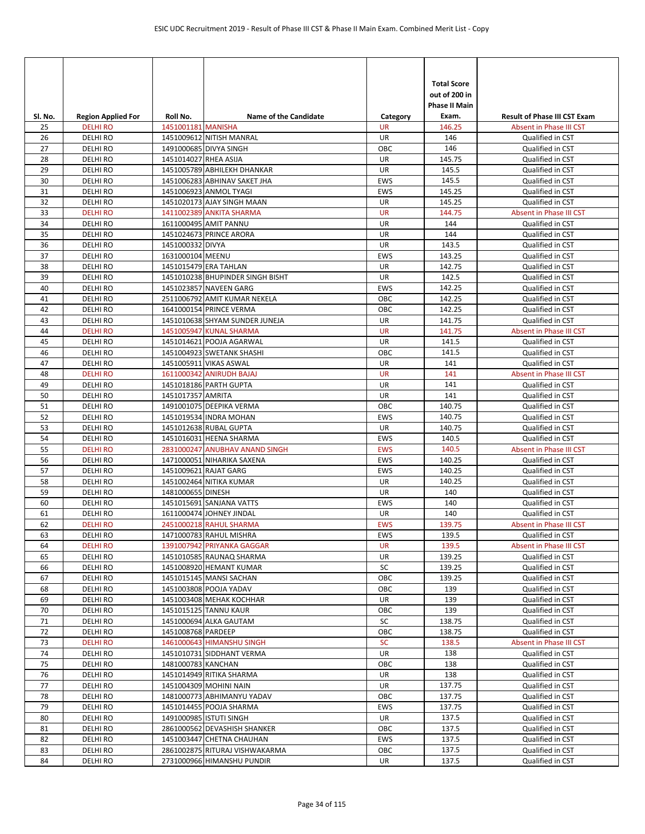| SI. No.  | <b>Region Applied For</b>        | Roll No.              | <b>Name of the Candidate</b>                              | Category         | <b>Total Score</b><br>out of 200 in<br><b>Phase II Main</b><br>Exam. | <b>Result of Phase III CST Exam</b>         |
|----------|----------------------------------|-----------------------|-----------------------------------------------------------|------------------|----------------------------------------------------------------------|---------------------------------------------|
| 25       | <b>DELHIRO</b>                   | 1451001181 MANISHA    |                                                           | <b>UR</b>        | 146.25                                                               | Absent in Phase III CST                     |
| 26<br>27 | <b>DELHIRO</b><br><b>DELHIRO</b> |                       | 1451009612 NITISH MANRAL<br>1491000685 DIVYA SINGH        | UR<br>OBC        | 146<br>146                                                           | Qualified in CST<br>Qualified in CST        |
| 28       | <b>DELHIRO</b>                   | 1451014027 RHEA ASIJA |                                                           | UR               | 145.75                                                               | Qualified in CST                            |
| 29       | <b>DELHI RO</b>                  |                       | 1451005789 ABHILEKH DHANKAR                               | UR               | 145.5                                                                | Qualified in CST                            |
| 30       | <b>DELHIRO</b>                   |                       | 1451006283 ABHINAV SAKET JHA                              | <b>EWS</b>       | 145.5                                                                | Qualified in CST                            |
| 31       | <b>DELHIRO</b>                   |                       | 1451006923 ANMOL TYAGI                                    | <b>EWS</b>       | 145.25                                                               | Qualified in CST                            |
| 32       | <b>DELHIRO</b>                   |                       | 1451020173 AJAY SINGH MAAN                                | UR               | 145.25                                                               | Qualified in CST                            |
| 33       | <b>DELHIRO</b>                   |                       | 1411002389 ANKITA SHARMA                                  | <b>UR</b>        | 144.75                                                               | Absent in Phase III CST                     |
| 34       | <b>DELHIRO</b>                   |                       | 1611000495 AMIT PANNU                                     | UR               | 144                                                                  | Qualified in CST                            |
| 35       | <b>DELHIRO</b>                   |                       | 1451024673 PRINCE ARORA                                   | UR               | 144                                                                  | Qualified in CST                            |
| 36       | <b>DELHIRO</b>                   | 1451000332 DIVYA      |                                                           | UR               | 143.5                                                                | Qualified in CST                            |
| 37       | <b>DELHIRO</b>                   | 1631000104 MEENU      |                                                           | <b>EWS</b>       | 143.25                                                               | Qualified in CST                            |
| 38       | <b>DELHIRO</b>                   |                       | 1451015479 ERA TAHLAN                                     | UR               | 142.75                                                               | Qualified in CST                            |
| 39       | <b>DELHI RO</b>                  |                       | 1451010238 BHUPINDER SINGH BISHT                          | UR               | 142.5                                                                | Qualified in CST                            |
| 40       | <b>DELHIRO</b>                   |                       | 1451023857 NAVEEN GARG                                    | <b>EWS</b>       | 142.25                                                               | Qualified in CST                            |
| 41       | <b>DELHIRO</b>                   |                       | 2511006792 AMIT KUMAR NEKELA                              | OBC              | 142.25                                                               | Qualified in CST                            |
| 42       | <b>DELHIRO</b><br><b>DELHIRO</b> |                       | 1641000154 PRINCE VERMA                                   | OBC              | 142.25                                                               | Qualified in CST                            |
| 43<br>44 | <b>DELHI RO</b>                  |                       | 1451010638 SHYAM SUNDER JUNEJA<br>1451005947 KUNAL SHARMA | UR<br><b>UR</b>  | 141.75<br>141.75                                                     | Qualified in CST<br>Absent in Phase III CST |
| 45       | <b>DELHIRO</b>                   |                       | 1451014621 POOJA AGARWAL                                  | UR               | 141.5                                                                | Qualified in CST                            |
| 46       | <b>DELHIRO</b>                   |                       | 1451004923 SWETANK SHASHI                                 | ОВС              | 141.5                                                                | Qualified in CST                            |
| 47       | <b>DELHIRO</b>                   |                       | 1451005911 VIKAS ASWAL                                    | <b>UR</b>        | 141                                                                  | Qualified in CST                            |
| 48       | <b>DELHIRO</b>                   |                       | 1611000342 ANIRUDH BAJAJ                                  | <b>UR</b>        | 141                                                                  | Absent in Phase III CST                     |
| 49       | <b>DELHIRO</b>                   |                       | 1451018186 PARTH GUPTA                                    | UR               | 141                                                                  | Qualified in CST                            |
| 50       | <b>DELHIRO</b>                   | 1451017357 AMRITA     |                                                           | UR               | 141                                                                  | Qualified in CST                            |
| 51       | <b>DELHIRO</b>                   |                       | 1491001075 DEEPIKA VERMA                                  | OBC              | 140.75                                                               | Qualified in CST                            |
| 52       | <b>DELHIRO</b>                   |                       | 1451019534 INDRA MOHAN                                    | <b>EWS</b>       | 140.75                                                               | Qualified in CST                            |
| 53       | <b>DELHIRO</b>                   |                       | 1451012638 RUBAL GUPTA                                    | UR               | 140.75                                                               | Qualified in CST                            |
| 54       | <b>DELHIRO</b>                   |                       | 1451016031 HEENA SHARMA                                   | EWS              | 140.5                                                                | Qualified in CST                            |
| 55       | <b>DELHI RO</b>                  |                       | 2831000247 ANUBHAV ANAND SINGH                            | <b>EWS</b>       | 140.5                                                                | Absent in Phase III CST                     |
| 56       | <b>DELHIRO</b>                   |                       | 1471000051 NIHARIKA SAXENA                                | <b>EWS</b>       | 140.25                                                               | Qualified in CST                            |
| 57       | <b>DELHIRO</b>                   |                       | 1451009621 RAJAT GARG                                     | <b>EWS</b>       | 140.25                                                               | Qualified in CST                            |
| 58       | <b>DELHIRO</b>                   |                       | 1451002464 NITIKA KUMAR                                   | UR               | 140.25                                                               | Qualified in CST                            |
| 59       | <b>DELHIRO</b>                   | 1481000655 DINESH     |                                                           | UR               | 140                                                                  | Qualified in CST                            |
| 60       | <b>DELHIRO</b>                   |                       | 1451015691 SANJANA VATTS                                  | <b>EWS</b>       | 140                                                                  | Qualified in CST                            |
| 61<br>62 | <b>DELHIRO</b><br><b>DELHIRO</b> |                       | 1611000474 JOHNEY JINDAL<br>2451000218 RAHUL SHARMA       | UR<br><b>EWS</b> | 140<br>139.75                                                        | Qualified in CST<br>Absent in Phase III CST |
| 63       | <b>DELHIRO</b>                   |                       | 1471000783 RAHUL MISHRA                                   | EWS              | 139.5                                                                | Qualified in CST                            |
| 64       | <b>DELHI RO</b>                  |                       | 1391007942 PRIYANKA GAGGAR                                | <b>UR</b>        | 139.5                                                                | Absent in Phase III CST                     |
| 65       | <b>DELHI RO</b>                  |                       | 1451010585 RAUNAQ SHARMA                                  | UR               | 139.25                                                               | Qualified in CST                            |
| 66       | DELHI RO                         |                       | 1451008920 HEMANT KUMAR                                   | SC               | 139.25                                                               | Qualified in CST                            |
| 67       | DELHI RO                         |                       | 1451015145 MANSI SACHAN                                   | OBC              | 139.25                                                               | Qualified in CST                            |
| 68       | <b>DELHI RO</b>                  |                       | 1451003808 POOJA YADAV                                    | ОВС              | 139                                                                  | Qualified in CST                            |
| 69       | DELHI RO                         |                       | 1451003408 MEHAK KOCHHAR                                  | UR               | 139                                                                  | Qualified in CST                            |
| 70       | DELHI RO                         |                       | 1451015125 TANNU KAUR                                     | ОВС              | 139                                                                  | Qualified in CST                            |
| 71       | <b>DELHI RO</b>                  |                       | 1451000694 ALKA GAUTAM                                    | SC               | 138.75                                                               | Qualified in CST                            |
| 72       | DELHI RO                         | 1451008768 PARDEEP    |                                                           | ОВС              | 138.75                                                               | Qualified in CST                            |
| 73       | <b>DELHIRO</b>                   |                       | 1461000643 HIMANSHU SINGH                                 | <b>SC</b>        | 138.5                                                                | Absent in Phase III CST                     |
| 74       | <b>DELHI RO</b>                  |                       | 1451010731 SIDDHANT VERMA                                 | UR               | 138                                                                  | Qualified in CST                            |
| 75       | DELHI RO                         | 1481000783 KANCHAN    |                                                           | ОВС              | 138                                                                  | Qualified in CST                            |
| 76       | DELHI RO                         |                       | 1451014949 RITIKA SHARMA                                  | UR<br>UR         | 138                                                                  | Qualified in CST                            |
| 77       | <b>DELHI RO</b>                  |                       | 1451004309 MOHINI NAIN                                    |                  | 137.75                                                               | Qualified in CST                            |
| 78<br>79 | DELHI RO<br>DELHI RO             |                       | 1481000773 ABHIMANYU YADAV<br>1451014455 POOJA SHARMA     | ОВС<br>EWS       | 137.75<br>137.75                                                     | Qualified in CST<br>Qualified in CST        |
| 80       | DELHI RO                         |                       | 1491000985 ISTUTI SINGH                                   | UR               | 137.5                                                                | Qualified in CST                            |
| 81       | <b>DELHI RO</b>                  |                       | 2861000562 DEVASHISH SHANKER                              | OBC              | 137.5                                                                | Qualified in CST                            |
| 82       | <b>DELHI RO</b>                  |                       | 1451003447 CHETNA CHAUHAN                                 | EWS              | 137.5                                                                | Qualified in CST                            |
| 83       | DELHI RO                         |                       | 2861002875 RITURAJ VISHWAKARMA                            | ОВС              | 137.5                                                                | Qualified in CST                            |
| 84       | DELHI RO                         |                       | 2731000966 HIMANSHU PUNDIR                                | UR               | 137.5                                                                | Qualified in CST                            |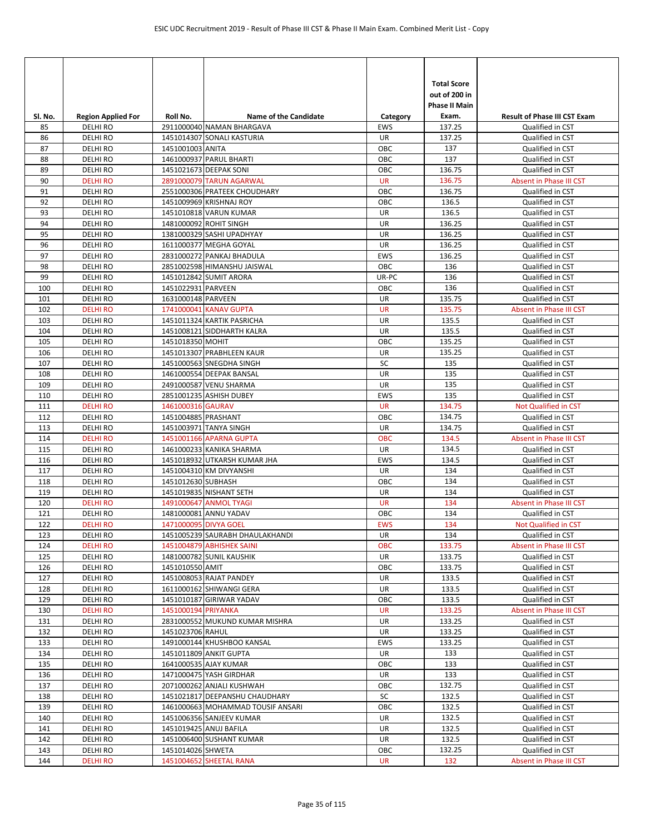| SI. No.    | <b>Region Applied For</b>        | Roll No.              | <b>Name of the Candidate</b>                         | Category        | <b>Total Score</b><br>out of 200 in<br><b>Phase II Main</b><br>Exam. | <b>Result of Phase III CST Exam</b>  |
|------------|----------------------------------|-----------------------|------------------------------------------------------|-----------------|----------------------------------------------------------------------|--------------------------------------|
| 85         | <b>DELHIRO</b>                   |                       | 2911000040 NAMAN BHARGAVA                            | <b>EWS</b>      | 137.25                                                               | Qualified in CST                     |
| 86         | <b>DELHIRO</b>                   |                       | 1451014307 SONALI KASTURIA                           | UR              | 137.25                                                               | Qualified in CST                     |
| 87         | <b>DELHIRO</b>                   | 1451001003 ANITA      |                                                      | OBC             | 137                                                                  | Qualified in CST                     |
| 88         | <b>DELHI RO</b>                  |                       | 1461000937 PARUL BHARTI                              | OBC             | 137                                                                  | Qualified in CST                     |
| 89         | <b>DELHIRO</b>                   |                       | 1451021673 DEEPAK SONI                               | OBC             | 136.75                                                               | Qualified in CST                     |
| 90         | <b>DELHI RO</b>                  |                       | 2891000079 TARUN AGARWAL                             | <b>UR</b>       | 136.75                                                               | Absent in Phase III CST              |
| 91         | <b>DELHI RO</b>                  |                       | 2551000306 PRATEEK CHOUDHARY                         | OBC             | 136.75                                                               | Qualified in CST                     |
| 92         | <b>DELHIRO</b>                   |                       | 1451009969 KRISHNAJ ROY                              | OBC             | 136.5                                                                | Qualified in CST                     |
| 93         | <b>DELHIRO</b>                   |                       | 1451010818 VARUN KUMAR                               | UR              | 136.5                                                                | Qualified in CST                     |
| 94         | <b>DELHIRO</b>                   |                       | 1481000092 ROHIT SINGH                               | UR              | 136.25                                                               | Qualified in CST                     |
| 95         | <b>DELHIRO</b>                   |                       | 1381000329 SASHI UPADHYAY                            | UR              | 136.25                                                               | Qualified in CST                     |
| 96         | <b>DELHIRO</b>                   |                       | 1611000377 MEGHA GOYAL                               | UR              | 136.25                                                               | Qualified in CST                     |
| 97         | <b>DELHIRO</b>                   |                       | 2831000272 PANKAJ BHADULA                            | EWS             | 136.25                                                               | Qualified in CST                     |
| 98         | <b>DELHIRO</b>                   |                       | 2851002598 HIMANSHU JAISWAL                          | OBC             | 136                                                                  | Qualified in CST                     |
| 99         | <b>DELHIRO</b>                   |                       | 1451012842 SUMIT ARORA                               | UR-PC           | 136                                                                  | Qualified in CST                     |
| 100        | <b>DELHIRO</b>                   | 1451022931 PARVEEN    |                                                      | OBC             | 136                                                                  | Qualified in CST                     |
| 101        | <b>DELHIRO</b>                   | 1631000148 PARVEEN    |                                                      | UR              | 135.75                                                               | Qualified in CST                     |
| 102<br>103 | <b>DELHIRO</b><br><b>DELHIRO</b> |                       | 1741000041 KANAV GUPTA<br>1451011324 KARTIK PASRICHA | <b>UR</b><br>UR | 135.75<br>135.5                                                      | Absent in Phase III CST              |
|            | <b>DELHIRO</b>                   |                       | 1451008121 SIDDHARTH KALRA                           | UR              | 135.5                                                                | Qualified in CST                     |
| 104<br>105 | <b>DELHIRO</b>                   | 1451018350 MOHIT      |                                                      | OBC             | 135.25                                                               | Qualified in CST<br>Qualified in CST |
| 106        | <b>DELHIRO</b>                   |                       | 1451013307 PRABHLEEN KAUR                            | UR              | 135.25                                                               | Qualified in CST                     |
| 107        | <b>DELHIRO</b>                   |                       | 1451000563 SNEGDHA SINGH                             | SC              | 135                                                                  | Qualified in CST                     |
| 108        | <b>DELHIRO</b>                   |                       | 1461000554 DEEPAK BANSAL                             | UR              | 135                                                                  | Qualified in CST                     |
| 109        | <b>DELHIRO</b>                   |                       | 2491000587 VENU SHARMA                               | UR              | 135                                                                  | Qualified in CST                     |
| 110        | <b>DELHIRO</b>                   |                       | 2851001235 ASHISH DUBEY                              | EWS             | 135                                                                  | Qualified in CST                     |
| 111        | <b>DELHIRO</b>                   | 1461000316 GAURAV     |                                                      | <b>UR</b>       | 134.75                                                               | Not Qualified in CST                 |
| 112        | <b>DELHIRO</b>                   | 1451004885 PRASHANT   |                                                      | OBC             | 134.75                                                               | Qualified in CST                     |
| 113        | <b>DELHIRO</b>                   |                       | 1451003971 TANYA SINGH                               | UR              | 134.75                                                               | Qualified in CST                     |
| 114        | <b>DELHI RO</b>                  |                       | 1451001166 APARNA GUPTA                              | <b>OBC</b>      | 134.5                                                                | Absent in Phase III CST              |
| 115        | <b>DELHIRO</b>                   |                       | 1461000233 KANIKA SHARMA                             | UR              | 134.5                                                                | Qualified in CST                     |
| 116        | <b>DELHIRO</b>                   |                       | 1451018932 UTKARSH KUMAR JHA                         | <b>EWS</b>      | 134.5                                                                | Qualified in CST                     |
| 117        | <b>DELHIRO</b>                   |                       | 1451004310 KM DIVYANSHI                              | UR              | 134                                                                  | Qualified in CST                     |
| 118        | <b>DELHIRO</b>                   | 1451012630 SUBHASH    |                                                      | OBC             | 134                                                                  | Qualified in CST                     |
| 119        | <b>DELHIRO</b>                   |                       | 1451019835 NISHANT SETH                              | UR              | 134                                                                  | Qualified in CST                     |
| 120        | <b>DELHI RO</b>                  |                       | 1491000647 ANMOL TYAGI                               | <b>UR</b>       | 134                                                                  | Absent in Phase III CST              |
| 121        | <b>DELHIRO</b>                   |                       | 1481000081 ANNU YADAV                                | OBC             | 134                                                                  | Qualified in CST                     |
| 122        | <b>DELHIRO</b>                   | 1471000095 DIVYA GOEL |                                                      | <b>EWS</b>      | 134                                                                  | <b>Not Qualified in CST</b>          |
| 123        | DELHI RO                         |                       | 1451005239 SAURABH DHAULAKHANDI                      | UR              | 134                                                                  | Qualified in CST                     |
| 124        | <b>DELHI RO</b>                  |                       | 1451004879 ABHISHEK SAINI                            | OBC             | 133.75                                                               | Absent in Phase III CST              |
| 125        | <b>DELHIRO</b>                   | 1451010550 AMIT       | 1481000782 SUNIL KAUSHIK                             | UR<br>ОВС       | 133.75                                                               | Qualified in CST                     |
| 126<br>127 | DELHI RO<br>DELHI RO             |                       | 1451008053 RAJAT PANDEY                              | UR              | 133.75<br>133.5                                                      | Qualified in CST<br>Qualified in CST |
| 128        | <b>DELHIRO</b>                   |                       | 1611000162 SHIWANGI GERA                             | UR              | 133.5                                                                | Qualified in CST                     |
| 129        | DELHI RO                         |                       | 1451010187 GIRIWAR YADAV                             | ОВС             | 133.5                                                                | Qualified in CST                     |
| 130        | <b>DELHI RO</b>                  | 1451000194 PRIYANKA   |                                                      | <b>UR</b>       | 133.25                                                               | Absent in Phase III CST              |
| 131        | DELHI RO                         |                       | 2831000552 MUKUND KUMAR MISHRA                       | UR              | 133.25                                                               | Qualified in CST                     |
| 132        | DELHI RO                         | 1451023706 RAHUL      |                                                      | UR              | 133.25                                                               | Qualified in CST                     |
| 133        | <b>DELHIRO</b>                   |                       | 1491000144 KHUSHBOO KANSAL                           | EWS             | 133.25                                                               | Qualified in CST                     |
| 134        | <b>DELHI RO</b>                  |                       | 1451011809 ANKIT GUPTA                               | UR              | 133                                                                  | Qualified in CST                     |
| 135        | <b>DELHI RO</b>                  |                       | 1641000535 AJAY KUMAR                                | ОВС             | 133                                                                  | Qualified in CST                     |
| 136        | DELHI RO                         |                       | 1471000475 YASH GIRDHAR                              | UR              | 133                                                                  | Qualified in CST                     |
| 137        | <b>DELHIRO</b>                   |                       | 2071000262 ANJALI KUSHWAH                            | OBC             | 132.75                                                               | Qualified in CST                     |
| 138        | DELHI RO                         |                       | 1451021817 DEEPANSHU CHAUDHARY                       | SC              | 132.5                                                                | Qualified in CST                     |
| 139        | DELHI RO                         |                       | 1461000663 MOHAMMAD TOUSIF ANSARI                    | ОВС             | 132.5                                                                | Qualified in CST                     |
| 140        | <b>DELHI RO</b>                  |                       | 1451006356 SANJEEV KUMAR                             | UR              | 132.5                                                                | Qualified in CST                     |
| 141        | DELHI RO                         |                       | 1451019425 ANUJ BAFILA                               | UR              | 132.5                                                                | Qualified in CST                     |
| 142        | DELHI RO                         |                       | 1451006400 SUSHANT KUMAR                             | UR              | 132.5                                                                | Qualified in CST                     |
| 143        | DELHI RO                         | 1451014026 SHWETA     |                                                      | ОВС             | 132.25                                                               | Qualified in CST                     |
| 144        | <b>DELHI RO</b>                  |                       | 1451004652 SHEETAL RANA                              | <b>UR</b>       | 132                                                                  | Absent in Phase III CST              |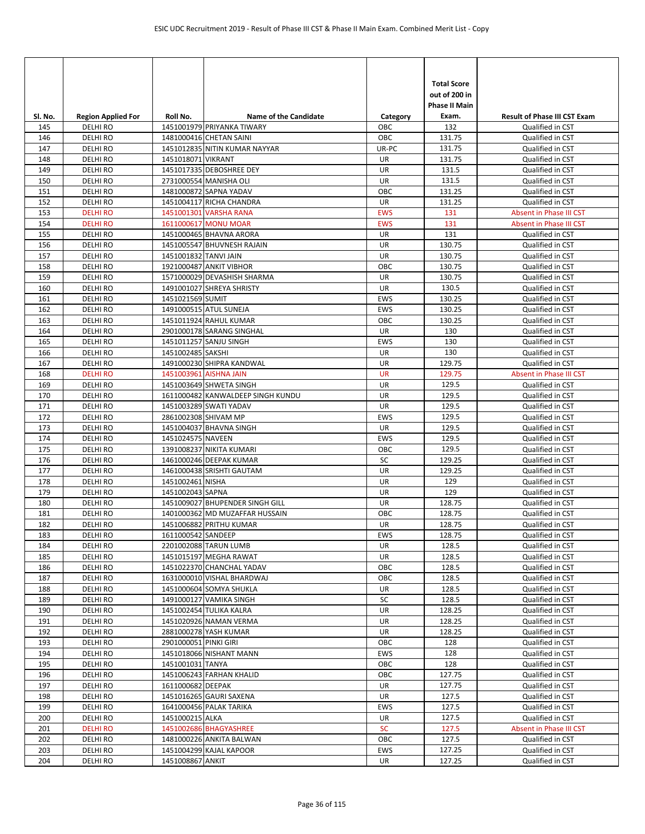| Sl. No.    | <b>Region Applied For</b>          | Roll No.              | <b>Name of the Candidate</b>                        | Category          | <b>Total Score</b><br>out of 200 in<br>Phase II Main<br>Exam. | <b>Result of Phase III CST Exam</b>  |
|------------|------------------------------------|-----------------------|-----------------------------------------------------|-------------------|---------------------------------------------------------------|--------------------------------------|
| 145        | <b>DELHI RO</b>                    |                       | 1451001979 PRIYANKA TIWARY                          | OBC               | 132                                                           | Qualified in CST                     |
| 146        | <b>DELHI RO</b>                    |                       | 1481000416 CHETAN SAINI                             | OBC               | 131.75                                                        | Qualified in CST                     |
| 147        | <b>DELHI RO</b>                    |                       | 1451012835 NITIN KUMAR NAYYAR                       | UR-PC             | 131.75                                                        | Qualified in CST                     |
| 148        | <b>DELHIRO</b>                     | 1451018071 VIKRANT    |                                                     | UR                | 131.75                                                        | Qualified in CST                     |
| 149        | <b>DELHI RO</b>                    |                       | 1451017335 DEBOSHREE DEY                            | UR                | 131.5                                                         | Qualified in CST                     |
| 150        | <b>DELHI RO</b>                    |                       | 2731000554 MANISHA OLI                              | <b>UR</b>         | 131.5                                                         | Qualified in CST                     |
| 151        | <b>DELHI RO</b>                    |                       | 1481000872 SAPNA YADAV                              | OBC               | 131.25                                                        | Qualified in CST                     |
| 152        | <b>DELHI RO</b>                    |                       | 1451004117 RICHA CHANDRA                            | UR                | 131.25                                                        | Qualified in CST                     |
| 153        | <b>DELHI RO</b>                    |                       | 1451001301 VARSHA RANA                              | <b>EWS</b>        | 131                                                           | <b>Absent in Phase III CST</b>       |
| 154        | <b>DELHI RO</b>                    |                       | 1611000617 MONU MOAR                                | <b>EWS</b>        | 131                                                           | Absent in Phase III CST              |
| 155        | <b>DELHI RO</b>                    |                       | 1451000465 BHAVNA ARORA                             | UR                | 131                                                           | Qualified in CST                     |
| 156        | DELHI RO                           |                       | 1451005547 BHUVNESH RAJAIN                          | UR                | 130.75                                                        | Qualified in CST                     |
| 157        | <b>DELHI RO</b>                    | 1451001832 TANVI JAIN |                                                     | UR                | 130.75                                                        | Qualified in CST                     |
| 158        | <b>DELHI RO</b>                    |                       | 1921000487 ANKIT VIBHOR                             | OBC               | 130.75                                                        | Qualified in CST                     |
| 159        | <b>DELHI RO</b>                    |                       | 1571000029 DEVASHISH SHARMA                         | UR                | 130.75                                                        | Qualified in CST                     |
| 160        | <b>DELHI RO</b>                    |                       | 1491001027 SHREYA SHRISTY                           | <b>UR</b>         | 130.5                                                         | Qualified in CST                     |
| 161        | <b>DELHI RO</b>                    | 1451021569 SUMIT      |                                                     | <b>EWS</b>        | 130.25                                                        | Qualified in CST                     |
| 162        | <b>DELHI RO</b>                    |                       | 1491000515 ATUL SUNEJA                              | <b>EWS</b><br>OBC | 130.25<br>130.25                                              | Qualified in CST                     |
| 163<br>164 | <b>DELHI RO</b><br><b>DELHI RO</b> |                       | 1451011924 RAHUL KUMAR<br>2901000178 SARANG SINGHAL | UR                | 130                                                           | Qualified in CST                     |
| 165        | <b>DELHI RO</b>                    |                       | 1451011257 SANJU SINGH                              | EWS               | 130                                                           | Qualified in CST<br>Qualified in CST |
| 166        | <b>DELHIRO</b>                     | 1451002485 SAKSHI     |                                                     | UR                | 130                                                           | Qualified in CST                     |
| 167        | <b>DELHI RO</b>                    |                       | 1491000230 SHIPRA KANDWAL                           | UR                | 129.75                                                        | Qualified in CST                     |
| 168        | <b>DELHI RO</b>                    |                       | 1451003961 AISHNA JAIN                              | <b>UR</b>         | 129.75                                                        | Absent in Phase III CST              |
| 169        | <b>DELHI RO</b>                    |                       | 1451003649 SHWETA SINGH                             | UR                | 129.5                                                         | Qualified in CST                     |
| 170        | <b>DELHI RO</b>                    |                       | 1611000482 KANWALDEEP SINGH KUNDU                   | UR                | 129.5                                                         | Qualified in CST                     |
| 171        | <b>DELHI RO</b>                    |                       | 1451003289 SWATI YADAV                              | UR                | 129.5                                                         | Qualified in CST                     |
| 172        | <b>DELHI RO</b>                    | 2861002308 SHIVAM MP  |                                                     | <b>EWS</b>        | 129.5                                                         | Qualified in CST                     |
| 173        | <b>DELHI RO</b>                    |                       | 1451004037 BHAVNA SINGH                             | UR                | 129.5                                                         | Qualified in CST                     |
| 174        | <b>DELHI RO</b>                    | 1451024575 NAVEEN     |                                                     | <b>EWS</b>        | 129.5                                                         | Qualified in CST                     |
| 175        | <b>DELHI RO</b>                    |                       | 1391008237 NIKITA KUMARI                            | OBC               | 129.5                                                         | Qualified in CST                     |
| 176        | DELHI RO                           |                       | 1461000246 DEEPAK KUMAR                             | SC                | 129.25                                                        | Qualified in CST                     |
| 177        | <b>DELHI RO</b>                    |                       | 1461000438 SRISHTI GAUTAM                           | UR                | 129.25                                                        | Qualified in CST                     |
| 178        | <b>DELHIRO</b>                     | 1451002461 NISHA      |                                                     | UR                | 129                                                           | Qualified in CST                     |
| 179        | DELHI RO                           | 1451002043 SAPNA      |                                                     | UR                | 129                                                           | Qualified in CST                     |
| 180        | <b>DELHI RO</b>                    |                       | 1451009027 BHUPENDER SINGH GILL                     | <b>UR</b>         | 128.75                                                        | Qualified in CST                     |
| 181        | DELHI RO                           |                       | 1401000362 MD MUZAFFAR HUSSAIN                      | OBC               | 128.75                                                        | Qualified in CST                     |
| 182        | <b>DELHI RO</b>                    |                       | 1451006882 PRITHU KUMAR                             | <b>UR</b>         | 128.75                                                        | Qualified in CST                     |
| 183        | <b>DELHI RO</b>                    | 1611000542 SANDEEP    |                                                     | <b>EWS</b>        | 128.75                                                        | Qualified in CST                     |
| 184        | <b>DELHI RO</b>                    |                       | 2201002088 TARUN LUMB                               | UR                | 128.5                                                         | Qualified in CST                     |
| 185        | <b>DELHIRO</b>                     |                       | 1451015197 MEGHA RAWAT                              | UR                | 128.5                                                         | Qualified in CST                     |
| 186        | DELHI RO                           |                       | 1451022370 CHANCHAL YADAV                           | OBC               | 128.5                                                         | Qualified in CST                     |
| 187        | <b>DELHI RO</b>                    |                       | 1631000010 VISHAL BHARDWAJ                          | OBC               | 128.5<br>128.5                                                | Qualified in CST                     |
| 188        | <b>DELHIRO</b><br><b>DELHI RO</b>  |                       | 1451000604 SOMYA SHUKLA                             | UR<br>SC          | 128.5                                                         | Qualified in CST                     |
| 189<br>190 | <b>DELHI RO</b>                    |                       | 1491000127 VAMIKA SINGH<br>1451002454 TULIKA KALRA  | UR                | 128.25                                                        | Qualified in CST<br>Qualified in CST |
| 191        | <b>DELHIRO</b>                     |                       | 1451020926 NAMAN VERMA                              | UR                | 128.25                                                        | Qualified in CST                     |
| 192        | DELHI RO                           |                       | 2881000278 YASH KUMAR                               | UR                | 128.25                                                        | Qualified in CST                     |
| 193        | DELHI RO                           | 2901000051 PINKI GIRI |                                                     | OBC               | 128                                                           | Qualified in CST                     |
| 194        | <b>DELHI RO</b>                    |                       | 1451018066 NISHANT MANN                             | EWS               | 128                                                           | Qualified in CST                     |
| 195        | <b>DELHI RO</b>                    | 1451001031 TANYA      |                                                     | OBC               | 128                                                           | Qualified in CST                     |
| 196        | DELHI RO                           |                       | 1451006243 FARHAN KHALID                            | OBC               | 127.75                                                        | Qualified in CST                     |
| 197        | DELHI RO                           | 1611000682 DEEPAK     |                                                     | UR                | 127.75                                                        | Qualified in CST                     |
| 198        | DELHI RO                           |                       | 1451016265 GAURI SAXENA                             | UR                | 127.5                                                         | Qualified in CST                     |
| 199        | <b>DELHI RO</b>                    |                       | 1641000456 PALAK TARIKA                             | EWS               | 127.5                                                         | Qualified in CST                     |
| 200        | <b>DELHI RO</b>                    | 1451000215 ALKA       |                                                     | UR                | 127.5                                                         | Qualified in CST                     |
| 201        | <b>DELHIRO</b>                     |                       | 1451002686 BHAGYASHREE                              | <b>SC</b>         | 127.5                                                         | Absent in Phase III CST              |
| 202        | DELHI RO                           |                       | 1481000226 ANKITA BALWAN                            | OBC               | 127.5                                                         | Qualified in CST                     |
| 203        | DELHI RO                           |                       | 1451004299 KAJAL KAPOOR                             | EWS               | 127.25                                                        | Qualified in CST                     |
| 204        | <b>DELHI RO</b>                    | 1451008867 ANKIT      |                                                     | UR                | 127.25                                                        | Qualified in CST                     |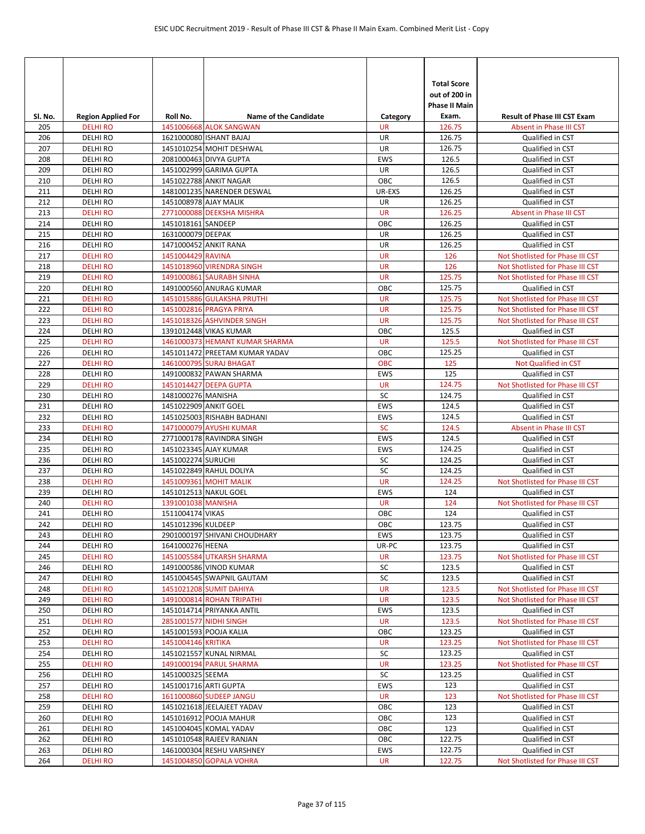| SI. No.    | <b>Region Applied For</b>        | Roll No.              | <b>Name of the Candidate</b>   | Category         | <b>Total Score</b><br>out of 200 in<br><b>Phase II Main</b><br>Exam. | <b>Result of Phase III CST Exam</b>                  |
|------------|----------------------------------|-----------------------|--------------------------------|------------------|----------------------------------------------------------------------|------------------------------------------------------|
| 205        | <b>DELHIRO</b>                   |                       | 1451006668 ALOK SANGWAN        | <b>UR</b>        | 126.75                                                               | Absent in Phase III CST                              |
| 206        | <b>DELHIRO</b>                   |                       | 1621000080 ISHANT BAJAJ        | <b>UR</b>        | 126.75                                                               | Qualified in CST                                     |
| 207        | <b>DELHIRO</b>                   |                       | 1451010254 MOHIT DESHWAL       | UR               | 126.75                                                               | Qualified in CST                                     |
| 208        | <b>DELHIRO</b>                   |                       | 2081000463 DIVYA GUPTA         | <b>EWS</b>       | 126.5                                                                | Qualified in CST                                     |
| 209        | <b>DELHIRO</b>                   |                       | 1451002999 GARIMA GUPTA        | UR               | 126.5                                                                | Qualified in CST                                     |
| 210        | <b>DELHIRO</b>                   |                       | 1451022788 ANKIT NAGAR         | OBC              | 126.5                                                                | Qualified in CST                                     |
| 211        | <b>DELHIRO</b>                   |                       | 1481001235 NARENDER DESWAL     | UR-EXS           | 126.25                                                               | Qualified in CST<br>Qualified in CST                 |
| 212<br>213 | <b>DELHIRO</b><br><b>DELHIRO</b> | 1451008978 AJAY MALIK | 2771000088 DEEKSHA MISHRA      | UR<br><b>UR</b>  | 126.25<br>126.25                                                     | Absent in Phase III CST                              |
| 214        | <b>DELHIRO</b>                   | 1451018161 SANDEEP    |                                | OBC              | 126.25                                                               | Qualified in CST                                     |
| 215        | <b>DELHIRO</b>                   | 1631000079 DEEPAK     |                                | UR               | 126.25                                                               | Qualified in CST                                     |
| 216        | <b>DELHIRO</b>                   |                       | 1471000452 ANKIT RANA          | UR               | 126.25                                                               | Qualified in CST                                     |
| 217        | <b>DELHIRO</b>                   | 1451004429 RAVINA     |                                | <b>UR</b>        | 126                                                                  | Not Shotlisted for Phase III CST                     |
| 218        | <b>DELHIRO</b>                   |                       | 1451018960 VIRENDRA SINGH      | <b>UR</b>        | 126                                                                  | Not Shotlisted for Phase III CST                     |
| 219        | <b>DELHI RO</b>                  |                       | 1491000861 SAURABH SINHA       | <b>UR</b>        | 125.75                                                               | Not Shotlisted for Phase III CST                     |
| 220        | <b>DELHIRO</b>                   |                       | 1491000560 ANURAG KUMAR        | OBC              | 125.75                                                               | Qualified in CST                                     |
| 221        | <b>DELHI RO</b>                  |                       | 1451015886 GULAKSHA PRUTHI     | <b>UR</b>        | 125.75                                                               | Not Shotlisted for Phase III CST                     |
| 222        | <b>DELHIRO</b>                   |                       | 1451002816 PRAGYA PRIYA        | <b>UR</b>        | 125.75                                                               | Not Shotlisted for Phase III CST                     |
| 223        | <b>DELHIRO</b>                   |                       | 1451018326 ASHVINDER SINGH     | <b>UR</b>        | 125.75                                                               | Not Shotlisted for Phase III CST                     |
| 224        | <b>DELHIRO</b>                   |                       | 1391012448 VIKAS KUMAR         | OBC              | 125.5                                                                | Qualified in CST                                     |
| 225        | <b>DELHI RO</b>                  |                       | 1461000373 HEMANT KUMAR SHARMA | <b>UR</b>        | 125.5                                                                | Not Shotlisted for Phase III CST                     |
| 226        | <b>DELHIRO</b>                   |                       | 1451011472 PREETAM KUMAR YADAV | OBC              | 125.25                                                               | Qualified in CST                                     |
| 227        | <b>DELHIRO</b>                   |                       | 1461000795 SURAJ BHAGAT        | <b>OBC</b>       | 125                                                                  | <b>Not Qualified in CST</b>                          |
| 228        | <b>DELHIRO</b>                   |                       | 1491000832 PAWAN SHARMA        | <b>EWS</b>       | 125                                                                  | Qualified in CST                                     |
| 229        | <b>DELHIRO</b>                   |                       | 1451014427 DEEPA GUPTA         | <b>UR</b>        | 124.75                                                               | Not Shotlisted for Phase III CST                     |
| 230        | <b>DELHIRO</b>                   | 1481000276 MANISHA    |                                | SC               | 124.75                                                               | Qualified in CST                                     |
| 231        | <b>DELHIRO</b>                   | 1451022909 ANKIT GOEL |                                | <b>EWS</b>       | 124.5                                                                | Qualified in CST                                     |
| 232        | <b>DELHIRO</b>                   |                       | 1451025003 RISHABH BADHANI     | <b>EWS</b>       | 124.5                                                                | Qualified in CST                                     |
| 233        | <b>DELHIRO</b>                   |                       | 1471000079 AYUSHI KUMAR        | <b>SC</b>        | 124.5                                                                | Absent in Phase III CST                              |
| 234        | <b>DELHIRO</b>                   |                       | 2771000178 RAVINDRA SINGH      | EWS              | 124.5                                                                | Qualified in CST                                     |
| 235        | <b>DELHIRO</b>                   |                       | 1451023345 AJAY KUMAR          | <b>EWS</b>       | 124.25                                                               | Qualified in CST                                     |
| 236        | <b>DELHIRO</b>                   | 1451002274 SURUCHI    |                                | SC               | 124.25                                                               | Qualified in CST                                     |
| 237        | <b>DELHIRO</b>                   |                       | 1451022849 RAHUL DOLIYA        | SC               | 124.25                                                               | Qualified in CST                                     |
| 238        | <b>DELHIRO</b>                   |                       | 1451009361 MOHIT MALIK         | <b>UR</b>        | 124.25<br>124                                                        | Not Shotlisted for Phase III CST                     |
| 239<br>240 | <b>DELHIRO</b><br><b>DELHIRO</b> | 1391001038 MANISHA    | 1451012513 NAKUL GOEL          | EWS<br><b>UR</b> | 124                                                                  | Qualified in CST<br>Not Shotlisted for Phase III CST |
| 241        | <b>DELHIRO</b>                   | 1511004174 VIKAS      |                                | OBC              | 124                                                                  | Qualified in CST                                     |
| 242        | DELHI RO                         | 1451012396 KULDEEP    |                                | OBC              | 123.75                                                               | Qualified in CST                                     |
| 243        | <b>DELHIRO</b>                   |                       | 2901000197 SHIVANI CHOUDHARY   | EWS              | 123.75                                                               | Qualified in CST                                     |
| 244        | <b>DELHI RO</b>                  | 1641000276 HEENA      |                                | UR-PC            | 123.75                                                               | Qualified in CST                                     |
| 245        | <b>DELHI RO</b>                  |                       | 1451005584 UTKARSH SHARMA      | UR               | 123.75                                                               | Not Shotlisted for Phase III CST                     |
| 246        | DELHI RO                         |                       | 1491000586 VINOD KUMAR         | SC               | 123.5                                                                | Qualified in CST                                     |
| 247        | <b>DELHIRO</b>                   |                       | 1451004545 SWAPNIL GAUTAM      | SC               | 123.5                                                                | Qualified in CST                                     |
| 248        | <b>DELHI RO</b>                  |                       | 1451021208 SUMIT DAHIYA        | <b>UR</b>        | 123.5                                                                | Not Shotlisted for Phase III CST                     |
| 249        | <b>DELHI RO</b>                  |                       | 1491000814 ROHAN TRIPATHI      | <b>UR</b>        | 123.5                                                                | Not Shotlisted for Phase III CST                     |
| 250        | DELHI RO                         |                       | 1451014714 PRIYANKA ANTIL      | EWS              | 123.5                                                                | Qualified in CST                                     |
| 251        | <b>DELHI RO</b>                  |                       | 2851001577 NIDHI SINGH         | <b>UR</b>        | 123.5                                                                | Not Shotlisted for Phase III CST                     |
| 252        | DELHI RO                         |                       | 1451001593 POOJA KALIA         | OBC              | 123.25                                                               | Qualified in CST                                     |
| 253        | <b>DELHIRO</b>                   | 1451004146 KRITIKA    |                                | <b>UR</b>        | 123.25                                                               | Not Shotlisted for Phase III CST                     |
| 254        | <b>DELHIRO</b>                   |                       | 1451021557 KUNAL NIRMAL        | SC               | 123.25                                                               | Qualified in CST                                     |
| 255        | <b>DELHI RO</b>                  |                       | 1491000194 PARUL SHARMA        | UR               | 123.25                                                               | Not Shotlisted for Phase III CST                     |
| 256        | <b>DELHIRO</b>                   | 1451000325 SEEMA      |                                | SC               | 123.25                                                               | Qualified in CST                                     |
| 257        | <b>DELHI RO</b>                  | 1451001716 ARTI GUPTA |                                | <b>EWS</b>       | 123                                                                  | Qualified in CST                                     |
| 258        | <b>DELHI RO</b>                  |                       | 1611000860 SUDEEP JANGU        | <b>UR</b>        | 123                                                                  | Not Shotlisted for Phase III CST                     |
| 259        | DELHI RO                         |                       | 1451021618 JEELAJEET YADAV     | OBC              | 123                                                                  | Qualified in CST                                     |
| 260        | DELHI RO                         |                       | 1451016912 POOJA MAHUR         | OBC              | 123                                                                  | Qualified in CST                                     |
| 261        | <b>DELHIRO</b>                   |                       | 1451004045 KOMAL YADAV         | OBC              | 123                                                                  | Qualified in CST                                     |
| 262        | <b>DELHI RO</b>                  |                       | 1451010548 RAJEEV RANJAN       | OBC              | 122.75                                                               | Qualified in CST                                     |
| 263        | DELHI RO                         |                       | 1461000304 RESHU VARSHNEY      | EWS              | 122.75                                                               | Qualified in CST                                     |
| 264        | <b>DELHI RO</b>                  |                       | 1451004850 GOPALA VOHRA        | <b>UR</b>        | 122.75                                                               | Not Shotlisted for Phase III CST                     |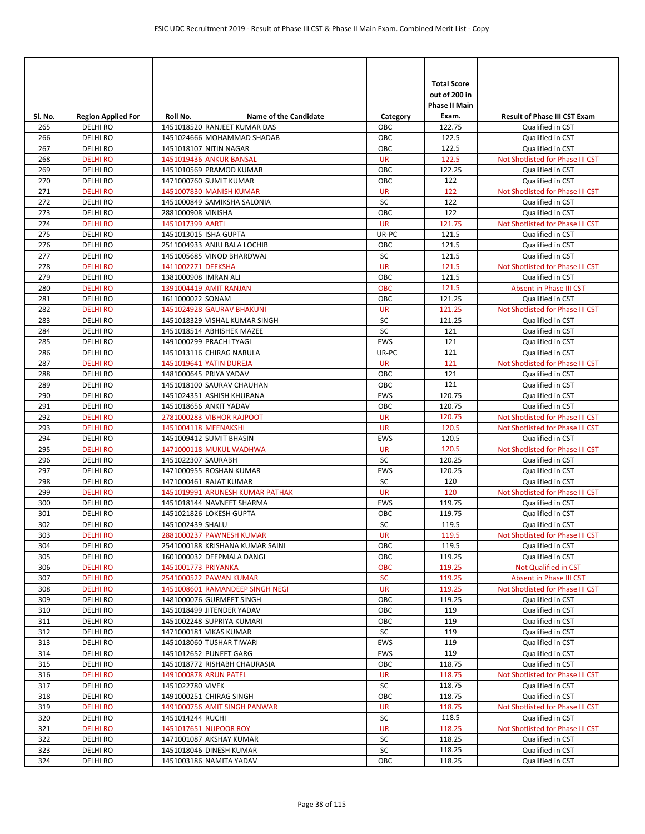| SI. No.    | <b>Region Applied For</b>          | Roll No.              | <b>Name of the Candidate</b>                                 | Category           | <b>Total Score</b><br>out of 200 in<br><b>Phase II Main</b><br>Exam. | <b>Result of Phase III CST Exam</b>                  |
|------------|------------------------------------|-----------------------|--------------------------------------------------------------|--------------------|----------------------------------------------------------------------|------------------------------------------------------|
| 265        | <b>DELHIRO</b>                     |                       | 1451018520 RANJEET KUMAR DAS                                 | OBC                | 122.75                                                               | Qualified in CST                                     |
| 266        | <b>DELHI RO</b>                    |                       | 1451024666 MOHAMMAD SHADAB                                   | OBC                | 122.5                                                                | Qualified in CST                                     |
| 267        | <b>DELHI RO</b>                    |                       | 1451018107 NITIN NAGAR                                       | OBC                | 122.5                                                                | Qualified in CST                                     |
| 268        | <b>DELHI RO</b>                    |                       | 1451019436 ANKUR BANSAL                                      | <b>UR</b>          | 122.5                                                                | Not Shotlisted for Phase III CST                     |
| 269        | <b>DELHI RO</b>                    |                       | 1451010569 PRAMOD KUMAR                                      | OBC                | 122.25                                                               | Qualified in CST                                     |
| 270        | <b>DELHI RO</b>                    |                       | 1471000760 SUMIT KUMAR                                       | OBC                | 122                                                                  | Qualified in CST                                     |
| 271        | <b>DELHI RO</b>                    |                       | 1451007830 MANISH KUMAR                                      | <b>UR</b>          | 122                                                                  | Not Shotlisted for Phase III CST                     |
| 272        | <b>DELHI RO</b>                    |                       | 1451000849 SAMIKSHA SALONIA                                  | SC                 | 122                                                                  | Qualified in CST                                     |
| 273        | <b>DELHI RO</b>                    | 2881000908 VINISHA    |                                                              | OBC                | 122                                                                  | Qualified in CST                                     |
| 274<br>275 | <b>DELHI RO</b>                    | 1451017399 AARTI      |                                                              | <b>UR</b><br>UR-PC | 121.75<br>121.5                                                      | Not Shotlisted for Phase III CST                     |
| 276        | <b>DELHI RO</b><br>DELHI RO        | 1451013015 ISHA GUPTA | 2511004933 ANJU BALA LOCHIB                                  | OBC                | 121.5                                                                | Qualified in CST<br>Qualified in CST                 |
| 277        | <b>DELHI RO</b>                    |                       | 1451005685 VINOD BHARDWAJ                                    | SC                 | 121.5                                                                | Qualified in CST                                     |
| 278        | <b>DELHI RO</b>                    | 1411002271 DEEKSHA    |                                                              | <b>UR</b>          | 121.5                                                                | Not Shotlisted for Phase III CST                     |
| 279        | <b>DELHI RO</b>                    | 1381000908 IMRAN ALI  |                                                              | OBC                | 121.5                                                                | Qualified in CST                                     |
| 280        | <b>DELHI RO</b>                    |                       | 1391004419 AMIT RANJAN                                       | OBC                | 121.5                                                                | <b>Absent in Phase III CST</b>                       |
| 281        | <b>DELHIRO</b>                     | 1611000022 SONAM      |                                                              | OBC                | 121.25                                                               | Qualified in CST                                     |
| 282        | <b>DELHI RO</b>                    |                       | 1451024928 GAURAV BHAKUNI                                    | <b>UR</b>          | 121.25                                                               | Not Shotlisted for Phase III CST                     |
| 283        | <b>DELHIRO</b>                     |                       | 1451018329 VISHAL KUMAR SINGH                                | SC                 | 121.25                                                               | Qualified in CST                                     |
| 284        | <b>DELHI RO</b>                    |                       | 1451018514 ABHISHEK MAZEE                                    | SC                 | 121                                                                  | Qualified in CST                                     |
| 285        | <b>DELHI RO</b>                    |                       | 1491000299 PRACHI TYAGI                                      | EWS                | 121                                                                  | Qualified in CST                                     |
| 286        | DELHI RO                           |                       | 1451013116 CHIRAG NARULA                                     | UR-PC              | 121                                                                  | Qualified in CST                                     |
| 287        | <b>DELHI RO</b>                    |                       | 1451019641 YATIN DUREJA                                      | <b>UR</b>          | 121                                                                  | Not Shotlisted for Phase III CST                     |
| 288        | <b>DELHIRO</b>                     |                       | 1481000645 PRIYA YADAV                                       | OBC                | 121                                                                  | Qualified in CST                                     |
| 289        | <b>DELHI RO</b>                    |                       | 1451018100 SAURAV CHAUHAN                                    | OBC                | 121                                                                  | Qualified in CST                                     |
| 290        | <b>DELHI RO</b>                    |                       | 1451024351 ASHISH KHURANA                                    | EWS                | 120.75                                                               | Qualified in CST                                     |
| 291<br>292 | <b>DELHI RO</b><br><b>DELHI RO</b> |                       | 1451018656 ANKIT YADAV<br>2781000283 VIBHOR RAJPOOT          | OBC<br><b>UR</b>   | 120.75<br>120.75                                                     | Qualified in CST<br>Not Shotlisted for Phase III CST |
| 293        | <b>DELHI RO</b>                    | 1451004118 MEENAKSHI  |                                                              | <b>UR</b>          | 120.5                                                                | Not Shotlisted for Phase III CST                     |
| 294        | <b>DELHI RO</b>                    |                       | 1451009412 SUMIT BHASIN                                      | <b>EWS</b>         | 120.5                                                                | Qualified in CST                                     |
| 295        | <b>DELHI RO</b>                    |                       | 1471000118 MUKUL WADHWA                                      | <b>UR</b>          | 120.5                                                                | Not Shotlisted for Phase III CST                     |
| 296        | DELHI RO                           | 1451022307 SAURABH    |                                                              | <b>SC</b>          | 120.25                                                               | Qualified in CST                                     |
| 297        | <b>DELHI RO</b>                    |                       | 1471000955 ROSHAN KUMAR                                      | EWS                | 120.25                                                               | Qualified in CST                                     |
| 298        | <b>DELHIRO</b>                     |                       | 1471000461 RAJAT KUMAR                                       | SC                 | 120                                                                  | Qualified in CST                                     |
| 299        | <b>DELHIRO</b>                     |                       | 1451019991 ARUNESH KUMAR PATHAK                              | <b>UR</b>          | 120                                                                  | Not Shotlisted for Phase III CST                     |
| 300        | <b>DELHI RO</b>                    |                       | 1451018144 NAVNEET SHARMA                                    | EWS                | 119.75                                                               | Qualified in CST                                     |
| 301        | <b>DELHIRO</b>                     |                       | 1451021826 LOKESH GUPTA                                      | OBC                | 119.75                                                               | Qualified in CST                                     |
| 302        | <b>DELHIRO</b>                     | 1451002439 SHALU      |                                                              | SC                 | 119.5                                                                | Qualified in CST                                     |
| 303        | <b>DELHI RO</b>                    |                       | 2881000237 PAWNESH KUMAR                                     | <b>UR</b>          | 119.5                                                                | Not Shotlisted for Phase III CST                     |
| 304        | <b>DELHI RO</b><br><b>DELHIRO</b>  |                       | 2541000188 KRISHANA KUMAR SAINI<br>1601000032 DEEPMALA DANGI | OBC<br>OBC         | 119.5                                                                | Qualified in CST<br>Qualified in CST                 |
| 305        |                                    |                       |                                                              | OBC                | 119.25<br>119.25                                                     |                                                      |
| 306<br>307 | <b>DELHI RO</b><br><b>DELHI RO</b> | 1451001773 PRIYANKA   | 2541000522 PAWAN KUMAR                                       | <b>SC</b>          | 119.25                                                               | Not Qualified in CST<br>Absent in Phase III CST      |
| 308        | <b>DELHIRO</b>                     |                       | 1451008601 RAMANDEEP SINGH NEGI                              | <b>UR</b>          | 119.25                                                               | Not Shotlisted for Phase III CST                     |
| 309        | DELHI RO                           |                       | 1481000076 GURMEET SINGH                                     | OBC                | 119.25                                                               | Qualified in CST                                     |
| 310        | <b>DELHI RO</b>                    |                       | 1451018499 JITENDER YADAV                                    | OBC                | 119                                                                  | Qualified in CST                                     |
| 311        | DELHI RO                           |                       | 1451002248 SUPRIYA KUMARI                                    | OBC                | 119                                                                  | Qualified in CST                                     |
| 312        | DELHI RO                           |                       | 1471000181 VIKAS KUMAR                                       | SC                 | 119                                                                  | Qualified in CST                                     |
| 313        | DELHI RO                           |                       | 1451018060 TUSHAR TIWARI                                     | EWS                | 119                                                                  | Qualified in CST                                     |
| 314        | <b>DELHI RO</b>                    |                       | 1451012652 PUNEET GARG                                       | EWS                | 119                                                                  | Qualified in CST                                     |
| 315        | <b>DELHI RO</b>                    |                       | 1451018772 RISHABH CHAURASIA                                 | OBC                | 118.75                                                               | Qualified in CST                                     |
| 316        | <b>DELHI RO</b>                    |                       | 1491000878 ARUN PATEL                                        | UR                 | 118.75                                                               | Not Shotlisted for Phase III CST                     |
| 317        | DELHI RO                           | 1451022780 VIVEK      |                                                              | SC                 | 118.75                                                               | Qualified in CST                                     |
| 318        | DELHI RO                           |                       | 1491000251 CHIRAG SINGH                                      | OBC                | 118.75                                                               | Qualified in CST                                     |
| 319<br>320 | <b>DELHI RO</b><br><b>DELHI RO</b> |                       | 1491000756 AMIT SINGH PANWAR                                 | <b>UR</b><br>SC    | 118.75<br>118.5                                                      | Not Shotlisted for Phase III CST                     |
| 321        | <b>DELHI RO</b>                    | 1451014244 RUCHI      | 1451017651 NUPOOR ROY                                        | UR                 | 118.25                                                               | Qualified in CST<br>Not Shotlisted for Phase III CST |
| 322        | DELHI RO                           |                       | 1471001087 AKSHAY KUMAR                                      | SC                 | 118.25                                                               | Qualified in CST                                     |
| 323        | DELHI RO                           |                       | 1451018046 DINESH KUMAR                                      | SC                 | 118.25                                                               | Qualified in CST                                     |
| 324        | DELHI RO                           |                       | 1451003186 NAMITA YADAV                                      | ОВС                | 118.25                                                               | Qualified in CST                                     |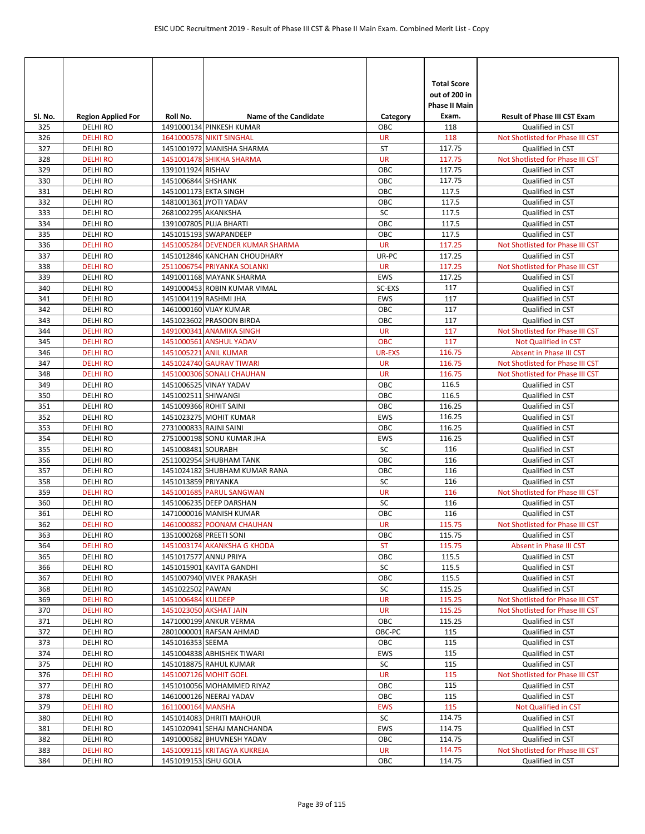| SI. No.    | <b>Region Applied For</b>        | Roll No.               | <b>Name of the Candidate</b>     | Category               | <b>Total Score</b><br>out of 200 in<br>Phase II Main<br>Exam. | <b>Result of Phase III CST Exam</b>                                  |
|------------|----------------------------------|------------------------|----------------------------------|------------------------|---------------------------------------------------------------|----------------------------------------------------------------------|
| 325        | <b>DELHIRO</b>                   |                        | 1491000134 PINKESH KUMAR         | ОВС                    | 118                                                           | Qualified in CST                                                     |
| 326        | <b>DELHI RO</b>                  |                        | <b>1641000578 NIKIT SINGHAL</b>  | <b>UR</b>              | 118                                                           | Not Shotlisted for Phase III CST                                     |
| 327        | <b>DELHIRO</b>                   |                        | 1451001972 MANISHA SHARMA        | ST                     | 117.75                                                        | Qualified in CST                                                     |
| 328        | <b>DELHIRO</b>                   |                        | 1451001478 SHIKHA SHARMA         | <b>UR</b>              | 117.75                                                        | Not Shotlisted for Phase III CST                                     |
| 329        | <b>DELHI RO</b>                  | 1391011924 RISHAV      |                                  | OBC                    | 117.75                                                        | Qualified in CST                                                     |
| 330        | <b>DELHIRO</b>                   | 1451006844 SHSHANK     |                                  | OBC                    | 117.75                                                        | Qualified in CST                                                     |
| 331        | <b>DELHIRO</b><br><b>DELHIRO</b> | 1451001173 EKTA SINGH  |                                  | OBC<br>OBC             | 117.5                                                         | Qualified in CST                                                     |
| 332<br>333 | <b>DELHIRO</b>                   | 2681002295 AKANKSHA    | 1481001361 JYOTI YADAV           | SC                     | 117.5<br>117.5                                                | Qualified in CST<br>Qualified in CST                                 |
| 334        | <b>DELHIRO</b>                   |                        | 1391007805 PUJA BHARTI           | OBC                    | 117.5                                                         | Qualified in CST                                                     |
| 335        | <b>DELHIRO</b>                   |                        | 1451015193 SWAPANDEEP            | OBC                    | 117.5                                                         | Qualified in CST                                                     |
| 336        | <b>DELHI RO</b>                  |                        | 1451005284 DEVENDER KUMAR SHARMA | <b>UR</b>              | 117.25                                                        | Not Shotlisted for Phase III CST                                     |
| 337        | <b>DELHIRO</b>                   |                        | 1451012846 KANCHAN CHOUDHARY     | UR-PC                  | 117.25                                                        | Qualified in CST                                                     |
| 338        | <b>DELHIRO</b>                   |                        | 2511006754 PRIYANKA SOLANKI      | <b>UR</b>              | 117.25                                                        | Not Shotlisted for Phase III CST                                     |
| 339        | <b>DELHI RO</b>                  |                        | 1491001168 MAYANK SHARMA         | EWS                    | 117.25                                                        | Qualified in CST                                                     |
| 340        | <b>DELHIRO</b>                   |                        | 1491000453 ROBIN KUMAR VIMAL     | SC-EXS                 | 117                                                           | Qualified in CST                                                     |
| 341        | <b>DELHIRO</b>                   |                        | 1451004119 RASHMI JHA            | <b>EWS</b>             | 117                                                           | Qualified in CST                                                     |
| 342        | <b>DELHIRO</b>                   |                        | 1461000160 VIJAY KUMAR           | OBC                    | 117                                                           | Qualified in CST                                                     |
| 343        | <b>DELHIRO</b>                   |                        | 1451023602 PRASOON BIRDA         | OBC                    | 117                                                           | Qualified in CST                                                     |
| 344        | <b>DELHI RO</b>                  |                        | 1491000341 ANAMIKA SINGH         | <b>UR</b>              | 117                                                           | Not Shotlisted for Phase III CST                                     |
| 345        | <b>DELHI RO</b>                  |                        | 1451000561 ANSHUL YADAV          | <b>OBC</b>             | 117                                                           | <b>Not Qualified in CST</b>                                          |
| 346        | <b>DELHI RO</b>                  |                        | 1451005221 ANIL KUMAR            | <b>UR-EXS</b>          | 116.75                                                        | <b>Absent in Phase III CST</b>                                       |
| 347        | <b>DELHIRO</b>                   |                        | 1451024740 GAURAV TIWARI         | <b>UR</b>              | 116.75                                                        | Not Shotlisted for Phase III CST                                     |
| 348        | <b>DELHIRO</b>                   |                        | 1451000306 SONALI CHAUHAN        | <b>UR</b>              | 116.75                                                        | Not Shotlisted for Phase III CST                                     |
| 349        | <b>DELHIRO</b>                   |                        | 1451006525 VINAY YADAV           | OBC                    | 116.5                                                         | Qualified in CST                                                     |
| 350        | <b>DELHIRO</b>                   | 1451002511 SHIWANGI    |                                  | OBC                    | 116.5                                                         | Qualified in CST                                                     |
| 351        | <b>DELHIRO</b>                   | 1451009366 ROHIT SAINI |                                  | OBC                    | 116.25                                                        | Qualified in CST                                                     |
| 352<br>353 | <b>DELHIRO</b>                   | 2731000833 RAJNI SAINI | 1451023275 MOHIT KUMAR           | <b>EWS</b><br>OBC      | 116.25<br>116.25                                              | Qualified in CST                                                     |
| 354        | <b>DELHIRO</b><br><b>DELHIRO</b> |                        | 2751000198 SONU KUMAR JHA        | <b>EWS</b>             | 116.25                                                        | Qualified in CST<br>Qualified in CST                                 |
| 355        | <b>DELHIRO</b>                   | 1451008481 SOURABH     |                                  | SC                     | 116                                                           | Qualified in CST                                                     |
| 356        | <b>DELHIRO</b>                   |                        | 2511002954 SHUBHAM TANK          | OBC                    | 116                                                           | Qualified in CST                                                     |
| 357        | <b>DELHIRO</b>                   |                        | 1451024182 SHUBHAM KUMAR RANA    | OBC                    | 116                                                           | Qualified in CST                                                     |
| 358        | <b>DELHIRO</b>                   | 1451013859 PRIYANKA    |                                  | SC                     | 116                                                           | Qualified in CST                                                     |
| 359        | <b>DELHIRO</b>                   |                        | 1451001685 PARUL SANGWAN         | <b>UR</b>              | 116                                                           | Not Shotlisted for Phase III CST                                     |
| 360        | <b>DELHIRO</b>                   |                        | 1451006235 DEEP DARSHAN          | SC                     | 116                                                           | Qualified in CST                                                     |
| 361        | <b>DELHIRO</b>                   |                        | 1471000016 MANISH KUMAR          | OBC                    | 116                                                           | Qualified in CST                                                     |
| 362        | <b>DELHIRO</b>                   |                        | 1461000882 POONAM CHAUHAN        | <b>UR</b>              | 115.75                                                        | Not Shotlisted for Phase III CST                                     |
| 363        | DELHI RO                         | 1351000268 PREETI SONI |                                  | OBC                    | 115.75                                                        | Qualified in CST                                                     |
| 364        | <b>DELHI RO</b>                  |                        | 1451003174 AKANKSHA G KHODA      | <b>ST</b>              | 115.75                                                        | Absent in Phase III CST                                              |
| 365        | <b>DELHIRO</b>                   |                        | 1451017577 ANNU PRIYA            | ОВС                    | 115.5                                                         | Qualified in CST                                                     |
| 366        | DELHI RO                         |                        | 1451015901 KAVITA GANDHI         | SC                     | 115.5                                                         | Qualified in CST                                                     |
| 367        | DELHI RO                         |                        | 1451007940 VIVEK PRAKASH         | OBC                    | 115.5                                                         | Qualified in CST                                                     |
| 368        | <b>DELHIRO</b>                   | 1451022502 PAWAN       |                                  | SC                     | 115.25<br>115.25                                              | Qualified in CST                                                     |
| 369<br>370 | <b>DELHIRO</b><br><b>DELHIRO</b> | 1451006484 KULDEEP     | 1451023050 AKSHAT JAIN           | <b>UR</b><br><b>UR</b> | 115.25                                                        | Not Shotlisted for Phase III CST<br>Not Shotlisted for Phase III CST |
| 371        | <b>DELHIRO</b>                   |                        | 1471000199 ANKUR VERMA           | OBC                    | 115.25                                                        | Qualified in CST                                                     |
| 372        | <b>DELHIRO</b>                   |                        | 2801000001 RAFSAN AHMAD          | OBC-PC                 | 115                                                           | Qualified in CST                                                     |
| 373        | <b>DELHIRO</b>                   | 1451016353 SEEMA       |                                  | OBC                    | 115                                                           | Qualified in CST                                                     |
| 374        | <b>DELHIRO</b>                   |                        | 1451004838 ABHISHEK TIWARI       | EWS                    | 115                                                           | Qualified in CST                                                     |
| 375        | <b>DELHIRO</b>                   |                        | 1451018875 RAHUL KUMAR           | SC                     | 115                                                           | Qualified in CST                                                     |
| 376        | <b>DELHIRO</b>                   |                        | 1451007126 MOHIT GOEL            | <b>UR</b>              | 115                                                           | Not Shotlisted for Phase III CST                                     |
| 377        | <b>DELHIRO</b>                   |                        | 1451010056 MOHAMMED RIYAZ        | OBC                    | 115                                                           | Qualified in CST                                                     |
| 378        | <b>DELHIRO</b>                   |                        | 1461000126 NEERAJ YADAV          | OBC                    | 115                                                           | Qualified in CST                                                     |
| 379        | <b>DELHIRO</b>                   | 1611000164 MANSHA      |                                  | <b>EWS</b>             | 115                                                           | Not Qualified in CST                                                 |
| 380        | DELHI RO                         |                        | 1451014083 DHRITI MAHOUR         | SC                     | 114.75                                                        | Qualified in CST                                                     |
| 381        | <b>DELHIRO</b>                   |                        | 1451020941 SEHAJ MANCHANDA       | EWS                    | 114.75                                                        | Qualified in CST                                                     |
| 382        | <b>DELHIRO</b>                   |                        | 1491000582 BHUVNESH YADAV        | OBC                    | 114.75                                                        | Qualified in CST                                                     |
| 383        | <b>DELHIRO</b>                   |                        | 1451009115 KRITAGYA KUKREJA      | <b>UR</b>              | 114.75                                                        | Not Shotlisted for Phase III CST                                     |
| 384        | DELHI RO                         | 1451019153 ISHU GOLA   |                                  | OBC                    | 114.75                                                        | Qualified in CST                                                     |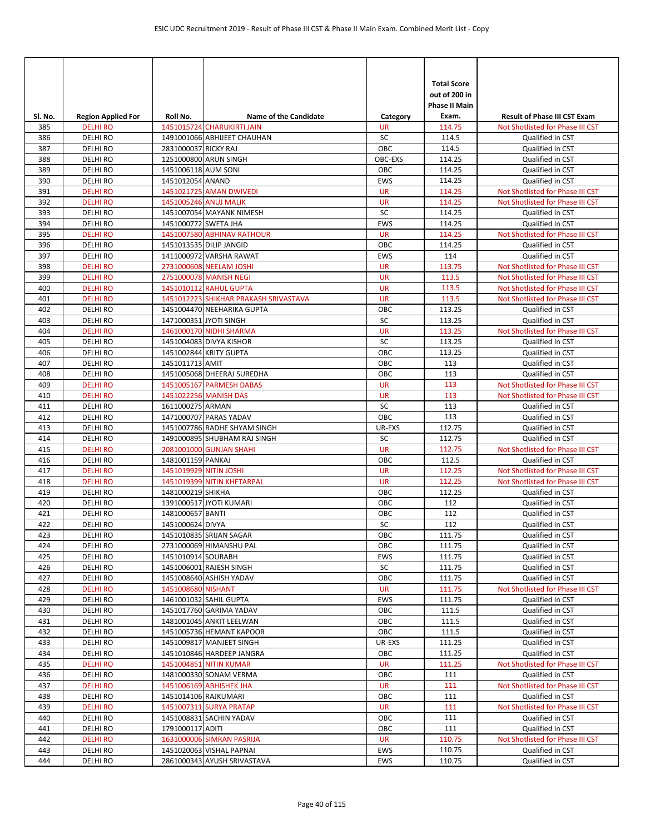| SI. No.    | <b>Region Applied For</b>        | Roll No.               | <b>Name of the Candidate</b>          | Category      | <b>Total Score</b><br>out of 200 in<br>Phase II Main<br>Exam. | <b>Result of Phase III CST Exam</b>  |
|------------|----------------------------------|------------------------|---------------------------------------|---------------|---------------------------------------------------------------|--------------------------------------|
| 385        | <b>DELHI RO</b>                  |                        | 1451015724 CHARUKIRTI JAIN            | <b>UR</b>     | 114.75                                                        | Not Shotlisted for Phase III CST     |
| 386        | <b>DELHIRO</b>                   |                        | 1491001066 ABHIJEET CHAUHAN           | SC            | 114.5                                                         | Qualified in CST                     |
| 387        | <b>DELHIRO</b>                   | 2831000037 RICKY RAJ   |                                       | OBC           | 114.5                                                         | Qualified in CST                     |
| 388        | <b>DELHIRO</b>                   |                        | 1251000800 ARUN SINGH                 | OBC-EXS       | 114.25                                                        | Qualified in CST                     |
| 389        | <b>DELHIRO</b>                   | 1451006118 AUM SONI    |                                       | OBC           | 114.25                                                        | Qualified in CST                     |
| 390        | <b>DELHIRO</b>                   | 1451012054 ANAND       |                                       | EWS           | 114.25                                                        | Qualified in CST                     |
| 391        | <b>DELHI RO</b>                  |                        | 1451021725 AMAN DWIVEDI               | <b>UR</b>     | 114.25                                                        | Not Shotlisted for Phase III CST     |
| 392        | <b>DELHI RO</b>                  |                        | 1451005246 ANUJ MALIK                 | <b>UR</b>     | 114.25                                                        | Not Shotlisted for Phase III CST     |
| 393        | <b>DELHIRO</b>                   |                        | 1451007054 MAYANK NIMESH              | SC            | 114.25                                                        | Qualified in CST                     |
| 394        | <b>DELHIRO</b>                   | 1451000772 SWETA JHA   |                                       | <b>EWS</b>    | 114.25                                                        | Qualified in CST                     |
| 395        | <b>DELHI RO</b>                  |                        | 1451007580 ABHINAV RATHOUR            | <b>UR</b>     | 114.25                                                        | Not Shotlisted for Phase III CST     |
| 396        | <b>DELHIRO</b>                   |                        | 1451013535 DILIP JANGID               | OBC           | 114.25                                                        | Qualified in CST                     |
| 397        | <b>DELHIRO</b>                   |                        | 1411000972 VARSHA RAWAT               | EWS           | 114                                                           | Qualified in CST                     |
| 398        | <b>DELHI RO</b>                  |                        | 2731000608 NEELAM JOSHI               | <b>UR</b>     | 113.75                                                        | Not Shotlisted for Phase III CST     |
| 399        | <b>DELHI RO</b>                  |                        | 2751000078 MANISH NEGI                | <b>UR</b>     | 113.5                                                         | Not Shotlisted for Phase III CST     |
| 400        | <b>DELHI RO</b>                  |                        | 1451010112 RAHUL GUPTA                | <b>UR</b>     | 113.5                                                         | Not Shotlisted for Phase III CST     |
| 401        | <b>DELHI RO</b>                  |                        | 1451012223 SHIKHAR PRAKASH SRIVASTAVA | <b>UR</b>     | 113.5                                                         | Not Shotlisted for Phase III CST     |
| 402        | <b>DELHIRO</b>                   |                        | 1451004470 NEEHARIKA GUPTA            | OBC           | 113.25                                                        | Qualified in CST                     |
| 403        | <b>DELHIRO</b>                   |                        | 1471000351 JYOTI SINGH                | SC            | 113.25                                                        | Qualified in CST                     |
| 404        | <b>DELHI RO</b>                  |                        | 1461000170 NIDHI SHARMA               | <b>UR</b>     | 113.25                                                        | Not Shotlisted for Phase III CST     |
| 405        | <b>DELHIRO</b>                   |                        | 1451004083 DIVYA KISHOR               | SC            | 113.25                                                        | Qualified in CST                     |
| 406        | <b>DELHIRO</b>                   |                        | 1451002844 KRITY GUPTA                | OBC           | 113.25                                                        | Qualified in CST                     |
| 407        | <b>DELHIRO</b>                   | 1451011713 AMIT        |                                       | OBC           | 113                                                           | Qualified in CST                     |
| 408        | <b>DELHIRO</b>                   |                        | 1451005068 DHEERAJ SUREDHA            | OBC           | 113                                                           | Qualified in CST                     |
| 409        | <b>DELHIRO</b>                   |                        | 1451005167 PARMESH DABAS              | <b>UR</b>     | 113                                                           | Not Shotlisted for Phase III CST     |
| 410        | <b>DELHI RO</b>                  |                        | 1451022256 MANISH DAS                 | <b>UR</b>     | 113                                                           | Not Shotlisted for Phase III CST     |
| 411        | <b>DELHI RO</b>                  | 1611000275 ARMAN       | 1471000707 PARAS YADAV                | SC            | 113                                                           | Qualified in CST                     |
| 412<br>413 | <b>DELHIRO</b><br><b>DELHIRO</b> |                        | 1451007786 RADHE SHYAM SINGH          | OBC<br>UR-EXS | 113<br>112.75                                                 | Qualified in CST                     |
| 414        | <b>DELHIRO</b>                   |                        | 1491000895 SHUBHAM RAJ SINGH          | SC            | 112.75                                                        | Qualified in CST<br>Qualified in CST |
| 415        | <b>DELHI RO</b>                  |                        | 2081001000 GUNJAN SHAHI               | <b>UR</b>     | 112.75                                                        | Not Shotlisted for Phase III CST     |
| 416        | <b>DELHIRO</b>                   | 1481001159 PANKAJ      |                                       | OBC           | 112.5                                                         | Qualified in CST                     |
| 417        | <b>DELHI RO</b>                  | 1451019929 NITIN JOSHI |                                       | <b>UR</b>     | 112.25                                                        | Not Shotlisted for Phase III CST     |
| 418        | <b>DELHI RO</b>                  |                        | 1451019399 NITIN KHETARPAL            | <b>UR</b>     | 112.25                                                        | Not Shotlisted for Phase III CST     |
| 419        | <b>DELHIRO</b>                   | 1481000219 SHIKHA      |                                       | OBC           | 112.25                                                        | Qualified in CST                     |
| 420        | <b>DELHIRO</b>                   |                        | 1391000517 JYOTI KUMARI               | OBC           | 112                                                           | Qualified in CST                     |
| 421        | <b>DELHIRO</b>                   | 1481000657 BANTI       |                                       | OBC           | 112                                                           | Qualified in CST                     |
| 422        | DELHI RO                         | 1451000624 DIVYA       |                                       | SC            | 112                                                           | Qualified in CST                     |
| 423        | <b>DELHIRO</b>                   |                        | 1451010835 SRIJAN SAGAR               | OBC           | 111.75                                                        | Qualified in CST                     |
| 424        | <b>DELHIRO</b>                   |                        | 2731000069 HIMANSHU PAL               | OBC           | 111.75                                                        | Qualified in CST                     |
| 425        | <b>DELHIRO</b>                   | 1451010914 SOURABH     |                                       | EWS           | 111.75                                                        | Qualified in CST                     |
| 426        | DELHI RO                         |                        | 1451006001 RAJESH SINGH               | SC            | 111.75                                                        | Qualified in CST                     |
| 427        | <b>DELHIRO</b>                   |                        | 1451008640 ASHISH YADAV               | OBC           | 111.75                                                        | Qualified in CST                     |
| 428        | <b>DELHI RO</b>                  | 1451008680 NISHANT     |                                       | <b>UR</b>     | 111.75                                                        | Not Shotlisted for Phase III CST     |
| 429        | DELHI RO                         |                        | 1461001032 SAHIL GUPTA                | EWS           | 111.75                                                        | Qualified in CST                     |
| 430        | <b>DELHI RO</b>                  |                        | 1451017760 GARIMA YADAV               | OBC           | 111.5                                                         | Qualified in CST                     |
| 431        | <b>DELHIRO</b>                   |                        | 1481001045 ANKIT LEELWAN              | OBC           | 111.5                                                         | Qualified in CST                     |
| 432        | DELHI RO                         |                        | 1451005736 HEMANT KAPOOR              | OBC           | 111.5                                                         | Qualified in CST                     |
| 433        | DELHI RO                         |                        | 1451009817 MANJEET SINGH              | UR-EXS        | 111.25                                                        | Qualified in CST                     |
| 434        | <b>DELHIRO</b>                   |                        | 1451010846 HARDEEP JANGRA             | OBC           | 111.25                                                        | Qualified in CST                     |
| 435        | <b>DELHI RO</b>                  |                        | 1451004851 NITIN KUMAR                | <b>UR</b>     | 111.25                                                        | Not Shotlisted for Phase III CST     |
| 436        | DELHI RO                         |                        | 1481000330 SONAM VERMA                | ОВС           | 111                                                           | Qualified in CST                     |
| 437        | <b>DELHI RO</b>                  |                        | 1451006169 ABHISHEK JHA               | <b>UR</b>     | 111                                                           | Not Shotlisted for Phase III CST     |
| 438        | DELHI RO                         | 1451014106 RAJKUMARI   |                                       | ОВС           | 111                                                           | Qualified in CST                     |
| 439        | <b>DELHI RO</b>                  |                        | 1451007311 SURYA PRATAP               | <b>UR</b>     | 111                                                           | Not Shotlisted for Phase III CST     |
| 440        | <b>DELHIRO</b>                   |                        | 1451008831 SACHIN YADAV               | OBC           | 111                                                           | Qualified in CST                     |
| 441        | DELHI RO                         | 1791000117 ADITI       |                                       | OBC           | 111                                                           | Qualified in CST                     |
| 442        | <b>DELHI RO</b>                  |                        | 1631000006 SIMRAN PASRIJA             | <b>UR</b>     | 110.75                                                        | Not Shotlisted for Phase III CST     |
| 443        | DELHI RO                         |                        | 1451020063 VISHAL PAPNAI              | EWS           | 110.75                                                        | Qualified in CST                     |
| 444        | DELHI RO                         |                        | 2861000343 AYUSH SRIVASTAVA           | EWS           | 110.75                                                        | Qualified in CST                     |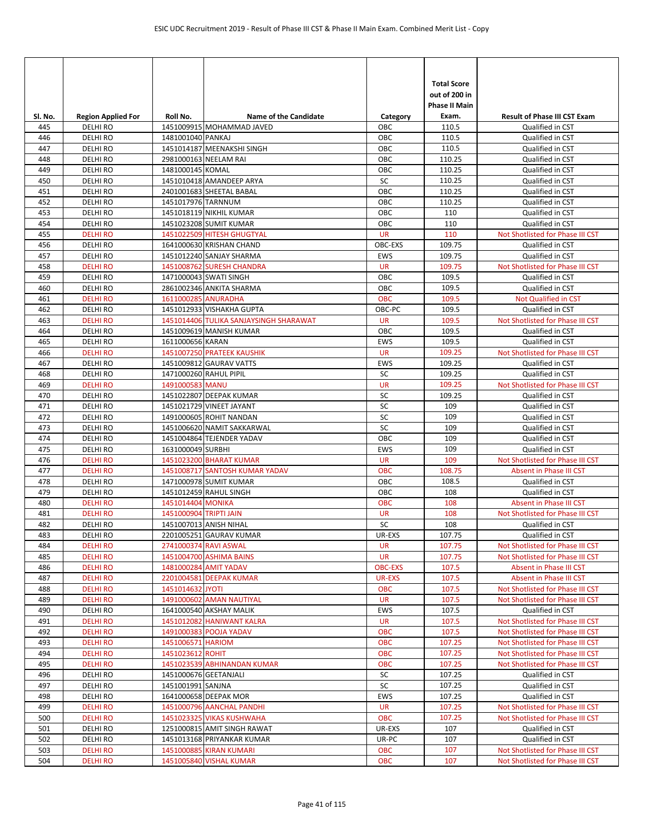| Sl. No.    | <b>Region Applied For</b>          | Roll No.               | <b>Name of the Candidate</b>                     | Category               | <b>Total Score</b><br>out of 200 in<br><b>Phase II Main</b><br>Exam. | <b>Result of Phase III CST Exam</b>                                  |
|------------|------------------------------------|------------------------|--------------------------------------------------|------------------------|----------------------------------------------------------------------|----------------------------------------------------------------------|
| 445        | <b>DELHI RO</b>                    |                        | 1451009915 MOHAMMAD JAVED                        | OBC                    | 110.5                                                                | Qualified in CST                                                     |
| 446        | <b>DELHI RO</b>                    | 1481001040 PANKAJ      |                                                  | OBC                    | 110.5                                                                | Qualified in CST                                                     |
| 447        | <b>DELHI RO</b>                    |                        | 1451014187 MEENAKSHI SINGH                       | OBC                    | 110.5                                                                | Qualified in CST                                                     |
| 448        | <b>DELHI RO</b>                    |                        | 2981000163 NEELAM RAI                            | OBC                    | 110.25                                                               | Qualified in CST                                                     |
| 449        | <b>DELHI RO</b>                    | 1481000145 KOMAL       |                                                  | OBC                    | 110.25                                                               | Qualified in CST                                                     |
| 450        | <b>DELHI RO</b>                    |                        | 1451010418 AMANDEEP ARYA                         | SC                     | 110.25                                                               | Qualified in CST                                                     |
| 451        | <b>DELHIRO</b>                     |                        | 2401001683 SHEETAL BABAL                         | OBC                    | 110.25                                                               | Qualified in CST                                                     |
| 452        | <b>DELHI RO</b>                    | 1451017976 TARNNUM     |                                                  | OBC                    | 110.25                                                               | Qualified in CST                                                     |
| 453        | <b>DELHI RO</b>                    |                        | 1451018119 NIKHIL KUMAR                          | OBC                    | 110                                                                  | Qualified in CST                                                     |
| 454        | <b>DELHI RO</b>                    |                        | 1451023208 SUMIT KUMAR                           | OBC                    | 110                                                                  | Qualified in CST                                                     |
| 455        | <b>DELHI RO</b>                    |                        | 1451022509 HITESH GHUGTYAL                       | <b>UR</b>              | 110                                                                  | Not Shotlisted for Phase III CST                                     |
| 456        | DELHI RO                           |                        | 1641000630 KRISHAN CHAND                         | OBC-EXS                | 109.75                                                               | Qualified in CST                                                     |
| 457        | <b>DELHI RO</b>                    |                        | 1451012240 SANJAY SHARMA                         | EWS                    | 109.75                                                               | Qualified in CST                                                     |
| 458        | <b>DELHI RO</b>                    |                        | 1451008762 SURESH CHANDRA                        | <b>UR</b>              | 109.75                                                               | Not Shotlisted for Phase III CST                                     |
| 459        | <b>DELHI RO</b>                    |                        | 1471000043 SWATI SINGH                           | OBC                    | 109.5<br>109.5                                                       | Qualified in CST                                                     |
| 460        | <b>DELHI RO</b><br><b>DELHI RO</b> | 1611000285 ANURADHA    | 2861002346 ANKITA SHARMA                         | OBC<br><b>OBC</b>      |                                                                      | Qualified in CST<br>Not Qualified in CST                             |
| 461<br>462 | <b>DELHI RO</b>                    |                        | 1451012933 VISHAKHA GUPTA                        | OBC-PC                 | 109.5<br>109.5                                                       | Qualified in CST                                                     |
| 463        | <b>DELHI RO</b>                    |                        | 1451014406 TULIKA SANJAYSINGH SHARAWAT           | <b>UR</b>              | 109.5                                                                | Not Shotlisted for Phase III CST                                     |
| 464        | <b>DELHI RO</b>                    |                        | 1451009619 MANISH KUMAR                          | OBC                    | 109.5                                                                | Qualified in CST                                                     |
| 465        | <b>DELHI RO</b>                    | 1611000656 KARAN       |                                                  | <b>EWS</b>             | 109.5                                                                | Qualified in CST                                                     |
| 466        | <b>DELHI RO</b>                    |                        | 1451007250 PRATEEK KAUSHIK                       | <b>UR</b>              | 109.25                                                               | Not Shotlisted for Phase III CST                                     |
| 467        | <b>DELHI RO</b>                    |                        | 1451009812 GAURAV VATTS                          | EWS                    | 109.25                                                               | Qualified in CST                                                     |
| 468        | <b>DELHIRO</b>                     |                        | 1471000260 RAHUL PIPIL                           | SC                     | 109.25                                                               | Qualified in CST                                                     |
| 469        | <b>DELHI RO</b>                    | 1491000583 MANU        |                                                  | <b>UR</b>              | 109.25                                                               | Not Shotlisted for Phase III CST                                     |
| 470        | <b>DELHI RO</b>                    |                        | 1451022807 DEEPAK KUMAR                          | SC                     | 109.25                                                               | Qualified in CST                                                     |
| 471        | DELHI RO                           |                        | 1451021729 VINEET JAYANT                         | SC                     | 109                                                                  | Qualified in CST                                                     |
| 472        | <b>DELHI RO</b>                    |                        | 1491000605 ROHIT NANDAN                          | SC                     | 109                                                                  | Qualified in CST                                                     |
| 473        | <b>DELHI RO</b>                    |                        | 1451006620 NAMIT SAKKARWAL                       | SC                     | 109                                                                  | Qualified in CST                                                     |
| 474        | <b>DELHI RO</b>                    |                        | 1451004864 TEJENDER YADAV                        | OBC                    | 109                                                                  | Qualified in CST                                                     |
| 475        | <b>DELHI RO</b>                    | 1631000049 SURBHI      |                                                  | <b>EWS</b>             | 109                                                                  | Qualified in CST                                                     |
| 476        | <b>DELHIRO</b>                     |                        | 1451023200 BHARAT KUMAR                          | <b>UR</b>              | 109                                                                  | Not Shotlisted for Phase III CST                                     |
| 477        | <b>DELHI RO</b>                    |                        | 1451008717 SANTOSH KUMAR YADAV                   | <b>OBC</b>             | 108.75                                                               | Absent in Phase III CST                                              |
| 478        | <b>DELHIRO</b>                     |                        | 1471000978 SUMIT KUMAR                           | OBC                    | 108.5                                                                | Qualified in CST                                                     |
| 479        | <b>DELHI RO</b>                    |                        | 1451012459 RAHUL SINGH                           | OBC                    | 108                                                                  | Qualified in CST                                                     |
| 480        | <b>DELHI RO</b>                    | 1451014404 MONIKA      |                                                  | <b>OBC</b>             | 108                                                                  | Absent in Phase III CST                                              |
| 481        | <b>DELHIRO</b>                     | 1451000904 TRIPTI JAIN |                                                  | <b>UR</b>              | 108                                                                  | Not Shotlisted for Phase III CST                                     |
| 482        | <b>DELHIRO</b>                     |                        | 1451007013 ANISH NIHAL                           | SC                     | 108                                                                  | Qualified in CST                                                     |
| 483        | DELHI RO                           |                        | 2201005251 GAURAV KUMAR                          | UR-EXS                 | 107.75                                                               | Qualified in CST                                                     |
| 484<br>485 | <b>DELHI RO</b><br><b>DELHI RO</b> |                        | 2741000374 RAVI ASWAL<br>1451004700 ASHIMA BAINS | <b>UR</b><br><b>UR</b> | 107.75<br>107.75                                                     | Not Shotlisted for Phase III CST<br>Not Shotlisted for Phase III CST |
|            | <b>DELHI RO</b>                    |                        |                                                  | <b>OBC-EXS</b>         |                                                                      |                                                                      |
| 486<br>487 | <b>DELHI RO</b>                    |                        | 1481000284 AMIT YADAV<br>2201004581 DEEPAK KUMAR | UR-EXS                 | 107.5<br>107.5                                                       | Absent in Phase III CST<br>Absent in Phase III CST                   |
| 488        | <b>DELHI RO</b>                    | 1451014632 JYOTI       |                                                  | <b>OBC</b>             | 107.5                                                                | Not Shotlisted for Phase III CST                                     |
| 489        | <b>DELHI RO</b>                    |                        | 1491000602 AMAN NAUTIYAL                         | UR                     | 107.5                                                                | Not Shotlisted for Phase III CST                                     |
| 490        | <b>DELHIRO</b>                     |                        | 1641000540 AKSHAY MALIK                          | <b>EWS</b>             | 107.5                                                                | Qualified in CST                                                     |
| 491        | <b>DELHI RO</b>                    |                        | 1451012082 HANIWANT KALRA                        | <b>UR</b>              | 107.5                                                                | Not Shotlisted for Phase III CST                                     |
| 492        | <b>DELHI RO</b>                    |                        | 1491000383 POOJA YADAV                           | <b>OBC</b>             | 107.5                                                                | Not Shotlisted for Phase III CST                                     |
| 493        | <b>DELHI RO</b>                    | 1451006571 HARIOM      |                                                  | OBC                    | 107.25                                                               | Not Shotlisted for Phase III CST                                     |
| 494        | <b>DELHI RO</b>                    | 1451023612 ROHIT       |                                                  | <b>OBC</b>             | 107.25                                                               | Not Shotlisted for Phase III CST                                     |
| 495        | <b>DELHI RO</b>                    |                        | 1451023539 ABHINANDAN KUMAR                      | OBC                    | 107.25                                                               | Not Shotlisted for Phase III CST                                     |
| 496        | DELHI RO                           | 1451000676 GEETANJALI  |                                                  | SC                     | 107.25                                                               | Qualified in CST                                                     |
| 497        | DELHI RO                           | 1451001991 SANJNA      |                                                  | SC                     | 107.25                                                               | Qualified in CST                                                     |
| 498        | DELHI RO                           |                        | 1641000658 DEEPAK MOR                            | EWS                    | 107.25                                                               | Qualified in CST                                                     |
| 499        | <b>DELHI RO</b>                    |                        | 1451000796 AANCHAL PANDHI                        | UR                     | 107.25                                                               | Not Shotlisted for Phase III CST                                     |
| 500        | <b>DELHI RO</b>                    |                        | 1451023325 VIKAS KUSHWAHA                        | OBC                    | 107.25                                                               | Not Shotlisted for Phase III CST                                     |
| 501        | DELHI RO                           |                        | 1251000815 AMIT SINGH RAWAT                      | UR-EXS                 | 107                                                                  | Qualified in CST                                                     |
| 502        | DELHI RO                           |                        | 1451013168 PRIYANKAR KUMAR                       | UR-PC                  | 107                                                                  | Qualified in CST                                                     |
| 503        | <b>DELHI RO</b>                    |                        | 1451000885 KIRAN KUMARI                          | OBC                    | 107                                                                  | Not Shotlisted for Phase III CST                                     |
| 504        | <b>DELHI RO</b>                    |                        | 1451005840 VISHAL KUMAR                          | OBC                    | 107                                                                  | Not Shotlisted for Phase III CST                                     |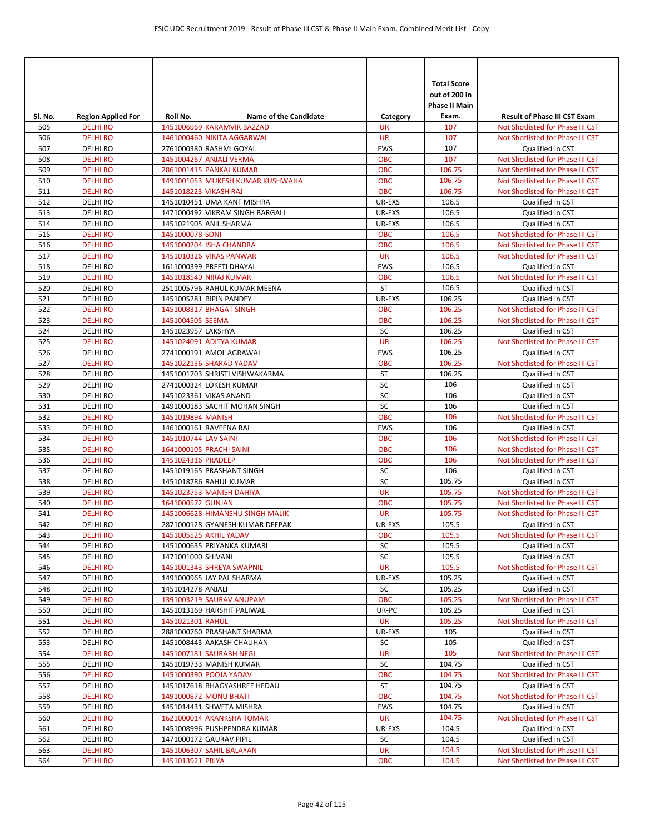| SI. No.    | <b>Region Applied For</b>         | Roll No.              | <b>Name of the Candidate</b>                           | Category                | <b>Total Score</b><br>out of 200 in<br><b>Phase II Main</b><br>Exam. | <b>Result of Phase III CST Exam</b>                  |
|------------|-----------------------------------|-----------------------|--------------------------------------------------------|-------------------------|----------------------------------------------------------------------|------------------------------------------------------|
| 505        | <b>DELHIRO</b>                    |                       | 1451006969 KARAMVIR BAZZAD                             | <b>UR</b>               | 107                                                                  | Not Shotlisted for Phase III CST                     |
| 506        | <b>DELHI RO</b>                   |                       | 1461000460 NIKITA AGGARWAL                             | <b>UR</b>               | 107                                                                  | Not Shotlisted for Phase III CST                     |
| 507        | <b>DELHIRO</b>                    |                       | 2761000380 RASHMI GOYAL                                | <b>EWS</b>              | 107                                                                  | Qualified in CST                                     |
| 508        | <b>DELHIRO</b>                    |                       | 1451004267 ANJALI VERMA                                | <b>OBC</b>              | 107                                                                  | Not Shotlisted for Phase III CST                     |
| 509        | <b>DELHI RO</b>                   |                       | 2861001415 PANKAJ KUMAR                                | OBC                     | 106.75                                                               | Not Shotlisted for Phase III CST                     |
| 510        | <b>DELHI RO</b>                   |                       | 1491001053 MUKESH KUMAR KUSHWAHA                       | <b>OBC</b>              | 106.75                                                               | Not Shotlisted for Phase III CST                     |
| 511        | <b>DELHIRO</b>                    | 1451018223 VIKASH RAJ |                                                        | OBC                     | 106.75                                                               | Not Shotlisted for Phase III CST                     |
| 512        | DELHI RO                          |                       | 1451010451 UMA KANT MISHRA                             | UR-EXS                  | 106.5                                                                | Qualified in CST                                     |
| 513        | <b>DELHIRO</b>                    |                       | 1471000492 VIKRAM SINGH BARGALI                        | UR-EXS                  | 106.5                                                                | Qualified in CST                                     |
| 514        | <b>DELHIRO</b>                    |                       | 1451021905 ANIL SHARMA                                 | UR-EXS                  | 106.5                                                                | Qualified in CST                                     |
| 515        | <b>DELHIRO</b>                    | 1451000078 SONI       |                                                        | <b>OBC</b>              | 106.5                                                                | Not Shotlisted for Phase III CST                     |
| 516<br>517 | <b>DELHIRO</b><br><b>DELHI RO</b> |                       | 1451000204 ISHA CHANDRA<br>1451010326 VIKAS PANWAR     | <b>OBC</b><br><b>UR</b> | 106.5<br>106.5                                                       | Not Shotlisted for Phase III CST                     |
| 518        | <b>DELHIRO</b>                    |                       | 1611000399 PREETI DHAYAL                               | <b>EWS</b>              | 106.5                                                                | Not Shotlisted for Phase III CST<br>Qualified in CST |
| 519        | <b>DELHIRO</b>                    |                       | 1451018540 NIRAJ KUMAR                                 | <b>OBC</b>              | 106.5                                                                | Not Shotlisted for Phase III CST                     |
| 520        | <b>DELHIRO</b>                    |                       | 2511005796 RAHUL KUMAR MEENA                           | ST                      | 106.5                                                                | Qualified in CST                                     |
| 521        | <b>DELHIRO</b>                    |                       | 1451005281 BIPIN PANDEY                                | UR-EXS                  | 106.25                                                               | Qualified in CST                                     |
| 522        | <b>DELHIRO</b>                    |                       | 1451008317 BHAGAT SINGH                                | <b>OBC</b>              | 106.25                                                               | Not Shotlisted for Phase III CST                     |
| 523        | <b>DELHI RO</b>                   | 1451004505 SEEMA      |                                                        | <b>OBC</b>              | 106.25                                                               | Not Shotlisted for Phase III CST                     |
| 524        | <b>DELHIRO</b>                    | 1451023957 LAKSHYA    |                                                        | SC                      | 106.25                                                               | Qualified in CST                                     |
| 525        | <b>DELHI RO</b>                   |                       | 1451024091 ADITYA KUMAR                                | <b>UR</b>               | 106.25                                                               | Not Shotlisted for Phase III CST                     |
| 526        | <b>DELHIRO</b>                    |                       | 2741000191 AMOL AGRAWAL                                | <b>EWS</b>              | 106.25                                                               | Qualified in CST                                     |
| 527        | <b>DELHI RO</b>                   |                       | 1451022136 SHARAD YADAV                                | <b>OBC</b>              | 106.25                                                               | Not Shotlisted for Phase III CST                     |
| 528        | <b>DELHIRO</b>                    |                       | 1451001703 SHRISTI VISHWAKARMA                         | <b>ST</b>               | 106.25                                                               | Qualified in CST                                     |
| 529        | <b>DELHIRO</b>                    |                       | 2741000324 LOKESH KUMAR                                | SC                      | 106                                                                  | Qualified in CST                                     |
| 530        | <b>DELHIRO</b>                    |                       | 1451023361 VIKAS ANAND                                 | SC                      | 106                                                                  | Qualified in CST                                     |
| 531        | DELHI RO                          |                       | 1491000183 SACHIT MOHAN SINGH                          | SC                      | 106                                                                  | Qualified in CST                                     |
| 532        | <b>DELHIRO</b>                    | 1451019894 MANISH     |                                                        | <b>OBC</b>              | 106                                                                  | Not Shotlisted for Phase III CST                     |
| 533        | <b>DELHIRO</b>                    |                       | 1461000161 RAVEENA RAI                                 | EWS                     | 106                                                                  | Qualified in CST                                     |
| 534        | <b>DELHI RO</b>                   | 1451010744 LAV SAINI  |                                                        | <b>OBC</b>              | 106                                                                  | Not Shotlisted for Phase III CST                     |
| 535        | <b>DELHIRO</b>                    |                       | 1641000105 PRACHI SAINI                                | <b>OBC</b>              | 106                                                                  | Not Shotlisted for Phase III CST                     |
| 536        | <b>DELHIRO</b>                    | 1451024316 PRADEEP    |                                                        | <b>OBC</b>              | 106                                                                  | Not Shotlisted for Phase III CST                     |
| 537        | <b>DELHIRO</b>                    |                       | 1451019165 PRASHANT SINGH                              | SC                      | 106                                                                  | Qualified in CST                                     |
| 538        | <b>DELHIRO</b>                    |                       | 1451018786 RAHUL KUMAR                                 | SC                      | 105.75                                                               | Qualified in CST                                     |
| 539        | <b>DELHI RO</b>                   |                       | 1451023753 MANISH DAHIYA                               | <b>UR</b>               | 105.75                                                               | Not Shotlisted for Phase III CST                     |
| 540        | <b>DELHI RO</b>                   | 1641000572 GUNJAN     |                                                        | <b>OBC</b>              | 105.75                                                               | Not Shotlisted for Phase III CST                     |
| 541        | <b>DELHIRO</b>                    |                       | 1451006628 HIMANSHU SINGH MALIK                        | <b>UR</b>               | 105.75                                                               | Not Shotlisted for Phase III CST                     |
| 542        | <b>DELHIRO</b>                    |                       | 2871000128 GYANESH KUMAR DEEPAK                        | UR-EXS                  | 105.5                                                                | Qualified in CST                                     |
| 543        | <b>DELHI RO</b>                   |                       | 1451005525 AKHIL YADAV                                 | <b>OBC</b>              | 105.5                                                                | Not Shotlisted for Phase III CST                     |
| 544        | <b>DELHI RO</b>                   |                       | 1451000635 PRIYANKA KUMARI                             | SC                      | 105.5                                                                | Qualified in CST                                     |
| 545        | <b>DELHIRO</b>                    | 1471001000 SHIVANI    |                                                        | SC                      | 105.5                                                                | Qualified in CST                                     |
| 546<br>547 | <b>DELHI RO</b><br>DELHI RO       |                       | 1451001343 SHREYA SWAPNIL<br>1491000965 JAY PAL SHARMA | <b>UR</b><br>UR-EXS     | 105.5<br>105.25                                                      | Not Shotlisted for Phase III CST<br>Qualified in CST |
| 548        | <b>DELHI RO</b>                   | 1451014278 ANJALI     |                                                        | SC                      | 105.25                                                               | Qualified in CST                                     |
| 549        | <b>DELHI RO</b>                   |                       | 1391003219 SAURAV ANUPAM                               | <b>OBC</b>              | 105.25                                                               | Not Shotlisted for Phase III CST                     |
| 550        | <b>DELHIRO</b>                    |                       | 1451013169 HARSHIT PALIWAL                             | UR-PC                   | 105.25                                                               | Qualified in CST                                     |
| 551        | <b>DELHI RO</b>                   | 1451021301 RAHUL      |                                                        | <b>UR</b>               | 105.25                                                               | Not Shotlisted for Phase III CST                     |
| 552        | <b>DELHI RO</b>                   |                       | 2881000760 PRASHANT SHARMA                             | UR-EXS                  | 105                                                                  | Qualified in CST                                     |
| 553        | DELHI RO                          |                       | 1451008443 AAKASH CHAUHAN                              | SC                      | 105                                                                  | Qualified in CST                                     |
| 554        | <b>DELHI RO</b>                   |                       | 1451007181 SAURABH NEGI                                | <b>UR</b>               | 105                                                                  | Not Shotlisted for Phase III CST                     |
| 555        | DELHI RO                          |                       | 1451019733 MANISH KUMAR                                | SC                      | 104.75                                                               | Qualified in CST                                     |
| 556        | <b>DELHI RO</b>                   |                       | 1451000390 POOJA YADAV                                 | <b>OBC</b>              | 104.75                                                               | Not Shotlisted for Phase III CST                     |
| 557        | <b>DELHI RO</b>                   |                       | 1451017618 BHAGYASHREE HEDAU                           | ST                      | 104.75                                                               | Qualified in CST                                     |
| 558        | <b>DELHI RO</b>                   |                       | 1491000872 MONU BHATI                                  | <b>OBC</b>              | 104.75                                                               | Not Shotlisted for Phase III CST                     |
| 559        | <b>DELHI RO</b>                   |                       | 1451014431 SHWETA MISHRA                               | EWS                     | 104.75                                                               | Qualified in CST                                     |
| 560        | <b>DELHI RO</b>                   |                       | 1621000014 AKANKSHA TOMAR                              | <b>UR</b>               | 104.75                                                               | Not Shotlisted for Phase III CST                     |
| 561        | DELHI RO                          |                       | 1451008996 PUSHPENDRA KUMAR                            | UR-EXS                  | 104.5                                                                | Qualified in CST                                     |
| 562        | DELHI RO                          |                       | 1471000172 GAURAV PIPIL                                | SC                      | 104.5                                                                | Qualified in CST                                     |
| 563        | <b>DELHI RO</b>                   |                       | 1451006307 SAHIL BALAYAN                               | <b>UR</b>               | 104.5                                                                | Not Shotlisted for Phase III CST                     |
| 564        | <b>DELHI RO</b>                   | 1451013921 PRIYA      |                                                        | <b>OBC</b>              | 104.5                                                                | Not Shotlisted for Phase III CST                     |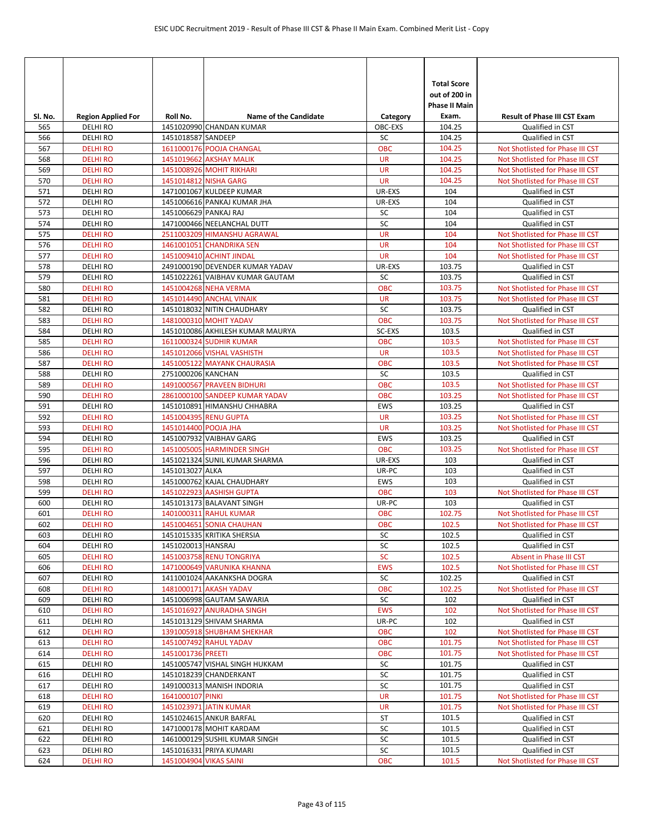| Sl. No. | <b>Region Applied For</b> | Roll No.               | <b>Name of the Candidate</b>     | Category   | <b>Total Score</b><br>out of 200 in<br><b>Phase II Main</b><br>Exam. | <b>Result of Phase III CST Exam</b> |
|---------|---------------------------|------------------------|----------------------------------|------------|----------------------------------------------------------------------|-------------------------------------|
| 565     | <b>DELHI RO</b>           |                        | 1451020990 CHANDAN KUMAR         | OBC-EXS    | 104.25                                                               | Qualified in CST                    |
| 566     | <b>DELHIRO</b>            | 1451018587 SANDEEP     |                                  | SC         | 104.25                                                               | Qualified in CST                    |
| 567     | <b>DELHI RO</b>           |                        | 1611000176 POOJA CHANGAL         | OBC        | 104.25                                                               | Not Shotlisted for Phase III CST    |
| 568     | <b>DELHI RO</b>           |                        | 1451019662 AKSHAY MALIK          | <b>UR</b>  | 104.25                                                               | Not Shotlisted for Phase III CST    |
| 569     | <b>DELHI RO</b>           |                        | 1451008926 MOHIT RIKHARI         | <b>UR</b>  | 104.25                                                               | Not Shotlisted for Phase III CST    |
| 570     | <b>DELHI RO</b>           |                        | 1451014812 NISHA GARG            | <b>UR</b>  | 104.25                                                               | Not Shotlisted for Phase III CST    |
| 571     | <b>DELHIRO</b>            |                        | 1471001067 KULDEEP KUMAR         | UR-EXS     | 104                                                                  | Qualified in CST                    |
| 572     | <b>DELHI RO</b>           |                        | 1451006616 PANKAJ KUMAR JHA      | UR-EXS     | 104                                                                  | Qualified in CST                    |
| 573     | <b>DELHI RO</b>           | 1451006629 PANKAJ RAJ  |                                  | SC         | 104                                                                  | Qualified in CST                    |
| 574     | <b>DELHI RO</b>           |                        | 1471000466 NEELANCHAL DUTT       | SC         | 104                                                                  | Qualified in CST                    |
| 575     | <b>DELHI RO</b>           |                        | 2511003209 HIMANSHU AGRAWAL      | <b>UR</b>  | 104                                                                  | Not Shotlisted for Phase III CST    |
| 576     | <b>DELHI RO</b>           |                        | 1461001051 CHANDRIKA SEN         | <b>UR</b>  | 104                                                                  | Not Shotlisted for Phase III CST    |
| 577     | <b>DELHI RO</b>           |                        | 1451009410 ACHINT JINDAL         | <b>UR</b>  | 104                                                                  | Not Shotlisted for Phase III CST    |
| 578     | <b>DELHIRO</b>            |                        | 2491000190 DEVENDER KUMAR YADAV  | UR-EXS     | 103.75                                                               | Qualified in CST                    |
| 579     | <b>DELHI RO</b>           |                        | 1451022261 VAIBHAV KUMAR GAUTAM  | SC         | 103.75                                                               | Qualified in CST                    |
| 580     | <b>DELHI RO</b>           |                        | 1451004268 NEHA VERMA            | <b>OBC</b> | 103.75                                                               | Not Shotlisted for Phase III CST    |
| 581     | <b>DELHI RO</b>           |                        | 1451014490 ANCHAL VINAIK         | <b>UR</b>  | 103.75                                                               | Not Shotlisted for Phase III CST    |
| 582     | <b>DELHI RO</b>           |                        | 1451018032 NITIN CHAUDHARY       | SC         | 103.75                                                               | Qualified in CST                    |
| 583     | <b>DELHI RO</b>           |                        | 1481000310 MOHIT YADAV           | <b>OBC</b> | 103.75                                                               | Not Shotlisted for Phase III CST    |
| 584     | <b>DELHI RO</b>           |                        | 1451010086 AKHILESH KUMAR MAURYA | SC-EXS     | 103.5                                                                | Qualified in CST                    |
| 585     | <b>DELHI RO</b>           |                        | 1611000324 SUDHIR KUMAR          | <b>OBC</b> | 103.5                                                                | Not Shotlisted for Phase III CST    |
| 586     | <b>DELHIRO</b>            |                        | 1451012066 VISHAL VASHISTH       | <b>UR</b>  | 103.5                                                                | Not Shotlisted for Phase III CST    |
| 587     | <b>DELHI RO</b>           |                        | 1451005122 MAYANK CHAURASIA      | <b>OBC</b> | 103.5                                                                | Not Shotlisted for Phase III CST    |
| 588     | <b>DELHIRO</b>            | 2751000206 KANCHAN     |                                  | SC         | 103.5                                                                | Qualified in CST                    |
| 589     | <b>DELHI RO</b>           |                        | 1491000567 PRAVEEN BIDHURI       | <b>OBC</b> | 103.5                                                                | Not Shotlisted for Phase III CST    |
| 590     | <b>DELHI RO</b>           |                        | 2861000100 SANDEEP KUMAR YADAV   | <b>OBC</b> | 103.25                                                               | Not Shotlisted for Phase III CST    |
| 591     | <b>DELHI RO</b>           |                        | 1451010891 HIMANSHU CHHABRA      | <b>EWS</b> | 103.25                                                               | Qualified in CST                    |
| 592     | <b>DELHI RO</b>           |                        | 1451004395 RENU GUPTA            | <b>UR</b>  | 103.25                                                               | Not Shotlisted for Phase III CST    |
| 593     | <b>DELHI RO</b>           | 1451014400 POOJA JHA   |                                  | <b>UR</b>  | 103.25                                                               | Not Shotlisted for Phase III CST    |
| 594     | <b>DELHI RO</b>           |                        | 1451007932 VAIBHAV GARG          | <b>EWS</b> | 103.25                                                               | Qualified in CST                    |
| 595     | <b>DELHI RO</b>           |                        | 1451005005 HARMINDER SINGH       | <b>OBC</b> | 103.25                                                               | Not Shotlisted for Phase III CST    |
| 596     | DELHI RO                  |                        | 1451021324 SUNIL KUMAR SHARMA    | UR-EXS     | 103                                                                  | Qualified in CST                    |
| 597     | <b>DELHI RO</b>           | 1451013027 ALKA        |                                  | UR-PC      | 103                                                                  | Qualified in CST                    |
| 598     | <b>DELHIRO</b>            |                        | 1451000762 KAJAL CHAUDHARY       | <b>EWS</b> | 103                                                                  | Qualified in CST                    |
| 599     | <b>DELHI RO</b>           |                        | 1451022923 AASHISH GUPTA         | OBC        | 103                                                                  | Not Shotlisted for Phase III CST    |
| 600     | <b>DELHI RO</b>           |                        | 1451013173 BALAVANT SINGH        | UR-PC      | 103                                                                  | Qualified in CST                    |
| 601     | <b>DELHIRO</b>            |                        | 1401000311 RAHUL KUMAR           | <b>OBC</b> | 102.75                                                               | Not Shotlisted for Phase III CST    |
| 602     | <b>DELHI RO</b>           |                        | 1451004651 SONIA CHAUHAN         | <b>OBC</b> | 102.5                                                                | Not Shotlisted for Phase III CST    |
| 603     | <b>DELHI RO</b>           |                        | 1451015335 KRITIKA SHERSIA       | SC         | 102.5                                                                | Qualified in CST                    |
| 604     | <b>DELHI RO</b>           | 1451020013 HANSRAJ     |                                  | SC         | 102.5                                                                | Qualified in CST                    |
| 605     | <b>DELHI RO</b>           |                        | 1451003758 RENU TONGRIYA         | SC         | 102.5                                                                | Absent in Phase III CST             |
| 606     | <b>DELHI RO</b>           |                        | 1471000649 VARUNIKA KHANNA       | <b>EWS</b> | 102.5                                                                | Not Shotlisted for Phase III CST    |
| 607     | <b>DELHI RO</b>           |                        | 1411001024 AAKANKSHA DOGRA       | SC         | 102.25                                                               | Qualified in CST                    |
| 608     | <b>DELHI RO</b>           |                        | 1481000171 AKASH YADAV           | OBC        | 102.25                                                               | Not Shotlisted for Phase III CST    |
| 609     | DELHI RO                  |                        | 1451006998 GAUTAM SAWARIA        | SC         | 102                                                                  | Qualified in CST                    |
| 610     | <b>DELHI RO</b>           |                        | 1451016927 ANURADHA SINGH        | <b>EWS</b> | 102                                                                  | Not Shotlisted for Phase III CST    |
| 611     | DELHI RO                  |                        | 1451013129 SHIVAM SHARMA         | UR-PC      | 102                                                                  | Qualified in CST                    |
| 612     | <b>DELHIRO</b>            |                        | 1391005918 SHUBHAM SHEKHAR       | <b>OBC</b> | 102                                                                  | Not Shotlisted for Phase III CST    |
| 613     | <b>DELHI RO</b>           |                        | 1451007492 RAHUL YADAV           | OBC        | 101.75                                                               | Not Shotlisted for Phase III CST    |
| 614     | <b>DELHI RO</b>           | 1451001736 PREETI      |                                  | OBC        | 101.75                                                               | Not Shotlisted for Phase III CST    |
| 615     | <b>DELHI RO</b>           |                        | 1451005747 VISHAL SINGH HUKKAM   | SC         | 101.75                                                               | Qualified in CST                    |
| 616     | DELHI RO                  |                        | 1451018239 CHANDERKANT           | SC         | 101.75                                                               | Qualified in CST                    |
| 617     | DELHI RO                  |                        | 1491000313 MANISH INDORIA        | SC         | 101.75                                                               | Qualified in CST                    |
| 618     | <b>DELHI RO</b>           | 1641000107 PINKI       |                                  | UR         | 101.75                                                               | Not Shotlisted for Phase III CST    |
| 619     | <b>DELHI RO</b>           |                        | 1451023971 JATIN KUMAR           | <b>UR</b>  | 101.75                                                               | Not Shotlisted for Phase III CST    |
| 620     | <b>DELHI RO</b>           |                        | 1451024615 ANKUR BARFAL          | <b>ST</b>  | 101.5                                                                | Qualified in CST                    |
| 621     | DELHI RO                  |                        | 1471000178 MOHIT KARDAM          | SC         | 101.5                                                                | Qualified in CST                    |
| 622     | DELHI RO                  |                        | 1461000129 SUSHIL KUMAR SINGH    | SC         | 101.5                                                                | Qualified in CST                    |
| 623     | DELHI RO                  |                        | 1451016331 PRIYA KUMARI          | $\sf SC$   | 101.5                                                                | Qualified in CST                    |
| 624     | <b>DELHI RO</b>           | 1451004904 VIKAS SAINI |                                  | OBC        | 101.5                                                                | Not Shotlisted for Phase III CST    |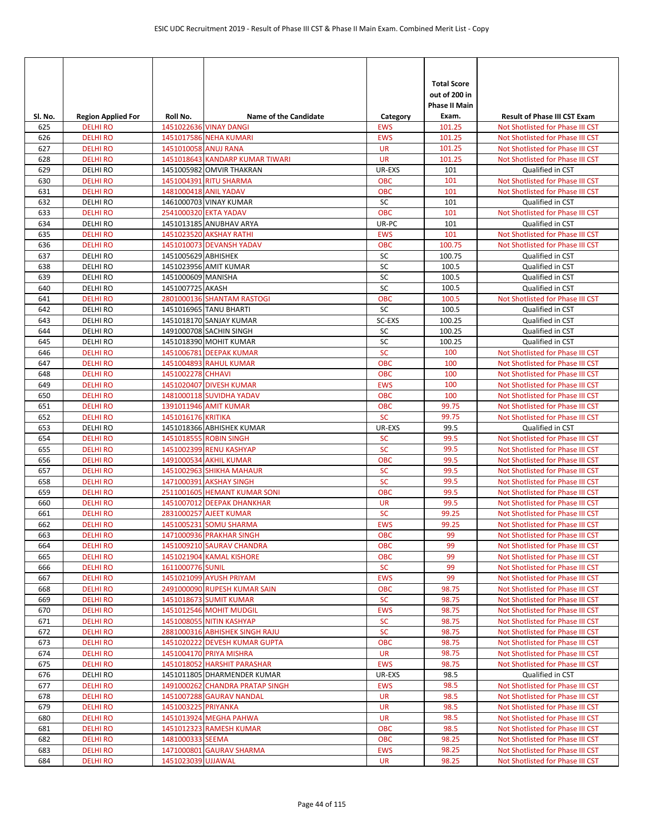|                |                                             |                       |                                                        |                         | <b>Total Score</b><br>out of 200 in<br><b>Phase II Main</b> |                                                                         |
|----------------|---------------------------------------------|-----------------------|--------------------------------------------------------|-------------------------|-------------------------------------------------------------|-------------------------------------------------------------------------|
| SI. No.<br>625 | <b>Region Applied For</b><br><b>DELHIRO</b> | Roll No.              | <b>Name of the Candidate</b><br>1451022636 VINAY DANGI | Category<br><b>EWS</b>  | Exam.<br>101.25                                             | <b>Result of Phase III CST Exam</b><br>Not Shotlisted for Phase III CST |
| 626            | <b>DELHIRO</b>                              |                       | 1451017586 NEHA KUMARI                                 | <b>EWS</b>              | 101.25                                                      | Not Shotlisted for Phase III CST                                        |
| 627            | <b>DELHI RO</b>                             | 1451010058 ANUJ RANA  |                                                        | <b>UR</b>               | 101.25                                                      | Not Shotlisted for Phase III CST                                        |
| 628            | <b>DELHIRO</b>                              |                       | 1451018643 KANDARP KUMAR TIWARI                        | <b>UR</b>               | 101.25                                                      | Not Shotlisted for Phase III CST                                        |
| 629            | <b>DELHIRO</b>                              |                       | 1451005982 OMVIR THAKRAN                               | UR-EXS                  | 101                                                         | Qualified in CST                                                        |
| 630            | <b>DELHIRO</b>                              |                       | 1451004391 RITU SHARMA                                 | <b>OBC</b>              | 101                                                         | Not Shotlisted for Phase III CST                                        |
| 631            | <b>DELHIRO</b>                              | 1481000418 ANIL YADAV |                                                        | <b>OBC</b>              | 101                                                         | Not Shotlisted for Phase III CST                                        |
| 632            | <b>DELHIRO</b>                              |                       | 1461000703 VINAY KUMAR                                 | SC                      | 101                                                         | Qualified in CST                                                        |
| 633            | <b>DELHI RO</b>                             |                       | 2541000320 EKTA YADAV                                  | <b>OBC</b>              | 101                                                         | Not Shotlisted for Phase III CST                                        |
| 634            | <b>DELHIRO</b>                              |                       | 1451013185 ANUBHAV ARYA                                | UR-PC                   | 101                                                         | Qualified in CST                                                        |
| 635            | <b>DELHIRO</b>                              |                       | 1451023520 AKSHAY RATHI                                | <b>EWS</b>              | 101                                                         | Not Shotlisted for Phase III CST                                        |
| 636            | <b>DELHIRO</b>                              |                       | 1451010073 DEVANSH YADAV                               | <b>OBC</b>              | 100.75                                                      | Not Shotlisted for Phase III CST                                        |
| 637            | <b>DELHIRO</b>                              | 1451005629 ABHISHEK   |                                                        | SC                      | 100.75                                                      | Qualified in CST                                                        |
| 638            | <b>DELHIRO</b>                              |                       | 1451023956 AMIT KUMAR                                  | SC                      | 100.5                                                       | Qualified in CST                                                        |
| 639            | <b>DELHIRO</b>                              | 1451000609 MANISHA    |                                                        | SC                      | 100.5                                                       | Qualified in CST                                                        |
| 640            | <b>DELHIRO</b>                              | 1451007725 AKASH      |                                                        | SC                      | 100.5                                                       | Qualified in CST                                                        |
| 641            | <b>DELHI RO</b>                             |                       | 2801000136 SHANTAM RASTOGI                             | <b>OBC</b><br>SC        | 100.5                                                       | Not Shotlisted for Phase III CST                                        |
| 642<br>643     | <b>DELHIRO</b><br><b>DELHIRO</b>            |                       | 1451016965 TANU BHARTI<br>1451018170 SANJAY KUMAR      | SC-EXS                  | 100.5<br>100.25                                             | Qualified in CST<br>Qualified in CST                                    |
| 644            | <b>DELHIRO</b>                              |                       | 1491000708 SACHIN SINGH                                | SC                      | 100.25                                                      | Qualified in CST                                                        |
| 645            | <b>DELHIRO</b>                              |                       | 1451018390 MOHIT KUMAR                                 | SC                      | 100.25                                                      | Qualified in CST                                                        |
| 646            | <b>DELHIRO</b>                              |                       | 1451006781 DEEPAK KUMAR                                | SC                      | 100                                                         | Not Shotlisted for Phase III CST                                        |
| 647            | <b>DELHIRO</b>                              |                       | 1451004893 RAHUL KUMAR                                 | <b>OBC</b>              | 100                                                         | Not Shotlisted for Phase III CST                                        |
| 648            | <b>DELHI RO</b>                             | 1451002278 CHHAVI     |                                                        | <b>OBC</b>              | 100                                                         | Not Shotlisted for Phase III CST                                        |
| 649            | <b>DELHIRO</b>                              |                       | 1451020407 DIVESH KUMAR                                | <b>EWS</b>              | 100                                                         | Not Shotlisted for Phase III CST                                        |
| 650            | <b>DELHIRO</b>                              |                       | 1481000118 SUVIDHA YADAV                               | <b>OBC</b>              | 100                                                         | Not Shotlisted for Phase III CST                                        |
| 651            | <b>DELHIRO</b>                              |                       | 1391011946 AMIT KUMAR                                  | <b>OBC</b>              | 99.75                                                       | Not Shotlisted for Phase III CST                                        |
| 652            | <b>DELHIRO</b>                              | 1451016176 KRITIKA    |                                                        | <b>SC</b>               | 99.75                                                       | Not Shotlisted for Phase III CST                                        |
| 653            | <b>DELHIRO</b>                              |                       | 1451018366 ABHISHEK KUMAR                              | UR-EXS                  | 99.5                                                        | Qualified in CST                                                        |
| 654            | <b>DELHI RO</b>                             |                       | 1451018555 ROBIN SINGH                                 | <b>SC</b>               | 99.5                                                        | Not Shotlisted for Phase III CST                                        |
| 655            | <b>DELHIRO</b>                              |                       | 1451002399 RENU KASHYAP                                | <b>SC</b>               | 99.5                                                        | Not Shotlisted for Phase III CST                                        |
| 656            | <b>DELHIRO</b>                              |                       | 1491000534 AKHIL KUMAR                                 | <b>OBC</b>              | 99.5                                                        | Not Shotlisted for Phase III CST                                        |
| 657            | <b>DELHI RO</b>                             |                       | 1451002963 SHIKHA MAHAUR                               | <b>SC</b>               | 99.5                                                        | Not Shotlisted for Phase III CST                                        |
| 658            | <b>DELHI RO</b>                             |                       | 1471000391 AKSHAY SINGH                                | <b>SC</b>               | 99.5                                                        | Not Shotlisted for Phase III CST                                        |
| 659            | <b>DELHIRO</b>                              |                       | 2511001605 HEMANT KUMAR SONI                           | <b>OBC</b>              | 99.5                                                        | Not Shotlisted for Phase III CST                                        |
| 660            | <b>DELHIRO</b>                              |                       | 1451007012 DEEPAK DHANKHAR                             | <b>UR</b>               | 99.5                                                        | Not Shotlisted for Phase III CST                                        |
| 661            | <b>DELHIRO</b>                              |                       | 2831000257 AJEET KUMAR                                 | <b>SC</b>               | 99.25                                                       | Not Shotlisted for Phase III CST                                        |
| 662            | <b>DELHIRO</b>                              |                       | 1451005231 SOMU SHARMA                                 | <b>EWS</b>              | 99.25                                                       | Not Shotlisted for Phase III CST                                        |
| 663            | <b>DELHIRO</b>                              |                       | 1471000936 PRAKHAR SINGH                               | <b>OBC</b>              | 99                                                          | Not Shotlisted for Phase III CST                                        |
| 664            | <b>DELHI RO</b>                             |                       | 1451009210 SAURAV CHANDRA                              | <b>OBC</b>              | 99                                                          | Not Shotlisted for Phase III CST                                        |
| 665<br>666     | <b>DELHIRO</b><br><b>DELHI RO</b>           | 1611000776 SUNIL      | 1451021904 KAMAL KISHORE                               | <b>OBC</b><br><b>SC</b> | 99<br>99                                                    | Not Shotlisted for Phase III CST<br>Not Shotlisted for Phase III CST    |
| 667            | <b>DELHIRO</b>                              |                       | 1451021099 AYUSH PRIYAM                                | <b>EWS</b>              | 99                                                          | Not Shotlisted for Phase III CST                                        |
| 668            | <b>DELHIRO</b>                              |                       | 2491000090 RUPESH KUMAR SAIN                           | OBC                     | 98.75                                                       | Not Shotlisted for Phase III CST                                        |
| 669            | <b>DELHIRO</b>                              |                       | 1451018673 SUMIT KUMAR                                 | <b>SC</b>               | 98.75                                                       | Not Shotlisted for Phase III CST                                        |
| 670            | <b>DELHIRO</b>                              |                       | 1451012546 MOHIT MUDGIL                                | <b>EWS</b>              | 98.75                                                       | Not Shotlisted for Phase III CST                                        |
| 671            | <b>DELHI RO</b>                             |                       | 1451008055 NITIN KASHYAP                               | <b>SC</b>               | 98.75                                                       | Not Shotlisted for Phase III CST                                        |
| 672            | <b>DELHI RO</b>                             |                       | 2881000316 ABHISHEK SINGH RAJU                         | <b>SC</b>               | 98.75                                                       | Not Shotlisted for Phase III CST                                        |
| 673            | <b>DELHIRO</b>                              |                       | 1451020222 DEVESH KUMAR GUPTA                          | <b>OBC</b>              | 98.75                                                       | Not Shotlisted for Phase III CST                                        |
| 674            | <b>DELHI RO</b>                             |                       | 1451004170 PRIYA MISHRA                                | <b>UR</b>               | 98.75                                                       | Not Shotlisted for Phase III CST                                        |
| 675            | <b>DELHIRO</b>                              |                       | 1451018052 HARSHIT PARASHAR                            | <b>EWS</b>              | 98.75                                                       | Not Shotlisted for Phase III CST                                        |
| 676            | DELHI RO                                    |                       | 1451011805 DHARMENDER KUMAR                            | UR-EXS                  | 98.5                                                        | Qualified in CST                                                        |
| 677            | <b>DELHI RO</b>                             |                       | 1491000262 CHANDRA PRATAP SINGH                        | <b>EWS</b>              | 98.5                                                        | Not Shotlisted for Phase III CST                                        |
| 678            | <b>DELHIRO</b>                              |                       | 1451007288 GAURAV NANDAL                               | UR                      | 98.5                                                        | Not Shotlisted for Phase III CST                                        |
| 679            | <b>DELHIRO</b>                              | 1451003225 PRIYANKA   |                                                        | UR                      | 98.5                                                        | Not Shotlisted for Phase III CST                                        |
| 680            | <b>DELHIRO</b>                              |                       | 1451013924 MEGHA PAHWA                                 | <b>UR</b>               | 98.5                                                        | Not Shotlisted for Phase III CST                                        |
| 681            | <b>DELHI RO</b>                             |                       | 1451012323 RAMESH KUMAR                                | <b>OBC</b>              | 98.5                                                        | Not Shotlisted for Phase III CST                                        |
| 682            | <b>DELHIRO</b>                              | 1481000333 SEEMA      |                                                        | <b>OBC</b>              | 98.25                                                       | Not Shotlisted for Phase III CST                                        |
| 683            | <b>DELHIRO</b>                              |                       | 1471000801 GAURAV SHARMA                               | <b>EWS</b>              | 98.25                                                       | Not Shotlisted for Phase III CST                                        |
| 684            | <b>DELHI RO</b>                             | 1451023039 UJJAWAL    |                                                        | UR                      | 98.25                                                       | Not Shotlisted for Phase III CST                                        |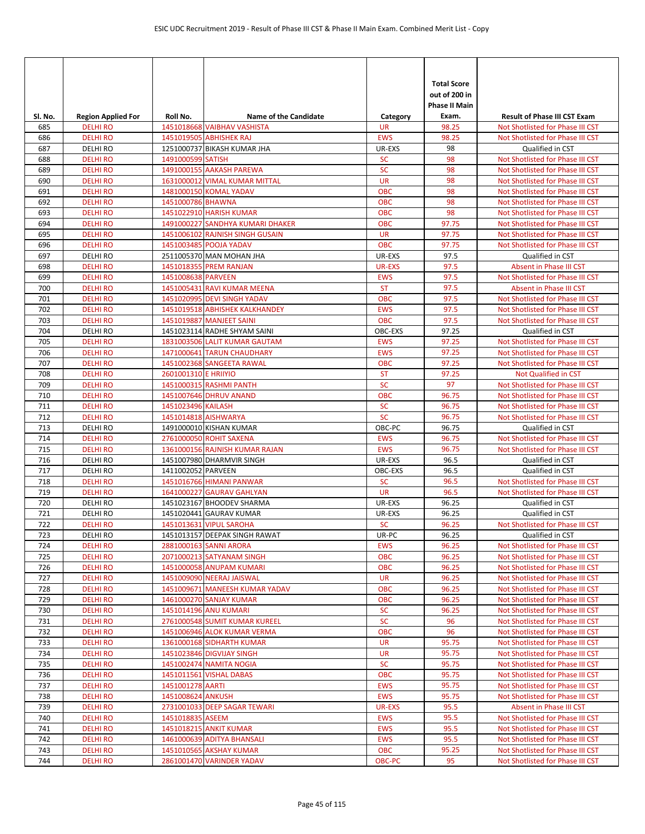| SI. No.    | <b>Region Applied For</b>         | Roll No.             | <b>Name of the Candidate</b>                            | Category                    | <b>Total Score</b><br>out of 200 in<br><b>Phase II Main</b><br>Exam. | <b>Result of Phase III CST Exam</b>                         |
|------------|-----------------------------------|----------------------|---------------------------------------------------------|-----------------------------|----------------------------------------------------------------------|-------------------------------------------------------------|
| 685        | <b>DELHI RO</b>                   |                      | 1451018668 VAIBHAV VASHISTA                             | <b>UR</b>                   | 98.25                                                                | Not Shotlisted for Phase III CST                            |
| 686        | <b>DELHI RO</b>                   |                      | 1451019505 ABHISHEK RAJ                                 | <b>EWS</b>                  | 98.25                                                                | Not Shotlisted for Phase III CST                            |
| 687        | <b>DELHIRO</b>                    |                      | 1251000737 BIKASH KUMAR JHA                             | UR-EXS                      | 98                                                                   | Qualified in CST                                            |
| 688        | <b>DELHIRO</b>                    | 1491000599 SATISH    |                                                         | <b>SC</b>                   | 98                                                                   | Not Shotlisted for Phase III CST                            |
| 689        | <b>DELHIRO</b>                    |                      | 1491000155 AAKASH PAREWA                                | <b>SC</b>                   | 98                                                                   | Not Shotlisted for Phase III CST                            |
| 690        | <b>DELHI RO</b>                   |                      | 1631000012 VIMAL KUMAR MITTAL                           | <b>UR</b>                   | 98                                                                   | Not Shotlisted for Phase III CST                            |
| 691        | <b>DELHI RO</b>                   |                      | 1481000150 KOMAL YADAV                                  | <b>OBC</b>                  | 98                                                                   | Not Shotlisted for Phase III CST                            |
| 692        | <b>DELHI RO</b>                   | 1451000786 BHAWNA    |                                                         | <b>OBC</b>                  | 98                                                                   | Not Shotlisted for Phase III CST                            |
| 693        | <b>DELHI RO</b>                   |                      | 1451022910 HARISH KUMAR                                 | <b>OBC</b>                  | 98                                                                   | Not Shotlisted for Phase III CST                            |
| 694        | <b>DELHIRO</b>                    |                      | 1491000227 SANDHYA KUMARI DHAKER                        | <b>OBC</b>                  | 97.75                                                                | Not Shotlisted for Phase III CST                            |
| 695        | <b>DELHIRO</b>                    |                      | 1451006102 RAJNISH SINGH GUSAIN                         | <b>UR</b>                   | 97.75                                                                | Not Shotlisted for Phase III CST                            |
| 696        | <b>DELHI RO</b>                   |                      | 1451003485 POOJA YADAV                                  | <b>OBC</b>                  | 97.75                                                                | Not Shotlisted for Phase III CST                            |
| 697        | <b>DELHIRO</b><br><b>DELHI RO</b> |                      | 2511005370 MAN MOHAN JHA<br>1451018355 PREM RANJAN      | UR-EXS                      | 97.5                                                                 | Qualified in CST                                            |
| 698<br>699 | <b>DELHIRO</b>                    | 1451008638 PARVEEN   |                                                         | <b>UR-EXS</b><br><b>EWS</b> | 97.5<br>97.5                                                         | Absent in Phase III CST<br>Not Shotlisted for Phase III CST |
| 700        | <b>DELHI RO</b>                   |                      | 1451005431 RAVI KUMAR MEENA                             | <b>ST</b>                   | 97.5                                                                 | Absent in Phase III CST                                     |
| 701        | <b>DELHI RO</b>                   |                      | 1451020995 DEVI SINGH YADAV                             | <b>OBC</b>                  | 97.5                                                                 | Not Shotlisted for Phase III CST                            |
| 702        | <b>DELHI RO</b>                   |                      | 1451019518 ABHISHEK KALKHANDEY                          | <b>EWS</b>                  | 97.5                                                                 | Not Shotlisted for Phase III CST                            |
| 703        | <b>DELHIRO</b>                    |                      | 1451019887 MANJEET SAINI                                | <b>OBC</b>                  | 97.5                                                                 | Not Shotlisted for Phase III CST                            |
| 704        | <b>DELHIRO</b>                    |                      | 1451023114 RADHE SHYAM SAINI                            | OBC-EXS                     | 97.25                                                                | Qualified in CST                                            |
| 705        | <b>DELHI RO</b>                   |                      | 1831003506 LALIT KUMAR GAUTAM                           | <b>EWS</b>                  | 97.25                                                                | Not Shotlisted for Phase III CST                            |
| 706        | <b>DELHI RO</b>                   |                      | 1471000641 TARUN CHAUDHARY                              | <b>EWS</b>                  | 97.25                                                                | Not Shotlisted for Phase III CST                            |
| 707        | <b>DELHI RO</b>                   |                      | 1451002368 SANGEETA RAWAL                               | <b>OBC</b>                  | 97.25                                                                | Not Shotlisted for Phase III CST                            |
| 708        | <b>DELHI RO</b>                   | 2601001310 E HRIIYIO |                                                         | <b>ST</b>                   | 97.25                                                                | <b>Not Qualified in CST</b>                                 |
| 709        | <b>DELHIRO</b>                    |                      | 1451000315 RASHMI PANTH                                 | <b>SC</b>                   | 97                                                                   | Not Shotlisted for Phase III CST                            |
| 710        | <b>DELHI RO</b>                   |                      | 1451007646 DHRUV ANAND                                  | <b>OBC</b>                  | 96.75                                                                | Not Shotlisted for Phase III CST                            |
| 711        | <b>DELHI RO</b>                   | 1451023496 KAILASH   |                                                         | SC                          | 96.75                                                                | Not Shotlisted for Phase III CST                            |
| 712        | <b>DELHIRO</b>                    | 1451014818 AISHWARYA |                                                         | <b>SC</b>                   | 96.75                                                                | Not Shotlisted for Phase III CST                            |
| 713        | <b>DELHIRO</b>                    |                      | 1491000010 KISHAN KUMAR                                 | OBC-PC                      | 96.75                                                                | Qualified in CST                                            |
| 714        | <b>DELHI RO</b>                   |                      | 2761000050 ROHIT SAXENA                                 | <b>EWS</b>                  | 96.75                                                                | Not Shotlisted for Phase III CST                            |
| 715        | <b>DELHI RO</b>                   |                      | 1361000156 RAJNISH KUMAR RAJAN                          | <b>EWS</b>                  | 96.75                                                                | Not Shotlisted for Phase III CST                            |
| 716        | <b>DELHIRO</b>                    |                      | 1451007980 DHARMVIR SINGH                               | UR-EXS                      | 96.5                                                                 | Qualified in CST                                            |
| 717        | <b>DELHIRO</b>                    | 1411002052 PARVEEN   |                                                         | OBC-EXS                     | 96.5                                                                 | Qualified in CST                                            |
| 718        | <b>DELHI RO</b>                   |                      | 1451016766 HIMANI PANWAR                                | <b>SC</b>                   | 96.5                                                                 | Not Shotlisted for Phase III CST                            |
| 719        | <b>DELHIRO</b>                    |                      | 1641000227 GAURAV GAHLYAN                               | <b>UR</b>                   | 96.5                                                                 | Not Shotlisted for Phase III CST                            |
| 720        | <b>DELHI RO</b>                   |                      | 1451023167 BHOODEV SHARMA                               | UR-EXS                      | 96.25                                                                | Qualified in CST                                            |
| 721<br>722 | <b>DELHI RO</b>                   |                      | 1451020441 GAURAV KUMAR                                 | UR-EXS                      | 96.25                                                                | Qualified in CST<br>Not Shotlisted for Phase III CST        |
|            | <b>DELHI RO</b>                   |                      | 1451013631 VIPUL SAROHA                                 | <b>SC</b>                   | 96.25                                                                | Qualified in CST                                            |
| 723<br>724 | <b>DELHIRO</b><br><b>DELHIRO</b>  |                      | 1451013157 DEEPAK SINGH RAWAT<br>2881000163 SANNI ARORA | UR-PC<br><b>EWS</b>         | 96.25<br>96.25                                                       | Not Shotlisted for Phase III CST                            |
| 725        | <b>DELHIRO</b>                    |                      | 2071000213 SATYANAM SINGH                               | <b>OBC</b>                  | 96.25                                                                | Not Shotlisted for Phase III CST                            |
| 726        | <b>DELHIRO</b>                    |                      | 1451000058 ANUPAM KUMARI                                | <b>OBC</b>                  | 96.25                                                                | Not Shotlisted for Phase III CST                            |
| 727        | <b>DELHIRO</b>                    |                      | 1451009090 NEERAJ JAISWAL                               | <b>UR</b>                   | 96.25                                                                | Not Shotlisted for Phase III CST                            |
| 728        | <b>DELHI RO</b>                   |                      | 1451009671 MANEESH KUMAR YADAV                          | OBC                         | 96.25                                                                | Not Shotlisted for Phase III CST                            |
| 729        | <b>DELHIRO</b>                    |                      | 1461000270 SANJAY KUMAR                                 | OBC                         | 96.25                                                                | Not Shotlisted for Phase III CST                            |
| 730        | <b>DELHIRO</b>                    |                      | 1451014196 ANU KUMARI                                   | <b>SC</b>                   | 96.25                                                                | Not Shotlisted for Phase III CST                            |
| 731        | <b>DELHIRO</b>                    |                      | 2761000548 SUMIT KUMAR KUREEL                           | <b>SC</b>                   | 96                                                                   | Not Shotlisted for Phase III CST                            |
| 732        | <b>DELHIRO</b>                    |                      | 1451006946 ALOK KUMAR VERMA                             | OBC                         | 96                                                                   | Not Shotlisted for Phase III CST                            |
| 733        | <b>DELHI RO</b>                   |                      | 1361000168 SIDHARTH KUMAR                               | <b>UR</b>                   | 95.75                                                                | Not Shotlisted for Phase III CST                            |
| 734        | <b>DELHIRO</b>                    |                      | 1451023846 DIGVIJAY SINGH                               | <b>UR</b>                   | 95.75                                                                | Not Shotlisted for Phase III CST                            |
| 735        | <b>DELHIRO</b>                    |                      | 1451002474 NAMITA NOGIA                                 | <b>SC</b>                   | 95.75                                                                | Not Shotlisted for Phase III CST                            |
| 736        | <b>DELHIRO</b>                    |                      | 1451011561 VISHAL DABAS                                 | <b>OBC</b>                  | 95.75                                                                | Not Shotlisted for Phase III CST                            |
| 737        | <b>DELHI RO</b>                   | 1451001278 AARTI     |                                                         | <b>EWS</b>                  | 95.75                                                                | Not Shotlisted for Phase III CST                            |
| 738        | <b>DELHIRO</b>                    | 1451008624 ANKUSH    |                                                         | <b>EWS</b>                  | 95.75                                                                | Not Shotlisted for Phase III CST                            |
| 739        | <b>DELHIRO</b>                    |                      | 2731001033 DEEP SAGAR TEWARI                            | UR-EXS                      | 95.5                                                                 | Absent in Phase III CST                                     |
| 740        | <b>DELHIRO</b>                    | 1451018835 ASEEM     |                                                         | <b>EWS</b>                  | 95.5                                                                 | Not Shotlisted for Phase III CST                            |
| 741        | <b>DELHIRO</b>                    |                      | 1451018215 ANKIT KUMAR                                  | <b>EWS</b>                  | 95.5                                                                 | Not Shotlisted for Phase III CST                            |
| 742        | <b>DELHIRO</b>                    |                      | 1461000639 ADITYA BHANSALI                              | <b>EWS</b>                  | 95.5                                                                 | Not Shotlisted for Phase III CST                            |
| 743        | <b>DELHI RO</b>                   |                      | 1451010565 AKSHAY KUMAR                                 | OBC                         | 95.25                                                                | Not Shotlisted for Phase III CST                            |
| 744        | <b>DELHIRO</b>                    |                      | 2861001470 VARINDER YADAV                               | OBC-PC                      | 95                                                                   | Not Shotlisted for Phase III CST                            |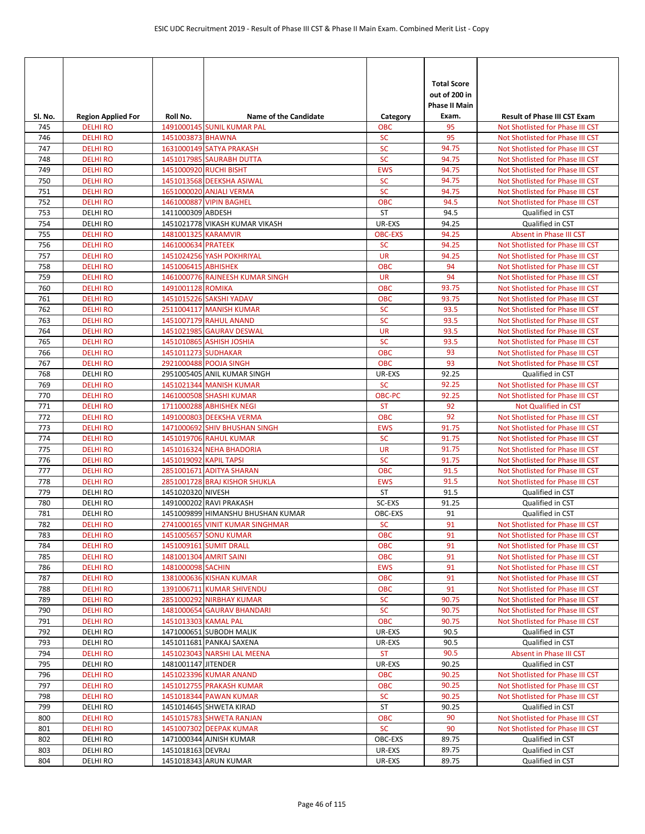| SI. No.    | <b>Region Applied For</b>         | Roll No.               | <b>Name of the Candidate</b>                          | Category                 | <b>Total Score</b><br>out of 200 in<br><b>Phase II Main</b><br>Exam. | <b>Result of Phase III CST Exam</b>                                  |
|------------|-----------------------------------|------------------------|-------------------------------------------------------|--------------------------|----------------------------------------------------------------------|----------------------------------------------------------------------|
| 745        | <b>DELHI RO</b>                   |                        | 1491000145 SUNIL KUMAR PAL                            | ОВС                      | 95                                                                   | Not Shotlisted for Phase III CST                                     |
| 746        | <b>DELHI RO</b>                   | 1451003873 BHAWNA      |                                                       | SC                       | 95                                                                   | Not Shotlisted for Phase III CST                                     |
| 747        | <b>DELHI RO</b>                   |                        | 1631000149 SATYA PRAKASH                              | <b>SC</b>                | 94.75                                                                | Not Shotlisted for Phase III CST                                     |
| 748        | <b>DELHI RO</b>                   |                        | 1451017985 SAURABH DUTTA                              | <b>SC</b>                | 94.75                                                                | Not Shotlisted for Phase III CST                                     |
| 749        | <b>DELHI RO</b>                   |                        | 1451000920 RUCHI BISHT                                | <b>EWS</b>               | 94.75                                                                | Not Shotlisted for Phase III CST                                     |
| 750        | <b>DELHI RO</b>                   |                        | 1451013568 DEEKSHA ASIWAL                             | <b>SC</b>                | 94.75                                                                | Not Shotlisted for Phase III CST                                     |
| 751        | <b>DELHI RO</b>                   |                        | 1651000020 ANJALI VERMA                               | SC                       | 94.75                                                                | Not Shotlisted for Phase III CST                                     |
| 752        | <b>DELHI RO</b>                   |                        | 1461000887 VIPIN BAGHEL                               | <b>OBC</b>               | 94.5                                                                 | Not Shotlisted for Phase III CST                                     |
| 753        | <b>DELHIRO</b>                    | 1411000309 ABDESH      |                                                       | ST                       | 94.5                                                                 | Qualified in CST                                                     |
| 754        | <b>DELHIRO</b>                    |                        | 1451021778 VIKASH KUMAR VIKASH                        | UR-EXS                   | 94.25                                                                | Qualified in CST                                                     |
| 755        | <b>DELHIRO</b>                    | 1481001325 KARAMVIR    |                                                       | <b>OBC-EXS</b>           | 94.25                                                                | Absent in Phase III CST                                              |
| 756        | <b>DELHI RO</b>                   | 1461000634 PRATEEK     |                                                       | <b>SC</b>                | 94.25                                                                | Not Shotlisted for Phase III CST                                     |
| 757        | <b>DELHI RO</b>                   |                        | 1451024256 YASH POKHRIYAL                             | <b>UR</b>                | 94.25                                                                | Not Shotlisted for Phase III CST                                     |
| 758        | <b>DELHI RO</b>                   | 1451006415 ABHISHEK    |                                                       | <b>OBC</b>               | 94                                                                   | Not Shotlisted for Phase III CST                                     |
| 759        | <b>DELHIRO</b>                    |                        | 1461000776 RAJNEESH KUMAR SINGH                       | <b>UR</b>                | 94                                                                   | Not Shotlisted for Phase III CST                                     |
| 760        | <b>DELHI RO</b>                   | 1491001128 ROMIKA      |                                                       | <b>OBC</b>               | 93.75                                                                | Not Shotlisted for Phase III CST                                     |
| 761        | <b>DELHI RO</b>                   |                        | 1451015226 SAKSHI YADAV                               | <b>OBC</b>               | 93.75                                                                | Not Shotlisted for Phase III CST                                     |
| 762        | <b>DELHI RO</b>                   |                        | 2511004117 MANISH KUMAR                               | <b>SC</b>                | 93.5                                                                 | Not Shotlisted for Phase III CST                                     |
| 763        | <b>DELHI RO</b>                   |                        | 1451007179 RAHUL ANAND                                | <b>SC</b>                | 93.5                                                                 | Not Shotlisted for Phase III CST                                     |
| 764        | <b>DELHIRO</b>                    |                        | 1451021985 GAURAV DESWAL                              | <b>UR</b>                | 93.5                                                                 | Not Shotlisted for Phase III CST                                     |
| 765        | <b>DELHI RO</b>                   |                        | 1451010865 ASHISH JOSHIA                              | <b>SC</b>                | 93.5                                                                 | Not Shotlisted for Phase III CST                                     |
| 766        | <b>DELHI RO</b>                   | 1451011273 SUDHAKAR    |                                                       | <b>OBC</b><br><b>OBC</b> | 93                                                                   | Not Shotlisted for Phase III CST                                     |
| 767<br>768 | <b>DELHI RO</b><br><b>DELHIRO</b> |                        | 2921000488 POOJA SINGH<br>2951005405 ANIL KUMAR SINGH | UR-EXS                   | 93<br>92.25                                                          | Not Shotlisted for Phase III CST<br>Qualified in CST                 |
| 769        | <b>DELHI RO</b>                   |                        | 1451021344 MANISH KUMAR                               | <b>SC</b>                | 92.25                                                                | Not Shotlisted for Phase III CST                                     |
| 770        | <b>DELHI RO</b>                   |                        | 1461000508 SHASHI KUMAR                               | OBC-PC                   | 92.25                                                                | Not Shotlisted for Phase III CST                                     |
| 771        | <b>DELHI RO</b>                   |                        | 1711000288 ABHISHEK NEGI                              | <b>ST</b>                | 92                                                                   | Not Qualified in CST                                                 |
| 772        | <b>DELHI RO</b>                   |                        | 1491000803 DEEKSHA VERMA                              | <b>OBC</b>               | 92                                                                   | Not Shotlisted for Phase III CST                                     |
| 773        | <b>DELHI RO</b>                   |                        | 1471000692 SHIV BHUSHAN SINGH                         | <b>EWS</b>               | 91.75                                                                | Not Shotlisted for Phase III CST                                     |
| 774        | <b>DELHI RO</b>                   |                        | 1451019706 RAHUL KUMAR                                | <b>SC</b>                | 91.75                                                                | Not Shotlisted for Phase III CST                                     |
| 775        | <b>DELHI RO</b>                   |                        | 1451016324 NEHA BHADORIA                              | <b>UR</b>                | 91.75                                                                | Not Shotlisted for Phase III CST                                     |
| 776        | <b>DELHIRO</b>                    | 1451019092 KAPIL TAPSI |                                                       | SC                       | 91.75                                                                | Not Shotlisted for Phase III CST                                     |
| 777        | <b>DELHI RO</b>                   |                        | 2851001671 ADITYA SHARAN                              | <b>OBC</b>               | 91.5                                                                 | Not Shotlisted for Phase III CST                                     |
| 778        | <b>DELHI RO</b>                   |                        | 2851001728 BRAJ KISHOR SHUKLA                         | <b>EWS</b>               | 91.5                                                                 | Not Shotlisted for Phase III CST                                     |
| 779        | <b>DELHIRO</b>                    | 1451020320 NIVESH      |                                                       | ST                       | 91.5                                                                 | Qualified in CST                                                     |
| 780        | <b>DELHI RO</b>                   |                        | 1491000202 RAVI PRAKASH                               | SC-EXS                   | 91.25                                                                | Qualified in CST                                                     |
| 781        | <b>DELHI RO</b>                   |                        | 1451009899 HIMANSHU BHUSHAN KUMAR                     | OBC-EXS                  | 91                                                                   | Qualified in CST                                                     |
| 782        | <b>DELHI RO</b>                   |                        | 2741000165 VINIT KUMAR SINGHMAR                       | <b>SC</b>                | 91                                                                   | Not Shotlisted for Phase III CST                                     |
| 783        | <b>DELHI RO</b>                   |                        | 1451005657 SONU KUMAR                                 | <b>OBC</b>               | 91                                                                   | Not Shotlisted for Phase III CST                                     |
| 784        | <b>DELHI RO</b>                   |                        | 1451009161 SUMIT DRALL                                | <b>OBC</b>               | 91                                                                   | Not Shotlisted for Phase III CST                                     |
| 785        | <b>DELHIRO</b>                    |                        | 1481001304 AMRIT SAINI                                | <b>OBC</b>               | 91                                                                   | Not Shotlisted for Phase III CST                                     |
| 786        | <b>DELHIRO</b>                    | 1481000098 SACHIN      |                                                       | <b>EWS</b>               | 91                                                                   | Not Shotlisted for Phase III CST                                     |
| 787        | <b>DELHIRO</b>                    |                        | 1381000636 KISHAN KUMAR                               | OBC                      | 91                                                                   | Not Shotlisted for Phase III CST                                     |
| 788        | <b>DELHIRO</b>                    |                        | 1391006711 KUMAR SHIVENDU                             | OBC                      | 91                                                                   | Not Shotlisted for Phase III CST                                     |
| 789        | <b>DELHIRO</b>                    |                        | 2851000292 NIRBHAY KUMAR                              | <b>SC</b>                | 90.75                                                                | Not Shotlisted for Phase III CST                                     |
| 790        | <b>DELHIRO</b>                    |                        | 1481000654 GAURAV BHANDARI                            | <b>SC</b>                | 90.75                                                                | Not Shotlisted for Phase III CST                                     |
| 791        | <b>DELHIRO</b>                    | 1451013303 KAMAL PAL   |                                                       | OBC                      | 90.75                                                                | Not Shotlisted for Phase III CST                                     |
| 792        | DELHI RO                          |                        | 1471000651 SUBODH MALIK                               | UR-EXS                   | 90.5                                                                 | Qualified in CST                                                     |
| 793        | <b>DELHI RO</b>                   |                        | 1451011681 PANKAJ SAXENA                              | UR-EXS                   | 90.5                                                                 | Qualified in CST                                                     |
| 794        | <b>DELHIRO</b>                    |                        | 1451023043 NARSHI LAL MEENA                           | <b>ST</b>                | 90.5                                                                 | Absent in Phase III CST                                              |
| 795        | <b>DELHIRO</b>                    | 1481001147 JITENDER    |                                                       | UR-EXS<br><b>OBC</b>     | 90.25                                                                | Qualified in CST                                                     |
| 796<br>797 | <b>DELHIRO</b><br><b>DELHI RO</b> |                        | 1451023396 KUMAR ANAND<br>1451012755 PRAKASH KUMAR    | OBC                      | 90.25<br>90.25                                                       | Not Shotlisted for Phase III CST<br>Not Shotlisted for Phase III CST |
| 798        | <b>DELHI RO</b>                   |                        | 1451018344 PAWAN KUMAR                                | <b>SC</b>                | 90.25                                                                | Not Shotlisted for Phase III CST                                     |
| 799        | DELHI RO                          |                        | 1451014645 SHWETA KIRAD                               | ST                       | 90.25                                                                | Qualified in CST                                                     |
| 800        | <b>DELHIRO</b>                    |                        | 1451015783 SHWETA RANJAN                              | <b>OBC</b>               | 90                                                                   | Not Shotlisted for Phase III CST                                     |
| 801        | <b>DELHIRO</b>                    |                        | 1451007302 DEEPAK KUMAR                               | <b>SC</b>                | 90                                                                   | Not Shotlisted for Phase III CST                                     |
| 802        | <b>DELHIRO</b>                    |                        | 1471000344 AJNISH KUMAR                               | OBC-EXS                  | 89.75                                                                | Qualified in CST                                                     |
| 803        | <b>DELHI RO</b>                   | 1451018163 DEVRAJ      |                                                       | UR-EXS                   | 89.75                                                                | Qualified in CST                                                     |
| 804        | <b>DELHIRO</b>                    |                        | 1451018343 ARUN KUMAR                                 | UR-EXS                   | 89.75                                                                | Qualified in CST                                                     |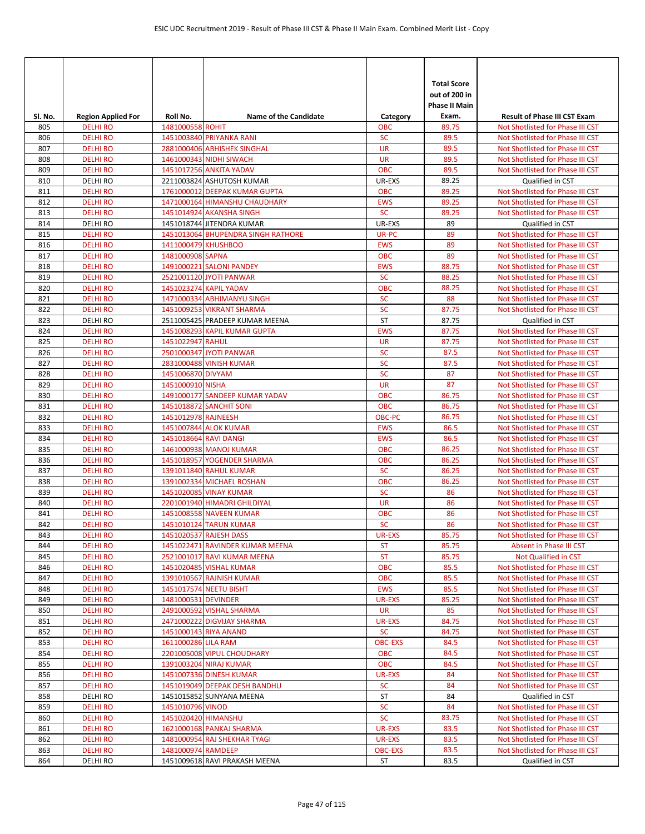| Sl. No.    | <b>Region Applied For</b>          | Roll No.              | <b>Name of the Candidate</b>                              | Category                 | <b>Total Score</b><br>out of 200 in<br>Phase II Main<br>Exam. | <b>Result of Phase III CST Exam</b>                                  |
|------------|------------------------------------|-----------------------|-----------------------------------------------------------|--------------------------|---------------------------------------------------------------|----------------------------------------------------------------------|
| 805        | <b>DELHIRO</b>                     | 1481000558 ROHIT      |                                                           | <b>OBC</b>               | 89.75                                                         | Not Shotlisted for Phase III CST                                     |
| 806        | <b>DELHI RO</b>                    |                       | 1451003840 PRIYANKA RANI                                  | <b>SC</b>                | 89.5                                                          | Not Shotlisted for Phase III CST                                     |
| 807        | <b>DELHI RO</b>                    |                       | 2881000406 ABHISHEK SINGHAL                               | <b>UR</b>                | 89.5                                                          | Not Shotlisted for Phase III CST                                     |
| 808        | <b>DELHIRO</b>                     |                       | 1461000343 NIDHI SIWACH                                   | <b>UR</b>                | 89.5                                                          | Not Shotlisted for Phase III CST                                     |
| 809        | <b>DELHIRO</b>                     |                       | 1451017256 ANKITA YADAV                                   | <b>OBC</b>               | 89.5                                                          | Not Shotlisted for Phase III CST                                     |
| 810        | <b>DELHIRO</b>                     |                       | 2211003824 ASHUTOSH KUMAR                                 | UR-EXS                   | 89.25                                                         | Qualified in CST                                                     |
| 811        | <b>DELHIRO</b>                     |                       | 1761000012 DEEPAK KUMAR GUPTA                             | <b>OBC</b>               | 89.25                                                         | Not Shotlisted for Phase III CST                                     |
| 812        | <b>DELHIRO</b>                     |                       | 1471000164 HIMANSHU CHAUDHARY                             | <b>EWS</b>               | 89.25                                                         | Not Shotlisted for Phase III CST                                     |
| 813        | <b>DELHI RO</b>                    |                       | 1451014924 AKANSHA SINGH                                  | <b>SC</b>                | 89.25                                                         | Not Shotlisted for Phase III CST                                     |
| 814        | <b>DELHIRO</b>                     |                       | 1451018744 JITENDRA KUMAR                                 | UR-EXS                   | 89                                                            | Qualified in CST                                                     |
| 815        | <b>DELHIRO</b>                     |                       | 1451013064 BHUPENDRA SINGH RATHORE                        | UR-PC                    | 89                                                            | Not Shotlisted for Phase III CST                                     |
| 816<br>817 | <b>DELHIRO</b><br><b>DELHI RO</b>  | 1411000479 KHUSHBOO   |                                                           | <b>EWS</b><br><b>OBC</b> | 89<br>89                                                      | Not Shotlisted for Phase III CST                                     |
| 818        | <b>DELHIRO</b>                     | 1481000908 SAPNA      | 1491000221 SALONI PANDEY                                  | <b>EWS</b>               | 88.75                                                         | Not Shotlisted for Phase III CST<br>Not Shotlisted for Phase III CST |
| 819        | <b>DELHI RO</b>                    |                       | 2521001120 JYOTI PANWAR                                   | <b>SC</b>                | 88.25                                                         | Not Shotlisted for Phase III CST                                     |
| 820        | <b>DELHI RO</b>                    |                       | 1451023274 KAPIL YADAV                                    | <b>OBC</b>               | 88.25                                                         | Not Shotlisted for Phase III CST                                     |
| 821        | <b>DELHIRO</b>                     |                       | 1471000334 ABHIMANYU SINGH                                | <b>SC</b>                | 88                                                            | Not Shotlisted for Phase III CST                                     |
| 822        | <b>DELHIRO</b>                     |                       | 1451009253 VIKRANT SHARMA                                 | <b>SC</b>                | 87.75                                                         | Not Shotlisted for Phase III CST                                     |
| 823        | <b>DELHIRO</b>                     |                       | 2511005425 PRADEEP KUMAR MEENA                            | <b>ST</b>                | 87.75                                                         | Qualified in CST                                                     |
| 824        | <b>DELHI RO</b>                    |                       | 1451008293 KAPIL KUMAR GUPTA                              | <b>EWS</b>               | 87.75                                                         | Not Shotlisted for Phase III CST                                     |
| 825        | <b>DELHIRO</b>                     | 1451022947 RAHUL      |                                                           | <b>UR</b>                | 87.75                                                         | Not Shotlisted for Phase III CST                                     |
| 826        | <b>DELHIRO</b>                     |                       | 2501000347 JYOTI PANWAR                                   | <b>SC</b>                | 87.5                                                          | Not Shotlisted for Phase III CST                                     |
| 827        | <b>DELHI RO</b>                    |                       | 2831000488 VINISH KUMAR                                   | <b>SC</b>                | 87.5                                                          | Not Shotlisted for Phase III CST                                     |
| 828        | <b>DELHIRO</b>                     | 1451006870 DIVYAM     |                                                           | <b>SC</b>                | 87                                                            | Not Shotlisted for Phase III CST                                     |
| 829        | <b>DELHI RO</b>                    | 1451000910 NISHA      |                                                           | <b>UR</b>                | 87                                                            | Not Shotlisted for Phase III CST                                     |
| 830        | <b>DELHI RO</b>                    |                       | 1491000177 SANDEEP KUMAR YADAV                            | <b>OBC</b>               | 86.75                                                         | Not Shotlisted for Phase III CST                                     |
| 831        | <b>DELHIRO</b>                     |                       | 1451018872 SANCHIT SONI                                   | <b>OBC</b>               | 86.75                                                         | Not Shotlisted for Phase III CST                                     |
| 832        | <b>DELHIRO</b>                     | 1451012978 RAJNEESH   |                                                           | OBC-PC                   | 86.75                                                         | Not Shotlisted for Phase III CST                                     |
| 833        | <b>DELHIRO</b>                     |                       | 1451007844 ALOK KUMAR                                     | <b>EWS</b>               | 86.5                                                          | Not Shotlisted for Phase III CST                                     |
| 834        | <b>DELHI RO</b>                    | 1451018664 RAVI DANGI |                                                           | <b>EWS</b>               | 86.5                                                          | Not Shotlisted for Phase III CST                                     |
| 835        | <b>DELHIRO</b>                     |                       | 1461000938 MANOJ KUMAR                                    | <b>OBC</b>               | 86.25                                                         | Not Shotlisted for Phase III CST                                     |
| 836        | <b>DELHIRO</b>                     |                       | 1451018957 YOGENDER SHARMA                                | <b>OBC</b>               | 86.25                                                         | Not Shotlisted for Phase III CST                                     |
| 837        | <b>DELHIRO</b>                     |                       | 1391011840 RAHUL KUMAR                                    | <b>SC</b>                | 86.25                                                         | Not Shotlisted for Phase III CST                                     |
| 838        | <b>DELHI RO</b>                    |                       | 1391002334 MICHAEL ROSHAN                                 | <b>OBC</b>               | 86.25                                                         | Not Shotlisted for Phase III CST                                     |
| 839        | <b>DELHIRO</b>                     |                       | 1451020085 VINAY KUMAR                                    | <b>SC</b>                | 86                                                            | Not Shotlisted for Phase III CST                                     |
| 840        | <b>DELHIRO</b>                     |                       | 2201001940 HIMADRI GHILDIYAL                              | <b>UR</b>                | 86                                                            | Not Shotlisted for Phase III CST                                     |
| 841        | <b>DELHIRO</b>                     |                       | 1451008558 NAVEEN KUMAR                                   | <b>OBC</b>               | 86                                                            | Not Shotlisted for Phase III CST                                     |
| 842        | <b>DELHI RO</b>                    |                       | 1451010124 TARUN KUMAR                                    | <b>SC</b>                | 86                                                            | Not Shotlisted for Phase III CST                                     |
| 843        | <b>DELHI RO</b>                    |                       | 1451020537 RAJESH DASS<br>1451022471 RAVINDER KUMAR MEENA | <b>UR-EXS</b>            | 85.75<br>85.75                                                | Not Shotlisted for Phase III CST                                     |
| 844        | <b>DELHI RO</b><br><b>DELHI RO</b> |                       | 2521001017 RAVI KUMAR MEENA                               | <b>ST</b>                |                                                               | Absent in Phase III CST<br>Not Qualified in CST                      |
| 845<br>846 | <b>DELHI RO</b>                    |                       | 1451020485 VISHAL KUMAR                                   | <b>ST</b><br><b>OBC</b>  | 85.75<br>85.5                                                 | Not Shotlisted for Phase III CST                                     |
| 847        | <b>DELHI RO</b>                    |                       | 1391010567 RAJNISH KUMAR                                  | <b>OBC</b>               | 85.5                                                          | Not Shotlisted for Phase III CST                                     |
| 848        | <b>DELHI RO</b>                    |                       | 1451017574 NEETU BISHT                                    | <b>EWS</b>               | 85.5                                                          | Not Shotlisted for Phase III CST                                     |
| 849        | <b>DELHI RO</b>                    | 1481000531 DEVINDER   |                                                           | UR-EXS                   | 85.25                                                         | Not Shotlisted for Phase III CST                                     |
| 850        | <b>DELHI RO</b>                    |                       | 2491000592 VISHAL SHARMA                                  | <b>UR</b>                | 85                                                            | Not Shotlisted for Phase III CST                                     |
| 851        | <b>DELHI RO</b>                    |                       | 2471000222 DIGVIJAY SHARMA                                | <b>UR-EXS</b>            | 84.75                                                         | Not Shotlisted for Phase III CST                                     |
| 852        | <b>DELHI RO</b>                    |                       | 1451000143 RIYA ANAND                                     | <b>SC</b>                | 84.75                                                         | Not Shotlisted for Phase III CST                                     |
| 853        | <b>DELHI RO</b>                    | 1611000286 LILA RAM   |                                                           | <b>OBC-EXS</b>           | 84.5                                                          | Not Shotlisted for Phase III CST                                     |
| 854        | <b>DELHI RO</b>                    |                       | 2201005008 VIPUL CHOUDHARY                                | <b>OBC</b>               | 84.5                                                          | Not Shotlisted for Phase III CST                                     |
| 855        | <b>DELHI RO</b>                    |                       | 1391003204 NIRAJ KUMAR                                    | <b>OBC</b>               | 84.5                                                          | Not Shotlisted for Phase III CST                                     |
| 856        | <b>DELHI RO</b>                    |                       | 1451007336 DINESH KUMAR                                   | UR-EXS                   | 84                                                            | Not Shotlisted for Phase III CST                                     |
| 857        | <b>DELHI RO</b>                    |                       | 1451019049 DEEPAK DESH BANDHU                             | <b>SC</b>                | 84                                                            | Not Shotlisted for Phase III CST                                     |
| 858        | DELHI RO                           |                       | 1451015852 SUNYANA MEENA                                  | ST                       | 84                                                            | Qualified in CST                                                     |
| 859        | <b>DELHI RO</b>                    | 1451010796 VINOD      |                                                           | <b>SC</b>                | 84                                                            | Not Shotlisted for Phase III CST                                     |
| 860        | <b>DELHI RO</b>                    | 1451020420 HIMANSHU   |                                                           | <b>SC</b>                | 83.75                                                         | Not Shotlisted for Phase III CST                                     |
| 861        | <b>DELHI RO</b>                    |                       | 1621000168 PANKAJ SHARMA                                  | <b>UR-EXS</b>            | 83.5                                                          | Not Shotlisted for Phase III CST                                     |
| 862        | <b>DELHI RO</b>                    |                       | 1481000954 RAJ SHEKHAR TYAGI                              | <b>UR-EXS</b>            | 83.5                                                          | Not Shotlisted for Phase III CST                                     |
| 863        | <b>DELHI RO</b>                    | 1481000974 RAMDEEP    |                                                           | <b>OBC-EXS</b>           | 83.5                                                          | Not Shotlisted for Phase III CST                                     |
| 864        | <b>DELHIRO</b>                     |                       | 1451009618 RAVI PRAKASH MEENA                             | ST                       | 83.5                                                          | Qualified in CST                                                     |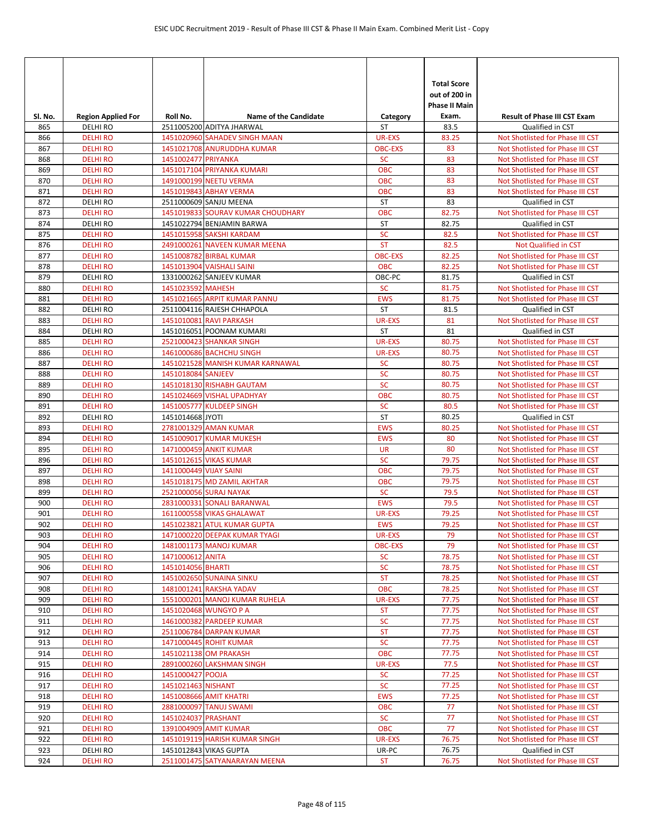| SI. No.    | <b>Region Applied For</b>         | Roll No.               | <b>Name of the Candidate</b>                             | Category                    | <b>Total Score</b><br>out of 200 in<br><b>Phase II Main</b><br>Exam. | <b>Result of Phase III CST Exam</b>                                  |
|------------|-----------------------------------|------------------------|----------------------------------------------------------|-----------------------------|----------------------------------------------------------------------|----------------------------------------------------------------------|
| 865        | <b>DELHIRO</b>                    |                        | 2511005200 ADITYA JHARWAL                                | ST                          | 83.5                                                                 | Qualified in CST                                                     |
| 866        | <b>DELHI RO</b>                   |                        | 1451020960 SAHADEV SINGH MAAN                            | <b>UR-EXS</b>               | 83.25                                                                | Not Shotlisted for Phase III CST                                     |
| 867        | <b>DELHI RO</b>                   |                        | 1451021708 ANURUDDHA KUMAR                               | <b>OBC-EXS</b>              | 83                                                                   | Not Shotlisted for Phase III CST                                     |
| 868        | <b>DELHIRO</b>                    | 1451002477 PRIYANKA    |                                                          | <b>SC</b>                   | 83                                                                   | Not Shotlisted for Phase III CST                                     |
| 869        | <b>DELHI RO</b>                   |                        | 1451017104 PRIYANKA KUMARI                               | <b>OBC</b>                  | 83                                                                   | Not Shotlisted for Phase III CST                                     |
| 870        | <b>DELHI RO</b>                   |                        | 1491000199 NEETU VERMA                                   | <b>OBC</b>                  | 83                                                                   | Not Shotlisted for Phase III CST                                     |
| 871        | <b>DELHIRO</b>                    |                        | 1451019843 ABHAY VERMA                                   | <b>OBC</b>                  | 83                                                                   | Not Shotlisted for Phase III CST                                     |
| 872        | DELHI RO                          |                        | 2511000609 SANJU MEENA                                   | <b>ST</b>                   | 83                                                                   | Qualified in CST                                                     |
| 873        | <b>DELHI RO</b>                   |                        | 1451019833 SOURAV KUMAR CHOUDHARY                        | <b>OBC</b>                  | 82.75                                                                | Not Shotlisted for Phase III CST                                     |
| 874        | <b>DELHIRO</b>                    |                        | 1451022794 BENJAMIN BARWA                                | <b>ST</b>                   | 82.75                                                                | Qualified in CST                                                     |
| 875        | <b>DELHIRO</b>                    |                        | 1451015958 SAKSHI KARDAM                                 | <b>SC</b><br><b>ST</b>      | 82.5                                                                 | Not Shotlisted for Phase III CST                                     |
| 876<br>877 | <b>DELHIRO</b><br><b>DELHI RO</b> |                        | 2491000261 NAVEEN KUMAR MEENA<br>1451008782 BIRBAL KUMAR | <b>OBC-EXS</b>              | 82.5<br>82.25                                                        | Not Qualified in CST<br>Not Shotlisted for Phase III CST             |
| 878        | <b>DELHI RO</b>                   |                        | 1451013904 VAISHALI SAINI                                | <b>OBC</b>                  | 82.25                                                                | Not Shotlisted for Phase III CST                                     |
| 879        | DELHI RO                          |                        | 1331000262 SANJEEV KUMAR                                 | OBC-PC                      | 81.75                                                                | Qualified in CST                                                     |
| 880        | <b>DELHI RO</b>                   | 1451023592 MAHESH      |                                                          | <b>SC</b>                   | 81.75                                                                | Not Shotlisted for Phase III CST                                     |
| 881        | <b>DELHIRO</b>                    |                        | 1451021665 ARPIT KUMAR PANNU                             | <b>EWS</b>                  | 81.75                                                                | Not Shotlisted for Phase III CST                                     |
| 882        | <b>DELHIRO</b>                    |                        | 2511004116 RAJESH CHHAPOLA                               | <b>ST</b>                   | 81.5                                                                 | Qualified in CST                                                     |
| 883        | <b>DELHI RO</b>                   |                        | 1451010081 RAVI PARKASH                                  | <b>UR-EXS</b>               | 81                                                                   | Not Shotlisted for Phase III CST                                     |
| 884        | <b>DELHIRO</b>                    |                        | 1451016051 POONAM KUMARI                                 | ST                          | 81                                                                   | Qualified in CST                                                     |
| 885        | <b>DELHI RO</b>                   |                        | 2521000423 SHANKAR SINGH                                 | <b>UR-EXS</b>               | 80.75                                                                | Not Shotlisted for Phase III CST                                     |
| 886        | <b>DELHIRO</b>                    |                        | 1461000686 BACHCHU SINGH                                 | <b>UR-EXS</b>               | 80.75                                                                | Not Shotlisted for Phase III CST                                     |
| 887        | <b>DELHI RO</b>                   |                        | 1451021528 MANISH KUMAR KARNAWAL                         | <b>SC</b>                   | 80.75                                                                | Not Shotlisted for Phase III CST                                     |
| 888        | <b>DELHIRO</b>                    | 1451018084 SANJEEV     |                                                          | <b>SC</b>                   | 80.75                                                                | Not Shotlisted for Phase III CST                                     |
| 889        | <b>DELHI RO</b>                   |                        | 1451018130 RISHABH GAUTAM                                | <b>SC</b>                   | 80.75                                                                | Not Shotlisted for Phase III CST                                     |
| 890        | <b>DELHI RO</b>                   |                        | 1451024669 VISHAL UPADHYAY                               | <b>OBC</b>                  | 80.75                                                                | Not Shotlisted for Phase III CST                                     |
| 891        | <b>DELHIRO</b>                    |                        | 1451005777 KULDEEP SINGH                                 | <b>SC</b>                   | 80.5                                                                 | Not Shotlisted for Phase III CST                                     |
| 892        | DELHI RO                          | 1451014668 JYOTI       |                                                          | <b>ST</b>                   | 80.25                                                                | Qualified in CST                                                     |
| 893        | <b>DELHI RO</b>                   |                        | 2781001329 AMAN KUMAR                                    | <b>EWS</b>                  | 80.25                                                                | Not Shotlisted for Phase III CST                                     |
| 894        | <b>DELHI RO</b>                   |                        | 1451009017 KUMAR MUKESH                                  | <b>EWS</b>                  | 80                                                                   | Not Shotlisted for Phase III CST                                     |
| 895        | <b>DELHIRO</b>                    |                        | 1471000459 ANKIT KUMAR                                   | <b>UR</b>                   | 80                                                                   | Not Shotlisted for Phase III CST                                     |
| 896        | <b>DELHIRO</b>                    |                        | 1451012615 VIKAS KUMAR                                   | <b>SC</b>                   | 79.75                                                                | Not Shotlisted for Phase III CST                                     |
| 897        | <b>DELHIRO</b>                    | 1411000449 VIJAY SAINI |                                                          | <b>OBC</b>                  | 79.75                                                                | Not Shotlisted for Phase III CST                                     |
| 898        | <b>DELHI RO</b>                   |                        | 1451018175 MD ZAMIL AKHTAR                               | <b>OBC</b>                  | 79.75                                                                | Not Shotlisted for Phase III CST                                     |
| 899        | <b>DELHIRO</b>                    |                        | 2521000056 SURAJ NAYAK                                   | <b>SC</b>                   | 79.5                                                                 | Not Shotlisted for Phase III CST                                     |
| 900        | <b>DELHIRO</b>                    |                        | 2831000331 SONALI BARANWAL                               | <b>EWS</b>                  | 79.5                                                                 | Not Shotlisted for Phase III CST                                     |
| 901<br>902 | <b>DELHIRO</b><br><b>DELHI RO</b> |                        | 1611000558 VIKAS GHALAWAT<br>1451023821 ATUL KUMAR GUPTA | <b>UR-EXS</b><br><b>EWS</b> | 79.25<br>79.25                                                       | Not Shotlisted for Phase III CST<br>Not Shotlisted for Phase III CST |
| 903        | <b>DELHI RO</b>                   |                        | 1471000220 DEEPAK KUMAR TYAGI                            | UR-EXS                      | 79                                                                   | Not Shotlisted for Phase III CST                                     |
| 904        | <b>DELHI RO</b>                   |                        | 1481001173 MANOJ KUMAR                                   | <b>OBC-EXS</b>              | 79                                                                   | Not Shotlisted for Phase III CST                                     |
| 905        | <b>DELHI RO</b>                   | 1471000612 ANITA       |                                                          | <b>SC</b>                   | 78.75                                                                | Not Shotlisted for Phase III CST                                     |
| 906        | <b>DELHI RO</b>                   | 1451014056 BHARTI      |                                                          | <b>SC</b>                   | 78.75                                                                | Not Shotlisted for Phase III CST                                     |
| 907        | <b>DELHI RO</b>                   |                        | 1451002650 SUNAINA SINKU                                 | <b>ST</b>                   | 78.25                                                                | Not Shotlisted for Phase III CST                                     |
| 908        | <b>DELHI RO</b>                   |                        | 1481001241 RAKSHA YADAV                                  | OBC                         | 78.25                                                                | Not Shotlisted for Phase III CST                                     |
| 909        | <b>DELHI RO</b>                   |                        | 1551000201 MANOJ KUMAR RUHELA                            | UR-EXS                      | 77.75                                                                | Not Shotlisted for Phase III CST                                     |
| 910        | <b>DELHI RO</b>                   |                        | 1451020468 WUNGYO P A                                    | <b>ST</b>                   | 77.75                                                                | Not Shotlisted for Phase III CST                                     |
| 911        | <b>DELHI RO</b>                   |                        | 1461000382 PARDEEP KUMAR                                 | <b>SC</b>                   | 77.75                                                                | Not Shotlisted for Phase III CST                                     |
| 912        | <b>DELHI RO</b>                   |                        | 2511006784 DARPAN KUMAR                                  | <b>ST</b>                   | 77.75                                                                | Not Shotlisted for Phase III CST                                     |
| 913        | <b>DELHI RO</b>                   |                        | 1471000445 ROHIT KUMAR                                   | <b>SC</b>                   | 77.75                                                                | Not Shotlisted for Phase III CST                                     |
| 914        | <b>DELHI RO</b>                   |                        | 1451021138 OM PRAKASH                                    | <b>OBC</b>                  | 77.75                                                                | Not Shotlisted for Phase III CST                                     |
| 915        | <b>DELHI RO</b>                   |                        | 2891000260 LAKSHMAN SINGH                                | UR-EXS                      | 77.5                                                                 | Not Shotlisted for Phase III CST                                     |
| 916        | <b>DELHI RO</b>                   | 1451000427 POOJA       |                                                          | <b>SC</b>                   | 77.25                                                                | Not Shotlisted for Phase III CST                                     |
| 917        | <b>DELHI RO</b>                   | 1451021463 NISHANT     |                                                          | <b>SC</b>                   | 77.25                                                                | Not Shotlisted for Phase III CST                                     |
| 918        | <b>DELHI RO</b>                   |                        | 1451008666 AMIT KHATRI                                   | <b>EWS</b>                  | 77.25                                                                | Not Shotlisted for Phase III CST                                     |
| 919        | <b>DELHI RO</b>                   |                        | 2881000097 TANUJ SWAMI                                   | <b>OBC</b>                  | 77                                                                   | Not Shotlisted for Phase III CST                                     |
| 920        | <b>DELHI RO</b>                   | 1451024037 PRASHANT    |                                                          | <b>SC</b>                   | 77                                                                   | Not Shotlisted for Phase III CST                                     |
| 921        | <b>DELHI RO</b>                   |                        | 1391004909 AMIT KUMAR                                    | <b>OBC</b>                  | 77                                                                   | Not Shotlisted for Phase III CST                                     |
| 922        | <b>DELHI RO</b>                   |                        | 1451019119 HARISH KUMAR SINGH                            | UR-EXS                      | 76.75                                                                | Not Shotlisted for Phase III CST                                     |
| 923        | DELHI RO                          |                        | 1451012843 VIKAS GUPTA                                   | UR-PC                       | 76.75                                                                | Qualified in CST                                                     |
| 924        | <b>DELHI RO</b>                   |                        | 2511001475 SATYANARAYAN MEENA                            | <b>ST</b>                   | 76.75                                                                | Not Shotlisted for Phase III CST                                     |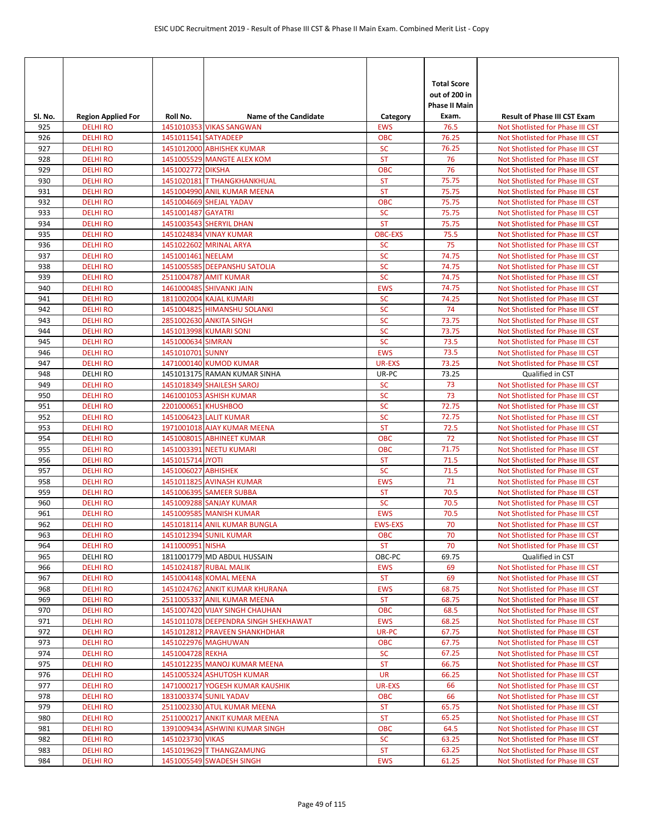|            |                                    |                      |                                                             |                              | <b>Total Score</b><br>out of 200 in<br>Phase II Main |                                                                      |
|------------|------------------------------------|----------------------|-------------------------------------------------------------|------------------------------|------------------------------------------------------|----------------------------------------------------------------------|
| Sl. No.    | <b>Region Applied For</b>          | Roll No.             | <b>Name of the Candidate</b>                                | Category                     | Exam.                                                | <b>Result of Phase III CST Exam</b>                                  |
| 925<br>926 | <b>DELHI RO</b><br><b>DELHI RO</b> | 1451011541 SATYADEEP | 1451010353 VIKAS SANGWAN                                    | <b>EWS</b><br><b>OBC</b>     | 76.5<br>76.25                                        | Not Shotlisted for Phase III CST<br>Not Shotlisted for Phase III CST |
| 927        | <b>DELHI RO</b>                    |                      | 1451012000 ABHISHEK KUMAR                                   | <b>SC</b>                    | 76.25                                                | Not Shotlisted for Phase III CST                                     |
| 928        | <b>DELHIRO</b>                     |                      | 1451005529 MANGTE ALEX KOM                                  | <b>ST</b>                    | 76                                                   | Not Shotlisted for Phase III CST                                     |
| 929        | <b>DELHIRO</b>                     | 1451002772 DIKSHA    |                                                             | <b>OBC</b>                   | 76                                                   | Not Shotlisted for Phase III CST                                     |
| 930        | <b>DELHI RO</b>                    |                      | 1451020181 T THANGKHANKHUAL                                 | <b>ST</b>                    | 75.75                                                | Not Shotlisted for Phase III CST                                     |
| 931        | <b>DELHI RO</b>                    |                      | 1451004990 ANIL KUMAR MEENA                                 | <b>ST</b>                    | 75.75                                                | Not Shotlisted for Phase III CST                                     |
| 932        | <b>DELHIRO</b>                     |                      | 1451004669 SHEJAL YADAV                                     | <b>OBC</b>                   | 75.75                                                | Not Shotlisted for Phase III CST                                     |
| 933        | <b>DELHI RO</b>                    | 1451001487 GAYATRI   |                                                             | <b>SC</b>                    | 75.75                                                | Not Shotlisted for Phase III CST                                     |
| 934        | <b>DELHIRO</b>                     |                      | 1451003543 SHERYIL DHAN                                     | <b>ST</b>                    | 75.75                                                | Not Shotlisted for Phase III CST                                     |
| 935        | <b>DELHIRO</b>                     |                      | 1451024834 VINAY KUMAR                                      | <b>OBC-EXS</b>               | 75.5                                                 | Not Shotlisted for Phase III CST                                     |
| 936        | <b>DELHI RO</b>                    |                      | 1451022602 MRINAL ARYA                                      | <b>SC</b>                    | 75                                                   | Not Shotlisted for Phase III CST                                     |
| 937        | <b>DELHI RO</b>                    | 1451001461 NEELAM    |                                                             | <b>SC</b>                    | 74.75                                                | Not Shotlisted for Phase III CST                                     |
| 938        | <b>DELHIRO</b>                     |                      | 1451005585 DEEPANSHU SATOLIA                                | <b>SC</b>                    | 74.75                                                | Not Shotlisted for Phase III CST                                     |
| 939        | <b>DELHIRO</b>                     |                      | 2511004787 AMIT KUMAR                                       | <b>SC</b>                    | 74.75                                                | Not Shotlisted for Phase III CST                                     |
| 940        | <b>DELHIRO</b>                     |                      | 1461000485 SHIVANKI JAIN                                    | <b>EWS</b>                   | 74.75                                                | Not Shotlisted for Phase III CST                                     |
| 941        | <b>DELHI RO</b>                    |                      | 1811002004 KAJAL KUMARI                                     | <b>SC</b><br><b>SC</b>       | 74.25<br>74                                          | Not Shotlisted for Phase III CST                                     |
| 942<br>943 | <b>DELHIRO</b><br><b>DELHI RO</b>  |                      | 1451004825 HIMANSHU SOLANKI<br>2851002630 ANKITA SINGH      | <b>SC</b>                    | 73.75                                                | Not Shotlisted for Phase III CST<br>Not Shotlisted for Phase III CST |
| 944        | <b>DELHIRO</b>                     |                      | 1451013998 KUMARI SONI                                      | <b>SC</b>                    | 73.75                                                | Not Shotlisted for Phase III CST                                     |
| 945        | <b>DELHIRO</b>                     | 1451000634 SIMRAN    |                                                             | <b>SC</b>                    | 73.5                                                 | Not Shotlisted for Phase III CST                                     |
| 946        | <b>DELHI RO</b>                    | 1451010701 SUNNY     |                                                             | <b>EWS</b>                   | 73.5                                                 | Not Shotlisted for Phase III CST                                     |
| 947        | <b>DELHI RO</b>                    |                      | 1471000140 KUMOD KUMAR                                      | <b>UR-EXS</b>                | 73.25                                                | Not Shotlisted for Phase III CST                                     |
| 948        | <b>DELHIRO</b>                     |                      | 1451013175 RAMAN KUMAR SINHA                                | UR-PC                        | 73.25                                                | Qualified in CST                                                     |
| 949        | <b>DELHIRO</b>                     |                      | 1451018349 SHAILESH SAROJ                                   | <b>SC</b>                    | 73                                                   | Not Shotlisted for Phase III CST                                     |
| 950        | <b>DELHI RO</b>                    |                      | 1461001053 ASHISH KUMAR                                     | <b>SC</b>                    | 73                                                   | Not Shotlisted for Phase III CST                                     |
| 951        | <b>DELHIRO</b>                     | 2201000651 KHUSHBOO  |                                                             | <b>SC</b>                    | 72.75                                                | Not Shotlisted for Phase III CST                                     |
| 952        | <b>DELHIRO</b>                     |                      | 1451006423 LALIT KUMAR                                      | <b>SC</b>                    | 72.75                                                | Not Shotlisted for Phase III CST                                     |
| 953        | <b>DELHI RO</b>                    |                      | 1971001018 AJAY KUMAR MEENA                                 | <b>ST</b>                    | 72.5                                                 | Not Shotlisted for Phase III CST                                     |
| 954        | <b>DELHI RO</b>                    |                      | 1451008015 ABHINEET KUMAR                                   | <b>OBC</b>                   | 72                                                   | Not Shotlisted for Phase III CST                                     |
| 955        | <b>DELHIRO</b>                     |                      | 1451003391 NEETU KUMARI                                     | <b>OBC</b>                   | 71.75                                                | Not Shotlisted for Phase III CST                                     |
| 956        | <b>DELHIRO</b>                     | 1451015714 JYOTI     |                                                             | <b>ST</b>                    | 71.5                                                 | Not Shotlisted for Phase III CST                                     |
| 957        | <b>DELHI RO</b>                    | 1451006027 ABHISHEK  |                                                             | <b>SC</b>                    | 71.5                                                 | Not Shotlisted for Phase III CST                                     |
| 958        | <b>DELHI RO</b>                    |                      | 1451011825 AVINASH KUMAR                                    | <b>EWS</b>                   | 71                                                   | Not Shotlisted for Phase III CST                                     |
| 959        | <b>DELHIRO</b>                     |                      | 1451006395 SAMEER SUBBA                                     | <b>ST</b>                    | 70.5                                                 | Not Shotlisted for Phase III CST                                     |
| 960        | <b>DELHI RO</b>                    |                      | 1451009288 SANJAY KUMAR<br>1451009585 MANISH KUMAR          | <b>SC</b>                    | 70.5                                                 | Not Shotlisted for Phase III CST<br>Not Shotlisted for Phase III CST |
| 961<br>962 | <b>DELHI RO</b><br><b>DELHI RO</b> |                      | 1451018114 ANIL KUMAR BUNGLA                                | <b>EWS</b><br><b>EWS-EXS</b> | 70.5<br>70                                           | Not Shotlisted for Phase III CST                                     |
| 963        | <b>DELHIRO</b>                     |                      | 1451012394 SUNIL KUMAR                                      | <b>OBC</b>                   | 70                                                   | Not Shotlisted for Phase III CST                                     |
| 964        | <b>DELHI RO</b>                    | 1411000951 NISHA     |                                                             | <b>ST</b>                    | 70                                                   | Not Shotlisted for Phase III CST                                     |
| 965        | <b>DELHI RO</b>                    |                      | 1811001779 MD ABDUL HUSSAIN                                 | OBC-PC                       | 69.75                                                | Qualified in CST                                                     |
| 966        | <b>DELHI RO</b>                    |                      | 1451024187 RUBAL MALIK                                      | <b>EWS</b>                   | 69                                                   | Not Shotlisted for Phase III CST                                     |
| 967        | <b>DELHI RO</b>                    |                      | 1451004148 KOMAL MEENA                                      | <b>ST</b>                    | 69                                                   | Not Shotlisted for Phase III CST                                     |
| 968        | <b>DELHI RO</b>                    |                      | 1451024762 ANKIT KUMAR KHURANA                              | <b>EWS</b>                   | 68.75                                                | Not Shotlisted for Phase III CST                                     |
| 969        | <b>DELHI RO</b>                    |                      | 2511005337 ANIL KUMAR MEENA                                 | <b>ST</b>                    | 68.75                                                | Not Shotlisted for Phase III CST                                     |
| 970        | <b>DELHI RO</b>                    |                      | 1451007420 VIJAY SINGH CHAUHAN                              | <b>OBC</b>                   | 68.5                                                 | Not Shotlisted for Phase III CST                                     |
| 971        | <b>DELHI RO</b>                    |                      | 1451011078 DEEPENDRA SINGH SHEKHAWAT                        | <b>EWS</b>                   | 68.25                                                | Not Shotlisted for Phase III CST                                     |
| 972        | <b>DELHI RO</b>                    |                      | 1451012812 PRAVEEN SHANKHDHAR                               | UR-PC                        | 67.75                                                | Not Shotlisted for Phase III CST                                     |
| 973        | <b>DELHI RO</b>                    |                      | 1451022976 MAGHUWAN                                         | <b>OBC</b>                   | 67.75                                                | Not Shotlisted for Phase III CST                                     |
| 974        | <b>DELHI RO</b>                    | 1451004728 REKHA     |                                                             | <b>SC</b>                    | 67.25                                                | Not Shotlisted for Phase III CST                                     |
| 975        | <b>DELHI RO</b>                    |                      | 1451012235 MANOJ KUMAR MEENA                                | <b>ST</b>                    | 66.75                                                | Not Shotlisted for Phase III CST                                     |
| 976        | <b>DELHI RO</b>                    |                      | 1451005324 ASHUTOSH KUMAR                                   | <b>UR</b>                    | 66.25                                                | Not Shotlisted for Phase III CST                                     |
| 977        | <b>DELHI RO</b>                    |                      | 1471000217 YOGESH KUMAR KAUSHIK                             | <b>UR-EXS</b>                | 66                                                   | Not Shotlisted for Phase III CST                                     |
| 978        | <b>DELHI RO</b>                    |                      | 1831003374 SUNIL YADAV                                      | <b>OBC</b>                   | 66                                                   | Not Shotlisted for Phase III CST                                     |
| 979<br>980 | <b>DELHI RO</b><br><b>DELHI RO</b> |                      | 2511002330 ATUL KUMAR MEENA<br>2511000217 ANKIT KUMAR MEENA | <b>ST</b><br><b>ST</b>       | 65.75<br>65.25                                       | Not Shotlisted for Phase III CST<br>Not Shotlisted for Phase III CST |
| 981        | <b>DELHI RO</b>                    |                      | 1391009434 ASHWINI KUMAR SINGH                              | <b>OBC</b>                   | 64.5                                                 | Not Shotlisted for Phase III CST                                     |
| 982        | <b>DELHI RO</b>                    | 1451023730 VIKAS     |                                                             | <b>SC</b>                    | 63.25                                                | Not Shotlisted for Phase III CST                                     |
| 983        | <b>DELHI RO</b>                    |                      | 1451019629 T THANGZAMUNG                                    | <b>ST</b>                    | 63.25                                                | Not Shotlisted for Phase III CST                                     |
| 984        | <b>DELHI RO</b>                    |                      | 1451005549 SWADESH SINGH                                    | <b>EWS</b>                   | 61.25                                                | Not Shotlisted for Phase III CST                                     |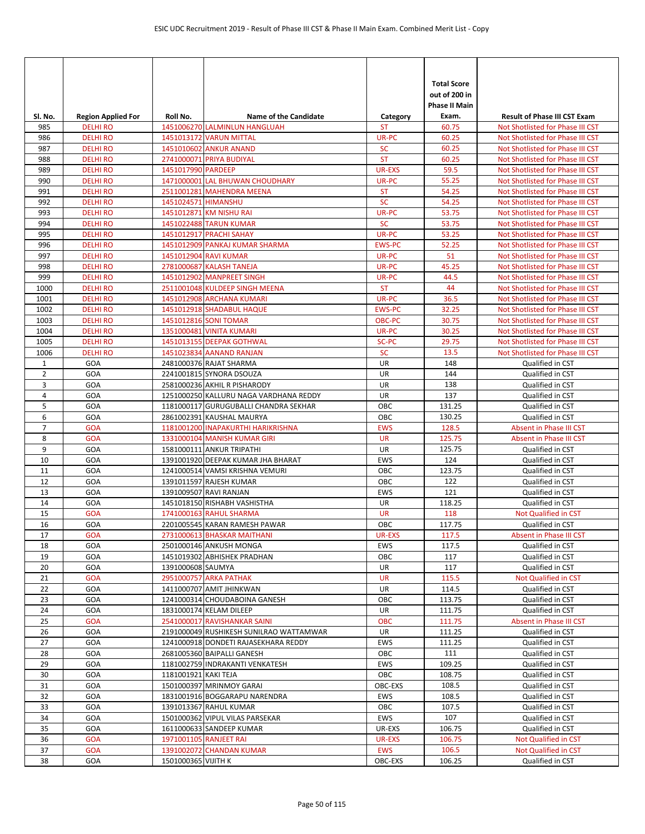|                                |                                              |                      |                                                               |                       | <b>Total Score</b><br>out of 200 in<br><b>Phase II Main</b> |                                                                         |
|--------------------------------|----------------------------------------------|----------------------|---------------------------------------------------------------|-----------------------|-------------------------------------------------------------|-------------------------------------------------------------------------|
| SI. No.<br>985                 | <b>Region Applied For</b><br><b>DELHI RO</b> | Roll No.             | <b>Name of the Candidate</b><br>1451006270 LALMINLUN HANGLUAH | Category<br><b>ST</b> | Exam.<br>60.75                                              | <b>Result of Phase III CST Exam</b><br>Not Shotlisted for Phase III CST |
| 986                            | <b>DELHI RO</b>                              |                      | 1451013172 VARUN MITTAL                                       | UR-PC                 | 60.25                                                       | Not Shotlisted for Phase III CST                                        |
| 987                            | <b>DELHI RO</b>                              |                      | 1451010602 ANKUR ANAND                                        | <b>SC</b>             | 60.25                                                       | Not Shotlisted for Phase III CST                                        |
| 988                            | <b>DELHI RO</b>                              |                      | 2741000071 PRIYA BUDIYAL                                      | <b>ST</b>             | 60.25                                                       | Not Shotlisted for Phase III CST                                        |
| 989                            | <b>DELHI RO</b>                              | 1451017990 PARDEEP   |                                                               | <b>UR-EXS</b>         | 59.5                                                        | Not Shotlisted for Phase III CST                                        |
| 990                            | <b>DELHI RO</b>                              |                      | 1471000001 LAL BHUWAN CHOUDHARY                               | UR-PC                 | 55.25                                                       | Not Shotlisted for Phase III CST                                        |
| 991                            | <b>DELHI RO</b>                              |                      | 2511001281 MAHENDRA MEENA                                     | <b>ST</b>             | 54.25                                                       | Not Shotlisted for Phase III CST                                        |
| 992                            | <b>DELHIRO</b>                               | 1451024571 HIMANSHU  |                                                               | <b>SC</b>             | 54.25                                                       | Not Shotlisted for Phase III CST                                        |
| 993                            | <b>DELHI RO</b>                              |                      | 1451012871 KM NISHU RAI                                       | UR-PC                 | 53.75                                                       | Not Shotlisted for Phase III CST                                        |
| 994                            | <b>DELHIRO</b>                               |                      | 1451022488 TARUN KUMAR                                        | <b>SC</b>             | 53.75                                                       | Not Shotlisted for Phase III CST                                        |
| 995                            | <b>DELHIRO</b>                               |                      | 1451012917 PRACHI SAHAY                                       | UR-PC                 | 53.25                                                       | Not Shotlisted for Phase III CST                                        |
| 996                            | <b>DELHI RO</b>                              |                      | 1451012909 PANKAJ KUMAR SHARMA                                | <b>EWS-PC</b>         | 52.25                                                       | Not Shotlisted for Phase III CST                                        |
| 997                            | <b>DELHI RO</b>                              |                      | 1451012904 RAVI KUMAR                                         | UR-PC                 | 51                                                          | Not Shotlisted for Phase III CST                                        |
| 998                            | <b>DELHI RO</b>                              |                      | 2781000687 KALASH TANEJA                                      | UR-PC                 | 45.25                                                       | Not Shotlisted for Phase III CST                                        |
| 999                            | <b>DELHIRO</b>                               |                      | 1451012902 MANPREET SINGH                                     | UR-PC                 | 44.5                                                        | Not Shotlisted for Phase III CST                                        |
| 1000                           | <b>DELHI RO</b>                              |                      | 2511001048 KULDEEP SINGH MEENA                                | <b>ST</b>             | 44                                                          | Not Shotlisted for Phase III CST                                        |
| 1001                           | <b>DELHI RO</b>                              |                      | 1451012908 ARCHANA KUMARI                                     | UR-PC                 | 36.5                                                        | Not Shotlisted for Phase III CST                                        |
| 1002                           | <b>DELHI RO</b>                              |                      | 1451012918 SHADABUL HAQUE                                     | <b>EWS-PC</b>         | 32.25                                                       | Not Shotlisted for Phase III CST                                        |
| 1003                           | <b>DELHI RO</b>                              |                      | 1451012816 SONI TOMAR                                         | <b>OBC-PC</b>         | 30.75                                                       | Not Shotlisted for Phase III CST                                        |
| 1004                           | <b>DELHI RO</b>                              |                      | 1351000481 VINITA KUMARI                                      | UR-PC                 | 30.25                                                       | Not Shotlisted for Phase III CST                                        |
| 1005                           | <b>DELHI RO</b>                              |                      | 1451013155 DEEPAK GOTHWAL                                     | SC-PC                 | 29.75                                                       | Not Shotlisted for Phase III CST                                        |
| 1006                           | <b>DELHI RO</b>                              |                      | 1451023834 AANAND RANJAN                                      | <b>SC</b><br>UR       | 13.5<br>148                                                 | Not Shotlisted for Phase III CST                                        |
| $\mathbf{1}$<br>$\overline{2}$ | GOA<br>GOA                                   |                      | 2481000376 RAJAT SHARMA<br>2241001815 SYNORA DSOUZA           | UR                    | 144                                                         | Qualified in CST                                                        |
| 3                              | GOA                                          |                      | 2581000236 AKHIL R PISHARODY                                  | UR                    | 138                                                         | Qualified in CST                                                        |
| 4                              | GOA                                          |                      | 1251000250 KALLURU NAGA VARDHANA REDDY                        | UR                    | 137                                                         | Qualified in CST<br>Qualified in CST                                    |
| 5                              | GOA                                          |                      | 1181000117 GURUGUBALLI CHANDRA SEKHAR                         | OBC                   | 131.25                                                      | Qualified in CST                                                        |
| 6                              | GOA                                          |                      | 2861002391 KAUSHAL MAURYA                                     | OBC                   | 130.25                                                      | Qualified in CST                                                        |
| $\overline{7}$                 | <b>GOA</b>                                   |                      | 1181001200 INAPAKURTHI HARIKRISHNA                            | <b>EWS</b>            | 128.5                                                       | Absent in Phase III CST                                                 |
| 8                              | <b>GOA</b>                                   |                      | 1331000104 MANISH KUMAR GIRI                                  | <b>UR</b>             | 125.75                                                      | Absent in Phase III CST                                                 |
| 9                              | GOA                                          |                      | 1581000111 ANKUR TRIPATHI                                     | UR                    | 125.75                                                      | Qualified in CST                                                        |
| 10                             | GOA                                          |                      | 1391001920 DEEPAK KUMAR JHA BHARAT                            | <b>EWS</b>            | 124                                                         | Qualified in CST                                                        |
| 11                             | GOA                                          |                      | 1241000514 VAMSI KRISHNA VEMURI                               | OBC                   | 123.75                                                      | Qualified in CST                                                        |
| 12                             | GOA                                          |                      | 1391011597 RAJESH KUMAR                                       | OBC                   | 122                                                         | Qualified in CST                                                        |
| 13                             | GOA                                          |                      | 1391009507 RAVI RANJAN                                        | <b>EWS</b>            | 121                                                         | Qualified in CST                                                        |
| 14                             | GOA                                          |                      | 1451018150 RISHABH VASHISTHA                                  | UR                    | 118.25                                                      | Qualified in CST                                                        |
| 15                             | <b>GOA</b>                                   |                      | 1741000163 RAHUL SHARMA                                       | <b>UR</b>             | 118                                                         | Not Qualified in CST                                                    |
| 16                             | GOA                                          |                      | 2201005545 KARAN RAMESH PAWAR                                 | OBC                   | 117.75                                                      | Qualified in CST                                                        |
| 17                             | <b>GOA</b>                                   |                      | 2731000613 BHASKAR MAITHANI                                   | UR-EXS                | 117.5                                                       | Absent in Phase III CST                                                 |
| 18                             | GOA                                          |                      | 2501000146 ANKUSH MONGA                                       | EWS                   | 117.5                                                       | Qualified in CST                                                        |
| 19                             | GOA                                          |                      | 1451019302 ABHISHEK PRADHAN                                   | ОВС                   | 117                                                         | Qualified in CST                                                        |
| 20                             | GOA                                          | 1391000608 SAUMYA    |                                                               | UR                    | 117                                                         | Qualified in CST                                                        |
| 21                             | <b>GOA</b>                                   |                      | 2951000757 ARKA PATHAK                                        | <b>UR</b>             | 115.5                                                       | Not Qualified in CST                                                    |
| 22                             | GOA                                          |                      | 1411000707 AMIT JHINKWAN                                      | UR                    | 114.5                                                       | Qualified in CST                                                        |
| 23                             | GOA                                          |                      | 1241000314 CHOUDABOINA GANESH                                 | ОВС                   | 113.75                                                      | Qualified in CST                                                        |
| 24<br>25                       | GOA<br><b>GOA</b>                            |                      | 1831000174 KELAM DILEEP<br>2541000017 RAVISHANKAR SAINI       | UR<br><b>OBC</b>      | 111.75<br>111.75                                            | Qualified in CST<br>Absent in Phase III CST                             |
| 26                             | GOA                                          |                      | 2191000049 RUSHIKESH SUNILRAO WATTAMWAR                       | UR                    | 111.25                                                      | Qualified in CST                                                        |
| 27                             | GOA                                          |                      | 1241000918 DONDETI RAJASEKHARA REDDY                          | <b>EWS</b>            | 111.25                                                      | Qualified in CST                                                        |
| 28                             | GOA                                          |                      | 2681005360 BAIPALLI GANESH                                    | OBC                   | 111                                                         | Qualified in CST                                                        |
| 29                             | GOA                                          |                      | 1181002759 INDRAKANTI VENKATESH                               | EWS                   | 109.25                                                      | Qualified in CST                                                        |
| 30                             | GOA                                          | 1181001921 KAKI TEJA |                                                               | OBC                   | 108.75                                                      | Qualified in CST                                                        |
| 31                             | GOA                                          |                      | 1501000397 MRINMOY GARAI                                      | OBC-EXS               | 108.5                                                       | Qualified in CST                                                        |
| 32                             | GOA                                          |                      | 1831001916 BOGGARAPU NARENDRA                                 | EWS                   | 108.5                                                       | Qualified in CST                                                        |
| 33                             | GOA                                          |                      | 1391013367 RAHUL KUMAR                                        | OBC                   | 107.5                                                       | Qualified in CST                                                        |
| 34                             | GOA                                          |                      | 1501000362 VIPUL VILAS PARSEKAR                               | EWS                   | 107                                                         | Qualified in CST                                                        |
| 35                             | GOA                                          |                      | 1611000633 SANDEEP KUMAR                                      | UR-EXS                | 106.75                                                      | Qualified in CST                                                        |
| 36                             | <b>GOA</b>                                   |                      | 1971001105 RANJEET RAI                                        | <b>UR-EXS</b>         | 106.75                                                      | Not Qualified in CST                                                    |
| 37                             | <b>GOA</b>                                   |                      | 1391002072 CHANDAN KUMAR                                      | <b>EWS</b>            | 106.5                                                       | Not Qualified in CST                                                    |
| 38                             | GOA                                          | 1501000365 VIJITH K  |                                                               | OBC-EXS               | 106.25                                                      | Qualified in CST                                                        |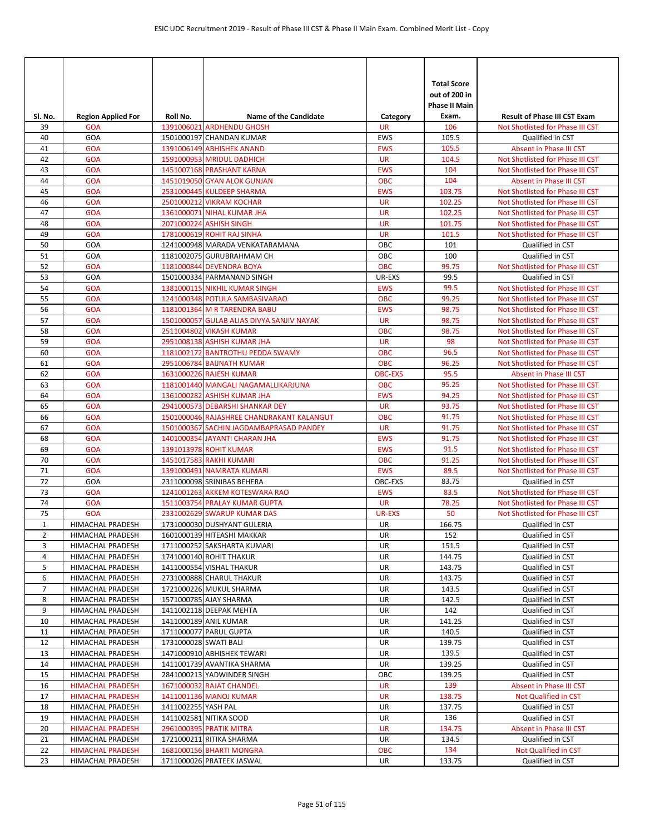| SI. No.        | <b>Region Applied For</b>                   | Roll No.              | <b>Name of the Candidate</b>                                    | Category                | <b>Total Score</b><br>out of 200 in<br><b>Phase II Main</b><br>Exam. | <b>Result of Phase III CST Exam</b>                                  |
|----------------|---------------------------------------------|-----------------------|-----------------------------------------------------------------|-------------------------|----------------------------------------------------------------------|----------------------------------------------------------------------|
| 39             | <b>GOA</b>                                  |                       | 1391006021 ARDHENDU GHOSH                                       | <b>UR</b>               | 106                                                                  | Not Shotlisted for Phase III CST                                     |
| 40             | GOA                                         |                       | 1501000197 CHANDAN KUMAR                                        | <b>EWS</b>              | 105.5                                                                | Qualified in CST                                                     |
| 41             | <b>GOA</b>                                  |                       | 1391006149 ABHISHEK ANAND                                       | <b>EWS</b>              | 105.5                                                                | Absent in Phase III CST                                              |
| 42             | <b>GOA</b>                                  |                       | 1591000953 MRIDUL DADHICH                                       | <b>UR</b>               | 104.5                                                                | Not Shotlisted for Phase III CST                                     |
| 43             | <b>GOA</b>                                  |                       | 1451007168 PRASHANT KARNA                                       | <b>EWS</b>              | 104                                                                  | Not Shotlisted for Phase III CST                                     |
| 44             | <b>GOA</b>                                  |                       | 1451019050 GYAN ALOK GUNJAN                                     | <b>OBC</b>              | 104                                                                  | Absent in Phase III CST                                              |
| 45             | <b>GOA</b>                                  |                       | 2531000445 KULDEEP SHARMA                                       | <b>EWS</b>              | 103.75                                                               | Not Shotlisted for Phase III CST                                     |
| 46             | <b>GOA</b>                                  |                       | 2501000212 VIKRAM KOCHAR                                        | <b>UR</b>               | 102.25                                                               | Not Shotlisted for Phase III CST                                     |
| 47             | <b>GOA</b>                                  |                       | 1361000071 NIHAL KUMAR JHA                                      | <b>UR</b>               | 102.25                                                               | Not Shotlisted for Phase III CST                                     |
| 48             | <b>GOA</b>                                  |                       | 2071000224 ASHISH SINGH                                         | <b>UR</b>               | 101.75                                                               | Not Shotlisted for Phase III CST                                     |
| 49             | <b>GOA</b>                                  |                       | 1781000619 ROHIT RAJ SINHA                                      | <b>UR</b>               | 101.5                                                                | Not Shotlisted for Phase III CST                                     |
| 50             | GOA                                         |                       | 1241000948 MARADA VENKATARAMANA                                 | OBC                     | 101                                                                  | Qualified in CST                                                     |
| 51             | GOA                                         |                       | 1181002075 GURUBRAHMAM CH                                       | OBC                     | 100                                                                  | Qualified in CST                                                     |
| 52<br>53       | <b>GOA</b><br>GOA                           |                       | 1181000844 DEVENDRA BOYA<br>1501000334 PARMANAND SINGH          | <b>OBC</b><br>UR-EXS    | 99.75<br>99.5                                                        | Not Shotlisted for Phase III CST<br>Qualified in CST                 |
| 54             | <b>GOA</b>                                  |                       | 1381000115 NIKHIL KUMAR SINGH                                   | <b>EWS</b>              | 99.5                                                                 | Not Shotlisted for Phase III CST                                     |
| 55             | <b>GOA</b>                                  |                       | 1241000348 POTULA SAMBASIVARAO                                  | <b>OBC</b>              | 99.25                                                                | Not Shotlisted for Phase III CST                                     |
| 56             | <b>GOA</b>                                  |                       | 1181001364 M R TARENDRA BABU                                    | <b>EWS</b>              | 98.75                                                                | Not Shotlisted for Phase III CST                                     |
| 57             | <b>GOA</b>                                  |                       | 1501000057 GULAB ALIAS DIVYA SANJIV NAYAK                       | <b>UR</b>               | 98.75                                                                | Not Shotlisted for Phase III CST                                     |
| 58             | <b>GOA</b>                                  |                       | 2511004802 VIKASH KUMAR                                         | <b>OBC</b>              | 98.75                                                                | Not Shotlisted for Phase III CST                                     |
| 59             | <b>GOA</b>                                  |                       | 2951008138 ASHISH KUMAR JHA                                     | <b>UR</b>               | 98                                                                   | Not Shotlisted for Phase III CST                                     |
| 60             | <b>GOA</b>                                  |                       | 1181002172 BANTROTHU PEDDA SWAMY                                | OBC                     | 96.5                                                                 | Not Shotlisted for Phase III CST                                     |
| 61             | <b>GOA</b>                                  |                       | 2951006784 BAIJNATH KUMAR                                       | <b>OBC</b>              | 96.25                                                                | Not Shotlisted for Phase III CST                                     |
| 62             | <b>GOA</b>                                  |                       | 1631000226 RAJESH KUMAR                                         | <b>OBC-EXS</b>          | 95.5                                                                 | Absent in Phase III CST                                              |
| 63             | <b>GOA</b>                                  |                       | 1181001440 MANGALI NAGAMALLIKARJUNA                             | <b>OBC</b>              | 95.25                                                                | Not Shotlisted for Phase III CST                                     |
| 64             | <b>GOA</b>                                  |                       | 1361000282 ASHISH KUMAR JHA                                     | <b>EWS</b>              | 94.25                                                                | Not Shotlisted for Phase III CST                                     |
| 65             | <b>GOA</b>                                  |                       | 2941000573 DEBARSHI SHANKAR DEY                                 | <b>UR</b>               | 93.75                                                                | Not Shotlisted for Phase III CST                                     |
| 66             | <b>GOA</b>                                  |                       | 1501000046 RAJASHREE CHANDRAKANT KALANGUT                       | <b>OBC</b>              | 91.75                                                                | Not Shotlisted for Phase III CST                                     |
| 67             | <b>GOA</b>                                  |                       | 1501000367 SACHIN JAGDAMBAPRASAD PANDEY                         | <b>UR</b>               | 91.75                                                                | Not Shotlisted for Phase III CST                                     |
| 68             | <b>GOA</b>                                  |                       | 1401000354 JAYANTI CHARAN JHA                                   | <b>EWS</b>              | 91.75                                                                | Not Shotlisted for Phase III CST                                     |
| 69             | <b>GOA</b>                                  |                       | 1391013978 ROHIT KUMAR                                          | <b>EWS</b>              | 91.5                                                                 | Not Shotlisted for Phase III CST                                     |
| 70             | <b>GOA</b>                                  |                       | 1451017583 RAKHI KUMARI                                         | <b>OBC</b>              | 91.25                                                                | Not Shotlisted for Phase III CST                                     |
| 71<br>72       | <b>GOA</b><br>GOA                           |                       | 1391000491 NAMRATA KUMARI                                       | <b>EWS</b>              | 89.5                                                                 | Not Shotlisted for Phase III CST<br>Qualified in CST                 |
| 73             | <b>GOA</b>                                  |                       | 2311000098 SRINIBAS BEHERA                                      | OBC-EXS                 | 83.75<br>83.5                                                        |                                                                      |
| 74             | <b>GOA</b>                                  |                       | 1241001263 AKKEM KOTESWARA RAO<br>1511003754 PRALAY KUMAR GUPTA | <b>EWS</b><br><b>UR</b> | 78.25                                                                | Not Shotlisted for Phase III CST<br>Not Shotlisted for Phase III CST |
| 75             | <b>GOA</b>                                  |                       | 2331002629 SWARUP KUMAR DAS                                     | <b>UR-EXS</b>           | 50                                                                   | Not Shotlisted for Phase III CST                                     |
| $\mathbf{1}$   | <b>HIMACHAL PRADESH</b>                     |                       | 1731000030 DUSHYANT GULERIA                                     | UR                      | 166.75                                                               | Qualified in CST                                                     |
| $\overline{2}$ | HIMACHAL PRADESH                            |                       | 1601000139 HITEASHI MAKKAR                                      | UR                      | 152                                                                  | Qualified in CST                                                     |
| 3              | HIMACHAL PRADESH                            |                       | 1711000252 SAKSHARTA KUMARI                                     | UR                      | 151.5                                                                | Qualified in CST                                                     |
| 4              | HIMACHAL PRADESH                            |                       | 1741000140 ROHIT THAKUR                                         | UR                      | 144.75                                                               | Qualified in CST                                                     |
| 5              | HIMACHAL PRADESH                            |                       | 1411000554 VISHAL THAKUR                                        | UR                      | 143.75                                                               | Qualified in CST                                                     |
| 6              | HIMACHAL PRADESH                            |                       | 2731000888 CHARUL THAKUR                                        | UR                      | 143.75                                                               | Qualified in CST                                                     |
| $\overline{7}$ | HIMACHAL PRADESH                            |                       | 1721000226 MUKUL SHARMA                                         | UR                      | 143.5                                                                | Qualified in CST                                                     |
| 8              | HIMACHAL PRADESH                            |                       | 1571000785 AJAY SHARMA                                          | UR                      | 142.5                                                                | Qualified in CST                                                     |
| 9              | HIMACHAL PRADESH                            |                       | 1411002118 DEEPAK MEHTA                                         | <b>UR</b>               | 142                                                                  | Qualified in CST                                                     |
| 10             | HIMACHAL PRADESH                            |                       | 1411000189 ANIL KUMAR                                           | UR                      | 141.25                                                               | Qualified in CST                                                     |
| 11             | HIMACHAL PRADESH                            |                       | 1711000077 PARUL GUPTA                                          | UR                      | 140.5                                                                | Qualified in CST                                                     |
| 12             | HIMACHAL PRADESH                            | 1731000028 SWATI BALI |                                                                 | UR                      | 139.75                                                               | Qualified in CST                                                     |
| 13             | HIMACHAL PRADESH                            |                       | 1471000910 ABHISHEK TEWARI                                      | UR                      | 139.5                                                                | Qualified in CST                                                     |
| 14<br>15       | HIMACHAL PRADESH                            |                       | 1411001739 AVANTIKA SHARMA<br>2841000213 YADWINDER SINGH        | UR<br>OBC               | 139.25<br>139.25                                                     | Qualified in CST<br>Qualified in CST                                 |
| 16             | HIMACHAL PRADESH<br><b>HIMACHAL PRADESH</b> |                       | 1671000032 RAJAT CHANDEL                                        | UR                      | 139                                                                  | Absent in Phase III CST                                              |
| 17             | <b>HIMACHAL PRADESH</b>                     |                       | 1411001136 MANOJ KUMAR                                          | UR                      | 138.75                                                               | Not Qualified in CST                                                 |
| 18             | HIMACHAL PRADESH                            | 1411002255 YASH PAL   |                                                                 | UR                      | 137.75                                                               | Qualified in CST                                                     |
| 19             | HIMACHAL PRADESH                            |                       | 1411002581 NITIKA SOOD                                          | UR                      | 136                                                                  | Qualified in CST                                                     |
| 20             | <b>HIMACHAL PRADESH</b>                     |                       | 2961000395 PRATIK MITRA                                         | UR                      | 134.75                                                               | Absent in Phase III CST                                              |
| 21             | HIMACHAL PRADESH                            |                       | 1721000211 RITIKA SHARMA                                        | UR                      | 134.5                                                                | Qualified in CST                                                     |
| 22             | <b>HIMACHAL PRADESH</b>                     |                       | 1681000156 BHARTI MONGRA                                        | <b>OBC</b>              | 134                                                                  | Not Qualified in CST                                                 |
| 23             | HIMACHAL PRADESH                            |                       | 1711000026 PRATEEK JASWAL                                       | UR                      | 133.75                                                               | Qualified in CST                                                     |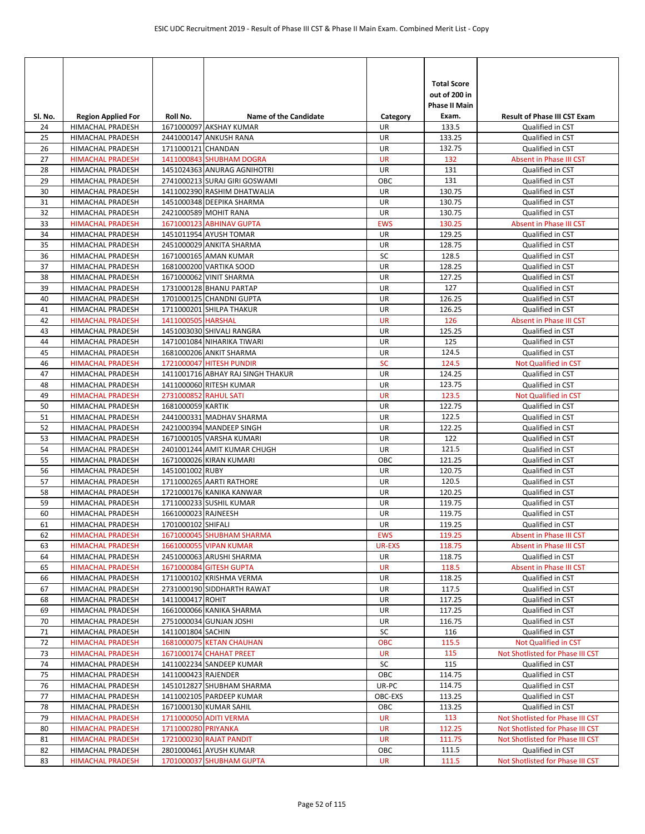| Sl. No.  | <b>Region Applied For</b>            | Roll No.              | <b>Name of the Candidate</b>      | Category      | <b>Total Score</b><br>out of 200 in<br><b>Phase II Main</b><br>Exam. | <b>Result of Phase III CST Exam</b>  |
|----------|--------------------------------------|-----------------------|-----------------------------------|---------------|----------------------------------------------------------------------|--------------------------------------|
| 24       | HIMACHAL PRADESH                     |                       | 1671000097 AKSHAY KUMAR           | UR            | 133.5                                                                | Qualified in CST                     |
| 25       | HIMACHAL PRADESH                     |                       | 2441000147 ANKUSH RANA            | UR            | 133.25                                                               | Qualified in CST                     |
| 26       | HIMACHAL PRADESH                     | 1711000121 CHANDAN    |                                   | <b>UR</b>     | 132.75                                                               | Qualified in CST                     |
| 27       | <b>HIMACHAL PRADESH</b>              |                       | 1411000843 SHUBHAM DOGRA          | <b>UR</b>     | 132                                                                  | Absent in Phase III CST              |
| 28       | HIMACHAL PRADESH                     |                       | 1451024363 ANURAG AGNIHOTRI       | UR            | 131                                                                  | Qualified in CST                     |
| 29       | HIMACHAL PRADESH                     |                       | 2741000213 SURAJ GIRI GOSWAMI     | OBC           | 131                                                                  | Qualified in CST                     |
| 30       | HIMACHAL PRADESH                     |                       | 1411002390 RASHIM DHATWALIA       | UR            | 130.75                                                               | Qualified in CST                     |
| 31       | HIMACHAL PRADESH                     |                       | 1451000348 DEEPIKA SHARMA         | UR            | 130.75                                                               | Qualified in CST                     |
| 32       | HIMACHAL PRADESH                     |                       | 2421000589 MOHIT RANA             | UR            | 130.75                                                               | Qualified in CST                     |
| 33       | <b>HIMACHAL PRADESH</b>              |                       | 1671000123 ABHINAV GUPTA          | <b>EWS</b>    | 130.25                                                               | Absent in Phase III CST              |
| 34       | HIMACHAL PRADESH                     |                       | 1451011954 AYUSH TOMAR            | UR            | 129.25                                                               | Qualified in CST                     |
| 35       | HIMACHAL PRADESH                     |                       | 2451000029 ANKITA SHARMA          | UR            | 128.75                                                               | Qualified in CST                     |
| 36       | <b>HIMACHAL PRADESH</b>              |                       | 1671000165 AMAN KUMAR             | SC            | 128.5                                                                | Qualified in CST                     |
| 37       | HIMACHAL PRADESH                     |                       | 1681000200 VARTIKA SOOD           | UR            | 128.25                                                               | Qualified in CST                     |
| 38       | HIMACHAL PRADESH                     |                       | 1671000062 VINIT SHARMA           | UR            | 127.25                                                               | Qualified in CST                     |
| 39       | <b>HIMACHAL PRADESH</b>              |                       | 1731000128 BHANU PARTAP           | UR            | 127                                                                  | Qualified in CST                     |
| 40       | HIMACHAL PRADESH                     |                       | 1701000125 CHANDNI GUPTA          | UR            | 126.25                                                               | Qualified in CST                     |
| 41       | HIMACHAL PRADESH                     |                       | 1711000201 SHILPA THAKUR          | UR            | 126.25                                                               | Qualified in CST                     |
| 42       | <b>HIMACHAL PRADESH</b>              | 1411000505 HARSHAL    |                                   | <b>UR</b>     | 126                                                                  | Absent in Phase III CST              |
| 43       | HIMACHAL PRADESH                     |                       | 1451003030 SHIVALI RANGRA         | UR            | 125.25                                                               | Qualified in CST                     |
| 44       | HIMACHAL PRADESH                     |                       | 1471001084 NIHARIKA TIWARI        | UR            | 125                                                                  | Qualified in CST                     |
| 45       | HIMACHAL PRADESH                     |                       | 1681000206 ANKIT SHARMA           | UR            | 124.5                                                                | Qualified in CST                     |
| 46       | <b>HIMACHAL PRADESH</b>              |                       | 1721000047 HITESH PUNDIR          | <b>SC</b>     | 124.5                                                                | <b>Not Qualified in CST</b>          |
| 47       | <b>HIMACHAL PRADESH</b>              |                       | 1411001716 ABHAY RAJ SINGH THAKUR | UR            | 124.25                                                               | Qualified in CST                     |
| 48       | <b>HIMACHAL PRADESH</b>              |                       | 1411000060 RITESH KUMAR           | UR            | 123.75                                                               | Qualified in CST                     |
| 49       | <b>HIMACHAL PRADESH</b>              | 2731000852 RAHUL SATI |                                   | <b>UR</b>     | 123.5                                                                | Not Qualified in CST                 |
| 50       | HIMACHAL PRADESH                     | 1681000059 KARTIK     |                                   | UR            | 122.75                                                               | Qualified in CST                     |
| 51       | HIMACHAL PRADESH                     |                       | 2441000331 MADHAV SHARMA          | UR            | 122.5                                                                | Qualified in CST                     |
| 52       | <b>HIMACHAL PRADESH</b>              |                       | 2421000394 MANDEEP SINGH          | UR            | 122.25                                                               | Qualified in CST                     |
| 53       | <b>HIMACHAL PRADESH</b>              |                       | 1671000105 VARSHA KUMARI          | UR            | 122                                                                  | Qualified in CST                     |
| 54       | HIMACHAL PRADESH                     |                       | 2401001244 AMIT KUMAR CHUGH       | UR            | 121.5                                                                | Qualified in CST                     |
| 55       | HIMACHAL PRADESH                     |                       | 1671000026 KIRAN KUMARI           | OBC           | 121.25                                                               | Qualified in CST                     |
| 56       | HIMACHAL PRADESH                     | 1451001002 RUBY       |                                   | <b>UR</b>     | 120.75                                                               | Qualified in CST                     |
| 57       | <b>HIMACHAL PRADESH</b>              |                       | 1711000265 AARTI RATHORE          | UR            | 120.5                                                                | Qualified in CST                     |
| 58       | HIMACHAL PRADESH                     |                       | 1721000176 KANIKA KANWAR          | UR            | 120.25                                                               | Qualified in CST                     |
| 59       | HIMACHAL PRADESH                     |                       | 1711000233 SUSHIL KUMAR           | UR            | 119.75                                                               | Qualified in CST                     |
| 60       | HIMACHAL PRADESH                     | 1661000023 RAJNEESH   |                                   | UR            | 119.75                                                               | Qualified in CST                     |
| 61       | HIMACHAL PRADESH                     | 1701000102 SHIFALI    |                                   | <b>UR</b>     | 119.25                                                               | Qualified in CST                     |
| 62       | <b>HIMACHAL PRADESH</b>              |                       | 1671000045 SHUBHAM SHARMA         | <b>EWS</b>    | 119.25                                                               | Absent in Phase III CST              |
| 63       | <b>HIMACHAL PRADESH</b>              |                       | 1661000055 VIPAN KUMAR            | <b>UR-EXS</b> | 118.75                                                               | Absent in Phase III CST              |
| 64       | HIMACHAL PRADESH                     |                       | 2451000063 ARUSHI SHARMA          | UR            | 118.75                                                               | Qualified in CST                     |
| 65       | <b>HIMACHAL PRADESH</b>              |                       | 1671000084 GITESH GUPTA           | UR            | 118.5                                                                | Absent in Phase III CST              |
| 66       | HIMACHAL PRADESH                     |                       | 1711000102 KRISHMA VERMA          | UR            | 118.25<br>117.5                                                      | Qualified in CST<br>Qualified in CST |
| 67       | HIMACHAL PRADESH                     | 1411000417 ROHIT      | 2731000190 SIDDHARTH RAWAT        | UR            | 117.25                                                               | Qualified in CST                     |
| 68<br>69 | HIMACHAL PRADESH                     |                       | 1661000066 KANIKA SHARMA          | UR<br>UR      | 117.25                                                               | Qualified in CST                     |
| 70       | HIMACHAL PRADESH<br>HIMACHAL PRADESH |                       | 2751000034 GUNJAN JOSHI           | UR            | 116.75                                                               | Qualified in CST                     |
| 71       | HIMACHAL PRADESH                     | 1411001804 SACHIN     |                                   | SC            | 116                                                                  | Qualified in CST                     |
| 72       | <b>HIMACHAL PRADESH</b>              |                       | 1681000075 KETAN CHAUHAN          | <b>OBC</b>    | 115.5                                                                | Not Qualified in CST                 |
| 73       | <b>HIMACHAL PRADESH</b>              |                       | 1671000174 CHAHAT PREET           | UR            | 115                                                                  | Not Shotlisted for Phase III CST     |
| 74       | HIMACHAL PRADESH                     |                       | 1411002234 SANDEEP KUMAR          | SC            | 115                                                                  | Qualified in CST                     |
| 75       | HIMACHAL PRADESH                     | 1411000423 RAJENDER   |                                   | OBC           | 114.75                                                               | Qualified in CST                     |
| 76       | HIMACHAL PRADESH                     |                       | 1451012827 SHUBHAM SHARMA         | UR-PC         | 114.75                                                               | Qualified in CST                     |
| 77       | HIMACHAL PRADESH                     |                       | 1411002105 PARDEEP KUMAR          | OBC-EXS       | 113.25                                                               | Qualified in CST                     |
| 78       | HIMACHAL PRADESH                     |                       | 1671000130 KUMAR SAHIL            | OBC           | 113.25                                                               | Qualified in CST                     |
| 79       | <b>HIMACHAL PRADESH</b>              |                       | 1711000050 ADITI VERMA            | <b>UR</b>     | 113                                                                  | Not Shotlisted for Phase III CST     |
| 80       | <b>HIMACHAL PRADESH</b>              | 1711000280 PRIYANKA   |                                   | <b>UR</b>     | 112.25                                                               | Not Shotlisted for Phase III CST     |
| 81       | <b>HIMACHAL PRADESH</b>              |                       | 1721000230 RAJAT PANDIT           | <b>UR</b>     | 111.75                                                               | Not Shotlisted for Phase III CST     |
| 82       | HIMACHAL PRADESH                     |                       | 2801000461 AYUSH KUMAR            | OBC           | 111.5                                                                | Qualified in CST                     |
| 83       | <b>HIMACHAL PRADESH</b>              |                       | 1701000037 SHUBHAM GUPTA          | UR            | 111.5                                                                | Not Shotlisted for Phase III CST     |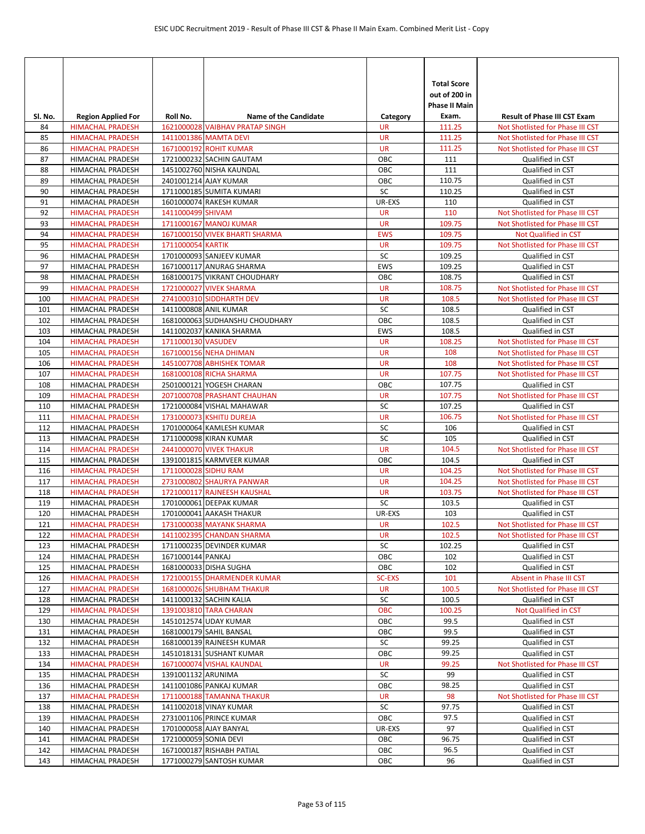| SI. No.    | <b>Region Applied For</b>                          | Roll No.              | <b>Name of the Candidate</b>                         | Category        | <b>Total Score</b><br>out of 200 in<br><b>Phase II Main</b><br>Exam. | <b>Result of Phase III CST Exam</b>                  |
|------------|----------------------------------------------------|-----------------------|------------------------------------------------------|-----------------|----------------------------------------------------------------------|------------------------------------------------------|
| 84         | <b>HIMACHAL PRADESH</b>                            |                       | 1621000028 VAIBHAV PRATAP SINGH                      | <b>UR</b>       | 111.25                                                               | Not Shotlisted for Phase III CST                     |
| 85         | <b>HIMACHAL PRADESH</b>                            |                       | 1411001386 MAMTA DEVI                                | <b>UR</b>       | 111.25                                                               | Not Shotlisted for Phase III CST                     |
| 86         | <b>HIMACHAL PRADESH</b>                            |                       | 1671000192 ROHIT KUMAR                               | <b>UR</b>       | 111.25                                                               | Not Shotlisted for Phase III CST                     |
| 87         | <b>HIMACHAL PRADESH</b>                            |                       | 1721000232 SACHIN GAUTAM                             | OBC             | 111                                                                  | Qualified in CST                                     |
| 88         | <b>HIMACHAL PRADESH</b>                            |                       | 1451002760 NISHA KAUNDAL                             | OBC             | 111                                                                  | Qualified in CST                                     |
| 89         | <b>HIMACHAL PRADESH</b>                            |                       | 2401001214 AJAY KUMAR                                | OBC             | 110.75                                                               | Qualified in CST                                     |
| 90         | <b>HIMACHAL PRADESH</b>                            |                       | 1711000185 SUMITA KUMARI                             | SC              | 110.25                                                               | Qualified in CST                                     |
| 91         | HIMACHAL PRADESH                                   |                       | 1601000074 RAKESH KUMAR                              | UR-EXS          | 110                                                                  | Qualified in CST                                     |
| 92         | <b>HIMACHAL PRADESH</b>                            | 1411000499 SHIVAM     |                                                      | <b>UR</b>       | 110                                                                  | Not Shotlisted for Phase III CST                     |
| 93         | <b>HIMACHAL PRADESH</b>                            |                       | 1711000167 MANOJ KUMAR                               | <b>UR</b>       | 109.75                                                               | Not Shotlisted for Phase III CST                     |
| 94         | <b>HIMACHAL PRADESH</b>                            |                       | 1671000150 VIVEK BHARTI SHARMA                       | <b>EWS</b>      | 109.75                                                               | <b>Not Qualified in CST</b>                          |
| 95<br>96   | <b>HIMACHAL PRADESH</b>                            | 1711000054 KARTIK     | 1701000093 SANJEEV KUMAR                             | <b>UR</b><br>SC | 109.75<br>109.25                                                     | Not Shotlisted for Phase III CST                     |
| 97         | HIMACHAL PRADESH<br>HIMACHAL PRADESH               |                       | 1671000117 ANURAG SHARMA                             | <b>EWS</b>      | 109.25                                                               | Qualified in CST<br>Qualified in CST                 |
| 98         | <b>HIMACHAL PRADESH</b>                            |                       | 1681000175 VIKRANT CHOUDHARY                         | OBC             | 108.75                                                               | Qualified in CST                                     |
| 99         | <b>HIMACHAL PRADESH</b>                            |                       | 1721000027 VIVEK SHARMA                              | <b>UR</b>       | 108.75                                                               | Not Shotlisted for Phase III CST                     |
| 100        | <b>HIMACHAL PRADESH</b>                            |                       | 2741000310 SIDDHARTH DEV                             | <b>UR</b>       | 108.5                                                                | Not Shotlisted for Phase III CST                     |
| 101        | HIMACHAL PRADESH                                   |                       | 1411000808 ANIL KUMAR                                | SC              | 108.5                                                                | Qualified in CST                                     |
| 102        | HIMACHAL PRADESH                                   |                       | 1681000063 SUDHANSHU CHOUDHARY                       | OBC             | 108.5                                                                | Qualified in CST                                     |
| 103        | HIMACHAL PRADESH                                   |                       | 1411002037 KANIKA SHARMA                             | <b>EWS</b>      | 108.5                                                                | Qualified in CST                                     |
| 104        | <b>HIMACHAL PRADESH</b>                            | 1711000130 VASUDEV    |                                                      | <b>UR</b>       | 108.25                                                               | Not Shotlisted for Phase III CST                     |
| 105        | <b>HIMACHAL PRADESH</b>                            |                       | 1671000156 NEHA DHIMAN                               | <b>UR</b>       | 108                                                                  | Not Shotlisted for Phase III CST                     |
| 106        | <b>HIMACHAL PRADESH</b>                            |                       | 1451007708 ABHISHEK TOMAR                            | <b>UR</b>       | 108                                                                  | Not Shotlisted for Phase III CST                     |
| 107        | <b>HIMACHAL PRADESH</b>                            |                       | 1681000108 RICHA SHARMA                              | <b>UR</b>       | 107.75                                                               | Not Shotlisted for Phase III CST                     |
| 108        | HIMACHAL PRADESH                                   |                       | 2501000121 YOGESH CHARAN                             | OBC             | 107.75                                                               | Qualified in CST                                     |
| 109        | <b>HIMACHAL PRADESH</b>                            |                       | 2071000708 PRASHANT CHAUHAN                          | <b>UR</b>       | 107.75                                                               | Not Shotlisted for Phase III CST                     |
| 110        | HIMACHAL PRADESH                                   |                       | 1721000084 VISHAL MAHAWAR                            | SC              | 107.25                                                               | Qualified in CST                                     |
| 111        | <b>HIMACHAL PRADESH</b>                            |                       | 1731000073 KSHITIJ DUREJA                            | <b>UR</b>       | 106.75                                                               | Not Shotlisted for Phase III CST                     |
| 112        | <b>HIMACHAL PRADESH</b>                            |                       | 1701000064 KAMLESH KUMAR                             | SC              | 106                                                                  | Qualified in CST                                     |
| 113        | HIMACHAL PRADESH                                   |                       | 1711000098 KIRAN KUMAR                               | SC              | 105                                                                  | Qualified in CST                                     |
| 114        | <b>HIMACHAL PRADESH</b>                            |                       | <b>2441000070 VIVEK THAKUR</b>                       | <b>UR</b>       | 104.5                                                                | Not Shotlisted for Phase III CST                     |
| 115        | HIMACHAL PRADESH                                   |                       | 1391001815 KARMVEER KUMAR                            | OBC             | 104.5                                                                | Qualified in CST                                     |
| 116        | <b>HIMACHAL PRADESH</b>                            | 1711000028 SIDHU RAM  |                                                      | <b>UR</b>       | 104.25                                                               | Not Shotlisted for Phase III CST                     |
| 117        | <b>HIMACHAL PRADESH</b>                            |                       | 2731000802 SHAURYA PANWAR                            | <b>UR</b>       | 104.25                                                               | Not Shotlisted for Phase III CST                     |
| 118        | <b>HIMACHAL PRADESH</b>                            |                       | 1721000117 RAJNEESH KAUSHAL                          | <b>UR</b><br>SC | 103.75                                                               | Not Shotlisted for Phase III CST                     |
| 119        | <b>HIMACHAL PRADESH</b><br><b>HIMACHAL PRADESH</b> |                       | 1701000061 DEEPAK KUMAR                              | UR-EXS          | 103.5                                                                | Qualified in CST                                     |
| 120<br>121 | <b>HIMACHAL PRADESH</b>                            |                       | 1701000041 AAKASH THAKUR<br>1731000038 MAYANK SHARMA | <b>UR</b>       | 103<br>102.5                                                         | Qualified in CST<br>Not Shotlisted for Phase III CST |
| 122        | <b>HIMACHAL PRADESH</b>                            |                       | 1411002395 CHANDAN SHARMA                            | <b>UR</b>       | 102.5                                                                | Not Shotlisted for Phase III CST                     |
| 123        | HIMACHAL PRADESH                                   |                       | 1711000235 DEVINDER KUMAR                            | SC              | 102.25                                                               | Qualified in CST                                     |
| 124        | HIMACHAL PRADESH                                   | 1671000144 PANKAJ     |                                                      | ОВС             | 102                                                                  | Qualified in CST                                     |
| 125        | HIMACHAL PRADESH                                   |                       | 1681000033 DISHA SUGHA                               | OBC             | 102                                                                  | Qualified in CST                                     |
| 126        | <b>HIMACHAL PRADESH</b>                            |                       | 1721000155 DHARMENDER KUMAR                          | <b>SC-EXS</b>   | 101                                                                  | Absent in Phase III CST                              |
| 127        | <b>HIMACHAL PRADESH</b>                            |                       | 1681000026 SHUBHAM THAKUR                            | UR              | 100.5                                                                | Not Shotlisted for Phase III CST                     |
| 128        | HIMACHAL PRADESH                                   |                       | 1411000132 SACHIN KALIA                              | SC              | 100.5                                                                | Qualified in CST                                     |
| 129        | <b>HIMACHAL PRADESH</b>                            |                       | 1391003810 TARA CHARAN                               | OBC             | 100.25                                                               | Not Qualified in CST                                 |
| 130        | HIMACHAL PRADESH                                   |                       | 1451012574 UDAY KUMAR                                | OBC             | 99.5                                                                 | Qualified in CST                                     |
| 131        | HIMACHAL PRADESH                                   |                       | 1681000179 SAHIL BANSAL                              | OBC             | 99.5                                                                 | Qualified in CST                                     |
| 132        | HIMACHAL PRADESH                                   |                       | 1681000139 RAJNEESH KUMAR                            | SC              | 99.25                                                                | Qualified in CST                                     |
| 133        | HIMACHAL PRADESH                                   |                       | 1451018131 SUSHANT KUMAR                             | OBC             | 99.25                                                                | Qualified in CST                                     |
| 134        | <b>HIMACHAL PRADESH</b>                            |                       | 1671000074 VISHAL KAUNDAL                            | UR              | 99.25                                                                | Not Shotlisted for Phase III CST                     |
| 135        | HIMACHAL PRADESH                                   | 1391001132 ARUNIMA    |                                                      | SC              | 99                                                                   | Qualified in CST                                     |
| 136        | HIMACHAL PRADESH                                   |                       | 1411001086 PANKAJ KUMAR                              | OBC             | 98.25                                                                | Qualified in CST                                     |
| 137        | <b>HIMACHAL PRADESH</b>                            |                       | 1711000188 TAMANNA THAKUR                            | UR              | 98                                                                   | Not Shotlisted for Phase III CST                     |
| 138        | HIMACHAL PRADESH                                   |                       | 1411002018 VINAY KUMAR                               | SC              | 97.75                                                                | Qualified in CST                                     |
| 139        | HIMACHAL PRADESH                                   |                       | 2731001106 PRINCE KUMAR                              | OBC             | 97.5                                                                 | Qualified in CST                                     |
| 140        | HIMACHAL PRADESH                                   |                       | 1701000058 AJAY BANYAL                               | UR-EXS          | 97                                                                   | Qualified in CST                                     |
| 141        | HIMACHAL PRADESH                                   | 1721000059 SONIA DEVI |                                                      | OBC             | 96.75                                                                | Qualified in CST                                     |
| 142        | HIMACHAL PRADESH                                   |                       | 1671000187 RISHABH PATIAL                            | OBC             | 96.5                                                                 | Qualified in CST                                     |
| 143        | HIMACHAL PRADESH                                   |                       | 1771000279 SANTOSH KUMAR                             | OBC             | 96                                                                   | Qualified in CST                                     |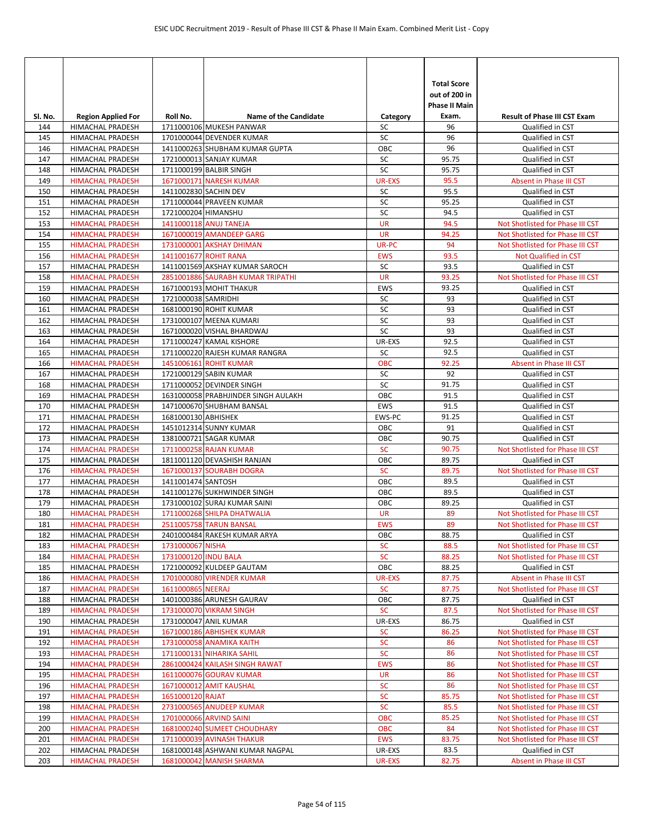| SI. No.    | <b>Region Applied For</b>                   | Roll No.              | <b>Name of the Candidate</b>                           | Category      | <b>Total Score</b><br>out of 200 in<br><b>Phase II Main</b><br>Exam. | <b>Result of Phase III CST Exam</b>         |
|------------|---------------------------------------------|-----------------------|--------------------------------------------------------|---------------|----------------------------------------------------------------------|---------------------------------------------|
| 144        | <b>HIMACHAL PRADESH</b>                     |                       | 1711000106 MUKESH PANWAR                               | SC            | 96                                                                   | Qualified in CST                            |
| 145        | <b>HIMACHAL PRADESH</b>                     |                       | 1701000044 DEVENDER KUMAR                              | SC            | 96                                                                   | Qualified in CST                            |
| 146        | HIMACHAL PRADESH                            |                       | 1411000263 SHUBHAM KUMAR GUPTA                         | OBC           | 96                                                                   | Qualified in CST                            |
| 147        | HIMACHAL PRADESH                            |                       | 1721000013 SANJAY KUMAR                                | SC            | 95.75                                                                | Qualified in CST                            |
| 148        | HIMACHAL PRADESH                            |                       | 1711000199 BALBIR SINGH                                | SC            | 95.75                                                                | Qualified in CST                            |
| 149        | <b>HIMACHAL PRADESH</b>                     |                       | 1671000171 NARESH KUMAR                                | <b>UR-EXS</b> | 95.5                                                                 | Absent in Phase III CST                     |
| 150        | <b>HIMACHAL PRADESH</b>                     | 1411002830 SACHIN DEV |                                                        | SC            | 95.5                                                                 | Qualified in CST                            |
| 151        | HIMACHAL PRADESH                            |                       | 1711000044 PRAVEEN KUMAR                               | SC            | 95.25                                                                | Qualified in CST                            |
| 152        | <b>HIMACHAL PRADESH</b>                     | 1721000204 HIMANSHU   |                                                        | SC            | 94.5                                                                 | Qualified in CST                            |
| 153        | <b>HIMACHAL PRADESH</b>                     |                       | 1411000118 ANUJ TANEJA                                 | <b>UR</b>     | 94.5                                                                 | Not Shotlisted for Phase III CST            |
| 154        | <b>HIMACHAL PRADESH</b>                     |                       | 1671000019 AMANDEEP GARG                               | <b>UR</b>     | 94.25                                                                | Not Shotlisted for Phase III CST            |
| 155        | <b>HIMACHAL PRADESH</b>                     |                       | 1731000001 AKSHAY DHIMAN                               | UR-PC         | 94                                                                   | Not Shotlisted for Phase III CST            |
| 156        | <b>HIMACHAL PRADESH</b>                     |                       | 1411001677 ROHIT RANA                                  | <b>EWS</b>    | 93.5                                                                 | Not Qualified in CST                        |
| 157        | HIMACHAL PRADESH                            |                       | 1411001569 AKSHAY KUMAR SAROCH                         | SC            | 93.5                                                                 | Qualified in CST                            |
| 158        | <b>HIMACHAL PRADESH</b>                     |                       | 2851001886 SAURABH KUMAR TRIPATHI                      | <b>UR</b>     | 93.25                                                                | Not Shotlisted for Phase III CST            |
| 159        | <b>HIMACHAL PRADESH</b>                     |                       | 1671000193 MOHIT THAKUR                                | EWS           | 93.25                                                                | Qualified in CST                            |
| 160        | <b>HIMACHAL PRADESH</b>                     | 1721000038 SAMRIDHI   |                                                        | SC<br>SC      | 93                                                                   | Qualified in CST                            |
| 161<br>162 | HIMACHAL PRADESH<br>HIMACHAL PRADESH        |                       | 1681000190 ROHIT KUMAR<br>1731000107 MEENA KUMARI      | SC            | 93<br>93                                                             | Qualified in CST<br>Qualified in CST        |
| 163        | HIMACHAL PRADESH                            |                       | 1671000020 VISHAL BHARDWAJ                             | SC            | 93                                                                   | Qualified in CST                            |
| 164        | HIMACHAL PRADESH                            |                       | 1711000247 KAMAL KISHORE                               | UR-EXS        | 92.5                                                                 | Qualified in CST                            |
| 165        | HIMACHAL PRADESH                            |                       | 1711000220 RAJESH KUMAR RANGRA                         | <b>SC</b>     | 92.5                                                                 | Qualified in CST                            |
| 166        | <b>HIMACHAL PRADESH</b>                     |                       | 1451006161 ROHIT KUMAR                                 | OBC           | 92.25                                                                | Absent in Phase III CST                     |
| 167        | HIMACHAL PRADESH                            |                       | 1721000129 SABIN KUMAR                                 | SC            | 92                                                                   | Qualified in CST                            |
| 168        | HIMACHAL PRADESH                            |                       | 1711000052 DEVINDER SINGH                              | SC            | 91.75                                                                | Qualified in CST                            |
| 169        | HIMACHAL PRADESH                            |                       | 1631000058 PRABHJINDER SINGH AULAKH                    | OBC           | 91.5                                                                 | Qualified in CST                            |
| 170        | HIMACHAL PRADESH                            |                       | 1471000670 SHUBHAM BANSAL                              | EWS           | 91.5                                                                 | Qualified in CST                            |
| 171        | HIMACHAL PRADESH                            | 1681000130 ABHISHEK   |                                                        | EWS-PC        | 91.25                                                                | Qualified in CST                            |
| 172        | <b>HIMACHAL PRADESH</b>                     |                       | 1451012314 SUNNY KUMAR                                 | OBC           | 91                                                                   | Qualified in CST                            |
| 173        | HIMACHAL PRADESH                            |                       | 1381000721 SAGAR KUMAR                                 | OBC           | 90.75                                                                | Qualified in CST                            |
| 174        | <b>HIMACHAL PRADESH</b>                     |                       | 1711000258 RAJAN KUMAR                                 | SC            | 90.75                                                                | Not Shotlisted for Phase III CST            |
| 175        | HIMACHAL PRADESH                            |                       | 1811001120 DEVASHISH RANJAN                            | OBC           | 89.75                                                                | Qualified in CST                            |
| 176        | <b>HIMACHAL PRADESH</b>                     |                       | 1671000137 SOURABH DOGRA                               | <b>SC</b>     | 89.75                                                                | Not Shotlisted for Phase III CST            |
| 177        | HIMACHAL PRADESH                            | 1411001474 SANTOSH    |                                                        | OBC           | 89.5                                                                 | Qualified in CST                            |
| 178        | HIMACHAL PRADESH                            |                       | 1411001276 SUKHWINDER SINGH                            | OBC           | 89.5                                                                 | Qualified in CST                            |
| 179        | <b>HIMACHAL PRADESH</b>                     |                       | 1731000102 SURAJ KUMAR SAINI                           | OBC           | 89.25                                                                | Qualified in CST                            |
| 180        | <b>HIMACHAL PRADESH</b>                     |                       | 1711000268 SHILPA DHATWALIA                            | <b>UR</b>     | 89                                                                   | Not Shotlisted for Phase III CST            |
| 181        | <b>HIMACHAL PRADESH</b>                     |                       | 2511005758 TARUN BANSAL                                | <b>EWS</b>    | 89                                                                   | Not Shotlisted for Phase III CST            |
| 182        | HIMACHAL PRADESH                            |                       | 2401000484 RAKESH KUMAR ARYA                           | OBC           | 88.75                                                                | Qualified in CST                            |
| 183        | <b>HIMACHAL PRADESH</b>                     | 1731000067 NISHA      |                                                        | <b>SC</b>     | 88.5                                                                 | Not Shotlisted for Phase III CST            |
| 184        | <b>HIMACHAL PRADESH</b>                     | 1731000120 INDU BALA  |                                                        | <b>SC</b>     | 88.25                                                                | Not Shotlisted for Phase III CST            |
| 185<br>186 | HIMACHAL PRADESH<br><b>HIMACHAL PRADESH</b> |                       | 1721000092 KULDEEP GAUTAM<br>1701000080 VIRENDER KUMAR | OBC<br>UR-EXS | 88.25<br>87.75                                                       | Qualified in CST<br>Absent in Phase III CST |
| 187        | <b>HIMACHAL PRADESH</b>                     | 1611000865 NEERAJ     |                                                        | <b>SC</b>     | 87.75                                                                | Not Shotlisted for Phase III CST            |
| 188        | HIMACHAL PRADESH                            |                       | 1401000386 ARUNESH GAURAV                              | OBC           | 87.75                                                                | Qualified in CST                            |
| 189        | <b>HIMACHAL PRADESH</b>                     |                       | 1731000070 VIKRAM SINGH                                | <b>SC</b>     | 87.5                                                                 | Not Shotlisted for Phase III CST            |
| 190        | HIMACHAL PRADESH                            |                       | 1731000047 ANIL KUMAR                                  | UR-EXS        | 86.75                                                                | Qualified in CST                            |
| 191        | <b>HIMACHAL PRADESH</b>                     |                       | 1671000186 ABHISHEK KUMAR                              | <b>SC</b>     | 86.25                                                                | Not Shotlisted for Phase III CST            |
| 192        | <b>HIMACHAL PRADESH</b>                     |                       | 1731000058 ANAMIKA KAITH                               | <b>SC</b>     | 86                                                                   | Not Shotlisted for Phase III CST            |
| 193        | <b>HIMACHAL PRADESH</b>                     |                       | 1711000131 NIHARIKA SAHIL                              | <b>SC</b>     | 86                                                                   | Not Shotlisted for Phase III CST            |
| 194        | <b>HIMACHAL PRADESH</b>                     |                       | 2861000424 KAILASH SINGH RAWAT                         | <b>EWS</b>    | 86                                                                   | Not Shotlisted for Phase III CST            |
| 195        | <b>HIMACHAL PRADESH</b>                     |                       | 1611000076 GOURAV KUMAR                                | UR            | 86                                                                   | Not Shotlisted for Phase III CST            |
| 196        | <b>HIMACHAL PRADESH</b>                     |                       | 1671000012 AMIT KAUSHAL                                | <b>SC</b>     | 86                                                                   | Not Shotlisted for Phase III CST            |
| 197        | <b>HIMACHAL PRADESH</b>                     | 1651000120 RAJAT      |                                                        | <b>SC</b>     | 85.75                                                                | Not Shotlisted for Phase III CST            |
| 198        | <b>HIMACHAL PRADESH</b>                     |                       | 2731000565 ANUDEEP KUMAR                               | <b>SC</b>     | 85.5                                                                 | Not Shotlisted for Phase III CST            |
| 199        | <b>HIMACHAL PRADESH</b>                     |                       | 1701000066 ARVIND SAINI                                | <b>OBC</b>    | 85.25                                                                | Not Shotlisted for Phase III CST            |
| 200        | <b>HIMACHAL PRADESH</b>                     |                       | 1681000240 SUMEET CHOUDHARY                            | <b>OBC</b>    | 84                                                                   | Not Shotlisted for Phase III CST            |
| 201        | <b>HIMACHAL PRADESH</b>                     |                       | 1711000039 AVINASH THAKUR                              | <b>EWS</b>    | 83.75                                                                | Not Shotlisted for Phase III CST            |
| 202        | HIMACHAL PRADESH                            |                       | 1681000148 ASHWANI KUMAR NAGPAL                        | UR-EXS        | 83.5                                                                 | Qualified in CST                            |
| 203        | <b>HIMACHAL PRADESH</b>                     |                       | 1681000042 MANISH SHARMA                               | UR-EXS        | 82.75                                                                | Absent in Phase III CST                     |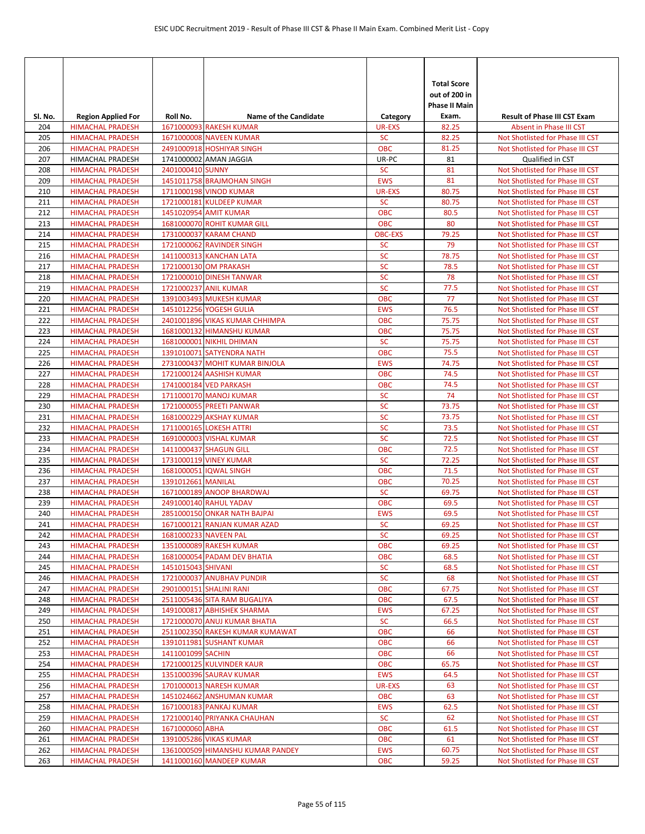| Sl. No.    | <b>Region Applied For</b>                          | Roll No.           | <b>Name of the Candidate</b>                               | Category                 | <b>Total Score</b><br>out of 200 in<br><b>Phase II Main</b><br>Exam. | <b>Result of Phase III CST Exam</b>                                  |
|------------|----------------------------------------------------|--------------------|------------------------------------------------------------|--------------------------|----------------------------------------------------------------------|----------------------------------------------------------------------|
| 204        | <b>HIMACHAL PRADESH</b>                            |                    | 1671000093 RAKESH KUMAR                                    | <b>UR-EXS</b>            | 82.25                                                                | Absent in Phase III CST                                              |
| 205        | <b>HIMACHAL PRADESH</b>                            |                    | 1671000008 NAVEEN KUMAR                                    | <b>SC</b>                | 82.25                                                                | Not Shotlisted for Phase III CST                                     |
| 206        | <b>HIMACHAL PRADESH</b>                            |                    | 2491000918 HOSHIYAR SINGH                                  | OBC                      | 81.25                                                                | Not Shotlisted for Phase III CST                                     |
| 207        | HIMACHAL PRADESH                                   |                    | 1741000002 AMAN JAGGIA                                     | UR-PC                    | 81                                                                   | Qualified in CST                                                     |
| 208        | <b>HIMACHAL PRADESH</b>                            | 2401000410 SUNNY   |                                                            | <b>SC</b>                | 81                                                                   | Not Shotlisted for Phase III CST                                     |
| 209        | <b>HIMACHAL PRADESH</b>                            |                    | 1451011758 BRAJMOHAN SINGH                                 | <b>EWS</b>               | 81                                                                   | Not Shotlisted for Phase III CST                                     |
| 210        | <b>HIMACHAL PRADESH</b>                            |                    | 1711000198 VINOD KUMAR                                     | UR-EXS                   | 80.75                                                                | Not Shotlisted for Phase III CST                                     |
| 211        | <b>HIMACHAL PRADESH</b>                            |                    | 1721000181 KULDEEP KUMAR                                   | <b>SC</b>                | 80.75                                                                | Not Shotlisted for Phase III CST                                     |
| 212<br>213 | <b>HIMACHAL PRADESH</b><br><b>HIMACHAL PRADESH</b> |                    | 1451020954 AMIT KUMAR<br>1681000070 ROHIT KUMAR GILL       | <b>OBC</b><br><b>OBC</b> | 80.5<br>80                                                           | Not Shotlisted for Phase III CST<br>Not Shotlisted for Phase III CST |
| 214        | <b>HIMACHAL PRADESH</b>                            |                    | 1731000037 KARAM CHAND                                     | <b>OBC-EXS</b>           | 79.25                                                                | Not Shotlisted for Phase III CST                                     |
| 215        | <b>HIMACHAL PRADESH</b>                            |                    | 1721000062 RAVINDER SINGH                                  | <b>SC</b>                | 79                                                                   | Not Shotlisted for Phase III CST                                     |
| 216        | <b>HIMACHAL PRADESH</b>                            |                    | 1411000313 KANCHAN LATA                                    | SC                       | 78.75                                                                | Not Shotlisted for Phase III CST                                     |
| 217        | <b>HIMACHAL PRADESH</b>                            |                    | 1721000130 OM PRAKASH                                      | SC                       | 78.5                                                                 | Not Shotlisted for Phase III CST                                     |
| 218        | <b>HIMACHAL PRADESH</b>                            |                    | 1721000010 DINESH TANWAR                                   | SC                       | 78                                                                   | Not Shotlisted for Phase III CST                                     |
| 219        | <b>HIMACHAL PRADESH</b>                            |                    | 1721000237 ANIL KUMAR                                      | <b>SC</b>                | 77.5                                                                 | Not Shotlisted for Phase III CST                                     |
| 220        | <b>HIMACHAL PRADESH</b>                            |                    | 1391003493 MUKESH KUMAR                                    | OBC                      | 77                                                                   | Not Shotlisted for Phase III CST                                     |
| 221        | <b>HIMACHAL PRADESH</b>                            |                    | 1451012256 YOGESH GULIA                                    | <b>EWS</b>               | 76.5                                                                 | Not Shotlisted for Phase III CST                                     |
| 222        | <b>HIMACHAL PRADESH</b>                            |                    | 2401001896 VIKAS KUMAR CHHIMPA                             | <b>OBC</b>               | 75.75                                                                | Not Shotlisted for Phase III CST                                     |
| 223        | <b>HIMACHAL PRADESH</b>                            |                    | 1681000132 HIMANSHU KUMAR                                  | <b>OBC</b>               | 75.75                                                                | Not Shotlisted for Phase III CST                                     |
| 224        | <b>HIMACHAL PRADESH</b>                            |                    | 1681000001 NIKHIL DHIMAN                                   | <b>SC</b>                | 75.75                                                                | Not Shotlisted for Phase III CST                                     |
| 225        | <b>HIMACHAL PRADESH</b>                            |                    | 1391010071 SATYENDRA NATH                                  | <b>OBC</b>               | 75.5                                                                 | Not Shotlisted for Phase III CST                                     |
| 226        | <b>HIMACHAL PRADESH</b>                            |                    | 2731000437 MOHIT KUMAR BINJOLA                             | <b>EWS</b>               | 74.75                                                                | Not Shotlisted for Phase III CST                                     |
| 227        | <b>HIMACHAL PRADESH</b>                            |                    | 1721000124 AASHISH KUMAR                                   | <b>OBC</b>               | 74.5                                                                 | Not Shotlisted for Phase III CST                                     |
| 228        | <b>HIMACHAL PRADESH</b>                            |                    | 1741000184 VED PARKASH                                     | <b>OBC</b>               | 74.5                                                                 | Not Shotlisted for Phase III CST                                     |
| 229        | <b>HIMACHAL PRADESH</b>                            |                    | 1711000170 MANOJ KUMAR                                     | <b>SC</b>                | 74                                                                   | Not Shotlisted for Phase III CST                                     |
| 230        | <b>HIMACHAL PRADESH</b>                            |                    | 1721000055 PREETI PANWAR                                   | SC                       | 73.75                                                                | Not Shotlisted for Phase III CST                                     |
| 231<br>232 | <b>HIMACHAL PRADESH</b><br><b>HIMACHAL PRADESH</b> |                    | 1681000229 AKSHAY KUMAR<br>1711000165 LOKESH ATTRI         | SC<br>SC                 | 73.75<br>73.5                                                        | Not Shotlisted for Phase III CST<br>Not Shotlisted for Phase III CST |
| 233        | <b>HIMACHAL PRADESH</b>                            |                    | 1691000003 VISHAL KUMAR                                    | <b>SC</b>                | 72.5                                                                 | Not Shotlisted for Phase III CST                                     |
| 234        | <b>HIMACHAL PRADESH</b>                            |                    | 1411000437 SHAGUN GILL                                     | <b>OBC</b>               | 72.5                                                                 | Not Shotlisted for Phase III CST                                     |
| 235        | <b>HIMACHAL PRADESH</b>                            |                    | 1731000119 VINEY KUMAR                                     | <b>SC</b>                | 72.25                                                                | Not Shotlisted for Phase III CST                                     |
| 236        | <b>HIMACHAL PRADESH</b>                            |                    | 1681000051 IQWAL SINGH                                     | <b>OBC</b>               | 71.5                                                                 | Not Shotlisted for Phase III CST                                     |
| 237        | <b>HIMACHAL PRADESH</b>                            | 1391012661 MANILAL |                                                            | <b>OBC</b>               | 70.25                                                                | Not Shotlisted for Phase III CST                                     |
| 238        | <b>HIMACHAL PRADESH</b>                            |                    | 1671000189 ANOOP BHARDWAJ                                  | <b>SC</b>                | 69.75                                                                | Not Shotlisted for Phase III CST                                     |
| 239        | <b>HIMACHAL PRADESH</b>                            |                    | 2491000140 RAHUL YADAV                                     | <b>OBC</b>               | 69.5                                                                 | Not Shotlisted for Phase III CST                                     |
| 240        | <b>HIMACHAL PRADESH</b>                            |                    | 2851000150 ONKAR NATH BAJPAI                               | <b>EWS</b>               | 69.5                                                                 | Not Shotlisted for Phase III CST                                     |
| 241        | <b>HIMACHAL PRADESH</b>                            |                    | 1671000121 RANJAN KUMAR AZAD                               | <b>SC</b>                | 69.25                                                                | Not Shotlisted for Phase III CST                                     |
| 242        | <b>HIMACHAL PRADESH</b>                            |                    | 1681000233 NAVEEN PAL                                      | <b>SC</b>                | 69.25                                                                | Not Shotlisted for Phase III CST                                     |
| 243        | <b>HIMACHAL PRADESH</b>                            |                    | 1351000089 RAKESH KUMAR                                    | <b>OBC</b>               | 69.25                                                                | Not Shotlisted for Phase III CST                                     |
| 244        | <b>HIMACHAL PRADESH</b>                            |                    | 1681000054 PADAM DEV BHATIA                                | <b>OBC</b>               | 68.5                                                                 | Not Shotlisted for Phase III CST                                     |
| 245        | <b>HIMACHAL PRADESH</b>                            | 1451015043 SHIVANI |                                                            | <b>SC</b>                | 68.5                                                                 | Not Shotlisted for Phase III CST                                     |
| 246        | <b>HIMACHAL PRADESH</b>                            |                    | 1721000037 ANUBHAV PUNDIR                                  | <b>SC</b>                | 68                                                                   | Not Shotlisted for Phase III CST                                     |
| 247        | <b>HIMACHAL PRADESH</b>                            |                    | 2901000151 SHALINI RANI                                    | ОВС                      | 67.75<br>67.5                                                        | Not Shotlisted for Phase III CST                                     |
| 248<br>249 | <b>HIMACHAL PRADESH</b><br><b>HIMACHAL PRADESH</b> |                    | 2511005436 SITA RAM BUGALIYA<br>1491000817 ABHISHEK SHARMA | <b>OBC</b><br><b>EWS</b> | 67.25                                                                | Not Shotlisted for Phase III CST<br>Not Shotlisted for Phase III CST |
| 250        | <b>HIMACHAL PRADESH</b>                            |                    | 1721000070 ANUJ KUMAR BHATIA                               | <b>SC</b>                | 66.5                                                                 | Not Shotlisted for Phase III CST                                     |
| 251        | <b>HIMACHAL PRADESH</b>                            |                    | 2511002350 RAKESH KUMAR KUMAWAT                            | <b>OBC</b>               | 66                                                                   | Not Shotlisted for Phase III CST                                     |
| 252        | <b>HIMACHAL PRADESH</b>                            |                    | 1391011981 SUSHANT KUMAR                                   | <b>OBC</b>               | 66                                                                   | Not Shotlisted for Phase III CST                                     |
| 253        | <b>HIMACHAL PRADESH</b>                            | 1411001099 SACHIN  |                                                            | <b>OBC</b>               | 66                                                                   | Not Shotlisted for Phase III CST                                     |
| 254        | <b>HIMACHAL PRADESH</b>                            |                    | 1721000125 KULVINDER KAUR                                  | <b>OBC</b>               | 65.75                                                                | Not Shotlisted for Phase III CST                                     |
| 255        | <b>HIMACHAL PRADESH</b>                            |                    | 1351000396 SAURAV KUMAR                                    | <b>EWS</b>               | 64.5                                                                 | Not Shotlisted for Phase III CST                                     |
| 256        | <b>HIMACHAL PRADESH</b>                            |                    | 1701000013 NARESH KUMAR                                    | UR-EXS                   | 63                                                                   | Not Shotlisted for Phase III CST                                     |
| 257        | <b>HIMACHAL PRADESH</b>                            |                    | 1451024662 ANSHUMAN KUMAR                                  | <b>OBC</b>               | 63                                                                   | Not Shotlisted for Phase III CST                                     |
| 258        | <b>HIMACHAL PRADESH</b>                            |                    | 1671000183 PANKAJ KUMAR                                    | <b>EWS</b>               | 62.5                                                                 | Not Shotlisted for Phase III CST                                     |
| 259        | <b>HIMACHAL PRADESH</b>                            |                    | 1721000140 PRIYANKA CHAUHAN                                | <b>SC</b>                | 62                                                                   | Not Shotlisted for Phase III CST                                     |
| 260        | <b>HIMACHAL PRADESH</b>                            | 1671000060 ABHA    |                                                            | <b>OBC</b>               | 61.5                                                                 | Not Shotlisted for Phase III CST                                     |
| 261        | <b>HIMACHAL PRADESH</b>                            |                    | 1391005286 VIKAS KUMAR                                     | <b>OBC</b>               | 61                                                                   | Not Shotlisted for Phase III CST                                     |
| 262        | <b>HIMACHAL PRADESH</b>                            |                    | 1361000509 HIMANSHU KUMAR PANDEY                           | <b>EWS</b>               | 60.75<br>59.25                                                       | Not Shotlisted for Phase III CST                                     |
| 263        | <b>HIMACHAL PRADESH</b>                            |                    | 1411000160 MANDEEP KUMAR                                   | <b>OBC</b>               |                                                                      | Not Shotlisted for Phase III CST                                     |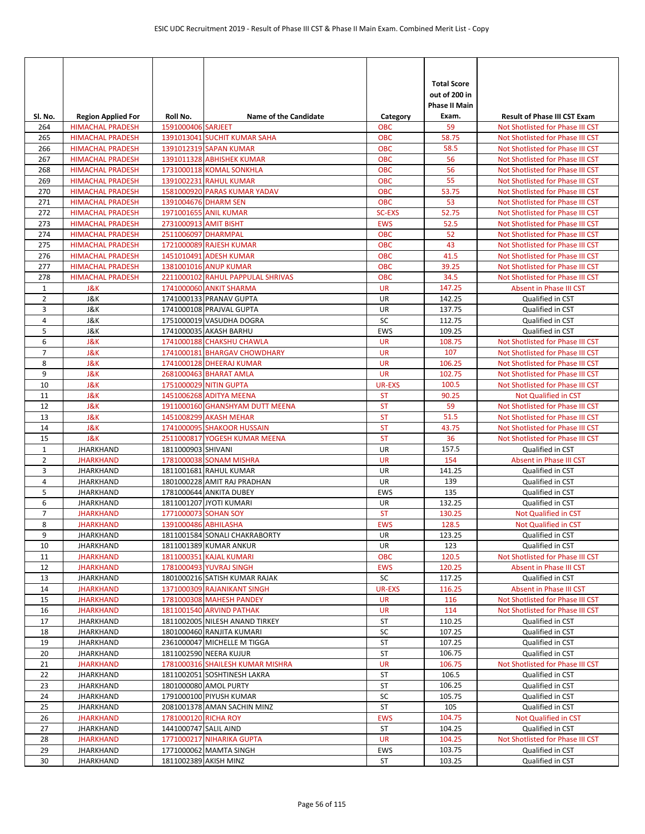| SI. No.             | <b>Region Applied For</b>                          | Roll No.              | <b>Name of the Candidate</b>                      | Category                 | <b>Total Score</b><br>out of 200 in<br>Phase II Main<br>Exam. | <b>Result of Phase III CST Exam</b>                                  |
|---------------------|----------------------------------------------------|-----------------------|---------------------------------------------------|--------------------------|---------------------------------------------------------------|----------------------------------------------------------------------|
| 264                 | <b>HIMACHAL PRADESH</b>                            | 1591000406 SARJEET    |                                                   | <b>OBC</b>               | 59                                                            | Not Shotlisted for Phase III CST                                     |
| 265                 | <b>HIMACHAL PRADESH</b>                            |                       | 1391013041 SUCHIT KUMAR SAHA                      | OBC                      | 58.75                                                         | Not Shotlisted for Phase III CST                                     |
| 266                 | <b>HIMACHAL PRADESH</b>                            |                       | 1391012319 SAPAN KUMAR                            | <b>OBC</b>               | 58.5                                                          | Not Shotlisted for Phase III CST                                     |
| 267                 | <b>HIMACHAL PRADESH</b>                            |                       | 1391011328 ABHISHEK KUMAR                         | <b>OBC</b>               | 56                                                            | Not Shotlisted for Phase III CST                                     |
| 268                 | <b>HIMACHAL PRADESH</b>                            |                       | 1731000118 KOMAL SONKHLA                          | <b>OBC</b>               | 56                                                            | Not Shotlisted for Phase III CST                                     |
| 269                 | <b>HIMACHAL PRADESH</b>                            |                       | 1391002231 RAHUL KUMAR                            | <b>OBC</b>               | 55                                                            | Not Shotlisted for Phase III CST                                     |
| 270                 | <b>HIMACHAL PRADESH</b>                            |                       | 1581000920 PARAS KUMAR YADAV                      | <b>OBC</b>               | 53.75                                                         | Not Shotlisted for Phase III CST                                     |
| 271                 | <b>HIMACHAL PRADESH</b>                            |                       | 1391004676 DHARM SEN                              | <b>OBC</b>               | 53                                                            | Not Shotlisted for Phase III CST                                     |
| 272                 | <b>HIMACHAL PRADESH</b>                            |                       | 1971001655 ANIL KUMAR                             | <b>SC-EXS</b>            | 52.75                                                         | Not Shotlisted for Phase III CST                                     |
| 273                 | <b>HIMACHAL PRADESH</b>                            | 2731000913 AMIT BISHT |                                                   | <b>EWS</b>               | 52.5                                                          | Not Shotlisted for Phase III CST                                     |
| 274                 | <b>HIMACHAL PRADESH</b>                            | 2511006097 DHARMPAL   |                                                   | <b>OBC</b>               | 52                                                            | Not Shotlisted for Phase III CST                                     |
| 275<br>276          | <b>HIMACHAL PRADESH</b>                            |                       | 1721000089 RAJESH KUMAR<br>1451010491 ADESH KUMAR | <b>OBC</b><br><b>OBC</b> | 43<br>41.5                                                    | Not Shotlisted for Phase III CST                                     |
| 277                 | <b>HIMACHAL PRADESH</b><br><b>HIMACHAL PRADESH</b> |                       | 1381001016 ANUP KUMAR                             | <b>OBC</b>               | 39.25                                                         | Not Shotlisted for Phase III CST<br>Not Shotlisted for Phase III CST |
| 278                 | <b>HIMACHAL PRADESH</b>                            |                       | 2211000102 RAHUL PAPPULAL SHRIVAS                 | <b>OBC</b>               | 34.5                                                          | Not Shotlisted for Phase III CST                                     |
| $\mathbf{1}$        | <b>J&amp;K</b>                                     |                       | 1741000060 ANKIT SHARMA                           | <b>UR</b>                | 147.25                                                        | Absent in Phase III CST                                              |
| $\overline{2}$      | J&K                                                |                       | 1741000133 PRANAV GUPTA                           | UR                       | 142.25                                                        | Qualified in CST                                                     |
| 3                   | J&K                                                |                       | 1741000108 PRAJVAL GUPTA                          | UR                       | 137.75                                                        | Qualified in CST                                                     |
| 4                   | J&K                                                |                       | 1751000019 VASUDHA DOGRA                          | SC                       | 112.75                                                        | Qualified in CST                                                     |
| 5                   | J&K                                                |                       | 1741000035 AKASH BARHU                            | EWS                      | 109.25                                                        | Qualified in CST                                                     |
| 6                   | <b>J&amp;K</b>                                     |                       | 1741000188 CHAKSHU CHAWLA                         | <b>UR</b>                | 108.75                                                        | Not Shotlisted for Phase III CST                                     |
| $\overline{7}$      | <b>J&amp;K</b>                                     |                       | 1741000181 BHARGAV CHOWDHARY                      | <b>UR</b>                | 107                                                           | Not Shotlisted for Phase III CST                                     |
| 8                   | <b>J&amp;K</b>                                     |                       | 1741000128 DHEERAJ KUMAR                          | <b>UR</b>                | 106.25                                                        | Not Shotlisted for Phase III CST                                     |
| 9                   | <b>J&amp;K</b>                                     |                       | 2681000463 BHARAT AMLA                            | <b>UR</b>                | 102.75                                                        | Not Shotlisted for Phase III CST                                     |
| 10                  | <b>J&amp;K</b>                                     |                       | 1751000029 NITIN GUPTA                            | <b>UR-EXS</b>            | 100.5                                                         | Not Shotlisted for Phase III CST                                     |
| 11                  | <b>J&amp;K</b>                                     |                       | 1451006268 ADITYA MEENA                           | <b>ST</b>                | 90.25                                                         | Not Qualified in CST                                                 |
| 12                  | <b>J&amp;K</b>                                     |                       | 1911000160 GHANSHYAM DUTT MEENA                   | <b>ST</b>                | 59                                                            | Not Shotlisted for Phase III CST                                     |
| 13                  | <b>J&amp;K</b>                                     |                       | 1451008299 AKASH MEHAR                            | <b>ST</b>                | 51.5                                                          | Not Shotlisted for Phase III CST                                     |
| 14                  | <b>J&amp;K</b>                                     |                       | 1741000095 SHAKOOR HUSSAIN                        | <b>ST</b>                | 43.75                                                         | Not Shotlisted for Phase III CST                                     |
| 15                  | <b>J&amp;K</b>                                     |                       | 2511000817 YOGESH KUMAR MEENA                     | <b>ST</b>                | 36                                                            | Not Shotlisted for Phase III CST                                     |
| $\mathbf{1}$        | <b>JHARKHAND</b>                                   | 1811000903 SHIVANI    |                                                   | UR                       | 157.5                                                         | Qualified in CST                                                     |
| $\overline{2}$      | <b>JHARKHAND</b>                                   |                       | 1781000038 SONAM MISHRA                           | <b>UR</b>                | 154                                                           | Absent in Phase III CST                                              |
| 3                   | <b>JHARKHAND</b>                                   |                       | 1811001681 RAHUL KUMAR                            | UR                       | 141.25                                                        | Qualified in CST                                                     |
| 4                   | <b>JHARKHAND</b>                                   |                       | 1801000228 AMIT RAJ PRADHAN                       | UR                       | 139                                                           | Qualified in CST                                                     |
| 5                   | <b>JHARKHAND</b>                                   |                       | 1781000644 ANKITA DUBEY                           | EWS                      | 135                                                           | Qualified in CST                                                     |
| 6                   | <b>JHARKHAND</b>                                   |                       | 1811001207 JYOTI KUMARI                           | UR                       | 132.25                                                        | Qualified in CST                                                     |
| $\overline{7}$<br>8 | <b>JHARKHAND</b>                                   | 1771000073 SOHAN SOY  |                                                   | <b>ST</b>                | 130.25                                                        | <b>Not Qualified in CST</b>                                          |
| 9                   | <b>JHARKHAND</b>                                   | 1391000486 ABHILASHA  | 1811001584 SONALI CHAKRABORTY                     | <b>EWS</b><br>UR         | 128.5                                                         | <b>Not Qualified in CST</b>                                          |
| 10                  | <b>JHARKHAND</b><br><b>JHARKHAND</b>               |                       | 1811001389 KUMAR ANKUR                            | UR                       | 123.25<br>123                                                 | Qualified in CST<br>Qualified in CST                                 |
| 11                  | <b>JHARKHAND</b>                                   |                       | 1811000351 KAJAL KUMARI                           | <b>OBC</b>               | 120.5                                                         | Not Shotlisted for Phase III CST                                     |
| 12                  | <b>JHARKHAND</b>                                   |                       | 1781000493 YUVRAJ SINGH                           | <b>EWS</b>               | 120.25                                                        | Absent in Phase III CST                                              |
| 13                  | <b>JHARKHAND</b>                                   |                       | 1801000216 SATISH KUMAR RAJAK                     | SC                       | 117.25                                                        | Qualified in CST                                                     |
| 14                  | <b>JHARKHAND</b>                                   |                       | 1371000309 RAJANIKANT SINGH                       | UR-EXS                   | 116.25                                                        | Absent in Phase III CST                                              |
| 15                  | <b>JHARKHAND</b>                                   |                       | 1781000308 MAHESH PANDEY                          | <b>UR</b>                | 116                                                           | Not Shotlisted for Phase III CST                                     |
| 16                  | <b>JHARKHAND</b>                                   |                       | 1811001540 ARVIND PATHAK                          | <b>UR</b>                | 114                                                           | Not Shotlisted for Phase III CST                                     |
| 17                  | <b>JHARKHAND</b>                                   |                       | 1811002005 NILESH ANAND TIRKEY                    | ST                       | 110.25                                                        | Qualified in CST                                                     |
| 18                  | <b>JHARKHAND</b>                                   |                       | 1801000460 RANJITA KUMARI                         | SC                       | 107.25                                                        | Qualified in CST                                                     |
| 19                  | <b>JHARKHAND</b>                                   |                       | 2361000047 MICHELLE M TIGGA                       | ST                       | 107.25                                                        | Qualified in CST                                                     |
| 20                  | <b>JHARKHAND</b>                                   |                       | 1811002590 NEERA KUJUR                            | ST                       | 106.75                                                        | Qualified in CST                                                     |
| 21                  | <b>JHARKHAND</b>                                   |                       | 1781000316 SHAILESH KUMAR MISHRA                  | <b>UR</b>                | 106.75                                                        | Not Shotlisted for Phase III CST                                     |
| 22                  | <b>JHARKHAND</b>                                   |                       | 1811002051 SOSHTINESH LAKRA                       | ST                       | 106.5                                                         | Qualified in CST                                                     |
| 23                  | <b>JHARKHAND</b>                                   |                       | 1801000080 AMOL PURTY                             | ST                       | 106.25                                                        | Qualified in CST                                                     |
| 24                  | <b>JHARKHAND</b>                                   |                       | 1791000100 PIYUSH KUMAR                           | SC                       | 105.75                                                        | Qualified in CST                                                     |
| 25                  | <b>JHARKHAND</b>                                   |                       | 2081001378 AMAN SACHIN MINZ                       | ST                       | 105                                                           | Qualified in CST                                                     |
| 26                  | <b>JHARKHAND</b>                                   | 1781000120 RICHA ROY  |                                                   | <b>EWS</b>               | 104.75                                                        | Not Qualified in CST                                                 |
| 27                  | <b>JHARKHAND</b>                                   | 1441000747 SALIL AIND |                                                   | ST                       | 104.25                                                        | Qualified in CST                                                     |
| 28                  | <b>JHARKHAND</b>                                   |                       | 1771000217 NIHARIKA GUPTA                         | <b>UR</b>                | 104.25                                                        | Not Shotlisted for Phase III CST                                     |
| 29                  | <b>JHARKHAND</b>                                   |                       | 1771000062 MAMTA SINGH                            | EWS                      | 103.75                                                        | Qualified in CST                                                     |
| 30                  | <b>JHARKHAND</b>                                   |                       | 1811002389 AKISH MINZ                             | ST                       | 103.25                                                        | Qualified in CST                                                     |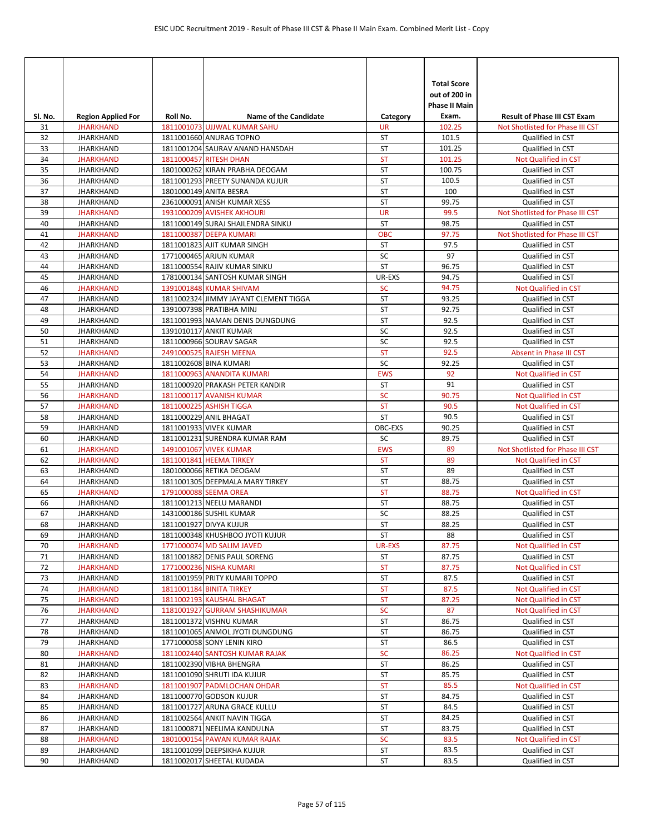| SI. No.  | <b>Region Applied For</b>            | Roll No. | Name of the Candidate                                             | Category               | <b>Total Score</b><br>out of 200 in<br>Phase II Main<br>Exam. | <b>Result of Phase III CST Exam</b>      |
|----------|--------------------------------------|----------|-------------------------------------------------------------------|------------------------|---------------------------------------------------------------|------------------------------------------|
| 31       | <b>JHARKHAND</b>                     |          | 1811001073 UJJWAL KUMAR SAHU                                      | UR                     | 102.25                                                        | Not Shotlisted for Phase III CST         |
| 32       | <b>JHARKHAND</b>                     |          | 1811001660 ANURAG TOPNO                                           | <b>ST</b>              | 101.5                                                         | Qualified in CST                         |
| 33       | <b>JHARKHAND</b>                     |          | 1811001204 SAURAV ANAND HANSDAH                                   | ST                     | 101.25                                                        | Qualified in CST                         |
| 34       | <b>JHARKHAND</b>                     |          | 1811000457 RITESH DHAN                                            | <b>ST</b><br><b>ST</b> | 101.25                                                        | Not Qualified in CST                     |
| 35       | <b>JHARKHAND</b>                     |          | 1801000262 KIRAN PRABHA DEOGAM<br>1811001293 PREETY SUNANDA KUJUR | <b>ST</b>              | 100.75<br>100.5                                               | Qualified in CST<br>Qualified in CST     |
| 36<br>37 | <b>JHARKHAND</b><br><b>JHARKHAND</b> |          | 1801000149 ANITA BESRA                                            | <b>ST</b>              | 100                                                           | Qualified in CST                         |
| 38       | <b>JHARKHAND</b>                     |          | 2361000091 ANISH KUMAR XESS                                       | ST                     | 99.75                                                         | Qualified in CST                         |
| 39       | <b>JHARKHAND</b>                     |          | 1931000209 AVISHEK AKHOURI                                        | <b>UR</b>              | 99.5                                                          | Not Shotlisted for Phase III CST         |
| 40       | <b>JHARKHAND</b>                     |          | 1811000149 SURAJ SHAILENDRA SINKU                                 | ST                     | 98.75                                                         | Qualified in CST                         |
| 41       | <b>JHARKHAND</b>                     |          | 1811000387 DEEPA KUMARI                                           | <b>OBC</b>             | 97.75                                                         | Not Shotlisted for Phase III CST         |
| 42       | <b>JHARKHAND</b>                     |          | 1811001823 AJIT KUMAR SINGH                                       | <b>ST</b>              | 97.5                                                          | Qualified in CST                         |
| 43       | <b>JHARKHAND</b>                     |          | 1771000465 ARJUN KUMAR                                            | SC                     | 97                                                            | Qualified in CST                         |
| 44       | <b>JHARKHAND</b>                     |          | 1811000554 RAJIV KUMAR SINKU                                      | <b>ST</b>              | 96.75                                                         | Qualified in CST                         |
| 45       | <b>JHARKHAND</b>                     |          | 1781000134 SANTOSH KUMAR SINGH                                    | UR-EXS                 | 94.75                                                         | Qualified in CST                         |
| 46       | <b>JHARKHAND</b>                     |          | 1391001848 KUMAR SHIVAM                                           | <b>SC</b>              | 94.75                                                         | <b>Not Qualified in CST</b>              |
| 47       | <b>JHARKHAND</b>                     |          | 1811002324 JIMMY JAYANT CLEMENT TIGGA                             | <b>ST</b>              | 93.25                                                         | Qualified in CST                         |
| 48       | <b>JHARKHAND</b>                     |          | 1391007398 PRATIBHA MINJ                                          | ST                     | 92.75                                                         | Qualified in CST                         |
| 49       | <b>JHARKHAND</b>                     |          | 1811001993 NAMAN DENIS DUNGDUNG                                   | <b>ST</b>              | 92.5                                                          | Qualified in CST                         |
| 50       | <b>JHARKHAND</b>                     |          | 1391010117 ANKIT KUMAR                                            | SC                     | 92.5                                                          | Qualified in CST                         |
| 51       | <b>JHARKHAND</b>                     |          | 1811000966 SOURAV SAGAR                                           | SC                     | 92.5                                                          | Qualified in CST                         |
| 52       | <b>JHARKHAND</b>                     |          | 2491000525 RAJESH MEENA                                           | <b>ST</b>              | 92.5                                                          | Absent in Phase III CST                  |
| 53       | <b>JHARKHAND</b>                     |          | 1811002608 BINA KUMARI                                            | SC                     | 92.25                                                         | Qualified in CST                         |
| 54       | <b>JHARKHAND</b>                     |          | 1811000963 ANANDITA KUMARI                                        | <b>EWS</b>             | 92                                                            | Not Qualified in CST                     |
| 55       | <b>JHARKHAND</b>                     |          | 1811000920 PRAKASH PETER KANDIR                                   | ST                     | 91                                                            | Qualified in CST                         |
| 56       | <b>JHARKHAND</b>                     |          | 1811000117 AVANISH KUMAR                                          | SC                     | 90.75                                                         | Not Qualified in CST                     |
| 57       | <b>JHARKHAND</b>                     |          | 1811000225 ASHISH TIGGA                                           | <b>ST</b>              | 90.5                                                          | Not Qualified in CST                     |
| 58       | <b>JHARKHAND</b>                     |          | 1811000229 ANIL BHAGAT                                            | ST                     | 90.5                                                          | Qualified in CST                         |
| 59<br>60 | <b>JHARKHAND</b><br><b>JHARKHAND</b> |          | 1811001933 VIVEK KUMAR                                            | OBC-EXS<br>SC          | 90.25<br>89.75                                                | Qualified in CST<br>Qualified in CST     |
| 61       | <b>JHARKHAND</b>                     |          | 1811001231 SURENDRA KUMAR RAM<br>1491001067 VIVEK KUMAR           | <b>EWS</b>             | 89                                                            | Not Shotlisted for Phase III CST         |
| 62       | <b>JHARKHAND</b>                     |          | 1811001841 HEEMA TIRKEY                                           | <b>ST</b>              | 89                                                            | Not Qualified in CST                     |
| 63       | <b>JHARKHAND</b>                     |          | 1801000066 RETIKA DEOGAM                                          | ST                     | 89                                                            | Qualified in CST                         |
| 64       | <b>JHARKHAND</b>                     |          | 1811001305 DEEPMALA MARY TIRKEY                                   | ST                     | 88.75                                                         | Qualified in CST                         |
| 65       | <b>JHARKHAND</b>                     |          | 1791000088 SEEMA OREA                                             | <b>ST</b>              | 88.75                                                         | Not Qualified in CST                     |
| 66       | <b>JHARKHAND</b>                     |          | 1811001213 NEELU MARANDI                                          | <b>ST</b>              | 88.75                                                         | Qualified in CST                         |
| 67       | <b>JHARKHAND</b>                     |          | 1431000186 SUSHIL KUMAR                                           | SC                     | 88.25                                                         | Qualified in CST                         |
| 68       | <b>JHARKHAND</b>                     |          | 1811001927 DIVYA KUJUR                                            | <b>ST</b>              | 88.25                                                         | Qualified in CST                         |
| 69       | <b>JHARKHAND</b>                     |          | 1811000348 KHUSHBOO JYOTI KUJUR                                   | ST                     | 88                                                            | Qualified in CST                         |
| 70       | <b>JHARKHAND</b>                     |          | 1771000074 MD SALIM JAVED                                         | <b>UR-EXS</b>          | 87.75                                                         | Not Qualified in CST                     |
| 71       | <b>JHARKHAND</b>                     |          | 1811001882 DENIS PAUL SORENG                                      | ST                     | 87.75                                                         | Qualified in CST                         |
| 72       | <b>JHARKHAND</b>                     |          | 1771000236 NISHA KUMARI                                           | <b>ST</b>              | 87.75                                                         | Not Qualified in CST                     |
| 73       | <b>JHARKHAND</b>                     |          | 1811001959 PRITY KUMARI TOPPO                                     | ST                     | 87.5                                                          | Qualified in CST                         |
| 74       | <b>JHARKHAND</b>                     |          | 1811001184 BINITA TIRKEY                                          | ST                     | 87.5                                                          | Not Qualified in CST                     |
| 75       | <b>JHARKHAND</b>                     |          | 1811002193 KAUSHAL BHAGAT                                         | ST                     | 87.25                                                         | Not Qualified in CST                     |
| 76       | <b>JHARKHAND</b>                     |          | 1181001927 GURRAM SHASHIKUMAR                                     | SC                     | 87                                                            | Not Qualified in CST                     |
| 77       | <b>JHARKHAND</b>                     |          | 1811001372 VISHNU KUMAR                                           | ST                     | 86.75                                                         | Qualified in CST                         |
| 78       | <b>JHARKHAND</b>                     |          | 1811001065 ANMOL JYOTI DUNGDUNG                                   | ST                     | 86.75<br>86.5                                                 | Qualified in CST                         |
| 79<br>80 | <b>JHARKHAND</b><br><b>JHARKHAND</b> |          | 1771000058 SONY LENIN KIRO<br>1811002440 SANTOSH KUMAR RAJAK      | ST<br><b>SC</b>        | 86.25                                                         | Qualified in CST<br>Not Qualified in CST |
| 81       | <b>JHARKHAND</b>                     |          | 1811002390 VIBHA BHENGRA                                          | ST                     | 86.25                                                         | Qualified in CST                         |
| 82       | <b>JHARKHAND</b>                     |          | 1811001090 SHRUTI IDA KUJUR                                       | ST                     | 85.75                                                         | Qualified in CST                         |
| 83       | <b>JHARKHAND</b>                     |          | 1811001907 PADMLOCHAN OHDAR                                       | <b>ST</b>              | 85.5                                                          | Not Qualified in CST                     |
| 84       | <b>JHARKHAND</b>                     |          | 1811000770 GODSON KUJUR                                           | ST                     | 84.75                                                         | Qualified in CST                         |
| 85       | <b>JHARKHAND</b>                     |          | 1811001727 ARUNA GRACE KULLU                                      | ST                     | 84.5                                                          | Qualified in CST                         |
| 86       | <b>JHARKHAND</b>                     |          | 1811002564 ANKIT NAVIN TIGGA                                      | ST                     | 84.25                                                         | Qualified in CST                         |
| 87       | <b>JHARKHAND</b>                     |          | 1811000871 NEELIMA KANDULNA                                       | ST                     | 83.75                                                         | Qualified in CST                         |
| 88       | <b>JHARKHAND</b>                     |          | 1801000154 PAWAN KUMAR RAJAK                                      | SC                     | 83.5                                                          | Not Qualified in CST                     |
| 89       | <b>JHARKHAND</b>                     |          | 1811001099 DEEPSIKHA KUJUR                                        | ST                     | 83.5                                                          | Qualified in CST                         |
| 90       | <b>JHARKHAND</b>                     |          | 1811002017 SHEETAL KUDADA                                         | ST                     | 83.5                                                          | Qualified in CST                         |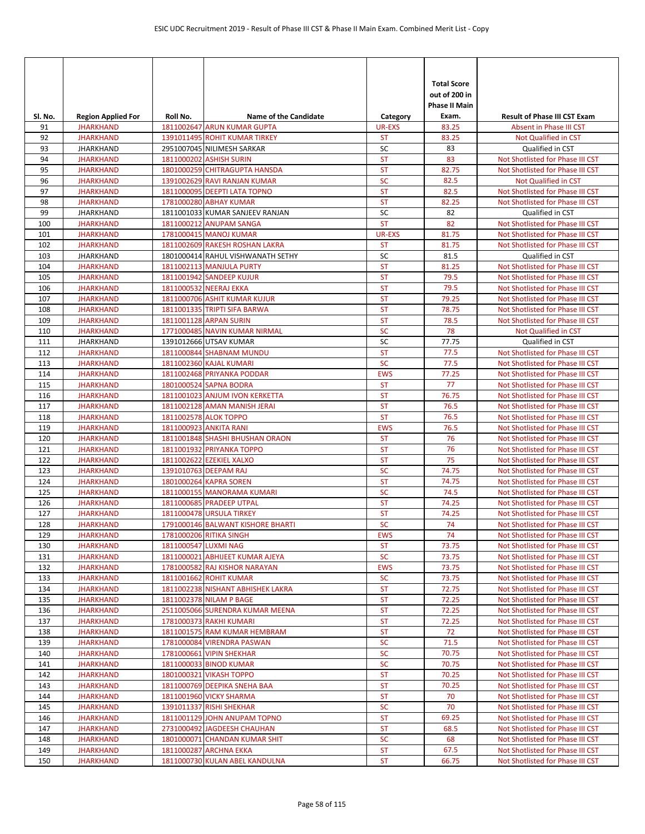|               |                                               |                      |                                                             |                            | <b>Total Score</b><br>out of 200 in<br><b>Phase II Main</b> |                                                                      |
|---------------|-----------------------------------------------|----------------------|-------------------------------------------------------------|----------------------------|-------------------------------------------------------------|----------------------------------------------------------------------|
| SI. No.<br>91 | <b>Region Applied For</b><br><b>JHARKHAND</b> | Roll No.             | <b>Name of the Candidate</b><br>1811002647 ARUN KUMAR GUPTA | Category                   | Exam.<br>83.25                                              | <b>Result of Phase III CST Exam</b><br>Absent in Phase III CST       |
| 92            | <b>JHARKHAND</b>                              |                      | 1391011495 ROHIT KUMAR TIRKEY                               | <b>UR-EXS</b><br><b>ST</b> | 83.25                                                       | Not Qualified in CST                                                 |
| 93            | <b>JHARKHAND</b>                              |                      | 2951007045 NILIMESH SARKAR                                  | SC                         | 83                                                          | Qualified in CST                                                     |
| 94            | <b>JHARKHAND</b>                              |                      | 1811000202 ASHISH SURIN                                     | <b>ST</b>                  | 83                                                          | Not Shotlisted for Phase III CST                                     |
| 95            | <b>JHARKHAND</b>                              |                      | 1801000259 CHITRAGUPTA HANSDA                               | <b>ST</b>                  | 82.75                                                       | Not Shotlisted for Phase III CST                                     |
| 96            | <b>JHARKHAND</b>                              |                      | 1391002629 RAVI RANJAN KUMAR                                | SC                         | 82.5                                                        | Not Qualified in CST                                                 |
| 97            | <b>JHARKHAND</b>                              |                      | 1811000095 DEEPTI LATA TOPNO                                | <b>ST</b>                  | 82.5                                                        | Not Shotlisted for Phase III CST                                     |
| 98            | <b>JHARKHAND</b>                              |                      | 1781000280 ABHAY KUMAR                                      | <b>ST</b>                  | 82.25                                                       | Not Shotlisted for Phase III CST                                     |
| 99            | <b>JHARKHAND</b>                              |                      | 1811001033 KUMAR SANJEEV RANJAN                             | SC                         | 82                                                          | Qualified in CST                                                     |
| 100           | <b>JHARKHAND</b>                              |                      | 1811000212 ANUPAM SANGA                                     | <b>ST</b>                  | 82                                                          | Not Shotlisted for Phase III CST                                     |
| 101           | <b>JHARKHAND</b>                              |                      | 1781000415 MANOJ KUMAR                                      | <b>UR-EXS</b>              | 81.75                                                       | Not Shotlisted for Phase III CST                                     |
| 102           | <b>JHARKHAND</b>                              |                      | 1811002609 RAKESH ROSHAN LAKRA                              | <b>ST</b>                  | 81.75                                                       | Not Shotlisted for Phase III CST                                     |
| 103           | <b>JHARKHAND</b>                              |                      | 1801000414 RAHUL VISHWANATH SETHY                           | SC                         | 81.5                                                        | Qualified in CST                                                     |
| 104           | <b>JHARKHAND</b>                              |                      | <b>1811002113 MANJULA PURTY</b>                             | <b>ST</b>                  | 81.25                                                       | Not Shotlisted for Phase III CST                                     |
| 105           | <b>JHARKHAND</b><br><b>JHARKHAND</b>          |                      | 1811001942 SANDEEP KUJUR                                    | <b>ST</b><br><b>ST</b>     | 79.5<br>79.5                                                | Not Shotlisted for Phase III CST                                     |
| 106<br>107    | <b>JHARKHAND</b>                              |                      | 1811000532 NEERAJ EKKA<br>1811000706 ASHIT KUMAR KUJUR      | <b>ST</b>                  | 79.25                                                       | Not Shotlisted for Phase III CST<br>Not Shotlisted for Phase III CST |
| 108           | <b>JHARKHAND</b>                              |                      | 1811001335 TRIPTI SIFA BARWA                                | <b>ST</b>                  | 78.75                                                       | Not Shotlisted for Phase III CST                                     |
| 109           | <b>JHARKHAND</b>                              |                      | 1811001128 ARPAN SURIN                                      | <b>ST</b>                  | 78.5                                                        | Not Shotlisted for Phase III CST                                     |
| 110           | <b>JHARKHAND</b>                              |                      | 1771000485 NAVIN KUMAR NIRMAL                               | <b>SC</b>                  | 78                                                          | Not Qualified in CST                                                 |
| 111           | <b>JHARKHAND</b>                              |                      | 1391012666 UTSAV KUMAR                                      | SC                         | 77.75                                                       | Qualified in CST                                                     |
| 112           | <b>JHARKHAND</b>                              |                      | 1811000844 SHABNAM MUNDU                                    | <b>ST</b>                  | 77.5                                                        | Not Shotlisted for Phase III CST                                     |
| 113           | <b>JHARKHAND</b>                              |                      | 1811002360 KAJAL KUMARI                                     | <b>SC</b>                  | 77.5                                                        | Not Shotlisted for Phase III CST                                     |
| 114           | <b>JHARKHAND</b>                              |                      | 1811002468 PRIYANKA PODDAR                                  | <b>EWS</b>                 | 77.25                                                       | Not Shotlisted for Phase III CST                                     |
| 115           | <b>JHARKHAND</b>                              |                      | 1801000524 SAPNA BODRA                                      | <b>ST</b>                  | 77                                                          | Not Shotlisted for Phase III CST                                     |
| 116           | <b>JHARKHAND</b>                              |                      | 1811001023 ANJUM IVON KERKETTA                              | <b>ST</b>                  | 76.75                                                       | Not Shotlisted for Phase III CST                                     |
| 117           | <b>JHARKHAND</b>                              |                      | 1811002128 AMAN MANISH JERAI                                | <b>ST</b>                  | 76.5                                                        | Not Shotlisted for Phase III CST                                     |
| 118           | <b>JHARKHAND</b>                              |                      | 1811002578 ALOK TOPPO                                       | <b>ST</b>                  | 76.5                                                        | Not Shotlisted for Phase III CST                                     |
| 119           | <b>JHARKHAND</b>                              |                      | 1811000923 ANKITA RANI                                      | <b>EWS</b>                 | 76.5                                                        | Not Shotlisted for Phase III CST                                     |
| 120           | <b>JHARKHAND</b>                              |                      | 1811001848 SHASHI BHUSHAN ORAON                             | <b>ST</b>                  | 76                                                          | Not Shotlisted for Phase III CST                                     |
| 121           | <b>JHARKHAND</b>                              |                      | 1811001932 PRIYANKA TOPPO                                   | <b>ST</b>                  | 76                                                          | Not Shotlisted for Phase III CST                                     |
| 122           | <b>JHARKHAND</b>                              |                      | 1811002622 EZEKIEL XALXO                                    | <b>ST</b>                  | 75                                                          | Not Shotlisted for Phase III CST                                     |
| 123           | <b>JHARKHAND</b>                              |                      | 1391010763 DEEPAM RAJ                                       | <b>SC</b>                  | 74.75                                                       | Not Shotlisted for Phase III CST                                     |
| 124           | <b>JHARKHAND</b>                              |                      | 1801000264 KAPRA SOREN                                      | <b>ST</b>                  | 74.75                                                       | Not Shotlisted for Phase III CST                                     |
| 125           | <b>JHARKHAND</b>                              |                      | 1811000155 MANORAMA KUMARI                                  | <b>SC</b><br><b>ST</b>     | 74.5<br>74.25                                               | Not Shotlisted for Phase III CST<br>Not Shotlisted for Phase III CST |
| 126<br>127    | <b>JHARKHAND</b><br><b>JHARKHAND</b>          |                      | 1811000685 PRADEEP UTPAL<br><b>1811000478 URSULA TIRKEY</b> | <b>ST</b>                  | 74.25                                                       | Not Shotlisted for Phase III CST                                     |
| 128           | <b>JHARKHAND</b>                              |                      | 1791000146 BALWANT KISHORE BHARTI                           | <b>SC</b>                  | 74                                                          | Not Shotlisted for Phase III CST                                     |
| 129           | <b>JHARKHAND</b>                              |                      | 1781000206 RITIKA SINGH                                     | <b>EWS</b>                 | 74                                                          | Not Shotlisted for Phase III CST                                     |
| 130           | <b>JHARKHAND</b>                              | 1811000547 LUXMI NAG |                                                             | <b>ST</b>                  | 73.75                                                       | Not Shotlisted for Phase III CST                                     |
| 131           | <b>JHARKHAND</b>                              |                      | 1811000021 ABHIJEET KUMAR AJEYA                             | <b>SC</b>                  | 73.75                                                       | Not Shotlisted for Phase III CST                                     |
| 132           | <b>JHARKHAND</b>                              |                      | 1781000582 RAJ KISHOR NARAYAN                               | <b>EWS</b>                 | 73.75                                                       | Not Shotlisted for Phase III CST                                     |
| 133           | <b>JHARKHAND</b>                              |                      | 1811001662 ROHIT KUMAR                                      | <b>SC</b>                  | 73.75                                                       | Not Shotlisted for Phase III CST                                     |
| 134           | <b>JHARKHAND</b>                              |                      | 1811002238 NISHANT ABHISHEK LAKRA                           | ST                         | 72.75                                                       | Not Shotlisted for Phase III CST                                     |
| 135           | <b>JHARKHAND</b>                              |                      | 1811002378 NILAM P BAGE                                     | ST                         | 72.25                                                       | Not Shotlisted for Phase III CST                                     |
| 136           | <b>JHARKHAND</b>                              |                      | 2511005066 SURENDRA KUMAR MEENA                             | ST                         | 72.25                                                       | Not Shotlisted for Phase III CST                                     |
| 137           | <b>JHARKHAND</b>                              |                      | 1781000373 RAKHI KUMARI                                     | ST                         | 72.25                                                       | Not Shotlisted for Phase III CST                                     |
| 138           | <b>JHARKHAND</b>                              |                      | 1811001575 RAM KUMAR HEMBRAM                                | ST                         | 72                                                          | Not Shotlisted for Phase III CST                                     |
| 139           | <b>JHARKHAND</b>                              |                      | 1781000084 VIRENDRA PASWAN                                  | SC                         | 71.5                                                        | Not Shotlisted for Phase III CST                                     |
| 140           | <b>JHARKHAND</b>                              |                      | 1781000661 VIPIN SHEKHAR                                    | <b>SC</b>                  | 70.75                                                       | Not Shotlisted for Phase III CST                                     |
| 141           | <b>JHARKHAND</b>                              |                      | 1811000033 BINOD KUMAR                                      | <b>SC</b>                  | 70.75                                                       | Not Shotlisted for Phase III CST                                     |
| 142           | <b>JHARKHAND</b>                              |                      | 1801000321 VIKASH TOPPO                                     | <b>ST</b><br><b>ST</b>     | 70.25<br>70.25                                              | Not Shotlisted for Phase III CST                                     |
| 143<br>144    | <b>JHARKHAND</b><br><b>JHARKHAND</b>          |                      | 1811000769 DEEPIKA SNEHA BAA<br>1811001960 VICKY SHARMA     | <b>ST</b>                  | 70                                                          | Not Shotlisted for Phase III CST<br>Not Shotlisted for Phase III CST |
| 145           | <b>JHARKHAND</b>                              |                      | 1391011337 RISHI SHEKHAR                                    | <b>SC</b>                  | 70                                                          | Not Shotlisted for Phase III CST                                     |
| 146           | <b>JHARKHAND</b>                              |                      | 1811001129 JOHN ANUPAM TOPNO                                | <b>ST</b>                  | 69.25                                                       | Not Shotlisted for Phase III CST                                     |
| 147           | <b>JHARKHAND</b>                              |                      | 2731000492 JAGDEESH CHAUHAN                                 | ST                         | 68.5                                                        | Not Shotlisted for Phase III CST                                     |
| 148           | <b>JHARKHAND</b>                              |                      | 1801000071 CHANDAN KUMAR SHIT                               | <b>SC</b>                  | 68                                                          | Not Shotlisted for Phase III CST                                     |
| 149           | <b>JHARKHAND</b>                              |                      | 1811000287 ARCHNA EKKA                                      | <b>ST</b>                  | 67.5                                                        | Not Shotlisted for Phase III CST                                     |
| 150           | <b>JHARKHAND</b>                              |                      | 1811000730 KULAN ABEL KANDULNA                              | ST                         | 66.75                                                       | Not Shotlisted for Phase III CST                                     |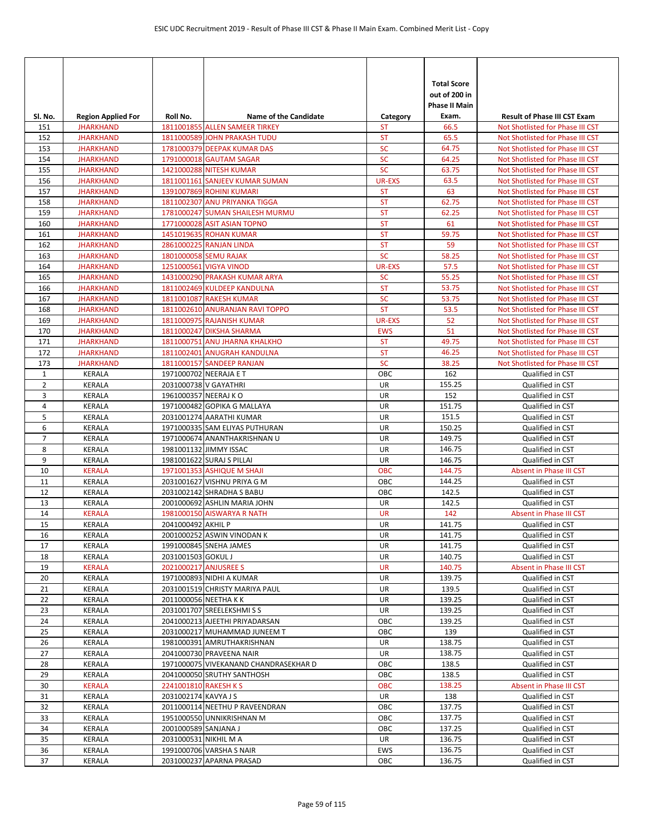| SI. No.        | <b>Region Applied For</b>      | Roll No.              | <b>Name of the Candidate</b>                            | Category      | <b>Total Score</b><br>out of 200 in<br>Phase II Main<br>Exam. | <b>Result of Phase III CST Exam</b>  |
|----------------|--------------------------------|-----------------------|---------------------------------------------------------|---------------|---------------------------------------------------------------|--------------------------------------|
| 151            | <b>JHARKHAND</b>               |                       | 1811001855 ALLEN SAMEER TIRKEY                          | ST            | 66.5                                                          | Not Shotlisted for Phase III CST     |
| 152            | <b>JHARKHAND</b>               |                       | 1811000589 JOHN PRAKASH TUDU                            | <b>ST</b>     | 65.5                                                          | Not Shotlisted for Phase III CST     |
| 153            | <b>JHARKHAND</b>               |                       | 1781000379 DEEPAK KUMAR DAS                             | <b>SC</b>     | 64.75                                                         | Not Shotlisted for Phase III CST     |
| 154            | <b>JHARKHAND</b>               |                       | 1791000018 GAUTAM SAGAR                                 | <b>SC</b>     | 64.25                                                         | Not Shotlisted for Phase III CST     |
| 155            | <b>JHARKHAND</b>               |                       | 1421000288 NITESH KUMAR                                 | <b>SC</b>     | 63.75                                                         | Not Shotlisted for Phase III CST     |
| 156            | <b>JHARKHAND</b>               |                       | 1811001161 SANJEEV KUMAR SUMAN                          | <b>UR-EXS</b> | 63.5                                                          | Not Shotlisted for Phase III CST     |
| 157            | <b>JHARKHAND</b>               |                       | 1391007869 ROHINI KUMARI                                | <b>ST</b>     | 63                                                            | Not Shotlisted for Phase III CST     |
| 158            | <b>JHARKHAND</b>               |                       | 1811002307 ANU PRIYANKA TIGGA                           | <b>ST</b>     | 62.75                                                         | Not Shotlisted for Phase III CST     |
| 159            | <b>JHARKHAND</b>               |                       | 1781000247 SUMAN SHAILESH MURMU                         | <b>ST</b>     | 62.25                                                         | Not Shotlisted for Phase III CST     |
| 160            | <b>JHARKHAND</b>               |                       | 1771000028 ASIT ASIAN TOPNO                             | <b>ST</b>     | 61                                                            | Not Shotlisted for Phase III CST     |
| 161            | <b>JHARKHAND</b>               |                       | 1451019635 ROHAN KUMAR                                  | <b>ST</b>     | 59.75                                                         | Not Shotlisted for Phase III CST     |
| 162            | <b>JHARKHAND</b>               |                       | 2861000225 RANJAN LINDA                                 | <b>ST</b>     | 59                                                            | Not Shotlisted for Phase III CST     |
| 163            | <b>JHARKHAND</b>               |                       | 1801000058 SEMU RAJAK                                   | <b>SC</b>     | 58.25                                                         | Not Shotlisted for Phase III CST     |
| 164            | <b>JHARKHAND</b>               |                       | 1251000561 VIGYA VINOD                                  | UR-EXS        | 57.5                                                          | Not Shotlisted for Phase III CST     |
| 165            | <b>JHARKHAND</b>               |                       | 1431000290 PRAKASH KUMAR ARYA                           | <b>SC</b>     | 55.25                                                         | Not Shotlisted for Phase III CST     |
| 166            | <b>JHARKHAND</b>               |                       | 1811002469 KULDEEP KANDULNA                             | <b>ST</b>     | 53.75                                                         | Not Shotlisted for Phase III CST     |
| 167            | <b>JHARKHAND</b>               |                       | 1811001087 RAKESH KUMAR                                 | <b>SC</b>     | 53.75                                                         | Not Shotlisted for Phase III CST     |
| 168            | <b>JHARKHAND</b>               |                       | 1811002610 ANURANJAN RAVI TOPPO                         | <b>ST</b>     | 53.5                                                          | Not Shotlisted for Phase III CST     |
| 169            | <b>JHARKHAND</b>               |                       | 1811000975 RAJANISH KUMAR                               | <b>UR-EXS</b> | 52                                                            | Not Shotlisted for Phase III CST     |
| 170            | <b>JHARKHAND</b>               |                       | 1811000247 DIKSHA SHARMA                                | <b>EWS</b>    | 51                                                            | Not Shotlisted for Phase III CST     |
| 171            | <b>JHARKHAND</b>               |                       | 1811000751 ANU JHARNA KHALKHO                           | <b>ST</b>     | 49.75                                                         | Not Shotlisted for Phase III CST     |
| 172            | <b>JHARKHAND</b>               |                       | 1811002401 ANUGRAH KANDULNA                             | <b>ST</b>     | 46.25                                                         | Not Shotlisted for Phase III CST     |
| 173            | <b>JHARKHAND</b>               |                       | 1811000157 SANDEEP RANJAN                               | <b>SC</b>     | 38.25                                                         | Not Shotlisted for Phase III CST     |
| $\mathbf{1}$   | <b>KERALA</b>                  |                       | 1971000702 NEERAJA E T                                  | OBC           | 162                                                           | Qualified in CST                     |
| $\overline{2}$ | <b>KERALA</b>                  | 2031000738 V GAYATHRI |                                                         | UR            | 155.25<br>152                                                 | Qualified in CST                     |
| 3              | <b>KERALA</b>                  | 1961000357 NEERAJ KO  |                                                         | UR<br>UR      |                                                               | Qualified in CST                     |
| 4<br>5         | <b>KERALA</b><br><b>KERALA</b> |                       | 1971000482 GOPIKA G MALLAYA<br>2031001274 AARATHI KUMAR | UR            | 151.75<br>151.5                                               | Qualified in CST                     |
| 6              | KERALA                         |                       | 1971000335 SAM ELIYAS PUTHURAN                          | UR            | 150.25                                                        | Qualified in CST<br>Qualified in CST |
| 7              | <b>KERALA</b>                  |                       | 1971000674 ANANTHAKRISHNAN U                            | UR            | 149.75                                                        | Qualified in CST                     |
| 8              | <b>KERALA</b>                  |                       | 1981001132 JIMMY ISSAC                                  | UR            | 146.75                                                        | Qualified in CST                     |
| 9              | <b>KERALA</b>                  |                       | 1981001622 SURAJ S PILLAI                               | UR            | 146.75                                                        | Qualified in CST                     |
| 10             | <b>KERALA</b>                  |                       | 1971001353 ASHIQUE M SHAJI                              | <b>OBC</b>    | 144.75                                                        | Absent in Phase III CST              |
| 11             | KERALA                         |                       | 2031001627 VISHNU PRIYA G M                             | OBC           | 144.25                                                        | Qualified in CST                     |
| 12             | KERALA                         |                       | 2031002142 SHRADHA S BABU                               | OBC           | 142.5                                                         | Qualified in CST                     |
| 13             | <b>KERALA</b>                  |                       | 2001000692 ASHLIN MARIA JOHN                            | UR            | 142.5                                                         | Qualified in CST                     |
| 14             | <b>KERALA</b>                  |                       | 1981000150 AISWARYA R NATH                              | <b>UR</b>     | 142                                                           | Absent in Phase III CST              |
| 15             | <b>KERALA</b>                  | 2041000492 AKHIL P    |                                                         | <b>UR</b>     | 141.75                                                        | Qualified in CST                     |
| 16             | <b>KERALA</b>                  |                       | 2001000252 ASWIN VINODAN K                              | UR            | 141.75                                                        | Qualified in CST                     |
| 17             | KERALA                         |                       | 1991000845 SNEHA JAMES                                  | UR            | 141.75                                                        | Qualified in CST                     |
| 18             | KERALA                         | 2031001503 GOKUL J    |                                                         | UR            | 140.75                                                        | Qualified in CST                     |
| 19             | <b>KERALA</b>                  | 2021000217 ANJUSREE S |                                                         | <b>UR</b>     | 140.75                                                        | Absent in Phase III CST              |
| 20             | <b>KERALA</b>                  |                       | 1971000893 NIDHI A KUMAR                                | UR            | 139.75                                                        | Qualified in CST                     |
| 21             | <b>KERALA</b>                  |                       | 2031001519 CHRISTY MARIYA PAUL                          | UR            | 139.5                                                         | Qualified in CST                     |
| 22             | KERALA                         |                       | 2011000056 NEETHA K K                                   | UR            | 139.25                                                        | Qualified in CST                     |
| 23             | KERALA                         |                       | 2031001707 SREELEKSHMISS                                | UR            | 139.25                                                        | Qualified in CST                     |
| 24             | KERALA                         |                       | 2041000213 AJEETHI PRIYADARSAN                          | OBC           | 139.25                                                        | Qualified in CST                     |
| 25             | KERALA                         |                       | 2031000217 MUHAMMAD JUNEEM T                            | OBC           | 139                                                           | Qualified in CST                     |
| 26             | <b>KERALA</b>                  |                       | 1981000391 AMRUTHAKRISHNAN                              | UR            | 138.75                                                        | Qualified in CST                     |
| 27             | KERALA                         |                       | 2041000730 PRAVEENA NAIR                                | UR            | 138.75                                                        | Qualified in CST                     |
| 28             | KERALA                         |                       | 1971000075 VIVEKANAND CHANDRASEKHAR D                   | OBC           | 138.5                                                         | Qualified in CST                     |
| 29             | KERALA                         |                       | 2041000050 SRUTHY SANTHOSH                              | OBC           | 138.5                                                         | Qualified in CST                     |
| 30             | <b>KERALA</b>                  | 2241001810 RAKESH K S |                                                         | <b>OBC</b>    | 138.25                                                        | Absent in Phase III CST              |
| 31             | <b>KERALA</b>                  | 2031002174 KAVYA J S  |                                                         | UR            | 138                                                           | Qualified in CST                     |
| 32             | KERALA                         |                       | 2011000114 NEETHU P RAVEENDRAN                          | OBC           | 137.75                                                        | Qualified in CST                     |
| 33             | KERALA                         |                       | 1951000550 UNNIKRISHNAN M                               | OBC           | 137.75                                                        | Qualified in CST                     |
| 34             | KERALA                         | 2001000589 SANJANA J  |                                                         | OBC           | 137.25                                                        | Qualified in CST                     |
| 35             | KERALA                         | 2031000531 NIKHIL M A |                                                         | UR            | 136.75                                                        | Qualified in CST                     |
| 36             | KERALA                         |                       | 1991000706 VARSHA S NAIR                                | EWS           | 136.75                                                        | Qualified in CST                     |
| 37             | KERALA                         |                       | 2031000237 APARNA PRASAD                                | OBC           | 136.75                                                        | Qualified in CST                     |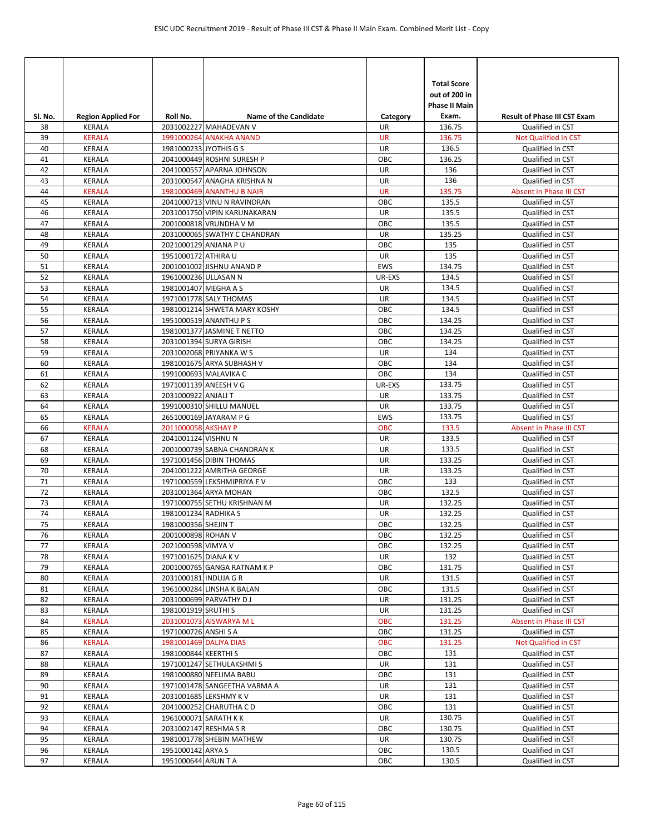|               |                                            |                        |                                                      |                       | <b>Total Score</b><br>out of 200 in<br><b>Phase II Main</b> |                                                         |
|---------------|--------------------------------------------|------------------------|------------------------------------------------------|-----------------------|-------------------------------------------------------------|---------------------------------------------------------|
| SI. No.<br>38 | <b>Region Applied For</b><br><b>KERALA</b> | Roll No.               | Name of the Candidate<br>2031002227 MAHADEVAN V      | Category<br><b>UR</b> | Exam.<br>136.75                                             | <b>Result of Phase III CST Exam</b><br>Qualified in CST |
| 39            | <b>KERALA</b>                              |                        | 1991000264 ANAKHA ANAND                              | <b>UR</b>             | 136.75                                                      | Not Qualified in CST                                    |
| 40            | <b>KERALA</b>                              | 1981000233 JYOTHIS G S |                                                      | UR                    | 136.5                                                       | Qualified in CST                                        |
| 41            | KERALA                                     |                        | 2041000449 ROSHNI SURESH P                           | ОВС                   | 136.25                                                      | Qualified in CST                                        |
| 42            | <b>KERALA</b>                              |                        | 2041000557 APARNA JOHNSON                            | UR                    | 136                                                         | Qualified in CST                                        |
| 43            | <b>KERALA</b>                              |                        | 2031000547 ANAGHA KRISHNA N                          | UR                    | 136                                                         | Qualified in CST                                        |
| 44            | <b>KERALA</b>                              |                        | 1981000469 ANANTHU B NAIR                            | <b>UR</b>             | 135.75                                                      | Absent in Phase III CST                                 |
| 45            | <b>KERALA</b>                              |                        | 2041000713 VINU N RAVINDRAN                          | OBC                   | 135.5                                                       | Qualified in CST                                        |
| 46            | KERALA                                     |                        | 2031001750 VIPIN KARUNAKARAN                         | UR                    | 135.5                                                       | Qualified in CST                                        |
| 47            | <b>KERALA</b>                              |                        | 2001000818 VRUNDHA V M                               | OBC                   | 135.5                                                       | Qualified in CST                                        |
| 48            | <b>KERALA</b>                              |                        | 2031000065 SWATHY C CHANDRAN                         | UR                    | 135.25                                                      | Qualified in CST                                        |
| 49            | <b>KERALA</b>                              | 2021000129 ANJANA P U  |                                                      | OBC                   | 135                                                         | Qualified in CST                                        |
| 50            | <b>KERALA</b>                              | 1951000172 ATHIRA U    |                                                      | UR                    | 135                                                         | Qualified in CST                                        |
| 51            | KERALA                                     |                        | 2001001002 JISHNU ANAND P                            | <b>EWS</b>            | 134.75                                                      | Qualified in CST                                        |
| 52            | <b>KERALA</b>                              | 1961000236 ULLASAN N   |                                                      | UR-EXS                | 134.5                                                       | Qualified in CST                                        |
| 53            | <b>KERALA</b>                              | 1981001407 MEGHA A S   |                                                      | <b>UR</b>             | 134.5                                                       | Qualified in CST                                        |
| 54            | KERALA                                     |                        | 1971001778 SALY THOMAS                               | UR                    | 134.5                                                       | Qualified in CST                                        |
| 55            | KERALA                                     |                        | 1981001214 SHWETA MARY KOSHY                         | OBC                   | 134.5                                                       | Qualified in CST                                        |
| 56            | KERALA                                     |                        | 1951000519 ANANTHU P S                               | OBC                   | 134.25                                                      | Qualified in CST                                        |
| 57            | <b>KERALA</b>                              |                        | 1981001377 JASMINE T NETTO                           | OBC                   | 134.25                                                      | Qualified in CST                                        |
| 58            | KERALA                                     |                        | 2031001394 SURYA GIRISH                              | ОВС                   | 134.25                                                      | Qualified in CST                                        |
| 59<br>60      | <b>KERALA</b><br><b>KERALA</b>             |                        | 2031002068 PRIYANKA W S<br>1981001675 ARYA SUBHASH V | UR<br>OBC             | 134<br>134                                                  | Qualified in CST                                        |
| 61            | KERALA                                     |                        | 1991000693 MALAVIKA C                                | OBC                   | 134                                                         | Qualified in CST<br>Qualified in CST                    |
| 62            | KERALA                                     | 1971001139 ANEESH V G  |                                                      | UR-EXS                | 133.75                                                      | Qualified in CST                                        |
| 63            | <b>KERALA</b>                              | 2031000922 ANJALI T    |                                                      | UR                    | 133.75                                                      | Qualified in CST                                        |
| 64            | KERALA                                     |                        | 1991000310 SHILLU MANUEL                             | UR                    | 133.75                                                      | Qualified in CST                                        |
| 65            | KERALA                                     |                        | 2651000169 JAYARAM P G                               | <b>EWS</b>            | 133.75                                                      | Qualified in CST                                        |
| 66            | <b>KERALA</b>                              | 2011000058 AKSHAY P    |                                                      | <b>OBC</b>            | 133.5                                                       | Absent in Phase III CST                                 |
| 67            | <b>KERALA</b>                              | 2041001124 VISHNU N    |                                                      | UR                    | 133.5                                                       | Qualified in CST                                        |
| 68            | <b>KERALA</b>                              |                        | 2001000739 SABNA CHANDRAN K                          | UR                    | 133.5                                                       | Qualified in CST                                        |
| 69            | KERALA                                     |                        | 1971001456 DIBIN THOMAS                              | UR                    | 133.25                                                      | Qualified in CST                                        |
| 70            | <b>KERALA</b>                              |                        | 2041001222 AMRITHA GEORGE                            | UR                    | 133.25                                                      | Qualified in CST                                        |
| 71            | KERALA                                     |                        | 1971000559 LEKSHMIPRIYA E V                          | ОВС                   | 133                                                         | Qualified in CST                                        |
| 72            | KERALA                                     |                        | 2031001364 ARYA MOHAN                                | OBC                   | 132.5                                                       | Qualified in CST                                        |
| 73            | <b>KERALA</b>                              |                        | 1971000755 SETHU KRISHNAN M                          | <b>UR</b>             | 132.25                                                      | Qualified in CST                                        |
| 74            | <b>KERALA</b>                              | 1981001234 RADHIKA S   |                                                      | UR                    | 132.25                                                      | Qualified in CST                                        |
| 75            | <b>KERALA</b>                              | 1981000356 SHEJIN T    |                                                      | OBC                   | 132.25                                                      | Qualified in CST                                        |
| 76            | <b>KERALA</b>                              | 2001000898 ROHAN V     |                                                      | OBC                   | 132.25                                                      | Qualified in CST                                        |
| 77            | KERALA                                     | 2021000598 VIMYA V     |                                                      | OBC                   | 132.25                                                      | Qualified in CST                                        |
| 78            | KERALA                                     | 1971001625 DIANA K V   |                                                      | UR                    | 132                                                         | Qualified in CST                                        |
| 79            | KERALA                                     |                        | 2001000765 GANGA RATNAM K P                          | ОВС                   | 131.75                                                      | Qualified in CST                                        |
| 80            | <b>KERALA</b>                              | 2031000181 INDUJA G R  |                                                      | UR                    | 131.5                                                       | Qualified in CST                                        |
| 81            | KERALA                                     |                        | 1961000284 LINSHA K BALAN                            | ОВС                   | 131.5<br>131.25                                             | Qualified in CST                                        |
| 82<br>83      | KERALA<br>KERALA                           | 1981001919 SRUTHI S    | 2031000699 PARVATHY DJ                               | UR<br>UR              | 131.25                                                      | Qualified in CST<br>Qualified in CST                    |
| 84            | <b>KERALA</b>                              |                        | 2031001073 AISWARYA M L                              | OBC                   | 131.25                                                      | Absent in Phase III CST                                 |
| 85            | KERALA                                     | 1971000726 ANSHI S A   |                                                      | OBC                   | 131.25                                                      | Qualified in CST                                        |
| 86            | <b>KERALA</b>                              |                        | 1981001469 DALIYA DIAS                               | <b>OBC</b>            | 131.25                                                      | Not Qualified in CST                                    |
| 87            | KERALA                                     | 1981000844 KEERTHI S   |                                                      | ОВС                   | 131                                                         | Qualified in CST                                        |
| 88            | KERALA                                     |                        | 1971001247 SETHULAKSHMIS                             | UR                    | 131                                                         | Qualified in CST                                        |
| 89            | KERALA                                     |                        | 1981000880 NEELIMA BABU                              | ОВС                   | 131                                                         | Qualified in CST                                        |
| 90            | KERALA                                     |                        | 1971001478 SANGEETHA VARMA A                         | UR                    | 131                                                         | Qualified in CST                                        |
| 91            | KERALA                                     |                        | 2031001685 LEKSHMY K V                               | UR                    | 131                                                         | Qualified in CST                                        |
| 92            | KERALA                                     |                        | 2041000252 CHARUTHA CD                               | ОВС                   | 131                                                         | Qualified in CST                                        |
| 93            | KERALA                                     | 1961000071 SARATH K K  |                                                      | UR                    | 130.75                                                      | Qualified in CST                                        |
| 94            | KERALA                                     |                        | 2031002147 RESHMA S R                                | OBC                   | 130.75                                                      | Qualified in CST                                        |
| 95            | KERALA                                     |                        | 1981001778 SHEBIN MATHEW                             | UR                    | 130.75                                                      | Qualified in CST                                        |
| 96            | KERALA                                     | 1951000142 ARYA S      |                                                      | ОВС                   | 130.5                                                       | Qualified in CST                                        |
| 97            | KERALA                                     | 1951000644 ARUN T A    |                                                      | OBC                   | 130.5                                                       | Qualified in CST                                        |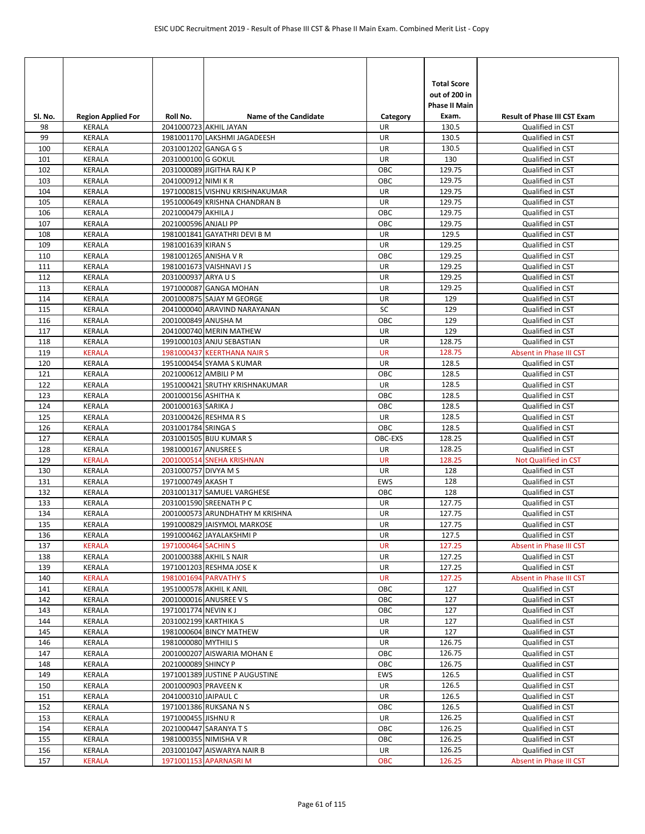|            |                           |                       |                                 |               | <b>Total Score</b><br>out of 200 in |                                      |
|------------|---------------------------|-----------------------|---------------------------------|---------------|-------------------------------------|--------------------------------------|
| Sl. No.    | <b>Region Applied For</b> | Roll No.              | <b>Name of the Candidate</b>    | Category      | <b>Phase II Main</b><br>Exam.       | <b>Result of Phase III CST Exam</b>  |
| 98         | <b>KERALA</b>             |                       | 2041000723 AKHIL JAYAN          | <b>UR</b>     | 130.5                               | Qualified in CST                     |
| 99         | <b>KERALA</b>             |                       | 1981001170 LAKSHMI JAGADEESH    | UR            | 130.5                               | Qualified in CST                     |
| 100        | KERALA                    | 2031001202 GANGA G S  |                                 | UR            | 130.5                               | Qualified in CST                     |
| 101        | KERALA                    | 2031000100 G GOKUL    |                                 | UR            | 130                                 | Qualified in CST                     |
| 102        | KERALA                    |                       | 2031000089 JIGITHA RAJ K P      | OBC           | 129.75                              | Qualified in CST                     |
| 103        | <b>KERALA</b>             | 2041000912 NIMI KR    |                                 | OBC           | 129.75                              | Qualified in CST                     |
| 104        | KERALA                    |                       | 1971000815 VISHNU KRISHNAKUMAR  | UR            | 129.75                              | Qualified in CST                     |
| 105        | KERALA                    |                       | 1951000649 KRISHNA CHANDRAN B   | UR            | 129.75                              | Qualified in CST                     |
| 106        | KERALA                    | 2021000479 AKHILA J   |                                 | OBC           | 129.75                              | Qualified in CST                     |
| 107        | KERALA                    | 2021000596 ANJALI PP  |                                 | OBC           | 129.75                              | Qualified in CST                     |
| 108        | KERALA                    |                       | 1981001841 GAYATHRI DEVI B M    | UR            | 129.5                               | Qualified in CST                     |
| 109        | KERALA                    | 1981001639 KIRAN S    |                                 | UR            | 129.25                              | Qualified in CST                     |
| 110        | <b>KERALA</b>             | 1981001265 ANISHA V R |                                 | OBC           | 129.25                              | Qualified in CST                     |
| 111        | KERALA                    |                       | 1981001673 VAISHNAVI J S        | UR            | 129.25                              | Qualified in CST                     |
| 112        | KERALA                    | 2031000937 ARYA U S   |                                 | UR            | 129.25                              | Qualified in CST                     |
| 113        | <b>KERALA</b>             |                       | 1971000087 GANGA MOHAN          | UR            | 129.25                              | Qualified in CST                     |
| 114        | <b>KERALA</b>             |                       | 2001000875 SAJAY M GEORGE       | UR            | 129                                 | Qualified in CST                     |
| 115        | KERALA                    |                       | 2041000040 ARAVIND NARAYANAN    | SC            | 129                                 | Qualified in CST                     |
| 116        | <b>KERALA</b>             | 2001000849 ANUSHA M   |                                 | OBC           | 129                                 | Qualified in CST                     |
| 117        | KERALA                    |                       | 2041000740 MERIN MATHEW         | UR            | 129                                 | Qualified in CST                     |
| 118        | KERALA                    |                       | 1991000103 ANJU SEBASTIAN       | UR            | 128.75                              | Qualified in CST                     |
| 119        | <b>KERALA</b>             |                       | 1981000437 KEERTHANA NAIR S     | <b>UR</b>     | 128.75                              | Absent in Phase III CST              |
| 120        | KERALA                    |                       | 1951000454 SYAMA S KUMAR        | UR            | 128.5                               | Qualified in CST                     |
| 121        | KERALA                    | 2021000612 AMBILI P M |                                 | OBC           | 128.5                               | Qualified in CST                     |
| 122        | KERALA                    |                       | 1951000421 SRUTHY KRISHNAKUMAR  | UR            | 128.5                               | Qualified in CST                     |
| 123        | KERALA                    | 2001000156 ASHITHA K  |                                 | OBC           | 128.5                               | Qualified in CST                     |
| 124        | <b>KERALA</b>             | 2001000163 SARIKA J   |                                 | OBC           | 128.5                               | Qualified in CST                     |
| 125        | KERALA                    |                       | 2031000426 RESHMA R S           | UR            | 128.5                               | Qualified in CST                     |
| 126        | <b>KERALA</b>             | 2031001784 SRINGA S   |                                 | OBC           | 128.5<br>128.25                     | Qualified in CST                     |
| 127        | KERALA<br>KERALA          | 1981000167 ANUSREE S  | 2031001505 BIJU KUMAR S         | OBC-EXS<br>UR | 128.25                              | Qualified in CST<br>Qualified in CST |
| 128<br>129 | <b>KERALA</b>             |                       | 2001000514 SNEHA KRISHNAN       | <b>UR</b>     | 128.25                              | Not Qualified in CST                 |
| 130        | KERALA                    | 2031000757 DIVYA M S  |                                 | UR            | 128                                 | Qualified in CST                     |
| 131        | KERALA                    | 1971000749 AKASH T    |                                 | <b>EWS</b>    | 128                                 | Qualified in CST                     |
| 132        | KERALA                    |                       | 2031001317 SAMUEL VARGHESE      | OBC           | 128                                 | Qualified in CST                     |
| 133        | KERALA                    |                       | 2031001590 SREENATH P C         | UR            | 127.75                              | Qualified in CST                     |
| 134        | <b>KERALA</b>             |                       | 2001000573 ARUNDHATHY M KRISHNA | UR            | 127.75                              | Qualified in CST                     |
| 135        | KERALA                    |                       | 1991000829 JAISYMOL MARKOSE     | <b>UR</b>     | 127.75                              | Qualified in CST                     |
| 136        | KERALA                    |                       | 1991000462 JAYALAKSHMI P        | UR            | 127.5                               | Qualified in CST                     |
| 137        | <b>KERALA</b>             | 1971000464 SACHIN S   |                                 | <b>UR</b>     | 127.25                              | Absent in Phase III CST              |
| 138        | <b>KERALA</b>             |                       | 2001000388 AKHIL S NAIR         | UR            | 127.25                              | Qualified in CST                     |
| 139        | KERALA                    |                       | 1971001203 RESHMA JOSE K        | UR            | 127.25                              | Qualified in CST                     |
| 140        | <b>KERALA</b>             |                       | 1981001694 PARVATHY S           | <b>UR</b>     | 127.25                              | Absent in Phase III CST              |
| 141        | KERALA                    |                       | 1951000578 AKHIL K ANIL         | ОВС           | 127                                 | Qualified in CST                     |
| 142        | KERALA                    |                       | 2001000016 ANUSREE V S          | ОВС           | 127                                 | Qualified in CST                     |
| 143        | <b>KERALA</b>             | 1971001774 NEVIN KJ   |                                 | OBC           | 127                                 | Qualified in CST                     |
| 144        | KERALA                    | 2031002199 KARTHIKA S |                                 | UR            | 127                                 | Qualified in CST                     |
| 145        | KERALA                    |                       | 1981000604 BINCY MATHEW         | UR            | 127                                 | Qualified in CST                     |
| 146        | KERALA                    | 1981000080 MYTHILI S  |                                 | UR            | 126.75                              | Qualified in CST                     |
| 147        | KERALA                    |                       | 2001000207 AISWARIA MOHAN E     | OBC           | 126.75                              | Qualified in CST                     |
| 148        | KERALA                    | 2021000089 SHINCY P   |                                 | OBC           | 126.75                              | Qualified in CST                     |
| 149        | KERALA                    |                       | 1971001389 JUSTINE P AUGUSTINE  | EWS           | 126.5                               | Qualified in CST                     |
| 150        | KERALA                    | 2001000903 PRAVEEN K  |                                 | UR            | 126.5                               | Qualified in CST                     |
| 151        | KERALA                    | 2041000310 JAIPAUL C  |                                 | UR            | 126.5                               | Qualified in CST                     |
| 152        | KERALA                    |                       | 1971001386 RUKSANA N S          | OBC           | 126.5                               | Qualified in CST                     |
| 153        | KERALA                    | 1971000455 JISHNU R   |                                 | UR            | 126.25                              | Qualified in CST                     |
| 154        | KERALA                    |                       | 2021000447 SARANYA T S          | OBC           | 126.25                              | Qualified in CST                     |
| 155        | KERALA                    |                       | 1981000355 NIMISHA V R          | OBC           | 126.25                              | Qualified in CST                     |
| 156        | KERALA                    |                       | 2031001047 AISWARYA NAIR B      | UR            | 126.25                              | Qualified in CST                     |
| 157        | <b>KERALA</b>             |                       | 1971001153 APARNASRI M          | <b>OBC</b>    | 126.25                              | Absent in Phase III CST              |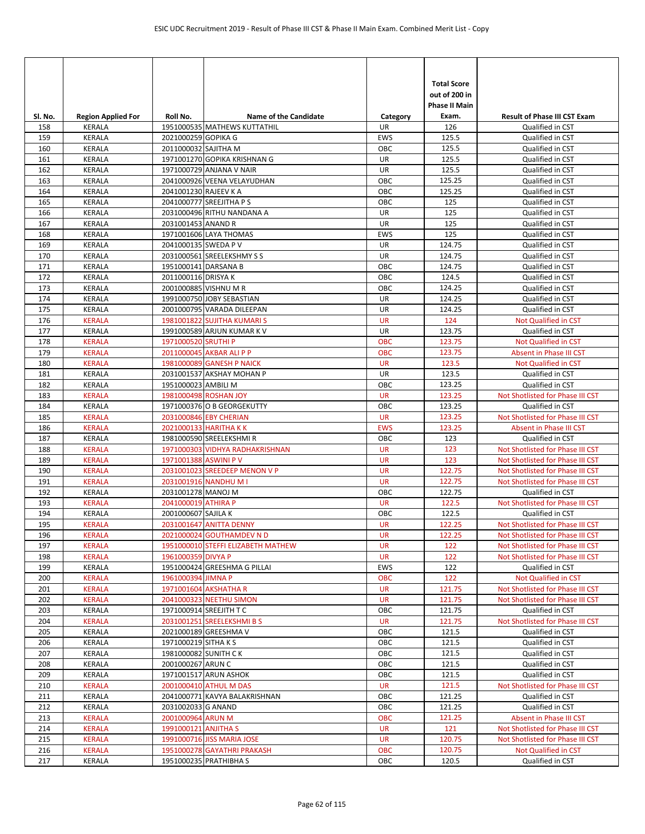|                |                                            |                       |                                                              |                         | <b>Total Score</b><br>out of 200 in<br><b>Phase II Main</b> |                                                         |
|----------------|--------------------------------------------|-----------------------|--------------------------------------------------------------|-------------------------|-------------------------------------------------------------|---------------------------------------------------------|
| SI. No.<br>158 | <b>Region Applied For</b><br><b>KERALA</b> | Roll No.              | <b>Name of the Candidate</b><br>1951000535 MATHEWS KUTTATHIL | Category<br><b>UR</b>   | Exam.<br>126                                                | <b>Result of Phase III CST Exam</b><br>Qualified in CST |
| 159            | KERALA                                     | 2021000259 GOPIKA G   |                                                              | <b>EWS</b>              | 125.5                                                       | Qualified in CST                                        |
| 160            | KERALA                                     | 2011000032 SAJITHA M  |                                                              | OBC                     | 125.5                                                       | Qualified in CST                                        |
| 161            | <b>KERALA</b>                              |                       | 1971001270 GOPIKA KRISHNAN G                                 | UR                      | 125.5                                                       | Qualified in CST                                        |
| 162            | KERALA                                     |                       | 1971000729 ANJANA V NAIR                                     | UR                      | 125.5                                                       | Qualified in CST                                        |
| 163            | KERALA                                     |                       | 2041000926 VEENA VELAYUDHAN                                  | OBC                     | 125.25                                                      | Qualified in CST                                        |
| 164            | <b>KERALA</b>                              | 2041001230 RAJEEV K A |                                                              | OBC                     | 125.25                                                      | Qualified in CST                                        |
| 165            | KERALA                                     |                       | 2041000777 SREEJITHA P S                                     | OBC                     | 125                                                         | Qualified in CST                                        |
| 166            | <b>KERALA</b>                              |                       | 2031000496 RITHU NANDANA A                                   | UR                      | 125                                                         | Qualified in CST                                        |
| 167            | <b>KERALA</b>                              | 2031001453 ANAND R    |                                                              | UR                      | 125                                                         | Qualified in CST                                        |
| 168            | KERALA                                     |                       | 1971001606 LAYA THOMAS                                       | EWS                     | 125                                                         | Qualified in CST                                        |
| 169            | <b>KERALA</b>                              | 2041000135 SWEDA P V  |                                                              | UR                      | 124.75                                                      | Qualified in CST                                        |
| 170            | KERALA                                     |                       | 2031000561 SREELEKSHMY S S                                   | UR                      | 124.75                                                      | Qualified in CST                                        |
| 171            | <b>KERALA</b>                              | 1951000141 DARSANA B  |                                                              | OBC                     | 124.75                                                      | Qualified in CST                                        |
| 172            | KERALA                                     | 2011000116 DRISYA K   |                                                              | OBC                     | 124.5                                                       | Qualified in CST                                        |
| 173            | <b>KERALA</b>                              |                       | 2001000885 VISHNU M R                                        | OBC                     | 124.25                                                      | Qualified in CST                                        |
| 174            | <b>KERALA</b>                              |                       | 1991000750 JOBY SEBASTIAN                                    | UR                      | 124.25                                                      | Qualified in CST                                        |
| 175            | KERALA                                     |                       | 2001000795 VARADA DILEEPAN                                   | UR                      | 124.25                                                      | Qualified in CST                                        |
| 176            | <b>KERALA</b>                              |                       | 1981001822 SUJITHA KUMARI S                                  | <b>UR</b>               | 124                                                         | Not Qualified in CST                                    |
| 177            | <b>KERALA</b>                              |                       | 1991000589 ARJUN KUMAR K V                                   | UR                      | 123.75                                                      | Qualified in CST                                        |
| 178            | <b>KERALA</b>                              | 1971000520 SRUTHI P   |                                                              | <b>OBC</b>              | 123.75                                                      | <b>Not Qualified in CST</b>                             |
| 179<br>180     | <b>KERALA</b><br><b>KERALA</b>             |                       | 2011000045 AKBAR ALI P P<br>1981000089 GANESH P NAICK        | <b>OBC</b><br><b>UR</b> | 123.75<br>123.5                                             | Absent in Phase III CST                                 |
| 181            | KERALA                                     |                       | 2031001537 AKSHAY MOHAN P                                    | UR                      | 123.5                                                       | Not Qualified in CST<br>Qualified in CST                |
| 182            | KERALA                                     | 1951000023 AMBILI M   |                                                              | OBC                     | 123.25                                                      | Qualified in CST                                        |
| 183            | <b>KERALA</b>                              |                       | 1981000498 ROSHAN JOY                                        | <b>UR</b>               | 123.25                                                      | Not Shotlisted for Phase III CST                        |
| 184            | <b>KERALA</b>                              |                       | 1971000376 O B GEORGEKUTTY                                   | OBC                     | 123.25                                                      | Qualified in CST                                        |
| 185            | <b>KERALA</b>                              |                       | 2031000846 EBY CHERIAN                                       | <b>UR</b>               | 123.25                                                      | Not Shotlisted for Phase III CST                        |
| 186            | <b>KERALA</b>                              |                       | 2021000133 HARITHA KK                                        | <b>EWS</b>              | 123.25                                                      | Absent in Phase III CST                                 |
| 187            | <b>KERALA</b>                              |                       | 1981000590 SREELEKSHMIR                                      | OBC                     | 123                                                         | Qualified in CST                                        |
| 188            | <b>KERALA</b>                              |                       | 1971000303 VIDHYA RADHAKRISHNAN                              | <b>UR</b>               | 123                                                         | Not Shotlisted for Phase III CST                        |
| 189            | <b>KERALA</b>                              | 1971001388 ASWINI P V |                                                              | <b>UR</b>               | 123                                                         | Not Shotlisted for Phase III CST                        |
| 190            | <b>KERALA</b>                              |                       | 2031001023 SREEDEEP MENON V P                                | <b>UR</b>               | 122.75                                                      | Not Shotlisted for Phase III CST                        |
| 191            | <b>KERALA</b>                              |                       | 2031001916 NANDHU M I                                        | <b>UR</b>               | 122.75                                                      | Not Shotlisted for Phase III CST                        |
| 192            | KERALA                                     | 2031001278 MANOJ M    |                                                              | OBC                     | 122.75                                                      | Qualified in CST                                        |
| 193            | <b>KERALA</b>                              | 2041000019 ATHIRA P   |                                                              | <b>UR</b>               | 122.5                                                       | Not Shotlisted for Phase III CST                        |
| 194            | KERALA                                     | 2001000607 SAJILA K   |                                                              | OBC                     | 122.5                                                       | Qualified in CST                                        |
| 195            | <b>KERALA</b>                              |                       | 2031001647 ANITTA DENNY                                      | <b>UR</b>               | 122.25                                                      | Not Shotlisted for Phase III CST                        |
| 196            | <b>KERALA</b>                              |                       | 2021000024 GOUTHAMDEV N D                                    | <b>UR</b>               | 122.25                                                      | Not Shotlisted for Phase III CST                        |
| 197            | <b>KERALA</b>                              |                       | 1951000010 STEFFI ELIZABETH MATHEW                           | <b>UR</b>               | 122                                                         | Not Shotlisted for Phase III CST                        |
| 198            | <b>KERALA</b>                              | 1961000359 DIVYA P    |                                                              | <b>UR</b>               | 122                                                         | Not Shotlisted for Phase III CST                        |
| 199            | KERALA                                     |                       | 1951000424 GREESHMA G PILLAI                                 | EWS                     | 122                                                         | Qualified in CST                                        |
| 200            | <b>KERALA</b>                              | 1961000394 JIMNA P    |                                                              | OBC                     | 122                                                         | Not Qualified in CST                                    |
| 201            | KERALA                                     |                       | 1971001604 AKSHATHA R                                        | <b>UR</b>               | 121.75                                                      | Not Shotlisted for Phase III CST                        |
| 202<br>203     | KERALA                                     |                       | 2041000323 NEETHU SIMON<br>1971000914 SREEJITH T C           | <b>UR</b><br>OBC        | 121.75<br>121.75                                            | Not Shotlisted for Phase III CST<br>Qualified in CST    |
| 204            | KERALA<br><b>KERALA</b>                    |                       | 2031001251 SREELEKSHMI B S                                   | <b>UR</b>               | 121.75                                                      | Not Shotlisted for Phase III CST                        |
| 205            | KERALA                                     |                       | 2021000189 GREESHMA V                                        | OBC                     | 121.5                                                       | Qualified in CST                                        |
| 206            | KERALA                                     | 1971000219 SITHA K S  |                                                              | ОВС                     | 121.5                                                       | Qualified in CST                                        |
| 207            | KERALA                                     | 1981000082 SUNITH CK  |                                                              | OBC                     | 121.5                                                       | Qualified in CST                                        |
| 208            | KERALA                                     | 2001000267 ARUN C     |                                                              | OBC                     | 121.5                                                       | Qualified in CST                                        |
| 209            | KERALA                                     |                       | 1971001517 ARUN ASHOK                                        | ОВС                     | 121.5                                                       | Qualified in CST                                        |
| 210            | <b>KERALA</b>                              |                       | 2001000410 ATHUL M DAS                                       | <b>UR</b>               | 121.5                                                       | Not Shotlisted for Phase III CST                        |
| 211            | KERALA                                     |                       | 2041000771 KAVYA BALAKRISHNAN                                | ОВС                     | 121.25                                                      | Qualified in CST                                        |
| 212            | KERALA                                     | 2031002033 G ANAND    |                                                              | OBC                     | 121.25                                                      | Qualified in CST                                        |
| 213            | <b>KERALA</b>                              | 2001000964 ARUN M     |                                                              | <b>OBC</b>              | 121.25                                                      | Absent in Phase III CST                                 |
| 214            | <b>KERALA</b>                              | 1991000121 ANJITHA S  |                                                              | <b>UR</b>               | 121                                                         | Not Shotlisted for Phase III CST                        |
| 215            | <b>KERALA</b>                              |                       | 1991000716 JISS MARIA JOSE                                   | UR                      | 120.75                                                      | Not Shotlisted for Phase III CST                        |
| 216            | <b>KERALA</b>                              |                       | 1951000278 GAYATHRI PRAKASH                                  | <b>OBC</b>              | 120.75                                                      | Not Qualified in CST                                    |
| 217            | KERALA                                     |                       | 1951000235 PRATHIBHA S                                       | OBC                     | 120.5                                                       | Qualified in CST                                        |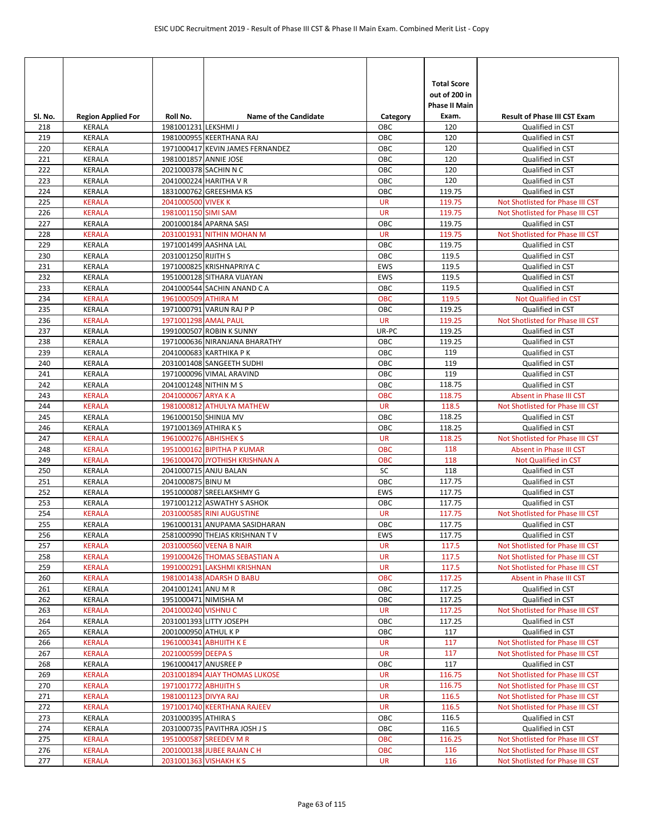| SI. No.    | <b>Region Applied For</b> | Roll No.              | <b>Name of the Candidate</b>                           | Category               | <b>Total Score</b><br>out of 200 in<br><b>Phase II Main</b><br>Exam. | <b>Result of Phase III CST Exam</b>                  |
|------------|---------------------------|-----------------------|--------------------------------------------------------|------------------------|----------------------------------------------------------------------|------------------------------------------------------|
| 218        | KERALA                    | 1981001231 LEKSHMI J  |                                                        | ОВС                    | 120                                                                  | Qualified in CST                                     |
| 219        | KERALA                    |                       | 1981000955 KEERTHANA RAJ                               | OBC                    | 120                                                                  | Qualified in CST                                     |
| 220        | <b>KERALA</b>             |                       | 1971000417 KEVIN JAMES FERNANDEZ                       | OBC                    | 120                                                                  | Qualified in CST                                     |
| 221        | <b>KERALA</b>             | 1981001857 ANNIE JOSE |                                                        | OBC                    | 120                                                                  | Qualified in CST                                     |
| 222        | <b>KERALA</b>             | 2021000378 SACHIN N C |                                                        | OBC                    | 120                                                                  | Qualified in CST                                     |
| 223        | KERALA                    |                       | 2041000224 HARITHA V R                                 | OBC                    | 120                                                                  | Qualified in CST                                     |
| 224        | KERALA                    |                       | 1831000762 GREESHMA KS                                 | OBC                    | 119.75                                                               | Qualified in CST                                     |
| 225        | <b>KERALA</b>             | 2041000500 VIVEK K    |                                                        | <b>UR</b><br><b>UR</b> | 119.75                                                               | Not Shotlisted for Phase III CST                     |
| 226<br>227 | <b>KERALA</b><br>KERALA   | 1981001150 SIMI SAM   | 2001000184 APARNA SASI                                 | OBC                    | 119.75<br>119.75                                                     | Not Shotlisted for Phase III CST<br>Qualified in CST |
| 228        | <b>KERALA</b>             |                       | 2031001931 NITHIN MOHAN M                              | <b>UR</b>              | 119.75                                                               | Not Shotlisted for Phase III CST                     |
| 229        | KERALA                    |                       | 1971001499 AASHNA LAL                                  | OBC                    | 119.75                                                               | Qualified in CST                                     |
| 230        | <b>KERALA</b>             | 2031001250 RIJITH S   |                                                        | OBC                    | 119.5                                                                | Qualified in CST                                     |
| 231        | <b>KERALA</b>             |                       | 1971000825 KRISHNAPRIYA C                              | EWS                    | 119.5                                                                | Qualified in CST                                     |
| 232        | <b>KERALA</b>             |                       | 1951000128 SITHARA VIJAYAN                             | EWS                    | 119.5                                                                | Qualified in CST                                     |
| 233        | KERALA                    |                       | 2041000544 SACHIN ANAND C A                            | OBC                    | 119.5                                                                | Qualified in CST                                     |
| 234        | <b>KERALA</b>             | 1961000509 ATHIRA M   |                                                        | <b>OBC</b>             | 119.5                                                                | Not Qualified in CST                                 |
| 235        | <b>KERALA</b>             |                       | 1971000791 VARUN RAJ P P                               | OBC                    | 119.25                                                               | Qualified in CST                                     |
| 236        | <b>KERALA</b>             | 1971001298 AMAL PAUL  |                                                        | <b>UR</b>              | 119.25                                                               | Not Shotlisted for Phase III CST                     |
| 237        | <b>KERALA</b>             |                       | 1991000507 ROBIN K SUNNY                               | UR-PC                  | 119.25                                                               | Qualified in CST                                     |
| 238        | <b>KERALA</b>             |                       | 1971000636 NIRANJANA BHARATHY                          | OBC                    | 119.25                                                               | Qualified in CST                                     |
| 239        | KERALA                    |                       | 2041000683 KARTHIKA P K                                | OBC                    | 119                                                                  | Qualified in CST                                     |
| 240        | <b>KERALA</b>             |                       | 2031001408 SANGEETH SUDHI                              | OBC                    | 119                                                                  | Qualified in CST                                     |
| 241        | <b>KERALA</b>             |                       | 1971000096 VIMAL ARAVIND                               | OBC                    | 119                                                                  | Qualified in CST                                     |
| 242        | <b>KERALA</b>             | 2041001248 NITHIN M S |                                                        | OBC                    | 118.75                                                               | Qualified in CST                                     |
| 243        | <b>KERALA</b>             | 2041000067 ARYA K A   |                                                        | <b>OBC</b>             | 118.75                                                               | Absent in Phase III CST                              |
| 244        | <b>KERALA</b>             |                       | 1981000812 ATHULYA MATHEW                              | <b>UR</b>              | 118.5                                                                | Not Shotlisted for Phase III CST                     |
| 245        | <b>KERALA</b>             | 1961000150 SHINIJA MV |                                                        | OBC                    | 118.25                                                               | Qualified in CST                                     |
| 246        | KERALA                    | 1971001369 ATHIRA K S |                                                        | OBC                    | 118.25                                                               | Qualified in CST                                     |
| 247        | <b>KERALA</b>             | 1961000276 ABHISHEK S |                                                        | <b>UR</b>              | 118.25                                                               | Not Shotlisted for Phase III CST                     |
| 248        | <b>KERALA</b>             |                       | 1951000162 BIPITHA P KUMAR                             | <b>OBC</b>             | 118                                                                  | <b>Absent in Phase III CST</b>                       |
| 249        | <b>KERALA</b>             |                       | 1961000470 JYOTHISH KRISHNAN A                         | <b>OBC</b>             | 118                                                                  | Not Qualified in CST                                 |
| 250        | <b>KERALA</b>             |                       | 2041000715 ANJU BALAN                                  | SC                     | 118                                                                  | Qualified in CST                                     |
| 251        | <b>KERALA</b>             | 2041000875 BINU M     |                                                        | OBC                    | 117.75                                                               | Qualified in CST                                     |
| 252<br>253 | <b>KERALA</b><br>KERALA   |                       | 1951000087 SREELAKSHMY G<br>1971001212 ASWATHY S ASHOK | EWS<br>OBC             | 117.75<br>117.75                                                     | Qualified in CST<br>Qualified in CST                 |
| 254        | <b>KERALA</b>             |                       | 2031000585 RINI AUGUSTINE                              | <b>UR</b>              | 117.75                                                               | Not Shotlisted for Phase III CST                     |
| 255        | <b>KERALA</b>             |                       | 1961000131 ANUPAMA SASIDHARAN                          | OBC                    | 117.75                                                               | Qualified in CST                                     |
| 256        | KERALA                    |                       | 2581000990 THEJAS KRISHNAN TV                          | EWS                    | 117.75                                                               | Qualified in CST                                     |
| 257        | <b>KERALA</b>             |                       | 2031000560 VEENA B NAIR                                | <b>UR</b>              | 117.5                                                                | Not Shotlisted for Phase III CST                     |
| 258        | <b>KERALA</b>             |                       | 1991000426 THOMAS SEBASTIAN A                          | <b>UR</b>              | 117.5                                                                | Not Shotlisted for Phase III CST                     |
| 259        | KERALA                    |                       | 1991000291 LAKSHMI KRISHNAN                            | <b>UR</b>              | 117.5                                                                | Not Shotlisted for Phase III CST                     |
| 260        | <b>KERALA</b>             |                       | 1981001438 ADARSH D BABU                               | <b>OBC</b>             | 117.25                                                               | Absent in Phase III CST                              |
| 261        | KERALA                    | 2041001241 ANU M R    |                                                        | ОВС                    | 117.25                                                               | Qualified in CST                                     |
| 262        | KERALA                    | 1951000471 NIMISHA M  |                                                        | OBC                    | 117.25                                                               | Qualified in CST                                     |
| 263        | <b>KERALA</b>             | 2041000240 VISHNU C   |                                                        | <b>UR</b>              | 117.25                                                               | Not Shotlisted for Phase III CST                     |
| 264        | KERALA                    |                       | 2031001393 LITTY JOSEPH                                | OBC                    | 117.25                                                               | Qualified in CST                                     |
| 265        | KERALA                    | 2001000950 ATHUL K P  |                                                        | OBC                    | 117                                                                  | Qualified in CST                                     |
| 266        | <b>KERALA</b>             |                       | 1961000341 ABHIJITH K E                                | <b>UR</b>              | 117                                                                  | Not Shotlisted for Phase III CST                     |
| 267        | <b>KERALA</b>             | 2021000599 DEEPA S    |                                                        | <b>UR</b>              | 117                                                                  | Not Shotlisted for Phase III CST                     |
| 268        | KERALA                    | 1961000417 ANUSREE P  |                                                        | OBC                    | 117                                                                  | Qualified in CST                                     |
| 269        | <b>KERALA</b>             |                       | 2031001894 AJAY THOMAS LUKOSE                          | <b>UR</b>              | 116.75                                                               | Not Shotlisted for Phase III CST                     |
| 270        | <b>KERALA</b>             | 1971001772 ABHIJITH S |                                                        | <b>UR</b>              | 116.75                                                               | Not Shotlisted for Phase III CST                     |
| 271        | <b>KERALA</b>             | 1981001123 DIVYA RAJ  |                                                        | <b>UR</b>              | 116.5                                                                | Not Shotlisted for Phase III CST                     |
| 272        | <b>KERALA</b>             |                       | 1971001740 KEERTHANA RAJEEV                            | <b>UR</b>              | 116.5                                                                | Not Shotlisted for Phase III CST                     |
| 273        | KERALA                    | 2031000395 ATHIRA S   |                                                        | OBC                    | 116.5                                                                | Qualified in CST                                     |
| 274        | <b>KERALA</b>             |                       | 2031000735 PAVITHRA JOSH J S                           | OBC                    | 116.5                                                                | Qualified in CST                                     |
| 275        | <b>KERALA</b>             |                       | 1951000587 SREEDEV M R                                 | OBC                    | 116.25                                                               | Not Shotlisted for Phase III CST                     |
| 276        | <b>KERALA</b>             |                       | 2001000138 JUBEE RAJAN C H                             | OBC                    | 116                                                                  | Not Shotlisted for Phase III CST                     |
| 277        | <b>KERALA</b>             |                       | 2031001363 VISHAKH K S                                 | <b>UR</b>              | 116                                                                  | Not Shotlisted for Phase III CST                     |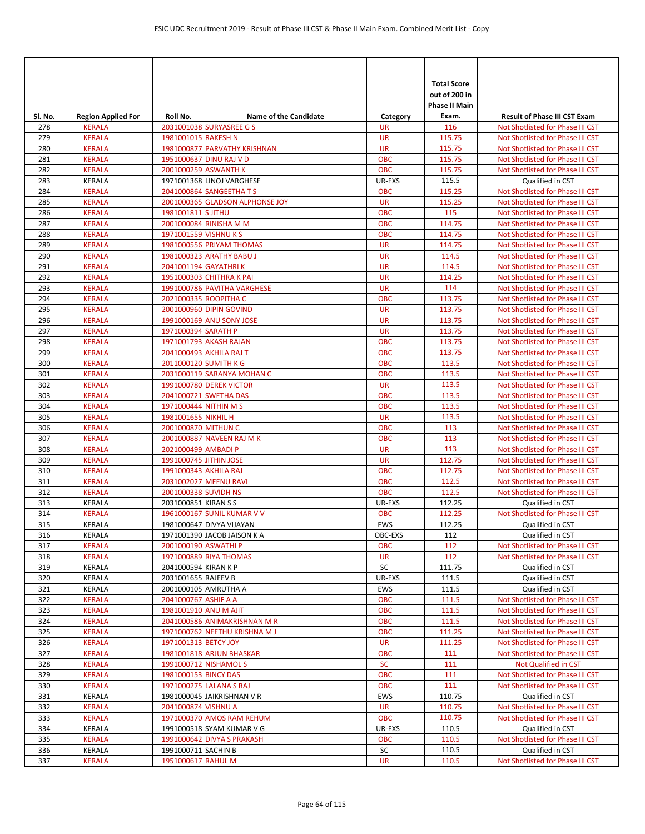|            |                                |                        |                                                               |                         | <b>Total Score</b><br>out of 200 in<br><b>Phase II Main</b> |                                                                      |
|------------|--------------------------------|------------------------|---------------------------------------------------------------|-------------------------|-------------------------------------------------------------|----------------------------------------------------------------------|
| Sl. No.    | <b>Region Applied For</b>      | Roll No.               | <b>Name of the Candidate</b><br>2031001038 SURYASREE G S      | Category                | Exam.<br>116                                                | <b>Result of Phase III CST Exam</b>                                  |
| 278<br>279 | <b>KERALA</b><br><b>KERALA</b> | 1981001015 RAKESH N    |                                                               | <b>UR</b><br><b>UR</b>  | 115.75                                                      | Not Shotlisted for Phase III CST<br>Not Shotlisted for Phase III CST |
| 280        | <b>KERALA</b>                  |                        | 1981000877 PARVATHY KRISHNAN                                  | <b>UR</b>               | 115.75                                                      | Not Shotlisted for Phase III CST                                     |
| 281        | <b>KERALA</b>                  |                        | 1951000637 DINU RAJ V D                                       | <b>OBC</b>              | 115.75                                                      | Not Shotlisted for Phase III CST                                     |
| 282        | <b>KERALA</b>                  |                        | 2001000259 ASWANTH K                                          | OBC                     | 115.75                                                      | Not Shotlisted for Phase III CST                                     |
| 283        | KERALA                         |                        | 1971001368 LINOJ VARGHESE                                     | UR-EXS                  | 115.5                                                       | Qualified in CST                                                     |
| 284        | <b>KERALA</b>                  |                        | 2041000864 SANGEETHATS                                        | <b>OBC</b>              | 115.25                                                      | Not Shotlisted for Phase III CST                                     |
| 285        | <b>KERALA</b>                  |                        | 2001000365 GLADSON ALPHONSE JOY                               | <b>UR</b>               | 115.25                                                      | Not Shotlisted for Phase III CST                                     |
| 286        | <b>KERALA</b>                  | 1981001811 S JITHU     |                                                               | OBC                     | 115                                                         | Not Shotlisted for Phase III CST                                     |
| 287        | <b>KERALA</b>                  |                        | 2001000084 RINISHA M M                                        | <b>OBC</b>              | 114.75                                                      | Not Shotlisted for Phase III CST                                     |
| 288        | <b>KERALA</b>                  | 1971001559 VISHNU KS   |                                                               | <b>OBC</b>              | 114.75                                                      | Not Shotlisted for Phase III CST                                     |
| 289        | <b>KERALA</b>                  |                        | 1981000556 PRIYAM THOMAS                                      | <b>UR</b>               | 114.75                                                      | Not Shotlisted for Phase III CST                                     |
| 290        | <b>KERALA</b>                  |                        | 1981000323 ARATHY BABU J                                      | <b>UR</b>               | 114.5                                                       | Not Shotlisted for Phase III CST                                     |
| 291        | <b>KERALA</b>                  | 2041001194 GAYATHRIK   |                                                               | <b>UR</b>               | 114.5                                                       | Not Shotlisted for Phase III CST                                     |
| 292        | <b>KERALA</b>                  |                        | 1951000303 CHITHRA K PAI                                      | <b>UR</b>               | 114.25                                                      | Not Shotlisted for Phase III CST                                     |
| 293        | <b>KERALA</b>                  |                        | 1991000786 PAVITHA VARGHESE                                   | <b>UR</b>               | 114                                                         | Not Shotlisted for Phase III CST                                     |
| 294        | <b>KERALA</b>                  |                        | 2021000335 ROOPITHA C                                         | <b>OBC</b>              | 113.75                                                      | Not Shotlisted for Phase III CST                                     |
| 295        | <b>KERALA</b>                  |                        | 2001000960 DIPIN GOVIND                                       | <b>UR</b>               | 113.75                                                      | Not Shotlisted for Phase III CST                                     |
| 296        | <b>KERALA</b>                  |                        | 1991000169 ANU SONY JOSE                                      | <b>UR</b>               | 113.75                                                      | Not Shotlisted for Phase III CST                                     |
| 297        | <b>KERALA</b>                  | 1971000394 SARATH P    |                                                               | <b>UR</b>               | 113.75                                                      | Not Shotlisted for Phase III CST                                     |
| 298        | <b>KERALA</b>                  |                        | 1971001793 AKASH RAJAN                                        | <b>OBC</b>              | 113.75                                                      | Not Shotlisted for Phase III CST                                     |
| 299        | <b>KERALA</b>                  |                        | 2041000493 AKHILA RAJ T                                       | <b>OBC</b>              | 113.75                                                      | Not Shotlisted for Phase III CST                                     |
| 300        | <b>KERALA</b>                  | 2011000120 SUMITH K G  |                                                               | <b>OBC</b>              | 113.5                                                       | Not Shotlisted for Phase III CST                                     |
| 301        | <b>KERALA</b>                  |                        | 2031000119 SARANYA MOHAN C                                    | <b>OBC</b>              | 113.5<br>113.5                                              | Not Shotlisted for Phase III CST                                     |
| 302<br>303 | <b>KERALA</b><br><b>KERALA</b> |                        | 1991000780 DEREK VICTOR<br>2041000721 SWETHA DAS              | <b>UR</b><br><b>OBC</b> | 113.5                                                       | Not Shotlisted for Phase III CST<br>Not Shotlisted for Phase III CST |
| 304        | <b>KERALA</b>                  | 1971000444 NITHIN M S  |                                                               | <b>OBC</b>              | 113.5                                                       | Not Shotlisted for Phase III CST                                     |
| 305        | <b>KERALA</b>                  | 1981001655 NIKHIL H    |                                                               | <b>UR</b>               | 113.5                                                       | Not Shotlisted for Phase III CST                                     |
| 306        | <b>KERALA</b>                  | 2001000870 MITHUN C    |                                                               | <b>OBC</b>              | 113                                                         | Not Shotlisted for Phase III CST                                     |
| 307        | <b>KERALA</b>                  |                        | 2001000887 NAVEEN RAJ M K                                     | <b>OBC</b>              | 113                                                         | Not Shotlisted for Phase III CST                                     |
| 308        | <b>KERALA</b>                  | 2021000499 AMBADI P    |                                                               | <b>UR</b>               | 113                                                         | Not Shotlisted for Phase III CST                                     |
| 309        | <b>KERALA</b>                  | 1991000745 JITHIN JOSE |                                                               | <b>UR</b>               | 112.75                                                      | Not Shotlisted for Phase III CST                                     |
| 310        | <b>KERALA</b>                  | 1991000343 AKHILA RAJ  |                                                               | <b>OBC</b>              | 112.75                                                      | Not Shotlisted for Phase III CST                                     |
| 311        | <b>KERALA</b>                  |                        | 2031002027 MEENU RAVI                                         | <b>OBC</b>              | 112.5                                                       | Not Shotlisted for Phase III CST                                     |
| 312        | <b>KERALA</b>                  | 2001000338 SUVIDH NS   |                                                               | <b>OBC</b>              | 112.5                                                       | Not Shotlisted for Phase III CST                                     |
| 313        | KERALA                         | 2031000851 KIRAN S S   |                                                               | UR-EXS                  | 112.25                                                      | Qualified in CST                                                     |
| 314        | <b>KERALA</b>                  |                        | 1961000167 SUNIL KUMAR V V                                    | <b>OBC</b>              | 112.25                                                      | Not Shotlisted for Phase III CST                                     |
| 315        | KERALA                         |                        | 1981000647 DIVYA VIJAYAN                                      | <b>EWS</b>              | 112.25                                                      | Qualified in CST                                                     |
| 316        | KERALA                         |                        | 1971001390 JACOB JAISON K A                                   | OBC-EXS                 | 112                                                         | Qualified in CST                                                     |
| 317        | <b>KERALA</b>                  | 2001000190 ASWATHI P   |                                                               | <b>OBC</b>              | 112                                                         | Not Shotlisted for Phase III CST                                     |
| 318        | <b>KERALA</b>                  |                        | 1971000889 RIYA THOMAS                                        | UR                      | 112                                                         | Not Shotlisted for Phase III CST                                     |
| 319        | KERALA                         | 2041000594 KIRAN K P   |                                                               | SC                      | 111.75                                                      | Qualified in CST                                                     |
| 320        | <b>KERALA</b>                  | 2031001655 RAJEEV B    |                                                               | UR-EXS                  | 111.5                                                       | Qualified in CST                                                     |
| 321        | <b>KERALA</b>                  |                        | 2001000105 AMRUTHA A                                          | <b>EWS</b>              | 111.5                                                       | Qualified in CST                                                     |
| 322        | <b>KERALA</b>                  | 2041000767 ASHIF A A   |                                                               | <b>OBC</b>              | 111.5                                                       | Not Shotlisted for Phase III CST                                     |
| 323        | <b>KERALA</b>                  | 1981001910 ANU M AJIT  |                                                               | <b>OBC</b>              | 111.5                                                       | Not Shotlisted for Phase III CST                                     |
| 324<br>325 | KERALA<br><b>KERALA</b>        |                        | 2041000586 ANIMAKRISHNAN M R<br>1971000762 NEETHU KRISHNA M J | <b>OBC</b><br>OBC       | 111.5<br>111.25                                             | Not Shotlisted for Phase III CST<br>Not Shotlisted for Phase III CST |
| 326        | <b>KERALA</b>                  | 1971001313 BETCY JOY   |                                                               | <b>UR</b>               | 111.25                                                      | Not Shotlisted for Phase III CST                                     |
| 327        | <b>KERALA</b>                  |                        | 1981001818 ARJUN BHASKAR                                      | <b>OBC</b>              | 111                                                         | Not Shotlisted for Phase III CST                                     |
| 328        | <b>KERALA</b>                  |                        | 1991000712 NISHAMOL S                                         | <b>SC</b>               | 111                                                         | Not Qualified in CST                                                 |
| 329        | KERALA                         | 1981000153 BINCY DAS   |                                                               | <b>OBC</b>              | 111                                                         | Not Shotlisted for Phase III CST                                     |
| 330        | <b>KERALA</b>                  |                        | 1971000275 LALANA S RAJ                                       | OBC                     | 111                                                         | Not Shotlisted for Phase III CST                                     |
| 331        | <b>KERALA</b>                  |                        | 1981000045 JAIKRISHNAN V R                                    | <b>EWS</b>              | 110.75                                                      | Qualified in CST                                                     |
| 332        | <b>KERALA</b>                  | 2041000874 VISHNU A    |                                                               | <b>UR</b>               | 110.75                                                      | Not Shotlisted for Phase III CST                                     |
| 333        | <b>KERALA</b>                  |                        | 1971000370 AMOS RAM REHUM                                     | <b>OBC</b>              | 110.75                                                      | Not Shotlisted for Phase III CST                                     |
| 334        | KERALA                         |                        | 1991000518 SYAM KUMAR V G                                     | UR-EXS                  | 110.5                                                       | Qualified in CST                                                     |
| 335        | <b>KERALA</b>                  |                        | 1991000642 DIVYA S PRAKASH                                    | <b>OBC</b>              | 110.5                                                       | Not Shotlisted for Phase III CST                                     |
| 336        | KERALA                         | 1991000711 SACHIN B    |                                                               | SC                      | 110.5                                                       | Qualified in CST                                                     |
| 337        | <b>KERALA</b>                  | 1951000617 RAHUL M     |                                                               | UR                      | 110.5                                                       | Not Shotlisted for Phase III CST                                     |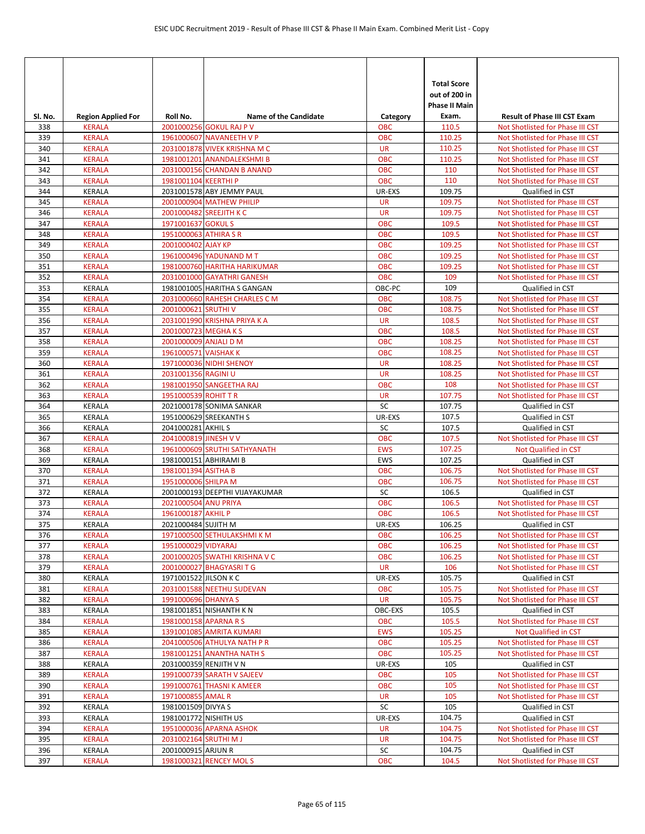| SI. No.    | <b>Region Applied For</b>      | Roll No.               | <b>Name of the Candidate</b>   | Category                | <b>Total Score</b><br>out of 200 in<br><b>Phase II Main</b><br>Exam. | <b>Result of Phase III CST Exam</b>                                  |
|------------|--------------------------------|------------------------|--------------------------------|-------------------------|----------------------------------------------------------------------|----------------------------------------------------------------------|
| 338        | <b>KERALA</b>                  |                        | 2001000256 GOKUL RAJ P V       | <b>OBC</b>              | 110.5                                                                | Not Shotlisted for Phase III CST                                     |
| 339        | <b>KERALA</b>                  |                        | 1961000607 NAVANEETH V P       | <b>OBC</b>              | 110.25                                                               | Not Shotlisted for Phase III CST                                     |
| 340        | <b>KERALA</b>                  |                        | 2031001878 VIVEK KRISHNA M C   | <b>UR</b>               | 110.25                                                               | Not Shotlisted for Phase III CST                                     |
| 341        | <b>KERALA</b>                  |                        | 1981001201 ANANDALEKSHMI B     | <b>OBC</b>              | 110.25                                                               | Not Shotlisted for Phase III CST                                     |
| 342        | <b>KERALA</b>                  |                        | 2031000156 CHANDAN B ANAND     | OBC                     | 110                                                                  | Not Shotlisted for Phase III CST                                     |
| 343        | <b>KERALA</b>                  | 1981001104 KEERTHI P   |                                | <b>OBC</b>              | 110                                                                  | Not Shotlisted for Phase III CST                                     |
| 344        | <b>KERALA</b>                  |                        | 2031001578 ABY JEMMY PAUL      | UR-EXS                  | 109.75                                                               | Qualified in CST                                                     |
| 345        | <b>KERALA</b>                  |                        | 2001000904 MATHEW PHILIP       | <b>UR</b>               | 109.75                                                               | Not Shotlisted for Phase III CST                                     |
| 346        | <b>KERALA</b>                  |                        | 2001000482 SREEJITH K C        | <b>UR</b>               | 109.75                                                               | Not Shotlisted for Phase III CST                                     |
| 347        | <b>KERALA</b>                  | 1971001637 GOKUL S     |                                | OBC                     | 109.5                                                                | Not Shotlisted for Phase III CST                                     |
| 348        | <b>KERALA</b>                  | 1951000063 ATHIRA S R  |                                | <b>OBC</b>              | 109.5                                                                | Not Shotlisted for Phase III CST                                     |
| 349        | <b>KERALA</b>                  | 2001000402 AJAY KP     |                                | <b>OBC</b>              | 109.25                                                               | Not Shotlisted for Phase III CST                                     |
| 350        | <b>KERALA</b>                  |                        | 1961000496 YADUNAND M T        | <b>OBC</b>              | 109.25                                                               | Not Shotlisted for Phase III CST                                     |
| 351        | <b>KERALA</b>                  |                        | 1981000760 HARITHA HARIKUMAR   | <b>OBC</b>              | 109.25                                                               | Not Shotlisted for Phase III CST                                     |
| 352        | <b>KERALA</b>                  |                        | 2031001000 GAYATHRI GANESH     | <b>OBC</b>              | 109                                                                  | Not Shotlisted for Phase III CST                                     |
| 353        | <b>KERALA</b>                  |                        | 1981001005 HARITHA S GANGAN    | OBC-PC                  | 109                                                                  | Qualified in CST                                                     |
| 354        | <b>KERALA</b>                  |                        | 2031000660 RAHESH CHARLES C M  | <b>OBC</b>              | 108.75                                                               | Not Shotlisted for Phase III CST                                     |
| 355<br>356 | <b>KERALA</b><br><b>KERALA</b> | 2001000621 SRUTHI V    | 2031001990 KRISHNA PRIYA K A   | <b>OBC</b><br><b>UR</b> | 108.75<br>108.5                                                      | Not Shotlisted for Phase III CST<br>Not Shotlisted for Phase III CST |
| 357        | <b>KERALA</b>                  | 2001000723 MEGHAKS     |                                | <b>OBC</b>              | 108.5                                                                | Not Shotlisted for Phase III CST                                     |
| 358        | <b>KERALA</b>                  | 2001000009 ANJALI D M  |                                | <b>OBC</b>              | 108.25                                                               | Not Shotlisted for Phase III CST                                     |
| 359        | <b>KERALA</b>                  | 1961000571 VAISHAK K   |                                | <b>OBC</b>              | 108.25                                                               | Not Shotlisted for Phase III CST                                     |
| 360        | <b>KERALA</b>                  |                        | 1971000036 NIDHI SHENOY        | <b>UR</b>               | 108.25                                                               | Not Shotlisted for Phase III CST                                     |
| 361        | <b>KERALA</b>                  | 2031001356 RAGINI U    |                                | <b>UR</b>               | 108.25                                                               | Not Shotlisted for Phase III CST                                     |
| 362        | <b>KERALA</b>                  |                        | 1981001950 SANGEETHA RAJ       | <b>OBC</b>              | 108                                                                  | Not Shotlisted for Phase III CST                                     |
| 363        | <b>KERALA</b>                  | 1951000539 ROHIT TR    |                                | <b>UR</b>               | 107.75                                                               | Not Shotlisted for Phase III CST                                     |
| 364        | <b>KERALA</b>                  |                        | 2021000178 SONIMA SANKAR       | SC                      | 107.75                                                               | Qualified in CST                                                     |
| 365        | KERALA                         |                        | 1951000629 SREEKANTH S         | UR-EXS                  | 107.5                                                                | Qualified in CST                                                     |
| 366        | KERALA                         | 2041000281 AKHIL S     |                                | SC                      | 107.5                                                                | Qualified in CST                                                     |
| 367        | <b>KERALA</b>                  | 2041000819 JINESH V V  |                                | OBC                     | 107.5                                                                | Not Shotlisted for Phase III CST                                     |
| 368        | <b>KERALA</b>                  |                        | 1961000609 SRUTHI SATHYANATH   | <b>EWS</b>              | 107.25                                                               | Not Qualified in CST                                                 |
| 369        | <b>KERALA</b>                  | 1981000151 ABHIRAMI B  |                                | <b>EWS</b>              | 107.25                                                               | Qualified in CST                                                     |
| 370        | <b>KERALA</b>                  | 1981001394 ASITHA B    |                                | <b>OBC</b>              | 106.75                                                               | Not Shotlisted for Phase III CST                                     |
| 371        | <b>KERALA</b>                  | 1951000006 SHILPA M    |                                | <b>OBC</b>              | 106.75                                                               | Not Shotlisted for Phase III CST                                     |
| 372        | KERALA                         |                        | 2001000193 DEEPTHI VIJAYAKUMAR | SC                      | 106.5                                                                | Qualified in CST                                                     |
| 373        | <b>KERALA</b>                  | 2021000504 ANU PRIYA   |                                | <b>OBC</b>              | 106.5                                                                | Not Shotlisted for Phase III CST                                     |
| 374        | <b>KERALA</b>                  | 1961000187 AKHIL P     |                                | <b>OBC</b>              | 106.5                                                                | Not Shotlisted for Phase III CST                                     |
| 375        | KERALA                         | 2021000484 SUJITH M    |                                | UR-EXS                  | 106.25                                                               | Qualified in CST                                                     |
| 376        | <b>KERALA</b>                  |                        | 1971000500 SETHULAKSHMI K M    | <b>OBC</b>              | 106.25                                                               | Not Shotlisted for Phase III CST                                     |
| 377        | <b>KERALA</b>                  | 1951000029 VIDYARAJ    |                                | <b>OBC</b>              | 106.25                                                               | Not Shotlisted for Phase III CST                                     |
| 378        | <b>KERALA</b>                  |                        | 2001000205 SWATHI KRISHNA V C  | <b>OBC</b>              | 106.25                                                               | Not Shotlisted for Phase III CST                                     |
| 379        | <b>KERALA</b>                  |                        | 2001000027 BHAGYASRI T G       | <b>UR</b>               | 106                                                                  | Not Shotlisted for Phase III CST                                     |
| 380        | KERALA                         | 1971001522 JILSON K C  | 2031001588 NEETHU SUDEVAN      | UR-EXS                  | 105.75<br>105.75                                                     | Qualified in CST                                                     |
| 381<br>382 | <b>KERALA</b><br><b>KERALA</b> | 1991000696 DHANYA S    |                                | <b>OBC</b><br><b>UR</b> | 105.75                                                               | Not Shotlisted for Phase III CST<br>Not Shotlisted for Phase III CST |
| 383        | KERALA                         |                        | 1981001851 NISHANTH KN         | OBC-EXS                 | 105.5                                                                | Qualified in CST                                                     |
| 384        | <b>KERALA</b>                  | 1981000158 APARNA R S  |                                | <b>OBC</b>              | 105.5                                                                | Not Shotlisted for Phase III CST                                     |
| 385        | <b>KERALA</b>                  |                        | 1391001085 AMRITA KUMARI       | <b>EWS</b>              | 105.25                                                               | Not Qualified in CST                                                 |
| 386        | <b>KERALA</b>                  |                        | 2041000506 ATHULYA NATH P R    | <b>OBC</b>              | 105.25                                                               | Not Shotlisted for Phase III CST                                     |
| 387        | <b>KERALA</b>                  |                        | 1981001251 ANANTHA NATH S      | <b>OBC</b>              | 105.25                                                               | Not Shotlisted for Phase III CST                                     |
| 388        | KERALA                         | 2031000359 RENJITH V N |                                | UR-EXS                  | 105                                                                  | Qualified in CST                                                     |
| 389        | <b>KERALA</b>                  |                        | 1991000739 SARATH V SAJEEV     | <b>OBC</b>              | 105                                                                  | Not Shotlisted for Phase III CST                                     |
| 390        | <b>KERALA</b>                  |                        | 1991000761 THASNI K AMEER      | <b>OBC</b>              | 105                                                                  | Not Shotlisted for Phase III CST                                     |
| 391        | KERALA                         | 1971000855 AMAL R      |                                | <b>UR</b>               | 105                                                                  | Not Shotlisted for Phase III CST                                     |
| 392        | KERALA                         | 1981001509 DIVYA S     |                                | SC                      | 105                                                                  | Qualified in CST                                                     |
| 393        | KERALA                         | 1981001772 NISHITH US  |                                | UR-EXS                  | 104.75                                                               | Qualified in CST                                                     |
| 394        | <b>KERALA</b>                  |                        | 1951000036 APARNA ASHOK        | <b>UR</b>               | 104.75                                                               | Not Shotlisted for Phase III CST                                     |
| 395        | <b>KERALA</b>                  | 2031002164 SRUTHI M J  |                                | <b>UR</b>               | 104.75                                                               | Not Shotlisted for Phase III CST                                     |
| 396        | KERALA                         | 2001000915 ARJUN R     |                                | SC                      | 104.75                                                               | Qualified in CST                                                     |
| 397        | <b>KERALA</b>                  |                        | 1981000321 RENCEY MOLS         | <b>OBC</b>              | 104.5                                                                | Not Shotlisted for Phase III CST                                     |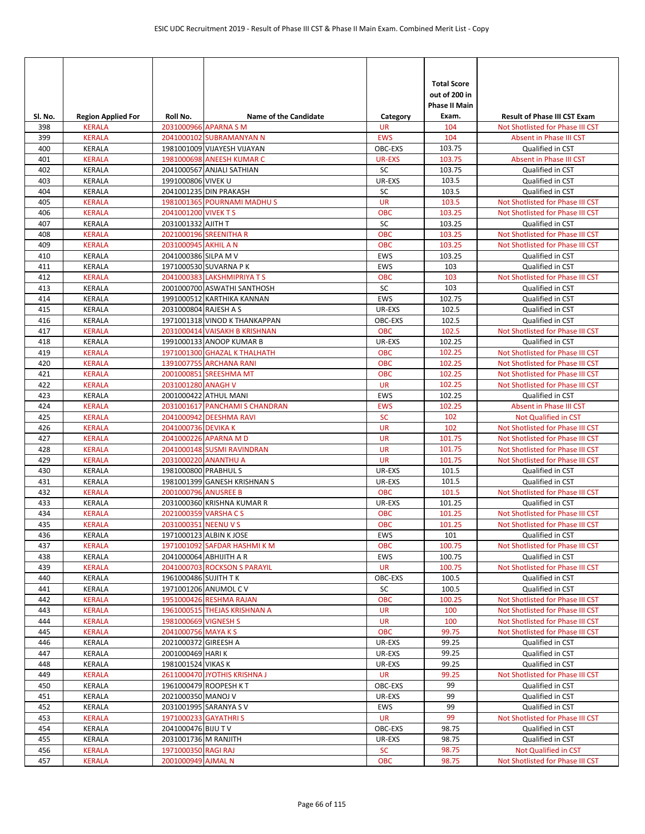| Sl. No.    | <b>Region Applied For</b>      | Roll No.              | <b>Name of the Candidate</b>                     | Category         | <b>Total Score</b><br>out of 200 in<br><b>Phase II Main</b><br>Exam. | <b>Result of Phase III CST Exam</b>                  |
|------------|--------------------------------|-----------------------|--------------------------------------------------|------------------|----------------------------------------------------------------------|------------------------------------------------------|
| 398        | <b>KERALA</b>                  |                       | 2031000966 APARNA S M                            | <b>UR</b>        | 104                                                                  | Not Shotlisted for Phase III CST                     |
| 399        | <b>KERALA</b>                  |                       | 2041000102 SUBRAMANYAN N                         | <b>EWS</b>       | 104                                                                  | Absent in Phase III CST                              |
| 400        | KERALA                         |                       | 1981001009 VIJAYESH VIJAYAN                      | OBC-EXS          | 103.75                                                               | Qualified in CST                                     |
| 401        | <b>KERALA</b>                  |                       | 1981000698 ANEESH KUMAR C                        | <b>UR-EXS</b>    | 103.75                                                               | Absent in Phase III CST                              |
| 402        | <b>KERALA</b>                  |                       | 2041000567 ANJALI SATHIAN                        | SC               | 103.75                                                               | Qualified in CST                                     |
| 403        | <b>KERALA</b>                  | 1991000806 VIVEK U    |                                                  | UR-EXS           | 103.5                                                                | Qualified in CST                                     |
| 404        | <b>KERALA</b>                  |                       | 2041001235 DIN PRAKASH                           | SC               | 103.5                                                                | Qualified in CST                                     |
| 405        | <b>KERALA</b>                  |                       | 1981001365 POURNAMI MADHU S                      | <b>UR</b>        | 103.5                                                                | Not Shotlisted for Phase III CST                     |
| 406        | <b>KERALA</b>                  | 2041001200 VIVEK TS   |                                                  | <b>OBC</b>       | 103.25                                                               | Not Shotlisted for Phase III CST                     |
| 407        | <b>KERALA</b>                  | 2031001332 AJITH T    |                                                  | SC               | 103.25                                                               | Qualified in CST                                     |
| 408        | <b>KERALA</b>                  |                       | 2021000196 SREENITHA R                           | <b>OBC</b>       | 103.25                                                               | Not Shotlisted for Phase III CST                     |
| 409        | <b>KERALA</b>                  | 2031000945 AKHIL A N  |                                                  | <b>OBC</b>       | 103.25                                                               | Not Shotlisted for Phase III CST                     |
| 410        | KERALA                         | 2041000386 SILPA M V  |                                                  | <b>EWS</b>       | 103.25                                                               | Qualified in CST                                     |
| 411        | <b>KERALA</b>                  |                       | 1971000530 SUVARNA PK                            | <b>EWS</b>       | 103                                                                  | Qualified in CST                                     |
| 412        | <b>KERALA</b>                  |                       | 2041000383 LAKSHMIPRIYA TS                       | <b>OBC</b>       | 103                                                                  | Not Shotlisted for Phase III CST                     |
| 413<br>414 | <b>KERALA</b>                  |                       | 2001000700 ASWATHI SANTHOSH                      | SC<br><b>EWS</b> | 103<br>102.75                                                        | Qualified in CST                                     |
| 415        | <b>KERALA</b><br><b>KERALA</b> | 2031000804 RAJESH A S | 1991000512 KARTHIKA KANNAN                       | UR-EXS           | 102.5                                                                | Qualified in CST<br>Qualified in CST                 |
| 416        | <b>KERALA</b>                  |                       | 1971001318 VINOD K THANKAPPAN                    | OBC-EXS          | 102.5                                                                | Qualified in CST                                     |
| 417        | <b>KERALA</b>                  |                       | 2031000414 VAISAKH B KRISHNAN                    | <b>OBC</b>       | 102.5                                                                | Not Shotlisted for Phase III CST                     |
| 418        | KERALA                         |                       | 1991000133 ANOOP KUMAR B                         | UR-EXS           | 102.25                                                               | Qualified in CST                                     |
| 419        | <b>KERALA</b>                  |                       | 1971001300 GHAZAL K THALHATH                     | <b>OBC</b>       | 102.25                                                               | Not Shotlisted for Phase III CST                     |
| 420        | <b>KERALA</b>                  |                       | 1391007755 ARCHANA RANI                          | <b>OBC</b>       | 102.25                                                               | Not Shotlisted for Phase III CST                     |
| 421        | <b>KERALA</b>                  |                       | 2001000851 SREESHMA MT                           | <b>OBC</b>       | 102.25                                                               | Not Shotlisted for Phase III CST                     |
| 422        | <b>KERALA</b>                  | 2031001280 ANAGH V    |                                                  | <b>UR</b>        | 102.25                                                               | Not Shotlisted for Phase III CST                     |
| 423        | KERALA                         |                       | 2001000422 ATHUL MANI                            | EWS              | 102.25                                                               | Qualified in CST                                     |
| 424        | <b>KERALA</b>                  |                       | 2031001617 PANCHAMI S CHANDRAN                   | <b>EWS</b>       | 102.25                                                               | Absent in Phase III CST                              |
| 425        | <b>KERALA</b>                  |                       | 2041000942 DEESHMA RAVI                          | <b>SC</b>        | 102                                                                  | Not Qualified in CST                                 |
| 426        | <b>KERALA</b>                  | 2041000736 DEVIKA K   |                                                  | <b>UR</b>        | 102                                                                  | Not Shotlisted for Phase III CST                     |
| 427        | <b>KERALA</b>                  |                       | 2041000226 APARNA M D                            | <b>UR</b>        | 101.75                                                               | Not Shotlisted for Phase III CST                     |
| 428        | <b>KERALA</b>                  |                       | 2041000148 SUSMI RAVINDRAN                       | <b>UR</b>        | 101.75                                                               | Not Shotlisted for Phase III CST                     |
| 429        | <b>KERALA</b>                  |                       | 2031000220 ANANTHU A                             | <b>UR</b>        | 101.75                                                               | Not Shotlisted for Phase III CST                     |
| 430        | <b>KERALA</b>                  | 1981000800 PRABHUL S  |                                                  | UR-EXS           | 101.5                                                                | Qualified in CST                                     |
| 431        | KERALA                         |                       | 1981001399 GANESH KRISHNAN S                     | UR-EXS           | 101.5                                                                | Qualified in CST                                     |
| 432        | KERALA                         | 2001000796 ANUSREE B  |                                                  | <b>OBC</b>       | 101.5                                                                | Not Shotlisted for Phase III CST                     |
| 433        | KERALA                         |                       | 2031000360 KRISHNA KUMAR R                       | UR-EXS           | 101.25                                                               | <b>Oualified in CST</b>                              |
| 434        | <b>KERALA</b>                  | 2021000359 VARSHACS   |                                                  | <b>OBC</b>       | 101.25                                                               | Not Shotlisted for Phase III CST                     |
| 435        | <b>KERALA</b>                  | 2031000351 NEENU V S  |                                                  | <b>OBC</b>       | 101.25                                                               | Not Shotlisted for Phase III CST                     |
| 436        | KERALA                         |                       | 1971000123 ALBIN K JOSE                          | EWS              | 101                                                                  | Qualified in CST                                     |
| 437        | <b>KERALA</b>                  |                       | 1971001092 SAFDAR HASHMI K M                     | OBC              | 100.75                                                               | Not Shotlisted for Phase III CST                     |
| 438        | <b>KERALA</b>                  |                       | 2041000064 ABHIJITH A R                          | EWS              | 100.75                                                               | Qualified in CST                                     |
| 439        | <b>KERALA</b>                  |                       | 2041000703 ROCKSON S PARAYIL                     | <b>UR</b>        | 100.75                                                               | Not Shotlisted for Phase III CST                     |
| 440        | KERALA                         | 1961000486 SUJITH TK  |                                                  | OBC-EXS          | 100.5                                                                | Qualified in CST                                     |
| 441        | KERALA<br><b>KERALA</b>        |                       | 1971001206 ANUMOL C V<br>1951000426 RESHMA RAJAN | SC<br>OBC        | 100.5<br>100.25                                                      | Qualified in CST<br>Not Shotlisted for Phase III CST |
| 442<br>443 | <b>KERALA</b>                  |                       | 1961000515 THEJAS KRISHNAN A                     | <b>UR</b>        | 100                                                                  | Not Shotlisted for Phase III CST                     |
| 444        | <b>KERALA</b>                  | 1981000669 VIGNESH S  |                                                  | <b>UR</b>        | 100                                                                  | Not Shotlisted for Phase III CST                     |
| 445        | <b>KERALA</b>                  | 2041000756 MAYA KS    |                                                  | <b>OBC</b>       | 99.75                                                                | Not Shotlisted for Phase III CST                     |
| 446        | KERALA                         | 2021000372 GIREESH A  |                                                  | UR-EXS           | 99.25                                                                | Qualified in CST                                     |
| 447        | KERALA                         | 2001000469 HARI K     |                                                  | UR-EXS           | 99.25                                                                | Qualified in CST                                     |
| 448        | KERALA                         | 1981001524 VIKAS K    |                                                  | UR-EXS           | 99.25                                                                | Qualified in CST                                     |
| 449        | <b>KERALA</b>                  |                       | 2611000470 JYOTHIS KRISHNA J                     | <b>UR</b>        | 99.25                                                                | Not Shotlisted for Phase III CST                     |
| 450        | KERALA                         |                       | 1961000479 ROOPESH KT                            | OBC-EXS          | 99                                                                   | Qualified in CST                                     |
| 451        | KERALA                         | 2021000350 MANOJ V    |                                                  | UR-EXS           | 99                                                                   | Qualified in CST                                     |
| 452        | KERALA                         |                       | 2031001995 SARANYA S V                           | EWS              | 99                                                                   | Qualified in CST                                     |
| 453        | <b>KERALA</b>                  |                       | 1971000233 GAYATHRIS                             | <b>UR</b>        | 99                                                                   | Not Shotlisted for Phase III CST                     |
| 454        | KERALA                         | 2041000476 BIJU TV    |                                                  | OBC-EXS          | 98.75                                                                | Qualified in CST                                     |
| 455        | KERALA                         | 2031001736 M RANJITH  |                                                  | UR-EXS           | 98.75                                                                | Qualified in CST                                     |
| 456        | <b>KERALA</b>                  | 1971000350 RAGI RAJ   |                                                  | <b>SC</b>        | 98.75                                                                | Not Qualified in CST                                 |
| 457        | <b>KERALA</b>                  | 2001000949 AJMAL N    |                                                  | <b>OBC</b>       | 98.75                                                                | Not Shotlisted for Phase III CST                     |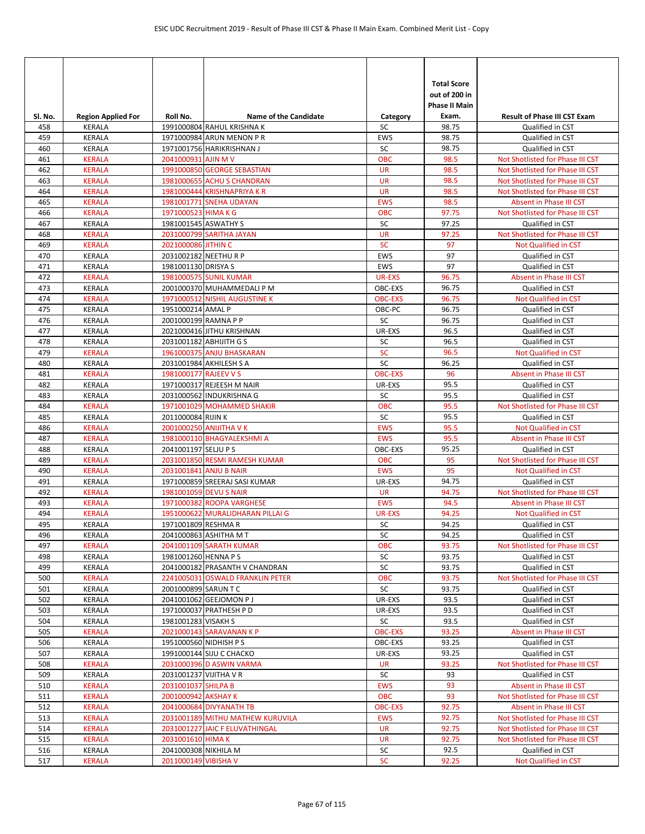|            |                                |                        |                                                            |                          | <b>Total Score</b><br>out of 200 in<br><b>Phase II Main</b> |                                                                |
|------------|--------------------------------|------------------------|------------------------------------------------------------|--------------------------|-------------------------------------------------------------|----------------------------------------------------------------|
| Sl. No.    | <b>Region Applied For</b>      | Roll No.               | <b>Name of the Candidate</b><br>1991000804 RAHUL KRISHNA K | Category<br>SC           | Exam.<br>98.75                                              | <b>Result of Phase III CST Exam</b><br><b>Oualified in CST</b> |
| 458<br>459 | <b>KERALA</b><br>KERALA        |                        | 1971000984 ARUN MENON P R                                  | <b>EWS</b>               | 98.75                                                       | Qualified in CST                                               |
| 460        | KERALA                         |                        | 1971001756 HARIKRISHNAN J                                  | SC                       | 98.75                                                       | Qualified in CST                                               |
| 461        | <b>KERALA</b>                  | 2041000931 AJIN M V    |                                                            | <b>OBC</b>               | 98.5                                                        | Not Shotlisted for Phase III CST                               |
| 462        | <b>KERALA</b>                  |                        | 1991000850 GEORGE SEBASTIAN                                | <b>UR</b>                | 98.5                                                        | Not Shotlisted for Phase III CST                               |
| 463        | <b>KERALA</b>                  |                        | 1981000655 ACHU S CHANDRAN                                 | <b>UR</b>                | 98.5                                                        | Not Shotlisted for Phase III CST                               |
| 464        | <b>KERALA</b>                  |                        | 1981000444 KRISHNAPRIYA KR                                 | <b>UR</b>                | 98.5                                                        | Not Shotlisted for Phase III CST                               |
| 465        | <b>KERALA</b>                  |                        | 1981001771 SNEHA UDAYAN                                    | <b>EWS</b>               | 98.5                                                        | Absent in Phase III CST                                        |
| 466        | <b>KERALA</b>                  | 1971000523 HIMA K G    |                                                            | <b>OBC</b>               | 97.75                                                       | Not Shotlisted for Phase III CST                               |
| 467        | <b>KERALA</b>                  | 1981001545 ASWATHY S   |                                                            | SC                       | 97.25                                                       | Qualified in CST                                               |
| 468        | <b>KERALA</b>                  |                        | 2031000799 SARITHA JAYAN                                   | <b>UR</b>                | 97.25                                                       | Not Shotlisted for Phase III CST                               |
| 469        | <b>KERALA</b>                  | 2021000086 JITHIN C    |                                                            | <b>SC</b>                | 97                                                          | Not Qualified in CST                                           |
| 470        | KERALA                         | 2031002182 NEETHU R P  |                                                            | EWS                      | 97                                                          | Qualified in CST                                               |
| 471        | <b>KERALA</b><br><b>KERALA</b> | 1981001130 DRISYA S    |                                                            | <b>EWS</b>               | 97                                                          | Qualified in CST                                               |
| 472<br>473 | <b>KERALA</b>                  |                        | 1981000575 SUNIL KUMAR<br>2001000370 MUHAMMEDALI P M       | <b>UR-EXS</b><br>OBC-EXS | 96.75<br>96.75                                              | Absent in Phase III CST<br>Qualified in CST                    |
| 474        | <b>KERALA</b>                  |                        | 1971000512 NISHIL AUGUSTINE K                              | <b>OBC-EXS</b>           | 96.75                                                       | Not Qualified in CST                                           |
| 475        | <b>KERALA</b>                  | 1951000214 AMAL P      |                                                            | OBC-PC                   | 96.75                                                       | Qualified in CST                                               |
| 476        | <b>KERALA</b>                  | 2001000199 RAMNA P P   |                                                            | SC                       | 96.75                                                       | Qualified in CST                                               |
| 477        | KERALA                         |                        | 2021000416 JITHU KRISHNAN                                  | UR-EXS                   | 96.5                                                        | Qualified in CST                                               |
| 478        | KERALA                         |                        | 2031001182 ABHIJITH G S                                    | SC                       | 96.5                                                        | Qualified in CST                                               |
| 479        | <b>KERALA</b>                  |                        | 1961000375 ANJU BHASKARAN                                  | <b>SC</b>                | 96.5                                                        | Not Qualified in CST                                           |
| 480        | KERALA                         |                        | 2031001984 AKHILESH S A                                    | SC                       | 96.25                                                       | Qualified in CST                                               |
| 481        | <b>KERALA</b>                  | 1981000177 RAJEEV V S  |                                                            | <b>OBC-EXS</b>           | 96                                                          | Absent in Phase III CST                                        |
| 482        | <b>KERALA</b>                  |                        | 1971000317 REJEESH M NAIR                                  | UR-EXS                   | 95.5                                                        | Qualified in CST                                               |
| 483        | <b>KERALA</b>                  |                        | 2031000562 INDUKRISHNA G                                   | SC                       | 95.5                                                        | Qualified in CST                                               |
| 484        | <b>KERALA</b>                  |                        | 1971001029 MOHAMMED SHAKIR                                 | <b>OBC</b>               | 95.5                                                        | Not Shotlisted for Phase III CST                               |
| 485        | <b>KERALA</b>                  | 2011000084 RIJIN K     |                                                            | SC                       | 95.5                                                        | Qualified in CST                                               |
| 486        | <b>KERALA</b>                  |                        | 2001000250 ANIJITHA V K                                    | <b>EWS</b>               | 95.5                                                        | <b>Not Qualified in CST</b>                                    |
| 487        | <b>KERALA</b>                  |                        | 1981000110 BHAGYALEKSHMI A                                 | <b>EWS</b>               | 95.5                                                        | Absent in Phase III CST                                        |
| 488<br>489 | KERALA<br><b>KERALA</b>        | 2041001197 SELJU P S   |                                                            | OBC-EXS<br><b>OBC</b>    | 95.25<br>95                                                 | Qualified in CST                                               |
| 490        | <b>KERALA</b>                  |                        | 2031001850 RESMI RAMESH KUMAR<br>2031001841 ANJU B NAIR    | <b>EWS</b>               | 95                                                          | Not Shotlisted for Phase III CST<br>Not Qualified in CST       |
| 491        | KERALA                         |                        | 1971000859 SREERAJ SASI KUMAR                              | UR-EXS                   | 94.75                                                       | Qualified in CST                                               |
| 492        | <b>KERALA</b>                  |                        | 1981001059 DEVU S NAIR                                     | <b>UR</b>                | 94.75                                                       | Not Shotlisted for Phase III CST                               |
| 493        | <b>KERALA</b>                  |                        | 1971000382 ROOPA VARGHESE                                  | <b>EWS</b>               | 94.5                                                        | Absent in Phase III CST                                        |
| 494        | <b>KERALA</b>                  |                        | 1951000622 MURALIDHARAN PILLAI G                           | <b>UR-EXS</b>            | 94.25                                                       | Not Qualified in CST                                           |
| 495        | <b>KERALA</b>                  | 1971001809 RESHMA R    |                                                            | SC                       | 94.25                                                       | Qualified in CST                                               |
| 496        | KERALA                         |                        | 2041000863 ASHITHA M T                                     | SC                       | 94.25                                                       | Qualified in CST                                               |
| 497        | <b>KERALA</b>                  |                        | 2041001109 SARATH KUMAR                                    | <b>OBC</b>               | 93.75                                                       | Not Shotlisted for Phase III CST                               |
| 498        | <b>KERALA</b>                  | 1981001260 HENNA P S   |                                                            | SC                       | 93.75                                                       | Qualified in CST                                               |
| 499        | KERALA                         |                        | 2041000182 PRASANTH V CHANDRAN                             | SC                       | 93.75                                                       | Qualified in CST                                               |
| 500        | <b>KERALA</b>                  |                        | 2241005031 OSWALD FRANKLIN PETER                           | <b>OBC</b>               | 93.75                                                       | Not Shotlisted for Phase III CST                               |
| 501        | KERALA                         | 2001000899 SARUN T C   |                                                            | SC                       | 93.75                                                       | Qualified in CST                                               |
| 502        | KERALA                         |                        | 2041001062 GEEJOMON P J                                    | UR-EXS                   | 93.5                                                        | Qualified in CST                                               |
| 503        | <b>KERALA</b>                  | 1981001283 VISAKH S    | 1971000037 PRATHESH P D                                    | UR-EXS<br>SC             | 93.5<br>93.5                                                | Qualified in CST<br>Qualified in CST                           |
| 504<br>505 | KERALA<br><b>KERALA</b>        |                        | 2021000143 SARAVANAN K P                                   | <b>OBC-EXS</b>           | 93.25                                                       | Absent in Phase III CST                                        |
| 506        | KERALA                         | 1951000560 NIDHISH PS  |                                                            | OBC-EXS                  | 93.25                                                       | Qualified in CST                                               |
| 507        | <b>KERALA</b>                  |                        | 1991000144 SIJU C CHACKO                                   | UR-EXS                   | 93.25                                                       | Qualified in CST                                               |
| 508        | <b>KERALA</b>                  |                        | 2031000396 D ASWIN VARMA                                   | <b>UR</b>                | 93.25                                                       | Not Shotlisted for Phase III CST                               |
| 509        | KERALA                         | 2031001237 VIJITHA V R |                                                            | SC                       | 93                                                          | Qualified in CST                                               |
| 510        | <b>KERALA</b>                  | 2031001037 SHILPA B    |                                                            | <b>EWS</b>               | 93                                                          | Absent in Phase III CST                                        |
| 511        | <b>KERALA</b>                  | 2001000942 AKSHAY K    |                                                            | <b>OBC</b>               | 93                                                          | Not Shotlisted for Phase III CST                               |
| 512        | <b>KERALA</b>                  |                        | 2041000684 DIVYANATH TB                                    | <b>OBC-EXS</b>           | 92.75                                                       | Absent in Phase III CST                                        |
| 513        | <b>KERALA</b>                  |                        | 2031001189 MITHU MATHEW KURUVILA                           | <b>EWS</b>               | 92.75                                                       | Not Shotlisted for Phase III CST                               |
| 514        | <b>KERALA</b>                  |                        | 2031001227 JAIC F ELUVATHINGAL                             | <b>UR</b>                | 92.75                                                       | Not Shotlisted for Phase III CST                               |
| 515        | <b>KERALA</b>                  | 2031001610 HIMA K      |                                                            | <b>UR</b>                | 92.75                                                       | Not Shotlisted for Phase III CST                               |
| 516        | KERALA                         | 2041000308 NIKHILA M   |                                                            | SC                       | 92.5                                                        | Qualified in CST                                               |
| 517        | <b>KERALA</b>                  | 2011000149 VIBISHA V   |                                                            | <b>SC</b>                | 92.25                                                       | Not Qualified in CST                                           |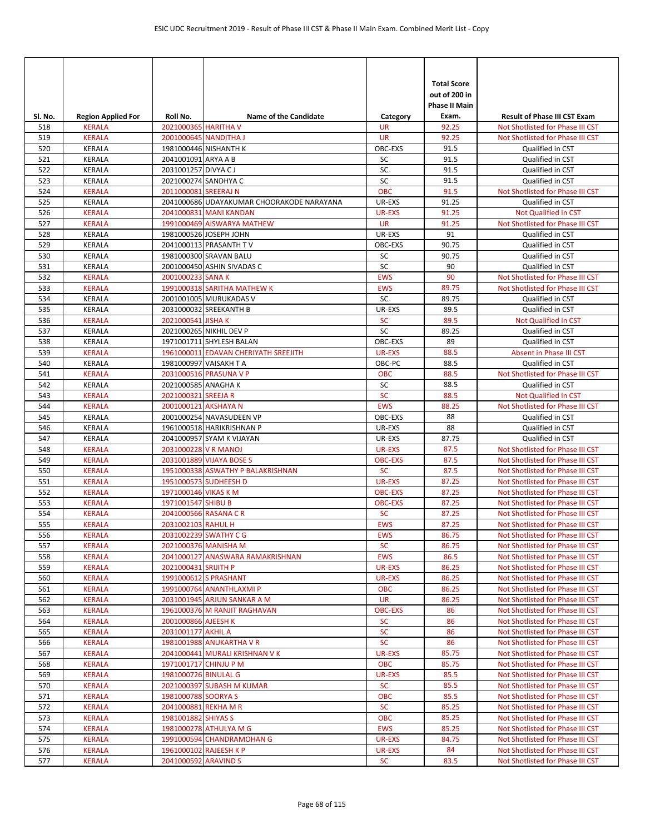| SI. No.    | <b>Region Applied For</b>      | Roll No.              | <b>Name of the Candidate</b>                         | Category                   | <b>Total Score</b><br>out of 200 in<br><b>Phase II Main</b><br>Exam. | <b>Result of Phase III CST Exam</b>                                  |
|------------|--------------------------------|-----------------------|------------------------------------------------------|----------------------------|----------------------------------------------------------------------|----------------------------------------------------------------------|
| 518        | <b>KERALA</b>                  | 2021000365 HARITHA V  |                                                      | <b>UR</b>                  | 92.25                                                                | Not Shotlisted for Phase III CST                                     |
| 519        | <b>KERALA</b>                  |                       | 2001000645 NANDITHA J                                | <b>UR</b>                  | 92.25                                                                | Not Shotlisted for Phase III CST                                     |
| 520        | <b>KERALA</b>                  |                       | 1981000446 NISHANTH K                                | OBC-EXS                    | 91.5                                                                 | Qualified in CST                                                     |
| 521        | <b>KERALA</b>                  | 2041001091 ARYA A B   |                                                      | SC                         | 91.5                                                                 | Qualified in CST                                                     |
| 522        | <b>KERALA</b>                  | 2031001257 DIVYA CJ   |                                                      | SC                         | 91.5                                                                 | Qualified in CST                                                     |
| 523        | <b>KERALA</b>                  | 2021000274 SANDHYA C  |                                                      | SC                         | 91.5                                                                 | Qualified in CST                                                     |
| 524        | <b>KERALA</b>                  | 2011000081 SREERAJ N  |                                                      | OBC                        | 91.5                                                                 | Not Shotlisted for Phase III CST                                     |
| 525        | KERALA                         |                       | 2041000686 UDAYAKUMAR CHOORAKODE NARAYANA            | UR-EXS                     | 91.25                                                                | Qualified in CST                                                     |
| 526<br>527 | <b>KERALA</b><br><b>KERALA</b> |                       | 2041000831 MANI KANDAN<br>1991000469 AISWARYA MATHEW | <b>UR-EXS</b><br><b>UR</b> | 91.25<br>91.25                                                       | Not Qualified in CST<br>Not Shotlisted for Phase III CST             |
|            |                                |                       | 1981000526 JOSEPH JOHN                               |                            | 91                                                                   |                                                                      |
| 528<br>529 | <b>KERALA</b><br><b>KERALA</b> |                       | 2041000113 PRASANTH TV                               | UR-EXS<br>OBC-EXS          | 90.75                                                                | Qualified in CST<br>Qualified in CST                                 |
| 530        | <b>KERALA</b>                  |                       | 1981000300 SRAVAN BALU                               | SC                         | 90.75                                                                | Qualified in CST                                                     |
| 531        | <b>KERALA</b>                  |                       | 2001000450 ASHIN SIVADAS C                           | SC                         | 90                                                                   | Qualified in CST                                                     |
| 532        | <b>KERALA</b>                  | 2001000233 SANA K     |                                                      | <b>EWS</b>                 | 90                                                                   | Not Shotlisted for Phase III CST                                     |
| 533        | <b>KERALA</b>                  |                       | 1991000318 SARITHA MATHEW K                          | <b>EWS</b>                 | 89.75                                                                | Not Shotlisted for Phase III CST                                     |
| 534        | <b>KERALA</b>                  |                       | 2001001005 MURUKADAS V                               | SC                         | 89.75                                                                | Qualified in CST                                                     |
| 535        | <b>KERALA</b>                  |                       | 2031000032 SREEKANTH B                               | UR-EXS                     | 89.5                                                                 | Qualified in CST                                                     |
| 536        | <b>KERALA</b>                  | 2021000541 JISHA K    |                                                      | <b>SC</b>                  | 89.5                                                                 | Not Qualified in CST                                                 |
| 537        | KERALA                         |                       | 2021000265 NIKHIL DEV P                              | SC                         | 89.25                                                                | Qualified in CST                                                     |
| 538        | <b>KERALA</b>                  |                       | 1971001711 SHYLESH BALAN                             | OBC-EXS                    | 89                                                                   | Qualified in CST                                                     |
| 539        | <b>KERALA</b>                  |                       | 1961000011 EDAVAN CHERIYATH SREEJITH                 | <b>UR-EXS</b>              | 88.5                                                                 | Absent in Phase III CST                                              |
| 540        | <b>KERALA</b>                  |                       | 1981000997 VAISAKH T A                               | OBC-PC                     | 88.5                                                                 | Qualified in CST                                                     |
| 541        | <b>KERALA</b>                  |                       | 2031000516 PRASUNA V P                               | <b>OBC</b>                 | 88.5                                                                 | Not Shotlisted for Phase III CST                                     |
| 542        | KERALA                         | 2021000585 ANAGHA K   |                                                      | SC                         | 88.5                                                                 | Qualified in CST                                                     |
| 543        | <b>KERALA</b>                  | 2021000321 SREEJA R   |                                                      | <b>SC</b>                  | 88.5                                                                 | Not Qualified in CST                                                 |
| 544        | <b>KERALA</b>                  | 2001000121 AKSHAYA N  |                                                      | <b>EWS</b>                 | 88.25                                                                | Not Shotlisted for Phase III CST                                     |
| 545        | KERALA                         |                       | 2001000254 NAVASUDEEN VP                             | OBC-EXS                    | 88                                                                   | Qualified in CST                                                     |
| 546        | KERALA                         |                       | 1961000518 HARIKRISHNAN P                            | UR-EXS                     | 88                                                                   | Qualified in CST                                                     |
| 547        | KERALA                         |                       | 2041000957 SYAM K VIJAYAN                            | UR-EXS                     | 87.75                                                                | Qualified in CST                                                     |
| 548        | <b>KERALA</b>                  | 2031000228 V R MANOJ  |                                                      | UR-EXS                     | 87.5                                                                 | Not Shotlisted for Phase III CST                                     |
| 549        | <b>KERALA</b>                  |                       | 2031001889 VIJAYA BOSE S                             | <b>OBC-EXS</b>             | 87.5                                                                 | Not Shotlisted for Phase III CST                                     |
| 550        | <b>KERALA</b>                  |                       | 1951000338 ASWATHY P BALAKRISHNAN                    | <b>SC</b>                  | 87.5                                                                 | Not Shotlisted for Phase III CST                                     |
| 551        | <b>KERALA</b>                  |                       | 1951000573 SUDHEESH D                                | <b>UR-EXS</b>              | 87.25                                                                | Not Shotlisted for Phase III CST                                     |
| 552        | <b>KERALA</b>                  |                       |                                                      | <b>OBC-EXS</b>             | 87.25                                                                |                                                                      |
| 553        |                                | 1971000146 VIKAS K M  |                                                      |                            |                                                                      | Not Shotlisted for Phase III CST                                     |
|            | <b>KERALA</b>                  | 1971001547 SHIBU B    |                                                      | <b>OBC-EXS</b>             | 87.25                                                                | Not Shotlisted for Phase III CST                                     |
| 554        | <b>KERALA</b>                  |                       | 2041000566 RASANA C R                                | <b>SC</b>                  | 87.25                                                                | Not Shotlisted for Phase III CST                                     |
| 555        | <b>KERALA</b>                  | 2031002103 RAHUL H    |                                                      | <b>EWS</b>                 | 87.25                                                                | Not Shotlisted for Phase III CST                                     |
| 556        | <b>KERALA</b>                  |                       | 2031002239 SWATHY C G                                | <b>EWS</b>                 | 86.75                                                                | Not Shotlisted for Phase III CST                                     |
| 557        | <b>KERALA</b>                  |                       | 2021000376 MANISHA M                                 | <b>SC</b>                  | 86.75                                                                | Not Shotlisted for Phase III CST<br>Not Shotlisted for Phase III CST |
| 558<br>559 | <b>KERALA</b><br>KERALA        | 2021000431 SRIJITH P  | 2041000127 ANASWARA RAMAKRISHNAN                     | <b>EWS</b><br>UR-EXS       | 86.5<br>86.25                                                        | Not Shotlisted for Phase III CST                                     |
| 560        | <b>KERALA</b>                  |                       | 1991000612 S PRASHANT                                | UR-EXS                     | 86.25                                                                | Not Shotlisted for Phase III CST                                     |
| 561        | KERALA                         |                       | 1991000764 ANANTHLAXMI P                             | <b>OBC</b>                 | 86.25                                                                | Not Shotlisted for Phase III CST                                     |
| 562        | <b>KERALA</b>                  |                       | 2031001945 ARJUN SANKAR A M                          | <b>UR</b>                  | 86.25                                                                | Not Shotlisted for Phase III CST                                     |
| 563        | <b>KERALA</b>                  |                       | 1961000376 M RANJIT RAGHAVAN                         | <b>OBC-EXS</b>             | 86                                                                   | Not Shotlisted for Phase III CST                                     |
| 564        | <b>KERALA</b>                  | 2001000866 AJEESH K   |                                                      | <b>SC</b>                  | 86                                                                   | Not Shotlisted for Phase III CST                                     |
| 565        | <b>KERALA</b>                  | 2031001177 AKHIL A    |                                                      | ${\sf SC}$                 | 86                                                                   | Not Shotlisted for Phase III CST                                     |
| 566        | <b>KERALA</b>                  |                       | 1981001988 ANUKARTHA V R                             | <b>SC</b>                  | 86                                                                   | Not Shotlisted for Phase III CST                                     |
| 567        | <b>KERALA</b>                  |                       | 2041000441 MURALI KRISHNAN V K                       | UR-EXS                     | 85.75                                                                | Not Shotlisted for Phase III CST                                     |
| 568        | <b>KERALA</b>                  | 1971001717 CHINJU P M |                                                      | <b>OBC</b>                 | 85.75                                                                | Not Shotlisted for Phase III CST                                     |
| 569        | <b>KERALA</b>                  | 1981000726 BINULAL G  |                                                      | <b>UR-EXS</b>              | 85.5                                                                 | Not Shotlisted for Phase III CST                                     |
| 570        | <b>KERALA</b>                  |                       | 2021000397 SUBASH M KUMAR                            | <b>SC</b>                  | 85.5                                                                 | Not Shotlisted for Phase III CST                                     |
| 571        | KERALA                         | 1981000788 SOORYA S   |                                                      | <b>OBC</b>                 | 85.5                                                                 | Not Shotlisted for Phase III CST                                     |
| 572        | <b>KERALA</b>                  | 2041000881 REKHA M R  |                                                      | <b>SC</b>                  | 85.25                                                                | Not Shotlisted for Phase III CST                                     |
| 573        | <b>KERALA</b>                  | 1981001882 SHIYAS S   |                                                      | <b>OBC</b>                 | 85.25                                                                | Not Shotlisted for Phase III CST                                     |
| 574        | <b>KERALA</b>                  |                       | 1981000278 ATHULYA M G                               | <b>EWS</b>                 | 85.25                                                                | Not Shotlisted for Phase III CST                                     |
| 575        | <b>KERALA</b>                  |                       | 1991000594 CHANDRAMOHAN G                            | UR-EXS                     | 84.75                                                                | Not Shotlisted for Phase III CST                                     |
| 576<br>577 | <b>KERALA</b><br><b>KERALA</b> | 2041000592 ARAVIND S  | 1961000102 RAJEESH K P                               | UR-EXS<br><b>SC</b>        | 84<br>83.5                                                           | Not Shotlisted for Phase III CST<br>Not Shotlisted for Phase III CST |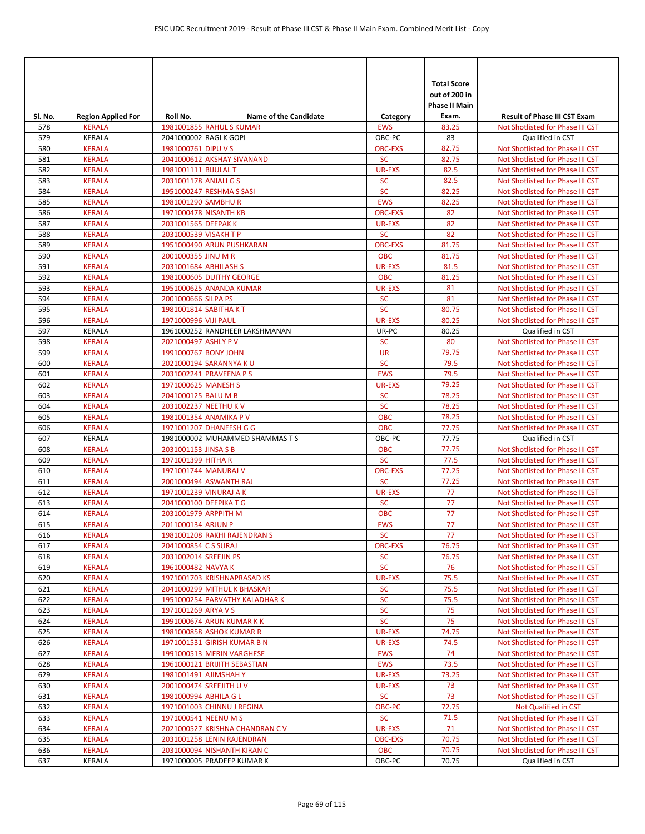| Sl. No.    | <b>Region Applied For</b>      | Roll No.                                     | <b>Name of the Candidate</b>                          | Category                     | <b>Total Score</b><br>out of 200 in<br>Phase II Main<br>Exam. | <b>Result of Phase III CST Exam</b>                                  |
|------------|--------------------------------|----------------------------------------------|-------------------------------------------------------|------------------------------|---------------------------------------------------------------|----------------------------------------------------------------------|
| 578        | <b>KERALA</b>                  |                                              | 1981001855 RAHUL S KUMAR                              | <b>EWS</b>                   | 83.25                                                         | Not Shotlisted for Phase III CST                                     |
| 579        | KERALA                         |                                              | 2041000002 RAGI K GOPI                                | OBC-PC                       | 83                                                            | Qualified in CST                                                     |
| 580        | <b>KERALA</b>                  | 1981000761 DIPU V S                          |                                                       | <b>OBC-EXS</b>               | 82.75                                                         | Not Shotlisted for Phase III CST                                     |
| 581        | <b>KERALA</b>                  |                                              | 2041000612 AKSHAY SIVANAND                            | <b>SC</b>                    | 82.75                                                         | Not Shotlisted for Phase III CST                                     |
| 582        | <b>KERALA</b>                  | 1981001111 BIJULAL T                         |                                                       | <b>UR-EXS</b>                | 82.5                                                          | Not Shotlisted for Phase III CST                                     |
| 583        | <b>KERALA</b>                  | 2031001178 ANJALI G S                        |                                                       | <b>SC</b>                    | 82.5                                                          | Not Shotlisted for Phase III CST                                     |
| 584        | <b>KERALA</b>                  |                                              | 1951000247 RESHMA S SASI                              | <b>SC</b>                    | 82.25                                                         | Not Shotlisted for Phase III CST                                     |
| 585        | <b>KERALA</b>                  | 1981001290 SAMBHUR                           |                                                       | <b>EWS</b>                   | 82.25                                                         | Not Shotlisted for Phase III CST                                     |
| 586        | <b>KERALA</b>                  |                                              | 1971000478 NISANTH KB                                 | <b>OBC-EXS</b>               | 82                                                            | Not Shotlisted for Phase III CST                                     |
| 587        | <b>KERALA</b>                  | 2031001565 DEEPAK K                          |                                                       | <b>UR-EXS</b>                | 82                                                            | Not Shotlisted for Phase III CST                                     |
| 588        | <b>KERALA</b>                  | 2031000539 VISAKH T P                        |                                                       | <b>SC</b>                    | 82                                                            | Not Shotlisted for Phase III CST                                     |
| 589        | <b>KERALA</b><br><b>KERALA</b> |                                              | 1951000490 ARUN PUSHKARAN                             | <b>OBC-EXS</b><br><b>OBC</b> | 81.75                                                         | Not Shotlisted for Phase III CST                                     |
| 590<br>591 | <b>KERALA</b>                  | 2001000355 JINU M R<br>2031001684 ABHILASH S |                                                       | <b>UR-EXS</b>                | 81.75<br>81.5                                                 | Not Shotlisted for Phase III CST<br>Not Shotlisted for Phase III CST |
| 592        | <b>KERALA</b>                  |                                              | 1981000605 DUITHY GEORGE                              | <b>OBC</b>                   | 81.25                                                         | Not Shotlisted for Phase III CST                                     |
| 593        | <b>KERALA</b>                  |                                              | 1951000625 ANANDA KUMAR                               | <b>UR-EXS</b>                | 81                                                            | Not Shotlisted for Phase III CST                                     |
| 594        | <b>KERALA</b>                  | 2001000666 SILPA PS                          |                                                       | <b>SC</b>                    | 81                                                            | Not Shotlisted for Phase III CST                                     |
| 595        | <b>KERALA</b>                  | 1981001814 SABITHA KT                        |                                                       | SC                           | 80.75                                                         | Not Shotlisted for Phase III CST                                     |
| 596        | <b>KERALA</b>                  | 1971000996 VIJI PAUL                         |                                                       | <b>UR-EXS</b>                | 80.25                                                         | Not Shotlisted for Phase III CST                                     |
| 597        | KERALA                         |                                              | 1961000252 RANDHEER LAKSHMANAN                        | UR-PC                        | 80.25                                                         | Qualified in CST                                                     |
| 598        | <b>KERALA</b>                  | 2021000497 ASHLY PV                          |                                                       | <b>SC</b>                    | 80                                                            | Not Shotlisted for Phase III CST                                     |
| 599        | <b>KERALA</b>                  | 1991000767 BONY JOHN                         |                                                       | <b>UR</b>                    | 79.75                                                         | Not Shotlisted for Phase III CST                                     |
| 600        | <b>KERALA</b>                  |                                              | 2021000194 SARANNYA KU                                | <b>SC</b>                    | 79.5                                                          | Not Shotlisted for Phase III CST                                     |
| 601        | <b>KERALA</b>                  |                                              | 2031002241 PRAVEENA P S                               | <b>EWS</b>                   | 79.5                                                          | Not Shotlisted for Phase III CST                                     |
| 602        | <b>KERALA</b>                  | 1971000625 MANESH S                          |                                                       | <b>UR-EXS</b>                | 79.25                                                         | Not Shotlisted for Phase III CST                                     |
| 603        | <b>KERALA</b>                  | 2041000125 BALU M B                          |                                                       | <b>SC</b>                    | 78.25                                                         | Not Shotlisted for Phase III CST                                     |
| 604        | <b>KERALA</b>                  |                                              | 2031002237 NEETHU KV                                  | <b>SC</b>                    | 78.25                                                         | Not Shotlisted for Phase III CST                                     |
| 605        | <b>KERALA</b>                  |                                              | 1981001354 ANAMIKA P V                                | <b>OBC</b>                   | 78.25                                                         | Not Shotlisted for Phase III CST                                     |
| 606        | <b>KERALA</b>                  |                                              | 1971001207 DHANEESH G G                               | <b>OBC</b>                   | 77.75                                                         | Not Shotlisted for Phase III CST                                     |
| 607        | <b>KERALA</b>                  |                                              | 1981000002 MUHAMMED SHAMMAS T S                       | OBC-PC                       | 77.75                                                         | Qualified in CST                                                     |
| 608        | <b>KERALA</b>                  | 2031001153 JINSA S B                         |                                                       | <b>OBC</b>                   | 77.75                                                         | Not Shotlisted for Phase III CST                                     |
| 609        | <b>KERALA</b>                  | 1971001399 HITHA R<br>1971001744 MANURAJ V   |                                                       | <b>SC</b><br><b>OBC-EXS</b>  | 77.5                                                          | Not Shotlisted for Phase III CST                                     |
| 610<br>611 | <b>KERALA</b><br><b>KERALA</b> |                                              | 2001000494 ASWANTH RAJ                                | <b>SC</b>                    | 77.25<br>77.25                                                | Not Shotlisted for Phase III CST<br>Not Shotlisted for Phase III CST |
| 612        | <b>KERALA</b>                  |                                              | 1971001239 VINURAJ A K                                | <b>UR-EXS</b>                | 77                                                            | Not Shotlisted for Phase III CST                                     |
| 613        | <b>KERALA</b>                  |                                              | 2041000100 DEEPIKA T G                                | <b>SC</b>                    | 77                                                            | Not Shotlisted for Phase III CST                                     |
| 614        | <b>KERALA</b>                  | 2031001979 ARPPITH M                         |                                                       | OBC                          | 77                                                            | Not Shotlisted for Phase III CST                                     |
| 615        | <b>KERALA</b>                  | 2011000134 ARJUN P                           |                                                       | <b>EWS</b>                   | 77                                                            | Not Shotlisted for Phase III CST                                     |
| 616        | <b>KERALA</b>                  |                                              | 1981001208 RAKHI RAJENDRAN S                          | <b>SC</b>                    | 77                                                            | Not Shotlisted for Phase III CST                                     |
| 617        | <b>KERALA</b>                  | 2041000854 C S SURAJ                         |                                                       | <b>OBC-EXS</b>               | 76.75                                                         | Not Shotlisted for Phase III CST                                     |
| 618        | <b>KERALA</b>                  | 2031002014 SREEJIN PS                        |                                                       | <b>SC</b>                    | 76.75                                                         | Not Shotlisted for Phase III CST                                     |
| 619        | <b>KERALA</b>                  | 1961000482 NAVYA K                           |                                                       | <b>SC</b>                    | 76                                                            | Not Shotlisted for Phase III CST                                     |
| 620        | <b>KERALA</b>                  |                                              | 1971001703 KRISHNAPRASAD KS                           | <b>UR-EXS</b>                | 75.5                                                          | Not Shotlisted for Phase III CST                                     |
| 621        | <b>KERALA</b>                  |                                              | 2041000299 MITHUL K BHASKAR                           | <b>SC</b>                    | 75.5                                                          | Not Shotlisted for Phase III CST                                     |
| 622        | <b>KERALA</b>                  |                                              | 1951000254 PARVATHY KALADHAR K                        | <b>SC</b>                    | 75.5                                                          | Not Shotlisted for Phase III CST                                     |
| 623        | <b>KERALA</b>                  | 1971001269 ARYA V S                          |                                                       | <b>SC</b>                    | 75                                                            | Not Shotlisted for Phase III CST                                     |
| 624        | <b>KERALA</b>                  |                                              | 1991000674 ARUN KUMAR K K                             | <b>SC</b>                    | 75                                                            | Not Shotlisted for Phase III CST                                     |
| 625        | <b>KERALA</b>                  |                                              | 1981000858 ASHOK KUMAR R                              | <b>UR-EXS</b>                | 74.75                                                         | Not Shotlisted for Phase III CST                                     |
| 626        | <b>KERALA</b>                  |                                              | 1971001531 GIRISH KUMAR B N                           | <b>UR-EXS</b>                | 74.5                                                          | Not Shotlisted for Phase III CST                                     |
| 627        | <b>KERALA</b>                  |                                              | 1991000513 MERIN VARGHESE                             | <b>EWS</b>                   | 74                                                            | Not Shotlisted for Phase III CST                                     |
| 628<br>629 | <b>KERALA</b><br><b>KERALA</b> |                                              | 1961000121 BRIJITH SEBASTIAN<br>1981001491 AJIMSHAH Y | <b>EWS</b><br>UR-EXS         | 73.5<br>73.25                                                 | Not Shotlisted for Phase III CST<br>Not Shotlisted for Phase III CST |
| 630        | <b>KERALA</b>                  |                                              | 2001000474 SREEJITH U V                               | <b>UR-EXS</b>                | 73                                                            | Not Shotlisted for Phase III CST                                     |
| 631        | <b>KERALA</b>                  | 1981000994 ABHILA G L                        |                                                       | <b>SC</b>                    | 73                                                            | Not Shotlisted for Phase III CST                                     |
| 632        | <b>KERALA</b>                  |                                              | 1971001003 CHINNU J REGINA                            | OBC-PC                       | 72.75                                                         | Not Qualified in CST                                                 |
| 633        | <b>KERALA</b>                  | 1971000541 NEENU M S                         |                                                       | <b>SC</b>                    | 71.5                                                          | Not Shotlisted for Phase III CST                                     |
| 634        | <b>KERALA</b>                  |                                              | 2021000527 KRISHNA CHANDRAN CV                        | <b>UR-EXS</b>                | 71                                                            | Not Shotlisted for Phase III CST                                     |
| 635        | <b>KERALA</b>                  |                                              | 2031001258 LENIN RAJENDRAN                            | <b>OBC-EXS</b>               | 70.75                                                         | Not Shotlisted for Phase III CST                                     |
| 636        | <b>KERALA</b>                  |                                              | 2031000094 NISHANTH KIRAN C                           | <b>OBC</b>                   | 70.75                                                         | Not Shotlisted for Phase III CST                                     |
| 637        | KERALA                         |                                              | 1971000005 PRADEEP KUMAR K                            | OBC-PC                       | 70.75                                                         | Qualified in CST                                                     |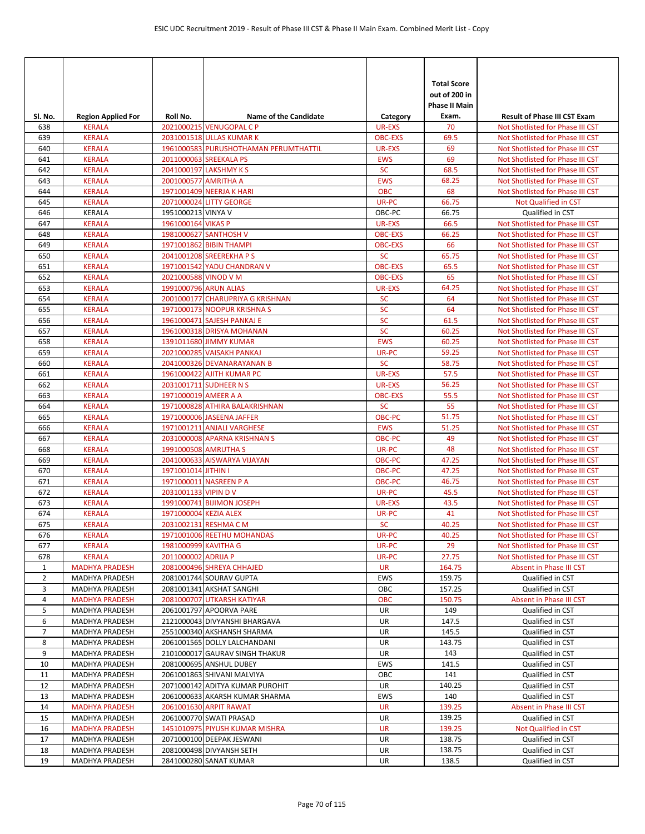| <b>Total Score</b><br>out of 200 in<br><b>Phase II Main</b><br>Sl. No.<br>Roll No.<br><b>Name of the Candidate</b><br><b>Result of Phase III CST Exam</b><br><b>Region Applied For</b><br>Exam.<br>Category<br>70<br>638<br><b>KERALA</b><br>2021000215 VENUGOPAL C P<br><b>UR-EXS</b><br>Not Shotlisted for Phase III CST<br>69.5<br><b>KERALA</b><br>2031001518 ULLAS KUMAR K<br><b>OBC-EXS</b><br>639<br>Not Shotlisted for Phase III CST<br>640<br>1961000583 PURUSHOTHAMAN PERUMTHATTIL<br>69<br><b>KERALA</b><br><b>UR-EXS</b><br>Not Shotlisted for Phase III CST<br>69<br><b>KERALA</b><br><b>EWS</b><br>641<br>2011000063 SREEKALA PS<br>Not Shotlisted for Phase III CST<br><b>SC</b><br>642<br><b>KERALA</b><br>2041000197 LAKSHMY K S<br>68.5<br>Not Shotlisted for Phase III CST<br><b>EWS</b><br>68.25<br>643<br><b>KERALA</b><br>2001000577 AMRITHA A<br>Not Shotlisted for Phase III CST<br>1971001409 NEERJA K HARI<br><b>OBC</b><br>68<br>644<br><b>KERALA</b><br>Not Shotlisted for Phase III CST<br>UR-PC<br>66.75<br>645<br><b>KERALA</b><br>2071000024 LITTY GEORGE<br>Not Qualified in CST<br>646<br><b>KERALA</b><br>1951000213 VINYA V<br>OBC-PC<br>66.75<br>Qualified in CST<br>647<br><b>KERALA</b><br>1961000164 VIKAS P<br><b>UR-EXS</b><br>66.5<br>Not Shotlisted for Phase III CST<br>66.25<br>648<br><b>KERALA</b><br>1981000627 SANTHOSH V<br><b>OBC-EXS</b><br>Not Shotlisted for Phase III CST<br>66<br><b>KERALA</b><br>1971001862 BIBIN THAMPI<br>649<br><b>OBC-EXS</b><br>Not Shotlisted for Phase III CST<br>650<br>2041001208 SREEREKHA P S<br><b>SC</b><br>65.75<br><b>KERALA</b><br>Not Shotlisted for Phase III CST<br>651<br><b>OBC-EXS</b><br>65.5<br><b>KERALA</b><br>1971001542 YADU CHANDRAN V<br>Not Shotlisted for Phase III CST<br>65<br><b>KERALA</b><br>2021000588 VINOD V M<br><b>OBC-EXS</b><br>Not Shotlisted for Phase III CST<br>652<br>64.25<br>1991000796 ARUN ALIAS<br>653<br><b>KERALA</b><br><b>UR-EXS</b><br>Not Shotlisted for Phase III CST<br>654<br>2001000177 CHARUPRIYA G KRISHNAN<br><b>SC</b><br>64<br><b>KERALA</b><br>Not Shotlisted for Phase III CST<br><b>SC</b><br>64<br>655<br><b>KERALA</b><br>1971000173 NOOPUR KRISHNA S<br>Not Shotlisted for Phase III CST<br><b>SC</b><br>656<br><b>KERALA</b><br>1961000471 SAJESH PANKAJ E<br>61.5<br>Not Shotlisted for Phase III CST<br>SC<br>60.25<br>657<br><b>KERALA</b><br>1961000318 DRISYA MOHANAN<br>Not Shotlisted for Phase III CST<br>60.25<br><b>EWS</b><br>658<br><b>KERALA</b><br>1391011680 JIMMY KUMAR<br>Not Shotlisted for Phase III CST<br>659<br><b>KERALA</b><br>2021000285 VAISAKH PANKAJ<br>UR-PC<br>59.25<br>Not Shotlisted for Phase III CST<br>660<br><b>SC</b><br>58.75<br><b>KERALA</b><br>2041000326 DEVANARAYANAN B<br>Not Shotlisted for Phase III CST<br><b>UR-EXS</b><br>57.5<br>661<br><b>KERALA</b><br>1961000422 AJITH KUMAR PC<br>Not Shotlisted for Phase III CST<br>56.25<br>662<br><b>KERALA</b><br>2031001711 SUDHEER N S<br><b>UR-EXS</b><br>Not Shotlisted for Phase III CST<br>55.5<br><b>OBC-EXS</b><br>663<br><b>KERALA</b><br>1971000019 AMEER A A<br>Not Shotlisted for Phase III CST<br>55<br>1971000828 ATHIRA BALAKRISHNAN<br><b>SC</b><br>664<br><b>KERALA</b><br>Not Shotlisted for Phase III CST<br>665<br><b>KERALA</b><br>51.75<br>1971000006 JASEENA JAFFER<br>OBC-PC<br>Not Shotlisted for Phase III CST<br>51.25<br>666<br><b>KERALA</b><br>1971001211 ANJALI VARGHESE<br><b>EWS</b><br>Not Shotlisted for Phase III CST<br>49<br>667<br><b>KERALA</b><br>2031000008 APARNA KRISHNAN S<br><b>OBC-PC</b><br>Not Shotlisted for Phase III CST<br>48<br>668<br><b>KERALA</b><br>1991000508 AMRUTHA S<br>UR-PC<br>Not Shotlisted for Phase III CST<br>669<br>47.25<br><b>KERALA</b><br>2041000633 AISWARYA VIJAYAN<br>OBC-PC<br>Not Shotlisted for Phase III CST<br>670<br><b>KERALA</b><br>1971001014 JITHIN I<br>OBC-PC<br>47.25<br>Not Shotlisted for Phase III CST<br>1971000011 NASREEN P A<br><b>OBC-PC</b><br>46.75<br>671<br><b>KERALA</b><br>Not Shotlisted for Phase III CST<br>45.5<br>672<br><b>KERALA</b><br>2031001133 VIPIN DV<br>UR-PC<br>Not Shotlisted for Phase III CST<br>1991000741 BIJIMON JOSEPH<br>43.5<br>673<br><b>KERALA</b><br><b>UR-EXS</b><br>Not Shotlisted for Phase III CST<br>674<br>41<br><b>KERALA</b><br>1971000004 KEZIA ALEX<br>UR-PC<br>Not Shotlisted for Phase III CST<br><b>SC</b><br>675<br>2031002131 RESHMA C M<br>40.25<br><b>KERALA</b><br>Not Shotlisted for Phase III CST<br>1971001006 REETHU MOHANDAS<br>UR-PC<br>Not Shotlisted for Phase III CST<br>676<br><b>KERALA</b><br>40.25<br>29<br>677<br>Not Shotlisted for Phase III CST<br><b>KERALA</b><br>1981000999 KAVITHA G<br>UR-PC<br>678<br><b>KERALA</b><br>2011000002 ADRIJA P<br>UR-PC<br>27.75<br>Not Shotlisted for Phase III CST<br><b>UR</b><br>$\mathbf{1}$<br><b>MADHYA PRADESH</b><br>2081000496 SHREYA CHHAJED<br>164.75<br>Absent in Phase III CST<br>$\overline{2}$<br>MADHYA PRADESH<br>2081001744 SOURAV GUPTA<br>EWS<br>159.75<br>Qualified in CST<br>157.25<br>3<br>MADHYA PRADESH<br>2081001341 AKSHAT SANGHI<br>OBC<br>Qualified in CST<br>OBC<br>150.75<br>4<br><b>MADHYA PRADESH</b><br>2081000707 UTKARSH KATIYAR<br>Absent in Phase III CST<br>2061001797 APOORVA PARE<br>5<br>MADHYA PRADESH<br>UR<br>149<br>Qualified in CST<br>6<br>MADHYA PRADESH<br>2121000043 DIVYANSHI BHARGAVA<br>UR<br>147.5<br>Qualified in CST<br>7<br>UR<br>MADHYA PRADESH<br>2551000340 AKSHANSH SHARMA<br>145.5<br>Qualified in CST<br>143.75<br>8<br>MADHYA PRADESH<br>2061001565 DOLLY LALCHANDANI<br>UR<br>Qualified in CST<br>9<br>MADHYA PRADESH<br>2101000017 GAURAV SINGH THAKUR<br>UR<br>143<br>Qualified in CST<br>10<br>2081000695 ANSHUL DUBEY<br>EWS<br>141.5<br>Qualified in CST<br><b>MADHYA PRADESH</b><br>OBC<br>11<br>MADHYA PRADESH<br>2061001863 SHIVANI MALVIYA<br>141<br>Qualified in CST<br>12<br>MADHYA PRADESH<br>2071000142 ADITYA KUMAR PUROHIT<br>UR<br>140.25<br>Qualified in CST<br>140<br>MADHYA PRADESH<br>2061000633 AKARSH KUMAR SHARMA<br>EWS<br>Qualified in CST<br>13<br>139.25<br><b>MADHYA PRADESH</b><br>2061001630 ARPIT RAWAT<br><b>UR</b><br>Absent in Phase III CST<br>14<br>15<br>MADHYA PRADESH<br>2061000770 SWATI PRASAD<br>UR<br>139.25<br>Qualified in CST<br>16<br><b>MADHYA PRADESH</b><br>1451010975 PIYUSH KUMAR MISHRA<br><b>UR</b><br>139.25<br>Not Qualified in CST<br>17<br>UR<br>MADHYA PRADESH<br>2071000100 DEEPAK JESWANI<br>138.75<br>Qualified in CST<br>UR<br>138.75<br>18<br>MADHYA PRADESH<br>2081000498 DIVYANSH SETH<br>Qualified in CST<br>19<br>138.5<br>MADHYA PRADESH<br>2841000280 SANAT KUMAR<br>UR<br>Qualified in CST |  |  |  |  |
|------------------------------------------------------------------------------------------------------------------------------------------------------------------------------------------------------------------------------------------------------------------------------------------------------------------------------------------------------------------------------------------------------------------------------------------------------------------------------------------------------------------------------------------------------------------------------------------------------------------------------------------------------------------------------------------------------------------------------------------------------------------------------------------------------------------------------------------------------------------------------------------------------------------------------------------------------------------------------------------------------------------------------------------------------------------------------------------------------------------------------------------------------------------------------------------------------------------------------------------------------------------------------------------------------------------------------------------------------------------------------------------------------------------------------------------------------------------------------------------------------------------------------------------------------------------------------------------------------------------------------------------------------------------------------------------------------------------------------------------------------------------------------------------------------------------------------------------------------------------------------------------------------------------------------------------------------------------------------------------------------------------------------------------------------------------------------------------------------------------------------------------------------------------------------------------------------------------------------------------------------------------------------------------------------------------------------------------------------------------------------------------------------------------------------------------------------------------------------------------------------------------------------------------------------------------------------------------------------------------------------------------------------------------------------------------------------------------------------------------------------------------------------------------------------------------------------------------------------------------------------------------------------------------------------------------------------------------------------------------------------------------------------------------------------------------------------------------------------------------------------------------------------------------------------------------------------------------------------------------------------------------------------------------------------------------------------------------------------------------------------------------------------------------------------------------------------------------------------------------------------------------------------------------------------------------------------------------------------------------------------------------------------------------------------------------------------------------------------------------------------------------------------------------------------------------------------------------------------------------------------------------------------------------------------------------------------------------------------------------------------------------------------------------------------------------------------------------------------------------------------------------------------------------------------------------------------------------------------------------------------------------------------------------------------------------------------------------------------------------------------------------------------------------------------------------------------------------------------------------------------------------------------------------------------------------------------------------------------------------------------------------------------------------------------------------------------------------------------------------------------------------------------------------------------------------------------------------------------------------------------------------------------------------------------------------------------------------------------------------------------------------------------------------------------------------------------------------------------------------------------------------------------------------------------------------------------------------------------------------------------------------------------------------------------------------------------------------------------------------------------------------------------------------------------------------------------------------------------------------------------------------------------------------------------------------------------------------------------------------------------------------------------------------------------------------------------------------------------------------------------------------------------------------------------------------------------------------------------------------------------------------------------------------------------------------------------------------------------------------------------------------------------------------------------------------------------------------------------------------------------------------------------------------------------------------------------------------------------------------------------------------------------------------------------------------------------------------------------------------------------------------------------------------------------------------------------------------------------------------------------------------------------------------------------------------------------------------------------------------------------------------------------------------------------------------------|--|--|--|--|
|                                                                                                                                                                                                                                                                                                                                                                                                                                                                                                                                                                                                                                                                                                                                                                                                                                                                                                                                                                                                                                                                                                                                                                                                                                                                                                                                                                                                                                                                                                                                                                                                                                                                                                                                                                                                                                                                                                                                                                                                                                                                                                                                                                                                                                                                                                                                                                                                                                                                                                                                                                                                                                                                                                                                                                                                                                                                                                                                                                                                                                                                                                                                                                                                                                                                                                                                                                                                                                                                                                                                                                                                                                                                                                                                                                                                                                                                                                                                                                                                                                                                                                                                                                                                                                                                                                                                                                                                                                                                                                                                                                                                                                                                                                                                                                                                                                                                                                                                                                                                                                                                                                                                                                                                                                                                                                                                                                                                                                                                                                                                                                                                                                                                                                                                                                                                                                                                                                                                                                                                                                                                                                                                                                                                                                                                                                                                                                                                                                                                                                                                                                                                                                                                                                |  |  |  |  |
|                                                                                                                                                                                                                                                                                                                                                                                                                                                                                                                                                                                                                                                                                                                                                                                                                                                                                                                                                                                                                                                                                                                                                                                                                                                                                                                                                                                                                                                                                                                                                                                                                                                                                                                                                                                                                                                                                                                                                                                                                                                                                                                                                                                                                                                                                                                                                                                                                                                                                                                                                                                                                                                                                                                                                                                                                                                                                                                                                                                                                                                                                                                                                                                                                                                                                                                                                                                                                                                                                                                                                                                                                                                                                                                                                                                                                                                                                                                                                                                                                                                                                                                                                                                                                                                                                                                                                                                                                                                                                                                                                                                                                                                                                                                                                                                                                                                                                                                                                                                                                                                                                                                                                                                                                                                                                                                                                                                                                                                                                                                                                                                                                                                                                                                                                                                                                                                                                                                                                                                                                                                                                                                                                                                                                                                                                                                                                                                                                                                                                                                                                                                                                                                                                                |  |  |  |  |
|                                                                                                                                                                                                                                                                                                                                                                                                                                                                                                                                                                                                                                                                                                                                                                                                                                                                                                                                                                                                                                                                                                                                                                                                                                                                                                                                                                                                                                                                                                                                                                                                                                                                                                                                                                                                                                                                                                                                                                                                                                                                                                                                                                                                                                                                                                                                                                                                                                                                                                                                                                                                                                                                                                                                                                                                                                                                                                                                                                                                                                                                                                                                                                                                                                                                                                                                                                                                                                                                                                                                                                                                                                                                                                                                                                                                                                                                                                                                                                                                                                                                                                                                                                                                                                                                                                                                                                                                                                                                                                                                                                                                                                                                                                                                                                                                                                                                                                                                                                                                                                                                                                                                                                                                                                                                                                                                                                                                                                                                                                                                                                                                                                                                                                                                                                                                                                                                                                                                                                                                                                                                                                                                                                                                                                                                                                                                                                                                                                                                                                                                                                                                                                                                                                |  |  |  |  |
|                                                                                                                                                                                                                                                                                                                                                                                                                                                                                                                                                                                                                                                                                                                                                                                                                                                                                                                                                                                                                                                                                                                                                                                                                                                                                                                                                                                                                                                                                                                                                                                                                                                                                                                                                                                                                                                                                                                                                                                                                                                                                                                                                                                                                                                                                                                                                                                                                                                                                                                                                                                                                                                                                                                                                                                                                                                                                                                                                                                                                                                                                                                                                                                                                                                                                                                                                                                                                                                                                                                                                                                                                                                                                                                                                                                                                                                                                                                                                                                                                                                                                                                                                                                                                                                                                                                                                                                                                                                                                                                                                                                                                                                                                                                                                                                                                                                                                                                                                                                                                                                                                                                                                                                                                                                                                                                                                                                                                                                                                                                                                                                                                                                                                                                                                                                                                                                                                                                                                                                                                                                                                                                                                                                                                                                                                                                                                                                                                                                                                                                                                                                                                                                                                                |  |  |  |  |
|                                                                                                                                                                                                                                                                                                                                                                                                                                                                                                                                                                                                                                                                                                                                                                                                                                                                                                                                                                                                                                                                                                                                                                                                                                                                                                                                                                                                                                                                                                                                                                                                                                                                                                                                                                                                                                                                                                                                                                                                                                                                                                                                                                                                                                                                                                                                                                                                                                                                                                                                                                                                                                                                                                                                                                                                                                                                                                                                                                                                                                                                                                                                                                                                                                                                                                                                                                                                                                                                                                                                                                                                                                                                                                                                                                                                                                                                                                                                                                                                                                                                                                                                                                                                                                                                                                                                                                                                                                                                                                                                                                                                                                                                                                                                                                                                                                                                                                                                                                                                                                                                                                                                                                                                                                                                                                                                                                                                                                                                                                                                                                                                                                                                                                                                                                                                                                                                                                                                                                                                                                                                                                                                                                                                                                                                                                                                                                                                                                                                                                                                                                                                                                                                                                |  |  |  |  |
|                                                                                                                                                                                                                                                                                                                                                                                                                                                                                                                                                                                                                                                                                                                                                                                                                                                                                                                                                                                                                                                                                                                                                                                                                                                                                                                                                                                                                                                                                                                                                                                                                                                                                                                                                                                                                                                                                                                                                                                                                                                                                                                                                                                                                                                                                                                                                                                                                                                                                                                                                                                                                                                                                                                                                                                                                                                                                                                                                                                                                                                                                                                                                                                                                                                                                                                                                                                                                                                                                                                                                                                                                                                                                                                                                                                                                                                                                                                                                                                                                                                                                                                                                                                                                                                                                                                                                                                                                                                                                                                                                                                                                                                                                                                                                                                                                                                                                                                                                                                                                                                                                                                                                                                                                                                                                                                                                                                                                                                                                                                                                                                                                                                                                                                                                                                                                                                                                                                                                                                                                                                                                                                                                                                                                                                                                                                                                                                                                                                                                                                                                                                                                                                                                                |  |  |  |  |
|                                                                                                                                                                                                                                                                                                                                                                                                                                                                                                                                                                                                                                                                                                                                                                                                                                                                                                                                                                                                                                                                                                                                                                                                                                                                                                                                                                                                                                                                                                                                                                                                                                                                                                                                                                                                                                                                                                                                                                                                                                                                                                                                                                                                                                                                                                                                                                                                                                                                                                                                                                                                                                                                                                                                                                                                                                                                                                                                                                                                                                                                                                                                                                                                                                                                                                                                                                                                                                                                                                                                                                                                                                                                                                                                                                                                                                                                                                                                                                                                                                                                                                                                                                                                                                                                                                                                                                                                                                                                                                                                                                                                                                                                                                                                                                                                                                                                                                                                                                                                                                                                                                                                                                                                                                                                                                                                                                                                                                                                                                                                                                                                                                                                                                                                                                                                                                                                                                                                                                                                                                                                                                                                                                                                                                                                                                                                                                                                                                                                                                                                                                                                                                                                                                |  |  |  |  |
|                                                                                                                                                                                                                                                                                                                                                                                                                                                                                                                                                                                                                                                                                                                                                                                                                                                                                                                                                                                                                                                                                                                                                                                                                                                                                                                                                                                                                                                                                                                                                                                                                                                                                                                                                                                                                                                                                                                                                                                                                                                                                                                                                                                                                                                                                                                                                                                                                                                                                                                                                                                                                                                                                                                                                                                                                                                                                                                                                                                                                                                                                                                                                                                                                                                                                                                                                                                                                                                                                                                                                                                                                                                                                                                                                                                                                                                                                                                                                                                                                                                                                                                                                                                                                                                                                                                                                                                                                                                                                                                                                                                                                                                                                                                                                                                                                                                                                                                                                                                                                                                                                                                                                                                                                                                                                                                                                                                                                                                                                                                                                                                                                                                                                                                                                                                                                                                                                                                                                                                                                                                                                                                                                                                                                                                                                                                                                                                                                                                                                                                                                                                                                                                                                                |  |  |  |  |
|                                                                                                                                                                                                                                                                                                                                                                                                                                                                                                                                                                                                                                                                                                                                                                                                                                                                                                                                                                                                                                                                                                                                                                                                                                                                                                                                                                                                                                                                                                                                                                                                                                                                                                                                                                                                                                                                                                                                                                                                                                                                                                                                                                                                                                                                                                                                                                                                                                                                                                                                                                                                                                                                                                                                                                                                                                                                                                                                                                                                                                                                                                                                                                                                                                                                                                                                                                                                                                                                                                                                                                                                                                                                                                                                                                                                                                                                                                                                                                                                                                                                                                                                                                                                                                                                                                                                                                                                                                                                                                                                                                                                                                                                                                                                                                                                                                                                                                                                                                                                                                                                                                                                                                                                                                                                                                                                                                                                                                                                                                                                                                                                                                                                                                                                                                                                                                                                                                                                                                                                                                                                                                                                                                                                                                                                                                                                                                                                                                                                                                                                                                                                                                                                                                |  |  |  |  |
|                                                                                                                                                                                                                                                                                                                                                                                                                                                                                                                                                                                                                                                                                                                                                                                                                                                                                                                                                                                                                                                                                                                                                                                                                                                                                                                                                                                                                                                                                                                                                                                                                                                                                                                                                                                                                                                                                                                                                                                                                                                                                                                                                                                                                                                                                                                                                                                                                                                                                                                                                                                                                                                                                                                                                                                                                                                                                                                                                                                                                                                                                                                                                                                                                                                                                                                                                                                                                                                                                                                                                                                                                                                                                                                                                                                                                                                                                                                                                                                                                                                                                                                                                                                                                                                                                                                                                                                                                                                                                                                                                                                                                                                                                                                                                                                                                                                                                                                                                                                                                                                                                                                                                                                                                                                                                                                                                                                                                                                                                                                                                                                                                                                                                                                                                                                                                                                                                                                                                                                                                                                                                                                                                                                                                                                                                                                                                                                                                                                                                                                                                                                                                                                                                                |  |  |  |  |
|                                                                                                                                                                                                                                                                                                                                                                                                                                                                                                                                                                                                                                                                                                                                                                                                                                                                                                                                                                                                                                                                                                                                                                                                                                                                                                                                                                                                                                                                                                                                                                                                                                                                                                                                                                                                                                                                                                                                                                                                                                                                                                                                                                                                                                                                                                                                                                                                                                                                                                                                                                                                                                                                                                                                                                                                                                                                                                                                                                                                                                                                                                                                                                                                                                                                                                                                                                                                                                                                                                                                                                                                                                                                                                                                                                                                                                                                                                                                                                                                                                                                                                                                                                                                                                                                                                                                                                                                                                                                                                                                                                                                                                                                                                                                                                                                                                                                                                                                                                                                                                                                                                                                                                                                                                                                                                                                                                                                                                                                                                                                                                                                                                                                                                                                                                                                                                                                                                                                                                                                                                                                                                                                                                                                                                                                                                                                                                                                                                                                                                                                                                                                                                                                                                |  |  |  |  |
|                                                                                                                                                                                                                                                                                                                                                                                                                                                                                                                                                                                                                                                                                                                                                                                                                                                                                                                                                                                                                                                                                                                                                                                                                                                                                                                                                                                                                                                                                                                                                                                                                                                                                                                                                                                                                                                                                                                                                                                                                                                                                                                                                                                                                                                                                                                                                                                                                                                                                                                                                                                                                                                                                                                                                                                                                                                                                                                                                                                                                                                                                                                                                                                                                                                                                                                                                                                                                                                                                                                                                                                                                                                                                                                                                                                                                                                                                                                                                                                                                                                                                                                                                                                                                                                                                                                                                                                                                                                                                                                                                                                                                                                                                                                                                                                                                                                                                                                                                                                                                                                                                                                                                                                                                                                                                                                                                                                                                                                                                                                                                                                                                                                                                                                                                                                                                                                                                                                                                                                                                                                                                                                                                                                                                                                                                                                                                                                                                                                                                                                                                                                                                                                                                                |  |  |  |  |
|                                                                                                                                                                                                                                                                                                                                                                                                                                                                                                                                                                                                                                                                                                                                                                                                                                                                                                                                                                                                                                                                                                                                                                                                                                                                                                                                                                                                                                                                                                                                                                                                                                                                                                                                                                                                                                                                                                                                                                                                                                                                                                                                                                                                                                                                                                                                                                                                                                                                                                                                                                                                                                                                                                                                                                                                                                                                                                                                                                                                                                                                                                                                                                                                                                                                                                                                                                                                                                                                                                                                                                                                                                                                                                                                                                                                                                                                                                                                                                                                                                                                                                                                                                                                                                                                                                                                                                                                                                                                                                                                                                                                                                                                                                                                                                                                                                                                                                                                                                                                                                                                                                                                                                                                                                                                                                                                                                                                                                                                                                                                                                                                                                                                                                                                                                                                                                                                                                                                                                                                                                                                                                                                                                                                                                                                                                                                                                                                                                                                                                                                                                                                                                                                                                |  |  |  |  |
|                                                                                                                                                                                                                                                                                                                                                                                                                                                                                                                                                                                                                                                                                                                                                                                                                                                                                                                                                                                                                                                                                                                                                                                                                                                                                                                                                                                                                                                                                                                                                                                                                                                                                                                                                                                                                                                                                                                                                                                                                                                                                                                                                                                                                                                                                                                                                                                                                                                                                                                                                                                                                                                                                                                                                                                                                                                                                                                                                                                                                                                                                                                                                                                                                                                                                                                                                                                                                                                                                                                                                                                                                                                                                                                                                                                                                                                                                                                                                                                                                                                                                                                                                                                                                                                                                                                                                                                                                                                                                                                                                                                                                                                                                                                                                                                                                                                                                                                                                                                                                                                                                                                                                                                                                                                                                                                                                                                                                                                                                                                                                                                                                                                                                                                                                                                                                                                                                                                                                                                                                                                                                                                                                                                                                                                                                                                                                                                                                                                                                                                                                                                                                                                                                                |  |  |  |  |
|                                                                                                                                                                                                                                                                                                                                                                                                                                                                                                                                                                                                                                                                                                                                                                                                                                                                                                                                                                                                                                                                                                                                                                                                                                                                                                                                                                                                                                                                                                                                                                                                                                                                                                                                                                                                                                                                                                                                                                                                                                                                                                                                                                                                                                                                                                                                                                                                                                                                                                                                                                                                                                                                                                                                                                                                                                                                                                                                                                                                                                                                                                                                                                                                                                                                                                                                                                                                                                                                                                                                                                                                                                                                                                                                                                                                                                                                                                                                                                                                                                                                                                                                                                                                                                                                                                                                                                                                                                                                                                                                                                                                                                                                                                                                                                                                                                                                                                                                                                                                                                                                                                                                                                                                                                                                                                                                                                                                                                                                                                                                                                                                                                                                                                                                                                                                                                                                                                                                                                                                                                                                                                                                                                                                                                                                                                                                                                                                                                                                                                                                                                                                                                                                                                |  |  |  |  |
|                                                                                                                                                                                                                                                                                                                                                                                                                                                                                                                                                                                                                                                                                                                                                                                                                                                                                                                                                                                                                                                                                                                                                                                                                                                                                                                                                                                                                                                                                                                                                                                                                                                                                                                                                                                                                                                                                                                                                                                                                                                                                                                                                                                                                                                                                                                                                                                                                                                                                                                                                                                                                                                                                                                                                                                                                                                                                                                                                                                                                                                                                                                                                                                                                                                                                                                                                                                                                                                                                                                                                                                                                                                                                                                                                                                                                                                                                                                                                                                                                                                                                                                                                                                                                                                                                                                                                                                                                                                                                                                                                                                                                                                                                                                                                                                                                                                                                                                                                                                                                                                                                                                                                                                                                                                                                                                                                                                                                                                                                                                                                                                                                                                                                                                                                                                                                                                                                                                                                                                                                                                                                                                                                                                                                                                                                                                                                                                                                                                                                                                                                                                                                                                                                                |  |  |  |  |
|                                                                                                                                                                                                                                                                                                                                                                                                                                                                                                                                                                                                                                                                                                                                                                                                                                                                                                                                                                                                                                                                                                                                                                                                                                                                                                                                                                                                                                                                                                                                                                                                                                                                                                                                                                                                                                                                                                                                                                                                                                                                                                                                                                                                                                                                                                                                                                                                                                                                                                                                                                                                                                                                                                                                                                                                                                                                                                                                                                                                                                                                                                                                                                                                                                                                                                                                                                                                                                                                                                                                                                                                                                                                                                                                                                                                                                                                                                                                                                                                                                                                                                                                                                                                                                                                                                                                                                                                                                                                                                                                                                                                                                                                                                                                                                                                                                                                                                                                                                                                                                                                                                                                                                                                                                                                                                                                                                                                                                                                                                                                                                                                                                                                                                                                                                                                                                                                                                                                                                                                                                                                                                                                                                                                                                                                                                                                                                                                                                                                                                                                                                                                                                                                                                |  |  |  |  |
|                                                                                                                                                                                                                                                                                                                                                                                                                                                                                                                                                                                                                                                                                                                                                                                                                                                                                                                                                                                                                                                                                                                                                                                                                                                                                                                                                                                                                                                                                                                                                                                                                                                                                                                                                                                                                                                                                                                                                                                                                                                                                                                                                                                                                                                                                                                                                                                                                                                                                                                                                                                                                                                                                                                                                                                                                                                                                                                                                                                                                                                                                                                                                                                                                                                                                                                                                                                                                                                                                                                                                                                                                                                                                                                                                                                                                                                                                                                                                                                                                                                                                                                                                                                                                                                                                                                                                                                                                                                                                                                                                                                                                                                                                                                                                                                                                                                                                                                                                                                                                                                                                                                                                                                                                                                                                                                                                                                                                                                                                                                                                                                                                                                                                                                                                                                                                                                                                                                                                                                                                                                                                                                                                                                                                                                                                                                                                                                                                                                                                                                                                                                                                                                                                                |  |  |  |  |
|                                                                                                                                                                                                                                                                                                                                                                                                                                                                                                                                                                                                                                                                                                                                                                                                                                                                                                                                                                                                                                                                                                                                                                                                                                                                                                                                                                                                                                                                                                                                                                                                                                                                                                                                                                                                                                                                                                                                                                                                                                                                                                                                                                                                                                                                                                                                                                                                                                                                                                                                                                                                                                                                                                                                                                                                                                                                                                                                                                                                                                                                                                                                                                                                                                                                                                                                                                                                                                                                                                                                                                                                                                                                                                                                                                                                                                                                                                                                                                                                                                                                                                                                                                                                                                                                                                                                                                                                                                                                                                                                                                                                                                                                                                                                                                                                                                                                                                                                                                                                                                                                                                                                                                                                                                                                                                                                                                                                                                                                                                                                                                                                                                                                                                                                                                                                                                                                                                                                                                                                                                                                                                                                                                                                                                                                                                                                                                                                                                                                                                                                                                                                                                                                                                |  |  |  |  |
|                                                                                                                                                                                                                                                                                                                                                                                                                                                                                                                                                                                                                                                                                                                                                                                                                                                                                                                                                                                                                                                                                                                                                                                                                                                                                                                                                                                                                                                                                                                                                                                                                                                                                                                                                                                                                                                                                                                                                                                                                                                                                                                                                                                                                                                                                                                                                                                                                                                                                                                                                                                                                                                                                                                                                                                                                                                                                                                                                                                                                                                                                                                                                                                                                                                                                                                                                                                                                                                                                                                                                                                                                                                                                                                                                                                                                                                                                                                                                                                                                                                                                                                                                                                                                                                                                                                                                                                                                                                                                                                                                                                                                                                                                                                                                                                                                                                                                                                                                                                                                                                                                                                                                                                                                                                                                                                                                                                                                                                                                                                                                                                                                                                                                                                                                                                                                                                                                                                                                                                                                                                                                                                                                                                                                                                                                                                                                                                                                                                                                                                                                                                                                                                                                                |  |  |  |  |
|                                                                                                                                                                                                                                                                                                                                                                                                                                                                                                                                                                                                                                                                                                                                                                                                                                                                                                                                                                                                                                                                                                                                                                                                                                                                                                                                                                                                                                                                                                                                                                                                                                                                                                                                                                                                                                                                                                                                                                                                                                                                                                                                                                                                                                                                                                                                                                                                                                                                                                                                                                                                                                                                                                                                                                                                                                                                                                                                                                                                                                                                                                                                                                                                                                                                                                                                                                                                                                                                                                                                                                                                                                                                                                                                                                                                                                                                                                                                                                                                                                                                                                                                                                                                                                                                                                                                                                                                                                                                                                                                                                                                                                                                                                                                                                                                                                                                                                                                                                                                                                                                                                                                                                                                                                                                                                                                                                                                                                                                                                                                                                                                                                                                                                                                                                                                                                                                                                                                                                                                                                                                                                                                                                                                                                                                                                                                                                                                                                                                                                                                                                                                                                                                                                |  |  |  |  |
|                                                                                                                                                                                                                                                                                                                                                                                                                                                                                                                                                                                                                                                                                                                                                                                                                                                                                                                                                                                                                                                                                                                                                                                                                                                                                                                                                                                                                                                                                                                                                                                                                                                                                                                                                                                                                                                                                                                                                                                                                                                                                                                                                                                                                                                                                                                                                                                                                                                                                                                                                                                                                                                                                                                                                                                                                                                                                                                                                                                                                                                                                                                                                                                                                                                                                                                                                                                                                                                                                                                                                                                                                                                                                                                                                                                                                                                                                                                                                                                                                                                                                                                                                                                                                                                                                                                                                                                                                                                                                                                                                                                                                                                                                                                                                                                                                                                                                                                                                                                                                                                                                                                                                                                                                                                                                                                                                                                                                                                                                                                                                                                                                                                                                                                                                                                                                                                                                                                                                                                                                                                                                                                                                                                                                                                                                                                                                                                                                                                                                                                                                                                                                                                                                                |  |  |  |  |
|                                                                                                                                                                                                                                                                                                                                                                                                                                                                                                                                                                                                                                                                                                                                                                                                                                                                                                                                                                                                                                                                                                                                                                                                                                                                                                                                                                                                                                                                                                                                                                                                                                                                                                                                                                                                                                                                                                                                                                                                                                                                                                                                                                                                                                                                                                                                                                                                                                                                                                                                                                                                                                                                                                                                                                                                                                                                                                                                                                                                                                                                                                                                                                                                                                                                                                                                                                                                                                                                                                                                                                                                                                                                                                                                                                                                                                                                                                                                                                                                                                                                                                                                                                                                                                                                                                                                                                                                                                                                                                                                                                                                                                                                                                                                                                                                                                                                                                                                                                                                                                                                                                                                                                                                                                                                                                                                                                                                                                                                                                                                                                                                                                                                                                                                                                                                                                                                                                                                                                                                                                                                                                                                                                                                                                                                                                                                                                                                                                                                                                                                                                                                                                                                                                |  |  |  |  |
|                                                                                                                                                                                                                                                                                                                                                                                                                                                                                                                                                                                                                                                                                                                                                                                                                                                                                                                                                                                                                                                                                                                                                                                                                                                                                                                                                                                                                                                                                                                                                                                                                                                                                                                                                                                                                                                                                                                                                                                                                                                                                                                                                                                                                                                                                                                                                                                                                                                                                                                                                                                                                                                                                                                                                                                                                                                                                                                                                                                                                                                                                                                                                                                                                                                                                                                                                                                                                                                                                                                                                                                                                                                                                                                                                                                                                                                                                                                                                                                                                                                                                                                                                                                                                                                                                                                                                                                                                                                                                                                                                                                                                                                                                                                                                                                                                                                                                                                                                                                                                                                                                                                                                                                                                                                                                                                                                                                                                                                                                                                                                                                                                                                                                                                                                                                                                                                                                                                                                                                                                                                                                                                                                                                                                                                                                                                                                                                                                                                                                                                                                                                                                                                                                                |  |  |  |  |
|                                                                                                                                                                                                                                                                                                                                                                                                                                                                                                                                                                                                                                                                                                                                                                                                                                                                                                                                                                                                                                                                                                                                                                                                                                                                                                                                                                                                                                                                                                                                                                                                                                                                                                                                                                                                                                                                                                                                                                                                                                                                                                                                                                                                                                                                                                                                                                                                                                                                                                                                                                                                                                                                                                                                                                                                                                                                                                                                                                                                                                                                                                                                                                                                                                                                                                                                                                                                                                                                                                                                                                                                                                                                                                                                                                                                                                                                                                                                                                                                                                                                                                                                                                                                                                                                                                                                                                                                                                                                                                                                                                                                                                                                                                                                                                                                                                                                                                                                                                                                                                                                                                                                                                                                                                                                                                                                                                                                                                                                                                                                                                                                                                                                                                                                                                                                                                                                                                                                                                                                                                                                                                                                                                                                                                                                                                                                                                                                                                                                                                                                                                                                                                                                                                |  |  |  |  |
|                                                                                                                                                                                                                                                                                                                                                                                                                                                                                                                                                                                                                                                                                                                                                                                                                                                                                                                                                                                                                                                                                                                                                                                                                                                                                                                                                                                                                                                                                                                                                                                                                                                                                                                                                                                                                                                                                                                                                                                                                                                                                                                                                                                                                                                                                                                                                                                                                                                                                                                                                                                                                                                                                                                                                                                                                                                                                                                                                                                                                                                                                                                                                                                                                                                                                                                                                                                                                                                                                                                                                                                                                                                                                                                                                                                                                                                                                                                                                                                                                                                                                                                                                                                                                                                                                                                                                                                                                                                                                                                                                                                                                                                                                                                                                                                                                                                                                                                                                                                                                                                                                                                                                                                                                                                                                                                                                                                                                                                                                                                                                                                                                                                                                                                                                                                                                                                                                                                                                                                                                                                                                                                                                                                                                                                                                                                                                                                                                                                                                                                                                                                                                                                                                                |  |  |  |  |
|                                                                                                                                                                                                                                                                                                                                                                                                                                                                                                                                                                                                                                                                                                                                                                                                                                                                                                                                                                                                                                                                                                                                                                                                                                                                                                                                                                                                                                                                                                                                                                                                                                                                                                                                                                                                                                                                                                                                                                                                                                                                                                                                                                                                                                                                                                                                                                                                                                                                                                                                                                                                                                                                                                                                                                                                                                                                                                                                                                                                                                                                                                                                                                                                                                                                                                                                                                                                                                                                                                                                                                                                                                                                                                                                                                                                                                                                                                                                                                                                                                                                                                                                                                                                                                                                                                                                                                                                                                                                                                                                                                                                                                                                                                                                                                                                                                                                                                                                                                                                                                                                                                                                                                                                                                                                                                                                                                                                                                                                                                                                                                                                                                                                                                                                                                                                                                                                                                                                                                                                                                                                                                                                                                                                                                                                                                                                                                                                                                                                                                                                                                                                                                                                                                |  |  |  |  |
|                                                                                                                                                                                                                                                                                                                                                                                                                                                                                                                                                                                                                                                                                                                                                                                                                                                                                                                                                                                                                                                                                                                                                                                                                                                                                                                                                                                                                                                                                                                                                                                                                                                                                                                                                                                                                                                                                                                                                                                                                                                                                                                                                                                                                                                                                                                                                                                                                                                                                                                                                                                                                                                                                                                                                                                                                                                                                                                                                                                                                                                                                                                                                                                                                                                                                                                                                                                                                                                                                                                                                                                                                                                                                                                                                                                                                                                                                                                                                                                                                                                                                                                                                                                                                                                                                                                                                                                                                                                                                                                                                                                                                                                                                                                                                                                                                                                                                                                                                                                                                                                                                                                                                                                                                                                                                                                                                                                                                                                                                                                                                                                                                                                                                                                                                                                                                                                                                                                                                                                                                                                                                                                                                                                                                                                                                                                                                                                                                                                                                                                                                                                                                                                                                                |  |  |  |  |
|                                                                                                                                                                                                                                                                                                                                                                                                                                                                                                                                                                                                                                                                                                                                                                                                                                                                                                                                                                                                                                                                                                                                                                                                                                                                                                                                                                                                                                                                                                                                                                                                                                                                                                                                                                                                                                                                                                                                                                                                                                                                                                                                                                                                                                                                                                                                                                                                                                                                                                                                                                                                                                                                                                                                                                                                                                                                                                                                                                                                                                                                                                                                                                                                                                                                                                                                                                                                                                                                                                                                                                                                                                                                                                                                                                                                                                                                                                                                                                                                                                                                                                                                                                                                                                                                                                                                                                                                                                                                                                                                                                                                                                                                                                                                                                                                                                                                                                                                                                                                                                                                                                                                                                                                                                                                                                                                                                                                                                                                                                                                                                                                                                                                                                                                                                                                                                                                                                                                                                                                                                                                                                                                                                                                                                                                                                                                                                                                                                                                                                                                                                                                                                                                                                |  |  |  |  |
|                                                                                                                                                                                                                                                                                                                                                                                                                                                                                                                                                                                                                                                                                                                                                                                                                                                                                                                                                                                                                                                                                                                                                                                                                                                                                                                                                                                                                                                                                                                                                                                                                                                                                                                                                                                                                                                                                                                                                                                                                                                                                                                                                                                                                                                                                                                                                                                                                                                                                                                                                                                                                                                                                                                                                                                                                                                                                                                                                                                                                                                                                                                                                                                                                                                                                                                                                                                                                                                                                                                                                                                                                                                                                                                                                                                                                                                                                                                                                                                                                                                                                                                                                                                                                                                                                                                                                                                                                                                                                                                                                                                                                                                                                                                                                                                                                                                                                                                                                                                                                                                                                                                                                                                                                                                                                                                                                                                                                                                                                                                                                                                                                                                                                                                                                                                                                                                                                                                                                                                                                                                                                                                                                                                                                                                                                                                                                                                                                                                                                                                                                                                                                                                                                                |  |  |  |  |
|                                                                                                                                                                                                                                                                                                                                                                                                                                                                                                                                                                                                                                                                                                                                                                                                                                                                                                                                                                                                                                                                                                                                                                                                                                                                                                                                                                                                                                                                                                                                                                                                                                                                                                                                                                                                                                                                                                                                                                                                                                                                                                                                                                                                                                                                                                                                                                                                                                                                                                                                                                                                                                                                                                                                                                                                                                                                                                                                                                                                                                                                                                                                                                                                                                                                                                                                                                                                                                                                                                                                                                                                                                                                                                                                                                                                                                                                                                                                                                                                                                                                                                                                                                                                                                                                                                                                                                                                                                                                                                                                                                                                                                                                                                                                                                                                                                                                                                                                                                                                                                                                                                                                                                                                                                                                                                                                                                                                                                                                                                                                                                                                                                                                                                                                                                                                                                                                                                                                                                                                                                                                                                                                                                                                                                                                                                                                                                                                                                                                                                                                                                                                                                                                                                |  |  |  |  |
|                                                                                                                                                                                                                                                                                                                                                                                                                                                                                                                                                                                                                                                                                                                                                                                                                                                                                                                                                                                                                                                                                                                                                                                                                                                                                                                                                                                                                                                                                                                                                                                                                                                                                                                                                                                                                                                                                                                                                                                                                                                                                                                                                                                                                                                                                                                                                                                                                                                                                                                                                                                                                                                                                                                                                                                                                                                                                                                                                                                                                                                                                                                                                                                                                                                                                                                                                                                                                                                                                                                                                                                                                                                                                                                                                                                                                                                                                                                                                                                                                                                                                                                                                                                                                                                                                                                                                                                                                                                                                                                                                                                                                                                                                                                                                                                                                                                                                                                                                                                                                                                                                                                                                                                                                                                                                                                                                                                                                                                                                                                                                                                                                                                                                                                                                                                                                                                                                                                                                                                                                                                                                                                                                                                                                                                                                                                                                                                                                                                                                                                                                                                                                                                                                                |  |  |  |  |
|                                                                                                                                                                                                                                                                                                                                                                                                                                                                                                                                                                                                                                                                                                                                                                                                                                                                                                                                                                                                                                                                                                                                                                                                                                                                                                                                                                                                                                                                                                                                                                                                                                                                                                                                                                                                                                                                                                                                                                                                                                                                                                                                                                                                                                                                                                                                                                                                                                                                                                                                                                                                                                                                                                                                                                                                                                                                                                                                                                                                                                                                                                                                                                                                                                                                                                                                                                                                                                                                                                                                                                                                                                                                                                                                                                                                                                                                                                                                                                                                                                                                                                                                                                                                                                                                                                                                                                                                                                                                                                                                                                                                                                                                                                                                                                                                                                                                                                                                                                                                                                                                                                                                                                                                                                                                                                                                                                                                                                                                                                                                                                                                                                                                                                                                                                                                                                                                                                                                                                                                                                                                                                                                                                                                                                                                                                                                                                                                                                                                                                                                                                                                                                                                                                |  |  |  |  |
|                                                                                                                                                                                                                                                                                                                                                                                                                                                                                                                                                                                                                                                                                                                                                                                                                                                                                                                                                                                                                                                                                                                                                                                                                                                                                                                                                                                                                                                                                                                                                                                                                                                                                                                                                                                                                                                                                                                                                                                                                                                                                                                                                                                                                                                                                                                                                                                                                                                                                                                                                                                                                                                                                                                                                                                                                                                                                                                                                                                                                                                                                                                                                                                                                                                                                                                                                                                                                                                                                                                                                                                                                                                                                                                                                                                                                                                                                                                                                                                                                                                                                                                                                                                                                                                                                                                                                                                                                                                                                                                                                                                                                                                                                                                                                                                                                                                                                                                                                                                                                                                                                                                                                                                                                                                                                                                                                                                                                                                                                                                                                                                                                                                                                                                                                                                                                                                                                                                                                                                                                                                                                                                                                                                                                                                                                                                                                                                                                                                                                                                                                                                                                                                                                                |  |  |  |  |
|                                                                                                                                                                                                                                                                                                                                                                                                                                                                                                                                                                                                                                                                                                                                                                                                                                                                                                                                                                                                                                                                                                                                                                                                                                                                                                                                                                                                                                                                                                                                                                                                                                                                                                                                                                                                                                                                                                                                                                                                                                                                                                                                                                                                                                                                                                                                                                                                                                                                                                                                                                                                                                                                                                                                                                                                                                                                                                                                                                                                                                                                                                                                                                                                                                                                                                                                                                                                                                                                                                                                                                                                                                                                                                                                                                                                                                                                                                                                                                                                                                                                                                                                                                                                                                                                                                                                                                                                                                                                                                                                                                                                                                                                                                                                                                                                                                                                                                                                                                                                                                                                                                                                                                                                                                                                                                                                                                                                                                                                                                                                                                                                                                                                                                                                                                                                                                                                                                                                                                                                                                                                                                                                                                                                                                                                                                                                                                                                                                                                                                                                                                                                                                                                                                |  |  |  |  |
|                                                                                                                                                                                                                                                                                                                                                                                                                                                                                                                                                                                                                                                                                                                                                                                                                                                                                                                                                                                                                                                                                                                                                                                                                                                                                                                                                                                                                                                                                                                                                                                                                                                                                                                                                                                                                                                                                                                                                                                                                                                                                                                                                                                                                                                                                                                                                                                                                                                                                                                                                                                                                                                                                                                                                                                                                                                                                                                                                                                                                                                                                                                                                                                                                                                                                                                                                                                                                                                                                                                                                                                                                                                                                                                                                                                                                                                                                                                                                                                                                                                                                                                                                                                                                                                                                                                                                                                                                                                                                                                                                                                                                                                                                                                                                                                                                                                                                                                                                                                                                                                                                                                                                                                                                                                                                                                                                                                                                                                                                                                                                                                                                                                                                                                                                                                                                                                                                                                                                                                                                                                                                                                                                                                                                                                                                                                                                                                                                                                                                                                                                                                                                                                                                                |  |  |  |  |
|                                                                                                                                                                                                                                                                                                                                                                                                                                                                                                                                                                                                                                                                                                                                                                                                                                                                                                                                                                                                                                                                                                                                                                                                                                                                                                                                                                                                                                                                                                                                                                                                                                                                                                                                                                                                                                                                                                                                                                                                                                                                                                                                                                                                                                                                                                                                                                                                                                                                                                                                                                                                                                                                                                                                                                                                                                                                                                                                                                                                                                                                                                                                                                                                                                                                                                                                                                                                                                                                                                                                                                                                                                                                                                                                                                                                                                                                                                                                                                                                                                                                                                                                                                                                                                                                                                                                                                                                                                                                                                                                                                                                                                                                                                                                                                                                                                                                                                                                                                                                                                                                                                                                                                                                                                                                                                                                                                                                                                                                                                                                                                                                                                                                                                                                                                                                                                                                                                                                                                                                                                                                                                                                                                                                                                                                                                                                                                                                                                                                                                                                                                                                                                                                                                |  |  |  |  |
|                                                                                                                                                                                                                                                                                                                                                                                                                                                                                                                                                                                                                                                                                                                                                                                                                                                                                                                                                                                                                                                                                                                                                                                                                                                                                                                                                                                                                                                                                                                                                                                                                                                                                                                                                                                                                                                                                                                                                                                                                                                                                                                                                                                                                                                                                                                                                                                                                                                                                                                                                                                                                                                                                                                                                                                                                                                                                                                                                                                                                                                                                                                                                                                                                                                                                                                                                                                                                                                                                                                                                                                                                                                                                                                                                                                                                                                                                                                                                                                                                                                                                                                                                                                                                                                                                                                                                                                                                                                                                                                                                                                                                                                                                                                                                                                                                                                                                                                                                                                                                                                                                                                                                                                                                                                                                                                                                                                                                                                                                                                                                                                                                                                                                                                                                                                                                                                                                                                                                                                                                                                                                                                                                                                                                                                                                                                                                                                                                                                                                                                                                                                                                                                                                                |  |  |  |  |
|                                                                                                                                                                                                                                                                                                                                                                                                                                                                                                                                                                                                                                                                                                                                                                                                                                                                                                                                                                                                                                                                                                                                                                                                                                                                                                                                                                                                                                                                                                                                                                                                                                                                                                                                                                                                                                                                                                                                                                                                                                                                                                                                                                                                                                                                                                                                                                                                                                                                                                                                                                                                                                                                                                                                                                                                                                                                                                                                                                                                                                                                                                                                                                                                                                                                                                                                                                                                                                                                                                                                                                                                                                                                                                                                                                                                                                                                                                                                                                                                                                                                                                                                                                                                                                                                                                                                                                                                                                                                                                                                                                                                                                                                                                                                                                                                                                                                                                                                                                                                                                                                                                                                                                                                                                                                                                                                                                                                                                                                                                                                                                                                                                                                                                                                                                                                                                                                                                                                                                                                                                                                                                                                                                                                                                                                                                                                                                                                                                                                                                                                                                                                                                                                                                |  |  |  |  |
|                                                                                                                                                                                                                                                                                                                                                                                                                                                                                                                                                                                                                                                                                                                                                                                                                                                                                                                                                                                                                                                                                                                                                                                                                                                                                                                                                                                                                                                                                                                                                                                                                                                                                                                                                                                                                                                                                                                                                                                                                                                                                                                                                                                                                                                                                                                                                                                                                                                                                                                                                                                                                                                                                                                                                                                                                                                                                                                                                                                                                                                                                                                                                                                                                                                                                                                                                                                                                                                                                                                                                                                                                                                                                                                                                                                                                                                                                                                                                                                                                                                                                                                                                                                                                                                                                                                                                                                                                                                                                                                                                                                                                                                                                                                                                                                                                                                                                                                                                                                                                                                                                                                                                                                                                                                                                                                                                                                                                                                                                                                                                                                                                                                                                                                                                                                                                                                                                                                                                                                                                                                                                                                                                                                                                                                                                                                                                                                                                                                                                                                                                                                                                                                                                                |  |  |  |  |
|                                                                                                                                                                                                                                                                                                                                                                                                                                                                                                                                                                                                                                                                                                                                                                                                                                                                                                                                                                                                                                                                                                                                                                                                                                                                                                                                                                                                                                                                                                                                                                                                                                                                                                                                                                                                                                                                                                                                                                                                                                                                                                                                                                                                                                                                                                                                                                                                                                                                                                                                                                                                                                                                                                                                                                                                                                                                                                                                                                                                                                                                                                                                                                                                                                                                                                                                                                                                                                                                                                                                                                                                                                                                                                                                                                                                                                                                                                                                                                                                                                                                                                                                                                                                                                                                                                                                                                                                                                                                                                                                                                                                                                                                                                                                                                                                                                                                                                                                                                                                                                                                                                                                                                                                                                                                                                                                                                                                                                                                                                                                                                                                                                                                                                                                                                                                                                                                                                                                                                                                                                                                                                                                                                                                                                                                                                                                                                                                                                                                                                                                                                                                                                                                                                |  |  |  |  |
|                                                                                                                                                                                                                                                                                                                                                                                                                                                                                                                                                                                                                                                                                                                                                                                                                                                                                                                                                                                                                                                                                                                                                                                                                                                                                                                                                                                                                                                                                                                                                                                                                                                                                                                                                                                                                                                                                                                                                                                                                                                                                                                                                                                                                                                                                                                                                                                                                                                                                                                                                                                                                                                                                                                                                                                                                                                                                                                                                                                                                                                                                                                                                                                                                                                                                                                                                                                                                                                                                                                                                                                                                                                                                                                                                                                                                                                                                                                                                                                                                                                                                                                                                                                                                                                                                                                                                                                                                                                                                                                                                                                                                                                                                                                                                                                                                                                                                                                                                                                                                                                                                                                                                                                                                                                                                                                                                                                                                                                                                                                                                                                                                                                                                                                                                                                                                                                                                                                                                                                                                                                                                                                                                                                                                                                                                                                                                                                                                                                                                                                                                                                                                                                                                                |  |  |  |  |
|                                                                                                                                                                                                                                                                                                                                                                                                                                                                                                                                                                                                                                                                                                                                                                                                                                                                                                                                                                                                                                                                                                                                                                                                                                                                                                                                                                                                                                                                                                                                                                                                                                                                                                                                                                                                                                                                                                                                                                                                                                                                                                                                                                                                                                                                                                                                                                                                                                                                                                                                                                                                                                                                                                                                                                                                                                                                                                                                                                                                                                                                                                                                                                                                                                                                                                                                                                                                                                                                                                                                                                                                                                                                                                                                                                                                                                                                                                                                                                                                                                                                                                                                                                                                                                                                                                                                                                                                                                                                                                                                                                                                                                                                                                                                                                                                                                                                                                                                                                                                                                                                                                                                                                                                                                                                                                                                                                                                                                                                                                                                                                                                                                                                                                                                                                                                                                                                                                                                                                                                                                                                                                                                                                                                                                                                                                                                                                                                                                                                                                                                                                                                                                                                                                |  |  |  |  |
|                                                                                                                                                                                                                                                                                                                                                                                                                                                                                                                                                                                                                                                                                                                                                                                                                                                                                                                                                                                                                                                                                                                                                                                                                                                                                                                                                                                                                                                                                                                                                                                                                                                                                                                                                                                                                                                                                                                                                                                                                                                                                                                                                                                                                                                                                                                                                                                                                                                                                                                                                                                                                                                                                                                                                                                                                                                                                                                                                                                                                                                                                                                                                                                                                                                                                                                                                                                                                                                                                                                                                                                                                                                                                                                                                                                                                                                                                                                                                                                                                                                                                                                                                                                                                                                                                                                                                                                                                                                                                                                                                                                                                                                                                                                                                                                                                                                                                                                                                                                                                                                                                                                                                                                                                                                                                                                                                                                                                                                                                                                                                                                                                                                                                                                                                                                                                                                                                                                                                                                                                                                                                                                                                                                                                                                                                                                                                                                                                                                                                                                                                                                                                                                                                                |  |  |  |  |
|                                                                                                                                                                                                                                                                                                                                                                                                                                                                                                                                                                                                                                                                                                                                                                                                                                                                                                                                                                                                                                                                                                                                                                                                                                                                                                                                                                                                                                                                                                                                                                                                                                                                                                                                                                                                                                                                                                                                                                                                                                                                                                                                                                                                                                                                                                                                                                                                                                                                                                                                                                                                                                                                                                                                                                                                                                                                                                                                                                                                                                                                                                                                                                                                                                                                                                                                                                                                                                                                                                                                                                                                                                                                                                                                                                                                                                                                                                                                                                                                                                                                                                                                                                                                                                                                                                                                                                                                                                                                                                                                                                                                                                                                                                                                                                                                                                                                                                                                                                                                                                                                                                                                                                                                                                                                                                                                                                                                                                                                                                                                                                                                                                                                                                                                                                                                                                                                                                                                                                                                                                                                                                                                                                                                                                                                                                                                                                                                                                                                                                                                                                                                                                                                                                |  |  |  |  |
|                                                                                                                                                                                                                                                                                                                                                                                                                                                                                                                                                                                                                                                                                                                                                                                                                                                                                                                                                                                                                                                                                                                                                                                                                                                                                                                                                                                                                                                                                                                                                                                                                                                                                                                                                                                                                                                                                                                                                                                                                                                                                                                                                                                                                                                                                                                                                                                                                                                                                                                                                                                                                                                                                                                                                                                                                                                                                                                                                                                                                                                                                                                                                                                                                                                                                                                                                                                                                                                                                                                                                                                                                                                                                                                                                                                                                                                                                                                                                                                                                                                                                                                                                                                                                                                                                                                                                                                                                                                                                                                                                                                                                                                                                                                                                                                                                                                                                                                                                                                                                                                                                                                                                                                                                                                                                                                                                                                                                                                                                                                                                                                                                                                                                                                                                                                                                                                                                                                                                                                                                                                                                                                                                                                                                                                                                                                                                                                                                                                                                                                                                                                                                                                                                                |  |  |  |  |
|                                                                                                                                                                                                                                                                                                                                                                                                                                                                                                                                                                                                                                                                                                                                                                                                                                                                                                                                                                                                                                                                                                                                                                                                                                                                                                                                                                                                                                                                                                                                                                                                                                                                                                                                                                                                                                                                                                                                                                                                                                                                                                                                                                                                                                                                                                                                                                                                                                                                                                                                                                                                                                                                                                                                                                                                                                                                                                                                                                                                                                                                                                                                                                                                                                                                                                                                                                                                                                                                                                                                                                                                                                                                                                                                                                                                                                                                                                                                                                                                                                                                                                                                                                                                                                                                                                                                                                                                                                                                                                                                                                                                                                                                                                                                                                                                                                                                                                                                                                                                                                                                                                                                                                                                                                                                                                                                                                                                                                                                                                                                                                                                                                                                                                                                                                                                                                                                                                                                                                                                                                                                                                                                                                                                                                                                                                                                                                                                                                                                                                                                                                                                                                                                                                |  |  |  |  |
|                                                                                                                                                                                                                                                                                                                                                                                                                                                                                                                                                                                                                                                                                                                                                                                                                                                                                                                                                                                                                                                                                                                                                                                                                                                                                                                                                                                                                                                                                                                                                                                                                                                                                                                                                                                                                                                                                                                                                                                                                                                                                                                                                                                                                                                                                                                                                                                                                                                                                                                                                                                                                                                                                                                                                                                                                                                                                                                                                                                                                                                                                                                                                                                                                                                                                                                                                                                                                                                                                                                                                                                                                                                                                                                                                                                                                                                                                                                                                                                                                                                                                                                                                                                                                                                                                                                                                                                                                                                                                                                                                                                                                                                                                                                                                                                                                                                                                                                                                                                                                                                                                                                                                                                                                                                                                                                                                                                                                                                                                                                                                                                                                                                                                                                                                                                                                                                                                                                                                                                                                                                                                                                                                                                                                                                                                                                                                                                                                                                                                                                                                                                                                                                                                                |  |  |  |  |
|                                                                                                                                                                                                                                                                                                                                                                                                                                                                                                                                                                                                                                                                                                                                                                                                                                                                                                                                                                                                                                                                                                                                                                                                                                                                                                                                                                                                                                                                                                                                                                                                                                                                                                                                                                                                                                                                                                                                                                                                                                                                                                                                                                                                                                                                                                                                                                                                                                                                                                                                                                                                                                                                                                                                                                                                                                                                                                                                                                                                                                                                                                                                                                                                                                                                                                                                                                                                                                                                                                                                                                                                                                                                                                                                                                                                                                                                                                                                                                                                                                                                                                                                                                                                                                                                                                                                                                                                                                                                                                                                                                                                                                                                                                                                                                                                                                                                                                                                                                                                                                                                                                                                                                                                                                                                                                                                                                                                                                                                                                                                                                                                                                                                                                                                                                                                                                                                                                                                                                                                                                                                                                                                                                                                                                                                                                                                                                                                                                                                                                                                                                                                                                                                                                |  |  |  |  |
|                                                                                                                                                                                                                                                                                                                                                                                                                                                                                                                                                                                                                                                                                                                                                                                                                                                                                                                                                                                                                                                                                                                                                                                                                                                                                                                                                                                                                                                                                                                                                                                                                                                                                                                                                                                                                                                                                                                                                                                                                                                                                                                                                                                                                                                                                                                                                                                                                                                                                                                                                                                                                                                                                                                                                                                                                                                                                                                                                                                                                                                                                                                                                                                                                                                                                                                                                                                                                                                                                                                                                                                                                                                                                                                                                                                                                                                                                                                                                                                                                                                                                                                                                                                                                                                                                                                                                                                                                                                                                                                                                                                                                                                                                                                                                                                                                                                                                                                                                                                                                                                                                                                                                                                                                                                                                                                                                                                                                                                                                                                                                                                                                                                                                                                                                                                                                                                                                                                                                                                                                                                                                                                                                                                                                                                                                                                                                                                                                                                                                                                                                                                                                                                                                                |  |  |  |  |
|                                                                                                                                                                                                                                                                                                                                                                                                                                                                                                                                                                                                                                                                                                                                                                                                                                                                                                                                                                                                                                                                                                                                                                                                                                                                                                                                                                                                                                                                                                                                                                                                                                                                                                                                                                                                                                                                                                                                                                                                                                                                                                                                                                                                                                                                                                                                                                                                                                                                                                                                                                                                                                                                                                                                                                                                                                                                                                                                                                                                                                                                                                                                                                                                                                                                                                                                                                                                                                                                                                                                                                                                                                                                                                                                                                                                                                                                                                                                                                                                                                                                                                                                                                                                                                                                                                                                                                                                                                                                                                                                                                                                                                                                                                                                                                                                                                                                                                                                                                                                                                                                                                                                                                                                                                                                                                                                                                                                                                                                                                                                                                                                                                                                                                                                                                                                                                                                                                                                                                                                                                                                                                                                                                                                                                                                                                                                                                                                                                                                                                                                                                                                                                                                                                |  |  |  |  |
|                                                                                                                                                                                                                                                                                                                                                                                                                                                                                                                                                                                                                                                                                                                                                                                                                                                                                                                                                                                                                                                                                                                                                                                                                                                                                                                                                                                                                                                                                                                                                                                                                                                                                                                                                                                                                                                                                                                                                                                                                                                                                                                                                                                                                                                                                                                                                                                                                                                                                                                                                                                                                                                                                                                                                                                                                                                                                                                                                                                                                                                                                                                                                                                                                                                                                                                                                                                                                                                                                                                                                                                                                                                                                                                                                                                                                                                                                                                                                                                                                                                                                                                                                                                                                                                                                                                                                                                                                                                                                                                                                                                                                                                                                                                                                                                                                                                                                                                                                                                                                                                                                                                                                                                                                                                                                                                                                                                                                                                                                                                                                                                                                                                                                                                                                                                                                                                                                                                                                                                                                                                                                                                                                                                                                                                                                                                                                                                                                                                                                                                                                                                                                                                                                                |  |  |  |  |
|                                                                                                                                                                                                                                                                                                                                                                                                                                                                                                                                                                                                                                                                                                                                                                                                                                                                                                                                                                                                                                                                                                                                                                                                                                                                                                                                                                                                                                                                                                                                                                                                                                                                                                                                                                                                                                                                                                                                                                                                                                                                                                                                                                                                                                                                                                                                                                                                                                                                                                                                                                                                                                                                                                                                                                                                                                                                                                                                                                                                                                                                                                                                                                                                                                                                                                                                                                                                                                                                                                                                                                                                                                                                                                                                                                                                                                                                                                                                                                                                                                                                                                                                                                                                                                                                                                                                                                                                                                                                                                                                                                                                                                                                                                                                                                                                                                                                                                                                                                                                                                                                                                                                                                                                                                                                                                                                                                                                                                                                                                                                                                                                                                                                                                                                                                                                                                                                                                                                                                                                                                                                                                                                                                                                                                                                                                                                                                                                                                                                                                                                                                                                                                                                                                |  |  |  |  |
|                                                                                                                                                                                                                                                                                                                                                                                                                                                                                                                                                                                                                                                                                                                                                                                                                                                                                                                                                                                                                                                                                                                                                                                                                                                                                                                                                                                                                                                                                                                                                                                                                                                                                                                                                                                                                                                                                                                                                                                                                                                                                                                                                                                                                                                                                                                                                                                                                                                                                                                                                                                                                                                                                                                                                                                                                                                                                                                                                                                                                                                                                                                                                                                                                                                                                                                                                                                                                                                                                                                                                                                                                                                                                                                                                                                                                                                                                                                                                                                                                                                                                                                                                                                                                                                                                                                                                                                                                                                                                                                                                                                                                                                                                                                                                                                                                                                                                                                                                                                                                                                                                                                                                                                                                                                                                                                                                                                                                                                                                                                                                                                                                                                                                                                                                                                                                                                                                                                                                                                                                                                                                                                                                                                                                                                                                                                                                                                                                                                                                                                                                                                                                                                                                                |  |  |  |  |
|                                                                                                                                                                                                                                                                                                                                                                                                                                                                                                                                                                                                                                                                                                                                                                                                                                                                                                                                                                                                                                                                                                                                                                                                                                                                                                                                                                                                                                                                                                                                                                                                                                                                                                                                                                                                                                                                                                                                                                                                                                                                                                                                                                                                                                                                                                                                                                                                                                                                                                                                                                                                                                                                                                                                                                                                                                                                                                                                                                                                                                                                                                                                                                                                                                                                                                                                                                                                                                                                                                                                                                                                                                                                                                                                                                                                                                                                                                                                                                                                                                                                                                                                                                                                                                                                                                                                                                                                                                                                                                                                                                                                                                                                                                                                                                                                                                                                                                                                                                                                                                                                                                                                                                                                                                                                                                                                                                                                                                                                                                                                                                                                                                                                                                                                                                                                                                                                                                                                                                                                                                                                                                                                                                                                                                                                                                                                                                                                                                                                                                                                                                                                                                                                                                |  |  |  |  |
|                                                                                                                                                                                                                                                                                                                                                                                                                                                                                                                                                                                                                                                                                                                                                                                                                                                                                                                                                                                                                                                                                                                                                                                                                                                                                                                                                                                                                                                                                                                                                                                                                                                                                                                                                                                                                                                                                                                                                                                                                                                                                                                                                                                                                                                                                                                                                                                                                                                                                                                                                                                                                                                                                                                                                                                                                                                                                                                                                                                                                                                                                                                                                                                                                                                                                                                                                                                                                                                                                                                                                                                                                                                                                                                                                                                                                                                                                                                                                                                                                                                                                                                                                                                                                                                                                                                                                                                                                                                                                                                                                                                                                                                                                                                                                                                                                                                                                                                                                                                                                                                                                                                                                                                                                                                                                                                                                                                                                                                                                                                                                                                                                                                                                                                                                                                                                                                                                                                                                                                                                                                                                                                                                                                                                                                                                                                                                                                                                                                                                                                                                                                                                                                                                                |  |  |  |  |
|                                                                                                                                                                                                                                                                                                                                                                                                                                                                                                                                                                                                                                                                                                                                                                                                                                                                                                                                                                                                                                                                                                                                                                                                                                                                                                                                                                                                                                                                                                                                                                                                                                                                                                                                                                                                                                                                                                                                                                                                                                                                                                                                                                                                                                                                                                                                                                                                                                                                                                                                                                                                                                                                                                                                                                                                                                                                                                                                                                                                                                                                                                                                                                                                                                                                                                                                                                                                                                                                                                                                                                                                                                                                                                                                                                                                                                                                                                                                                                                                                                                                                                                                                                                                                                                                                                                                                                                                                                                                                                                                                                                                                                                                                                                                                                                                                                                                                                                                                                                                                                                                                                                                                                                                                                                                                                                                                                                                                                                                                                                                                                                                                                                                                                                                                                                                                                                                                                                                                                                                                                                                                                                                                                                                                                                                                                                                                                                                                                                                                                                                                                                                                                                                                                |  |  |  |  |
|                                                                                                                                                                                                                                                                                                                                                                                                                                                                                                                                                                                                                                                                                                                                                                                                                                                                                                                                                                                                                                                                                                                                                                                                                                                                                                                                                                                                                                                                                                                                                                                                                                                                                                                                                                                                                                                                                                                                                                                                                                                                                                                                                                                                                                                                                                                                                                                                                                                                                                                                                                                                                                                                                                                                                                                                                                                                                                                                                                                                                                                                                                                                                                                                                                                                                                                                                                                                                                                                                                                                                                                                                                                                                                                                                                                                                                                                                                                                                                                                                                                                                                                                                                                                                                                                                                                                                                                                                                                                                                                                                                                                                                                                                                                                                                                                                                                                                                                                                                                                                                                                                                                                                                                                                                                                                                                                                                                                                                                                                                                                                                                                                                                                                                                                                                                                                                                                                                                                                                                                                                                                                                                                                                                                                                                                                                                                                                                                                                                                                                                                                                                                                                                                                                |  |  |  |  |
|                                                                                                                                                                                                                                                                                                                                                                                                                                                                                                                                                                                                                                                                                                                                                                                                                                                                                                                                                                                                                                                                                                                                                                                                                                                                                                                                                                                                                                                                                                                                                                                                                                                                                                                                                                                                                                                                                                                                                                                                                                                                                                                                                                                                                                                                                                                                                                                                                                                                                                                                                                                                                                                                                                                                                                                                                                                                                                                                                                                                                                                                                                                                                                                                                                                                                                                                                                                                                                                                                                                                                                                                                                                                                                                                                                                                                                                                                                                                                                                                                                                                                                                                                                                                                                                                                                                                                                                                                                                                                                                                                                                                                                                                                                                                                                                                                                                                                                                                                                                                                                                                                                                                                                                                                                                                                                                                                                                                                                                                                                                                                                                                                                                                                                                                                                                                                                                                                                                                                                                                                                                                                                                                                                                                                                                                                                                                                                                                                                                                                                                                                                                                                                                                                                |  |  |  |  |
|                                                                                                                                                                                                                                                                                                                                                                                                                                                                                                                                                                                                                                                                                                                                                                                                                                                                                                                                                                                                                                                                                                                                                                                                                                                                                                                                                                                                                                                                                                                                                                                                                                                                                                                                                                                                                                                                                                                                                                                                                                                                                                                                                                                                                                                                                                                                                                                                                                                                                                                                                                                                                                                                                                                                                                                                                                                                                                                                                                                                                                                                                                                                                                                                                                                                                                                                                                                                                                                                                                                                                                                                                                                                                                                                                                                                                                                                                                                                                                                                                                                                                                                                                                                                                                                                                                                                                                                                                                                                                                                                                                                                                                                                                                                                                                                                                                                                                                                                                                                                                                                                                                                                                                                                                                                                                                                                                                                                                                                                                                                                                                                                                                                                                                                                                                                                                                                                                                                                                                                                                                                                                                                                                                                                                                                                                                                                                                                                                                                                                                                                                                                                                                                                                                |  |  |  |  |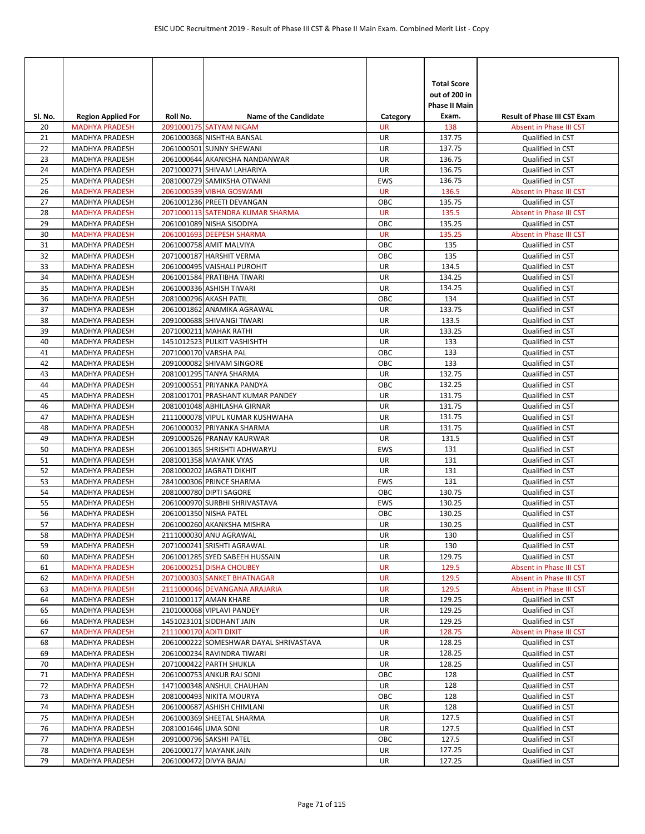|          |                                         |                        |                                                        |                  | <b>Total Score</b>                    |                                             |
|----------|-----------------------------------------|------------------------|--------------------------------------------------------|------------------|---------------------------------------|---------------------------------------------|
|          |                                         |                        |                                                        |                  | out of 200 in<br><b>Phase II Main</b> |                                             |
| Sl. No.  | <b>Region Applied For</b>               | Roll No.               | <b>Name of the Candidate</b>                           | Category         | Exam.                                 | <b>Result of Phase III CST Exam</b>         |
| 20       | <b>MADHYA PRADESH</b>                   |                        | 2091000175 SATYAM NIGAM                                | <b>UR</b>        | 138                                   | Absent in Phase III CST                     |
| 21       | MADHYA PRADESH                          |                        | 2061000368 NISHTHA BANSAL                              | UR               | 137.75                                | Qualified in CST                            |
| 22       | <b>MADHYA PRADESH</b>                   |                        | 2061000501 SUNNY SHEWANI                               | <b>UR</b>        | 137.75                                | Qualified in CST                            |
| 23       | <b>MADHYA PRADESH</b>                   |                        | 2061000644 AKANKSHA NANDANWAR                          | UR               | 136.75                                | Qualified in CST                            |
| 24       | MADHYA PRADESH                          |                        | 2071000271 SHIVAM LAHARIYA                             | UR               | 136.75                                | Qualified in CST                            |
| 25       | <b>MADHYA PRADESH</b>                   |                        | 2081000729 SAMIKSHA OTWANI                             | <b>EWS</b>       | 136.75                                | Qualified in CST                            |
| 26       | <b>MADHYA PRADESH</b>                   |                        | 2061000539 VIBHA GOSWAMI                               | <b>UR</b>        | 136.5                                 | Absent in Phase III CST                     |
| 27       | <b>MADHYA PRADESH</b>                   |                        | 2061001236 PREETI DEVANGAN                             | OBC              | 135.75                                | Qualified in CST                            |
| 28       | <b>MADHYA PRADESH</b>                   |                        | 2071000113 SATENDRA KUMAR SHARMA                       | <b>UR</b>        | 135.5                                 | Absent in Phase III CST                     |
| 29       | MADHYA PRADESH                          |                        | 2061001089 NISHA SISODIYA<br>2061001693 DEEPESH SHARMA | OBC              | 135.25<br>135.25                      | Qualified in CST                            |
| 30<br>31 | <b>MADHYA PRADESH</b><br>MADHYA PRADESH |                        | 2061000758 AMIT MALVIYA                                | <b>UR</b><br>ОВС | 135                                   | Absent in Phase III CST<br>Qualified in CST |
| 32       | <b>MADHYA PRADESH</b>                   |                        | 2071000187 HARSHIT VERMA                               | OBC              | 135                                   | Qualified in CST                            |
| 33       | MADHYA PRADESH                          |                        | 2061000495 VAISHALI PUROHIT                            | UR               | 134.5                                 | Qualified in CST                            |
| 34       | MADHYA PRADESH                          |                        | 2061001584 PRATIBHA TIWARI                             | UR               | 134.25                                | Qualified in CST                            |
| 35       | MADHYA PRADESH                          |                        | 2061000336 ASHISH TIWARI                               | UR               | 134.25                                | Qualified in CST                            |
| 36       | MADHYA PRADESH                          |                        | 2081000296 AKASH PATIL                                 | OBC              | 134                                   | Qualified in CST                            |
| 37       | <b>MADHYA PRADESH</b>                   |                        | 2061001862 ANAMIKA AGRAWAL                             | <b>UR</b>        | 133.75                                | Qualified in CST                            |
| 38       | MADHYA PRADESH                          |                        | 2091000688 SHIVANGI TIWARI                             | UR               | 133.5                                 | Qualified in CST                            |
| 39       | <b>MADHYA PRADESH</b>                   |                        | 2071000211 MAHAK RATHI                                 | UR               | 133.25                                | Qualified in CST                            |
| 40       | MADHYA PRADESH                          |                        | 1451012523 PULKIT VASHISHTH                            | UR               | 133                                   | Qualified in CST                            |
| 41       | MADHYA PRADESH                          |                        | 2071000170 VARSHA PAL                                  | ОВС              | 133                                   | Qualified in CST                            |
| 42       | <b>MADHYA PRADESH</b>                   |                        | 2091000082 SHIVAM SINGORE                              | OBC              | 133                                   | Qualified in CST                            |
| 43       | <b>MADHYA PRADESH</b>                   |                        | 2081001295 TANYA SHARMA                                | UR               | 132.75                                | Qualified in CST                            |
| 44       | <b>MADHYA PRADESH</b>                   |                        | 2091000551 PRIYANKA PANDYA                             | OBC              | 132.25                                | Qualified in CST                            |
| 45       | MADHYA PRADESH                          |                        | 2081001701 PRASHANT KUMAR PANDEY                       | UR               | 131.75                                | Qualified in CST                            |
| 46       | MADHYA PRADESH                          |                        | 2081001048 ABHILASHA GIRNAR                            | UR               | 131.75                                | Qualified in CST                            |
| 47       | MADHYA PRADESH                          |                        | 2111000078 VIPUL KUMAR KUSHWAHA                        | UR               | 131.75                                | Qualified in CST                            |
| 48       | <b>MADHYA PRADESH</b>                   |                        | 2061000032 PRIYANKA SHARMA                             | UR               | 131.75                                | Qualified in CST                            |
| 49       | <b>MADHYA PRADESH</b>                   |                        | 2091000526 PRANAV KAURWAR                              | UR               | 131.5                                 | Qualified in CST                            |
| 50       | MADHYA PRADESH                          |                        | 2061001365 SHRISHTI ADHWARYU                           | <b>EWS</b>       | 131                                   | Qualified in CST                            |
| 51<br>52 | MADHYA PRADESH<br>MADHYA PRADESH        |                        | 2081001358 MAYANK VYAS<br>2081000202 JAGRATI DIKHIT    | UR<br><b>UR</b>  | 131<br>131                            | Qualified in CST<br>Qualified in CST        |
| 53       | <b>MADHYA PRADESH</b>                   |                        | 2841000306 PRINCE SHARMA                               | <b>EWS</b>       | 131                                   | Qualified in CST                            |
| 54       | MADHYA PRADESH                          |                        | 2081000780 DIPTI SAGORE                                | ОВС              | 130.75                                | Qualified in CST                            |
| 55       | <b>MADHYA PRADESH</b>                   |                        | 2061000970 SURBHI SHRIVASTAVA                          | EWS              | 130.25                                | Qualified in CST                            |
| 56       | <b>MADHYA PRADESH</b>                   |                        | 2061001350 NISHA PATEL                                 | OBC              | 130.25                                | Qualified in CST                            |
| 57       | MADHYA PRADESH                          |                        | 2061000260 AKANKSHA MISHRA                             | UR               | 130.25                                | Qualified in CST                            |
| 58       | MADHYA PRADESH                          |                        | 2111000030 ANU AGRAWAL                                 | UR               | 130                                   | Qualified in CST                            |
| 59       | MADHYA PRADESH                          |                        | 2071000241 SRISHTI AGRAWAL                             | UR               | 130                                   | Qualified in CST                            |
| 60       | MADHYA PRADESH                          |                        | 2061001285 SYED SABEEH HUSSAIN                         | UR               | 129.75                                | Qualified in CST                            |
| 61       | <b>MADHYA PRADESH</b>                   |                        | 2061000251 DISHA CHOUBEY                               | <b>UR</b>        | 129.5                                 | Absent in Phase III CST                     |
| 62       | <b>MADHYA PRADESH</b>                   |                        | 2071000303 SANKET BHATNAGAR                            | <b>UR</b>        | 129.5                                 | Absent in Phase III CST                     |
| 63       | <b>MADHYA PRADESH</b>                   |                        | 2111000046 DEVANGANA ARAJARIA                          | <b>UR</b>        | 129.5                                 | Absent in Phase III CST                     |
| 64       | MADHYA PRADESH                          |                        | 2101000117 AMAN KHARE                                  | UR               | 129.25                                | Qualified in CST                            |
| 65       | <b>MADHYA PRADESH</b>                   |                        | 2101000068 VIPLAVI PANDEY                              | UR               | 129.25                                | Qualified in CST                            |
| 66       | MADHYA PRADESH                          |                        | 1451023101 SIDDHANT JAIN                               | UR               | 129.25                                | Qualified in CST                            |
| 67       | <b>MADHYA PRADESH</b>                   | 2111000170 ADITI DIXIT |                                                        | <b>UR</b>        | 128.75                                | Absent in Phase III CST                     |
| 68       | MADHYA PRADESH                          |                        | 2061000222 SOMESHWAR DAYAL SHRIVASTAVA                 | UR               | 128.25                                | Qualified in CST                            |
| 69       | MADHYA PRADESH                          |                        | 2061000234 RAVINDRA TIWARI                             | UR               | 128.25                                | Qualified in CST                            |
| 70       | MADHYA PRADESH                          |                        | 2071000422 PARTH SHUKLA                                | UR               | 128.25                                | Qualified in CST                            |
| 71<br>72 | MADHYA PRADESH<br>MADHYA PRADESH        |                        | 2061000753 ANKUR RAJ SONI<br>1471000348 ANSHUL CHAUHAN | OBC<br>UR        | 128<br>128                            | Qualified in CST<br>Qualified in CST        |
| 73       | MADHYA PRADESH                          |                        | 2081000493 NIKITA MOURYA                               | OBC              | 128                                   | Qualified in CST                            |
| 74       | MADHYA PRADESH                          |                        | 2061000687 ASHISH CHIMLANI                             | UR               | 128                                   | Qualified in CST                            |
| 75       | MADHYA PRADESH                          |                        | 2061000369 SHEETAL SHARMA                              | UR               | 127.5                                 | Qualified in CST                            |
| 76       | MADHYA PRADESH                          | 2081001646 UMA SONI    |                                                        | UR               | 127.5                                 | Qualified in CST                            |
| 77       | MADHYA PRADESH                          |                        | 2091000796 SAKSHI PATEL                                | ОВС              | 127.5                                 | Qualified in CST                            |
| 78       | MADHYA PRADESH                          |                        | 2061000177 MAYANK JAIN                                 | UR               | 127.25                                | Qualified in CST                            |
| 79       | MADHYA PRADESH                          |                        | 2061000472 DIVYA BAJAJ                                 | UR               | 127.25                                | Qualified in CST                            |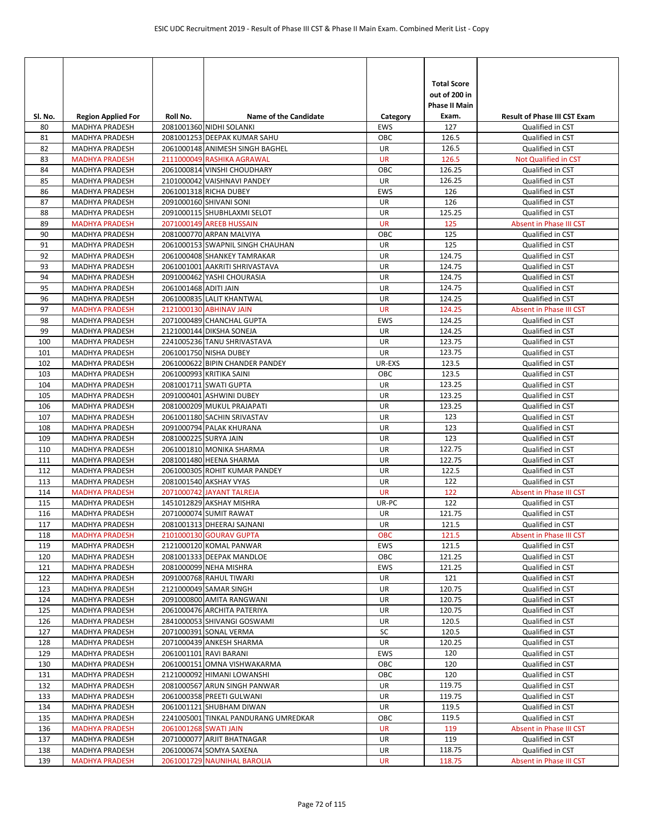|            |                                                |                       |                                                               |                        | <b>Total Score</b><br>out of 200 in<br><b>Phase II Main</b> |                                          |
|------------|------------------------------------------------|-----------------------|---------------------------------------------------------------|------------------------|-------------------------------------------------------------|------------------------------------------|
| SI. No.    | <b>Region Applied For</b>                      | Roll No.              | <b>Name of the Candidate</b>                                  | Category               | Exam.                                                       | <b>Result of Phase III CST Exam</b>      |
| 80         | MADHYA PRADESH                                 |                       | 2081001360 NIDHI SOLANKI                                      | <b>EWS</b>             | 127                                                         | Qualified in CST                         |
| 81         | <b>MADHYA PRADESH</b>                          |                       | 2081001253 DEEPAK KUMAR SAHU                                  | OBC                    | 126.5                                                       | Qualified in CST                         |
| 82         | <b>MADHYA PRADESH</b>                          |                       | 2061000148 ANIMESH SINGH BAGHEL<br>2111000049 RASHIKA AGRAWAL | <b>UR</b><br><b>UR</b> | 126.5<br>126.5                                              | Qualified in CST                         |
| 83<br>84   | <b>MADHYA PRADESH</b><br>MADHYA PRADESH        |                       | 2061000814 VINSHI CHOUDHARY                                   | OBC                    | 126.25                                                      | Not Qualified in CST<br>Qualified in CST |
| 85         | <b>MADHYA PRADESH</b>                          |                       | 2101000042 VAISHNAVI PANDEY                                   | UR                     | 126.25                                                      | Qualified in CST                         |
| 86         | MADHYA PRADESH                                 |                       | 2061001318 RICHA DUBEY                                        | <b>EWS</b>             | 126                                                         | Qualified in CST                         |
| 87         | MADHYA PRADESH                                 |                       | 2091000160 SHIVANI SONI                                       | UR                     | 126                                                         | Qualified in CST                         |
| 88         | <b>MADHYA PRADESH</b>                          |                       | 2091000115 SHUBHLAXMI SELOT                                   | UR                     | 125.25                                                      | Qualified in CST                         |
| 89         | <b>MADHYA PRADESH</b>                          |                       | 2071000149 AREEB HUSSAIN                                      | <b>UR</b>              | 125                                                         | Absent in Phase III CST                  |
| 90         | MADHYA PRADESH                                 |                       | 2081000770 ARPAN MALVIYA                                      | ОВС                    | 125                                                         | Qualified in CST                         |
| 91         | MADHYA PRADESH                                 |                       | 2061000153 SWAPNIL SINGH CHAUHAN                              | UR                     | 125                                                         | Qualified in CST                         |
| 92         | MADHYA PRADESH                                 |                       | 2061000408 SHANKEY TAMRAKAR                                   | UR                     | 124.75                                                      | Qualified in CST                         |
| 93         | MADHYA PRADESH                                 |                       | 2061001001 AAKRITI SHRIVASTAVA                                | UR                     | 124.75                                                      | Qualified in CST                         |
| 94         | MADHYA PRADESH                                 |                       | 2091000462 YASHI CHOURASIA                                    | UR                     | 124.75                                                      | Qualified in CST                         |
| 95         | <b>MADHYA PRADESH</b>                          | 2061001468 ADITI JAIN |                                                               | UR                     | 124.75                                                      | Qualified in CST                         |
| 96         | MADHYA PRADESH                                 |                       | 2061000835 LALIT KHANTWAL                                     | UR                     | 124.25                                                      | Qualified in CST                         |
| 97         | <b>MADHYA PRADESH</b>                          |                       | 2121000130 ABHINAV JAIN                                       | <b>UR</b>              | 124.25                                                      | Absent in Phase III CST                  |
| 98         | <b>MADHYA PRADESH</b>                          |                       | 2071000489 CHANCHAL GUPTA                                     | <b>EWS</b>             | 124.25                                                      | Qualified in CST                         |
| 99         | MADHYA PRADESH                                 |                       | 2121000144 DIKSHA SONEJA                                      | UR                     | 124.25                                                      | Qualified in CST                         |
| 100        | MADHYA PRADESH                                 |                       | 2241005236 TANU SHRIVASTAVA<br>2061001750 NISHA DUBEY         | UR                     | 123.75                                                      | Qualified in CST                         |
| 101<br>102 | <b>MADHYA PRADESH</b><br><b>MADHYA PRADESH</b> |                       | 2061000622 BIPIN CHANDER PANDEY                               | UR<br>UR-EXS           | 123.75<br>123.5                                             | Qualified in CST<br>Qualified in CST     |
| 103        | <b>MADHYA PRADESH</b>                          |                       | 2061000993 KRITIKA SAINI                                      | OBC                    | 123.5                                                       | Qualified in CST                         |
| 104        | MADHYA PRADESH                                 |                       | 2081001711 SWATI GUPTA                                        | UR                     | 123.25                                                      | Qualified in CST                         |
| 105        | MADHYA PRADESH                                 |                       | 2091000401 ASHWINI DUBEY                                      | UR                     | 123.25                                                      | Qualified in CST                         |
| 106        | MADHYA PRADESH                                 |                       | 2081000209 MUKUL PRAJAPATI                                    | UR                     | 123.25                                                      | Qualified in CST                         |
| 107        | MADHYA PRADESH                                 |                       | 2061001180 SACHIN SRIVASTAV                                   | UR                     | 123                                                         | Qualified in CST                         |
| 108        | <b>MADHYA PRADESH</b>                          |                       | 2091000794 PALAK KHURANA                                      | UR                     | 123                                                         | Qualified in CST                         |
| 109        | <b>MADHYA PRADESH</b>                          | 2081000225 SURYA JAIN |                                                               | UR                     | 123                                                         | Qualified in CST                         |
| 110        | MADHYA PRADESH                                 |                       | 2061001810 MONIKA SHARMA                                      | UR                     | 122.75                                                      | Qualified in CST                         |
| 111        | MADHYA PRADESH                                 |                       | 2081001480 HEENA SHARMA                                       | UR                     | 122.75                                                      | Qualified in CST                         |
| 112        | <b>MADHYA PRADESH</b>                          |                       | 2061000305 ROHIT KUMAR PANDEY                                 | UR                     | 122.5                                                       | Qualified in CST                         |
| 113        | <b>MADHYA PRADESH</b>                          |                       | 2081001540 AKSHAY VYAS                                        | UR                     | 122                                                         | Qualified in CST                         |
| 114        | <b>MADHYA PRADESH</b>                          |                       | 2071000742 JAYANT TALREJA                                     | <b>UR</b>              | 122                                                         | Absent in Phase III CST                  |
| 115        | <b>MADHYA PRADESH</b>                          |                       | 1451012829 AKSHAY MISHRA                                      | UR-PC                  | 122                                                         | Qualified in CST                         |
| 116        | MADHYA PRADESH                                 |                       | 2071000074 SUMIT RAWAT                                        | UR                     | 121.75                                                      | Qualified in CST                         |
| 117        | MADHYA PRADESH                                 |                       | 2081001313 DHEERAJ SAJNANI                                    | <b>UR</b>              | 121.5                                                       | Qualified in CST                         |
| 118        | <b>MADHYA PRADESH</b>                          |                       | 2101000130 GOURAV GUPTA                                       | <b>OBC</b>             | 121.5                                                       | Absent in Phase III CST                  |
| 119        | MADHYA PRADESH                                 |                       | 2121000120 KOMAL PANWAR                                       | EWS                    | 121.5                                                       | Qualified in CST                         |
| 120        | MADHYA PRADESH                                 |                       | 2081001333 DEEPAK MANDLOE                                     | OBC                    | 121.25                                                      | Qualified in CST                         |
| 121<br>122 | MADHYA PRADESH<br>MADHYA PRADESH               |                       | 2081000099 NEHA MISHRA<br>2091000768 RAHUL TIWARI             | EWS<br>UR              | 121.25<br>121                                               | Qualified in CST<br>Qualified in CST     |
| 123        | MADHYA PRADESH                                 |                       | 2121000049 SAMAR SINGH                                        | UR                     | 120.75                                                      | Qualified in CST                         |
| 124        | MADHYA PRADESH                                 |                       | 2091000800 AMITA RANGWANI                                     | UR                     | 120.75                                                      | Qualified in CST                         |
| 125        | MADHYA PRADESH                                 |                       | 2061000476 ARCHITA PATERIYA                                   | UR                     | 120.75                                                      | Qualified in CST                         |
| 126        | MADHYA PRADESH                                 |                       | 2841000053 SHIVANGI GOSWAMI                                   | UR                     | 120.5                                                       | Qualified in CST                         |
| 127        | MADHYA PRADESH                                 |                       | 2071000391 SONAL VERMA                                        | SC                     | 120.5                                                       | Qualified in CST                         |
| 128        | MADHYA PRADESH                                 |                       | 2071000439 ANKESH SHARMA                                      | UR                     | 120.25                                                      | Qualified in CST                         |
| 129        | MADHYA PRADESH                                 |                       | 2061001101 RAVI BARANI                                        | EWS                    | 120                                                         | Qualified in CST                         |
| 130        | MADHYA PRADESH                                 |                       | 2061000151 OMNA VISHWAKARMA                                   | OBC                    | 120                                                         | Qualified in CST                         |
| 131        | MADHYA PRADESH                                 |                       | 2121000092 HIMANI LOWANSHI                                    | OBC                    | 120                                                         | Qualified in CST                         |
| 132        | MADHYA PRADESH                                 |                       | 2081000567 ARUN SINGH PANWAR                                  | UR                     | 119.75                                                      | Qualified in CST                         |
| 133        | MADHYA PRADESH                                 |                       | 2061000358 PREETI GULWANI                                     | UR                     | 119.75                                                      | Qualified in CST                         |
| 134        | MADHYA PRADESH                                 |                       | 2061001121 SHUBHAM DIWAN                                      | UR                     | 119.5                                                       | Qualified in CST                         |
| 135        | MADHYA PRADESH                                 |                       | 2241005001 TINKAL PANDURANG UMREDKAR                          | OBC                    | 119.5                                                       | Qualified in CST                         |
| 136        | <b>MADHYA PRADESH</b>                          | 2061001268 SWATI JAIN |                                                               | UR                     | 119                                                         | Absent in Phase III CST                  |
| 137        | MADHYA PRADESH                                 |                       | 2071000077 ARJIT BHATNAGAR                                    | UR                     | 119                                                         | Qualified in CST                         |
| 138        | <b>MADHYA PRADESH</b>                          |                       | 2061000674 SOMYA SAXENA                                       | UR                     | 118.75                                                      | Qualified in CST                         |
| 139        | <b>MADHYA PRADESH</b>                          |                       | 2061001729 NAUNIHAL BAROLIA                                   | UR                     | 118.75                                                      | Absent in Phase III CST                  |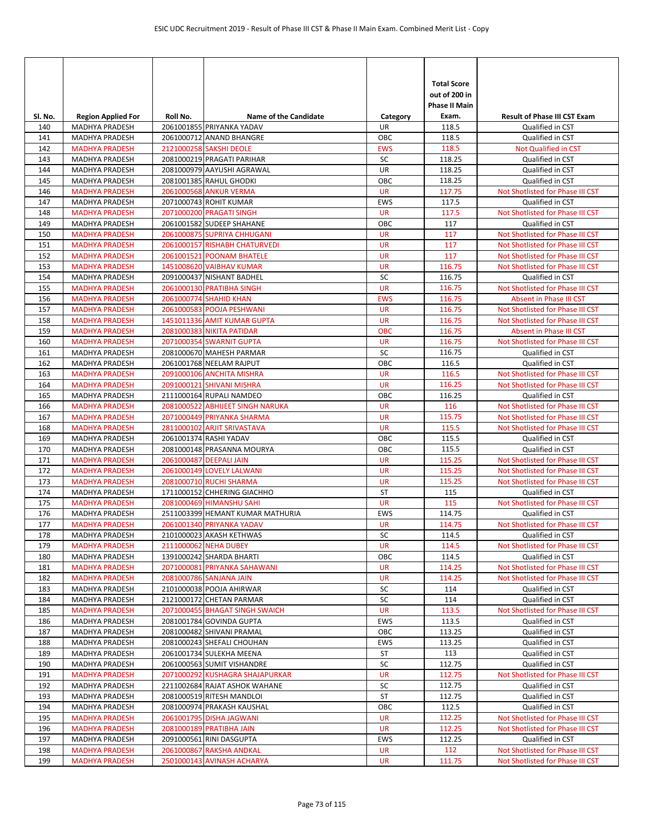| SI. No.    | <b>Region Applied For</b>                      | Roll No. | <b>Name of the Candidate</b>                                  | Category                | <b>Total Score</b><br>out of 200 in<br><b>Phase II Main</b><br>Exam. | <b>Result of Phase III CST Exam</b>                                  |
|------------|------------------------------------------------|----------|---------------------------------------------------------------|-------------------------|----------------------------------------------------------------------|----------------------------------------------------------------------|
| 140        | MADHYA PRADESH                                 |          | 2061001855 PRIYANKA YADAV                                     | UR                      | 118.5                                                                | Qualified in CST                                                     |
| 141        | <b>MADHYA PRADESH</b>                          |          | 2061000712 ANAND BHANGRE                                      | OBC                     | 118.5                                                                | Qualified in CST                                                     |
| 142        | <b>MADHYA PRADESH</b>                          |          | 2121000258 SAKSHI DEOLE                                       | <b>EWS</b>              | 118.5                                                                | Not Qualified in CST                                                 |
| 143        | MADHYA PRADESH                                 |          | 2081000219 PRAGATI PARIHAR                                    | SC                      | 118.25                                                               | Qualified in CST                                                     |
| 144        | MADHYA PRADESH                                 |          | 2081000979 AAYUSHI AGRAWAL                                    | UR                      | 118.25                                                               | Qualified in CST                                                     |
| 145        | MADHYA PRADESH                                 |          | 2081001385 RAHUL GHODKI                                       | OBC                     | 118.25                                                               | Qualified in CST                                                     |
| 146        | <b>MADHYA PRADESH</b>                          |          | 2061000568 ANKUR VERMA                                        | <b>UR</b>               | 117.75                                                               | Not Shotlisted for Phase III CST                                     |
| 147        | <b>MADHYA PRADESH</b>                          |          | 2071000743 ROHIT KUMAR                                        | <b>EWS</b>              | 117.5                                                                | Qualified in CST                                                     |
| 148        | <b>MADHYA PRADESH</b>                          |          | 2071000200 PRAGATI SINGH                                      | <b>UR</b>               | 117.5                                                                | Not Shotlisted for Phase III CST                                     |
| 149        | <b>MADHYA PRADESH</b>                          |          | 2061001582 SUDEEP SHAHANE                                     | OBC                     | 117                                                                  | Qualified in CST                                                     |
| 150        | <b>MADHYA PRADESH</b>                          |          | 2061000875 SUPRIYA CHHUGANI                                   | <b>UR</b><br><b>UR</b>  | 117<br>117                                                           | Not Shotlisted for Phase III CST                                     |
| 151<br>152 | <b>MADHYA PRADESH</b><br><b>MADHYA PRADESH</b> |          | 2061000157 RISHABH CHATURVEDI<br>2061001521 POONAM BHATELE    | <b>UR</b>               | 117                                                                  | Not Shotlisted for Phase III CST<br>Not Shotlisted for Phase III CST |
| 153        | <b>MADHYA PRADESH</b>                          |          | 1451008620 VAIBHAV KUMAR                                      | <b>UR</b>               | 116.75                                                               | Not Shotlisted for Phase III CST                                     |
| 154        | MADHYA PRADESH                                 |          | 2091000437 NISHANT BADHEL                                     | SC                      | 116.75                                                               | Qualified in CST                                                     |
| 155        | <b>MADHYA PRADESH</b>                          |          | 2061000130 PRATIBHA SINGH                                     | <b>UR</b>               | 116.75                                                               | Not Shotlisted for Phase III CST                                     |
| 156        | <b>MADHYA PRADESH</b>                          |          | 2061000774 SHAHID KHAN                                        | <b>EWS</b>              | 116.75                                                               | Absent in Phase III CST                                              |
| 157        | <b>MADHYA PRADESH</b>                          |          | 2061000583 POOJA PESHWANI                                     | <b>UR</b>               | 116.75                                                               | Not Shotlisted for Phase III CST                                     |
| 158        | <b>MADHYA PRADESH</b>                          |          | 1451011336 AMIT KUMAR GUPTA                                   | <b>UR</b>               | 116.75                                                               | Not Shotlisted for Phase III CST                                     |
| 159        | <b>MADHYA PRADESH</b>                          |          | 2081000383 NIKITA PATIDAR                                     | <b>OBC</b>              | 116.75                                                               | Absent in Phase III CST                                              |
| 160        | <b>MADHYA PRADESH</b>                          |          | 2071000354 SWARNIT GUPTA                                      | <b>UR</b>               | 116.75                                                               | Not Shotlisted for Phase III CST                                     |
| 161        | MADHYA PRADESH                                 |          | 2081000670 MAHESH PARMAR                                      | SC                      | 116.75                                                               | Qualified in CST                                                     |
| 162        | <b>MADHYA PRADESH</b>                          |          | 2061001768 NEELAM RAJPUT                                      | OBC                     | 116.5                                                                | Qualified in CST                                                     |
| 163        | <b>MADHYA PRADESH</b>                          |          | 2091000106 ANCHITA MISHRA                                     | <b>UR</b>               | 116.5                                                                | Not Shotlisted for Phase III CST                                     |
| 164        | <b>MADHYA PRADESH</b>                          |          | 2091000121 SHIVANI MISHRA                                     | <b>UR</b>               | 116.25                                                               | Not Shotlisted for Phase III CST                                     |
| 165        | <b>MADHYA PRADESH</b>                          |          | 2111000164 RUPALI NAMDEO                                      | OBC                     | 116.25                                                               | Qualified in CST                                                     |
| 166        | <b>MADHYA PRADESH</b>                          |          | 2081000522 ABHIJEET SINGH NARUKA                              | <b>UR</b>               | 116                                                                  | Not Shotlisted for Phase III CST                                     |
| 167        | <b>MADHYA PRADESH</b>                          |          | 2071000449 PRIYANKA SHARMA                                    | <b>UR</b>               | 115.75                                                               | Not Shotlisted for Phase III CST                                     |
| 168        | <b>MADHYA PRADESH</b>                          |          | 2811000102 ARJIT SRIVASTAVA                                   | <b>UR</b>               | 115.5                                                                | Not Shotlisted for Phase III CST                                     |
| 169        | <b>MADHYA PRADESH</b>                          |          | 2061001374 RASHI YADAV                                        | OBC                     | 115.5                                                                | Qualified in CST                                                     |
| 170        | MADHYA PRADESH                                 |          | 2081000148 PRASANNA MOURYA                                    | OBC                     | 115.5                                                                | Qualified in CST                                                     |
| 171        | <b>MADHYA PRADESH</b>                          |          | 2061000487 DEEPALI JAIN                                       | <b>UR</b>               | 115.25                                                               | Not Shotlisted for Phase III CST                                     |
| 172        | <b>MADHYA PRADESH</b>                          |          | 2061000149 LOVELY LALWANI                                     | <b>UR</b>               | 115.25                                                               | Not Shotlisted for Phase III CST                                     |
| 173        | <b>MADHYA PRADESH</b>                          |          | 2081000710 RUCHI SHARMA                                       | <b>UR</b>               | 115.25                                                               | Not Shotlisted for Phase III CST                                     |
| 174        | MADHYA PRADESH                                 |          | 1711000152 CHHERING GIACHHO                                   | <b>ST</b>               | 115                                                                  | Qualified in CST                                                     |
| 175        | <b>MADHYA PRADESH</b>                          |          | 2081000469 HIMANSHU SAHI                                      | <b>UR</b><br><b>EWS</b> | 115                                                                  | Not Shotlisted for Phase III CST                                     |
| 176<br>177 | <b>MADHYA PRADESH</b><br><b>MADHYA PRADESH</b> |          | 2511003399 HEMANT KUMAR MATHURIA<br>2061001340 PRIYANKA YADAV | <b>UR</b>               | 114.75<br>114.75                                                     | Qualified in CST<br>Not Shotlisted for Phase III CST                 |
| 178        | MADHYA PRADESH                                 |          | 2101000023 AKASH KETHWAS                                      | SC                      | 114.5                                                                | Qualified in CST                                                     |
| 179        | <b>MADHYA PRADESH</b>                          |          | 2111000062 NEHA DUBEY                                         | <b>UR</b>               | 114.5                                                                | Not Shotlisted for Phase III CST                                     |
| 180        | <b>MADHYA PRADESH</b>                          |          | 1391000242 SHARDA BHARTI                                      | OBC                     | 114.5                                                                | Qualified in CST                                                     |
| 181        | <b>MADHYA PRADESH</b>                          |          | 2071000081 PRIYANKA SAHAWANI                                  | <b>UR</b>               | 114.25                                                               | Not Shotlisted for Phase III CST                                     |
| 182        | <b>MADHYA PRADESH</b>                          |          | 2081000786 SANJANA JAIN                                       | <b>UR</b>               | 114.25                                                               | Not Shotlisted for Phase III CST                                     |
| 183        | MADHYA PRADESH                                 |          | 2101000038 POOJA AHIRWAR                                      | SC                      | 114                                                                  | Qualified in CST                                                     |
| 184        | MADHYA PRADESH                                 |          | 2121000172 CHETAN PARMAR                                      | SC                      | 114                                                                  | Qualified in CST                                                     |
| 185        | <b>MADHYA PRADESH</b>                          |          | 2071000455 BHAGAT SINGH SWAICH                                | <b>UR</b>               | 113.5                                                                | Not Shotlisted for Phase III CST                                     |
| 186        | MADHYA PRADESH                                 |          | 2081001784 GOVINDA GUPTA                                      | EWS                     | 113.5                                                                | Qualified in CST                                                     |
| 187        | MADHYA PRADESH                                 |          | 2081000482 SHIVANI PRAMAL                                     | OBC                     | 113.25                                                               | Qualified in CST                                                     |
| 188        | <b>MADHYA PRADESH</b>                          |          | 2081000243 SHEFALI CHOUHAN                                    | EWS                     | 113.25                                                               | Qualified in CST                                                     |
| 189        | MADHYA PRADESH                                 |          | 2061001734 SULEKHA MEENA                                      | ST                      | 113                                                                  | Qualified in CST                                                     |
| 190        | MADHYA PRADESH                                 |          | 2061000563 SUMIT VISHANDRE                                    | SC                      | 112.75                                                               | Qualified in CST                                                     |
| 191        | <b>MADHYA PRADESH</b>                          |          | 2071000292 KUSHAGRA SHAJAPURKAR                               | <b>UR</b>               | 112.75                                                               | Not Shotlisted for Phase III CST                                     |
| 192        | MADHYA PRADESH                                 |          | 2211002684 RAJAT ASHOK WAHANE                                 | SC                      | 112.75                                                               | Qualified in CST                                                     |
| 193        | MADHYA PRADESH                                 |          | 2081000519 RITESH MANDLOI                                     | ST                      | 112.75                                                               | Qualified in CST                                                     |
| 194        | MADHYA PRADESH                                 |          | 2081000974 PRAKASH KAUSHAL                                    | OBC                     | 112.5                                                                | Qualified in CST                                                     |
| 195        | <b>MADHYA PRADESH</b>                          |          | 2061001795 DISHA JAGWANI                                      | <b>UR</b>               | 112.25                                                               | Not Shotlisted for Phase III CST                                     |
| 196        | <b>MADHYA PRADESH</b>                          |          | 2081000189 PRATIBHA JAIN                                      | <b>UR</b>               | 112.25                                                               | Not Shotlisted for Phase III CST                                     |
| 197        | MADHYA PRADESH                                 |          | 2091000561 RINI DASGUPTA                                      | EWS                     | 112.25                                                               | Qualified in CST                                                     |
| 198        | <b>MADHYA PRADESH</b>                          |          | 2061000867 RAKSHA ANDKAL                                      | UR                      | 112                                                                  | Not Shotlisted for Phase III CST                                     |
| 199        | <b>MADHYA PRADESH</b>                          |          | 2501000143 AVINASH ACHARYA                                    | <b>UR</b>               | 111.75                                                               | Not Shotlisted for Phase III CST                                     |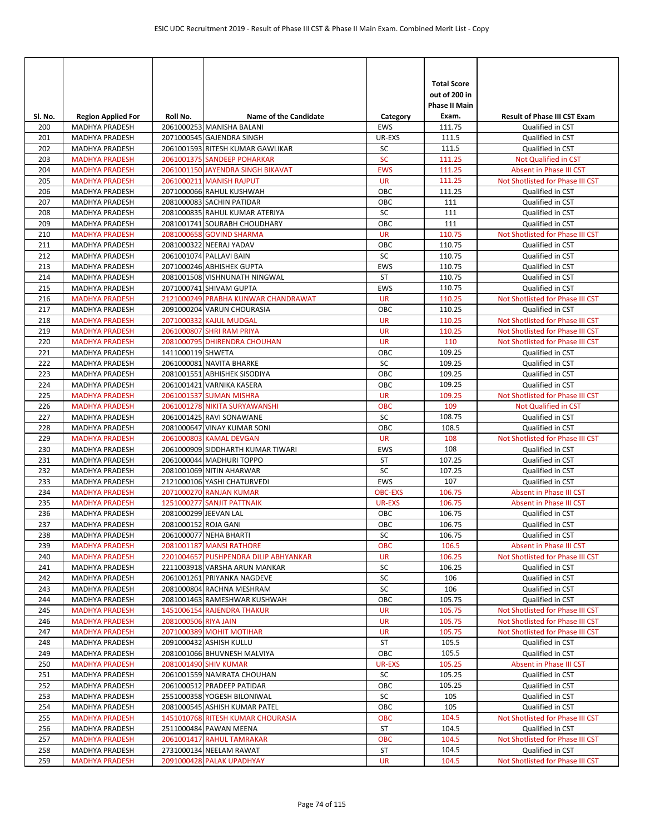| SI. No.    | <b>Region Applied For</b>                      | Roll No.              | <b>Name of the Candidate</b>                               | Category                | <b>Total Score</b><br>out of 200 in<br><b>Phase II Main</b><br>Exam. | <b>Result of Phase III CST Exam</b>  |
|------------|------------------------------------------------|-----------------------|------------------------------------------------------------|-------------------------|----------------------------------------------------------------------|--------------------------------------|
| 200        | MADHYA PRADESH                                 |                       | 2061000253 MANISHA BALANI                                  | <b>EWS</b>              | 111.75                                                               | Qualified in CST                     |
| 201        | <b>MADHYA PRADESH</b>                          |                       | 2071000545 GAJENDRA SINGH                                  | UR-EXS                  | 111.5                                                                | Qualified in CST                     |
| 202        | <b>MADHYA PRADESH</b>                          |                       | 2061001593 RITESH KUMAR GAWLIKAR                           | SC                      | 111.5                                                                | Qualified in CST                     |
| 203        | <b>MADHYA PRADESH</b>                          |                       | 2061001375 SANDEEP POHARKAR                                | <b>SC</b>               | 111.25                                                               | Not Qualified in CST                 |
| 204        | <b>MADHYA PRADESH</b>                          |                       | 2061001150 JAYENDRA SINGH BIKAVAT                          | <b>EWS</b>              | 111.25                                                               | Absent in Phase III CST              |
| 205        | <b>MADHYA PRADESH</b>                          |                       | 2061000211 MANISH RAJPUT                                   | <b>UR</b>               | 111.25                                                               | Not Shotlisted for Phase III CST     |
| 206        | <b>MADHYA PRADESH</b>                          |                       | 2071000066 RAHUL KUSHWAH                                   | OBC                     | 111.25                                                               | Qualified in CST                     |
| 207        | MADHYA PRADESH                                 |                       | 2081000083 SACHIN PATIDAR                                  | ОВС                     | 111                                                                  | Qualified in CST                     |
| 208        | MADHYA PRADESH                                 |                       | 2081000835 RAHUL KUMAR ATERIYA                             | SC                      | 111                                                                  | Qualified in CST                     |
| 209        | <b>MADHYA PRADESH</b>                          |                       | 2081001741 SOURABH CHOUDHARY                               | OBC                     | 111                                                                  | Qualified in CST                     |
| 210        | <b>MADHYA PRADESH</b>                          |                       | 2081000658 GOVIND SHARMA                                   | <b>UR</b>               | 110.75                                                               | Not Shotlisted for Phase III CST     |
| 211        | MADHYA PRADESH                                 |                       | 2081000322 NEERAJ YADAV                                    | OBC                     | 110.75                                                               | Qualified in CST                     |
| 212        | <b>MADHYA PRADESH</b>                          |                       | 2061001074 PALLAVI BAIN                                    | <b>SC</b><br><b>EWS</b> | 110.75                                                               | Qualified in CST<br>Qualified in CST |
| 213<br>214 | <b>MADHYA PRADESH</b><br><b>MADHYA PRADESH</b> |                       | 2071000246 ABHISHEK GUPTA<br>2081001508 VISHNUNATH NINGWAL | ST                      | 110.75<br>110.75                                                     | Qualified in CST                     |
| 215        | <b>MADHYA PRADESH</b>                          |                       | 2071000741 SHIVAM GUPTA                                    | <b>EWS</b>              | 110.75                                                               | Qualified in CST                     |
| 216        | <b>MADHYA PRADESH</b>                          |                       | 2121000249 PRABHA KUNWAR CHANDRAWAT                        | <b>UR</b>               | 110.25                                                               | Not Shotlisted for Phase III CST     |
| 217        | <b>MADHYA PRADESH</b>                          |                       | 2091000204 VARUN CHOURASIA                                 | ОВС                     | 110.25                                                               | Qualified in CST                     |
| 218        | <b>MADHYA PRADESH</b>                          |                       | 2071000332 KAJUL MUDGAL                                    | <b>UR</b>               | 110.25                                                               | Not Shotlisted for Phase III CST     |
| 219        | <b>MADHYA PRADESH</b>                          |                       | 2061000807 SHRI RAM PRIYA                                  | <b>UR</b>               | 110.25                                                               | Not Shotlisted for Phase III CST     |
| 220        | <b>MADHYA PRADESH</b>                          |                       | 2081000795 DHIRENDRA CHOUHAN                               | <b>UR</b>               | 110                                                                  | Not Shotlisted for Phase III CST     |
| 221        | MADHYA PRADESH                                 | 1411000119 SHWETA     |                                                            | OBC                     | 109.25                                                               | Qualified in CST                     |
| 222        | <b>MADHYA PRADESH</b>                          |                       | 2061000081 NAVITA BHARKE                                   | SC                      | 109.25                                                               | Qualified in CST                     |
| 223        | <b>MADHYA PRADESH</b>                          |                       | 2081001551 ABHISHEK SISODIYA                               | OBC                     | 109.25                                                               | Qualified in CST                     |
| 224        | MADHYA PRADESH                                 |                       | 2061001421 VARNIKA KASERA                                  | ОВС                     | 109.25                                                               | Qualified in CST                     |
| 225        | <b>MADHYA PRADESH</b>                          |                       | 2061001537 SUMAN MISHRA                                    | <b>UR</b>               | 109.25                                                               | Not Shotlisted for Phase III CST     |
| 226        | <b>MADHYA PRADESH</b>                          |                       | 2061001278 NIKITA SURYAWANSHI                              | <b>OBC</b>              | 109                                                                  | Not Qualified in CST                 |
| 227        | <b>MADHYA PRADESH</b>                          |                       | 2061001425 RAVI SONAWANE                                   | SC                      | 108.75                                                               | Qualified in CST                     |
| 228        | <b>MADHYA PRADESH</b>                          |                       | 2081000647 VINAY KUMAR SONI                                | OBC                     | 108.5                                                                | Qualified in CST                     |
| 229        | <b>MADHYA PRADESH</b>                          |                       | 2061000803 KAMAL DEVGAN                                    | <b>UR</b>               | 108                                                                  | Not Shotlisted for Phase III CST     |
| 230        | <b>MADHYA PRADESH</b>                          |                       | 2061000909 SIDDHARTH KUMAR TIWARI                          | <b>EWS</b>              | 108                                                                  | Qualified in CST                     |
| 231        | MADHYA PRADESH                                 |                       | 2061000044 MADHURI TOPPO                                   | ST                      | 107.25                                                               | Qualified in CST                     |
| 232        | <b>MADHYA PRADESH</b>                          |                       | 2081001069 NITIN AHARWAR                                   | SC                      | 107.25                                                               | Qualified in CST                     |
| 233        | <b>MADHYA PRADESH</b>                          |                       | 2121000106 YASHI CHATURVEDI                                | EWS                     | 107                                                                  | Qualified in CST                     |
| 234        | <b>MADHYA PRADESH</b>                          |                       | 2071000270 RANJAN KUMAR                                    | <b>OBC-EXS</b>          | 106.75                                                               | Absent in Phase III CST              |
| 235        | <b>MADHYA PRADESH</b>                          |                       | 1251000277 SANJIT PATTNAIK                                 | UR-EXS                  | 106.75                                                               | Absent in Phase III CST              |
| 236        | <b>MADHYA PRADESH</b>                          | 2081000299 JEEVAN LAL |                                                            | OBC                     | 106.75                                                               | Qualified in CST                     |
| 237        | MADHYA PRADESH                                 | 2081000152 ROJA GANI  |                                                            | OBC                     | 106.75                                                               | Qualified in CST<br>Qualified in CST |
| 238<br>239 | MADHYA PRADESH<br><b>MADHYA PRADESH</b>        |                       | 2061000077 NEHA BHARTI<br>2081001187 MANSI RATHORE         | SC<br><b>OBC</b>        | 106.75<br>106.5                                                      | Absent in Phase III CST              |
| 240        | <b>MADHYA PRADESH</b>                          |                       | 2201004657 PUSHPENDRA DILIP ABHYANKAR                      | UR                      | 106.25                                                               | Not Shotlisted for Phase III CST     |
| 241        | MADHYA PRADESH                                 |                       | 2211003918 VARSHA ARUN MANKAR                              | SC                      | 106.25                                                               | Qualified in CST                     |
| 242        | MADHYA PRADESH                                 |                       | 2061001261 PRIYANKA NAGDEVE                                | SC                      | 106                                                                  | Qualified in CST                     |
| 243        | MADHYA PRADESH                                 |                       | 2081000804 RACHNA MESHRAM                                  | SC                      | 106                                                                  | Qualified in CST                     |
| 244        | MADHYA PRADESH                                 |                       | 2081001463 RAMESHWAR KUSHWAH                               | OBC                     | 105.75                                                               | Qualified in CST                     |
| 245        | <b>MADHYA PRADESH</b>                          |                       | 1451006154 RAJENDRA THAKUR                                 | <b>UR</b>               | 105.75                                                               | Not Shotlisted for Phase III CST     |
| 246        | <b>MADHYA PRADESH</b>                          | 2081000506 RIYA JAIN  |                                                            | <b>UR</b>               | 105.75                                                               | Not Shotlisted for Phase III CST     |
| 247        | <b>MADHYA PRADESH</b>                          |                       | 2071000389 MOHIT MOTIHAR                                   | <b>UR</b>               | 105.75                                                               | Not Shotlisted for Phase III CST     |
| 248        | MADHYA PRADESH                                 |                       | 2091000432 ASHISH KULLU                                    | ST                      | 105.5                                                                | Qualified in CST                     |
| 249        | MADHYA PRADESH                                 |                       | 2081001066 BHUVNESH MALVIYA                                | OBC                     | 105.5                                                                | Qualified in CST                     |
| 250        | <b>MADHYA PRADESH</b>                          |                       | 2081001490 SHIV KUMAR                                      | UR-EXS                  | 105.25                                                               | Absent in Phase III CST              |
| 251        | MADHYA PRADESH                                 |                       | 2061001559 NAMRATA CHOUHAN                                 | SC                      | 105.25                                                               | Qualified in CST                     |
| 252        | MADHYA PRADESH                                 |                       | 2061000512 PRADEEP PATIDAR                                 | OBC                     | 105.25                                                               | Qualified in CST                     |
| 253        | MADHYA PRADESH                                 |                       | 2551000358 YOGESH BILONIWAL                                | SC                      | 105                                                                  | Qualified in CST                     |
| 254        | MADHYA PRADESH                                 |                       | 2081000545 ASHISH KUMAR PATEL                              | OBC                     | 105                                                                  | Qualified in CST                     |
| 255        | <b>MADHYA PRADESH</b>                          |                       | 1451010768 RITESH KUMAR CHOURASIA                          | ОВС                     | 104.5                                                                | Not Shotlisted for Phase III CST     |
| 256        | MADHYA PRADESH                                 |                       | 2511000484 PAWAN MEENA                                     | ST                      | 104.5                                                                | Qualified in CST                     |
| 257        | <b>MADHYA PRADESH</b>                          |                       | 2061001417 RAHUL TAMRAKAR                                  | OBC                     | 104.5                                                                | Not Shotlisted for Phase III CST     |
| 258        | MADHYA PRADESH                                 |                       | 2731000134 NEELAM RAWAT                                    | ST                      | 104.5                                                                | Qualified in CST                     |
| 259        | <b>MADHYA PRADESH</b>                          |                       | 2091000428 PALAK UPADHYAY                                  | <b>UR</b>               | 104.5                                                                | Not Shotlisted for Phase III CST     |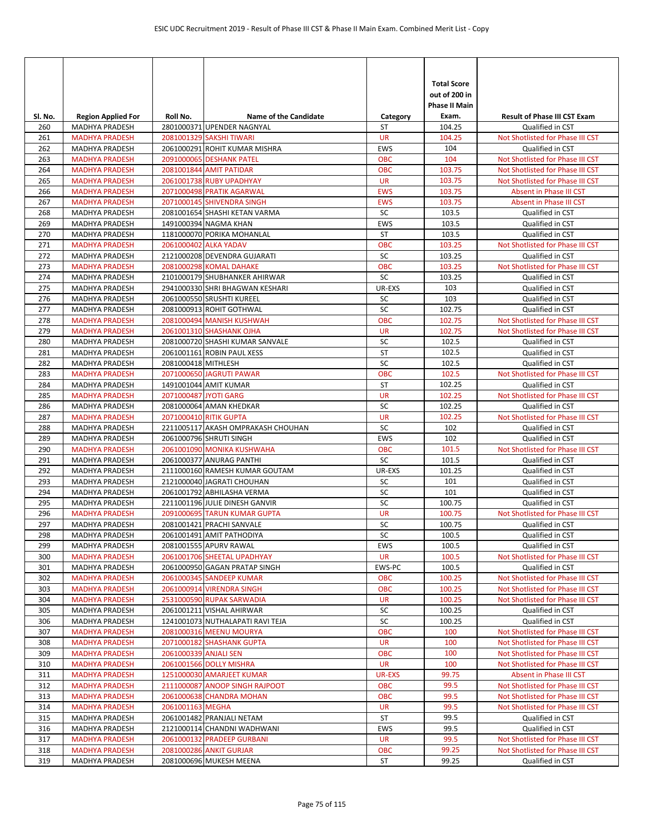| SI. No.    | <b>Region Applied For</b>               | Roll No.              | <b>Name of the Candidate</b>                            | Category         | <b>Total Score</b><br>out of 200 in<br><b>Phase II Main</b><br>Exam. | <b>Result of Phase III CST Exam</b>                  |
|------------|-----------------------------------------|-----------------------|---------------------------------------------------------|------------------|----------------------------------------------------------------------|------------------------------------------------------|
| 260        | <b>MADHYA PRADESH</b>                   |                       | 2801000371 UPENDER NAGNYAL                              | ST               | 104.25                                                               | Qualified in CST                                     |
| 261        | <b>MADHYA PRADESH</b>                   |                       | 2081001329 SAKSHI TIWARI                                | <b>UR</b>        | 104.25                                                               | Not Shotlisted for Phase III CST                     |
| 262        | <b>MADHYA PRADESH</b>                   |                       | 2061000291 ROHIT KUMAR MISHRA                           | <b>EWS</b>       | 104                                                                  | Qualified in CST                                     |
| 263        | <b>MADHYA PRADESH</b>                   |                       | 2091000065 DESHANK PATEL                                | <b>OBC</b>       | 104                                                                  | Not Shotlisted for Phase III CST                     |
| 264        | <b>MADHYA PRADESH</b>                   |                       | 2081001844 AMIT PATIDAR                                 | <b>OBC</b>       | 103.75                                                               | Not Shotlisted for Phase III CST                     |
| 265        | <b>MADHYA PRADESH</b>                   |                       | 2061001738 RUBY UPADHYAY                                | <b>UR</b>        | 103.75                                                               | Not Shotlisted for Phase III CST                     |
| 266        | <b>MADHYA PRADESH</b>                   |                       | 2071000498 PRATIK AGARWAL                               | <b>EWS</b>       | 103.75                                                               | Absent in Phase III CST                              |
| 267        | <b>MADHYA PRADESH</b>                   |                       | 2071000145 SHIVENDRA SINGH                              | <b>EWS</b>       | 103.75                                                               | Absent in Phase III CST                              |
| 268        | MADHYA PRADESH                          |                       | 2081001654 SHASHI KETAN VARMA                           | SC               | 103.5                                                                | Qualified in CST                                     |
| 269        | MADHYA PRADESH                          |                       | 1491000394 NAGMA KHAN                                   | EWS              | 103.5                                                                | Qualified in CST                                     |
| 270        | MADHYA PRADESH                          |                       | 1181000070 PORIKA MOHANLAL                              | ST               | 103.5                                                                | Qualified in CST                                     |
| 271        | <b>MADHYA PRADESH</b>                   |                       | 2061000402 ALKA YADAV                                   | <b>OBC</b>       | 103.25                                                               | Not Shotlisted for Phase III CST                     |
| 272<br>273 | MADHYA PRADESH                          |                       | 2121000208 DEVENDRA GUJARATI<br>2081000298 KOMAL DAHAKE | SC<br><b>OBC</b> | 103.25                                                               | Qualified in CST                                     |
| 274        | <b>MADHYA PRADESH</b><br>MADHYA PRADESH |                       | 2101000179 SHUBHANKER AHIRWAR                           | SC               | 103.25<br>103.25                                                     | Not Shotlisted for Phase III CST<br>Qualified in CST |
| 275        | MADHYA PRADESH                          |                       | 2941000330 SHRI BHAGWAN KESHARI                         | UR-EXS           | 103                                                                  | Qualified in CST                                     |
| 276        | <b>MADHYA PRADESH</b>                   |                       | 2061000550 SRUSHTI KUREEL                               | SC               | 103                                                                  | Qualified in CST                                     |
| 277        | MADHYA PRADESH                          |                       | 2081000913 ROHIT GOTHWAL                                | SC               | 102.75                                                               | Qualified in CST                                     |
| 278        | <b>MADHYA PRADESH</b>                   |                       | 2081000494 MANISH KUSHWAH                               | <b>OBC</b>       | 102.75                                                               | Not Shotlisted for Phase III CST                     |
| 279        | <b>MADHYA PRADESH</b>                   |                       | 2061001310 SHASHANK OJHA                                | <b>UR</b>        | 102.75                                                               | Not Shotlisted for Phase III CST                     |
| 280        | <b>MADHYA PRADESH</b>                   |                       | 2081000720 SHASHI KUMAR SANVALE                         | SC               | 102.5                                                                | Qualified in CST                                     |
| 281        | MADHYA PRADESH                          |                       | 2061001161 ROBIN PAUL XESS                              | ST               | 102.5                                                                | Qualified in CST                                     |
| 282        | <b>MADHYA PRADESH</b>                   | 2081000418 MITHLESH   |                                                         | SC               | 102.5                                                                | Qualified in CST                                     |
| 283        | <b>MADHYA PRADESH</b>                   |                       | 2071000650 JAGRUTI PAWAR                                | <b>OBC</b>       | 102.5                                                                | Not Shotlisted for Phase III CST                     |
| 284        | MADHYA PRADESH                          |                       | 1491001044 AMIT KUMAR                                   | <b>ST</b>        | 102.25                                                               | Qualified in CST                                     |
| 285        | <b>MADHYA PRADESH</b>                   | 2071000487 JYOTI GARG |                                                         | <b>UR</b>        | 102.25                                                               | Not Shotlisted for Phase III CST                     |
| 286        | MADHYA PRADESH                          |                       | 2081000064 AMAN KHEDKAR                                 | SC               | 102.25                                                               | Qualified in CST                                     |
| 287        | <b>MADHYA PRADESH</b>                   |                       | 2071000410 RITIK GUPTA                                  | <b>UR</b>        | 102.25                                                               | Not Shotlisted for Phase III CST                     |
| 288        | MADHYA PRADESH                          |                       | 2211005117 AKASH OMPRAKASH CHOUHAN                      | SC               | 102                                                                  | Qualified in CST                                     |
| 289        | MADHYA PRADESH                          |                       | 2061000796 SHRUTI SINGH                                 | <b>EWS</b>       | 102                                                                  | Qualified in CST                                     |
| 290        | <b>MADHYA PRADESH</b>                   |                       | 2061001090 MONIKA KUSHWAHA                              | <b>OBC</b>       | 101.5                                                                | Not Shotlisted for Phase III CST                     |
| 291        | MADHYA PRADESH                          |                       | 2061000377 ANURAG PANTHI                                | SC               | 101.5                                                                | Qualified in CST                                     |
| 292        | MADHYA PRADESH                          |                       | 2111000160 RAMESH KUMAR GOUTAM                          | UR-EXS           | 101.25                                                               | Qualified in CST                                     |
| 293        | MADHYA PRADESH                          |                       | 2121000040 JAGRATI CHOUHAN                              | SC               | 101                                                                  | Qualified in CST                                     |
| 294        | <b>MADHYA PRADESH</b>                   |                       | 2061001792 ABHILASHA VERMA                              | SC               | 101                                                                  | Qualified in CST                                     |
| 295        | <b>MADHYA PRADESH</b>                   |                       | 2211001196 JULIE DINESH GANVIR                          | SC               | 100.75                                                               | Qualified in CST                                     |
| 296        | <b>MADHYA PRADESH</b>                   |                       | 2091000695 TARUN KUMAR GUPTA                            | <b>UR</b>        | 100.75                                                               | Not Shotlisted for Phase III CST                     |
| 297        | MADHYA PRADESH<br><b>MADHYA PRADESH</b> |                       | 2081001421 PRACHI SANVALE                               | SC               | 100.75                                                               | Qualified in CST                                     |
| 298<br>299 | MADHYA PRADESH                          |                       | 2061001491 AMIT PATHODIYA<br>2081001555 APURV RAWAL     | SC<br><b>EWS</b> | 100.5<br>100.5                                                       | Qualified in CST<br>Qualified in CST                 |
| 300        | <b>MADHYA PRADESH</b>                   |                       | 2061001706 SHEETAL UPADHYAY                             | <b>UR</b>        | 100.5                                                                | Not Shotlisted for Phase III CST                     |
| 301        | MADHYA PRADESH                          |                       | 2061000950 GAGAN PRATAP SINGH                           | EWS-PC           | 100.5                                                                | Qualified in CST                                     |
| 302        | <b>MADHYA PRADESH</b>                   |                       | 2061000345 SANDEEP KUMAR                                | <b>OBC</b>       | 100.25                                                               | Not Shotlisted for Phase III CST                     |
| 303        | <b>MADHYA PRADESH</b>                   |                       | 2061000914 VIRENDRA SINGH                               | <b>OBC</b>       | 100.25                                                               | Not Shotlisted for Phase III CST                     |
| 304        | <b>MADHYA PRADESH</b>                   |                       | 2531000590 RUPAK SARWADIA                               | <b>UR</b>        | 100.25                                                               | Not Shotlisted for Phase III CST                     |
| 305        | MADHYA PRADESH                          |                       | 2061001211 VISHAL AHIRWAR                               | SC               | 100.25                                                               | Qualified in CST                                     |
| 306        | MADHYA PRADESH                          |                       | 1241001073 NUTHALAPATI RAVI TEJA                        | SC               | 100.25                                                               | Qualified in CST                                     |
| 307        | <b>MADHYA PRADESH</b>                   |                       | 2081000316 MEENU MOURYA                                 | <b>OBC</b>       | 100                                                                  | Not Shotlisted for Phase III CST                     |
| 308        | <b>MADHYA PRADESH</b>                   |                       | 2071000182 SHASHANK GUPTA                               | UR               | 100                                                                  | Not Shotlisted for Phase III CST                     |
| 309        | <b>MADHYA PRADESH</b>                   | 2061000339 ANJALI SEN |                                                         | <b>OBC</b>       | 100                                                                  | Not Shotlisted for Phase III CST                     |
| 310        | <b>MADHYA PRADESH</b>                   |                       | 2061001566 DOLLY MISHRA                                 | UR               | 100                                                                  | Not Shotlisted for Phase III CST                     |
| 311        | <b>MADHYA PRADESH</b>                   |                       | 1251000030 AMARJEET KUMAR                               | UR-EXS           | 99.75                                                                | Absent in Phase III CST                              |
| 312        | <b>MADHYA PRADESH</b>                   |                       | 2111000087 ANOOP SINGH RAJPOOT                          | <b>OBC</b>       | 99.5                                                                 | Not Shotlisted for Phase III CST                     |
| 313        | <b>MADHYA PRADESH</b>                   |                       | 2061000638 CHANDRA MOHAN                                | <b>OBC</b>       | 99.5                                                                 | Not Shotlisted for Phase III CST                     |
| 314        | <b>MADHYA PRADESH</b>                   | 2061001163 MEGHA      |                                                         | UR               | 99.5                                                                 | Not Shotlisted for Phase III CST                     |
| 315        | MADHYA PRADESH                          |                       | 2061001482 PRANJALI NETAM                               | ST               | 99.5                                                                 | Qualified in CST                                     |
| 316        | MADHYA PRADESH                          |                       | 2121000114 CHANDNI WADHWANI                             | EWS              | 99.5                                                                 | Qualified in CST                                     |
| 317        | <b>MADHYA PRADESH</b>                   |                       | 2061000132 PRADEEP GURBANI                              | <b>UR</b>        | 99.5                                                                 | Not Shotlisted for Phase III CST                     |
| 318        | <b>MADHYA PRADESH</b>                   |                       | 2081000286 ANKIT GURJAR                                 | <b>OBC</b>       | 99.25                                                                | Not Shotlisted for Phase III CST                     |
| 319        | MADHYA PRADESH                          |                       | 2081000696 MUKESH MEENA                                 | ST               | 99.25                                                                | Qualified in CST                                     |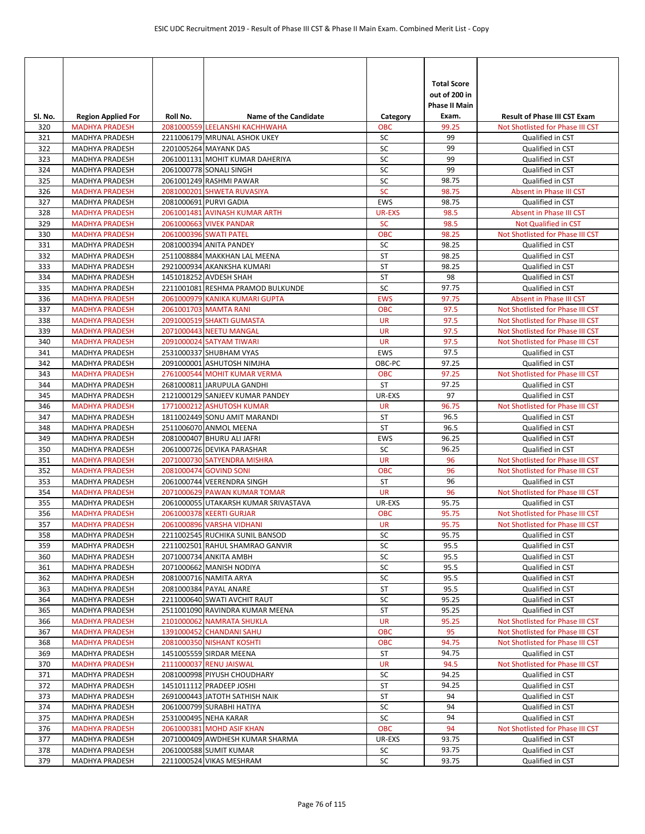| Sl. No.    | <b>Region Applied For</b>                      | Roll No. | <b>Name of the Candidate</b>                                     | Category             | <b>Total Score</b><br>out of 200 in<br>Phase II Main<br>Exam. | <b>Result of Phase III CST Exam</b>                  |
|------------|------------------------------------------------|----------|------------------------------------------------------------------|----------------------|---------------------------------------------------------------|------------------------------------------------------|
| 320        | <b>MADHYA PRADESH</b>                          |          | 2081000559 LEELANSHI KACHHWAHA                                   | <b>OBC</b>           | 99.25                                                         | Not Shotlisted for Phase III CST                     |
| 321        | <b>MADHYA PRADESH</b>                          |          | 2211006179 MRUNAL ASHOK UKEY                                     | SC                   | 99                                                            | Qualified in CST                                     |
| 322        | <b>MADHYA PRADESH</b>                          |          | 2201005264 MAYANK DAS                                            | SC                   | 99                                                            | Qualified in CST                                     |
| 323        | <b>MADHYA PRADESH</b>                          |          | 2061001131 MOHIT KUMAR DAHERIYA                                  | SC                   | 99                                                            | Qualified in CST                                     |
| 324        | <b>MADHYA PRADESH</b>                          |          | 2061000778 SONALI SINGH                                          | SC                   | 99                                                            | Qualified in CST                                     |
| 325        | <b>MADHYA PRADESH</b><br><b>MADHYA PRADESH</b> |          | 2061001249 RASHMI PAWAR                                          | SC                   | 98.75                                                         | Qualified in CST                                     |
| 326<br>327 | MADHYA PRADESH                                 |          | 2081000201 SHWETA RUVASIYA<br>2081000691 PURVI GADIA             | <b>SC</b><br>EWS     | 98.75<br>98.75                                                | Absent in Phase III CST<br>Qualified in CST          |
| 328        | <b>MADHYA PRADESH</b>                          |          | 2061001481 AVINASH KUMAR ARTH                                    | <b>UR-EXS</b>        | 98.5                                                          | Absent in Phase III CST                              |
| 329        | <b>MADHYA PRADESH</b>                          |          | <b>2061000663 VIVEK PANDAR</b>                                   | <b>SC</b>            | 98.5                                                          | Not Qualified in CST                                 |
| 330        | <b>MADHYA PRADESH</b>                          |          | 2061000396 SWATI PATEL                                           | <b>OBC</b>           | 98.25                                                         | Not Shotlisted for Phase III CST                     |
| 331        | MADHYA PRADESH                                 |          | 2081000394 ANITA PANDEY                                          | SC                   | 98.25                                                         | Qualified in CST                                     |
| 332        | <b>MADHYA PRADESH</b>                          |          | 2511008884 MAKKHAN LAL MEENA                                     | <b>ST</b>            | 98.25                                                         | Qualified in CST                                     |
| 333        | MADHYA PRADESH                                 |          | 2921000934 AKANKSHA KUMARI                                       | <b>ST</b>            | 98.25                                                         | Qualified in CST                                     |
| 334        | <b>MADHYA PRADESH</b>                          |          | 1451018252 AVDESH SHAH                                           | <b>ST</b>            | 98                                                            | Qualified in CST                                     |
| 335        | <b>MADHYA PRADESH</b>                          |          | 2211001081 RESHMA PRAMOD BULKUNDE                                | SC                   | 97.75                                                         | Qualified in CST                                     |
| 336        | <b>MADHYA PRADESH</b>                          |          | 2061000979 KANIKA KUMARI GUPTA                                   | <b>EWS</b>           | 97.75                                                         | Absent in Phase III CST                              |
| 337        | <b>MADHYA PRADESH</b>                          |          | 2061001703 MAMTA RANI                                            | <b>OBC</b>           | 97.5                                                          | Not Shotlisted for Phase III CST                     |
| 338        | <b>MADHYA PRADESH</b>                          |          | 2091000519 SHAKTI GUMASTA                                        | <b>UR</b>            | 97.5                                                          | Not Shotlisted for Phase III CST                     |
| 339        | <b>MADHYA PRADESH</b>                          |          | 2071000443 NEETU MANGAL                                          | <b>UR</b>            | 97.5                                                          | Not Shotlisted for Phase III CST                     |
| 340        | <b>MADHYA PRADESH</b>                          |          | 2091000024 SATYAM TIWARI                                         | <b>UR</b>            | 97.5                                                          | Not Shotlisted for Phase III CST                     |
| 341<br>342 | MADHYA PRADESH<br><b>MADHYA PRADESH</b>        |          | 2531000337 SHUBHAM VYAS<br>2091000001 ASHUTOSH NIMJHA            | <b>EWS</b><br>OBC-PC | 97.5<br>97.25                                                 | Qualified in CST<br>Qualified in CST                 |
| 343        | <b>MADHYA PRADESH</b>                          |          | 2761000544 MOHIT KUMAR VERMA                                     | <b>OBC</b>           | 97.25                                                         | Not Shotlisted for Phase III CST                     |
| 344        | MADHYA PRADESH                                 |          | 2681000811 JARUPULA GANDHI                                       | ST                   | 97.25                                                         | Qualified in CST                                     |
| 345        | <b>MADHYA PRADESH</b>                          |          | 2121000129 SANJEEV KUMAR PANDEY                                  | UR-EXS               | 97                                                            | Qualified in CST                                     |
| 346        | <b>MADHYA PRADESH</b>                          |          | 1771000212 ASHUTOSH KUMAR                                        | <b>UR</b>            | 96.75                                                         | Not Shotlisted for Phase III CST                     |
| 347        | MADHYA PRADESH                                 |          | 1811002449 SONU AMIT MARANDI                                     | ST                   | 96.5                                                          | Qualified in CST                                     |
| 348        | <b>MADHYA PRADESH</b>                          |          | 2511006070 ANMOL MEENA                                           | ST                   | 96.5                                                          | Qualified in CST                                     |
| 349        | MADHYA PRADESH                                 |          | 2081000407 BHURU ALI JAFRI                                       | <b>EWS</b>           | 96.25                                                         | Qualified in CST                                     |
| 350        | <b>MADHYA PRADESH</b>                          |          | 2061000726 DEVIKA PARASHAR                                       | SC                   | 96.25                                                         | Qualified in CST                                     |
| 351        | <b>MADHYA PRADESH</b>                          |          | 2071000730 SATYENDRA MISHRA                                      | <b>UR</b>            | 96                                                            | Not Shotlisted for Phase III CST                     |
| 352        | <b>MADHYA PRADESH</b>                          |          | 2081000474 GOVIND SONI                                           | <b>OBC</b>           | 96                                                            | Not Shotlisted for Phase III CST                     |
| 353        | MADHYA PRADESH                                 |          | 2061000744 VEERENDRA SINGH                                       | ST                   | 96                                                            | Qualified in CST                                     |
| 354        | <b>MADHYA PRADESH</b>                          |          | 2071000629 PAWAN KUMAR TOMAR                                     | <b>UR</b>            | 96                                                            | Not Shotlisted for Phase III CST                     |
| 355<br>356 | <b>MADHYA PRADESH</b><br><b>MADHYA PRADESH</b> |          | 2061000055 UTAKARSH KUMAR SRIVASTAVA<br>2061000378 KEERTI GURJAR | UR-EXS<br><b>OBC</b> | 95.75<br>95.75                                                | Qualified in CST<br>Not Shotlisted for Phase III CST |
| 357        | <b>MADHYA PRADESH</b>                          |          | 2061000896 VARSHA VIDHANI                                        | <b>UR</b>            | 95.75                                                         | Not Shotlisted for Phase III CST                     |
| 358        | MADHYA PRADESH                                 |          | 2211002545 RUCHIKA SUNIL BANSOD                                  | SC                   | 95.75                                                         | Qualified in CST                                     |
| 359        | MADHYA PRADESH                                 |          | 2211002501 RAHUL SHAMRAO GANVIR                                  | SC                   | 95.5                                                          | Qualified in CST                                     |
| 360        | MADHYA PRADESH                                 |          | 2071000734 ANKITA AMBH                                           | SC                   | 95.5                                                          | Qualified in CST                                     |
| 361        | MADHYA PRADESH                                 |          | 2071000662 MANISH NODIYA                                         | SC                   | 95.5                                                          | Qualified in CST                                     |
| 362        | MADHYA PRADESH                                 |          | 2081000716 NAMITA ARYA                                           | SC                   | 95.5                                                          | Qualified in CST                                     |
| 363        | MADHYA PRADESH                                 |          | 2081000384 PAYAL ANARE                                           | ST                   | 95.5                                                          | Qualified in CST                                     |
| 364        | MADHYA PRADESH                                 |          | 2211000640 SWATI AVCHIT RAUT                                     | SC                   | 95.25                                                         | Qualified in CST                                     |
| 365        | MADHYA PRADESH                                 |          | 2511001090 RAVINDRA KUMAR MEENA                                  | ST                   | 95.25                                                         | Qualified in CST                                     |
| 366        | <b>MADHYA PRADESH</b>                          |          | 2101000062 NAMRATA SHUKLA                                        | <b>UR</b>            | 95.25                                                         | Not Shotlisted for Phase III CST                     |
| 367        | <b>MADHYA PRADESH</b>                          |          | 1391000452 CHANDANI SAHU                                         | <b>OBC</b>           | 95                                                            | Not Shotlisted for Phase III CST                     |
| 368        | <b>MADHYA PRADESH</b>                          |          | 2081000350 NISHANT KOSHTI                                        | <b>OBC</b>           | 94.75                                                         | Not Shotlisted for Phase III CST                     |
| 369<br>370 | MADHYA PRADESH<br><b>MADHYA PRADESH</b>        |          | 1451005559 SIRDAR MEENA<br>2111000037 RENU JAISWAL               | ST<br><b>UR</b>      | 94.75<br>94.5                                                 | Qualified in CST<br>Not Shotlisted for Phase III CST |
| 371        | MADHYA PRADESH                                 |          | 2081000998 PIYUSH CHOUDHARY                                      | SC                   | 94.25                                                         | Qualified in CST                                     |
| 372        | MADHYA PRADESH                                 |          | 1451011112 PRADEEP JOSHI                                         | ST                   | 94.25                                                         | Qualified in CST                                     |
| 373        | MADHYA PRADESH                                 |          | 2691000443 JATOTH SATHISH NAIK                                   | ST                   | 94                                                            | Qualified in CST                                     |
| 374        | MADHYA PRADESH                                 |          | 2061000799 SURABHI HATIYA                                        | SC                   | 94                                                            | Qualified in CST                                     |
| 375        | MADHYA PRADESH                                 |          | 2531000495 NEHA KARAR                                            | SC                   | 94                                                            | Qualified in CST                                     |
| 376        | <b>MADHYA PRADESH</b>                          |          | 2061000381 MOHD ASIF KHAN                                        | <b>OBC</b>           | 94                                                            | Not Shotlisted for Phase III CST                     |
| 377        | MADHYA PRADESH                                 |          | 2071000409 AWDHESH KUMAR SHARMA                                  | UR-EXS               | 93.75                                                         | Qualified in CST                                     |
| 378        | MADHYA PRADESH                                 |          | 2061000588 SUMIT KUMAR                                           | SC                   | 93.75                                                         | Qualified in CST                                     |
| 379        | MADHYA PRADESH                                 |          | 2211000524 VIKAS MESHRAM                                         | SC                   | 93.75                                                         | Qualified in CST                                     |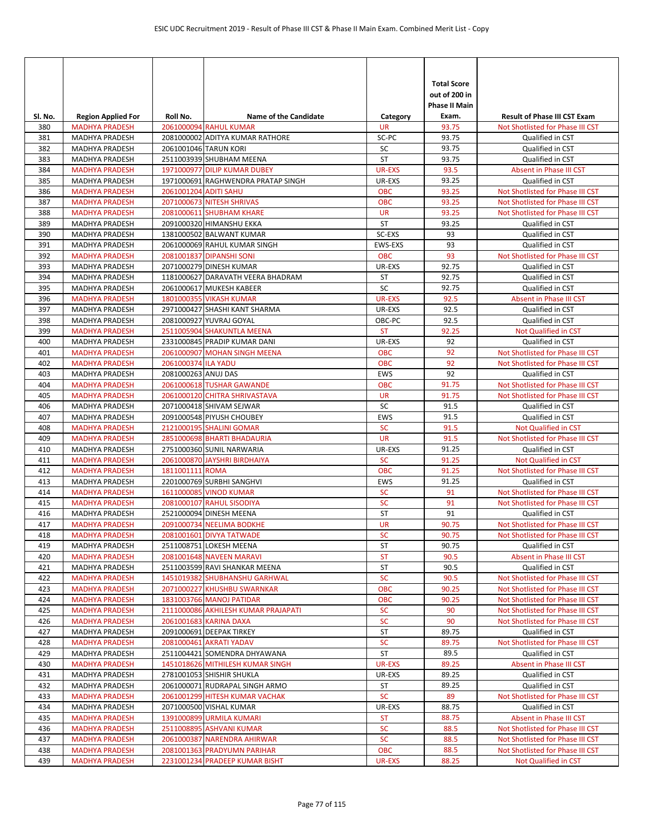| SI. No.    | <b>Region Applied For</b>                      | Roll No.              | <b>Name of the Candidate</b>                         | Category                | <b>Total Score</b><br>out of 200 in<br><b>Phase II Main</b><br>Exam. | <b>Result of Phase III CST Exam</b>                  |
|------------|------------------------------------------------|-----------------------|------------------------------------------------------|-------------------------|----------------------------------------------------------------------|------------------------------------------------------|
| 380        | <b>MADHYA PRADESH</b>                          |                       | 2061000094 RAHUL KUMAR                               | <b>UR</b>               | 93.75                                                                | Not Shotlisted for Phase III CST                     |
| 381        | <b>MADHYA PRADESH</b>                          |                       | 2081000002 ADITYA KUMAR RATHORE                      | SC-PC                   | 93.75                                                                | Qualified in CST                                     |
| 382        | <b>MADHYA PRADESH</b>                          |                       | 2061001046 TARUN KORI                                | SC                      | 93.75                                                                | Qualified in CST                                     |
| 383        | MADHYA PRADESH                                 |                       | 2511003939 SHUBHAM MEENA                             | ST                      | 93.75                                                                | Qualified in CST                                     |
| 384        | <b>MADHYA PRADESH</b>                          |                       | 1971000977 DILIP KUMAR DUBEY                         | UR-EXS                  | 93.5                                                                 | Absent in Phase III CST                              |
| 385        | <b>MADHYA PRADESH</b>                          |                       | 1971000691 RAGHWENDRA PRATAP SINGH                   | UR-EXS                  | 93.25                                                                | Qualified in CST                                     |
| 386        | <b>MADHYA PRADESH</b>                          | 2061001204 ADITI SAHU |                                                      | <b>OBC</b>              | 93.25                                                                | Not Shotlisted for Phase III CST                     |
| 387        | <b>MADHYA PRADESH</b>                          |                       | 2071000673 NITESH SHRIVAS                            | <b>OBC</b><br><b>UR</b> | 93.25<br>93.25                                                       | Not Shotlisted for Phase III CST                     |
| 388<br>389 | <b>MADHYA PRADESH</b><br>MADHYA PRADESH        |                       | 2081000611 SHUBHAM KHARE<br>2091000320 HIMANSHU EKKA | <b>ST</b>               | 93.25                                                                | Not Shotlisted for Phase III CST<br>Qualified in CST |
| 390        | MADHYA PRADESH                                 |                       | 1381000502 BALWANT KUMAR                             | SC-EXS                  | 93                                                                   | Qualified in CST                                     |
| 391        | MADHYA PRADESH                                 |                       | 2061000069 RAHUL KUMAR SINGH                         | EWS-EXS                 | 93                                                                   | Qualified in CST                                     |
| 392        | <b>MADHYA PRADESH</b>                          |                       | 2081001837 DIPANSHI SONI                             | <b>OBC</b>              | 93                                                                   | Not Shotlisted for Phase III CST                     |
| 393        | MADHYA PRADESH                                 |                       | 2071000279 DINESH KUMAR                              | UR-EXS                  | 92.75                                                                | Qualified in CST                                     |
| 394        | MADHYA PRADESH                                 |                       | 1181000627 DARAVATH VEERA BHADRAM                    | ST                      | 92.75                                                                | Qualified in CST                                     |
| 395        | MADHYA PRADESH                                 |                       | 2061000617 MUKESH KABEER                             | SC                      | 92.75                                                                | Qualified in CST                                     |
| 396        | <b>MADHYA PRADESH</b>                          |                       | <b>1801000355 VIKASH KUMAR</b>                       | <b>UR-EXS</b>           | 92.5                                                                 | Absent in Phase III CST                              |
| 397        | MADHYA PRADESH                                 |                       | 2971000427 SHASHI KANT SHARMA                        | UR-EXS                  | 92.5                                                                 | Qualified in CST                                     |
| 398        | MADHYA PRADESH                                 |                       | 2081000927 YUVRAJ GOYAL                              | OBC-PC                  | 92.5                                                                 | Qualified in CST                                     |
| 399        | <b>MADHYA PRADESH</b>                          |                       | 2511005904 SHAKUNTLA MEENA                           | <b>ST</b>               | 92.25                                                                | Not Qualified in CST                                 |
| 400        | MADHYA PRADESH                                 |                       | 2331000845 PRADIP KUMAR DANI                         | UR-EXS                  | 92                                                                   | Qualified in CST                                     |
| 401        | <b>MADHYA PRADESH</b>                          |                       | 2061000907 MOHAN SINGH MEENA                         | <b>OBC</b>              | 92                                                                   | Not Shotlisted for Phase III CST                     |
| 402        | <b>MADHYA PRADESH</b>                          | 2061000374 ILA YADU   |                                                      | <b>OBC</b>              | 92                                                                   | Not Shotlisted for Phase III CST                     |
| 403        | MADHYA PRADESH                                 | 2081000263 ANUJ DAS   |                                                      | <b>EWS</b>              | 92                                                                   | Qualified in CST                                     |
| 404        | <b>MADHYA PRADESH</b>                          |                       | 2061000618 TUSHAR GAWANDE                            | <b>OBC</b>              | 91.75                                                                | Not Shotlisted for Phase III CST                     |
| 405        | <b>MADHYA PRADESH</b>                          |                       | 2061000120 CHITRA SHRIVASTAVA                        | <b>UR</b>               | 91.75                                                                | Not Shotlisted for Phase III CST                     |
| 406        | MADHYA PRADESH                                 |                       | 2071000418 SHIVAM SEJWAR                             | SC                      | 91.5                                                                 | Qualified in CST                                     |
| 407        | MADHYA PRADESH                                 |                       | 2091000548 PIYUSH CHOUBEY                            | <b>EWS</b>              | 91.5                                                                 | Qualified in CST                                     |
| 408        | <b>MADHYA PRADESH</b>                          |                       | 2121000195 SHALINI GOMAR                             | <b>SC</b>               | 91.5                                                                 | Not Qualified in CST                                 |
| 409        | <b>MADHYA PRADESH</b>                          |                       | 2851000698 BHARTI BHADAURIA                          | <b>UR</b>               | 91.5                                                                 | Not Shotlisted for Phase III CST                     |
| 410        | MADHYA PRADESH                                 |                       | 2751000360 SUNIL NARWARIA                            | UR-EXS                  | 91.25                                                                | Qualified in CST                                     |
| 411        | <b>MADHYA PRADESH</b>                          |                       | 2061000870 JAYSHRI BIRDHAIYA                         | <b>SC</b>               | 91.25                                                                | Not Qualified in CST                                 |
| 412        | <b>MADHYA PRADESH</b>                          | 1811001111 ROMA       |                                                      | <b>OBC</b>              | 91.25                                                                | Not Shotlisted for Phase III CST                     |
| 413        | MADHYA PRADESH                                 |                       | 2201000769 SURBHI SANGHVI                            | <b>EWS</b>              | 91.25                                                                | Qualified in CST                                     |
| 414        | <b>MADHYA PRADESH</b>                          |                       | 1611000085 VINOD KUMAR                               | <b>SC</b><br><b>SC</b>  | 91                                                                   | Not Shotlisted for Phase III CST                     |
| 415<br>416 | <b>MADHYA PRADESH</b><br><b>MADHYA PRADESH</b> |                       | 2081000107 RAHUL SISODIYA<br>2521000094 DINESH MEENA | <b>ST</b>               | 91<br>91                                                             | Not Shotlisted for Phase III CST<br>Qualified in CST |
| 417        | <b>MADHYA PRADESH</b>                          |                       | 2091000734 NEELIMA BODKHE                            | <b>UR</b>               | 90.75                                                                | Not Shotlisted for Phase III CST                     |
| 418        | <b>MADHYA PRADESH</b>                          |                       | 2081001601 DIVYA TATWADE                             | <b>SC</b>               | 90.75                                                                | Not Shotlisted for Phase III CST                     |
| 419        | MADHYA PRADESH                                 |                       | 2511008751 LOKESH MEENA                              | ST                      | 90.75                                                                | Qualified in CST                                     |
| 420        | <b>MADHYA PRADESH</b>                          |                       | 2081001648 NAVEEN MARAVI                             | ST                      | 90.5                                                                 | Absent in Phase III CST                              |
| 421        | MADHYA PRADESH                                 |                       | 2511003599 RAVI SHANKAR MEENA                        | ST                      | 90.5                                                                 | Qualified in CST                                     |
| 422        | <b>MADHYA PRADESH</b>                          |                       | 1451019382 SHUBHANSHU GARHWAL                        | <b>SC</b>               | 90.5                                                                 | Not Shotlisted for Phase III CST                     |
| 423        | <b>MADHYA PRADESH</b>                          |                       | 2071000227 KHUSHBU SWARNKAR                          | OBC                     | 90.25                                                                | Not Shotlisted for Phase III CST                     |
| 424        | <b>MADHYA PRADESH</b>                          |                       | 1831003766 MANOJ PATIDAR                             | <b>OBC</b>              | 90.25                                                                | Not Shotlisted for Phase III CST                     |
| 425        | <b>MADHYA PRADESH</b>                          |                       | 2111000086 AKHILESH KUMAR PRAJAPATI                  | <b>SC</b>               | 90                                                                   | Not Shotlisted for Phase III CST                     |
| 426        | <b>MADHYA PRADESH</b>                          |                       | 2061001683 KARINA DAXA                               | <b>SC</b>               | 90                                                                   | Not Shotlisted for Phase III CST                     |
| 427        | MADHYA PRADESH                                 |                       | 2091000691 DEEPAK TIRKEY                             | ST                      | 89.75                                                                | Qualified in CST                                     |
| 428        | <b>MADHYA PRADESH</b>                          |                       | 2081000461 AKRATI YADAV                              | <b>SC</b>               | 89.75                                                                | Not Shotlisted for Phase III CST                     |
| 429        | MADHYA PRADESH                                 |                       | 2511004421 SOMENDRA DHYAWANA                         | ST                      | 89.5                                                                 | Qualified in CST                                     |
| 430        | <b>MADHYA PRADESH</b>                          |                       | 1451018626 MITHILESH KUMAR SINGH                     | <b>UR-EXS</b>           | 89.25                                                                | Absent in Phase III CST                              |
| 431        | MADHYA PRADESH                                 |                       | 2781001053 SHISHIR SHUKLA                            | UR-EXS                  | 89.25                                                                | Qualified in CST                                     |
| 432        | MADHYA PRADESH                                 |                       | 2061000071 RUDRAPAL SINGH ARMO                       | ST                      | 89.25                                                                | Qualified in CST                                     |
| 433        | <b>MADHYA PRADESH</b>                          |                       | 2061001299 HITESH KUMAR VACHAK                       | <b>SC</b>               | 89                                                                   | Not Shotlisted for Phase III CST                     |
| 434        | MADHYA PRADESH                                 |                       | 2071000500 VISHAL KUMAR                              | UR-EXS                  | 88.75                                                                | Qualified in CST                                     |
| 435        | <b>MADHYA PRADESH</b>                          |                       | 1391000899 URMILA KUMARI                             | <b>ST</b>               | 88.75                                                                | Absent in Phase III CST                              |
| 436        | <b>MADHYA PRADESH</b>                          |                       | 2511008895 ASHVANI KUMAR                             | <b>SC</b>               | 88.5                                                                 | Not Shotlisted for Phase III CST                     |
| 437        | <b>MADHYA PRADESH</b>                          |                       | 2061000387 NARENDRA AHIRWAR                          | <b>SC</b>               | 88.5                                                                 | Not Shotlisted for Phase III CST                     |
| 438        | <b>MADHYA PRADESH</b>                          |                       | 2081001363 PRADYUMN PARIHAR                          | <b>OBC</b>              | 88.5                                                                 | Not Shotlisted for Phase III CST                     |
| 439        | <b>MADHYA PRADESH</b>                          |                       | 2231001234 PRADEEP KUMAR BISHT                       | UR-EXS                  | 88.25                                                                | Not Qualified in CST                                 |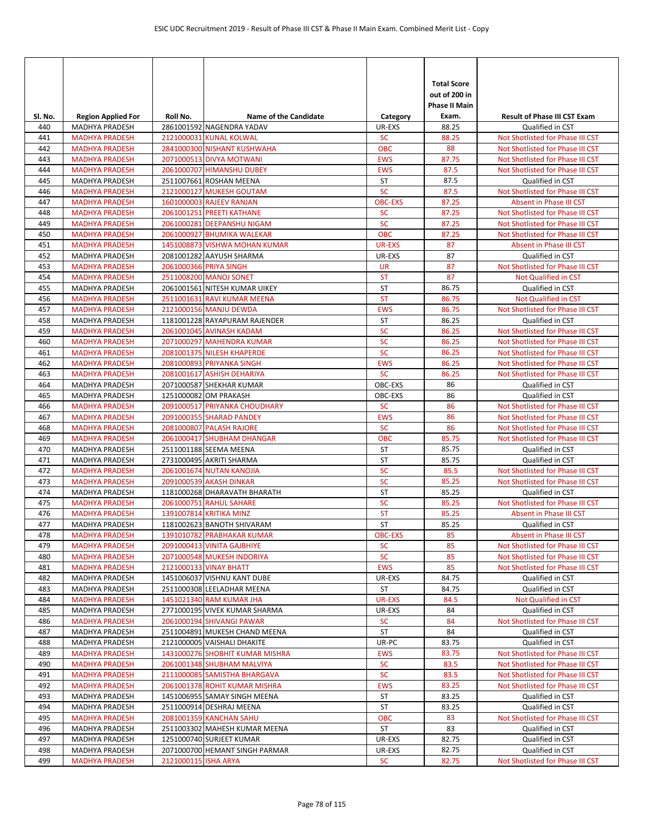| SI. No.    | <b>Region Applied For</b>                      | Roll No.             | <b>Name of the Candidate</b>                              | Category               | <b>Total Score</b><br>out of 200 in<br><b>Phase II Main</b><br>Exam. | <b>Result of Phase III CST Exam</b>         |
|------------|------------------------------------------------|----------------------|-----------------------------------------------------------|------------------------|----------------------------------------------------------------------|---------------------------------------------|
| 440        | MADHYA PRADESH                                 |                      | 2861001592 NAGENDRA YADAV                                 | UR-EXS                 | 88.25                                                                | Qualified in CST                            |
| 441        | <b>MADHYA PRADESH</b>                          |                      | 2121000031 KUNAL KOLWAL                                   | <b>SC</b>              | 88.25                                                                | Not Shotlisted for Phase III CST            |
| 442        | <b>MADHYA PRADESH</b>                          |                      | 2841000300 NISHANT KUSHWAHA                               | <b>OBC</b>             | 88                                                                   | Not Shotlisted for Phase III CST            |
| 443        | <b>MADHYA PRADESH</b>                          |                      | 2071000513 DIVYA MOTWANI                                  | <b>EWS</b>             | 87.75                                                                | Not Shotlisted for Phase III CST            |
| 444        | <b>MADHYA PRADESH</b>                          |                      | 2061000707 HIMANSHU DUBEY                                 | <b>EWS</b>             | 87.5                                                                 | Not Shotlisted for Phase III CST            |
| 445        | <b>MADHYA PRADESH</b>                          |                      | 2511007661 ROSHAN MEENA                                   | ST                     | 87.5                                                                 | Qualified in CST                            |
| 446        | <b>MADHYA PRADESH</b>                          |                      | 2121000127 MUKESH GOUTAM                                  | <b>SC</b>              | 87.5                                                                 | Not Shotlisted for Phase III CST            |
| 447        | <b>MADHYA PRADESH</b>                          |                      | 1601000003 RAJEEV RANJAN                                  | <b>OBC-EXS</b>         | 87.25                                                                | Absent in Phase III CST                     |
| 448        | <b>MADHYA PRADESH</b>                          |                      | 2061001251 PREETI KATHANE                                 | <b>SC</b>              | 87.25                                                                | Not Shotlisted for Phase III CST            |
| 449        | <b>MADHYA PRADESH</b>                          |                      | 2061000281 DEEPANSHU NIGAM                                | <b>SC</b>              | 87.25                                                                | Not Shotlisted for Phase III CST            |
| 450        | <b>MADHYA PRADESH</b>                          |                      | 2061000927 BHUMIKA WALEKAR                                | <b>OBC</b>             | 87.25                                                                | Not Shotlisted for Phase III CST            |
| 451<br>452 | <b>MADHYA PRADESH</b><br><b>MADHYA PRADESH</b> |                      | 1451008873 VISHWA MOHAN KUMAR<br>2081001282 AAYUSH SHARMA | UR-EXS<br>UR-EXS       | 87<br>87                                                             | Absent in Phase III CST<br>Qualified in CST |
| 453        | <b>MADHYA PRADESH</b>                          |                      | 2061000366 PRIYA SINGH                                    | <b>UR</b>              | 87                                                                   | Not Shotlisted for Phase III CST            |
| 454        | <b>MADHYA PRADESH</b>                          |                      | 2511008200 MANOJ SONET                                    | <b>ST</b>              | 87                                                                   | Not Qualified in CST                        |
| 455        | <b>MADHYA PRADESH</b>                          |                      | 2061001561 NITESH KUMAR UIKEY                             | <b>ST</b>              | 86.75                                                                | Qualified in CST                            |
| 456        | <b>MADHYA PRADESH</b>                          |                      | 2511001631 RAVI KUMAR MEENA                               | <b>ST</b>              | 86.75                                                                | Not Qualified in CST                        |
| 457        | <b>MADHYA PRADESH</b>                          |                      | 2121000156 MANJU DEWDA                                    | <b>EWS</b>             | 86.75                                                                | Not Shotlisted for Phase III CST            |
| 458        | <b>MADHYA PRADESH</b>                          |                      | 1181001228 RAYAPURAM RAJENDER                             | <b>ST</b>              | 86.25                                                                | Qualified in CST                            |
| 459        | <b>MADHYA PRADESH</b>                          |                      | 2061001045 AVINASH KADAM                                  | SC                     | 86.25                                                                | Not Shotlisted for Phase III CST            |
| 460        | <b>MADHYA PRADESH</b>                          |                      | 2071000297 MAHENDRA KUMAR                                 | <b>SC</b>              | 86.25                                                                | Not Shotlisted for Phase III CST            |
| 461        | <b>MADHYA PRADESH</b>                          |                      | 2081001375 NILESH KHAPERDE                                | <b>SC</b>              | 86.25                                                                | Not Shotlisted for Phase III CST            |
| 462        | <b>MADHYA PRADESH</b>                          |                      | 2081000893 PRIYANKA SINGH                                 | <b>EWS</b>             | 86.25                                                                | Not Shotlisted for Phase III CST            |
| 463        | <b>MADHYA PRADESH</b>                          |                      | 2081001617 ASHISH DEHARIYA                                | <b>SC</b>              | 86.25                                                                | Not Shotlisted for Phase III CST            |
| 464        | MADHYA PRADESH                                 |                      | 2071000587 SHEKHAR KUMAR                                  | OBC-EXS                | 86                                                                   | Qualified in CST                            |
| 465        | <b>MADHYA PRADESH</b>                          |                      | 1251000082 OM PRAKASH                                     | OBC-EXS                | 86                                                                   | Qualified in CST                            |
| 466        | <b>MADHYA PRADESH</b>                          |                      | 2091000517 PRIYANKA CHOUDHARY                             | <b>SC</b>              | 86                                                                   | Not Shotlisted for Phase III CST            |
| 467        | <b>MADHYA PRADESH</b>                          |                      | 2091000355 SHARAD PANDEY                                  | <b>EWS</b>             | 86                                                                   | Not Shotlisted for Phase III CST            |
| 468        | <b>MADHYA PRADESH</b>                          |                      | 2081000807 PALASH RAJORE                                  | <b>SC</b>              | 86                                                                   | Not Shotlisted for Phase III CST            |
| 469        | <b>MADHYA PRADESH</b>                          |                      | 2061000417 SHUBHAM DHANGAR                                | <b>OBC</b>             | 85.75                                                                | Not Shotlisted for Phase III CST            |
| 470        | MADHYA PRADESH                                 |                      | 2511001188 SEEMA MEENA                                    | ST                     | 85.75                                                                | Qualified in CST                            |
| 471        | MADHYA PRADESH                                 |                      | 2731000495 AKRITI SHARMA                                  | <b>ST</b>              | 85.75                                                                | Qualified in CST                            |
| 472        | <b>MADHYA PRADESH</b>                          |                      | 2061001674 NUTAN KANOJIA                                  | <b>SC</b>              | 85.5                                                                 | Not Shotlisted for Phase III CST            |
| 473        | <b>MADHYA PRADESH</b>                          |                      | 2091000539 AKASH DINKAR                                   | <b>SC</b>              | 85.25                                                                | Not Shotlisted for Phase III CST            |
| 474        | MADHYA PRADESH                                 |                      | 1181000268 DHARAVATH BHARATH                              | ST                     | 85.25                                                                | Qualified in CST                            |
| 475<br>476 | <b>MADHYA PRADESH</b>                          |                      | 2061000751 RAHUL SAHARE<br>1391007814 KRITIKA MINZ        | <b>SC</b><br><b>ST</b> | 85.25                                                                | Not Shotlisted for Phase III CST            |
| 477        | <b>MADHYA PRADESH</b>                          |                      | 1181002623 BANOTH SHIVARAM                                | ST                     | 85.25<br>85.25                                                       | Absent in Phase III CST<br>Qualified in CST |
| 478        | MADHYA PRADESH<br><b>MADHYA PRADESH</b>        |                      | 1391010782 PRABHAKAR KUMAR                                | <b>OBC-EXS</b>         | 85                                                                   | Absent in Phase III CST                     |
| 479        | <b>MADHYA PRADESH</b>                          |                      | 2091000413 VINITA GAJBHIYE                                | <b>SC</b>              | 85                                                                   | Not Shotlisted for Phase III CST            |
| 480        | <b>MADHYA PRADESH</b>                          |                      | 2071000548 MUKESH INDORIYA                                | <b>SC</b>              | 85                                                                   | Not Shotlisted for Phase III CST            |
| 481        | <b>MADHYA PRADESH</b>                          |                      | 2121000133 VINAY BHATT                                    | <b>EWS</b>             | 85                                                                   | Not Shotlisted for Phase III CST            |
| 482        | <b>MADHYA PRADESH</b>                          |                      | 1451006037 VISHNU KANT DUBE                               | UR-EXS                 | 84.75                                                                | Qualified in CST                            |
| 483        | MADHYA PRADESH                                 |                      | 2511000308 LEELADHAR MEENA                                | ST                     | 84.75                                                                | Qualified in CST                            |
| 484        | <b>MADHYA PRADESH</b>                          |                      | 1451021340 RAM KUMAR JHA                                  | UR-EXS                 | 84.5                                                                 | Not Qualified in CST                        |
| 485        | <b>MADHYA PRADESH</b>                          |                      | 2771000195 VIVEK KUMAR SHARMA                             | UR-EXS                 | 84                                                                   | Qualified in CST                            |
| 486        | <b>MADHYA PRADESH</b>                          |                      | 2061000194 SHIVANGI PAWAR                                 | <b>SC</b>              | 84                                                                   | Not Shotlisted for Phase III CST            |
| 487        | <b>MADHYA PRADESH</b>                          |                      | 2511004891 MUKESH CHAND MEENA                             | ST                     | 84                                                                   | Qualified in CST                            |
| 488        | MADHYA PRADESH                                 |                      | 2121000005 VAISHALI DHAKITE                               | UR-PC                  | 83.75                                                                | Qualified in CST                            |
| 489        | <b>MADHYA PRADESH</b>                          |                      | 1431000276 SHOBHIT KUMAR MISHRA                           | <b>EWS</b>             | 83.75                                                                | Not Shotlisted for Phase III CST            |
| 490        | <b>MADHYA PRADESH</b>                          |                      | 2061001348 SHUBHAM MALVIYA                                | <b>SC</b>              | 83.5                                                                 | Not Shotlisted for Phase III CST            |
| 491        | <b>MADHYA PRADESH</b>                          |                      | 2111000085 SAMISTHA BHARGAVA                              | <b>SC</b>              | 83.5                                                                 | Not Shotlisted for Phase III CST            |
| 492        | <b>MADHYA PRADESH</b>                          |                      | 2061001378 ROHIT KUMAR MISHRA                             | <b>EWS</b>             | 83.25                                                                | Not Shotlisted for Phase III CST            |
| 493        | MADHYA PRADESH                                 |                      | 1451006955 SAMAY SINGH MEENA                              | ST                     | 83.25                                                                | Qualified in CST                            |
| 494        | MADHYA PRADESH                                 |                      | 2511000914 DESHRAJ MEENA                                  | ST                     | 83.25                                                                | Qualified in CST                            |
| 495        | <b>MADHYA PRADESH</b>                          |                      | 2081001359 KANCHAN SAHU                                   | <b>OBC</b>             | 83                                                                   | Not Shotlisted for Phase III CST            |
| 496        | MADHYA PRADESH                                 |                      | 2511003302 MAHESH KUMAR MEENA                             | ST                     | 83                                                                   | Qualified in CST                            |
| 497        | MADHYA PRADESH                                 |                      | 1251000740 SURJEET KUMAR                                  | UR-EXS                 | 82.75                                                                | Qualified in CST                            |
| 498        | MADHYA PRADESH                                 |                      | 2071000700 HEMANT SINGH PARMAR                            | UR-EXS                 | 82.75                                                                | Qualified in CST                            |
| 499        | <b>MADHYA PRADESH</b>                          | 2121000115 ISHA ARYA |                                                           | <b>SC</b>              | 82.75                                                                | Not Shotlisted for Phase III CST            |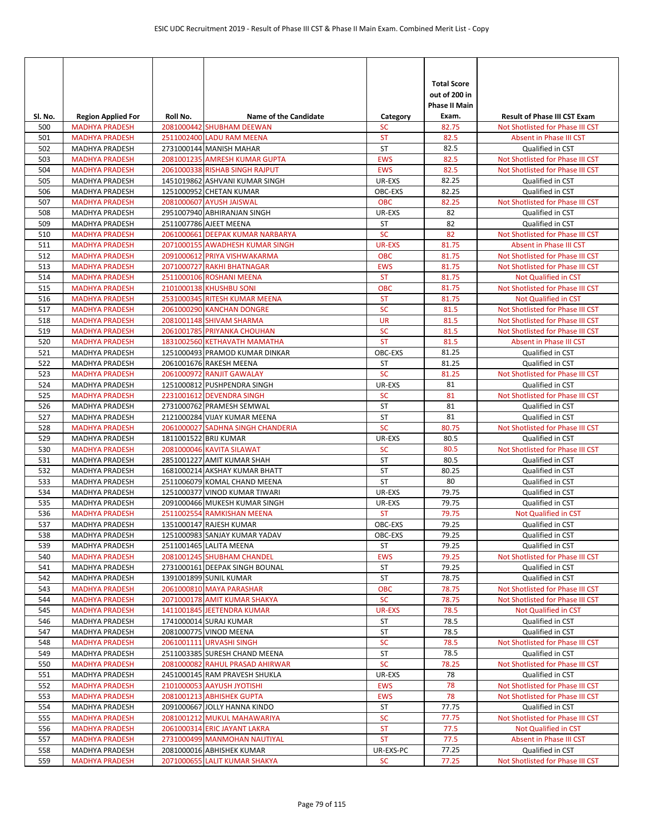|                |                                                    | Roll No.              | <b>Name of the Candidate</b>                                   |                         | <b>Total Score</b><br>out of 200 in<br><b>Phase II Main</b> | <b>Result of Phase III CST Exam</b>                             |
|----------------|----------------------------------------------------|-----------------------|----------------------------------------------------------------|-------------------------|-------------------------------------------------------------|-----------------------------------------------------------------|
| SI. No.<br>500 | <b>Region Applied For</b><br><b>MADHYA PRADESH</b> |                       | 2081000442 SHUBHAM DEEWAN                                      | Category<br><b>SC</b>   | Exam.<br>82.75                                              | Not Shotlisted for Phase III CST                                |
| 501            | <b>MADHYA PRADESH</b>                              |                       | 2511002400 LADU RAM MEENA                                      | <b>ST</b>               | 82.5                                                        | Absent in Phase III CST                                         |
| 502            | MADHYA PRADESH                                     |                       | 2731000144 MANISH MAHAR                                        | ST                      | 82.5                                                        | Qualified in CST                                                |
| 503            | <b>MADHYA PRADESH</b>                              |                       | 2081001235 AMRESH KUMAR GUPTA                                  | <b>EWS</b>              | 82.5                                                        | Not Shotlisted for Phase III CST                                |
| 504            | <b>MADHYA PRADESH</b>                              |                       | 2061000338 RISHAB SINGH RAJPUT                                 | <b>EWS</b>              | 82.5                                                        | Not Shotlisted for Phase III CST                                |
| 505            | <b>MADHYA PRADESH</b>                              |                       | 1451019862 ASHVANI KUMAR SINGH                                 | UR-EXS                  | 82.25                                                       | Qualified in CST                                                |
| 506            | <b>MADHYA PRADESH</b>                              |                       | 1251000952 CHETAN KUMAR                                        | OBC-EXS                 | 82.25                                                       | Qualified in CST                                                |
| 507            | <b>MADHYA PRADESH</b>                              |                       | 2081000607 AYUSH JAISWAL                                       | <b>OBC</b>              | 82.25                                                       | Not Shotlisted for Phase III CST                                |
| 508            | MADHYA PRADESH                                     |                       | 2951007940 ABHIRANJAN SINGH                                    | UR-EXS                  | 82                                                          | Qualified in CST                                                |
| 509            | <b>MADHYA PRADESH</b>                              |                       | 2511007786 AJEET MEENA                                         | ST                      | 82                                                          | Qualified in CST                                                |
| 510            | <b>MADHYA PRADESH</b>                              |                       | 2061000661 DEEPAK KUMAR NARBARYA                               | <b>SC</b>               | 82                                                          | Not Shotlisted for Phase III CST                                |
| 511            | <b>MADHYA PRADESH</b>                              |                       | 2071000155 AWADHESH KUMAR SINGH                                | <b>UR-EXS</b>           | 81.75                                                       | Absent in Phase III CST                                         |
| 512            | <b>MADHYA PRADESH</b>                              |                       | 2091000612 PRIYA VISHWAKARMA                                   | <b>OBC</b>              | 81.75                                                       | Not Shotlisted for Phase III CST                                |
| 513<br>514     | <b>MADHYA PRADESH</b>                              |                       | 2071000727 RAKHI BHATNAGAR<br>2511000106 ROSHANI MEENA         | <b>EWS</b><br><b>ST</b> | 81.75<br>81.75                                              | Not Shotlisted for Phase III CST<br><b>Not Qualified in CST</b> |
| 515            | <b>MADHYA PRADESH</b><br><b>MADHYA PRADESH</b>     |                       | 2101000138 KHUSHBU SONI                                        | <b>OBC</b>              | 81.75                                                       | Not Shotlisted for Phase III CST                                |
| 516            | <b>MADHYA PRADESH</b>                              |                       | 2531000345 RITESH KUMAR MEENA                                  | <b>ST</b>               | 81.75                                                       | Not Qualified in CST                                            |
| 517            | <b>MADHYA PRADESH</b>                              |                       | 2061000290 KANCHAN DONGRE                                      | SC                      | 81.5                                                        | Not Shotlisted for Phase III CST                                |
| 518            | <b>MADHYA PRADESH</b>                              |                       | 2081001148 SHIVAM SHARMA                                       | <b>UR</b>               | 81.5                                                        | Not Shotlisted for Phase III CST                                |
| 519            | <b>MADHYA PRADESH</b>                              |                       | 2061001785 PRIYANKA CHOUHAN                                    | <b>SC</b>               | 81.5                                                        | Not Shotlisted for Phase III CST                                |
| 520            | <b>MADHYA PRADESH</b>                              |                       | 1831002560 KETHAVATH MAMATHA                                   | <b>ST</b>               | 81.5                                                        | Absent in Phase III CST                                         |
| 521            | MADHYA PRADESH                                     |                       | 1251000493 PRAMOD KUMAR DINKAR                                 | OBC-EXS                 | 81.25                                                       | Qualified in CST                                                |
| 522            | MADHYA PRADESH                                     |                       | 2061001676 RAKESH MEENA                                        | <b>ST</b>               | 81.25                                                       | Qualified in CST                                                |
| 523            | <b>MADHYA PRADESH</b>                              |                       | 2061000972 RANJIT GAWALAY                                      | <b>SC</b>               | 81.25                                                       | Not Shotlisted for Phase III CST                                |
| 524            | MADHYA PRADESH                                     |                       | 1251000812 PUSHPENDRA SINGH                                    | UR-EXS                  | 81                                                          | Qualified in CST                                                |
| 525            | <b>MADHYA PRADESH</b>                              |                       | 2231001612 DEVENDRA SINGH                                      | <b>SC</b>               | 81                                                          | Not Shotlisted for Phase III CST                                |
| 526            | MADHYA PRADESH                                     |                       | 2731000762 PRAMESH SEMWAL                                      | <b>ST</b>               | 81                                                          | Qualified in CST                                                |
| 527            | MADHYA PRADESH                                     |                       | 2121000284 VIJAY KUMAR MEENA                                   | <b>ST</b>               | 81                                                          | Qualified in CST                                                |
| 528            | <b>MADHYA PRADESH</b>                              |                       | 2061000027 SADHNA SINGH CHANDERIA                              | <b>SC</b>               | 80.75                                                       | Not Shotlisted for Phase III CST                                |
| 529            | MADHYA PRADESH                                     | 1811001522 BRIJ KUMAR |                                                                | UR-EXS                  | 80.5                                                        | Qualified in CST                                                |
| 530            | <b>MADHYA PRADESH</b>                              |                       | 2081000046 KAVITA SILAWAT                                      | <b>SC</b>               | 80.5                                                        | Not Shotlisted for Phase III CST                                |
| 531            | MADHYA PRADESH                                     |                       | 2851001227 AMIT KUMAR SHAH                                     | <b>ST</b>               | 80.5                                                        | Qualified in CST                                                |
| 532            | MADHYA PRADESH                                     |                       | 1681000214 AKSHAY KUMAR BHATT                                  | ST                      | 80.25                                                       | Qualified in CST                                                |
| 533            | <b>MADHYA PRADESH</b>                              |                       | 2511006079 KOMAL CHAND MEENA                                   | <b>ST</b>               | 80                                                          | Qualified in CST                                                |
| 534<br>535     | MADHYA PRADESH<br><b>MADHYA PRADESH</b>            |                       | 1251000377 VINOD KUMAR TIWARI<br>2091000466 MUKESH KUMAR SINGH | UR-EXS<br>UR-EXS        | 79.75<br>79.75                                              | Qualified in CST<br>Qualified in CST                            |
| 536            | <b>MADHYA PRADESH</b>                              |                       | 2511002554 RAMKISHAN MEENA                                     | <b>ST</b>               | 79.75                                                       | Not Qualified in CST                                            |
| 537            | <b>MADHYA PRADESH</b>                              |                       | 1351000147 RAJESH KUMAR                                        | OBC-EXS                 | 79.25                                                       | Qualified in CST                                                |
| 538            | MADHYA PRADESH                                     |                       | 1251000983 SANJAY KUMAR YADAV                                  | OBC-EXS                 | 79.25                                                       | Qualified in CST                                                |
| 539            | MADHYA PRADESH                                     |                       | 2511001465 LALITA MEENA                                        | ST                      | 79.25                                                       | Qualified in CST                                                |
| 540            | <b>MADHYA PRADESH</b>                              |                       | 2081001245 SHUBHAM CHANDEL                                     | <b>EWS</b>              | 79.25                                                       | Not Shotlisted for Phase III CST                                |
| 541            | MADHYA PRADESH                                     |                       | 2731000161 DEEPAK SINGH BOUNAL                                 | ST                      | 79.25                                                       | Qualified in CST                                                |
| 542            | MADHYA PRADESH                                     |                       | 1391001899 SUNIL KUMAR                                         | ST                      | 78.75                                                       | Qualified in CST                                                |
| 543            | <b>MADHYA PRADESH</b>                              |                       | 2061000810 MAYA PARASHAR                                       | <b>OBC</b>              | 78.75                                                       | Not Shotlisted for Phase III CST                                |
| 544            | <b>MADHYA PRADESH</b>                              |                       | 2071000178 AMIT KUMAR SHAKYA                                   | <b>SC</b>               | 78.75                                                       | Not Shotlisted for Phase III CST                                |
| 545            | <b>MADHYA PRADESH</b>                              |                       | 1411001845 JEETENDRA KUMAR                                     | <b>UR-EXS</b>           | 78.5                                                        | Not Qualified in CST                                            |
| 546            | <b>MADHYA PRADESH</b>                              |                       | 1741000014 SURAJ KUMAR                                         | ST                      | 78.5                                                        | Qualified in CST                                                |
| 547            | MADHYA PRADESH                                     |                       | 2081000775 VINOD MEENA                                         | ST                      | 78.5                                                        | Qualified in CST                                                |
| 548            | <b>MADHYA PRADESH</b>                              |                       | 2061001111 URVASHI SINGH                                       | <b>SC</b>               | 78.5                                                        | Not Shotlisted for Phase III CST                                |
| 549            | MADHYA PRADESH                                     |                       | 2511003385 SURESH CHAND MEENA                                  | <b>ST</b>               | 78.5                                                        | Qualified in CST                                                |
| 550            | <b>MADHYA PRADESH</b>                              |                       | 2081000082 RAHUL PRASAD AHIRWAR                                | <b>SC</b>               | 78.25                                                       | Not Shotlisted for Phase III CST                                |
| 551<br>552     | MADHYA PRADESH<br><b>MADHYA PRADESH</b>            |                       | 2451000145 RAM PRAVESH SHUKLA<br>2101000053 AAYUSH JYOTISHI    | UR-EXS<br><b>EWS</b>    | 78<br>78                                                    | Qualified in CST<br>Not Shotlisted for Phase III CST            |
| 553            | <b>MADHYA PRADESH</b>                              |                       | 2081001213 ABHISHEK GUPTA                                      | <b>EWS</b>              | 78                                                          | Not Shotlisted for Phase III CST                                |
| 554            | MADHYA PRADESH                                     |                       | 2091000667 JOLLY HANNA KINDO                                   | ST                      | 77.75                                                       | Qualified in CST                                                |
| 555            | <b>MADHYA PRADESH</b>                              |                       | 2081001212 MUKUL MAHAWARIYA                                    | <b>SC</b>               | 77.75                                                       | Not Shotlisted for Phase III CST                                |
| 556            | <b>MADHYA PRADESH</b>                              |                       | 2061000314 ERIC JAYANT LAKRA                                   | <b>ST</b>               | 77.5                                                        | Not Qualified in CST                                            |
| 557            | <b>MADHYA PRADESH</b>                              |                       | 2731000499 MANMOHAN NAUTIYAL                                   | <b>ST</b>               | 77.5                                                        | Absent in Phase III CST                                         |
| 558            | MADHYA PRADESH                                     |                       | 2081000016 ABHISHEK KUMAR                                      | UR-EXS-PC               | 77.25                                                       | Qualified in CST                                                |
| 559            | <b>MADHYA PRADESH</b>                              |                       | 2071000655 LALIT KUMAR SHAKYA                                  | <b>SC</b>               | 77.25                                                       | Not Shotlisted for Phase III CST                                |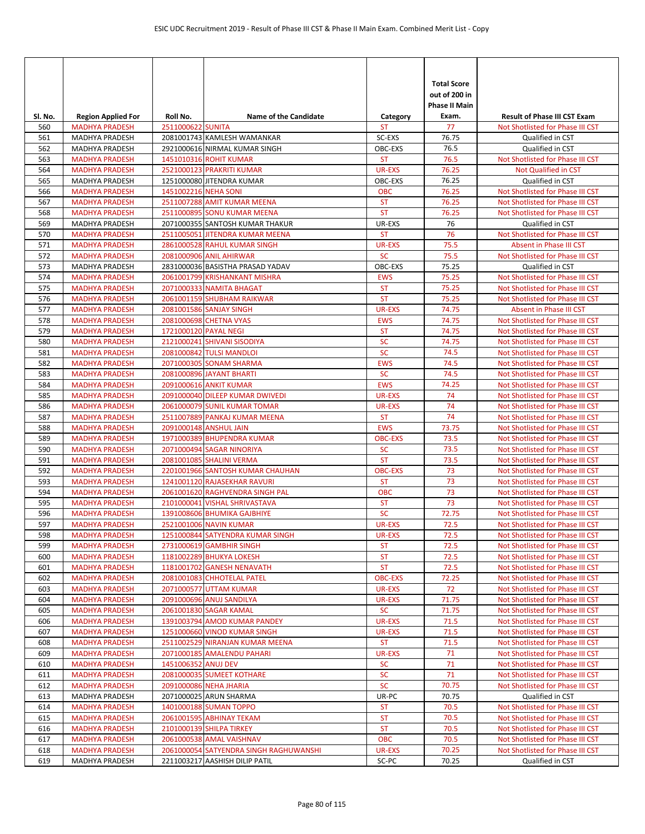| SI. No.    | <b>Region Applied For</b>                      | Roll No.              | <b>Name of the Candidate</b>                            | Category                   | <b>Total Score</b><br>out of 200 in<br><b>Phase II Main</b><br>Exam. | <b>Result of Phase III CST Exam</b>                                  |
|------------|------------------------------------------------|-----------------------|---------------------------------------------------------|----------------------------|----------------------------------------------------------------------|----------------------------------------------------------------------|
| 560        | <b>MADHYA PRADESH</b>                          | 2511000622 SUNITA     |                                                         | ST                         | 77                                                                   | Not Shotlisted for Phase III CST                                     |
| 561        | <b>MADHYA PRADESH</b>                          |                       | 2081001743 KAMLESH WAMANKAR                             | SC-EXS                     | 76.75                                                                | Qualified in CST                                                     |
| 562<br>563 | <b>MADHYA PRADESH</b><br><b>MADHYA PRADESH</b> |                       | 2921000616 NIRMAL KUMAR SINGH<br>1451010316 ROHIT KUMAR | OBC-EXS<br><b>ST</b>       | 76.5<br>76.5                                                         | Qualified in CST<br>Not Shotlisted for Phase III CST                 |
| 564        | <b>MADHYA PRADESH</b>                          |                       | 2521000123 PRAKRITI KUMAR                               | UR-EXS                     | 76.25                                                                | Not Qualified in CST                                                 |
| 565        | <b>MADHYA PRADESH</b>                          |                       | 1251000080 JITENDRA KUMAR                               | OBC-EXS                    | 76.25                                                                | Qualified in CST                                                     |
| 566        | <b>MADHYA PRADESH</b>                          | 1451002216 NEHA SONI  |                                                         | <b>OBC</b>                 | 76.25                                                                | Not Shotlisted for Phase III CST                                     |
| 567        | <b>MADHYA PRADESH</b>                          |                       | 2511007288 AMIT KUMAR MEENA                             | <b>ST</b>                  | 76.25                                                                | Not Shotlisted for Phase III CST                                     |
| 568        | <b>MADHYA PRADESH</b>                          |                       | 2511000895 SONU KUMAR MEENA                             | <b>ST</b>                  | 76.25                                                                | Not Shotlisted for Phase III CST                                     |
| 569        | MADHYA PRADESH                                 |                       | 2071000355 SANTOSH KUMAR THAKUR                         | UR-EXS                     | 76                                                                   | Qualified in CST                                                     |
| 570        | <b>MADHYA PRADESH</b>                          |                       | 2511005051 JITENDRA KUMAR MEENA                         | <b>ST</b>                  | 76                                                                   | Not Shotlisted for Phase III CST                                     |
| 571        | <b>MADHYA PRADESH</b>                          |                       | 2861000528 RAHUL KUMAR SINGH                            | UR-EXS                     | 75.5                                                                 | Absent in Phase III CST                                              |
| 572        | <b>MADHYA PRADESH</b>                          |                       | 2081000906 ANIL AHIRWAR                                 | <b>SC</b>                  | 75.5                                                                 | Not Shotlisted for Phase III CST                                     |
| 573        | MADHYA PRADESH                                 |                       | 2831000036 BASISTHA PRASAD YADAV                        | OBC-EXS                    | 75.25                                                                | Qualified in CST                                                     |
| 574        | <b>MADHYA PRADESH</b>                          |                       | 2061001799 KRISHANKANT MISHRA                           | <b>EWS</b>                 | 75.25                                                                | Not Shotlisted for Phase III CST                                     |
| 575        | <b>MADHYA PRADESH</b>                          |                       | 2071000333 NAMITA BHAGAT                                | <b>ST</b>                  | 75.25                                                                | Not Shotlisted for Phase III CST                                     |
| 576<br>577 | <b>MADHYA PRADESH</b><br><b>MADHYA PRADESH</b> |                       | 2061001159 SHUBHAM RAIKWAR<br>2081001586 SANJAY SINGH   | <b>ST</b><br><b>UR-EXS</b> | 75.25<br>74.75                                                       | Not Shotlisted for Phase III CST<br>Absent in Phase III CST          |
| 578        | <b>MADHYA PRADESH</b>                          |                       | 2081000698 CHETNA VYAS                                  | <b>EWS</b>                 | 74.75                                                                | Not Shotlisted for Phase III CST                                     |
| 579        | <b>MADHYA PRADESH</b>                          | 1721000120 PAYAL NEGI |                                                         | <b>ST</b>                  | 74.75                                                                | Not Shotlisted for Phase III CST                                     |
| 580        | <b>MADHYA PRADESH</b>                          |                       | 2121000241 SHIVANI SISODIYA                             | <b>SC</b>                  | 74.75                                                                | Not Shotlisted for Phase III CST                                     |
| 581        | <b>MADHYA PRADESH</b>                          |                       | 2081000842 TULSI MANDLOI                                | <b>SC</b>                  | 74.5                                                                 | Not Shotlisted for Phase III CST                                     |
| 582        | <b>MADHYA PRADESH</b>                          |                       | 2071000305 SONAM SHARMA                                 | <b>EWS</b>                 | 74.5                                                                 | Not Shotlisted for Phase III CST                                     |
| 583        | <b>MADHYA PRADESH</b>                          |                       | 2081000896 JAYANT BHARTI                                | <b>SC</b>                  | 74.5                                                                 | Not Shotlisted for Phase III CST                                     |
| 584        | <b>MADHYA PRADESH</b>                          |                       | 2091000616 ANKIT KUMAR                                  | <b>EWS</b>                 | 74.25                                                                | Not Shotlisted for Phase III CST                                     |
| 585        | <b>MADHYA PRADESH</b>                          |                       | 2091000040 DILEEP KUMAR DWIVEDI                         | <b>UR-EXS</b>              | 74                                                                   | Not Shotlisted for Phase III CST                                     |
| 586        | <b>MADHYA PRADESH</b>                          |                       | 2061000079 SUNIL KUMAR TOMAR                            | <b>UR-EXS</b>              | 74                                                                   | Not Shotlisted for Phase III CST                                     |
| 587        | <b>MADHYA PRADESH</b>                          |                       | 2511007889 PANKAJ KUMAR MEENA                           | <b>ST</b>                  | 74                                                                   | Not Shotlisted for Phase III CST                                     |
| 588        | <b>MADHYA PRADESH</b>                          |                       | 2091000148 ANSHUL JAIN                                  | <b>EWS</b>                 | 73.75                                                                | Not Shotlisted for Phase III CST                                     |
| 589        | <b>MADHYA PRADESH</b>                          |                       | 1971000389 BHUPENDRA KUMAR                              | <b>OBC-EXS</b>             | 73.5                                                                 | Not Shotlisted for Phase III CST                                     |
| 590<br>591 | <b>MADHYA PRADESH</b><br><b>MADHYA PRADESH</b> |                       | 2071000494 SAGAR NINORIYA<br>2081001085 SHALINI VERMA   | <b>SC</b><br><b>ST</b>     | 73.5<br>73.5                                                         | Not Shotlisted for Phase III CST<br>Not Shotlisted for Phase III CST |
| 592        | <b>MADHYA PRADESH</b>                          |                       | 2201001966 SANTOSH KUMAR CHAUHAN                        | <b>OBC-EXS</b>             | 73                                                                   | Not Shotlisted for Phase III CST                                     |
| 593        | <b>MADHYA PRADESH</b>                          |                       | 1241001120 RAJASEKHAR RAVURI                            | <b>ST</b>                  | 73                                                                   | Not Shotlisted for Phase III CST                                     |
| 594        | <b>MADHYA PRADESH</b>                          |                       | 2061001620 RAGHVENDRA SINGH PAL                         | <b>OBC</b>                 | 73                                                                   | Not Shotlisted for Phase III CST                                     |
| 595        | <b>MADHYA PRADESH</b>                          |                       | 2101000041 VISHAL SHRIVASTAVA                           | <b>ST</b>                  | 73                                                                   | Not Shotlisted for Phase III CST                                     |
| 596        | <b>MADHYA PRADESH</b>                          |                       | 1391008606 BHUMIKA GAJBHIYE                             | <b>SC</b>                  | 72.75                                                                | Not Shotlisted for Phase III CST                                     |
| 597        | <b>MADHYA PRADESH</b>                          |                       | 2521001006 NAVIN KUMAR                                  | <b>UR-EXS</b>              | 72.5                                                                 | Not Shotlisted for Phase III CST                                     |
| 598        | <b>MADHYA PRADESH</b>                          |                       | 1251000844 SATYENDRA KUMAR SINGH                        | UR-EXS                     | 72.5                                                                 | Not Shotlisted for Phase III CST                                     |
| 599        | <b>MADHYA PRADESH</b>                          |                       | 2731000619 GAMBHIR SINGH                                | <b>ST</b>                  | 72.5                                                                 | Not Shotlisted for Phase III CST                                     |
| 600        | <b>MADHYA PRADESH</b>                          |                       | 1181002289 BHUKYA LOKESH                                | ST                         | 72.5                                                                 | Not Shotlisted for Phase III CST                                     |
| 601        | <b>MADHYA PRADESH</b>                          |                       | 1181001702 GANESH NENAVATH                              | <b>ST</b>                  | 72.5                                                                 | Not Shotlisted for Phase III CST                                     |
| 602        | <b>MADHYA PRADESH</b>                          |                       | 2081001083 CHHOTELAL PATEL                              | <b>OBC-EXS</b>             | 72.25<br>72                                                          | Not Shotlisted for Phase III CST                                     |
| 603<br>604 | <b>MADHYA PRADESH</b><br><b>MADHYA PRADESH</b> |                       | 2071000577 UTTAM KUMAR<br>2091000696 ANUJ SANDILYA      | UR-EXS<br>UR-EXS           | 71.75                                                                | Not Shotlisted for Phase III CST<br>Not Shotlisted for Phase III CST |
| 605        | <b>MADHYA PRADESH</b>                          |                       | 2061001830 SAGAR KAMAL                                  | <b>SC</b>                  | 71.75                                                                | Not Shotlisted for Phase III CST                                     |
| 606        | <b>MADHYA PRADESH</b>                          |                       | 1391003794 AMOD KUMAR PANDEY                            | <b>UR-EXS</b>              | 71.5                                                                 | Not Shotlisted for Phase III CST                                     |
| 607        | <b>MADHYA PRADESH</b>                          |                       | 1251000660 VINOD KUMAR SINGH                            | <b>UR-EXS</b>              | 71.5                                                                 | Not Shotlisted for Phase III CST                                     |
| 608        | <b>MADHYA PRADESH</b>                          |                       | 2511002529 NIRANJAN KUMAR MEENA                         | <b>ST</b>                  | 71.5                                                                 | Not Shotlisted for Phase III CST                                     |
| 609        | <b>MADHYA PRADESH</b>                          |                       | 2071000185 AMALENDU PAHARI                              | UR-EXS                     | 71                                                                   | Not Shotlisted for Phase III CST                                     |
| 610        | <b>MADHYA PRADESH</b>                          | 1451006352 ANUJ DEV   |                                                         | <b>SC</b>                  | 71                                                                   | Not Shotlisted for Phase III CST                                     |
| 611        | <b>MADHYA PRADESH</b>                          |                       | 2081000035 SUMEET KOTHARE                               | <b>SC</b>                  | 71                                                                   | Not Shotlisted for Phase III CST                                     |
| 612        | <b>MADHYA PRADESH</b>                          |                       | 2091000086 NEHA JHARIA                                  | <b>SC</b>                  | 70.75                                                                | Not Shotlisted for Phase III CST                                     |
| 613        | MADHYA PRADESH                                 |                       | 2071000025 ARUN SHARMA                                  | UR-PC                      | 70.75                                                                | Qualified in CST                                                     |
| 614        | <b>MADHYA PRADESH</b>                          |                       | 1401000188 SUMAN TOPPO                                  | <b>ST</b>                  | 70.5                                                                 | Not Shotlisted for Phase III CST                                     |
| 615<br>616 | <b>MADHYA PRADESH</b><br><b>MADHYA PRADESH</b> |                       | 2061001595 ABHINAY TEKAM<br>2101000139 SHILPA TIRKEY    | ST<br><b>ST</b>            | 70.5<br>70.5                                                         | Not Shotlisted for Phase III CST<br>Not Shotlisted for Phase III CST |
| 617        | <b>MADHYA PRADESH</b>                          |                       | 2061000538 AMAL VAISHNAV                                | OBC                        | 70.5                                                                 | Not Shotlisted for Phase III CST                                     |
| 618        | <b>MADHYA PRADESH</b>                          |                       | 2061000054 SATYENDRA SINGH RAGHUWANSHI                  | <b>UR-EXS</b>              | 70.25                                                                | Not Shotlisted for Phase III CST                                     |
| 619        | MADHYA PRADESH                                 |                       | 2211003217 AASHISH DILIP PATIL                          | SC-PC                      | 70.25                                                                | Qualified in CST                                                     |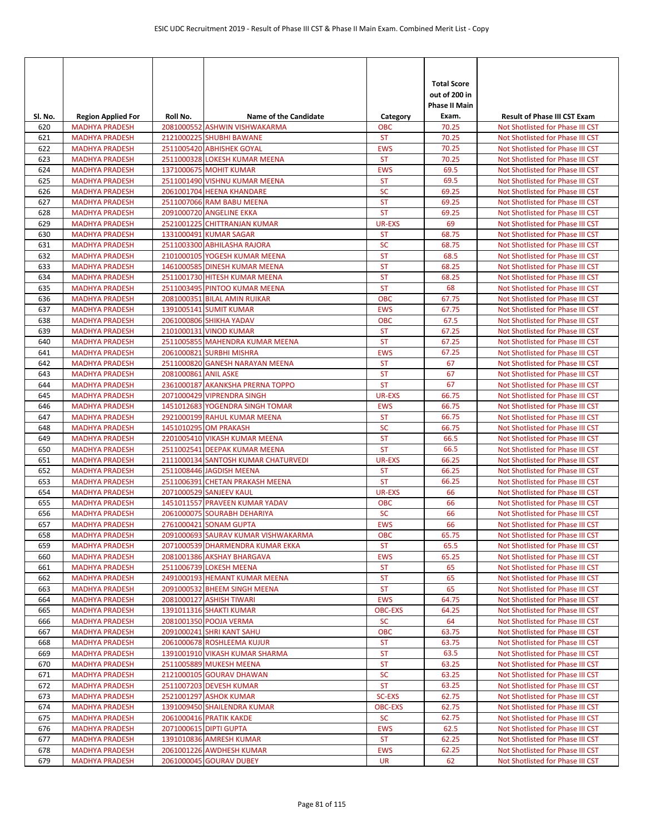|            |                                                |                      |                                                                |                         | <b>Total Score</b><br>out of 200 in<br>Phase II Main |                                                                      |
|------------|------------------------------------------------|----------------------|----------------------------------------------------------------|-------------------------|------------------------------------------------------|----------------------------------------------------------------------|
| SI. No.    | <b>Region Applied For</b>                      | Roll No.             | <b>Name of the Candidate</b>                                   | Category                | Exam.                                                | <b>Result of Phase III CST Exam</b>                                  |
| 620<br>621 | <b>MADHYA PRADESH</b><br><b>MADHYA PRADESH</b> |                      | 2081000552 ASHWIN VISHWAKARMA<br>2121000225 SHUBHI BAWANE      | <b>OBC</b><br><b>ST</b> | 70.25<br>70.25                                       | Not Shotlisted for Phase III CST<br>Not Shotlisted for Phase III CST |
| 622        | <b>MADHYA PRADESH</b>                          |                      | 2511005420 ABHISHEK GOYAL                                      | <b>EWS</b>              | 70.25                                                | Not Shotlisted for Phase III CST                                     |
| 623        | <b>MADHYA PRADESH</b>                          |                      | 2511000328 LOKESH KUMAR MEENA                                  | <b>ST</b>               | 70.25                                                | Not Shotlisted for Phase III CST                                     |
| 624        | <b>MADHYA PRADESH</b>                          |                      | 1371000675 MOHIT KUMAR                                         | <b>EWS</b>              | 69.5                                                 | Not Shotlisted for Phase III CST                                     |
| 625        | <b>MADHYA PRADESH</b>                          |                      | 2511001490 VISHNU KUMAR MEENA                                  | <b>ST</b>               | 69.5                                                 | Not Shotlisted for Phase III CST                                     |
| 626        | <b>MADHYA PRADESH</b>                          |                      | 2061001704 HEENA KHANDARE                                      | <b>SC</b>               | 69.25                                                | Not Shotlisted for Phase III CST                                     |
| 627        | <b>MADHYA PRADESH</b>                          |                      | 2511007066 RAM BABU MEENA                                      | <b>ST</b>               | 69.25                                                | Not Shotlisted for Phase III CST                                     |
| 628        | <b>MADHYA PRADESH</b>                          |                      | <b>2091000720 ANGELINE EKKA</b>                                | <b>ST</b>               | 69.25                                                | Not Shotlisted for Phase III CST                                     |
| 629        | <b>MADHYA PRADESH</b>                          |                      | 2521001225 CHITTRANJAN KUMAR                                   | UR-EXS                  | 69                                                   | Not Shotlisted for Phase III CST                                     |
| 630        | <b>MADHYA PRADESH</b>                          |                      | 1331000491 KUMAR SAGAR                                         | <b>ST</b>               | 68.75                                                | Not Shotlisted for Phase III CST                                     |
| 631        | <b>MADHYA PRADESH</b>                          |                      | 2511003300 ABHILASHA RAJORA                                    | <b>SC</b>               | 68.75                                                | Not Shotlisted for Phase III CST                                     |
| 632        | <b>MADHYA PRADESH</b><br><b>MADHYA PRADESH</b> |                      | 2101000105 YOGESH KUMAR MEENA<br>1461000585 DINESH KUMAR MEENA | <b>ST</b>               | 68.5                                                 | Not Shotlisted for Phase III CST<br>Not Shotlisted for Phase III CST |
| 633<br>634 | <b>MADHYA PRADESH</b>                          |                      | 2511001730 HITESH KUMAR MEENA                                  | <b>ST</b><br><b>ST</b>  | 68.25<br>68.25                                       | Not Shotlisted for Phase III CST                                     |
| 635        | <b>MADHYA PRADESH</b>                          |                      | 2511003495 PINTOO KUMAR MEENA                                  | <b>ST</b>               | 68                                                   | Not Shotlisted for Phase III CST                                     |
| 636        | <b>MADHYA PRADESH</b>                          |                      | 2081000351 BILAL AMIN RUIKAR                                   | <b>OBC</b>              | 67.75                                                | Not Shotlisted for Phase III CST                                     |
| 637        | <b>MADHYA PRADESH</b>                          |                      | 1391005141 SUMIT KUMAR                                         | <b>EWS</b>              | 67.75                                                | Not Shotlisted for Phase III CST                                     |
| 638        | <b>MADHYA PRADESH</b>                          |                      | 2061000806 SHIKHA YADAV                                        | <b>OBC</b>              | 67.5                                                 | Not Shotlisted for Phase III CST                                     |
| 639        | <b>MADHYA PRADESH</b>                          |                      | 2101000131 VINOD KUMAR                                         | <b>ST</b>               | 67.25                                                | Not Shotlisted for Phase III CST                                     |
| 640        | <b>MADHYA PRADESH</b>                          |                      | 2511005855 MAHENDRA KUMAR MEENA                                | <b>ST</b>               | 67.25                                                | Not Shotlisted for Phase III CST                                     |
| 641        | <b>MADHYA PRADESH</b>                          |                      | 2061000821 SURBHI MISHRA                                       | <b>EWS</b>              | 67.25                                                | Not Shotlisted for Phase III CST                                     |
| 642        | <b>MADHYA PRADESH</b>                          |                      | 2511000820 GANESH NARAYAN MEENA                                | <b>ST</b>               | 67                                                   | Not Shotlisted for Phase III CST                                     |
| 643        | <b>MADHYA PRADESH</b>                          | 2081000861 ANIL ASKE |                                                                | <b>ST</b>               | 67                                                   | Not Shotlisted for Phase III CST                                     |
| 644        | <b>MADHYA PRADESH</b>                          |                      | 2361000187 AKANKSHA PRERNA TOPPO                               | <b>ST</b>               | 67                                                   | Not Shotlisted for Phase III CST                                     |
| 645        | <b>MADHYA PRADESH</b>                          |                      | 2071000429 VIPRENDRA SINGH                                     | <b>UR-EXS</b>           | 66.75                                                | Not Shotlisted for Phase III CST                                     |
| 646        | <b>MADHYA PRADESH</b>                          |                      | 1451012683 YOGENDRA SINGH TOMAR                                | <b>EWS</b>              | 66.75                                                | Not Shotlisted for Phase III CST                                     |
| 647<br>648 | <b>MADHYA PRADESH</b><br><b>MADHYA PRADESH</b> |                      | 2921000199 RAHUL KUMAR MEENA<br>1451010295 OM PRAKASH          | <b>ST</b><br><b>SC</b>  | 66.75<br>66.75                                       | Not Shotlisted for Phase III CST<br>Not Shotlisted for Phase III CST |
| 649        | <b>MADHYA PRADESH</b>                          |                      | 2201005410 VIKASH KUMAR MEENA                                  | <b>ST</b>               | 66.5                                                 | Not Shotlisted for Phase III CST                                     |
| 650        | <b>MADHYA PRADESH</b>                          |                      | 2511002541 DEEPAK KUMAR MEENA                                  | <b>ST</b>               | 66.5                                                 | Not Shotlisted for Phase III CST                                     |
| 651        | <b>MADHYA PRADESH</b>                          |                      | 2111000134 SANTOSH KUMAR CHATURVEDI                            | <b>UR-EXS</b>           | 66.25                                                | Not Shotlisted for Phase III CST                                     |
| 652        | <b>MADHYA PRADESH</b>                          |                      | 2511008446 JAGDISH MEENA                                       | <b>ST</b>               | 66.25                                                | Not Shotlisted for Phase III CST                                     |
| 653        | <b>MADHYA PRADESH</b>                          |                      | 2511006391 CHETAN PRAKASH MEENA                                | <b>ST</b>               | 66.25                                                | Not Shotlisted for Phase III CST                                     |
| 654        | <b>MADHYA PRADESH</b>                          |                      | 2071000529 SANJEEV KAUL                                        | UR-EXS                  | 66                                                   | Not Shotlisted for Phase III CST                                     |
| 655        | <b>MADHYA PRADESH</b>                          |                      | 1451011557 PRAVEEN KUMAR YADAV                                 | <b>OBC</b>              | 66                                                   | Not Shotlisted for Phase III CST                                     |
| 656        | <b>MADHYA PRADESH</b>                          |                      | 2061000075 SOURABH DEHARIYA                                    | <b>SC</b>               | 66                                                   | Not Shotlisted for Phase III CST                                     |
| 657        | <b>MADHYA PRADESH</b>                          |                      | 2761000421 SONAM GUPTA                                         | <b>EWS</b>              | 66                                                   | Not Shotlisted for Phase III CST                                     |
| 658        | <b>MADHYA PRADESH</b>                          |                      | 2091000693 SAURAV KUMAR VISHWAKARMA                            | <b>OBC</b>              | 65.75                                                | Not Shotlisted for Phase III CST                                     |
| 659<br>660 | <b>MADHYA PRADESH</b><br><b>MADHYA PRADESH</b> |                      | 2071000539 DHARMENDRA KUMAR EKKA<br>2081001386 AKSHAY BHARGAVA | <b>ST</b><br><b>EWS</b> | 65.5<br>65.25                                        | Not Shotlisted for Phase III CST<br>Not Shotlisted for Phase III CST |
| 661        | <b>MADHYA PRADESH</b>                          |                      | 2511006739 LOKESH MEENA                                        | <b>ST</b>               | 65                                                   | Not Shotlisted for Phase III CST                                     |
| 662        | <b>MADHYA PRADESH</b>                          |                      | 2491000193 HEMANT KUMAR MEENA                                  | <b>ST</b>               | 65                                                   | Not Shotlisted for Phase III CST                                     |
| 663        | <b>MADHYA PRADESH</b>                          |                      | 2091000532 BHEEM SINGH MEENA                                   | ST                      | 65                                                   | Not Shotlisted for Phase III CST                                     |
| 664        | <b>MADHYA PRADESH</b>                          |                      | 2081000127 ASHISH TIWARI                                       | <b>EWS</b>              | 64.75                                                | Not Shotlisted for Phase III CST                                     |
| 665        | <b>MADHYA PRADESH</b>                          |                      | 1391011316 SHAKTI KUMAR                                        | <b>OBC-EXS</b>          | 64.25                                                | Not Shotlisted for Phase III CST                                     |
| 666        | <b>MADHYA PRADESH</b>                          |                      | 2081001350 POOJA VERMA                                         | <b>SC</b>               | 64                                                   | Not Shotlisted for Phase III CST                                     |
| 667        | <b>MADHYA PRADESH</b>                          |                      | 2091000241 SHRI KANT SAHU                                      | <b>OBC</b>              | 63.75                                                | Not Shotlisted for Phase III CST                                     |
| 668        | <b>MADHYA PRADESH</b>                          |                      | 2061000678 ROSHLEEMA KUJUR                                     | ST                      | 63.75                                                | Not Shotlisted for Phase III CST                                     |
| 669        | <b>MADHYA PRADESH</b>                          |                      | 1391001910 VIKASH KUMAR SHARMA                                 | <b>ST</b>               | 63.5                                                 | Not Shotlisted for Phase III CST                                     |
| 670        | <b>MADHYA PRADESH</b>                          |                      | 2511005889 MUKESH MEENA                                        | <b>ST</b><br><b>SC</b>  | 63.25<br>63.25                                       | Not Shotlisted for Phase III CST                                     |
| 671<br>672 | <b>MADHYA PRADESH</b><br><b>MADHYA PRADESH</b> |                      | 2121000105 GOURAV DHAWAN<br>2511007203 DEVESH KUMAR            | <b>ST</b>               | 63.25                                                | Not Shotlisted for Phase III CST<br>Not Shotlisted for Phase III CST |
| 673        | <b>MADHYA PRADESH</b>                          |                      | 2521001297 ASHOK KUMAR                                         | <b>SC-EXS</b>           | 62.75                                                | Not Shotlisted for Phase III CST                                     |
| 674        | <b>MADHYA PRADESH</b>                          |                      | 1391009450 SHAILENDRA KUMAR                                    | <b>OBC-EXS</b>          | 62.75                                                | Not Shotlisted for Phase III CST                                     |
| 675        | <b>MADHYA PRADESH</b>                          |                      | 2061000416 PRATIK KAKDE                                        | <b>SC</b>               | 62.75                                                | Not Shotlisted for Phase III CST                                     |
| 676        | <b>MADHYA PRADESH</b>                          |                      | 2071000615 DIPTI GUPTA                                         | <b>EWS</b>              | 62.5                                                 | Not Shotlisted for Phase III CST                                     |
| 677        | <b>MADHYA PRADESH</b>                          |                      | 1391010836 AMRESH KUMAR                                        | <b>ST</b>               | 62.25                                                | Not Shotlisted for Phase III CST                                     |
| 678        | <b>MADHYA PRADESH</b>                          |                      | 2061001226 AWDHESH KUMAR                                       | <b>EWS</b>              | 62.25                                                | Not Shotlisted for Phase III CST                                     |
| 679        | <b>MADHYA PRADESH</b>                          |                      | 2061000045 GOURAV DUBEY                                        | UR                      | 62                                                   | Not Shotlisted for Phase III CST                                     |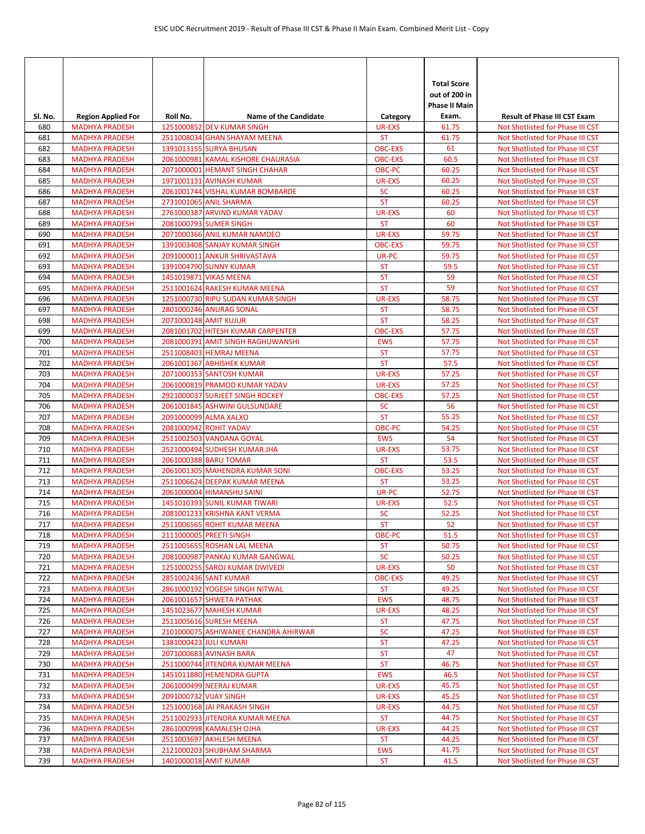| SI. No.    | <b>Region Applied For</b>                      | Roll No.               | <b>Name of the Candidate</b>                                    | Category                    | <b>Total Score</b><br>out of 200 in<br><b>Phase II Main</b><br>Exam. | <b>Result of Phase III CST Exam</b>                                  |
|------------|------------------------------------------------|------------------------|-----------------------------------------------------------------|-----------------------------|----------------------------------------------------------------------|----------------------------------------------------------------------|
| 680        | <b>MADHYA PRADESH</b>                          |                        | 1251000852 DEV KUMAR SINGH                                      | UR-EXS                      | 61.75                                                                | Not Shotlisted for Phase III CST                                     |
| 681        | <b>MADHYA PRADESH</b>                          |                        | 2511008034 GHAN SHAYAM MEENA                                    | <b>ST</b>                   | 61.75                                                                | Not Shotlisted for Phase III CST                                     |
| 682        | <b>MADHYA PRADESH</b>                          |                        | 1391013155 SURYA BHUSAN                                         | <b>OBC-EXS</b>              | 61                                                                   | Not Shotlisted for Phase III CST                                     |
| 683        | <b>MADHYA PRADESH</b>                          |                        | 2061000981 KAMAL KISHORE CHAURASIA                              | <b>OBC-EXS</b>              | 60.5                                                                 | Not Shotlisted for Phase III CST                                     |
| 684        | <b>MADHYA PRADESH</b>                          |                        | 2071000001 HEMANT SINGH CHAHAR                                  | <b>OBC-PC</b>               | 60.25                                                                | Not Shotlisted for Phase III CST                                     |
| 685        | <b>MADHYA PRADESH</b>                          |                        | 1971001131 AVINASH KUMAR                                        | UR-EXS                      | 60.25                                                                | Not Shotlisted for Phase III CST                                     |
| 686        | <b>MADHYA PRADESH</b>                          |                        | 2061001744 VISHAL KUMAR BOMBARDE                                | <b>SC</b>                   | 60.25                                                                | Not Shotlisted for Phase III CST                                     |
| 687        | <b>MADHYA PRADESH</b>                          |                        | 2731001065 ANIL SHARMA                                          | <b>ST</b>                   | 60.25                                                                | Not Shotlisted for Phase III CST                                     |
| 688        | <b>MADHYA PRADESH</b>                          |                        | 2761000387 ARVIND KUMAR YADAV                                   | <b>UR-EXS</b>               | 60                                                                   | Not Shotlisted for Phase III CST                                     |
| 689        | <b>MADHYA PRADESH</b>                          |                        | 2081000793 SUMER SINGH                                          | <b>ST</b>                   | 60                                                                   | Not Shotlisted for Phase III CST                                     |
| 690        | <b>MADHYA PRADESH</b>                          |                        | 2071000366 ANIL KUMAR NAMDEO                                    | <b>UR-EXS</b>               | 59.75                                                                | Not Shotlisted for Phase III CST                                     |
| 691        | <b>MADHYA PRADESH</b>                          |                        | 1391003408 SANJAY KUMAR SINGH                                   | <b>OBC-EXS</b>              | 59.75                                                                | Not Shotlisted for Phase III CST                                     |
| 692<br>693 | <b>MADHYA PRADESH</b><br><b>MADHYA PRADESH</b> |                        | 2091000011 ANKUR SHRIVASTAVA<br>1391004790 SUNNY KUMAR          | UR-PC<br><b>ST</b>          | 59.75<br>59.5                                                        | Not Shotlisted for Phase III CST<br>Not Shotlisted for Phase III CST |
| 694        | <b>MADHYA PRADESH</b>                          |                        | 1451019871 VIKAS MEENA                                          | <b>ST</b>                   | 59                                                                   | Not Shotlisted for Phase III CST                                     |
| 695        | <b>MADHYA PRADESH</b>                          |                        | 2511001624 RAKESH KUMAR MEENA                                   | <b>ST</b>                   | 59                                                                   | Not Shotlisted for Phase III CST                                     |
| 696        | <b>MADHYA PRADESH</b>                          |                        | 1251000730 RIPU SUDAN KUMAR SINGH                               | <b>UR-EXS</b>               | 58.75                                                                | Not Shotlisted for Phase III CST                                     |
| 697        | <b>MADHYA PRADESH</b>                          |                        | 2801000246 ANURAG SONAL                                         | <b>ST</b>                   | 58.75                                                                | Not Shotlisted for Phase III CST                                     |
| 698        | <b>MADHYA PRADESH</b>                          | 2071000148 AMIT KUJUR  |                                                                 | <b>ST</b>                   | 58.25                                                                | Not Shotlisted for Phase III CST                                     |
| 699        | <b>MADHYA PRADESH</b>                          |                        | 2081001702 HITESH KUMAR CARPENTER                               | <b>OBC-EXS</b>              | 57.75                                                                | Not Shotlisted for Phase III CST                                     |
| 700        | <b>MADHYA PRADESH</b>                          |                        | 2081000391 AMIT SINGH RAGHUWANSHI                               | <b>EWS</b>                  | 57.75                                                                | Not Shotlisted for Phase III CST                                     |
| 701        | <b>MADHYA PRADESH</b>                          |                        | 2511008403 HEMRAJ MEENA                                         | <b>ST</b>                   | 57.75                                                                | Not Shotlisted for Phase III CST                                     |
| 702        | <b>MADHYA PRADESH</b>                          |                        | 2061001367 ABHISHEK KUMAR                                       | <b>ST</b>                   | 57.5                                                                 | Not Shotlisted for Phase III CST                                     |
| 703        | <b>MADHYA PRADESH</b>                          |                        | 2071000353 SANTOSH KUMAR                                        | <b>UR-EXS</b>               | 57.25                                                                | Not Shotlisted for Phase III CST                                     |
| 704        | <b>MADHYA PRADESH</b>                          |                        | 2061000819 PRAMOD KUMAR YADAV                                   | UR-EXS                      | 57.25                                                                | Not Shotlisted for Phase III CST                                     |
| 705        | <b>MADHYA PRADESH</b>                          |                        | 2921000037 SURJEET SINGH ROCKEY                                 | <b>OBC-EXS</b>              | 57.25                                                                | Not Shotlisted for Phase III CST                                     |
| 706        | <b>MADHYA PRADESH</b>                          |                        | 2061001845 ASHWINI GULSUNDARE                                   | <b>SC</b>                   | 56                                                                   | Not Shotlisted for Phase III CST                                     |
| 707        | <b>MADHYA PRADESH</b>                          |                        | 2091000099 ALMA XALXO                                           | <b>ST</b>                   | 55.25                                                                | Not Shotlisted for Phase III CST                                     |
| 708        | <b>MADHYA PRADESH</b>                          |                        | 2081000942 ROHIT YADAV                                          | <b>OBC-PC</b>               | 54.25                                                                | Not Shotlisted for Phase III CST                                     |
| 709        | <b>MADHYA PRADESH</b>                          |                        | 2511002503 VANDANA GOYAL                                        | <b>EWS</b>                  | 54                                                                   | Not Shotlisted for Phase III CST                                     |
| 710        | <b>MADHYA PRADESH</b>                          |                        | 2521000494 SUDHESH KUMAR JHA                                    | UR-EXS                      | 53.75                                                                | Not Shotlisted for Phase III CST                                     |
| 711        | <b>MADHYA PRADESH</b>                          |                        | 2061000388 BARU TOMAR                                           | <b>ST</b>                   | 53.5                                                                 | Not Shotlisted for Phase III CST                                     |
| 712<br>713 | <b>MADHYA PRADESH</b><br><b>MADHYA PRADESH</b> |                        | 2061001305 MAHENDRA KUMAR SONI<br>2511006624 DEEPAK KUMAR MEENA | <b>OBC-EXS</b><br><b>ST</b> | 53.25<br>53.25                                                       | Not Shotlisted for Phase III CST<br>Not Shotlisted for Phase III CST |
| 714        | <b>MADHYA PRADESH</b>                          |                        | 2061000004 HIMANSHU SAINI                                       | UR-PC                       | 52.75                                                                | Not Shotlisted for Phase III CST                                     |
| 715        | <b>MADHYA PRADESH</b>                          |                        | 1451010393 SUNIL KUMAR TIWARI                                   | UR-EXS                      | 52.5                                                                 | Not Shotlisted for Phase III CST                                     |
| 716        | <b>MADHYA PRADESH</b>                          |                        | 2081001233 KRISHNA KANT VERMA                                   | <b>SC</b>                   | 52.25                                                                | Not Shotlisted for Phase III CST                                     |
| 717        | <b>MADHYA PRADESH</b>                          |                        | 2511006565 ROHIT KUMAR MEENA                                    | <b>ST</b>                   | 52                                                                   | Not Shotlisted for Phase III CST                                     |
| 718        | <b>MADHYA PRADESH</b>                          |                        | 2111000005 PREETI SINGH                                         | OBC-PC                      | 51.5                                                                 | Not Shotlisted for Phase III CST                                     |
| 719        | <b>MADHYA PRADESH</b>                          |                        | 2511005655 ROSHAN LAL MEENA                                     | <b>ST</b>                   | 50.75                                                                | Not Shotlisted for Phase III CST                                     |
| 720        | <b>MADHYA PRADESH</b>                          |                        | 2081000987 PANKAJ KUMAR GANGWAL                                 | <b>SC</b>                   | 50.25                                                                | Not Shotlisted for Phase III CST                                     |
| 721        | <b>MADHYA PRADESH</b>                          |                        | 1251000255 SAROJ KUMAR DWIVEDI                                  | UR-EXS                      | 50                                                                   | Not Shotlisted for Phase III CST                                     |
| 722        | <b>MADHYA PRADESH</b>                          |                        | 2851002436 SANT KUMAR                                           | <b>OBC-EXS</b>              | 49.25                                                                | Not Shotlisted for Phase III CST                                     |
| 723        | <b>MADHYA PRADESH</b>                          |                        | 2861000192 YOGESH SINGH NITWAL                                  | <b>ST</b>                   | 49.25                                                                | Not Shotlisted for Phase III CST                                     |
| 724        | <b>MADHYA PRADESH</b>                          |                        | 2061001657 SHWETA PATHAK                                        | <b>EWS</b>                  | 48.75                                                                | Not Shotlisted for Phase III CST                                     |
| 725        | <b>MADHYA PRADESH</b>                          |                        | 1451023677 MAHESH KUMAR                                         | UR-EXS                      | 48.25                                                                | Not Shotlisted for Phase III CST                                     |
| 726        | <b>MADHYA PRADESH</b>                          |                        | 2511005616 SURESH MEENA                                         | <b>ST</b>                   | 47.75                                                                | Not Shotlisted for Phase III CST                                     |
| 727        | <b>MADHYA PRADESH</b>                          |                        | 2101000075 ASHIWANEE CHANDRA AHIRWAR                            | <b>SC</b>                   | 47.25                                                                | Not Shotlisted for Phase III CST                                     |
| 728        | <b>MADHYA PRADESH</b>                          |                        | 1381000423 JULI KUMARI                                          | <b>ST</b>                   | 47.25                                                                | Not Shotlisted for Phase III CST                                     |
| 729        | <b>MADHYA PRADESH</b>                          |                        | 2071000683 AVINASH BARA                                         | <b>ST</b>                   | 47                                                                   | Not Shotlisted for Phase III CST                                     |
| 730<br>731 | <b>MADHYA PRADESH</b><br><b>MADHYA PRADESH</b> |                        | 2511000744 JITENDRA KUMAR MEENA<br>1451011880 HEMENDRA GUPTA    | ST<br><b>EWS</b>            | 46.75<br>46.5                                                        | Not Shotlisted for Phase III CST<br>Not Shotlisted for Phase III CST |
| 732        | <b>MADHYA PRADESH</b>                          |                        | 2061000499 NEERAJ KUMAR                                         | <b>UR-EXS</b>               | 45.75                                                                | Not Shotlisted for Phase III CST                                     |
| 733        | <b>MADHYA PRADESH</b>                          | 2091000732 VIJAY SINGH |                                                                 | UR-EXS                      | 45.25                                                                | Not Shotlisted for Phase III CST                                     |
| 734        | <b>MADHYA PRADESH</b>                          |                        | 1251000168 JAI PRAKASH SINGH                                    | UR-EXS                      | 44.75                                                                | Not Shotlisted for Phase III CST                                     |
| 735        | <b>MADHYA PRADESH</b>                          |                        | 2511002933 JITENDRA KUMAR MEENA                                 | <b>ST</b>                   | 44.75                                                                | Not Shotlisted for Phase III CST                                     |
| 736        | <b>MADHYA PRADESH</b>                          |                        | 2861000998 KAMALESH OJHA                                        | UR-EXS                      | 44.25                                                                | Not Shotlisted for Phase III CST                                     |
| 737        | <b>MADHYA PRADESH</b>                          |                        | 2511003697 AKHLESH MEENA                                        | ST                          | 44.25                                                                | Not Shotlisted for Phase III CST                                     |
| 738        | <b>MADHYA PRADESH</b>                          |                        | 2121000203 SHUBHAM SHARMA                                       | <b>EWS</b>                  | 41.75                                                                | Not Shotlisted for Phase III CST                                     |
| 739        | <b>MADHYA PRADESH</b>                          |                        | 1401000018 AMIT KUMAR                                           | ST                          | 41.5                                                                 | Not Shotlisted for Phase III CST                                     |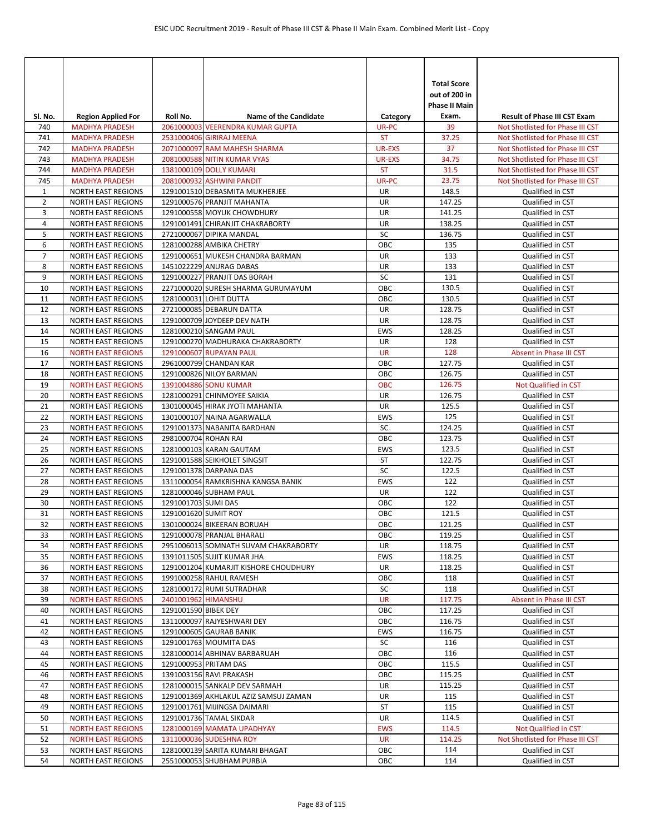| SI. No.        | <b>Region Applied For</b>                              | Roll No.             | <b>Name of the Candidate</b>                            | Category      | <b>Total Score</b><br>out of 200 in<br><b>Phase II Main</b><br>Exam. | <b>Result of Phase III CST Exam</b>  |
|----------------|--------------------------------------------------------|----------------------|---------------------------------------------------------|---------------|----------------------------------------------------------------------|--------------------------------------|
| 740            | <b>MADHYA PRADESH</b>                                  |                      | 2061000003 VEERENDRA KUMAR GUPTA                        | UR-PC         | 39                                                                   | Not Shotlisted for Phase III CST     |
| 741            | <b>MADHYA PRADESH</b>                                  |                      | 2531000406 GIRIRAJ MEENA                                | <b>ST</b>     | 37.25                                                                | Not Shotlisted for Phase III CST     |
| 742            | <b>MADHYA PRADESH</b>                                  |                      | 2071000097 RAM MAHESH SHARMA                            | UR-EXS        | 37                                                                   | Not Shotlisted for Phase III CST     |
| 743            | <b>MADHYA PRADESH</b>                                  |                      | 2081000588 NITIN KUMAR VYAS                             | <b>UR-EXS</b> | 34.75                                                                | Not Shotlisted for Phase III CST     |
| 744            | <b>MADHYA PRADESH</b>                                  |                      | 1381000109 DOLLY KUMARI                                 | <b>ST</b>     | 31.5                                                                 | Not Shotlisted for Phase III CST     |
| 745            | <b>MADHYA PRADESH</b>                                  |                      | 2081000932 ASHWINI PANDIT                               | UR-PC         | 23.75                                                                | Not Shotlisted for Phase III CST     |
| $\mathbf{1}$   | <b>NORTH EAST REGIONS</b>                              |                      | 1291001510 DEBASMITA MUKHERJEE                          | UR            | 148.5                                                                | Qualified in CST                     |
| $\overline{2}$ | <b>NORTH EAST REGIONS</b>                              |                      | 1291000576 PRANJIT MAHANTA                              | UR            | 147.25                                                               | Qualified in CST                     |
| 3              | <b>NORTH EAST REGIONS</b>                              |                      | 1291000558 MOYUK CHOWDHURY                              | UR            | 141.25                                                               | Qualified in CST                     |
| 4              | <b>NORTH EAST REGIONS</b>                              |                      | 1291001491 CHIRANJIT CHAKRABORTY                        | UR            | 138.25                                                               | Qualified in CST                     |
| 5              | <b>NORTH EAST REGIONS</b>                              |                      | 2721000067 DIPIKA MANDAL                                | SC            | 136.75                                                               | Qualified in CST                     |
| 6              | <b>NORTH EAST REGIONS</b>                              |                      | 1281000288 AMBIKA CHETRY                                | OBC           | 135                                                                  | Qualified in CST                     |
| $\overline{7}$ | <b>NORTH EAST REGIONS</b>                              |                      | 1291000651 MUKESH CHANDRA BARMAN                        | UR            | 133                                                                  | Qualified in CST                     |
| 8<br>9         | <b>NORTH EAST REGIONS</b><br><b>NORTH EAST REGIONS</b> |                      | 1451022229 ANURAG DABAS<br>1291000227 PRANJIT DAS BORAH | UR<br>SC      | 133<br>131                                                           | Qualified in CST<br>Qualified in CST |
| 10             | <b>NORTH EAST REGIONS</b>                              |                      | 2271000020 SURESH SHARMA GURUMAYUM                      | OBC           | 130.5                                                                | Qualified in CST                     |
| 11             | <b>NORTH EAST REGIONS</b>                              |                      | 1281000031 LOHIT DUTTA                                  | OBC           | 130.5                                                                | Qualified in CST                     |
| 12             | <b>NORTH EAST REGIONS</b>                              |                      | 2721000085 DEBARUN DATTA                                | UR            | 128.75                                                               | Qualified in CST                     |
| 13             | <b>NORTH EAST REGIONS</b>                              |                      | 1291000709 JOYDEEP DEV NATH                             | UR            | 128.75                                                               | Qualified in CST                     |
| 14             | <b>NORTH EAST REGIONS</b>                              |                      | 1281000210 SANGAM PAUL                                  | <b>EWS</b>    | 128.25                                                               | Qualified in CST                     |
| 15             | <b>NORTH EAST REGIONS</b>                              |                      | 1291000270 MADHURAKA CHAKRABORTY                        | UR            | 128                                                                  | Qualified in CST                     |
| 16             | <b>NORTH EAST REGIONS</b>                              |                      | 1291000607 RUPAYAN PAUL                                 | <b>UR</b>     | 128                                                                  | Absent in Phase III CST              |
| 17             | <b>NORTH EAST REGIONS</b>                              |                      | 2961000799 CHANDAN KAR                                  | OBC           | 127.75                                                               | Qualified in CST                     |
| 18             | <b>NORTH EAST REGIONS</b>                              |                      | 1291000826 NILOY BARMAN                                 | OBC           | 126.75                                                               | Qualified in CST                     |
| 19             | <b>NORTH EAST REGIONS</b>                              |                      | 1391004886 SONU KUMAR                                   | <b>OBC</b>    | 126.75                                                               | Not Qualified in CST                 |
| 20             | <b>NORTH EAST REGIONS</b>                              |                      | 1281000291 CHINMOYEE SAIKIA                             | <b>UR</b>     | 126.75                                                               | Qualified in CST                     |
| 21             | <b>NORTH EAST REGIONS</b>                              |                      | 1301000045 HIRAK JYOTI MAHANTA                          | UR            | 125.5                                                                | Qualified in CST                     |
| 22             | <b>NORTH EAST REGIONS</b>                              |                      | 1301000107 NAINA AGARWALLA                              | <b>EWS</b>    | 125                                                                  | Qualified in CST                     |
| 23             | <b>NORTH EAST REGIONS</b>                              |                      | 1291001373 NABANITA BARDHAN                             | SC            | 124.25                                                               | Qualified in CST                     |
| 24             | <b>NORTH EAST REGIONS</b>                              | 2981000704 ROHAN RAI |                                                         | OBC           | 123.75                                                               | Qualified in CST                     |
| 25             | <b>NORTH EAST REGIONS</b>                              |                      | 1281000103 KARAN GAUTAM                                 | <b>EWS</b>    | 123.5                                                                | Qualified in CST                     |
| 26             | <b>NORTH EAST REGIONS</b>                              |                      | 1291001588 SEIKHOLET SINGSIT                            | <b>ST</b>     | 122.75                                                               | Qualified in CST                     |
| 27             | <b>NORTH EAST REGIONS</b>                              |                      | 1291001378 DARPANA DAS                                  | SC            | 122.5                                                                | Qualified in CST                     |
| 28             | <b>NORTH EAST REGIONS</b>                              |                      | 1311000054 RAMKRISHNA KANGSA BANIK                      | <b>EWS</b>    | 122                                                                  | Qualified in CST                     |
| 29<br>30       | <b>NORTH EAST REGIONS</b><br><b>NORTH EAST REGIONS</b> | 1291001703 SUMI DAS  | 1281000046 SUBHAM PAUL                                  | UR<br>OBC     | 122<br>122                                                           | Qualified in CST                     |
| 31             | <b>NORTH EAST REGIONS</b>                              | 1291001620 SUMIT ROY |                                                         | OBC           | 121.5                                                                | Qualified in CST<br>Qualified in CST |
| 32             | <b>NORTH EAST REGIONS</b>                              |                      | 1301000024 BIKEERAN BORUAH                              | OBC           | 121.25                                                               | Qualified in CST                     |
| 33             | <b>NORTH EAST REGIONS</b>                              |                      | 1291000078 PRANJAL BHARALI                              | OBC           | 119.25                                                               | Qualified in CST                     |
| 34             | <b>NORTH EAST REGIONS</b>                              |                      | 2951006013 SOMNATH SUVAM CHAKRABORTY                    | UR            | 118.75                                                               | Qualified in CST                     |
| 35             | <b>NORTH EAST REGIONS</b>                              |                      | 1391011505 SUJIT KUMAR JHA                              | EWS           | 118.25                                                               | Qualified in CST                     |
| 36             | <b>NORTH EAST REGIONS</b>                              |                      | 1291001204 KUMARJIT KISHORE CHOUDHURY                   | UR            | 118.25                                                               | Qualified in CST                     |
| 37             | <b>NORTH EAST REGIONS</b>                              |                      | 1991000258 RAHUL RAMESH                                 | OBC           | 118                                                                  | Qualified in CST                     |
| 38             | <b>NORTH EAST REGIONS</b>                              |                      | 1281000172 RUMI SUTRADHAR                               | SC            | 118                                                                  | Qualified in CST                     |
| 39             | <b>NORTH EAST REGIONS</b>                              | 2401001962 HIMANSHU  |                                                         | UR            | 117.75                                                               | Absent in Phase III CST              |
| 40             | <b>NORTH EAST REGIONS</b>                              | 1291001590 BIBEK DEY |                                                         | OBC           | 117.25                                                               | Qualified in CST                     |
| 41             | <b>NORTH EAST REGIONS</b>                              |                      | 1311000097 RAJYESHWARI DEY                              | OBC           | 116.75                                                               | Qualified in CST                     |
| 42             | <b>NORTH EAST REGIONS</b>                              |                      | 1291000605 GAURAB BANIK                                 | EWS           | 116.75                                                               | Qualified in CST                     |
| 43             | <b>NORTH EAST REGIONS</b>                              |                      | 1291001763 MOUMITA DAS                                  | SC            | 116                                                                  | Qualified in CST                     |
| 44             | <b>NORTH EAST REGIONS</b>                              |                      | 1281000014 ABHINAV BARBARUAH                            | OBC           | 116                                                                  | Qualified in CST                     |
| 45             | <b>NORTH EAST REGIONS</b>                              |                      | 1291000953 PRITAM DAS                                   | OBC           | 115.5                                                                | Qualified in CST                     |
| 46             | <b>NORTH EAST REGIONS</b>                              |                      | 1391003156 RAVI PRAKASH                                 | ОВС           | 115.25                                                               | Qualified in CST                     |
| 47             | <b>NORTH EAST REGIONS</b>                              |                      | 1281000015 SANKALP DEV SARMAH                           | UR            | 115.25                                                               | Qualified in CST                     |
| 48             | <b>NORTH EAST REGIONS</b>                              |                      | 1291001369 AKHLAKUL AZIZ SAMSUJ ZAMAN                   | UR            | 115<br>115                                                           | Qualified in CST                     |
| 49<br>50       | <b>NORTH EAST REGIONS</b><br><b>NORTH EAST REGIONS</b> |                      | 1291001761 MIJINGSA DAIMARI<br>1291001736 TAMAL SIKDAR  | ST<br>UR      | 114.5                                                                | Qualified in CST<br>Qualified in CST |
| 51             | <b>NORTH EAST REGIONS</b>                              |                      | 1281000169 MAMATA UPADHYAY                              | <b>EWS</b>    | 114.5                                                                | Not Qualified in CST                 |
| 52             | <b>NORTH EAST REGIONS</b>                              |                      | 1311000036 SUDESHNA ROY                                 | UR            | 114.25                                                               | Not Shotlisted for Phase III CST     |
| 53             | <b>NORTH EAST REGIONS</b>                              |                      | 1281000139 SARITA KUMARI BHAGAT                         | ОВС           | 114                                                                  | Qualified in CST                     |
| 54             | <b>NORTH EAST REGIONS</b>                              |                      | 2551000053 SHUBHAM PURBIA                               | OBC           | 114                                                                  | Qualified in CST                     |
|                |                                                        |                      |                                                         |               |                                                                      |                                      |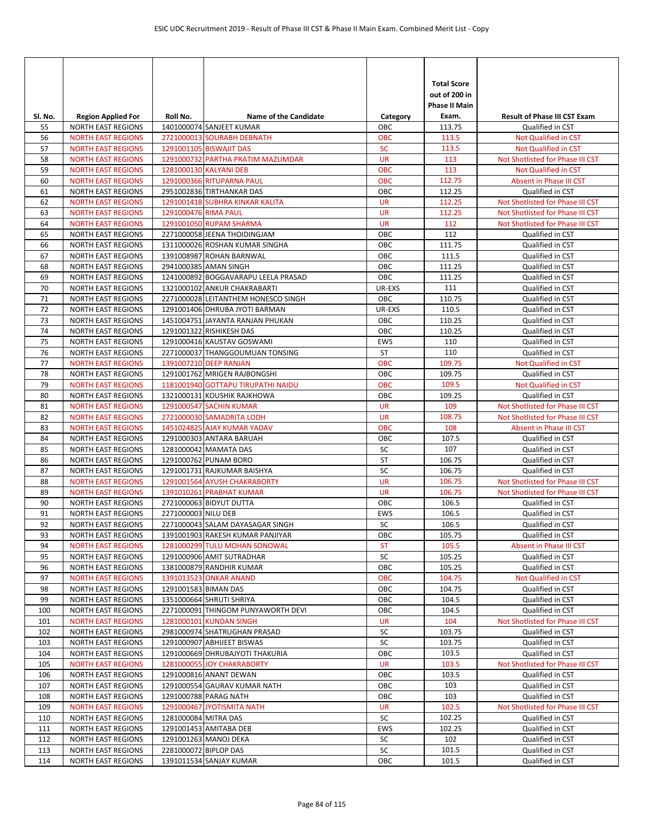| SI. No.    | <b>Region Applied For</b>                              | Roll No.              | <b>Name of the Candidate</b>                                  | Category          | <b>Total Score</b><br>out of 200 in<br><b>Phase II Main</b><br>Exam. | <b>Result of Phase III CST Exam</b>  |
|------------|--------------------------------------------------------|-----------------------|---------------------------------------------------------------|-------------------|----------------------------------------------------------------------|--------------------------------------|
| 55         | <b>NORTH EAST REGIONS</b>                              |                       | 1401000074 SANJEET KUMAR                                      | ОВС               | 113.75                                                               | Qualified in CST                     |
| 56         | <b>NORTH EAST REGIONS</b>                              |                       | 2721000013 SOURABH DEBNATH                                    | <b>OBC</b>        | 113.5                                                                | Not Qualified in CST                 |
| 57         | <b>NORTH EAST REGIONS</b>                              |                       | 1291001105 BISWAJIT DAS                                       | <b>SC</b>         | 113.5                                                                | Not Qualified in CST                 |
| 58         | <b>NORTH EAST REGIONS</b>                              |                       | 1291000732 PARTHA PRATIM MAZUMDAR                             | <b>UR</b>         | 113                                                                  | Not Shotlisted for Phase III CST     |
| 59         | <b>NORTH EAST REGIONS</b>                              |                       | 1281000130 KALYANI DEB                                        | <b>OBC</b>        | 113                                                                  | <b>Not Qualified in CST</b>          |
| 60         | <b>NORTH EAST REGIONS</b>                              |                       | 1291000366 RITUPARNA PAUL                                     | <b>OBC</b>        | 112.75                                                               | Absent in Phase III CST              |
| 61         | <b>NORTH EAST REGIONS</b>                              |                       | 2951002836 TIRTHANKAR DAS                                     | OBC               | 112.25                                                               | Qualified in CST                     |
| 62         | <b>NORTH EAST REGIONS</b>                              |                       | 1291001418 SUBHRA KINKAR KALITA                               | <b>UR</b>         | 112.25                                                               | Not Shotlisted for Phase III CST     |
| 63         | <b>NORTH EAST REGIONS</b>                              | 1291000476 RIMA PAUL  |                                                               | <b>UR</b>         | 112.25                                                               | Not Shotlisted for Phase III CST     |
| 64         | <b>NORTH EAST REGIONS</b>                              |                       | 1291001050 RUPAM SHARMA                                       | <b>UR</b>         | 112                                                                  | Not Shotlisted for Phase III CST     |
| 65         | <b>NORTH EAST REGIONS</b>                              |                       | 2271000058 JEENA THOIDINGJAM                                  | OBC               | 112                                                                  | Qualified in CST                     |
| 66         | <b>NORTH EAST REGIONS</b>                              |                       | 1311000026 ROSHAN KUMAR SINGHA                                | OBC               | 111.75                                                               | Qualified in CST                     |
| 67         | <b>NORTH EAST REGIONS</b>                              |                       | 1391008987 ROHAN BARNWAL                                      | OBC               | 111.5                                                                | Qualified in CST                     |
| 68         | <b>NORTH EAST REGIONS</b>                              |                       | 2941000385 AMAN SINGH                                         | OBC               | 111.25                                                               | Qualified in CST                     |
| 69         | <b>NORTH EAST REGIONS</b>                              |                       | 1241000892 BOGGAVARAPU LEELA PRASAD                           | OBC               | 111.25                                                               | Qualified in CST                     |
| 70         | <b>NORTH EAST REGIONS</b>                              |                       | 1321000102 ANKUR CHAKRABARTI                                  | UR-EXS            | 111                                                                  | Qualified in CST                     |
| 71         | <b>NORTH EAST REGIONS</b>                              |                       | 2271000028 LEITANTHEM HONESCO SINGH                           | OBC               | 110.75                                                               | Qualified in CST                     |
| 72         | <b>NORTH EAST REGIONS</b>                              |                       | 1291001406 DHRUBA JYOTI BARMAN                                | UR-EXS            | 110.5                                                                | Qualified in CST                     |
| 73         | <b>NORTH EAST REGIONS</b>                              |                       | 1451004751 JAYANTA RANJAN PHUKAN                              | OBC               | 110.25                                                               | Qualified in CST                     |
| 74<br>75   | <b>NORTH EAST REGIONS</b><br><b>NORTH EAST REGIONS</b> |                       | 1291001322 RISHIKESH DAS<br>1291000416 KAUSTAV GOSWAMI        | OBC<br><b>EWS</b> | 110.25<br>110                                                        | Qualified in CST<br>Qualified in CST |
| 76         | <b>NORTH EAST REGIONS</b>                              |                       | 2271000037 THANGGOUMUAN TONSING                               | ST                | 110                                                                  | Qualified in CST                     |
| 77         | <b>NORTH EAST REGIONS</b>                              |                       | 1391007210 DEEP RANJAN                                        | <b>OBC</b>        | 109.75                                                               | Not Qualified in CST                 |
| 78         | <b>NORTH EAST REGIONS</b>                              |                       | 1291001762 MRIGEN RAJBONGSHI                                  | OBC               | 109.75                                                               | Qualified in CST                     |
| 79         | <b>NORTH EAST REGIONS</b>                              |                       | 1181001940 GOTTAPU TIRUPATHI NAIDU                            | <b>OBC</b>        | 109.5                                                                | Not Qualified in CST                 |
| 80         | <b>NORTH EAST REGIONS</b>                              |                       | 1321000131 KOUSHIK RAJKHOWA                                   | OBC               | 109.25                                                               | Qualified in CST                     |
| 81         | <b>NORTH EAST REGIONS</b>                              |                       | 1291000547 SACHIN KUMAR                                       | <b>UR</b>         | 109                                                                  | Not Shotlisted for Phase III CST     |
| 82         | <b>NORTH EAST REGIONS</b>                              |                       | 2721000030 SAMADRITA LODH                                     | <b>UR</b>         | 108.75                                                               | Not Shotlisted for Phase III CST     |
| 83         | <b>NORTH EAST REGIONS</b>                              |                       | 1451024825 AJAY KUMAR YADAV                                   | <b>OBC</b>        | 108                                                                  | Absent in Phase III CST              |
| 84         | <b>NORTH EAST REGIONS</b>                              |                       | 1291000303 ANTARA BARUAH                                      | OBC               | 107.5                                                                | Qualified in CST                     |
| 85         | <b>NORTH EAST REGIONS</b>                              |                       | 1281000042 MAMATA DAS                                         | SC                | 107                                                                  | Qualified in CST                     |
| 86         | <b>NORTH EAST REGIONS</b>                              |                       | 1291000762 PUNAM BORO                                         | ST                | 106.75                                                               | Qualified in CST                     |
| 87         | <b>NORTH EAST REGIONS</b>                              |                       | 1291001731 RAJKUMAR BAISHYA                                   | SC                | 106.75                                                               | Qualified in CST                     |
| 88         | <b>NORTH EAST REGIONS</b>                              |                       | 1291001564 AYUSH CHAKRABORTY                                  | <b>UR</b>         | 106.75                                                               | Not Shotlisted for Phase III CST     |
| 89         | <b>NORTH EAST REGIONS</b>                              |                       | 1391010261 PRABHAT KUMAR                                      | <b>UR</b>         | 106.75                                                               | Not Shotlisted for Phase III CST     |
| 90         | <b>NORTH EAST REGIONS</b>                              |                       | 2721000063 BIDYUT DUTTA                                       | OBC               | 106.5                                                                | Qualified in CST                     |
| 91         | <b>NORTH EAST REGIONS</b>                              | 2271000003 NILU DEB   |                                                               | <b>EWS</b>        | 106.5                                                                | Qualified in CST                     |
| 92         | <b>NORTH EAST REGIONS</b>                              |                       | 2271000043 SALAM DAYASAGAR SINGH                              | SC                | 106.5                                                                | Qualified in CST                     |
| 93         | <b>NORTH EAST REGIONS</b>                              |                       | 1391001903 RAKESH KUMAR PANJIYAR                              | OBC               | 105.75                                                               | Qualified in CST                     |
| 94         | <b>NORTH EAST REGIONS</b>                              |                       | 1281000299 TULU MOHAN SONOWAL                                 | <b>ST</b>         | 105.5                                                                | Absent in Phase III CST              |
| 95         | <b>NORTH EAST REGIONS</b>                              |                       | 1291000906 AMIT SUTRADHAR                                     | SC                | 105.25                                                               | Qualified in CST                     |
| 96         | <b>NORTH EAST REGIONS</b>                              |                       | 1381000879 RANDHIR KUMAR                                      | ОВС               | 105.25                                                               | Qualified in CST                     |
| 97         | <b>NORTH EAST REGIONS</b>                              |                       | 1391013523 ONKAR ANAND                                        | <b>OBC</b>        | 104.75                                                               | Not Qualified in CST                 |
| 98         | <b>NORTH EAST REGIONS</b>                              | 1291001583 BIMAN DAS  |                                                               | OBC               | 104.75                                                               | Qualified in CST                     |
| 99         | <b>NORTH EAST REGIONS</b>                              |                       | 1351000664 SHRUTI SHRIYA                                      | OBC<br>OBC        | 104.5                                                                | Qualified in CST<br>Qualified in CST |
| 100<br>101 | <b>NORTH EAST REGIONS</b>                              |                       | 2271000091 THINGOM PUNYAWORTH DEVI<br>1281000101 KUNDAN SINGH | UR                | 104.5<br>104                                                         | Not Shotlisted for Phase III CST     |
| 102        | <b>NORTH EAST REGIONS</b><br><b>NORTH EAST REGIONS</b> |                       | 2981000974 SHATRUGHAN PRASAD                                  | SC                | 103.75                                                               | Qualified in CST                     |
| 103        | <b>NORTH EAST REGIONS</b>                              |                       | 1291000907 ABHIJEET BISWAS                                    | SC                | 103.75                                                               | Qualified in CST                     |
| 104        | <b>NORTH EAST REGIONS</b>                              |                       | 1291000669 DHRUBAJYOTI THAKURIA                               | OBC               | 103.5                                                                | Qualified in CST                     |
| 105        | <b>NORTH EAST REGIONS</b>                              |                       | 1281000055 JOY CHAKRABORTY                                    | <b>UR</b>         | 103.5                                                                | Not Shotlisted for Phase III CST     |
| 106        | <b>NORTH EAST REGIONS</b>                              |                       | 1291000816 ANANT DEWAN                                        | ОВС               | 103.5                                                                | Qualified in CST                     |
| 107        | <b>NORTH EAST REGIONS</b>                              |                       | 1291000554 GAURAV KUMAR NATH                                  | OBC               | 103                                                                  | Qualified in CST                     |
| 108        | <b>NORTH EAST REGIONS</b>                              |                       | 1291000788 PARAG NATH                                         | OBC               | 103                                                                  | Qualified in CST                     |
| 109        | <b>NORTH EAST REGIONS</b>                              |                       | 1291000467 JYOTISMITA NATH                                    | UR                | 102.5                                                                | Not Shotlisted for Phase III CST     |
| 110        | <b>NORTH EAST REGIONS</b>                              | 1281000084 MITRA DAS  |                                                               | SC                | 102.25                                                               | Qualified in CST                     |
| 111        | NORTH EAST REGIONS                                     |                       | 1291001453 AMITABA DEB                                        | EWS               | 102.25                                                               | Qualified in CST                     |
| 112        | <b>NORTH EAST REGIONS</b>                              |                       | 1291001263 MANOJ DEKA                                         | SC                | 102                                                                  | Qualified in CST                     |
| 113        | <b>NORTH EAST REGIONS</b>                              | 2281000072 BIPLOP DAS |                                                               | SC                | 101.5                                                                | Qualified in CST                     |
| 114        | <b>NORTH EAST REGIONS</b>                              |                       | 1391011534 SANJAY KUMAR                                       | ОВС               | 101.5                                                                | Qualified in CST                     |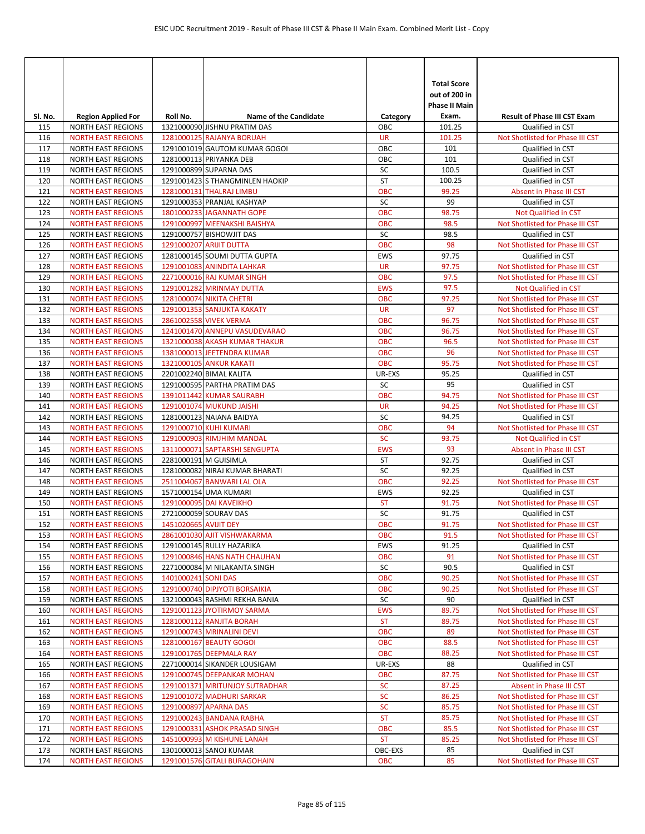| SI. No.    | <b>Region Applied For</b>                              | Roll No.              | <b>Name of the Candidate</b>                              | Category                | <b>Total Score</b><br>out of 200 in<br><b>Phase II Main</b><br>Exam. | <b>Result of Phase III CST Exam</b>                             |
|------------|--------------------------------------------------------|-----------------------|-----------------------------------------------------------|-------------------------|----------------------------------------------------------------------|-----------------------------------------------------------------|
| 115        | <b>NORTH EAST REGIONS</b>                              |                       | 1321000090 JISHNU PRATIM DAS                              | ОВС                     | 101.25                                                               | Qualified in CST                                                |
| 116        | <b>NORTH EAST REGIONS</b>                              |                       | 1281000125 RAJANYA BORUAH                                 | <b>UR</b>               | 101.25                                                               | Not Shotlisted for Phase III CST                                |
| 117        | <b>NORTH EAST REGIONS</b>                              |                       | 1291001019 GAUTOM KUMAR GOGOI                             | OBC                     | 101                                                                  | Qualified in CST                                                |
| 118        | <b>NORTH EAST REGIONS</b>                              |                       | 1281000113 PRIYANKA DEB                                   | OBC                     | 101                                                                  | Qualified in CST                                                |
| 119        | <b>NORTH EAST REGIONS</b>                              |                       | 1291000899 SUPARNA DAS                                    | SC                      | 100.5                                                                | Qualified in CST                                                |
| 120        | <b>NORTH EAST REGIONS</b>                              |                       | 1291001423 S THANGMINLEN HAOKIP                           | <b>ST</b>               | 100.25                                                               | Qualified in CST                                                |
| 121        | <b>NORTH EAST REGIONS</b>                              |                       | 1281000131 THALRAJ LIMBU                                  | <b>OBC</b>              | 99.25                                                                | Absent in Phase III CST                                         |
| 122        | <b>NORTH EAST REGIONS</b>                              |                       | 1291000353 PRANJAL KASHYAP                                | SC                      | 99                                                                   | Qualified in CST                                                |
| 123        | <b>NORTH EAST REGIONS</b>                              |                       | 1801000233 JAGANNATH GOPE                                 | <b>OBC</b>              | 98.75                                                                | Not Qualified in CST                                            |
| 124        | <b>NORTH EAST REGIONS</b>                              |                       | 1291000997 MEENAKSHI BAISHYA                              | <b>OBC</b>              | 98.5                                                                 | Not Shotlisted for Phase III CST                                |
| 125        | <b>NORTH EAST REGIONS</b>                              |                       | 1291000757 BISHOWJIT DAS                                  | SC                      | 98.5                                                                 | Qualified in CST                                                |
| 126        | <b>NORTH EAST REGIONS</b>                              |                       | 1291000207 ARIJIT DUTTA                                   | <b>OBC</b>              | 98                                                                   | Not Shotlisted for Phase III CST                                |
| 127        | <b>NORTH EAST REGIONS</b>                              |                       | 1281000145 SOUMI DUTTA GUPTA                              | <b>EWS</b>              | 97.75                                                                | Qualified in CST                                                |
| 128        | <b>NORTH EAST REGIONS</b>                              |                       | 1291001083 ANINDITA LAHKAR                                | <b>UR</b>               | 97.75                                                                | Not Shotlisted for Phase III CST                                |
| 129        | <b>NORTH EAST REGIONS</b>                              |                       | 2271000016 RAJ KUMAR SINGH                                | OBC                     | 97.5                                                                 | Not Shotlisted for Phase III CST                                |
| 130        | <b>NORTH EAST REGIONS</b>                              |                       | 1291001282 MRINMAY DUTTA                                  | <b>EWS</b>              | 97.5                                                                 | <b>Not Qualified in CST</b><br>Not Shotlisted for Phase III CST |
| 131        | <b>NORTH EAST REGIONS</b><br><b>NORTH EAST REGIONS</b> |                       | <b>1281000074 NIKITA CHETRI</b>                           | <b>OBC</b><br><b>UR</b> | 97.25<br>97                                                          | Not Shotlisted for Phase III CST                                |
| 132<br>133 | <b>NORTH EAST REGIONS</b>                              |                       | 1291001353 SANJUKTA KAKATY<br>2861002558 VIVEK VERMA      | <b>OBC</b>              | 96.75                                                                | Not Shotlisted for Phase III CST                                |
| 134        | <b>NORTH EAST REGIONS</b>                              |                       | 1241001470 ANNEPU VASUDEVARAO                             | <b>OBC</b>              | 96.75                                                                | Not Shotlisted for Phase III CST                                |
| 135        | <b>NORTH EAST REGIONS</b>                              |                       | 1321000038 AKASH KUMAR THAKUR                             | овс                     | 96.5                                                                 | Not Shotlisted for Phase III CST                                |
| 136        | <b>NORTH EAST REGIONS</b>                              |                       | 1381000013 JEETENDRA KUMAR                                | <b>OBC</b>              | 96                                                                   | Not Shotlisted for Phase III CST                                |
| 137        | <b>NORTH EAST REGIONS</b>                              |                       | 1321000105 ANKUR KAKATI                                   | <b>OBC</b>              | 95.75                                                                | Not Shotlisted for Phase III CST                                |
| 138        | <b>NORTH EAST REGIONS</b>                              |                       | 2201002240 BIMAL KALITA                                   | UR-EXS                  | 95.25                                                                | Qualified in CST                                                |
| 139        | <b>NORTH EAST REGIONS</b>                              |                       | 1291000595 PARTHA PRATIM DAS                              | SC                      | 95                                                                   | Qualified in CST                                                |
| 140        | <b>NORTH EAST REGIONS</b>                              |                       | 1391011442 KUMAR SAURABH                                  | <b>OBC</b>              | 94.75                                                                | Not Shotlisted for Phase III CST                                |
| 141        | <b>NORTH EAST REGIONS</b>                              |                       | 1291001074 MUKUND JAISHI                                  | <b>UR</b>               | 94.25                                                                | Not Shotlisted for Phase III CST                                |
| 142        | <b>NORTH EAST REGIONS</b>                              |                       | 1281000123 NAIANA BAIDYA                                  | SC                      | 94.25                                                                | Qualified in CST                                                |
| 143        | <b>NORTH EAST REGIONS</b>                              |                       | 1291000710 KUHI KUMARI                                    | <b>OBC</b>              | 94                                                                   | Not Shotlisted for Phase III CST                                |
| 144        | <b>NORTH EAST REGIONS</b>                              |                       | 1291000903 RIMJHIM MANDAL                                 | <b>SC</b>               | 93.75                                                                | Not Qualified in CST                                            |
| 145        | <b>NORTH EAST REGIONS</b>                              |                       | 1311000071 SAPTARSHI SENGUPTA                             | <b>EWS</b>              | 93                                                                   | Absent in Phase III CST                                         |
| 146        | <b>NORTH EAST REGIONS</b>                              |                       | 2281000191 M GUISIMLA                                     | ST                      | 92.75                                                                | Qualified in CST                                                |
| 147        | <b>NORTH EAST REGIONS</b>                              |                       | 1281000082 NIRAJ KUMAR BHARATI                            | SC                      | 92.25                                                                | Qualified in CST                                                |
| 148        | <b>NORTH EAST REGIONS</b>                              |                       | 2511004067 BANWARI LAL OLA                                | <b>OBC</b>              | 92.25                                                                | Not Shotlisted for Phase III CST                                |
| 149        | <b>NORTH EAST REGIONS</b>                              |                       | 1571000154 UMA KUMARI                                     | EWS                     | 92.25                                                                | Qualified in CST                                                |
| 150        | <b>NORTH EAST REGIONS</b>                              |                       | 1291000095 DAI KAVEIKHO                                   | <b>ST</b>               | 91.75                                                                | Not Shotlisted for Phase III CST                                |
| 151        | <b>NORTH EAST REGIONS</b>                              |                       | 2721000059 SOURAV DAS                                     | SC                      | 91.75                                                                | Qualified in CST                                                |
| 152        | <b>NORTH EAST REGIONS</b>                              | 1451020665 AVIJIT DEY |                                                           | <b>OBC</b>              | 91.75                                                                | Not Shotlisted for Phase III CST                                |
| 153        | <b>NORTH EAST REGIONS</b>                              |                       | 2861001030 AJIT VISHWAKARMA                               | <b>OBC</b>              | 91.5                                                                 | Not Shotlisted for Phase III CST                                |
| 154        | <b>NORTH EAST REGIONS</b>                              |                       | 1291000145 RULLY HAZARIKA<br>1291000846 HANS NATH CHAUHAN | EWS                     | 91.25                                                                | Qualified in CST                                                |
| 155        | <b>NORTH EAST REGIONS</b>                              |                       |                                                           | OBC                     | 91                                                                   | Not Shotlisted for Phase III CST                                |
| 156<br>157 | <b>NORTH EAST REGIONS</b><br><b>NORTH EAST REGIONS</b> | 1401000241 SONI DAS   | 2271000084 M NILAKANTA SINGH                              | SC<br><b>OBC</b>        | 90.5<br>90.25                                                        | Qualified in CST<br>Not Shotlisted for Phase III CST            |
| 158        | <b>NORTH EAST REGIONS</b>                              |                       | 1291000740 DIPJYOTI BORSAIKIA                             | <b>OBC</b>              | 90.25                                                                | Not Shotlisted for Phase III CST                                |
| 159        | <b>NORTH EAST REGIONS</b>                              |                       | 1321000043 RASHMI REKHA BANIA                             | SC                      | 90                                                                   | Qualified in CST                                                |
| 160        | <b>NORTH EAST REGIONS</b>                              |                       | 1291001123 JYOTIRMOY SARMA                                | <b>EWS</b>              | 89.75                                                                | Not Shotlisted for Phase III CST                                |
| 161        | <b>NORTH EAST REGIONS</b>                              |                       | 1281000112 RANJITA BORAH                                  | <b>ST</b>               | 89.75                                                                | Not Shotlisted for Phase III CST                                |
| 162        | <b>NORTH EAST REGIONS</b>                              |                       | 1291000743 MRINALINI DEVI                                 | <b>OBC</b>              | 89                                                                   | Not Shotlisted for Phase III CST                                |
| 163        | <b>NORTH EAST REGIONS</b>                              |                       | 1281000167 BEAUTY GOGOI                                   | <b>OBC</b>              | 88.5                                                                 | Not Shotlisted for Phase III CST                                |
| 164        | <b>NORTH EAST REGIONS</b>                              |                       | 1291001765 DEEPMALA RAY                                   | <b>OBC</b>              | 88.25                                                                | Not Shotlisted for Phase III CST                                |
| 165        | <b>NORTH EAST REGIONS</b>                              |                       | 2271000014 SIKANDER LOUSIGAM                              | UR-EXS                  | 88                                                                   | Qualified in CST                                                |
| 166        | <b>NORTH EAST REGIONS</b>                              |                       | 1291000745 DEEPANKAR MOHAN                                | <b>OBC</b>              | 87.75                                                                | Not Shotlisted for Phase III CST                                |
| 167        | <b>NORTH EAST REGIONS</b>                              |                       | 1291001371 MRITUNJOY SUTRADHAR                            | <b>SC</b>               | 87.25                                                                | Absent in Phase III CST                                         |
| 168        | <b>NORTH EAST REGIONS</b>                              |                       | 1291001072 MADHURI SARKAR                                 | <b>SC</b>               | 86.25                                                                | Not Shotlisted for Phase III CST                                |
| 169        | <b>NORTH EAST REGIONS</b>                              |                       | 1291000897 APARNA DAS                                     | <b>SC</b>               | 85.75                                                                | Not Shotlisted for Phase III CST                                |
| 170        | <b>NORTH EAST REGIONS</b>                              |                       | 1291000243 BANDANA RABHA                                  | <b>ST</b>               | 85.75                                                                | Not Shotlisted for Phase III CST                                |
| 171        | <b>NORTH EAST REGIONS</b>                              |                       | 1291000331 ASHOK PRASAD SINGH                             | <b>OBC</b>              | 85.5                                                                 | Not Shotlisted for Phase III CST                                |
| 172        | <b>NORTH EAST REGIONS</b>                              |                       | 1451000993 M KISHUNE LANAH                                | <b>ST</b>               | 85.25                                                                | Not Shotlisted for Phase III CST                                |
| 173        | <b>NORTH EAST REGIONS</b>                              |                       | 1301000013 SANOJ KUMAR                                    | OBC-EXS                 | 85                                                                   | Qualified in CST                                                |
| 174        | <b>NORTH EAST REGIONS</b>                              |                       | 1291001576 GITALI BURAGOHAIN                              | <b>OBC</b>              | 85                                                                   | Not Shotlisted for Phase III CST                                |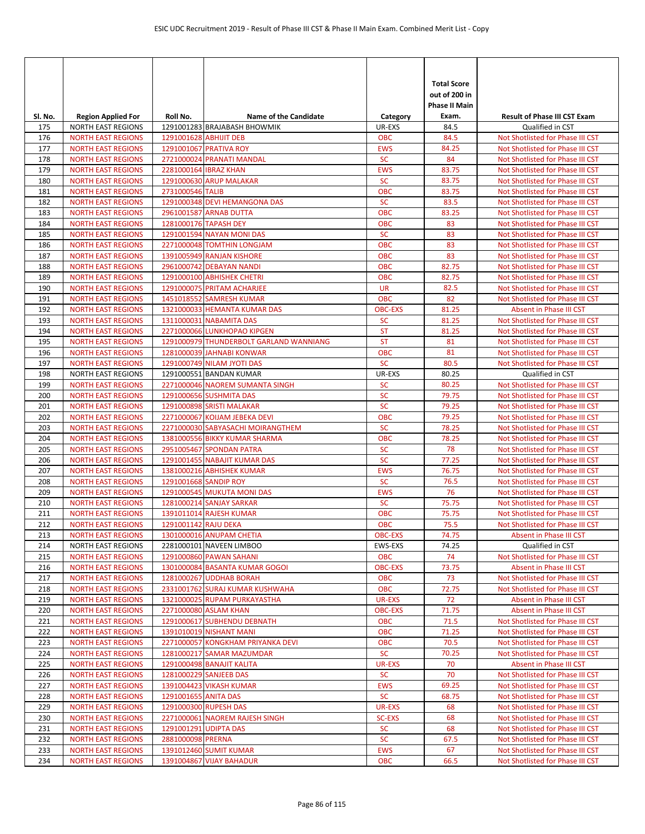| SI. No.    | <b>Region Applied For</b>                              | Roll No.               | <b>Name of the Candidate</b>                                 | Category                 | <b>Total Score</b><br>out of 200 in<br><b>Phase II Main</b><br>Exam. | <b>Result of Phase III CST Exam</b>                                  |
|------------|--------------------------------------------------------|------------------------|--------------------------------------------------------------|--------------------------|----------------------------------------------------------------------|----------------------------------------------------------------------|
| 175        | <b>NORTH EAST REGIONS</b>                              |                        | 1291001283 BRAJABASH BHOWMIK                                 | UR-EXS                   | 84.5                                                                 | Qualified in CST                                                     |
| 176        | <b>NORTH EAST REGIONS</b>                              | 1291001628 ABHIJIT DEB |                                                              | <b>OBC</b>               | 84.5                                                                 | Not Shotlisted for Phase III CST                                     |
| 177        | <b>NORTH EAST REGIONS</b>                              |                        | 1291001067 PRATIVA ROY                                       | <b>EWS</b>               | 84.25                                                                | Not Shotlisted for Phase III CST                                     |
| 178        | <b>NORTH EAST REGIONS</b>                              |                        | 2721000024 PRANATI MANDAL                                    | <b>SC</b>                | 84                                                                   | Not Shotlisted for Phase III CST                                     |
| 179        | <b>NORTH EAST REGIONS</b>                              | 2281000164 IBRAZ KHAN  |                                                              | <b>EWS</b>               | 83.75                                                                | Not Shotlisted for Phase III CST                                     |
| 180        | <b>NORTH EAST REGIONS</b>                              |                        | 1291000630 ARUP MALAKAR                                      | <b>SC</b>                | 83.75                                                                | Not Shotlisted for Phase III CST                                     |
| 181        | <b>NORTH EAST REGIONS</b>                              | 2731000546 TALIB       |                                                              | <b>OBC</b>               | 83.75                                                                | Not Shotlisted for Phase III CST                                     |
| 182        | <b>NORTH EAST REGIONS</b>                              |                        | 1291000348 DEVI HEMANGONA DAS                                | <b>SC</b>                | 83.5                                                                 | Not Shotlisted for Phase III CST                                     |
| 183<br>184 | <b>NORTH EAST REGIONS</b><br><b>NORTH EAST REGIONS</b> |                        | 2961001587 ARNAB DUTTA<br>1281000176 TAPASH DEY              | <b>OBC</b><br><b>OBC</b> | 83.25<br>83                                                          | Not Shotlisted for Phase III CST<br>Not Shotlisted for Phase III CST |
| 185        | <b>NORTH EAST REGIONS</b>                              |                        | 1291001594 NAYAN MONI DAS                                    | <b>SC</b>                | 83                                                                   | Not Shotlisted for Phase III CST                                     |
| 186        | <b>NORTH EAST REGIONS</b>                              |                        | 2271000048 TOMTHIN LONGJAM                                   | <b>OBC</b>               | 83                                                                   | Not Shotlisted for Phase III CST                                     |
| 187        | <b>NORTH EAST REGIONS</b>                              |                        | 1391005949 RANJAN KISHORE                                    | <b>OBC</b>               | 83                                                                   | Not Shotlisted for Phase III CST                                     |
| 188        | <b>NORTH EAST REGIONS</b>                              |                        | 2961000742 DEBAYAN NANDI                                     | <b>OBC</b>               | 82.75                                                                | Not Shotlisted for Phase III CST                                     |
| 189        | <b>NORTH EAST REGIONS</b>                              |                        | 1291000100 ABHISHEK CHETRI                                   | <b>OBC</b>               | 82.75                                                                | Not Shotlisted for Phase III CST                                     |
| 190        | <b>NORTH EAST REGIONS</b>                              |                        | 1291000075 PRITAM ACHARJEE                                   | <b>UR</b>                | 82.5                                                                 | Not Shotlisted for Phase III CST                                     |
| 191        | <b>NORTH EAST REGIONS</b>                              |                        | 1451018552 SAMRESH KUMAR                                     | <b>OBC</b>               | 82                                                                   | Not Shotlisted for Phase III CST                                     |
| 192        | <b>NORTH EAST REGIONS</b>                              |                        | 1321000033 HEMANTA KUMAR DAS                                 | <b>OBC-EXS</b>           | 81.25                                                                | Absent in Phase III CST                                              |
| 193        | <b>NORTH EAST REGIONS</b>                              |                        | 1311000031 NABAMITA DAS                                      | <b>SC</b>                | 81.25                                                                | Not Shotlisted for Phase III CST                                     |
| 194        | <b>NORTH EAST REGIONS</b>                              |                        | 2271000066 LUNKHOPAO KIPGEN                                  | <b>ST</b>                | 81.25                                                                | Not Shotlisted for Phase III CST                                     |
| 195        | <b>NORTH EAST REGIONS</b>                              |                        | 1291000979 THUNDERBOLT GARLAND WANNIANG                      | <b>ST</b>                | 81                                                                   | Not Shotlisted for Phase III CST                                     |
| 196        | <b>NORTH EAST REGIONS</b>                              |                        | 1281000039 JAHNABI KONWAR                                    | <b>OBC</b>               | 81                                                                   | Not Shotlisted for Phase III CST                                     |
| 197<br>198 | <b>NORTH EAST REGIONS</b><br><b>NORTH EAST REGIONS</b> |                        | 1291000749 NILAM JYOTI DAS<br>1291000551 BANDAN KUMAR        | <b>SC</b><br>UR-EXS      | 80.5<br>80.25                                                        | Not Shotlisted for Phase III CST<br>Qualified in CST                 |
| 199        | <b>NORTH EAST REGIONS</b>                              |                        | 2271000046 NAOREM SUMANTA SINGH                              | <b>SC</b>                | 80.25                                                                | Not Shotlisted for Phase III CST                                     |
| 200        | <b>NORTH EAST REGIONS</b>                              |                        | 1291000656 SUSHMITA DAS                                      | <b>SC</b>                | 79.75                                                                | Not Shotlisted for Phase III CST                                     |
| 201        | <b>NORTH EAST REGIONS</b>                              |                        | 1291000898 SRISTI MALAKAR                                    | <b>SC</b>                | 79.25                                                                | Not Shotlisted for Phase III CST                                     |
| 202        | <b>NORTH EAST REGIONS</b>                              |                        | 2271000067 KOIJAM JEBEKA DEVI                                | <b>OBC</b>               | 79.25                                                                | Not Shotlisted for Phase III CST                                     |
| 203        | <b>NORTH EAST REGIONS</b>                              |                        | 2271000030 SABYASACHI MOIRANGTHEM                            | <b>SC</b>                | 78.25                                                                | Not Shotlisted for Phase III CST                                     |
| 204        | <b>NORTH EAST REGIONS</b>                              |                        | 1381000556 BIKKY KUMAR SHARMA                                | <b>OBC</b>               | 78.25                                                                | Not Shotlisted for Phase III CST                                     |
| 205        | <b>NORTH EAST REGIONS</b>                              |                        | 2951005467 SPONDAN PATRA                                     | <b>SC</b>                | 78                                                                   | Not Shotlisted for Phase III CST                                     |
| 206        | <b>NORTH EAST REGIONS</b>                              |                        | 1291001455 NABAJIT KUMAR DAS                                 | <b>SC</b>                | 77.25                                                                | Not Shotlisted for Phase III CST                                     |
| 207        | <b>NORTH EAST REGIONS</b>                              |                        | 1381000216 ABHISHEK KUMAR                                    | <b>EWS</b>               | 76.75                                                                | Not Shotlisted for Phase III CST                                     |
| 208        | <b>NORTH EAST REGIONS</b>                              | 1291001668 SANDIP ROY  |                                                              | <b>SC</b>                | 76.5                                                                 | Not Shotlisted for Phase III CST                                     |
| 209        | <b>NORTH EAST REGIONS</b>                              |                        | 1291000545 MUKUTA MONI DAS                                   | <b>EWS</b>               | 76                                                                   | Not Shotlisted for Phase III CST                                     |
| 210<br>211 | <b>NORTH EAST REGIONS</b><br><b>NORTH EAST REGIONS</b> |                        | 1281000214 SANJAY SARKAR<br>1391011014 RAJESH KUMAR          | <b>SC</b><br><b>OBC</b>  | 75.75<br>75.75                                                       | Not Shotlisted for Phase III CST<br>Not Shotlisted for Phase III CST |
| 212        | <b>NORTH EAST REGIONS</b>                              | 1291001142 RAJU DEKA   |                                                              | <b>OBC</b>               | 75.5                                                                 | Not Shotlisted for Phase III CST                                     |
| 213        | <b>NORTH EAST REGIONS</b>                              |                        | 1301000016 ANUPAM CHETIA                                     | <b>OBC-EXS</b>           | 74.75                                                                | Absent in Phase III CST                                              |
| 214        | <b>NORTH EAST REGIONS</b>                              |                        | 2281000101 NAVEEN LIMBOO                                     | EWS-EXS                  | 74.25                                                                | Qualified in CST                                                     |
| 215        | <b>NORTH EAST REGIONS</b>                              |                        | 1291000860 PAWAN SAHANI                                      | <b>OBC</b>               | 74                                                                   | Not Shotlisted for Phase III CST                                     |
| 216        | <b>NORTH EAST REGIONS</b>                              |                        | 1301000084 BASANTA KUMAR GOGOI                               | <b>OBC-EXS</b>           | 73.75                                                                | Absent in Phase III CST                                              |
| 217        | <b>NORTH EAST REGIONS</b>                              |                        | 1281000267 UDDHAB BORAH                                      | <b>OBC</b>               | 73                                                                   | Not Shotlisted for Phase III CST                                     |
| 218        | <b>NORTH EAST REGIONS</b>                              |                        | 2331001762 SURAJ KUMAR KUSHWAHA                              | <b>OBC</b>               | 72.75                                                                | Not Shotlisted for Phase III CST                                     |
| 219        | <b>NORTH EAST REGIONS</b>                              |                        | 1321000025 RUPAM PURKAYASTHA                                 | UR-EXS                   | 72                                                                   | Absent in Phase III CST                                              |
| 220        | <b>NORTH EAST REGIONS</b>                              |                        | 2271000080 ASLAM KHAN                                        | <b>OBC-EXS</b>           | 71.75                                                                | Absent in Phase III CST                                              |
| 221        | <b>NORTH EAST REGIONS</b>                              |                        | 1291000617 SUBHENDU DEBNATH                                  | <b>OBC</b>               | 71.5                                                                 | Not Shotlisted for Phase III CST                                     |
| 222<br>223 | <b>NORTH EAST REGIONS</b><br><b>NORTH EAST REGIONS</b> |                        | 1391010019 NISHANT MANI<br>2271000057 KONGKHAM PRIYANKA DEVI | <b>OBC</b><br><b>OBC</b> | 71.25<br>70.5                                                        | Not Shotlisted for Phase III CST<br>Not Shotlisted for Phase III CST |
| 224        | <b>NORTH EAST REGIONS</b>                              |                        | 1281000217 SAMAR MAZUMDAR                                    | <b>SC</b>                | 70.25                                                                | Not Shotlisted for Phase III CST                                     |
| 225        | <b>NORTH EAST REGIONS</b>                              |                        | 1291000498 BANAJIT KALITA                                    | UR-EXS                   | 70                                                                   | Absent in Phase III CST                                              |
| 226        | <b>NORTH EAST REGIONS</b>                              |                        | 1281000229 SANJEEB DAS                                       | <b>SC</b>                | 70                                                                   | Not Shotlisted for Phase III CST                                     |
| 227        | <b>NORTH EAST REGIONS</b>                              |                        | 1391004423 VIKASH KUMAR                                      | <b>EWS</b>               | 69.25                                                                | Not Shotlisted for Phase III CST                                     |
| 228        | <b>NORTH EAST REGIONS</b>                              | 1291001655 ANITA DAS   |                                                              | <b>SC</b>                | 68.75                                                                | Not Shotlisted for Phase III CST                                     |
| 229        | <b>NORTH EAST REGIONS</b>                              |                        | 1291000300 RUPESH DAS                                        | UR-EXS                   | 68                                                                   | Not Shotlisted for Phase III CST                                     |
| 230        | <b>NORTH EAST REGIONS</b>                              |                        | 2271000061 NAOREM RAJESH SINGH                               | <b>SC-EXS</b>            | 68                                                                   | Not Shotlisted for Phase III CST                                     |
| 231        | <b>NORTH EAST REGIONS</b>                              | 1291001291 UDIPTA DAS  |                                                              | <b>SC</b>                | 68                                                                   | Not Shotlisted for Phase III CST                                     |
| 232        | <b>NORTH EAST REGIONS</b>                              | 2881000098 PRERNA      |                                                              | <b>SC</b>                | 67.5                                                                 | Not Shotlisted for Phase III CST                                     |
| 233        | <b>NORTH EAST REGIONS</b>                              |                        | 1391012460 SUMIT KUMAR                                       | <b>EWS</b>               | 67                                                                   | Not Shotlisted for Phase III CST                                     |
| 234        | <b>NORTH EAST REGIONS</b>                              |                        | 1391004867 VIJAY BAHADUR                                     | <b>OBC</b>               | 66.5                                                                 | Not Shotlisted for Phase III CST                                     |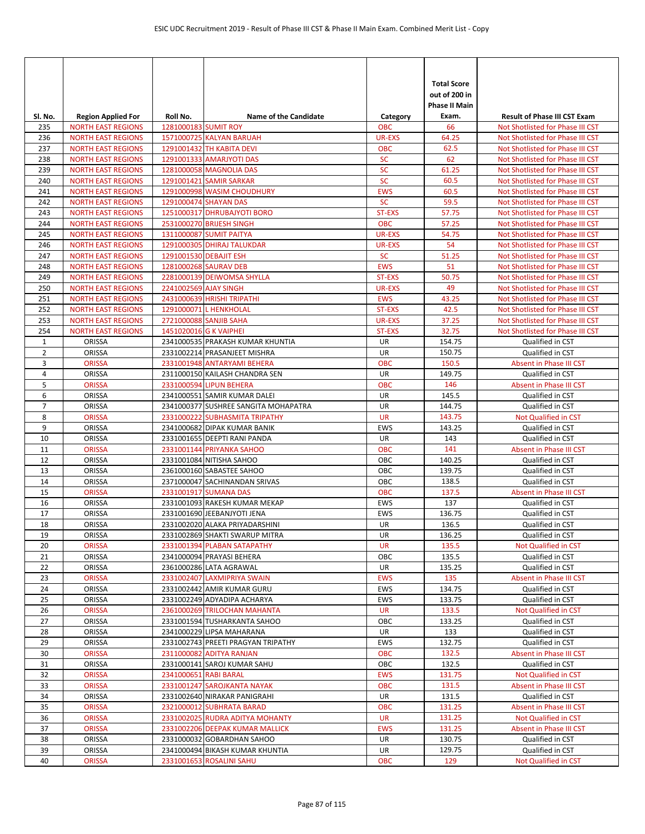| SI. No.        | <b>Region Applied For</b>                              | Roll No.               | <b>Name of the Candidate</b>                                  | Category                   | <b>Total Score</b><br>out of 200 in<br><b>Phase II Main</b><br>Exam. | <b>Result of Phase III CST Exam</b>                                  |
|----------------|--------------------------------------------------------|------------------------|---------------------------------------------------------------|----------------------------|----------------------------------------------------------------------|----------------------------------------------------------------------|
| 235            | <b>NORTH EAST REGIONS</b>                              | 1281000183 SUMIT ROY   |                                                               | <b>OBC</b>                 | 66                                                                   | Not Shotlisted for Phase III CST                                     |
| 236            | <b>NORTH EAST REGIONS</b>                              |                        | 1571000725 KALYAN BARUAH                                      | <b>UR-EXS</b>              | 64.25                                                                | Not Shotlisted for Phase III CST                                     |
| 237            | <b>NORTH EAST REGIONS</b>                              |                        | 1291001432 TH KABITA DEVI                                     | <b>OBC</b>                 | 62.5                                                                 | Not Shotlisted for Phase III CST                                     |
| 238            | <b>NORTH EAST REGIONS</b>                              |                        | 1291001333 AMARJYOTI DAS                                      | <b>SC</b>                  | 62                                                                   | Not Shotlisted for Phase III CST                                     |
| 239            | <b>NORTH EAST REGIONS</b>                              |                        | 1281000058 MAGNOLIA DAS                                       | <b>SC</b>                  | 61.25                                                                | Not Shotlisted for Phase III CST                                     |
| 240            | <b>NORTH EAST REGIONS</b>                              |                        | 1291001421 SAMIR SARKAR                                       | <b>SC</b>                  | 60.5                                                                 | Not Shotlisted for Phase III CST                                     |
| 241            | <b>NORTH EAST REGIONS</b>                              |                        | 1291000998 WASIM CHOUDHURY                                    | <b>EWS</b>                 | 60.5                                                                 | Not Shotlisted for Phase III CST                                     |
| 242            | <b>NORTH EAST REGIONS</b>                              |                        | 1291000474 SHAYAN DAS                                         | <b>SC</b>                  | 59.5                                                                 | Not Shotlisted for Phase III CST                                     |
| 243            | <b>NORTH EAST REGIONS</b>                              |                        | 1251000317 DHRUBAJYOTI BORO                                   | <b>ST-EXS</b>              | 57.75                                                                | Not Shotlisted for Phase III CST                                     |
| 244            | <b>NORTH EAST REGIONS</b>                              |                        | 2531000270 BRIJESH SINGH                                      | <b>OBC</b>                 | 57.25<br>54.75                                                       | Not Shotlisted for Phase III CST                                     |
| 245            | <b>NORTH EAST REGIONS</b>                              |                        | 1311000087 SUMIT PAITYA                                       | <b>UR-EXS</b>              | 54                                                                   | Not Shotlisted for Phase III CST<br>Not Shotlisted for Phase III CST |
| 246<br>247     | <b>NORTH EAST REGIONS</b><br><b>NORTH EAST REGIONS</b> |                        | 1291000305 DHIRAJ TALUKDAR<br>1291001530 DEBAJIT ESH          | <b>UR-EXS</b><br><b>SC</b> | 51.25                                                                | Not Shotlisted for Phase III CST                                     |
| 248            | <b>NORTH EAST REGIONS</b>                              |                        | 1281000268 SAURAV DEB                                         | <b>EWS</b>                 | 51                                                                   | Not Shotlisted for Phase III CST                                     |
| 249            | <b>NORTH EAST REGIONS</b>                              |                        | 2281000139 DEIWOMSA SHYLLA                                    | ST-EXS                     | 50.75                                                                | Not Shotlisted for Phase III CST                                     |
| 250            | <b>NORTH EAST REGIONS</b>                              | 2241002569 AJAY SINGH  |                                                               | <b>UR-EXS</b>              | 49                                                                   | Not Shotlisted for Phase III CST                                     |
| 251            | <b>NORTH EAST REGIONS</b>                              |                        | 2431000639 HRISHI TRIPATHI                                    | <b>EWS</b>                 | 43.25                                                                | Not Shotlisted for Phase III CST                                     |
| 252            | <b>NORTH EAST REGIONS</b>                              |                        | 1291000071 L HENKHOLAL                                        | ST-EXS                     | 42.5                                                                 | Not Shotlisted for Phase III CST                                     |
| 253            | <b>NORTH EAST REGIONS</b>                              |                        | 2721000088 SANJIB SAHA                                        | <b>UR-EXS</b>              | 37.25                                                                | Not Shotlisted for Phase III CST                                     |
| 254            | <b>NORTH EAST REGIONS</b>                              | 1451020016 G K VAIPHEI |                                                               | ST-EXS                     | 32.75                                                                | Not Shotlisted for Phase III CST                                     |
| $\mathbf{1}$   | ORISSA                                                 |                        | 2341000535 PRAKASH KUMAR KHUNTIA                              | UR                         | 154.75                                                               | Qualified in CST                                                     |
| $\overline{2}$ | ORISSA                                                 |                        | 2331002214 PRASANJEET MISHRA                                  | UR                         | 150.75                                                               | Qualified in CST                                                     |
| 3              | <b>ORISSA</b>                                          |                        | 2331001948 ANTARYAMI BEHERA                                   | <b>OBC</b>                 | 150.5                                                                | Absent in Phase III CST                                              |
| 4              | ORISSA                                                 |                        | 2311000150 KAILASH CHANDRA SEN                                | UR                         | 149.75                                                               | Qualified in CST                                                     |
| 5              | <b>ORISSA</b>                                          |                        | 2331000594 LIPUN BEHERA                                       | <b>OBC</b>                 | 146                                                                  | Absent in Phase III CST                                              |
| 6              | ORISSA                                                 |                        | 2341000551 SAMIR KUMAR DALEI                                  | UR                         | 145.5                                                                | Qualified in CST                                                     |
| 7              | ORISSA                                                 |                        | 2341000377 SUSHREE SANGITA MOHAPATRA                          | UR                         | 144.75                                                               | Qualified in CST                                                     |
| 8              | <b>ORISSA</b>                                          |                        | 2331000222 SUBHASMITA TRIPATHY                                | <b>UR</b>                  | 143.75                                                               | Not Qualified in CST                                                 |
| 9              | ORISSA                                                 |                        | 2341000682 DIPAK KUMAR BANIK                                  | EWS                        | 143.25                                                               | Qualified in CST                                                     |
| 10             | ORISSA                                                 |                        | 2331001655 DEEPTI RANI PANDA                                  | UR                         | 143                                                                  | Qualified in CST                                                     |
| 11             | <b>ORISSA</b>                                          |                        | 2331001144 PRIYANKA SAHOO                                     | <b>OBC</b>                 | 141                                                                  | Absent in Phase III CST                                              |
| 12             | ORISSA                                                 |                        | 2331001084 NITISHA SAHOO                                      | OBC                        | 140.25                                                               | Qualified in CST                                                     |
| 13             | ORISSA                                                 |                        | 2361000160 SABASTEE SAHOO                                     | OBC                        | 139.75                                                               | Qualified in CST                                                     |
| 14             | ORISSA                                                 |                        | 2371000047 SACHINANDAN SRIVAS                                 | OBC                        | 138.5                                                                | Qualified in CST                                                     |
| 15             | <b>ORISSA</b>                                          |                        | 2331001917 SUMANA DAS                                         | <b>OBC</b>                 | 137.5                                                                | Absent in Phase III CST                                              |
| 16             | ORISSA                                                 |                        | 2331001093 RAKESH KUMAR MEKAP                                 | EWS                        | 137                                                                  | Qualified in CST                                                     |
| 17             | ORISSA                                                 |                        | 2331001690 JEEBANJYOTI JENA                                   | EWS                        | 136.75                                                               | Qualified in CST                                                     |
| 18             | ORISSA                                                 |                        | 2331002020 ALAKA PRIYADARSHINI                                | <b>UR</b>                  | 136.5                                                                | Qualified in CST                                                     |
| 19             | ORISSA                                                 |                        | 2331002869 SHAKTI SWARUP MITRA                                | UR                         | 136.25                                                               | Qualified in CST                                                     |
| 20             | <b>ORISSA</b>                                          |                        | 2331001394 PLABAN SATAPATHY                                   | <b>UR</b>                  | 135.5                                                                | Not Qualified in CST                                                 |
| 21             | ORISSA                                                 |                        | 2341000094 PRAYASI BEHERA                                     | OBC                        | 135.5                                                                | Qualified in CST                                                     |
| 22             | ORISSA                                                 |                        | 2361000286 LATA AGRAWAL                                       | UR                         | 135.25                                                               | Qualified in CST                                                     |
| 23             | <b>ORISSA</b>                                          |                        | 2331002407 LAXMIPRIYA SWAIN                                   | <b>EWS</b>                 | 135                                                                  | Absent in Phase III CST                                              |
| 24             | ORISSA                                                 |                        | 2331002442 AMIR KUMAR GURU                                    | EWS                        | 134.75                                                               | Qualified in CST                                                     |
| 25             | ORISSA                                                 |                        | 2331002249 ADYADIPA ACHARYA                                   | EWS                        | 133.75                                                               | Qualified in CST                                                     |
| 26             | <b>ORISSA</b>                                          |                        | 2361000269 TRILOCHAN MAHANTA                                  | <b>UR</b>                  | 133.5                                                                | Not Qualified in CST                                                 |
| 27             | ORISSA                                                 |                        | 2331001594 TUSHARKANTA SAHOO                                  | OBC                        | 133.25                                                               | Qualified in CST                                                     |
| 28             | ORISSA                                                 |                        | 2341000229 LIPSA MAHARANA                                     | UR                         | 133                                                                  | Qualified in CST                                                     |
| 29             | ORISSA                                                 |                        | 2331002743 PREETI PRAGYAN TRIPATHY                            | <b>EWS</b>                 | 132.75                                                               | Qualified in CST                                                     |
| 30             | <b>ORISSA</b>                                          |                        | 2311000082 ADITYA RANJAN                                      | <b>OBC</b>                 | 132.5                                                                | Absent in Phase III CST                                              |
| 31             | ORISSA                                                 |                        | 2331000141 SAROJ KUMAR SAHU                                   | OBC                        | 132.5                                                                | Qualified in CST                                                     |
| 32             | <b>ORISSA</b>                                          | 2341000651 RABI BARAL  |                                                               | <b>EWS</b>                 | 131.75                                                               | Not Qualified in CST                                                 |
| 33             | <b>ORISSA</b>                                          |                        | 2331001247 SAROJKANTA NAYAK                                   | <b>OBC</b>                 | 131.5                                                                | Absent in Phase III CST                                              |
| 34             | ORISSA                                                 |                        | 2331002640 NIRAKAR PANIGRAHI                                  | UR                         | 131.5                                                                | Qualified in CST                                                     |
| 35             | <b>ORISSA</b>                                          |                        | 2321000012 SUBHRATA BARAD                                     | <b>OBC</b>                 | 131.25                                                               | Absent in Phase III CST                                              |
| 36             | <b>ORISSA</b>                                          |                        | 2331002025 RUDRA ADITYA MOHANTY                               | <b>UR</b>                  | 131.25                                                               | Not Qualified in CST                                                 |
| 37<br>38       | <b>ORISSA</b>                                          |                        | 2331002206 DEEPAK KUMAR MALLICK<br>2331000032 GOBARDHAN SAHOO | <b>EWS</b><br>UR           | 131.25<br>130.75                                                     | Absent in Phase III CST<br>Qualified in CST                          |
| 39             | ORISSA<br>ORISSA                                       |                        | 2341000494 BIKASH KUMAR KHUNTIA                               | UR                         | 129.75                                                               | Qualified in CST                                                     |
| 40             | <b>ORISSA</b>                                          |                        | 2331001653 ROSALINI SAHU                                      | <b>OBC</b>                 | 129                                                                  | Not Qualified in CST                                                 |
|                |                                                        |                        |                                                               |                            |                                                                      |                                                                      |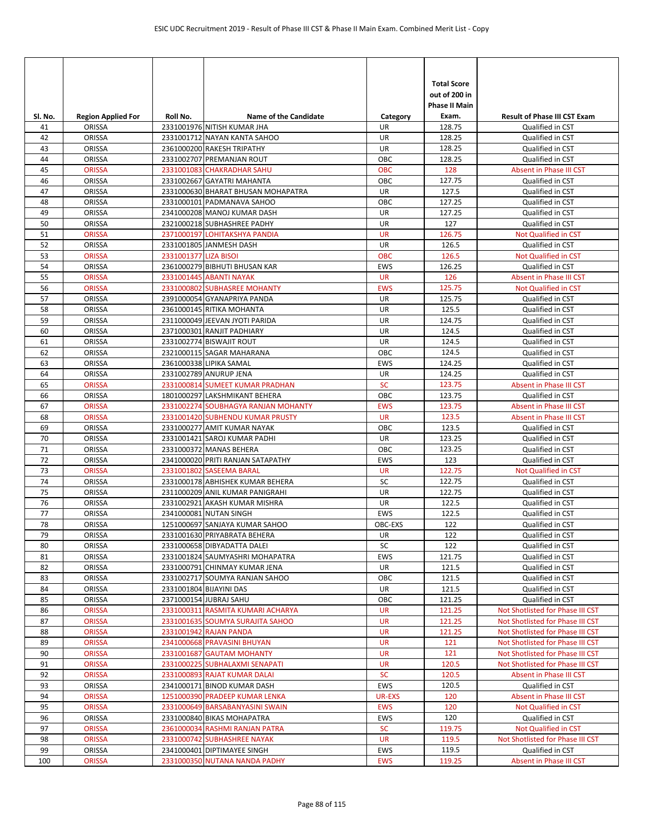| SI. No.  | <b>Region Applied For</b> | Roll No.              | <b>Name of the Candidate</b>                                 | Category                 | <b>Total Score</b><br>out of 200 in<br><b>Phase II Main</b><br>Exam. | <b>Result of Phase III CST Exam</b>         |
|----------|---------------------------|-----------------------|--------------------------------------------------------------|--------------------------|----------------------------------------------------------------------|---------------------------------------------|
| 41       | ORISSA                    |                       | 2331001976 NITISH KUMAR JHA                                  | <b>UR</b>                | 128.75                                                               | Qualified in CST                            |
| 42       | ORISSA                    |                       | 2331001712 NAYAN KANTA SAHOO                                 | UR                       | 128.25                                                               | Qualified in CST                            |
| 43       | ORISSA                    |                       | 2361000200 RAKESH TRIPATHY                                   | UR                       | 128.25                                                               | Qualified in CST                            |
| 44       | ORISSA                    |                       | 2331002707 PREMANJAN ROUT                                    | ОВС                      | 128.25                                                               | Qualified in CST                            |
| 45       | <b>ORISSA</b>             |                       | 2331001083 CHAKRADHAR SAHU                                   | <b>OBC</b>               | 128                                                                  | Absent in Phase III CST                     |
| 46       | ORISSA                    |                       | 2331002667 GAYATRI MAHANTA                                   | OBC                      | 127.75                                                               | Qualified in CST                            |
| 47       | ORISSA                    |                       | 2331000630 BHARAT BHUSAN MOHAPATRA                           | UR                       | 127.5                                                                | Qualified in CST                            |
| 48       | ORISSA                    |                       | 2331000101 PADMANAVA SAHOO                                   | OBC                      | 127.25                                                               | Qualified in CST                            |
| 49       | ORISSA                    |                       | 2341000208 MANOJ KUMAR DASH                                  | <b>UR</b>                | 127.25                                                               | Qualified in CST                            |
| 50       | <b>ORISSA</b>             |                       | 2321000218 SUBHASHREE PADHY                                  | <b>UR</b>                | 127                                                                  | Qualified in CST                            |
| 51       | <b>ORISSA</b>             |                       | 2371000197 LOHITAKSHYA PANDIA                                | <b>UR</b>                | 126.75                                                               | Not Qualified in CST                        |
| 52<br>53 | ORISSA                    |                       | 2331001805 JANMESH DASH                                      | UR                       | 126.5                                                                | Qualified in CST                            |
| 54       | <b>ORISSA</b><br>ORISSA   | 2331001377 LIZA BISOI | 2361000279 BIBHUTI BHUSAN KAR                                | <b>OBC</b><br><b>EWS</b> | 126.5<br>126.25                                                      | Not Qualified in CST<br>Qualified in CST    |
| 55       | <b>ORISSA</b>             |                       | 2331001445 ABANTI NAYAK                                      | <b>UR</b>                | 126                                                                  | Absent in Phase III CST                     |
| 56       | <b>ORISSA</b>             |                       | 2331000802 SUBHASREE MOHANTY                                 | <b>EWS</b>               | 125.75                                                               | Not Qualified in CST                        |
| 57       | ORISSA                    |                       | 2391000054 GYANAPRIYA PANDA                                  | UR                       | 125.75                                                               | Qualified in CST                            |
| 58       | ORISSA                    |                       | 2361000145 RITIKA MOHANTA                                    | UR                       | 125.5                                                                | Qualified in CST                            |
| 59       | ORISSA                    |                       | 2311000049 JEEVAN JYOTI PARIDA                               | <b>UR</b>                | 124.75                                                               | Qualified in CST                            |
| 60       | ORISSA                    |                       | 2371000301 RANJIT PADHIARY                                   | UR                       | 124.5                                                                | Qualified in CST                            |
| 61       | ORISSA                    |                       | 2331002774 BISWAJIT ROUT                                     | UR                       | 124.5                                                                | Qualified in CST                            |
| 62       | ORISSA                    |                       | 2321000115 SAGAR MAHARANA                                    | OBC                      | 124.5                                                                | Qualified in CST                            |
| 63       | ORISSA                    |                       | 2361000338 LIPIKA SAMAL                                      | <b>EWS</b>               | 124.25                                                               | Qualified in CST                            |
| 64       | ORISSA                    |                       | 2331002789 ANURUP JENA                                       | UR                       | 124.25                                                               | Qualified in CST                            |
| 65       | <b>ORISSA</b>             |                       | 2331000814 SUMEET KUMAR PRADHAN                              | <b>SC</b>                | 123.75                                                               | Absent in Phase III CST                     |
| 66       | ORISSA                    |                       | 1801000297 LAKSHMIKANT BEHERA                                | OBC                      | 123.75                                                               | Qualified in CST                            |
| 67       | <b>ORISSA</b>             |                       | 2331002274 SOUBHAGYA RANJAN MOHANTY                          | <b>EWS</b>               | 123.75                                                               | Absent in Phase III CST                     |
| 68       | <b>ORISSA</b>             |                       | 2331001420 SUBHENDU KUMAR PRUSTY                             | <b>UR</b>                | 123.5                                                                | Absent in Phase III CST                     |
| 69       | ORISSA                    |                       | 2331000277 AMIT KUMAR NAYAK                                  | OBC                      | 123.5                                                                | Qualified in CST                            |
| 70       | ORISSA                    |                       | 2331001421 SAROJ KUMAR PADHI                                 | UR                       | 123.25                                                               | Qualified in CST                            |
| 71       | ORISSA                    |                       | 2331000372 MANAS BEHERA                                      | OBC                      | 123.25                                                               | Qualified in CST                            |
| 72       | ORISSA                    |                       | 2341000020 PRITI RANJAN SATAPATHY                            | <b>EWS</b>               | 123                                                                  | Qualified in CST                            |
| 73       | <b>ORISSA</b>             |                       | 2331001802 SASEEMA BARAL                                     | <b>UR</b>                | 122.75                                                               | Not Qualified in CST                        |
| 74       | ORISSA                    |                       | 2331000178 ABHISHEK KUMAR BEHERA                             | SC                       | 122.75                                                               | Qualified in CST                            |
| 75       | ORISSA                    |                       | 2311000209 ANIL KUMAR PANIGRAHI                              | UR                       | 122.75                                                               | Qualified in CST                            |
| 76       | ORISSA                    |                       | 2331002921 AKASH KUMAR MISHRA                                | <b>UR</b>                | 122.5                                                                | Qualified in CST                            |
| 77<br>78 | ORISSA<br><b>ORISSA</b>   |                       | 2341000081 NUTAN SINGH<br>1251000697 SANJAYA KUMAR SAHOO     | <b>EWS</b><br>OBC-EXS    | 122.5<br>122                                                         | Qualified in CST<br>Qualified in CST        |
| 79       | ORISSA                    |                       | 2331001630 PRIYABRATA BEHERA                                 | UR                       | 122                                                                  | Qualified in CST                            |
| 80       | ORISSA                    |                       | 2331000658 DIBYADATTA DALEI                                  | SC                       | 122                                                                  | Qualified in CST                            |
| 81       | ORISSA                    |                       | 2331001824 SAUMYASHRI MOHAPATRA                              | EWS                      | 121.75                                                               | Qualified in CST                            |
| 82       | ORISSA                    |                       | 2331000791 CHINMAY KUMAR JENA                                | UR                       | 121.5                                                                | Qualified in CST                            |
| 83       | ORISSA                    |                       | 2331002717 SOUMYA RANJAN SAHOO                               | OBC                      | 121.5                                                                | Qualified in CST                            |
| 84       | ORISSA                    |                       | 2331001804 BIJAYINI DAS                                      | UR                       | 121.5                                                                | Qualified in CST                            |
| 85       | ORISSA                    |                       | 2371000154 JUBRAJ SAHU                                       | ОВС                      | 121.25                                                               | Qualified in CST                            |
| 86       | <b>ORISSA</b>             |                       | 2331000311 RASMITA KUMARI ACHARYA                            | <b>UR</b>                | 121.25                                                               | Not Shotlisted for Phase III CST            |
| 87       | <b>ORISSA</b>             |                       | 2331001635 SOUMYA SURAJITA SAHOO                             | UR                       | 121.25                                                               | Not Shotlisted for Phase III CST            |
| 88       | <b>ORISSA</b>             |                       | 2331001942 RAJAN PANDA                                       | <b>UR</b>                | 121.25                                                               | Not Shotlisted for Phase III CST            |
| 89       | <b>ORISSA</b>             |                       | 2341000668 PRAVASINI BHUYAN                                  | <b>UR</b>                | 121                                                                  | Not Shotlisted for Phase III CST            |
| 90       | <b>ORISSA</b>             |                       | 2331001687 GAUTAM MOHANTY                                    | <b>UR</b>                | 121                                                                  | Not Shotlisted for Phase III CST            |
| 91       | <b>ORISSA</b>             |                       | 2331000225 SUBHALAXMI SENAPATI                               | <b>UR</b>                | 120.5                                                                | Not Shotlisted for Phase III CST            |
| 92       | <b>ORISSA</b>             |                       | 2331000893 RAJAT KUMAR DALAI                                 | <b>SC</b>                | 120.5                                                                | Absent in Phase III CST                     |
| 93       | ORISSA                    |                       | 2341000171 BINOD KUMAR DASH                                  | EWS                      | 120.5                                                                | Qualified in CST                            |
| 94       | <b>ORISSA</b>             |                       | 1251000390 PRADEEP KUMAR LENKA                               | UR-EXS                   | 120                                                                  | Absent in Phase III CST                     |
| 95       | <b>ORISSA</b>             |                       | 2331000649 BARSABANYASINI SWAIN                              | <b>EWS</b>               | 120                                                                  | Not Qualified in CST                        |
| 96       | ORISSA                    |                       | 2331000840 BIKAS MOHAPATRA                                   | <b>EWS</b>               | 120                                                                  | Qualified in CST                            |
| 97       | <b>ORISSA</b>             |                       | 2361000034 RASHMI RANJAN PATRA                               | <b>SC</b>                | 119.75                                                               | Not Qualified in CST                        |
| 98<br>99 | <b>ORISSA</b>             |                       | 2331000742 SUBHASHREE NAYAK                                  | <b>UR</b>                | 119.5<br>119.5                                                       | Not Shotlisted for Phase III CST            |
| 100      | ORISSA<br><b>ORISSA</b>   |                       | 2341000401 DIPTIMAYEE SINGH<br>2331000350 NUTANA NANDA PADHY | EWS<br><b>EWS</b>        | 119.25                                                               | Qualified in CST<br>Absent in Phase III CST |
|          |                           |                       |                                                              |                          |                                                                      |                                             |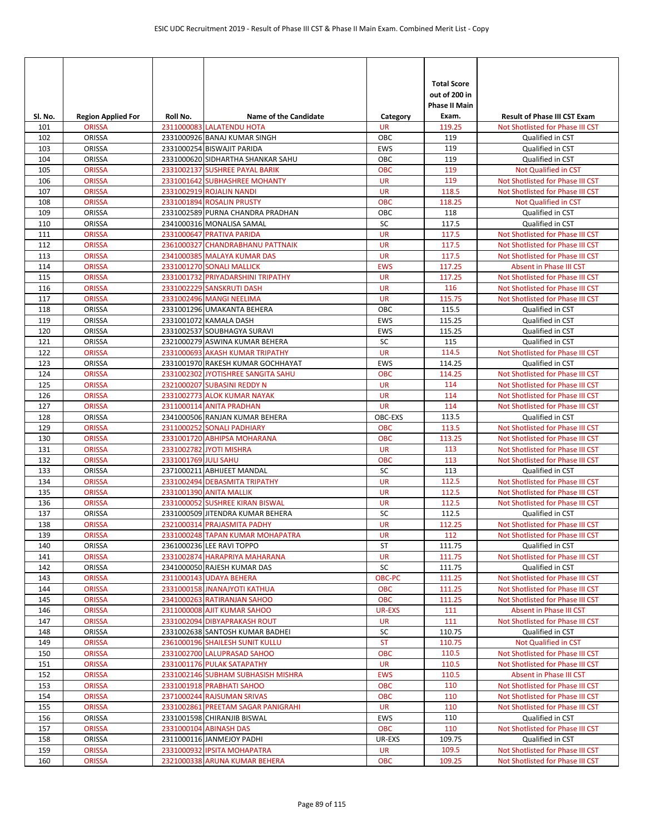| SI. No.    | <b>Region Applied For</b>      | Roll No.             | <b>Name of the Candidate</b>                                    | Category                | <b>Total Score</b><br>out of 200 in<br><b>Phase II Main</b><br>Exam. | <b>Result of Phase III CST Exam</b>                                  |
|------------|--------------------------------|----------------------|-----------------------------------------------------------------|-------------------------|----------------------------------------------------------------------|----------------------------------------------------------------------|
| 101        | <b>ORISSA</b>                  |                      | 2311000083 LALATENDU HOTA                                       | <b>UR</b>               | 119.25                                                               | Not Shotlisted for Phase III CST                                     |
| 102        | ORISSA                         |                      | 2331000926 BANAJ KUMAR SINGH                                    | OBC                     | 119                                                                  | Qualified in CST                                                     |
| 103        | ORISSA                         |                      | 2331000254 BISWAJIT PARIDA                                      | <b>EWS</b>              | 119                                                                  | Qualified in CST                                                     |
| 104        | ORISSA                         |                      | 2331000620 SIDHARTHA SHANKAR SAHU                               | OBC                     | 119                                                                  | Qualified in CST                                                     |
| 105        | <b>ORISSA</b>                  |                      | 2331002137 SUSHREE PAYAL BARIK                                  | <b>OBC</b>              | 119                                                                  | <b>Not Qualified in CST</b>                                          |
| 106        | <b>ORISSA</b>                  |                      | 2331001642 SUBHASHREE MOHANTY                                   | <b>UR</b>               | 119                                                                  | Not Shotlisted for Phase III CST                                     |
| 107        | <b>ORISSA</b>                  |                      | 2331002919 ROJALIN NANDI                                        | <b>UR</b>               | 118.5                                                                | Not Shotlisted for Phase III CST                                     |
| 108        | <b>ORISSA</b>                  |                      | 2331001894 ROSALIN PRUSTY                                       | <b>OBC</b>              | 118.25                                                               | Not Qualified in CST                                                 |
| 109        | ORISSA                         |                      | 2331002589 PURNA CHANDRA PRADHAN                                | OBC                     | 118                                                                  | Qualified in CST                                                     |
| 110        | <b>ORISSA</b>                  |                      | 2341000316 MONALISA SAMAL                                       | SC                      | 117.5                                                                | Qualified in CST                                                     |
| 111        | <b>ORISSA</b>                  |                      | 2331000647 PRATIVA PARIDA                                       | <b>UR</b>               | 117.5                                                                | Not Shotlisted for Phase III CST                                     |
| 112        | <b>ORISSA</b>                  |                      | 2361000327 CHANDRABHANU PATTNAIK                                | <b>UR</b>               | 117.5                                                                | Not Shotlisted for Phase III CST                                     |
| 113        | <b>ORISSA</b>                  |                      | 2341000385 MALAYA KUMAR DAS                                     | <b>UR</b>               | 117.5                                                                | Not Shotlisted for Phase III CST<br><b>Absent in Phase III CST</b>   |
| 114<br>115 | <b>ORISSA</b><br><b>ORISSA</b> |                      | 2331001270 SONALI MALLICK<br>2331001732 PRIYADARSHINI TRIPATHY  | <b>EWS</b><br><b>UR</b> | 117.25<br>117.25                                                     | Not Shotlisted for Phase III CST                                     |
| 116        | <b>ORISSA</b>                  |                      | 2331002229 SANSKRUTI DASH                                       | <b>UR</b>               | 116                                                                  | Not Shotlisted for Phase III CST                                     |
| 117        | <b>ORISSA</b>                  |                      | 2331002496 MANGI NEELIMA                                        | <b>UR</b>               | 115.75                                                               | Not Shotlisted for Phase III CST                                     |
| 118        | ORISSA                         |                      | 2331001296 UMAKANTA BEHERA                                      | OBC                     | 115.5                                                                | Qualified in CST                                                     |
| 119        | ORISSA                         |                      | 2331001072 KAMALA DASH                                          | <b>EWS</b>              | 115.25                                                               | Qualified in CST                                                     |
| 120        | ORISSA                         |                      | 2331002537 SOUBHAGYA SURAVI                                     | <b>EWS</b>              | 115.25                                                               | Qualified in CST                                                     |
| 121        | ORISSA                         |                      | 2321000279 ASWINA KUMAR BEHERA                                  | SC                      | 115                                                                  | Qualified in CST                                                     |
| 122        | <b>ORISSA</b>                  |                      | 2331000693 AKASH KUMAR TRIPATHY                                 | <b>UR</b>               | 114.5                                                                | Not Shotlisted for Phase III CST                                     |
| 123        | ORISSA                         |                      | 2331001970 RAKESH KUMAR GOCHHAYAT                               | <b>EWS</b>              | 114.25                                                               | Qualified in CST                                                     |
| 124        | <b>ORISSA</b>                  |                      | 2331002302 JYOTISHREE SANGITA SAHU                              | <b>OBC</b>              | 114.25                                                               | Not Shotlisted for Phase III CST                                     |
| 125        | <b>ORISSA</b>                  |                      | 2321000207 SUBASINI REDDY N                                     | <b>UR</b>               | 114                                                                  | Not Shotlisted for Phase III CST                                     |
| 126        | <b>ORISSA</b>                  |                      | 2331002773 ALOK KUMAR NAYAK                                     | <b>UR</b>               | 114                                                                  | Not Shotlisted for Phase III CST                                     |
| 127        | <b>ORISSA</b>                  |                      | 2311000114 ANITA PRADHAN                                        | <b>UR</b>               | 114                                                                  | Not Shotlisted for Phase III CST                                     |
| 128        | ORISSA                         |                      | 2341000506 RANJAN KUMAR BEHERA                                  | OBC-EXS                 | 113.5                                                                | Qualified in CST                                                     |
| 129        | <b>ORISSA</b>                  |                      | 2311000252 SONALI PADHIARY                                      | <b>OBC</b>              | 113.5                                                                | Not Shotlisted for Phase III CST                                     |
| 130        | <b>ORISSA</b>                  |                      | 2331001720 ABHIPSA MOHARANA                                     | <b>OBC</b>              | 113.25                                                               | Not Shotlisted for Phase III CST                                     |
| 131        | <b>ORISSA</b>                  |                      | 2331002782 JYOTI MISHRA                                         | <b>UR</b>               | 113                                                                  | Not Shotlisted for Phase III CST                                     |
| 132        | <b>ORISSA</b>                  | 2331001769 JULI SAHU |                                                                 | <b>OBC</b>              | 113                                                                  | Not Shotlisted for Phase III CST                                     |
| 133        | ORISSA                         |                      | 2371000211 ABHIJEET MANDAL                                      | SC                      | 113                                                                  | Qualified in CST                                                     |
| 134        | <b>ORISSA</b>                  |                      | 2331002494 DEBASMITA TRIPATHY                                   | <b>UR</b>               | 112.5                                                                | Not Shotlisted for Phase III CST                                     |
| 135        | <b>ORISSA</b>                  |                      | 2331001390 ANITA MALLIK                                         | <b>UR</b>               | 112.5                                                                | Not Shotlisted for Phase III CST                                     |
| 136        | <b>ORISSA</b>                  |                      | 2331000052 SUSHREE KIRAN BISWAL                                 | <b>UR</b>               | 112.5                                                                | Not Shotlisted for Phase III CST                                     |
| 137        | ORISSA                         |                      | 2331000509 JITENDRA KUMAR BEHERA<br>2321000314 PRAJASMITA PADHY | SC<br><b>UR</b>         | 112.5                                                                | Qualified in CST                                                     |
| 138        | <b>ORISSA</b>                  |                      | 2331000248 TAPAN KUMAR MOHAPATRA                                | <b>UR</b>               | 112.25<br>112                                                        | Not Shotlisted for Phase III CST<br>Not Shotlisted for Phase III CST |
| 139<br>140 | <b>ORISSA</b><br>ORISSA        |                      | 2361000236 LEE RAVI TOPPO                                       | <b>ST</b>               | 111.75                                                               | Qualified in CST                                                     |
| 141        | <b>ORISSA</b>                  |                      | 2331002874 HARAPRIYA MAHARANA                                   | <b>UR</b>               | 111.75                                                               | Not Shotlisted for Phase III CST                                     |
| 142        | ORISSA                         |                      | 2341000050 RAJESH KUMAR DAS                                     | SC                      | 111.75                                                               | Qualified in CST                                                     |
| 143        | <b>ORISSA</b>                  |                      | 2311000143 UDAYA BEHERA                                         | OBC-PC                  | 111.25                                                               | Not Shotlisted for Phase III CST                                     |
| 144        | <b>ORISSA</b>                  |                      | 2331000158 JNANAJYOTI KATHUA                                    | <b>OBC</b>              | 111.25                                                               | Not Shotlisted for Phase III CST                                     |
| 145        | <b>ORISSA</b>                  |                      | 2341000263 RATIRANJAN SAHOO                                     | <b>OBC</b>              | 111.25                                                               | Not Shotlisted for Phase III CST                                     |
| 146        | <b>ORISSA</b>                  |                      | 2311000008 AJIT KUMAR SAHOO                                     | <b>UR-EXS</b>           | 111                                                                  | <b>Absent in Phase III CST</b>                                       |
| 147        | <b>ORISSA</b>                  |                      | 2331002094 DIBYAPRAKASH ROUT                                    | <b>UR</b>               | 111                                                                  | Not Shotlisted for Phase III CST                                     |
| 148        | ORISSA                         |                      | 2331002638 SANTOSH KUMAR BADHEI                                 | SC                      | 110.75                                                               | Qualified in CST                                                     |
| 149        | <b>ORISSA</b>                  |                      | 2361000196 SHAILESH SUNIT KULLU                                 | <b>ST</b>               | 110.75                                                               | Not Qualified in CST                                                 |
| 150        | <b>ORISSA</b>                  |                      | 2331002700 LALUPRASAD SAHOO                                     | OBC                     | 110.5                                                                | Not Shotlisted for Phase III CST                                     |
| 151        | <b>ORISSA</b>                  |                      | 2331001176 PULAK SATAPATHY                                      | <b>UR</b>               | 110.5                                                                | Not Shotlisted for Phase III CST                                     |
| 152        | <b>ORISSA</b>                  |                      | 2331002146 SUBHAM SUBHASISH MISHRA                              | <b>EWS</b>              | 110.5                                                                | Absent in Phase III CST                                              |
| 153        | <b>ORISSA</b>                  |                      | 2331001918 PRABHATI SAHOO                                       | <b>OBC</b>              | 110                                                                  | Not Shotlisted for Phase III CST                                     |
| 154        | <b>ORISSA</b>                  |                      | 2371000244 RAJSUMAN SRIVAS                                      | <b>OBC</b>              | 110                                                                  | Not Shotlisted for Phase III CST                                     |
| 155        | <b>ORISSA</b>                  |                      | 2331002861 PREETAM SAGAR PANIGRAHI                              | UR                      | 110                                                                  | Not Shotlisted for Phase III CST                                     |
| 156        | ORISSA                         |                      | 2331001598 CHIRANJIB BISWAL                                     | <b>EWS</b>              | 110                                                                  | Qualified in CST                                                     |
| 157        | <b>ORISSA</b>                  |                      | 2331000104 ABINASH DAS                                          | <b>OBC</b>              | 110                                                                  | Not Shotlisted for Phase III CST                                     |
| 158        | ORISSA                         |                      | 2311000116 JANMEJOY PADHI                                       | UR-EXS                  | 109.75                                                               | Qualified in CST                                                     |
| 159        | <b>ORISSA</b>                  |                      | 2331000932 IPSITA MOHAPATRA                                     | UR                      | 109.5                                                                | Not Shotlisted for Phase III CST                                     |
| 160        | <b>ORISSA</b>                  |                      | 2321000338 ARUNA KUMAR BEHERA                                   | <b>OBC</b>              | 109.25                                                               | Not Shotlisted for Phase III CST                                     |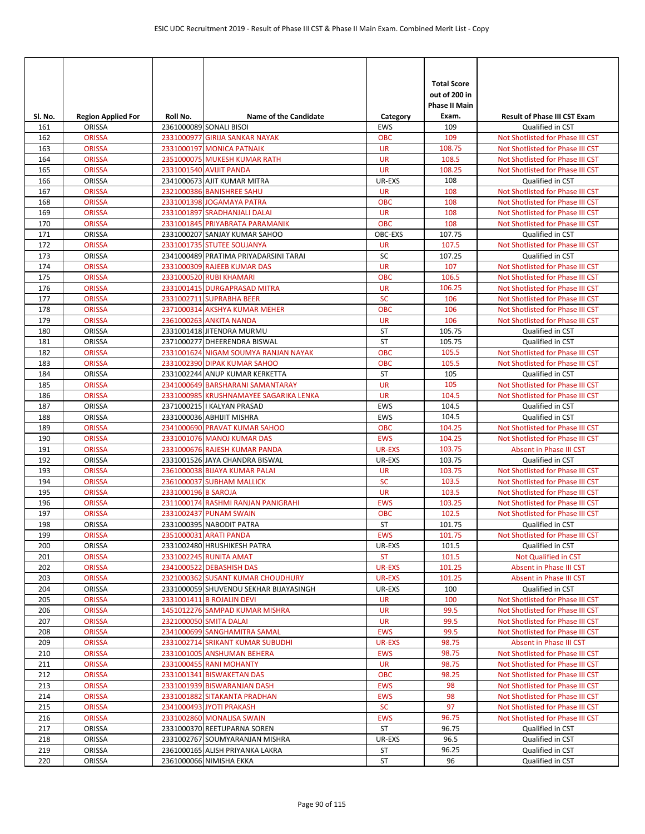| SI. No.    | <b>Region Applied For</b>      | Roll No.            | <b>Name of the Candidate</b>                                   | Category                | <b>Total Score</b><br>out of 200 in<br><b>Phase II Main</b><br>Exam. | <b>Result of Phase III CST Exam</b>                  |
|------------|--------------------------------|---------------------|----------------------------------------------------------------|-------------------------|----------------------------------------------------------------------|------------------------------------------------------|
| 161        | <b>ORISSA</b>                  |                     | 2361000089 SONALI BISOI                                        | EWS                     | 109                                                                  | Qualified in CST                                     |
| 162        | <b>ORISSA</b>                  |                     | 2331000977 GIRIJA SANKAR NAYAK                                 | OBC                     | 109                                                                  | Not Shotlisted for Phase III CST                     |
| 163        | <b>ORISSA</b>                  |                     | 2331000197 MONICA PATNAIK                                      | <b>UR</b>               | 108.75                                                               | Not Shotlisted for Phase III CST                     |
| 164        | <b>ORISSA</b>                  |                     | 2351000075 MUKESH KUMAR RATH                                   | <b>UR</b>               | 108.5                                                                | Not Shotlisted for Phase III CST                     |
| 165        | <b>ORISSA</b>                  |                     | 2331001540 AVIJIT PANDA                                        | <b>UR</b>               | 108.25                                                               | Not Shotlisted for Phase III CST                     |
| 166        | <b>ORISSA</b>                  |                     | 2341000673 AJIT KUMAR MITRA                                    | UR-EXS                  | 108                                                                  | Qualified in CST                                     |
| 167        | <b>ORISSA</b>                  |                     | 2321000386 BANISHREE SAHU                                      | <b>UR</b>               | 108                                                                  | Not Shotlisted for Phase III CST                     |
| 168        | <b>ORISSA</b>                  |                     | 2331001398 JOGAMAYA PATRA                                      | <b>OBC</b>              | 108                                                                  | Not Shotlisted for Phase III CST                     |
| 169        | <b>ORISSA</b>                  |                     | 2331001897 SRADHANJALI DALAI                                   | <b>UR</b>               | 108                                                                  | Not Shotlisted for Phase III CST                     |
| 170        | <b>ORISSA</b>                  |                     | 2331001845 PRIYABRATA PARAMANIK                                | <b>OBC</b>              | 108                                                                  | Not Shotlisted for Phase III CST                     |
| 171        | <b>ORISSA</b>                  |                     | 2331000207 SANJAY KUMAR SAHOO                                  | OBC-EXS                 | 107.75                                                               | Qualified in CST                                     |
| 172        | <b>ORISSA</b>                  |                     | 2331001735 STUTEE SOUJANYA                                     | <b>UR</b>               | 107.5                                                                | Not Shotlisted for Phase III CST                     |
| 173        | <b>ORISSA</b>                  |                     | 2341000489 PRATIMA PRIYADARSINI TARAI                          | SC                      | 107.25                                                               | Qualified in CST                                     |
| 174        | <b>ORISSA</b>                  |                     | 2331000309 RAJEEB KUMAR DAS                                    | <b>UR</b>               | 107                                                                  | Not Shotlisted for Phase III CST                     |
| 175        | <b>ORISSA</b>                  |                     | 2331000520 RUBI KHAMARI                                        | <b>OBC</b>              | 106.5                                                                | Not Shotlisted for Phase III CST                     |
| 176        | <b>ORISSA</b>                  |                     | 2331001415 DURGAPRASAD MITRA                                   | <b>UR</b>               | 106.25                                                               | Not Shotlisted for Phase III CST                     |
| 177        | <b>ORISSA</b>                  |                     | 2331002711 SUPRABHA BEER                                       | <b>SC</b>               | 106                                                                  | Not Shotlisted for Phase III CST                     |
| 178        | <b>ORISSA</b>                  |                     | 2371000314 AKSHYA KUMAR MEHER                                  | <b>OBC</b>              | 106                                                                  | Not Shotlisted for Phase III CST                     |
| 179        | <b>ORISSA</b>                  |                     | 2361000263 ANKITA NANDA                                        | <b>UR</b>               | 106                                                                  | Not Shotlisted for Phase III CST                     |
| 180        | ORISSA                         |                     | 2331001418 JITENDRA MURMU                                      | <b>ST</b>               | 105.75                                                               | Qualified in CST                                     |
| 181        | <b>ORISSA</b>                  |                     | 2371000277 DHEERENDRA BISWAL                                   | <b>ST</b>               | 105.75                                                               | Qualified in CST                                     |
| 182        | <b>ORISSA</b>                  |                     | 2331001624 NIGAM SOUMYA RANJAN NAYAK                           | <b>OBC</b>              | 105.5                                                                | Not Shotlisted for Phase III CST                     |
| 183<br>184 | <b>ORISSA</b><br><b>ORISSA</b> |                     | 2331002390 DIPAK KUMAR SAHOO<br>2331002244 ANUP KUMAR KERKETTA | <b>OBC</b><br><b>ST</b> | 105.5<br>105                                                         | Not Shotlisted for Phase III CST<br>Qualified in CST |
| 185        | <b>ORISSA</b>                  |                     | 2341000649 BARSHARANI SAMANTARAY                               | <b>UR</b>               | 105                                                                  | Not Shotlisted for Phase III CST                     |
| 186        | <b>ORISSA</b>                  |                     | 2331000985 KRUSHNAMAYEE SAGARIKA LENKA                         | <b>UR</b>               | 104.5                                                                | Not Shotlisted for Phase III CST                     |
| 187        | <b>ORISSA</b>                  |                     | 2371000215   KALYAN PRASAD                                     | <b>EWS</b>              | 104.5                                                                | Qualified in CST                                     |
| 188        | <b>ORISSA</b>                  |                     | 2331000036 ABHIJIT MISHRA                                      | <b>EWS</b>              | 104.5                                                                | Qualified in CST                                     |
| 189        | <b>ORISSA</b>                  |                     | 2341000690 PRAVAT KUMAR SAHOO                                  | <b>OBC</b>              | 104.25                                                               | Not Shotlisted for Phase III CST                     |
| 190        | <b>ORISSA</b>                  |                     | 2331001076 MANOJ KUMAR DAS                                     | <b>EWS</b>              | 104.25                                                               | Not Shotlisted for Phase III CST                     |
| 191        | <b>ORISSA</b>                  |                     | 2331000676 RAJESH KUMAR PANDA                                  | <b>UR-EXS</b>           | 103.75                                                               | Absent in Phase III CST                              |
| 192        | ORISSA                         |                     | 2331001526 JAYA CHANDRA BISWAL                                 | UR-EXS                  | 103.75                                                               | Qualified in CST                                     |
| 193        | <b>ORISSA</b>                  |                     | 2361000038 BIJAYA KUMAR PALAI                                  | <b>UR</b>               | 103.75                                                               | Not Shotlisted for Phase III CST                     |
| 194        | <b>ORISSA</b>                  |                     | 2361000037 SUBHAM MALLICK                                      | <b>SC</b>               | 103.5                                                                | Not Shotlisted for Phase III CST                     |
| 195        | <b>ORISSA</b>                  | 2331000196 B SAROJA |                                                                | <b>UR</b>               | 103.5                                                                | Not Shotlisted for Phase III CST                     |
| 196        | <b>ORISSA</b>                  |                     | 2311000174 RASHMI RANJAN PANIGRAHI                             | <b>EWS</b>              | 103.25                                                               | Not Shotlisted for Phase III CST                     |
| 197        | <b>ORISSA</b>                  |                     | 2331002437 PUNAM SWAIN                                         | <b>OBC</b>              | 102.5                                                                | Not Shotlisted for Phase III CST                     |
| 198        | ORISSA                         |                     | 2331000395 NABODIT PATRA                                       | <b>ST</b>               | 101.75                                                               | Qualified in CST                                     |
| 199        | <b>ORISSA</b>                  |                     | 2351000031 ARATI PANDA                                         | <b>EWS</b>              | 101.75                                                               | Not Shotlisted for Phase III CST                     |
| 200        | ORISSA                         |                     | 2331002480 HRUSHIKESH PATRA                                    | UR-EXS                  | 101.5                                                                | Qualified in CST                                     |
| 201        | <b>ORISSA</b>                  |                     | 2331002245 RUNITA AMAT                                         | <b>ST</b>               | 101.5                                                                | Not Qualified in CST                                 |
| 202        | <b>ORISSA</b>                  |                     | 2341000522 DEBASHISH DAS                                       | UR-EXS                  | 101.25                                                               | Absent in Phase III CST                              |
| 203        | <b>ORISSA</b>                  |                     | 2321000362 SUSANT KUMAR CHOUDHURY                              | UR-EXS                  | 101.25                                                               | Absent in Phase III CST                              |
| 204        | ORISSA                         |                     | 2331000059 SHUVENDU SEKHAR BIJAYASINGH                         | UR-EXS                  | 100                                                                  | Qualified in CST                                     |
| 205        | <b>ORISSA</b>                  |                     | 2331001411 B ROJALIN DEVI                                      | <b>UR</b>               | 100                                                                  | Not Shotlisted for Phase III CST                     |
| 206        | <b>ORISSA</b>                  |                     | 1451012276 SAMPAD KUMAR MISHRA                                 | <b>UR</b>               | 99.5                                                                 | Not Shotlisted for Phase III CST                     |
| 207        | <b>ORISSA</b>                  |                     | 2321000050 SMITA DALAI                                         | <b>UR</b>               | 99.5                                                                 | Not Shotlisted for Phase III CST                     |
| 208        | <b>ORISSA</b>                  |                     | 2341000699 SANGHAMITRA SAMAL                                   | <b>EWS</b>              | 99.5                                                                 | Not Shotlisted for Phase III CST                     |
| 209        | <b>ORISSA</b>                  |                     | 2331002714 SRIKANT KUMAR SUBUDHI                               | <b>UR-EXS</b>           | 98.75                                                                | Absent in Phase III CST                              |
| 210        | <b>ORISSA</b>                  |                     | 2331001005 ANSHUMAN BEHERA                                     | <b>EWS</b>              | 98.75                                                                | Not Shotlisted for Phase III CST                     |
| 211        | <b>ORISSA</b>                  |                     | 2331000455 RANI MOHANTY                                        | UR                      | 98.75                                                                | Not Shotlisted for Phase III CST                     |
| 212        | <b>ORISSA</b>                  |                     | 2331001341 BISWAKETAN DAS                                      | <b>OBC</b>              | 98.25                                                                | Not Shotlisted for Phase III CST                     |
| 213        | <b>ORISSA</b>                  |                     | 2331001939 BISWARANJAN DASH                                    | <b>EWS</b>              | 98                                                                   | Not Shotlisted for Phase III CST                     |
| 214        | <b>ORISSA</b>                  |                     | 2331001882 SITAKANTA PRADHAN                                   | <b>EWS</b>              | 98<br>97                                                             | Not Shotlisted for Phase III CST                     |
| 215        | <b>ORISSA</b>                  |                     | 2341000493 JYOTI PRAKASH                                       | <b>SC</b><br><b>EWS</b> |                                                                      | Not Shotlisted for Phase III CST                     |
| 216<br>217 | <b>ORISSA</b><br>ORISSA        |                     | 2331002860 MONALISA SWAIN<br>2331000370 REETUPARNA SOREN       | ST                      | 96.75<br>96.75                                                       | Not Shotlisted for Phase III CST<br>Qualified in CST |
| 218        | ORISSA                         |                     | 2331002767 SOUMYARANJAN MISHRA                                 | UR-EXS                  | 96.5                                                                 | Qualified in CST                                     |
| 219        | ORISSA                         |                     | 2361000165 ALISH PRIYANKA LAKRA                                | ST                      | 96.25                                                                | Qualified in CST                                     |
| 220        | ORISSA                         |                     | 2361000066 NIMISHA EKKA                                        | ST                      | 96                                                                   | Qualified in CST                                     |
|            |                                |                     |                                                                |                         |                                                                      |                                                      |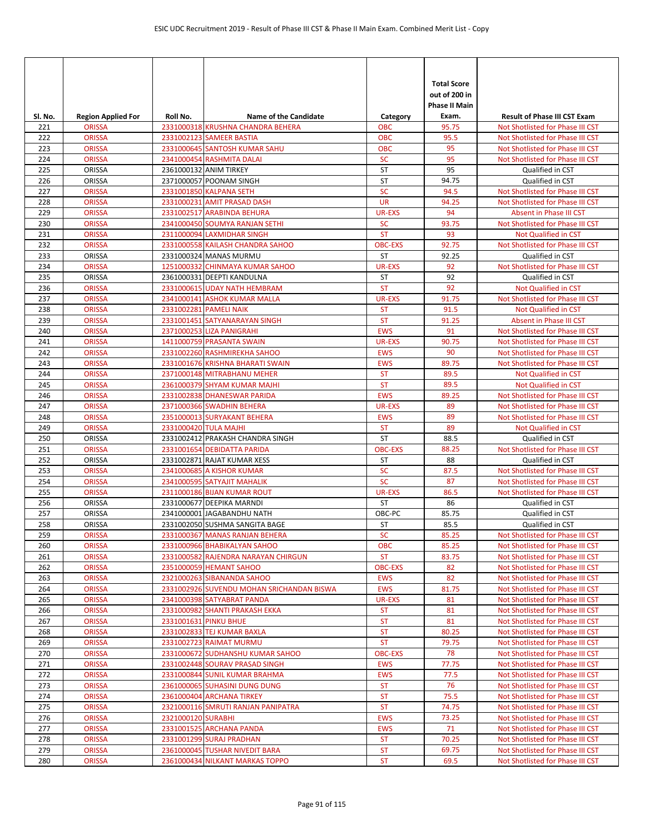| SI. No.    | <b>Region Applied For</b> | Roll No.           | <b>Name of the Candidate</b>                            | Category       | <b>Total Score</b><br>out of 200 in<br><b>Phase II Main</b><br>Exam. | <b>Result of Phase III CST Exam</b>  |
|------------|---------------------------|--------------------|---------------------------------------------------------|----------------|----------------------------------------------------------------------|--------------------------------------|
| 221        | <b>ORISSA</b>             |                    | 2331000318 KRUSHNA CHANDRA BEHERA                       | <b>OBC</b>     | 95.75                                                                | Not Shotlisted for Phase III CST     |
| 222        | <b>ORISSA</b>             |                    | 2331002123 SAMEER BASTIA                                | OBC            | 95.5                                                                 | Not Shotlisted for Phase III CST     |
| 223        | <b>ORISSA</b>             |                    | 2331000645 SANTOSH KUMAR SAHU                           | <b>OBC</b>     | 95                                                                   | Not Shotlisted for Phase III CST     |
| 224        | <b>ORISSA</b>             |                    | 2341000454 RASHMITA DALAI                               | SC             | 95                                                                   | Not Shotlisted for Phase III CST     |
| 225        | ORISSA                    |                    | 2361000132 ANIM TIRKEY                                  | <b>ST</b>      | 95                                                                   | Qualified in CST                     |
| 226        | ORISSA                    |                    | 2371000057 POONAM SINGH                                 | <b>ST</b>      | 94.75                                                                | Qualified in CST                     |
| 227        | <b>ORISSA</b>             |                    | 2331001850 KALPANA SETH                                 | SC             | 94.5                                                                 | Not Shotlisted for Phase III CST     |
| 228        | <b>ORISSA</b>             |                    | 2331000231 AMIT PRASAD DASH                             | <b>UR</b>      | 94.25                                                                | Not Shotlisted for Phase III CST     |
| 229        | <b>ORISSA</b>             |                    | 2331002517 ARABINDA BEHURA                              | <b>UR-EXS</b>  | 94                                                                   | <b>Absent in Phase III CST</b>       |
| 230        | <b>ORISSA</b>             |                    | 2341000450 SOUMYA RANJAN SETHI                          | <b>SC</b>      | 93.75                                                                | Not Shotlisted for Phase III CST     |
| 231        | <b>ORISSA</b>             |                    | 2311000094 LAXMIDHAR SINGH                              | <b>ST</b>      | 93                                                                   | Not Qualified in CST                 |
| 232        | <b>ORISSA</b>             |                    | 2331000558 KAILASH CHANDRA SAHOO                        | <b>OBC-EXS</b> | 92.75                                                                | Not Shotlisted for Phase III CST     |
| 233        | ORISSA                    |                    | 2331000324 MANAS MURMU                                  | <b>ST</b>      | 92.25                                                                | Qualified in CST                     |
| 234        | <b>ORISSA</b>             |                    | 1251000332 CHINMAYA KUMAR SAHOO                         | <b>UR-EXS</b>  | 92                                                                   | Not Shotlisted for Phase III CST     |
| 235        | ORISSA                    |                    | 2361000331 DEEPTI KANDULNA                              | <b>ST</b>      | 92                                                                   | Qualified in CST                     |
| 236        | <b>ORISSA</b>             |                    | 2331000615 UDAY NATH HEMBRAM                            | <b>ST</b>      | 92                                                                   | Not Qualified in CST                 |
| 237        | <b>ORISSA</b>             |                    | 2341000141 ASHOK KUMAR MALLA                            | <b>UR-EXS</b>  | 91.75                                                                | Not Shotlisted for Phase III CST     |
| 238        | <b>ORISSA</b>             |                    | 2331002281 PAMELI NAIK                                  | <b>ST</b>      | 91.5                                                                 | Not Qualified in CST                 |
| 239        | <b>ORISSA</b>             |                    | 2331001451 SATYANARAYAN SINGH                           | <b>ST</b>      | 91.25                                                                | Absent in Phase III CST              |
| 240        | <b>ORISSA</b>             |                    | 2371000253 LIZA PANIGRAHI                               | <b>EWS</b>     | 91                                                                   | Not Shotlisted for Phase III CST     |
| 241        | <b>ORISSA</b>             |                    | 1411000759 PRASANTA SWAIN                               | <b>UR-EXS</b>  | 90.75                                                                | Not Shotlisted for Phase III CST     |
| 242        | <b>ORISSA</b>             |                    | 2331002260 RASHMIREKHA SAHOO                            | <b>EWS</b>     | 90                                                                   | Not Shotlisted for Phase III CST     |
| 243        | <b>ORISSA</b>             |                    | 2331001676 KRISHNA BHARATI SWAIN                        | <b>EWS</b>     | 89.75                                                                | Not Shotlisted for Phase III CST     |
| 244        | <b>ORISSA</b>             |                    | 2371000148 MITRABHANU MEHER                             | <b>ST</b>      | 89.5                                                                 | <b>Not Qualified in CST</b>          |
| 245        | <b>ORISSA</b>             |                    | 2361000379 SHYAM KUMAR MAJHI                            | <b>ST</b>      | 89.5                                                                 | Not Qualified in CST                 |
| 246        | <b>ORISSA</b>             |                    | 2331002838 DHANESWAR PARIDA                             | <b>EWS</b>     | 89.25                                                                | Not Shotlisted for Phase III CST     |
| 247        | <b>ORISSA</b>             |                    | 2371000366 SWADHIN BEHERA                               | <b>UR-EXS</b>  | 89                                                                   | Not Shotlisted for Phase III CST     |
| 248        | <b>ORISSA</b>             |                    | 2351000013 SURYAKANT BEHERA                             | <b>EWS</b>     | 89                                                                   | Not Shotlisted for Phase III CST     |
| 249        | <b>ORISSA</b>             |                    | 2331000420 TULA MAJHI                                   | <b>ST</b>      | 89                                                                   | Not Qualified in CST                 |
| 250        | ORISSA                    |                    | 2331002412 PRAKASH CHANDRA SINGH                        | <b>ST</b>      | 88.5                                                                 | Qualified in CST                     |
| 251        | <b>ORISSA</b>             |                    | 2331001654 DEBIDATTA PARIDA                             | <b>OBC-EXS</b> | 88.25                                                                | Not Shotlisted for Phase III CST     |
| 252        | ORISSA                    |                    | 2331002871 RAJAT KUMAR XESS                             | ST             | 88                                                                   | Qualified in CST                     |
| 253        | <b>ORISSA</b>             |                    | 2341000685 A KISHOR KUMAR                               | <b>SC</b>      | 87.5                                                                 | Not Shotlisted for Phase III CST     |
| 254        | <b>ORISSA</b>             |                    | 2341000595 SATYAJIT MAHALIK                             | SC             | 87                                                                   | Not Shotlisted for Phase III CST     |
| 255        | <b>ORISSA</b>             |                    | 2311000186 BIJAN KUMAR ROUT                             | <b>UR-EXS</b>  | 86.5                                                                 | Not Shotlisted for Phase III CST     |
| 256<br>257 | ORISSA<br>ORISSA          |                    | 2331000677 DEEPIKA MARNDI<br>2341000001 JAGABANDHU NATH | ST<br>OBC-PC   | 86<br>85.75                                                          | Qualified in CST<br>Qualified in CST |
| 258        | ORISSA                    |                    | 2331002050 SUSHMA SANGITA BAGE                          | <b>ST</b>      | 85.5                                                                 | Qualified in CST                     |
| 259        | <b>ORISSA</b>             |                    | 2331000367 MANAS RANJAN BEHERA                          | <b>SC</b>      | 85.25                                                                | Not Shotlisted for Phase III CST     |
| 260        | <b>ORISSA</b>             |                    | 2331000966 BHABIKALYAN SAHOO                            | <b>OBC</b>     | 85.25                                                                | Not Shotlisted for Phase III CST     |
| 261        | <b>ORISSA</b>             |                    | 2331000582 RAJENDRA NARAYAN CHIRGUN                     | <b>ST</b>      | 83.75                                                                | Not Shotlisted for Phase III CST     |
| 262        | <b>ORISSA</b>             |                    | 2351000059 HEMANT SAHOO                                 | <b>OBC-EXS</b> | 82                                                                   | Not Shotlisted for Phase III CST     |
| 263        | <b>ORISSA</b>             |                    | 2321000263 SIBANANDA SAHOO                              | <b>EWS</b>     | 82                                                                   | Not Shotlisted for Phase III CST     |
| 264        | <b>ORISSA</b>             |                    | 2331002926 SUVENDU MOHAN SRICHANDAN BISWA               | <b>EWS</b>     | 81.75                                                                | Not Shotlisted for Phase III CST     |
| 265        | <b>ORISSA</b>             |                    | 2341000398 SATYABRAT PANDA                              | <b>UR-EXS</b>  | 81                                                                   | Not Shotlisted for Phase III CST     |
| 266        | <b>ORISSA</b>             |                    | 2331000982 SHANTI PRAKASH EKKA                          | <b>ST</b>      | 81                                                                   | Not Shotlisted for Phase III CST     |
| 267        | <b>ORISSA</b>             |                    | 2331001631 PINKU BHUE                                   | <b>ST</b>      | 81                                                                   | Not Shotlisted for Phase III CST     |
| 268        | <b>ORISSA</b>             |                    | 2331002833 TEJ KUMAR BAXLA                              | <b>ST</b>      | 80.25                                                                | Not Shotlisted for Phase III CST     |
| 269        | <b>ORISSA</b>             |                    | 2331002723 RAIMAT MURMU                                 | ST             | 79.75                                                                | Not Shotlisted for Phase III CST     |
| 270        | <b>ORISSA</b>             |                    | 2331000672 SUDHANSHU KUMAR SAHOO                        | <b>OBC-EXS</b> | 78                                                                   | Not Shotlisted for Phase III CST     |
| 271        | <b>ORISSA</b>             |                    | 2331002448 SOURAV PRASAD SINGH                          | <b>EWS</b>     | 77.75                                                                | Not Shotlisted for Phase III CST     |
| 272        | <b>ORISSA</b>             |                    | 2331000844 SUNIL KUMAR BRAHMA                           | <b>EWS</b>     | 77.5                                                                 | Not Shotlisted for Phase III CST     |
| 273        | <b>ORISSA</b>             |                    | 2361000065 SUHASINI DUNG DUNG                           | <b>ST</b>      | 76                                                                   | Not Shotlisted for Phase III CST     |
| 274        | <b>ORISSA</b>             |                    | 2361000404 ARCHANA TIRKEY                               | ST             | 75.5                                                                 | Not Shotlisted for Phase III CST     |
| 275        | <b>ORISSA</b>             |                    | 2321000116 SMRUTI RANJAN PANIPATRA                      | <b>ST</b>      | 74.75                                                                | Not Shotlisted for Phase III CST     |
| 276        | <b>ORISSA</b>             | 2321000120 SURABHI |                                                         | <b>EWS</b>     | 73.25                                                                | Not Shotlisted for Phase III CST     |
| 277        | <b>ORISSA</b>             |                    | 2331001525 ARCHANA PANDA                                | <b>EWS</b>     | 71                                                                   | Not Shotlisted for Phase III CST     |
| 278        | <b>ORISSA</b>             |                    | 2331001299 SURAJ PRADHAN                                | ST             | 70.25                                                                | Not Shotlisted for Phase III CST     |
| 279        | <b>ORISSA</b>             |                    | 2361000045 TUSHAR NIVEDIT BARA                          | ST             | 69.75                                                                | Not Shotlisted for Phase III CST     |
| 280        | <b>ORISSA</b>             |                    | 2361000434 NILKANT MARKAS TOPPO                         | <b>ST</b>      | 69.5                                                                 | Not Shotlisted for Phase III CST     |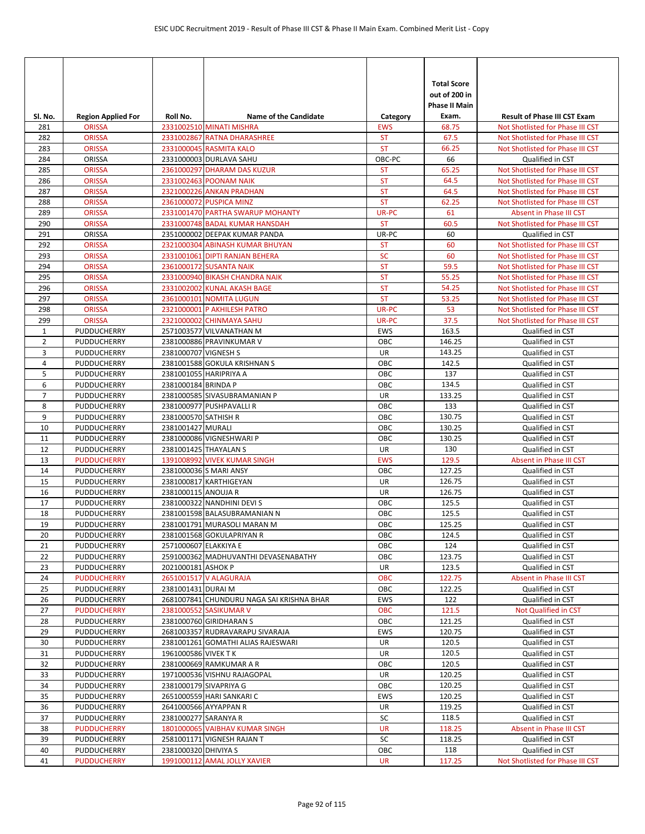| SI. No.        | <b>Region Applied For</b>         | Roll No.              | <b>Name of the Candidate</b>                              | Category               | <b>Total Score</b><br>out of 200 in<br><b>Phase II Main</b><br>Exam. | <b>Result of Phase III CST Exam</b>                                  |
|----------------|-----------------------------------|-----------------------|-----------------------------------------------------------|------------------------|----------------------------------------------------------------------|----------------------------------------------------------------------|
| 281            | <b>ORISSA</b>                     |                       | 2331002510 MINATI MISHRA                                  | <b>EWS</b>             | 68.75                                                                | Not Shotlisted for Phase III CST                                     |
| 282            | <b>ORISSA</b>                     |                       | 2331002867 RATNA DHARASHREE                               | <b>ST</b>              | 67.5                                                                 | Not Shotlisted for Phase III CST                                     |
| 283            | <b>ORISSA</b>                     |                       | 2331000045 RASMITA KALO                                   | <b>ST</b>              | 66.25                                                                | Not Shotlisted for Phase III CST                                     |
| 284            | ORISSA                            |                       | 2331000003 DURLAVA SAHU                                   | OBC-PC                 | 66                                                                   | Qualified in CST                                                     |
| 285            | <b>ORISSA</b>                     |                       | 2361000297 DHARAM DAS KUZUR                               | <b>ST</b>              | 65.25                                                                | Not Shotlisted for Phase III CST                                     |
| 286            | <b>ORISSA</b>                     |                       | 2331002463 POONAM NAIK                                    | <b>ST</b>              | 64.5                                                                 | Not Shotlisted for Phase III CST                                     |
| 287            | <b>ORISSA</b>                     |                       | 2321000226 ANKAN PRADHAN                                  | <b>ST</b>              | 64.5                                                                 | Not Shotlisted for Phase III CST                                     |
| 288            | <b>ORISSA</b>                     |                       | 2361000072 PUSPICA MINZ                                   | <b>ST</b>              | 62.25                                                                | Not Shotlisted for Phase III CST                                     |
| 289            | <b>ORISSA</b>                     |                       | 2331001470 PARTHA SWARUP MOHANTY                          | UR-PC                  | 61                                                                   | <b>Absent in Phase III CST</b>                                       |
| 290            | <b>ORISSA</b>                     |                       | 2331000748 BADAL KUMAR HANSDAH                            | <b>ST</b>              | 60.5                                                                 | Not Shotlisted for Phase III CST                                     |
| 291            | ORISSA                            |                       | 2351000002 DEEPAK KUMAR PANDA                             | UR-PC                  | 60                                                                   | Qualified in CST                                                     |
| 292            | <b>ORISSA</b>                     |                       | 2321000304 ABINASH KUMAR BHUYAN                           | <b>ST</b>              | 60                                                                   | Not Shotlisted for Phase III CST                                     |
| 293            | <b>ORISSA</b>                     |                       | 2331001061 DIPTI RANJAN BEHERA<br>2361000172 SUSANTA NAIK | SC                     | 60                                                                   | Not Shotlisted for Phase III CST                                     |
| 294<br>295     | <b>ORISSA</b><br><b>ORISSA</b>    |                       | 2331000940 BIKASH CHANDRA NAIK                            | <b>ST</b><br><b>ST</b> | 59.5<br>55.25                                                        | Not Shotlisted for Phase III CST<br>Not Shotlisted for Phase III CST |
| 296            | <b>ORISSA</b>                     |                       | 2331002002 KUNAL AKASH BAGE                               | <b>ST</b>              | 54.25                                                                | Not Shotlisted for Phase III CST                                     |
| 297            | <b>ORISSA</b>                     |                       | 2361000101 NOMITA LUGUN                                   | <b>ST</b>              | 53.25                                                                | Not Shotlisted for Phase III CST                                     |
| 298            | <b>ORISSA</b>                     |                       | 2321000001 P AKHILESH PATRO                               | UR-PC                  | 53                                                                   | Not Shotlisted for Phase III CST                                     |
| 299            | <b>ORISSA</b>                     |                       | 2321000002 CHINMAYA SAHU                                  | UR-PC                  | 37.5                                                                 | Not Shotlisted for Phase III CST                                     |
| $\mathbf{1}$   | PUDDUCHERRY                       |                       | 2571003577 VILVANATHAN M                                  | <b>EWS</b>             | 163.5                                                                | Qualified in CST                                                     |
| 2              | <b>PUDDUCHERRY</b>                |                       | 2381000886 PRAVINKUMAR V                                  | OBC                    | 146.25                                                               | Qualified in CST                                                     |
| 3              | PUDDUCHERRY                       | 2381000707 VIGNESH S  |                                                           | UR                     | 143.25                                                               | Qualified in CST                                                     |
| 4              | PUDDUCHERRY                       |                       | 2381001588 GOKULA KRISHNAN S                              | OBC                    | 142.5                                                                | Qualified in CST                                                     |
| 5              | <b>PUDDUCHERRY</b>                |                       | 2381001055 HARIPRIYA A                                    | OBC                    | 137                                                                  | Qualified in CST                                                     |
| 6              | PUDDUCHERRY                       | 2381000184 BRINDA P   |                                                           | OBC                    | 134.5                                                                | Qualified in CST                                                     |
| $\overline{7}$ | <b>PUDDUCHERRY</b>                |                       | 2381000585 SIVASUBRAMANIAN P                              | UR                     | 133.25                                                               | Qualified in CST                                                     |
| 8              | PUDDUCHERRY                       |                       | 2381000977 PUSHPAVALLI R                                  | OBC                    | 133                                                                  | Qualified in CST                                                     |
| 9              | PUDDUCHERRY                       | 2381000570 SATHISH R  |                                                           | OBC                    | 130.75                                                               | Qualified in CST                                                     |
| 10             | PUDDUCHERRY                       | 2381001427 MURALI     |                                                           | OBC                    | 130.25                                                               | Qualified in CST                                                     |
| 11             | PUDDUCHERRY                       |                       | 2381000086 VIGNESHWARI P                                  | OBC                    | 130.25                                                               | Qualified in CST                                                     |
| 12             | <b>PUDDUCHERRY</b>                |                       | 2381001425 THAYALAN S                                     | UR                     | 130                                                                  | Qualified in CST                                                     |
| 13             | <b>PUDDUCHERRY</b>                |                       | 1391008992 VIVEK KUMAR SINGH                              | <b>EWS</b>             | 129.5                                                                | Absent in Phase III CST                                              |
| 14             | PUDDUCHERRY                       |                       | 2381000036 S MARI ANSY                                    | OBC                    | 127.25                                                               | Qualified in CST                                                     |
| 15             | PUDDUCHERRY                       |                       | 2381000817 KARTHIGEYAN                                    | UR                     | 126.75                                                               | Qualified in CST                                                     |
| 16             | PUDDUCHERRY                       | 2381000115 ANOUJA R   |                                                           | UR                     | 126.75                                                               | Qualified in CST                                                     |
| 17             | PUDDUCHERRY                       |                       | 2381000322 NANDHINI DEVI S                                | OBC                    | 125.5                                                                | Qualified in CST                                                     |
| 18             | PUDDUCHERRY                       |                       | 2381001598 BALASUBRAMANIAN N                              | OBC                    | 125.5                                                                | Qualified in CST                                                     |
| 19             | PUDDUCHERRY                       |                       | 2381001791 MURASOLI MARAN M                               | OBC                    | 125.25                                                               | Qualified in CST                                                     |
| 20             | PUDDUCHERRY                       |                       | 2381001568 GOKULAPRIYAN R                                 | OBC                    | 124.5                                                                | Qualified in CST                                                     |
| 21             | PUDDUCHERRY                       | 2571000607 ELAKKIYA E |                                                           | ОВС                    | 124                                                                  | Qualified in CST                                                     |
| 22             | PUDDUCHERRY                       |                       | 2591000362 MADHUVANTHI DEVASENABATHY                      | OBC                    | 123.75                                                               | Qualified in CST                                                     |
| 23<br>24       | PUDDUCHERRY<br><b>PUDDUCHERRY</b> | 2021000181 ASHOK P    | 2651001517 V ALAGURAJA                                    | UR<br><b>OBC</b>       | 123.5<br>122.75                                                      | Qualified in CST<br>Absent in Phase III CST                          |
| 25             | PUDDUCHERRY                       | 2381001431 DURAI M    |                                                           | ОВС                    | 122.25                                                               | Qualified in CST                                                     |
| 26             | PUDDUCHERRY                       |                       | 2681007841 CHUNDURU NAGA SAI KRISHNA BHAR                 | EWS                    | 122                                                                  | Qualified in CST                                                     |
| 27             | <b>PUDDUCHERRY</b>                |                       | 2381000552 SASIKUMAR V                                    | <b>OBC</b>             | 121.5                                                                | Not Qualified in CST                                                 |
| 28             | PUDDUCHERRY                       |                       | 2381000760 GIRIDHARAN S                                   | ОВС                    | 121.25                                                               | Qualified in CST                                                     |
| 29             | PUDDUCHERRY                       |                       | 2681003357 RUDRAVARAPU SIVARAJA                           | EWS                    | 120.75                                                               | Qualified in CST                                                     |
| 30             | PUDDUCHERRY                       |                       | 2381001261 GOMATHI ALIAS RAJESWARI                        | UR                     | 120.5                                                                | Qualified in CST                                                     |
| 31             | PUDDUCHERRY                       | 1961000586 VIVEK TK   |                                                           | UR                     | 120.5                                                                | Qualified in CST                                                     |
| 32             | PUDDUCHERRY                       |                       | 2381000669 RAMKUMAR A R                                   | ОВС                    | 120.5                                                                | Qualified in CST                                                     |
| 33             | PUDDUCHERRY                       |                       | 1971000536 VISHNU RAJAGOPAL                               | UR                     | 120.25                                                               | Qualified in CST                                                     |
| 34             | PUDDUCHERRY                       |                       | 2381000179 SIVAPRIYA G                                    | OBC                    | 120.25                                                               | Qualified in CST                                                     |
| 35             | PUDDUCHERRY                       |                       | 2651000559 HARI SANKARI C                                 | EWS                    | 120.25                                                               | Qualified in CST                                                     |
| 36             | PUDDUCHERRY                       |                       | 2641000566 AYYAPPAN R                                     | UR                     | 119.25                                                               | Qualified in CST                                                     |
| 37             | PUDDUCHERRY                       | 2381000277 SARANYA R  |                                                           | SC                     | 118.5                                                                | Qualified in CST                                                     |
| 38             | <b>PUDDUCHERRY</b>                |                       | 1801000065 VAIBHAV KUMAR SINGH                            | UR                     | 118.25                                                               | Absent in Phase III CST                                              |
| 39             | PUDDUCHERRY                       |                       | 2581001171 VIGNESH RAJAN T                                | SC                     | 118.25                                                               | Qualified in CST                                                     |
| 40             | PUDDUCHERRY                       | 2381000320 DHIVIYA S  |                                                           | ОВС                    | 118                                                                  | Qualified in CST                                                     |
| 41             | <b>PUDDUCHERRY</b>                |                       | 1991000112 AMAL JOLLY XAVIER                              | <b>UR</b>              | 117.25                                                               | Not Shotlisted for Phase III CST                                     |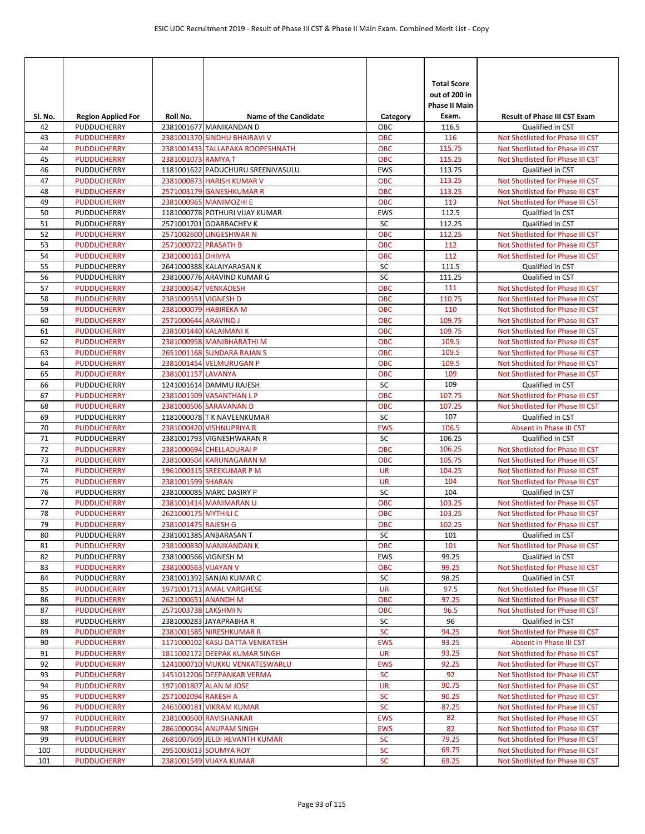| Sl. No.  | <b>Region Applied For</b>                | Roll No.                                   | <b>Name of the Candidate</b>                          | Category          | <b>Total Score</b><br>out of 200 in<br>Phase II Main<br>Exam. | <b>Result of Phase III CST Exam</b>                  |
|----------|------------------------------------------|--------------------------------------------|-------------------------------------------------------|-------------------|---------------------------------------------------------------|------------------------------------------------------|
| 42       | PUDDUCHERRY                              |                                            | 2381001677 MANIKANDAN D                               | ОВС               | 116.5                                                         | Qualified in CST                                     |
| 43       | <b>PUDDUCHERRY</b>                       |                                            | 2381001370 SINDHU BHAIRAVI V                          | <b>OBC</b>        | 116                                                           | Not Shotlisted for Phase III CST                     |
| 44       | <b>PUDDUCHERRY</b>                       |                                            | 2381001433 TALLAPAKA ROOPESHNATH                      | <b>OBC</b>        | 115.75                                                        | Not Shotlisted for Phase III CST                     |
| 45       | <b>PUDDUCHERRY</b>                       | 2381001073 RAMYA T                         |                                                       | <b>OBC</b>        | 115.25                                                        | Not Shotlisted for Phase III CST                     |
| 46       | <b>PUDDUCHERRY</b>                       |                                            | 1181001622 PADUCHURU SREENIVASULU                     | <b>EWS</b>        | 113.75                                                        | Qualified in CST                                     |
| 47       | <b>PUDDUCHERRY</b>                       |                                            | 2381000873 HARISH KUMAR V                             | <b>OBC</b>        | 113.25                                                        | Not Shotlisted for Phase III CST                     |
| 48       | <b>PUDDUCHERRY</b>                       |                                            | 2571003179 GANESHKUMAR R                              | <b>OBC</b>        | 113.25                                                        | Not Shotlisted for Phase III CST                     |
| 49       | <b>PUDDUCHERRY</b>                       |                                            | 2381000965 MANIMOZHI E                                | <b>OBC</b>        | 113                                                           | Not Shotlisted for Phase III CST                     |
| 50       | <b>PUDDUCHERRY</b>                       |                                            | 1181000778 POTHURI VIJAY KUMAR                        | <b>EWS</b>        | 112.5                                                         | Qualified in CST                                     |
| 51<br>52 | PUDDUCHERRY<br><b>PUDDUCHERRY</b>        |                                            | 2571001701 GOARBACHEV K<br>2571002600 LINGESHWAR N    | SC<br>OBC         | 112.25<br>112.25                                              | Qualified in CST<br>Not Shotlisted for Phase III CST |
| 53       | <b>PUDDUCHERRY</b>                       | 2571000722 PRASATH B                       |                                                       | <b>OBC</b>        | 112                                                           | Not Shotlisted for Phase III CST                     |
| 54       | <b>PUDDUCHERRY</b>                       | 2381000161 DHIVYA                          |                                                       | <b>OBC</b>        | 112                                                           | Not Shotlisted for Phase III CST                     |
| 55       | <b>PUDDUCHERRY</b>                       |                                            | 2641000388 KALAIYARASAN K                             | SC                | 111.5                                                         | Qualified in CST                                     |
| 56       | <b>PUDDUCHERRY</b>                       |                                            | 2381000776 ARAVIND KUMAR G                            | SC                | 111.25                                                        | Qualified in CST                                     |
| 57       | <b>PUDDUCHERRY</b>                       | 2381000547 VENKADESH                       |                                                       | OBC               | 111                                                           | Not Shotlisted for Phase III CST                     |
| 58       | <b>PUDDUCHERRY</b>                       | 2381000551 VIGNESH D                       |                                                       | <b>OBC</b>        | 110.75                                                        | Not Shotlisted for Phase III CST                     |
| 59       | <b>PUDDUCHERRY</b>                       |                                            | 2381000079 HABIREKA M                                 | <b>OBC</b>        | 110                                                           | Not Shotlisted for Phase III CST                     |
| 60       | <b>PUDDUCHERRY</b>                       | 2571000644 ARAVIND J                       |                                                       | <b>OBC</b>        | 109.75                                                        | Not Shotlisted for Phase III CST                     |
| 61       | <b>PUDDUCHERRY</b>                       |                                            | 2381001440 KALAIMANI K                                | <b>OBC</b>        | 109.75                                                        | Not Shotlisted for Phase III CST                     |
| 62       | <b>PUDDUCHERRY</b>                       |                                            | 2381000958 MANIBHARATHI M                             | <b>OBC</b>        | 109.5                                                         | Not Shotlisted for Phase III CST                     |
| 63       | <b>PUDDUCHERRY</b>                       |                                            | 2651001168 SUNDARA RAJAN S                            | <b>OBC</b>        | 109.5                                                         | Not Shotlisted for Phase III CST                     |
| 64       | <b>PUDDUCHERRY</b>                       |                                            | 2381001454 VELMURUGAN P                               | <b>OBC</b>        | 109.5                                                         | Not Shotlisted for Phase III CST                     |
| 65       | <b>PUDDUCHERRY</b>                       | 2381001157 LAVANYA                         |                                                       | <b>OBC</b>        | 109                                                           | Not Shotlisted for Phase III CST                     |
| 66       | PUDDUCHERRY                              |                                            | 1241001614 DAMMU RAJESH                               | SC                | 109                                                           | Qualified in CST                                     |
| 67       | <b>PUDDUCHERRY</b>                       |                                            | 2381001509 VASANTHAN L P                              | <b>OBC</b>        | 107.75                                                        | Not Shotlisted for Phase III CST                     |
| 68       | <b>PUDDUCHERRY</b>                       |                                            | 2381000506 SARAVANAN D                                | <b>OBC</b>        | 107.25                                                        | Not Shotlisted for Phase III CST                     |
| 69       | PUDDUCHERRY                              |                                            | 1181000078 T K NAVEENKUMAR                            | SC                | 107                                                           | Qualified in CST                                     |
| 70       | <b>PUDDUCHERRY</b>                       |                                            | 2381000420 VISHNUPRIYA R                              | <b>EWS</b>        | 106.5<br>106.25                                               | Absent in Phase III CST                              |
| 71<br>72 | <b>PUDDUCHERRY</b><br><b>PUDDUCHERRY</b> |                                            | 2381001793 VIGNESHWARAN R<br>2381000694 CHELLADURAI P | SC<br><b>OBC</b>  | 106.25                                                        | Qualified in CST<br>Not Shotlisted for Phase III CST |
| 73       | <b>PUDDUCHERRY</b>                       |                                            | 2381000504 KARUNAGARAN M                              | <b>OBC</b>        | 105.75                                                        | Not Shotlisted for Phase III CST                     |
| 74       | <b>PUDDUCHERRY</b>                       |                                            | 1961000315 SREEKUMAR P M                              | <b>UR</b>         | 104.25                                                        | Not Shotlisted for Phase III CST                     |
| 75       | <b>PUDDUCHERRY</b>                       | 2381001599 SHARAN                          |                                                       | <b>UR</b>         | 104                                                           | Not Shotlisted for Phase III CST                     |
| 76       | PUDDUCHERRY                              |                                            | 2381000085 MARC DASIRY P                              | SC                | 104                                                           | Qualified in CST                                     |
| 77       | <b>PUDDUCHERRY</b>                       |                                            | 2381001414 MANIMARAN U                                | OBC               | 103.25                                                        | Not Shotlisted for Phase III CST                     |
| 78       | <b>PUDDUCHERRY</b>                       | 2621000175 MYTHILI C                       |                                                       | <b>OBC</b>        | 103.25                                                        | Not Shotlisted for Phase III CST                     |
| 79       | <b>PUDDUCHERRY</b>                       | 2381001475 RAJESH G                        |                                                       | <b>OBC</b>        | 102.25                                                        | Not Shotlisted for Phase III CST                     |
| 80       | PUDDUCHERRY                              |                                            | 2381001385 ANBARASAN T                                | SC                | 101                                                           | Qualified in CST                                     |
| 81       | <b>PUDDUCHERRY</b>                       |                                            | 2381000830 MANIKANDAN K                               | OBC               | 101                                                           | Not Shotlisted for Phase III CST                     |
| 82       | <b>PUDDUCHERRY</b>                       | 2381000566 VIGNESH M                       |                                                       | <b>EWS</b>        | 99.25                                                         | Qualified in CST                                     |
| 83       | <b>PUDDUCHERRY</b>                       | 2381000563 VIJAYAN V                       |                                                       | <b>OBC</b>        | 99.25                                                         | Not Shotlisted for Phase III CST                     |
| 84       | PUDDUCHERRY                              |                                            | 2381001392 SANJAI KUMAR C                             | SC                | 98.25                                                         | Qualified in CST                                     |
| 85       | <b>PUDDUCHERRY</b>                       |                                            | 1971001713 AMAL VARGHESE                              | UR                | 97.5                                                          | Not Shotlisted for Phase III CST                     |
| 86       | <b>PUDDUCHERRY</b><br><b>PUDDUCHERRY</b> | 2621000651 ANANDH M<br>2571003738 LAKSHMIN |                                                       | ОВС<br><b>OBC</b> | 97.25                                                         | Not Shotlisted for Phase III CST                     |
| 87       |                                          |                                            | 2381000283 JAYAPRABHA R                               |                   | 96.5                                                          | Not Shotlisted for Phase III CST                     |
| 88<br>89 | PUDDUCHERRY<br><b>PUDDUCHERRY</b>        |                                            | 2381001585 NIRESHKUMAR R                              | SC<br><b>SC</b>   | 96<br>94.25                                                   | Qualified in CST<br>Not Shotlisted for Phase III CST |
| 90       | <b>PUDDUCHERRY</b>                       |                                            | 1171000102 KASU DATTA VENKATESH                       | <b>EWS</b>        | 93.25                                                         | Absent in Phase III CST                              |
| 91       | <b>PUDDUCHERRY</b>                       |                                            | 1811002172 DEEPAK KUMAR SINGH                         | <b>UR</b>         | 93.25                                                         | Not Shotlisted for Phase III CST                     |
| 92       | <b>PUDDUCHERRY</b>                       |                                            | 1241000710 MUKKU VENKATESWARLU                        | <b>EWS</b>        | 92.25                                                         | Not Shotlisted for Phase III CST                     |
| 93       | <b>PUDDUCHERRY</b>                       |                                            | 1451012206 DEEPANKAR VERMA                            | <b>SC</b>         | 92                                                            | Not Shotlisted for Phase III CST                     |
| 94       | <b>PUDDUCHERRY</b>                       |                                            | 1971001807 ALAN M JOSE                                | <b>UR</b>         | 90.75                                                         | Not Shotlisted for Phase III CST                     |
| 95       | <b>PUDDUCHERRY</b>                       | 2571002094 RAKESH A                        |                                                       | <b>SC</b>         | 90.25                                                         | Not Shotlisted for Phase III CST                     |
| 96       | <b>PUDDUCHERRY</b>                       |                                            | 2461000181 VIKRAM KUMAR                               | <b>SC</b>         | 87.25                                                         | Not Shotlisted for Phase III CST                     |
| 97       | <b>PUDDUCHERRY</b>                       |                                            | 2381000500 RAVISHANKAR                                | <b>EWS</b>        | 82                                                            | Not Shotlisted for Phase III CST                     |
| 98       | <b>PUDDUCHERRY</b>                       |                                            | 2861000034 ANUPAM SINGH                               | <b>EWS</b>        | 82                                                            | Not Shotlisted for Phase III CST                     |
| 99       | <b>PUDDUCHERRY</b>                       |                                            | 2681007609 JELDI REVANTH KUMAR                        | <b>SC</b>         | 79.25                                                         | Not Shotlisted for Phase III CST                     |
| 100      | <b>PUDDUCHERRY</b>                       |                                            | 2951003013 SOUMYA ROY                                 | <b>SC</b>         | 69.75                                                         | Not Shotlisted for Phase III CST                     |
| 101      | <b>PUDDUCHERRY</b>                       |                                            | 2381001549 VIJAYA KUMAR                               | <b>SC</b>         | 69.25                                                         | Not Shotlisted for Phase III CST                     |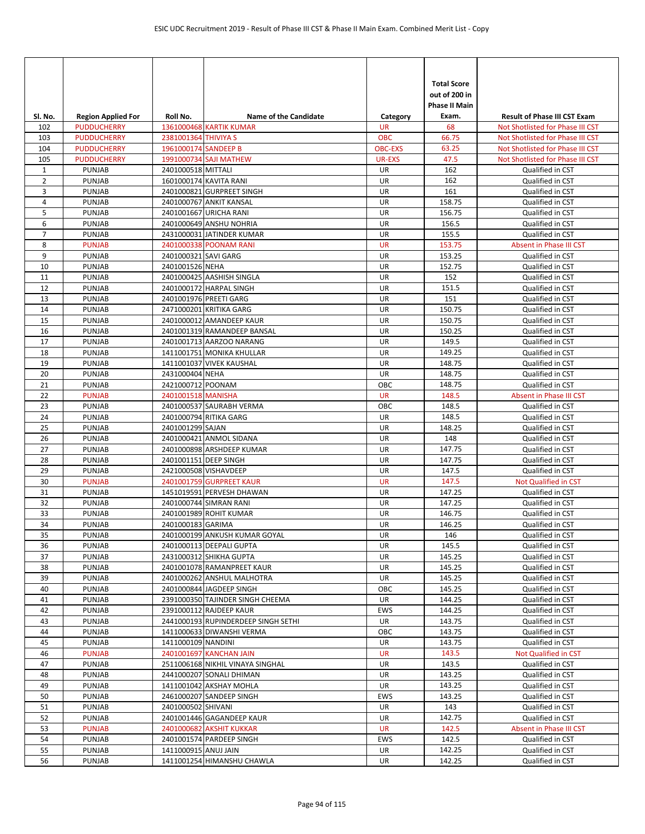|                |                                |                       |                                                             |                  | <b>Total Score</b><br>out of 200 in<br><b>Phase II Main</b> |                                      |
|----------------|--------------------------------|-----------------------|-------------------------------------------------------------|------------------|-------------------------------------------------------------|--------------------------------------|
| SI. No.        | <b>Region Applied For</b>      | Roll No.              | <b>Name of the Candidate</b>                                | Category         | Exam.                                                       | <b>Result of Phase III CST Exam</b>  |
| 102            | <b>PUDDUCHERRY</b>             |                       | <b>1361000468 KARTIK KUMAR</b>                              | <b>UR</b>        | 68                                                          | Not Shotlisted for Phase III CST     |
| 103            | <b>PUDDUCHERRY</b>             | 2381001364 THIVIYA S  |                                                             | OBC              | 66.75                                                       | Not Shotlisted for Phase III CST     |
| 104            | <b>PUDDUCHERRY</b>             | 1961000174 SANDEEP B  |                                                             | <b>OBC-EXS</b>   | 63.25                                                       | Not Shotlisted for Phase III CST     |
| 105            | <b>PUDDUCHERRY</b>             |                       | 1991000734 SAJI MATHEW                                      | <b>UR-EXS</b>    | 47.5                                                        | Not Shotlisted for Phase III CST     |
| $\mathbf{1}$   | PUNJAB                         | 2401000518 MITTALI    |                                                             | UR               | 162                                                         | Qualified in CST                     |
| $\overline{2}$ | <b>PUNJAB</b>                  |                       | 1601000174 KAVITA RANI                                      | <b>UR</b>        | 162                                                         | Qualified in CST                     |
| 3<br>4         | <b>PUNJAB</b><br><b>PUNJAB</b> |                       | 2401000821 GURPREET SINGH<br>2401000767 ANKIT KANSAL        | UR<br>UR         | 161<br>158.75                                               | Qualified in CST<br>Qualified in CST |
| 5              | <b>PUNJAB</b>                  |                       | 2401001667 URICHA RANI                                      | UR               | 156.75                                                      | Qualified in CST                     |
| 6              | <b>PUNJAB</b>                  |                       | 2401000649 ANSHU NOHRIA                                     | UR               | 156.5                                                       | Qualified in CST                     |
| $\overline{7}$ | <b>PUNJAB</b>                  |                       | 2431000031 JATINDER KUMAR                                   | UR               | 155.5                                                       | Qualified in CST                     |
| 8              | <b>PUNJAB</b>                  |                       | 2401000338 POONAM RANI                                      | <b>UR</b>        | 153.75                                                      | Absent in Phase III CST              |
| 9              | <b>PUNJAB</b>                  | 2401000321 SAVI GARG  |                                                             | UR               | 153.25                                                      | Qualified in CST                     |
| 10             | <b>PUNJAB</b>                  | 2401001526 NEHA       |                                                             | UR               | 152.75                                                      | Qualified in CST                     |
| 11             | <b>PUNJAB</b>                  |                       | 2401000425 AASHISH SINGLA                                   | UR               | 152                                                         | Qualified in CST                     |
| 12             | <b>PUNJAB</b>                  |                       | 2401000172 HARPAL SINGH                                     | <b>UR</b>        | 151.5                                                       | Qualified in CST                     |
| 13             | <b>PUNJAB</b>                  |                       | 2401001976 PREETI GARG                                      | UR               | 151                                                         | Qualified in CST                     |
| 14             | <b>PUNJAB</b>                  |                       | 2471000201 KRITIKA GARG                                     | UR               | 150.75                                                      | Qualified in CST                     |
| 15             | <b>PUNJAB</b>                  |                       | 2401000012 AMANDEEP KAUR                                    | UR               | 150.75                                                      | Qualified in CST                     |
| 16             | <b>PUNJAB</b>                  |                       | 2401001319 RAMANDEEP BANSAL                                 | UR               | 150.25                                                      | Qualified in CST                     |
| 17             | <b>PUNJAB</b>                  |                       | 2401001713 AARZOO NARANG                                    | UR               | 149.5                                                       | Qualified in CST                     |
| 18             | <b>PUNJAB</b>                  |                       | 1411001751 MONIKA KHULLAR                                   | UR               | 149.25                                                      | Qualified in CST                     |
| 19             | <b>PUNJAB</b>                  |                       | 1411001037 VIVEK KAUSHAL                                    | UR               | 148.75                                                      | Qualified in CST                     |
| 20             | <b>PUNJAB</b>                  | 2431000404 NEHA       |                                                             | UR               | 148.75                                                      | Qualified in CST                     |
| 21             | <b>PUNJAB</b>                  | 2421000712 POONAM     |                                                             | OBC              | 148.75                                                      | Qualified in CST                     |
| 22             | <b>PUNJAB</b>                  | 2401001518 MANISHA    |                                                             | <b>UR</b>        | 148.5                                                       | Absent in Phase III CST              |
| 23             | <b>PUNJAB</b>                  |                       | 2401000537 SAURABH VERMA                                    | OBC<br>UR        | 148.5                                                       | Qualified in CST                     |
| 24<br>25       | <b>PUNJAB</b><br><b>PUNJAB</b> | 2401001299 SAJAN      | 2401000794 RITIKA GARG                                      | UR               | 148.5<br>148.25                                             | Qualified in CST<br>Qualified in CST |
| 26             | <b>PUNJAB</b>                  |                       | 2401000421 ANMOL SIDANA                                     | UR               | 148                                                         | Qualified in CST                     |
| 27             | <b>PUNJAB</b>                  |                       | 2401000898 ARSHDEEP KUMAR                                   | UR               | 147.75                                                      | Qualified in CST                     |
| 28             | <b>PUNJAB</b>                  | 2401001151 DEEP SINGH |                                                             | UR               | 147.75                                                      | Qualified in CST                     |
| 29             | <b>PUNJAB</b>                  |                       | 2421000508 VISHAVDEEP                                       | UR               | 147.5                                                       | Qualified in CST                     |
| 30             | <b>PUNJAB</b>                  |                       | 2401001759 GURPREET KAUR                                    | <b>UR</b>        | 147.5                                                       | Not Qualified in CST                 |
| 31             | <b>PUNJAB</b>                  |                       | 1451019591 PERVESH DHAWAN                                   | UR               | 147.25                                                      | Qualified in CST                     |
| 32             | <b>PUNJAB</b>                  |                       | 2401000744 SIMRAN RANI                                      | UR               | 147.25                                                      | Qualified in CST                     |
| 33             | <b>PUNJAB</b>                  |                       | 2401001989 ROHIT KUMAR                                      | UR               | 146.75                                                      | Qualified in CST                     |
| 34             | PUNJAB                         | 2401000183 GARIMA     |                                                             | UR               | 146.25                                                      | Qualified in CST                     |
| 35             | PUNJAB                         |                       | 2401000199 ANKUSH KUMAR GOYAL                               | UR               | 146                                                         | Qualified in CST                     |
| 36             | <b>PUNJAB</b>                  |                       | 2401000113 DEEPALI GUPTA                                    | UR               | 145.5                                                       | Qualified in CST                     |
| 37             | <b>PUNJAB</b>                  |                       | 2431000312 SHIKHA GUPTA                                     | UR               | 145.25                                                      | Qualified in CST                     |
| 38             | PUNJAB                         |                       | 2401001078 RAMANPREET KAUR                                  | UR               | 145.25                                                      | Qualified in CST                     |
| 39             | PUNJAB                         |                       | 2401000262 ANSHUL MALHOTRA                                  | UR               | 145.25                                                      | Qualified in CST                     |
| 40             | PUNJAB                         |                       | 2401000844 JAGDEEP SINGH                                    | ОВС              | 145.25                                                      | Qualified in CST                     |
| 41<br>42       | PUNJAB<br><b>PUNJAB</b>        |                       | 2391000350 TAJINDER SINGH CHEEMA<br>2391000112 RAJDEEP KAUR | UR<br><b>EWS</b> | 144.25<br>144.25                                            | Qualified in CST<br>Qualified in CST |
| 43             | <b>PUNJAB</b>                  |                       | 2441000193 RUPINDERDEEP SINGH SETHI                         | UR               | 143.75                                                      | Qualified in CST                     |
| 44             | PUNJAB                         |                       | 1411000633 DIWANSHI VERMA                                   | OBC              | 143.75                                                      | Qualified in CST                     |
| 45             | PUNJAB                         | 1411000109 NANDINI    |                                                             | UR               | 143.75                                                      | Qualified in CST                     |
| 46             | <b>PUNJAB</b>                  |                       | 2401001697 KANCHAN JAIN                                     | <b>UR</b>        | 143.5                                                       | Not Qualified in CST                 |
| 47             | PUNJAB                         |                       | 2511006168 NIKHIL VINAYA SINGHAL                            | UR               | 143.5                                                       | Qualified in CST                     |
| 48             | PUNJAB                         |                       | 2441000207 SONALI DHIMAN                                    | UR               | 143.25                                                      | Qualified in CST                     |
| 49             | PUNJAB                         |                       | 1411001042 AKSHAY MOHLA                                     | UR               | 143.25                                                      | Qualified in CST                     |
| 50             | PUNJAB                         |                       | 2461000207 SANDEEP SINGH                                    | EWS              | 143.25                                                      | Qualified in CST                     |
| 51             | PUNJAB                         | 2401000502 SHIVANI    |                                                             | UR               | 143                                                         | Qualified in CST                     |
| 52             | <b>PUNJAB</b>                  |                       | 2401001446 GAGANDEEP KAUR                                   | UR               | 142.75                                                      | Qualified in CST                     |
| 53             | <b>PUNJAB</b>                  |                       | 2401000682 AKSHIT KUKKAR                                    | UR               | 142.5                                                       | Absent in Phase III CST              |
| 54             | PUNJAB                         |                       | 2401001574 PARDEEP SINGH                                    | EWS              | 142.5                                                       | Qualified in CST                     |
| 55             | PUNJAB                         | 1411000915 ANUJ JAIN  |                                                             | UR               | 142.25                                                      | Qualified in CST                     |
| 56             | PUNJAB                         |                       | 1411001254 HIMANSHU CHAWLA                                  | UR               | 142.25                                                      | Qualified in CST                     |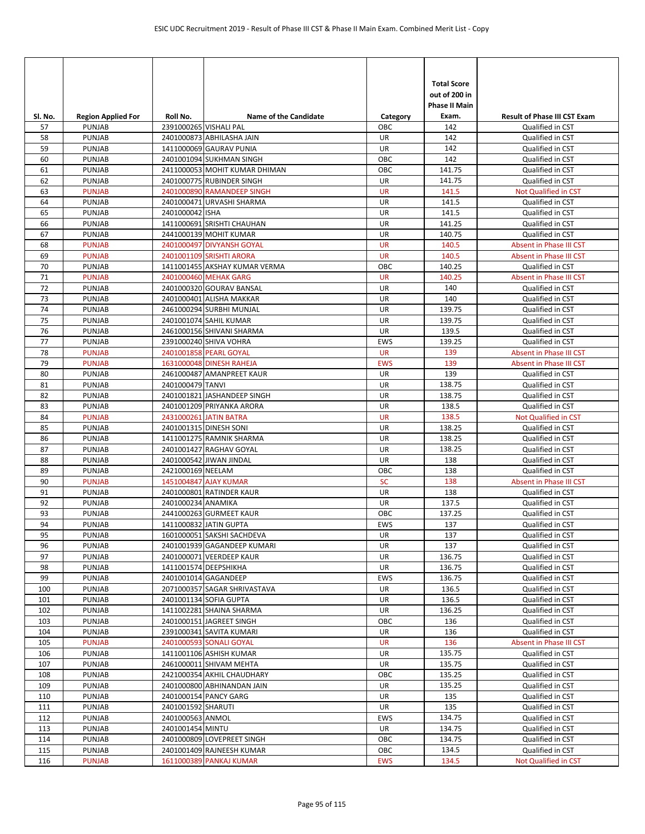|            |                                |                                      |                                                           |                  | <b>Total Score</b>                    |                                             |
|------------|--------------------------------|--------------------------------------|-----------------------------------------------------------|------------------|---------------------------------------|---------------------------------------------|
|            |                                |                                      |                                                           |                  | out of 200 in<br><b>Phase II Main</b> |                                             |
| SI. No.    | <b>Region Applied For</b>      | Roll No.                             | <b>Name of the Candidate</b>                              | Category         | Exam.                                 | <b>Result of Phase III CST Exam</b>         |
| 57         | <b>PUNJAB</b>                  | 2391000265 VISHALI PAL               |                                                           | ОВС              | 142                                   | Qualified in CST                            |
| 58         | <b>PUNJAB</b>                  |                                      | 2401000873 ABHILASHA JAIN                                 | UR               | 142                                   | Qualified in CST                            |
| 59<br>60   | PUNJAB                         |                                      | 1411000069 GAURAV PUNIA                                   | UR<br>OBC        | 142<br>142                            | Qualified in CST                            |
| 61         | <b>PUNJAB</b><br><b>PUNJAB</b> |                                      | 2401001094 SUKHMAN SINGH<br>2411000053 MOHIT KUMAR DHIMAN | OBC              | 141.75                                | Qualified in CST<br>Qualified in CST        |
| 62         | PUNJAB                         |                                      | 2401000775 RUBINDER SINGH                                 | UR               | 141.75                                | Qualified in CST                            |
| 63         | <b>PUNJAB</b>                  |                                      | 2401000890 RAMANDEEP SINGH                                | <b>UR</b>        | 141.5                                 | Not Qualified in CST                        |
| 64         | <b>PUNJAB</b>                  |                                      | 2401000471 URVASHI SHARMA                                 | UR               | 141.5                                 | Qualified in CST                            |
| 65         | <b>PUNJAB</b>                  | 2401000042 ISHA                      |                                                           | UR               | 141.5                                 | Qualified in CST                            |
| 66         | PUNJAB                         |                                      | 1411000691 SRISHTI CHAUHAN                                | UR               | 141.25                                | Qualified in CST                            |
| 67         | PUNJAB                         |                                      | 2441000139 MOHIT KUMAR                                    | UR               | 140.75                                | Qualified in CST                            |
| 68         | <b>PUNJAB</b>                  |                                      | 2401000497 DIVYANSH GOYAL                                 | <b>UR</b>        | 140.5                                 | Absent in Phase III CST                     |
| 69<br>70   | <b>PUNJAB</b><br><b>PUNJAB</b> |                                      | 2401001109 SRISHTI ARORA<br>1411001455 AKSHAY KUMAR VERMA | <b>UR</b><br>OBC | 140.5<br>140.25                       | Absent in Phase III CST<br>Qualified in CST |
| 71         | <b>PUNJAB</b>                  |                                      | 2401000460 MEHAK GARG                                     | <b>UR</b>        | 140.25                                | Absent in Phase III CST                     |
| 72         | PUNJAB                         |                                      | 2401000320 GOURAV BANSAL                                  | UR               | 140                                   | Qualified in CST                            |
| 73         | <b>PUNJAB</b>                  |                                      | 2401000401 ALISHA MAKKAR                                  | UR               | 140                                   | Qualified in CST                            |
| 74         | PUNJAB                         |                                      | 2461000294 SURBHI MUNJAL                                  | UR               | 139.75                                | Qualified in CST                            |
| 75         | <b>PUNJAB</b>                  |                                      | 2401001074 SAHIL KUMAR                                    | UR               | 139.75                                | Qualified in CST                            |
| 76         | PUNJAB                         |                                      | 2461000156 SHIVANI SHARMA                                 | UR               | 139.5                                 | Qualified in CST                            |
| 77         | PUNJAB                         |                                      | 2391000240 SHIVA VOHRA                                    | <b>EWS</b>       | 139.25                                | Qualified in CST                            |
| 78         | <b>PUNJAB</b>                  |                                      | 2401001858 PEARL GOYAL                                    | <b>UR</b>        | 139                                   | Absent in Phase III CST                     |
| 79         | <b>PUNJAB</b>                  |                                      | 1631000048 DINESH RAHEJA                                  | <b>EWS</b>       | 139                                   | Absent in Phase III CST                     |
| 80<br>81   | PUNJAB<br><b>PUNJAB</b>        | 2401000479 TANVI                     | 2461000487 AMANPREET KAUR                                 | UR<br>UR         | 139<br>138.75                         | Qualified in CST                            |
| 82         | PUNJAB                         |                                      | 2401001821 JASHANDEEP SINGH                               | UR               | 138.75                                | Qualified in CST<br>Qualified in CST        |
| 83         | <b>PUNJAB</b>                  |                                      | 2401001209 PRIYANKA ARORA                                 | UR               | 138.5                                 | Qualified in CST                            |
| 84         | <b>PUNJAB</b>                  |                                      | 2431000261 JATIN BATRA                                    | <b>UR</b>        | 138.5                                 | Not Qualified in CST                        |
| 85         | PUNJAB                         |                                      | 2401001315 DINESH SONI                                    | UR               | 138.25                                | Qualified in CST                            |
| 86         | PUNJAB                         |                                      | 1411001275 RAMNIK SHARMA                                  | UR               | 138.25                                | Qualified in CST                            |
| 87         | PUNJAB                         |                                      | 2401001427 RAGHAV GOYAL                                   | UR               | 138.25                                | Qualified in CST                            |
| 88         | <b>PUNJAB</b>                  |                                      | 2401000542 JIWAN JINDAL                                   | UR               | 138                                   | Qualified in CST                            |
| 89         | PUNJAB                         | 2421000169 NEELAM                    |                                                           | OBC              | 138                                   | Qualified in CST                            |
| 90<br>91   | <b>PUNJAB</b>                  |                                      | 1451004847 AJAY KUMAR<br>2401000801 RATINDER KAUR         | <b>SC</b><br>UR  | 138<br>138                            | Absent in Phase III CST<br>Qualified in CST |
| 92         | <b>PUNJAB</b><br>PUNJAB        | 2401000234 ANAMIKA                   |                                                           | UR               | 137.5                                 | Qualified in CST                            |
| 93         | PUNJAB                         |                                      | 2441000263 GURMEET KAUR                                   | ОВС              | 137.25                                | Qualified in CST                            |
| 94         | PUNJAB                         |                                      | 1411000832 JATIN GUPTA                                    | <b>EWS</b>       | 137                                   | Qualified in CST                            |
| 95         | PUNJAB                         |                                      | 1601000051 SAKSHI SACHDEVA                                | UR               | 137                                   | Qualified in CST                            |
| 96         | <b>PUNJAB</b>                  |                                      | 2401001939 GAGANDEEP KUMARI                               | UR               | 137                                   | Qualified in CST                            |
| 97         | PUNJAB                         |                                      | 2401000071 VEERDEEP KAUR                                  | UR               | 136.75                                | Qualified in CST                            |
| 98         | PUNJAB                         |                                      | 1411001574 DEEPSHIKHA                                     | UR               | 136.75                                | Qualified in CST                            |
| 99         | PUNJAB                         |                                      | 2401001014 GAGANDEEP                                      | EWS              | 136.75                                | Qualified in CST                            |
| 100        | PUNJAB                         |                                      | 2071000357 SAGAR SHRIVASTAVA                              | UR               | 136.5                                 | Qualified in CST                            |
| 101<br>102 | PUNJAB<br>PUNJAB               |                                      | 2401001134 SOFIA GUPTA<br>1411002281 SHAINA SHARMA        | UR<br>UR         | 136.5<br>136.25                       | Qualified in CST<br>Qualified in CST        |
| 103        | <b>PUNJAB</b>                  |                                      | 2401000151 JAGREET SINGH                                  | OBC              | 136                                   | Qualified in CST                            |
| 104        | PUNJAB                         |                                      | 2391000341 SAVITA KUMARI                                  | UR               | 136                                   | Qualified in CST                            |
| 105        | <b>PUNJAB</b>                  |                                      | 2401000593 SONALI GOYAL                                   | <b>UR</b>        | 136                                   | Absent in Phase III CST                     |
| 106        | PUNJAB                         |                                      | 1411001106 ASHISH KUMAR                                   | UR               | 135.75                                | Qualified in CST                            |
| 107        | PUNJAB                         |                                      | 2461000011 SHIVAM MEHTA                                   | UR               | 135.75                                | Qualified in CST                            |
| 108        | PUNJAB                         |                                      | 2421000354 AKHIL CHAUDHARY                                | OBC              | 135.25                                | Qualified in CST                            |
| 109        | PUNJAB                         |                                      | 2401000800 ABHINANDAN JAIN                                | UR               | 135.25                                | Qualified in CST                            |
| 110        | PUNJAB                         |                                      | 2401000154 PANCY GARG                                     | UR               | 135                                   | Qualified in CST                            |
| 111        | PUNJAB                         | 2401001592 SHARUTI                   |                                                           | UR               | 135                                   | Qualified in CST                            |
| 112<br>113 | PUNJAB<br>PUNJAB               | 2401000563 ANMOL<br>2401001454 MINTU |                                                           | EWS<br>UR        | 134.75<br>134.75                      | Qualified in CST<br>Qualified in CST        |
| 114        | PUNJAB                         |                                      | 2401000809 LOVEPREET SINGH                                | OBC              | 134.75                                | Qualified in CST                            |
| 115        | PUNJAB                         |                                      | 2401001409 RAJNEESH KUMAR                                 | OBC              | 134.5                                 | Qualified in CST                            |
| 116        | <b>PUNJAB</b>                  |                                      | 1611000389 PANKAJ KUMAR                                   | <b>EWS</b>       | 134.5                                 | Not Qualified in CST                        |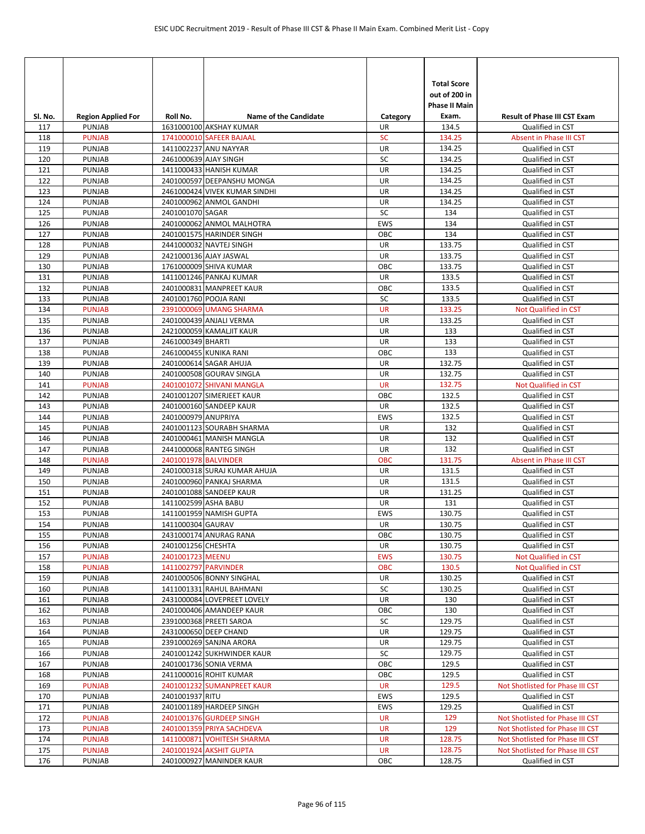|            |                                |                       |                                                        |                 | <b>Total Score</b><br>out of 200 in<br>Phase II Main |                                             |
|------------|--------------------------------|-----------------------|--------------------------------------------------------|-----------------|------------------------------------------------------|---------------------------------------------|
| SI. No.    | <b>Region Applied For</b>      | Roll No.              | <b>Name of the Candidate</b>                           | Category        | Exam.                                                | <b>Result of Phase III CST Exam</b>         |
| 117<br>118 | <b>PUNJAB</b><br><b>PUNJAB</b> |                       | 1631000100 AKSHAY KUMAR<br>1741000010 SAFEER BAJAAL    | UR<br><b>SC</b> | 134.5<br>134.25                                      | Qualified in CST<br>Absent in Phase III CST |
| 119        | PUNJAB                         |                       | 1411002237 ANU NAYYAR                                  | UR              | 134.25                                               | Qualified in CST                            |
| 120        | PUNJAB                         | 2461000639 AJAY SINGH |                                                        | SC              | 134.25                                               | Qualified in CST                            |
| 121        | PUNJAB                         |                       | 1411000433 HANISH KUMAR                                | UR              | 134.25                                               | Qualified in CST                            |
| 122        | PUNJAB                         |                       | 2401000597 DEEPANSHU MONGA                             | UR              | 134.25                                               | Qualified in CST                            |
| 123        | PUNJAB                         |                       | 2461000424 VIVEK KUMAR SINDHI                          | UR              | 134.25                                               | Qualified in CST                            |
| 124        | PUNJAB                         |                       | 2401000962 ANMOL GANDHI                                | UR              | 134.25                                               | Qualified in CST                            |
| 125        | PUNJAB                         | 2401001070 SAGAR      |                                                        | SC              | 134                                                  | Qualified in CST                            |
| 126        | PUNJAB                         |                       | 2401000062 ANMOL MALHOTRA                              | <b>EWS</b>      | 134                                                  | Qualified in CST                            |
| 127        | PUNJAB                         |                       | 2401001575 HARINDER SINGH                              | OBC             | 134                                                  | Qualified in CST                            |
| 128        | PUNJAB                         |                       | 2441000032 NAVTEJ SINGH                                | UR              | 133.75                                               | Qualified in CST                            |
| 129        | PUNJAB                         |                       | 2421000136 AJAY JASWAL                                 | UR              | 133.75                                               | Qualified in CST                            |
| 130        | PUNJAB                         |                       | 1761000009 SHIVA KUMAR                                 | OBC             | 133.75                                               | Qualified in CST                            |
| 131        | PUNJAB                         |                       | 1411001246 PANKAJ KUMAR                                | <b>UR</b>       | 133.5                                                | Qualified in CST                            |
| 132        | <b>PUNJAB</b>                  |                       | 2401000831 MANPREET KAUR                               | OBC             | 133.5                                                | Qualified in CST                            |
| 133        | PUNJAB                         | 2401001760 POOJA RANI |                                                        | SC              | 133.5                                                | Qualified in CST                            |
| 134        | <b>PUNJAB</b>                  |                       | 2391000069 UMANG SHARMA                                | <b>UR</b>       | 133.25                                               | Not Qualified in CST                        |
| 135        | PUNJAB                         |                       | 2401000439 ANJALI VERMA                                | UR              | 133.25                                               | Qualified in CST                            |
| 136        | PUNJAB                         |                       | 2421000059 KAMALJIT KAUR                               | UR              | 133                                                  | Qualified in CST                            |
| 137        | PUNJAB                         | 2461000349 BHARTI     |                                                        | UR              | 133                                                  | Qualified in CST                            |
| 138        | PUNJAB                         |                       | 2461000455 KUNIKA RANI                                 | OBC             | 133                                                  | Qualified in CST                            |
| 139        | PUNJAB                         |                       | 2401000614 SAGAR AHUJA                                 | UR              | 132.75                                               | Qualified in CST                            |
| 140        | PUNJAB<br><b>PUNJAB</b>        |                       | 2401000508 GOURAV SINGLA                               | UR<br><b>UR</b> | 132.75<br>132.75                                     | Qualified in CST                            |
| 141<br>142 | <b>PUNJAB</b>                  |                       | 2401001072 SHIVANI MANGLA<br>2401001207 SIMERJEET KAUR | OBC             | 132.5                                                | Not Qualified in CST<br>Qualified in CST    |
| 143        | PUNJAB                         |                       | 2401000160 SANDEEP KAUR                                | UR              | 132.5                                                | Qualified in CST                            |
| 144        | PUNJAB                         | 2401000979 ANUPRIYA   |                                                        | <b>EWS</b>      | 132.5                                                | Qualified in CST                            |
| 145        | PUNJAB                         |                       | 2401001123 SOURABH SHARMA                              | UR              | 132                                                  | Qualified in CST                            |
| 146        | PUNJAB                         |                       | 2401000461 MANISH MANGLA                               | UR              | 132                                                  | Qualified in CST                            |
| 147        | PUNJAB                         |                       | 2441000068 RANTEG SINGH                                | UR              | 132                                                  | Qualified in CST                            |
| 148        | <b>PUNJAB</b>                  | 2401001978 BALVINDER  |                                                        | <b>OBC</b>      | 131.75                                               | Absent in Phase III CST                     |
| 149        | PUNJAB                         |                       | 2401000318 SURAJ KUMAR AHUJA                           | UR              | 131.5                                                | Qualified in CST                            |
| 150        | PUNJAB                         |                       | 2401000960 PANKAJ SHARMA                               | UR              | 131.5                                                | Qualified in CST                            |
| 151        | PUNJAB                         |                       | 2401001088 SANDEEP KAUR                                | UR              | 131.25                                               | Qualified in CST                            |
| 152        | <b>PUNJAB</b>                  | 1411002599 ASHA BABU  |                                                        | UR              | 131                                                  | Qualified in CST                            |
| 153        | <b>PUNJAB</b>                  |                       | 1411001959 NAMISH GUPTA                                | <b>EWS</b>      | 130.75                                               | Qualified in CST                            |
| 154        | <b>PUNJAB</b>                  | 1411000304 GAURAV     |                                                        | UR              | 130.75                                               | Qualified in CST                            |
| 155        | PUNJAB                         |                       | 2431000174 ANURAG RANA                                 | OBC             | 130.75                                               | Qualified in CST                            |
| 156        | <b>PUNJAB</b>                  | 2401001256 CHESHTA    |                                                        | UR              | 130.75                                               | Qualified in CST                            |
| 157        | <b>PUNJAB</b>                  | 2401001723 MEENU      |                                                        | <b>EWS</b>      | 130.75                                               | Not Qualified in CST                        |
| 158        | <b>PUNJAB</b>                  | 1411002797 PARVINDER  |                                                        | OBC             | 130.5                                                | Not Qualified in CST                        |
| 159        | PUNJAB                         |                       | 2401000506 BONNY SINGHAL                               | <b>UR</b>       | 130.25                                               | Qualified in CST                            |
| 160        | PUNJAB                         |                       | 1411001331 RAHUL BAHMANI                               | SC              | 130.25                                               | Qualified in CST                            |
| 161        | <b>PUNJAB</b>                  |                       | 2431000084 LOVEPREET LOVELY                            | UR              | 130                                                  | Qualified in CST                            |
| 162        | <b>PUNJAB</b>                  |                       | 2401000406 AMANDEEP KAUR                               | OBC             | 130                                                  | Qualified in CST                            |
| 163        | <b>PUNJAB</b>                  |                       | 2391000368 PREETI SAROA                                | SC              | 129.75                                               | Qualified in CST                            |
| 164<br>165 | PUNJAB<br>PUNJAB               |                       | 2431000650 DEEP CHAND<br>2391000269 SANJNA ARORA       | UR<br>UR        | 129.75<br>129.75                                     | Qualified in CST<br>Qualified in CST        |
| 166        | PUNJAB                         |                       | 2401001242 SUKHWINDER KAUR                             | SC              | 129.75                                               | Qualified in CST                            |
| 167        | <b>PUNJAB</b>                  |                       | 2401001736 SONIA VERMA                                 | OBC             | 129.5                                                | Qualified in CST                            |
| 168        | PUNJAB                         |                       | 2411000016 ROHIT KUMAR                                 | OBC             | 129.5                                                | Qualified in CST                            |
| 169        | <b>PUNJAB</b>                  |                       | 2401001232 SUMANPREET KAUR                             | <b>UR</b>       | 129.5                                                | Not Shotlisted for Phase III CST            |
| 170        | PUNJAB                         | 2401001937 RITU       |                                                        | EWS             | 129.5                                                | Qualified in CST                            |
| 171        | PUNJAB                         |                       | 2401001189 HARDEEP SINGH                               | EWS             | 129.25                                               | Qualified in CST                            |
| 172        | <b>PUNJAB</b>                  |                       | 2401001376 GURDEEP SINGH                               | <b>UR</b>       | 129                                                  | Not Shotlisted for Phase III CST            |
| 173        | <b>PUNJAB</b>                  |                       | 2401001359 PRIYA SACHDEVA                              | <b>UR</b>       | 129                                                  | Not Shotlisted for Phase III CST            |
| 174        | <b>PUNJAB</b>                  |                       | 1411000871 VOHITESH SHARMA                             | UR              | 128.75                                               | Not Shotlisted for Phase III CST            |
| 175        | <b>PUNJAB</b>                  |                       | 2401001924 AKSHIT GUPTA                                | <b>UR</b>       | 128.75                                               | Not Shotlisted for Phase III CST            |
| 176        | PUNJAB                         |                       | 2401000927 MANINDER KAUR                               | OBC             | 128.75                                               | Qualified in CST                            |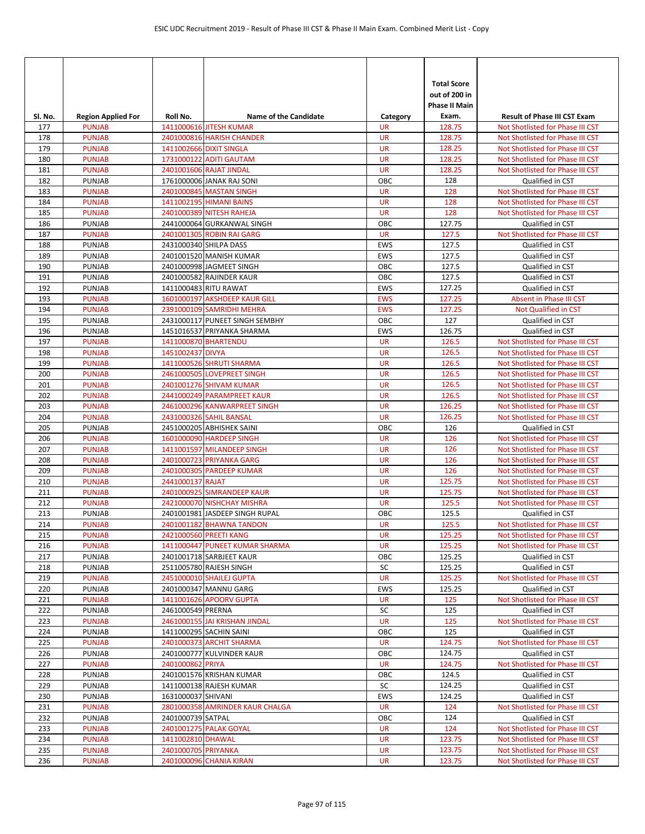| Sl. No.    | <b>Region Applied For</b>      | Roll No.            | <b>Name of the Candidate</b>                             | Category               | <b>Total Score</b><br>out of 200 in<br><b>Phase II Main</b><br>Exam. | <b>Result of Phase III CST Exam</b>                                  |
|------------|--------------------------------|---------------------|----------------------------------------------------------|------------------------|----------------------------------------------------------------------|----------------------------------------------------------------------|
| 177        | <b>PUNJAB</b>                  |                     | 1411000616 JITESH KUMAR                                  | <b>UR</b>              | 128.75                                                               | Not Shotlisted for Phase III CST                                     |
| 178        | <b>PUNJAB</b>                  |                     | 2401000816 HARISH CHANDER                                | <b>UR</b>              | 128.75                                                               | Not Shotlisted for Phase III CST                                     |
| 179        | <b>PUNJAB</b>                  |                     | 1411002666 DIXIT SINGLA                                  | <b>UR</b>              | 128.25                                                               | Not Shotlisted for Phase III CST                                     |
| 180        | <b>PUNJAB</b>                  |                     | 1731000122 ADITI GAUTAM                                  | <b>UR</b>              | 128.25                                                               | Not Shotlisted for Phase III CST                                     |
| 181        | <b>PUNJAB</b>                  |                     | 2401001606 RAJAT JINDAL                                  | <b>UR</b>              | 128.25                                                               | Not Shotlisted for Phase III CST                                     |
| 182        | <b>PUNJAB</b>                  |                     | 1761000006 JANAK RAJ SONI                                | OBC                    | 128                                                                  | Qualified in CST                                                     |
| 183        | <b>PUNJAB</b>                  |                     | 2401000845 MASTAN SINGH                                  | <b>UR</b>              | 128                                                                  | Not Shotlisted for Phase III CST                                     |
| 184        | <b>PUNJAB</b>                  |                     | 1411002195 HIMANI BAINS                                  | <b>UR</b>              | 128                                                                  | Not Shotlisted for Phase III CST                                     |
| 185        | <b>PUNJAB</b>                  |                     | 2401000389 NITESH RAHEJA                                 | <b>UR</b>              | 128                                                                  | Not Shotlisted for Phase III CST                                     |
| 186        | PUNJAB                         |                     | 2441000064 GURKANWAL SINGH                               | OBC                    | 127.75                                                               | Qualified in CST                                                     |
| 187        | <b>PUNJAB</b>                  |                     | 2401001305 ROBIN RAI GARG                                | <b>UR</b>              | 127.5                                                                | Not Shotlisted for Phase III CST                                     |
| 188<br>189 | <b>PUNJAB</b><br><b>PUNJAB</b> |                     | 2431000340 SHILPA DASS<br>2401001520 MANISH KUMAR        | <b>EWS</b><br>EWS      | 127.5<br>127.5                                                       | Qualified in CST                                                     |
| 190        | <b>PUNJAB</b>                  |                     | 2401000998 JAGMEET SINGH                                 | OBC                    | 127.5                                                                | Qualified in CST<br>Qualified in CST                                 |
| 191        | <b>PUNJAB</b>                  |                     | 2401000582 RAJINDER KAUR                                 | OBC                    | 127.5                                                                | Qualified in CST                                                     |
| 192        | <b>PUNJAB</b>                  |                     | 1411000483 RITU RAWAT                                    | EWS                    | 127.25                                                               | Qualified in CST                                                     |
| 193        | <b>PUNJAB</b>                  |                     | 1601000197 AKSHDEEP KAUR GILL                            | <b>EWS</b>             | 127.25                                                               | Absent in Phase III CST                                              |
| 194        | <b>PUNJAB</b>                  |                     | 2391000109 SAMRIDHI MEHRA                                | <b>EWS</b>             | 127.25                                                               | Not Qualified in CST                                                 |
| 195        | <b>PUNJAB</b>                  |                     | 2431000117 PUNEET SINGH SEMBHY                           | OBC                    | 127                                                                  | Qualified in CST                                                     |
| 196        | <b>PUNJAB</b>                  |                     | 1451016537 PRIYANKA SHARMA                               | EWS                    | 126.75                                                               | Qualified in CST                                                     |
| 197        | <b>PUNJAB</b>                  |                     | 1411000870 BHARTENDU                                     | <b>UR</b>              | 126.5                                                                | Not Shotlisted for Phase III CST                                     |
| 198        | <b>PUNJAB</b>                  | 1451002437 DIVYA    |                                                          | <b>UR</b>              | 126.5                                                                | Not Shotlisted for Phase III CST                                     |
| 199        | <b>PUNJAB</b>                  |                     | 1411000526 SHRUTI SHARMA                                 | <b>UR</b>              | 126.5                                                                | Not Shotlisted for Phase III CST                                     |
| 200        | <b>PUNJAB</b>                  |                     | 2461000505 LOVEPREET SINGH                               | <b>UR</b>              | 126.5                                                                | Not Shotlisted for Phase III CST                                     |
| 201        | <b>PUNJAB</b>                  |                     | 2401001276 SHIVAM KUMAR                                  | <b>UR</b>              | 126.5                                                                | Not Shotlisted for Phase III CST                                     |
| 202        | <b>PUNJAB</b>                  |                     | 2441000249 PARAMPREET KAUR                               | <b>UR</b>              | 126.5                                                                | Not Shotlisted for Phase III CST                                     |
| 203        | <b>PUNJAB</b>                  |                     | 2461000296 KANWARPREET SINGH                             | <b>UR</b>              | 126.25                                                               | Not Shotlisted for Phase III CST                                     |
| 204        | <b>PUNJAB</b>                  |                     | 2431000326 SAHIL BANSAL                                  | <b>UR</b>              | 126.25                                                               | Not Shotlisted for Phase III CST                                     |
| 205        | <b>PUNJAB</b>                  |                     | 2451000205 ABHISHEK SAINI                                | OBC                    | 126                                                                  | Qualified in CST                                                     |
| 206        | <b>PUNJAB</b>                  |                     | 1601000090 HARDEEP SINGH                                 | <b>UR</b>              | 126                                                                  | Not Shotlisted for Phase III CST                                     |
| 207<br>208 | <b>PUNJAB</b><br><b>PUNJAB</b> |                     | 1411001597 MILANDEEP SINGH                               | <b>UR</b><br><b>UR</b> | 126<br>126                                                           | Not Shotlisted for Phase III CST<br>Not Shotlisted for Phase III CST |
| 209        | <b>PUNJAB</b>                  |                     | 2401000723 PRIYANKA GARG<br>2401000305 PARDEEP KUMAR     | <b>UR</b>              | 126                                                                  | Not Shotlisted for Phase III CST                                     |
| 210        | <b>PUNJAB</b>                  | 2441000137 RAJAT    |                                                          | <b>UR</b>              | 125.75                                                               | Not Shotlisted for Phase III CST                                     |
| 211        | <b>PUNJAB</b>                  |                     | 2401000925 SIMRANDEEP KAUR                               | <b>UR</b>              | 125.75                                                               | Not Shotlisted for Phase III CST                                     |
| 212        | <b>PUNJAB</b>                  |                     | 2421000070 NISHCHAY MISHRA                               | <b>UR</b>              | 125.5                                                                | Not Shotlisted for Phase III CST                                     |
| 213        | <b>PUNJAB</b>                  |                     | 2401001981 JASDEEP SINGH RUPAL                           | OBC                    | 125.5                                                                | Qualified in CST                                                     |
| 214        | <b>PUNJAB</b>                  |                     | 2401001182 BHAWNA TANDON                                 | <b>UR</b>              | 125.5                                                                | Not Shotlisted for Phase III CST                                     |
| 215        | <b>PUNJAB</b>                  |                     | 2421000560 PREETI KANG                                   | <b>UR</b>              | 125.25                                                               | Not Shotlisted for Phase III CST                                     |
| 216        | <b>PUNJAB</b>                  |                     | 1411000447 PUNEET KUMAR SHARMA                           | <b>UR</b>              | 125.25                                                               | Not Shotlisted for Phase III CST                                     |
| 217        | <b>PUNJAB</b>                  |                     | 2401001718 SARBJEET KAUR                                 | OBC                    | 125.25                                                               | Qualified in CST                                                     |
| 218        | <b>PUNJAB</b>                  |                     | 2511005780 RAJESH SINGH                                  | SC                     | 125.25                                                               | Qualified in CST                                                     |
| 219        | <b>PUNJAB</b>                  |                     | 2451000010 SHAILEJ GUPTA                                 | <b>UR</b>              | 125.25                                                               | Not Shotlisted for Phase III CST                                     |
| 220        | <b>PUNJAB</b>                  |                     | 2401000347 MANNU GARG                                    | EWS                    | 125.25                                                               | Qualified in CST                                                     |
| 221        | <b>PUNJAB</b>                  |                     | 1411001626 APOORV GUPTA                                  | <b>UR</b>              | 125                                                                  | Not Shotlisted for Phase III CST                                     |
| 222        | <b>PUNJAB</b><br><b>PUNJAB</b> | 2461000549 PRERNA   |                                                          | SC                     | 125                                                                  | Qualified in CST                                                     |
| 223<br>224 | PUNJAB                         |                     | 2461000155 JAI KRISHAN JINDAL<br>1411000295 SACHIN SAINI | <b>UR</b><br>OBC       | 125<br>125                                                           | Not Shotlisted for Phase III CST<br>Qualified in CST                 |
| 225        | <b>PUNJAB</b>                  |                     | 2401000373 ARCHIT SHARMA                                 | <b>UR</b>              | 124.75                                                               | Not Shotlisted for Phase III CST                                     |
| 226        | PUNJAB                         |                     | 2401000777 KULVINDER KAUR                                | OBC                    | 124.75                                                               | Qualified in CST                                                     |
| 227        | <b>PUNJAB</b>                  | 2401000862 PRIYA    |                                                          | <b>UR</b>              | 124.75                                                               | Not Shotlisted for Phase III CST                                     |
| 228        | <b>PUNJAB</b>                  |                     | 2401001576 KRISHAN KUMAR                                 | ОВС                    | 124.5                                                                | Qualified in CST                                                     |
| 229        | PUNJAB                         |                     | 1411000138 RAJESH KUMAR                                  | SC                     | 124.25                                                               | Qualified in CST                                                     |
| 230        | <b>PUNJAB</b>                  | 1631000037 SHIVANI  |                                                          | EWS                    | 124.25                                                               | Qualified in CST                                                     |
| 231        | <b>PUNJAB</b>                  |                     | 2801000358 AMRINDER KAUR CHALGA                          | <b>UR</b>              | 124                                                                  | Not Shotlisted for Phase III CST                                     |
| 232        | <b>PUNJAB</b>                  | 2401000739 SATPAL   |                                                          | OBC                    | 124                                                                  | Qualified in CST                                                     |
| 233        | <b>PUNJAB</b>                  |                     | 2401001275 PALAK GOYAL                                   | UR                     | 124                                                                  | Not Shotlisted for Phase III CST                                     |
| 234        | <b>PUNJAB</b>                  | 1411002810 DHAWAL   |                                                          | UR                     | 123.75                                                               | Not Shotlisted for Phase III CST                                     |
| 235        | <b>PUNJAB</b>                  | 2401000705 PRIYANKA |                                                          | <b>UR</b>              | 123.75                                                               | Not Shotlisted for Phase III CST                                     |
| 236        | <b>PUNJAB</b>                  |                     | 2401000096 CHANIA KIRAN                                  | <b>UR</b>              | 123.75                                                               | Not Shotlisted for Phase III CST                                     |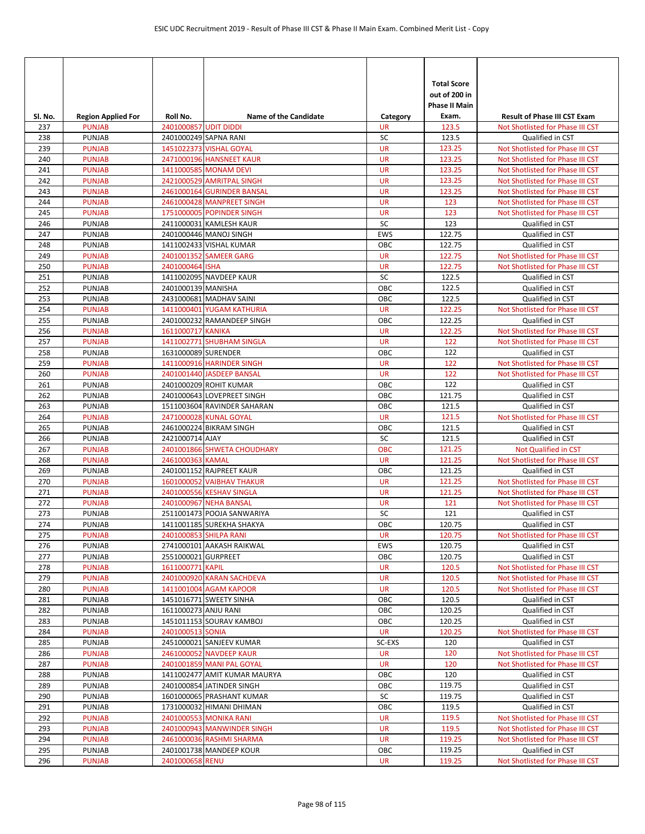| SI. No.    | <b>Region Applied For</b>      | Roll No.              | <b>Name of the Candidate</b>                           | Category               | <b>Total Score</b><br>out of 200 in<br><b>Phase II Main</b><br>Exam. | <b>Result of Phase III CST Exam</b>                                  |
|------------|--------------------------------|-----------------------|--------------------------------------------------------|------------------------|----------------------------------------------------------------------|----------------------------------------------------------------------|
| 237        | <b>PUNJAB</b>                  | 2401000857 UDIT DIDDI |                                                        | <b>UR</b>              | 123.5                                                                | Not Shotlisted for Phase III CST                                     |
| 238        | <b>PUNJAB</b>                  |                       | 2401000249 SAPNA RANI                                  | SC                     | 123.5                                                                | Qualified in CST                                                     |
| 239        | <b>PUNJAB</b>                  |                       | 1451022373 VISHAL GOYAL                                | <b>UR</b>              | 123.25                                                               | Not Shotlisted for Phase III CST                                     |
| 240        | <b>PUNJAB</b>                  |                       | 2471000196 HANSNEET KAUR                               | <b>UR</b>              | 123.25                                                               | Not Shotlisted for Phase III CST                                     |
| 241        | <b>PUNJAB</b>                  |                       | 1411000585 MONAM DEVI                                  | <b>UR</b>              | 123.25                                                               | Not Shotlisted for Phase III CST                                     |
| 242        | <b>PUNJAB</b>                  |                       | 2421000529 AMRITPAL SINGH                              | <b>UR</b>              | 123.25                                                               | Not Shotlisted for Phase III CST                                     |
| 243        | <b>PUNJAB</b>                  |                       | 2461000164 GURINDER BANSAL                             | <b>UR</b>              | 123.25                                                               | Not Shotlisted for Phase III CST                                     |
| 244<br>245 | <b>PUNJAB</b><br><b>PUNJAB</b> |                       | 2461000428 MANPREET SINGH<br>1751000005 POPINDER SINGH | <b>UR</b><br><b>UR</b> | 123<br>123                                                           | Not Shotlisted for Phase III CST<br>Not Shotlisted for Phase III CST |
| 246        | <b>PUNJAB</b>                  |                       | 2411000031 KAMLESH KAUR                                | SC                     | 123                                                                  | Qualified in CST                                                     |
| 247        | <b>PUNJAB</b>                  |                       | 2401000446 MANOJ SINGH                                 | <b>EWS</b>             | 122.75                                                               | Qualified in CST                                                     |
| 248        | PUNJAB                         |                       | 1411002433 VISHAL KUMAR                                | OBC                    | 122.75                                                               | Qualified in CST                                                     |
| 249        | <b>PUNJAB</b>                  |                       | 2401001352 SAMEER GARG                                 | <b>UR</b>              | 122.75                                                               | Not Shotlisted for Phase III CST                                     |
| 250        | <b>PUNJAB</b>                  | 2401000464 ISHA       |                                                        | <b>UR</b>              | 122.75                                                               | Not Shotlisted for Phase III CST                                     |
| 251        | <b>PUNJAB</b>                  |                       | 1411002095 NAVDEEP KAUR                                | SC                     | 122.5                                                                | Qualified in CST                                                     |
| 252        | <b>PUNJAB</b>                  | 2401000139 MANISHA    |                                                        | OBC                    | 122.5                                                                | Qualified in CST                                                     |
| 253        | <b>PUNJAB</b>                  |                       | 2431000681 MADHAV SAINI                                | OBC                    | 122.5                                                                | Qualified in CST                                                     |
| 254        | <b>PUNJAB</b>                  |                       | 1411000401 YUGAM KATHURIA                              | <b>UR</b>              | 122.25                                                               | Not Shotlisted for Phase III CST                                     |
| 255        | PUNJAB                         |                       | 2401000232 RAMANDEEP SINGH                             | OBC                    | 122.25                                                               | Qualified in CST                                                     |
| 256        | <b>PUNJAB</b>                  | 1611000717 KANIKA     |                                                        | <b>UR</b>              | 122.25                                                               | Not Shotlisted for Phase III CST                                     |
| 257        | <b>PUNJAB</b>                  |                       | 1411002771 SHUBHAM SINGLA                              | <b>UR</b>              | 122                                                                  | Not Shotlisted for Phase III CST                                     |
| 258        | <b>PUNJAB</b>                  | 1631000089 SURENDER   |                                                        | OBC                    | 122                                                                  | Qualified in CST                                                     |
| 259        | <b>PUNJAB</b>                  |                       | 1411000916 HARINDER SINGH                              | <b>UR</b>              | 122                                                                  | Not Shotlisted for Phase III CST                                     |
| 260        | <b>PUNJAB</b>                  |                       | 2401001440 JASDEEP BANSAL                              | <b>UR</b>              | 122                                                                  | Not Shotlisted for Phase III CST                                     |
| 261        | PUNJAB                         |                       | 2401000209 ROHIT KUMAR                                 | OBC                    | 122                                                                  | Qualified in CST                                                     |
| 262        | <b>PUNJAB</b>                  |                       | 2401000643 LOVEPREET SINGH                             | OBC                    | 121.75                                                               | Qualified in CST                                                     |
| 263        | <b>PUNJAB</b>                  |                       | 1511003604 RAVINDER SAHARAN                            | OBC                    | 121.5                                                                | Qualified in CST                                                     |
| 264        | <b>PUNJAB</b>                  |                       | 2471000028 KUNAL GOYAL                                 | <b>UR</b>              | 121.5                                                                | Not Shotlisted for Phase III CST                                     |
| 265        | PUNJAB                         |                       | 2461000224 BIKRAM SINGH                                | OBC                    | 121.5                                                                | Qualified in CST                                                     |
| 266        | <b>PUNJAB</b>                  | 2421000714 AJAY       |                                                        | SC                     | 121.5                                                                | Qualified in CST                                                     |
| 267        | <b>PUNJAB</b>                  |                       | 2401001866 SHWETA CHOUDHARY                            | <b>OBC</b>             | 121.25                                                               | Not Qualified in CST                                                 |
| 268        | <b>PUNJAB</b>                  | 2461000363 KAMAL      |                                                        | <b>UR</b>              | 121.25                                                               | Not Shotlisted for Phase III CST                                     |
| 269        | <b>PUNJAB</b>                  |                       | 2401001152 RAJPREET KAUR                               | OBC                    | 121.25                                                               | Qualified in CST                                                     |
| 270        | <b>PUNJAB</b>                  |                       | 1601000052 VAIBHAV THAKUR                              | <b>UR</b>              | 121.25                                                               | Not Shotlisted for Phase III CST                                     |
| 271        | <b>PUNJAB</b>                  |                       | 2401000556 KESHAV SINGLA                               | <b>UR</b>              | 121.25                                                               | Not Shotlisted for Phase III CST                                     |
| 272        | <b>PUNJAB</b>                  |                       | 2401000967 NEHA BANSAL                                 | <b>UR</b>              | 121                                                                  | Not Shotlisted for Phase III CST                                     |
| 273        | <b>PUNJAB</b>                  |                       | 2511001473 POOJA SANWARIYA                             | SC                     | 121                                                                  | Qualified in CST                                                     |
| 274        | PUNJAB                         |                       | 1411001185 SUREKHA SHAKYA                              | OBC                    | 120.75                                                               | Qualified in CST                                                     |
| 275        | <b>PUNJAB</b>                  |                       | 2401000853 SHILPA RANI                                 | UR                     | 120.75                                                               | Not Shotlisted for Phase III CST                                     |
| 276        | <b>PUNJAB</b>                  |                       | 2741000101 AAKASH RAIKWAL                              | EWS                    | 120.75                                                               | Qualified in CST                                                     |
| 277        | PUNJAB                         | 2551000021 GURPREET   |                                                        | ОВС                    | 120.75                                                               | Qualified in CST                                                     |
| 278        | <b>PUNJAB</b>                  | 1611000771 KAPIL      |                                                        | <b>UR</b>              | 120.5                                                                | Not Shotlisted for Phase III CST                                     |
| 279        | <b>PUNJAB</b>                  |                       | 2401000920 KARAN SACHDEVA                              | <b>UR</b>              | 120.5<br>120.5                                                       | Not Shotlisted for Phase III CST                                     |
| 280        | <b>PUNJAB</b>                  |                       | 1411001004 AGAM KAPOOR                                 | <b>UR</b>              | 120.5                                                                | Not Shotlisted for Phase III CST                                     |
| 281<br>282 | PUNJAB<br>PUNJAB               | 1611000273 ANJU RANI  | 1451016771 SWEETY SINHA                                | OBC<br>ОВС             | 120.25                                                               | Qualified in CST<br>Qualified in CST                                 |
| 283        | <b>PUNJAB</b>                  |                       | 1451011153 SOURAV KAMBOJ                               | OBC                    | 120.25                                                               | Qualified in CST                                                     |
| 284        | <b>PUNJAB</b>                  | 2401000513 SONIA      |                                                        | <b>UR</b>              | 120.25                                                               | Not Shotlisted for Phase III CST                                     |
| 285        | <b>PUNJAB</b>                  |                       | 2451000021 SANJEEV KUMAR                               | SC-EXS                 | 120                                                                  | Qualified in CST                                                     |
| 286        | <b>PUNJAB</b>                  |                       | 2461000052 NAVDEEP KAUR                                | <b>UR</b>              | 120                                                                  | Not Shotlisted for Phase III CST                                     |
| 287        | <b>PUNJAB</b>                  |                       | 2401001859 MANI PAL GOYAL                              | UR                     | 120                                                                  | Not Shotlisted for Phase III CST                                     |
| 288        | PUNJAB                         |                       | 1411002477 AMIT KUMAR MAURYA                           | ОВС                    | 120                                                                  | Qualified in CST                                                     |
| 289        | <b>PUNJAB</b>                  |                       | 2401000854 JATINDER SINGH                              | OBC                    | 119.75                                                               | Qualified in CST                                                     |
| 290        | PUNJAB                         |                       | 1601000065 PRASHANT KUMAR                              | SC                     | 119.75                                                               | Qualified in CST                                                     |
| 291        | PUNJAB                         |                       | 1731000032 HIMANI DHIMAN                               | OBC                    | 119.5                                                                | Qualified in CST                                                     |
| 292        | <b>PUNJAB</b>                  |                       | 2401000553 MONIKA RANI                                 | <b>UR</b>              | 119.5                                                                | Not Shotlisted for Phase III CST                                     |
| 293        | <b>PUNJAB</b>                  |                       | 2401000943 MANWINDER SINGH                             | <b>UR</b>              | 119.5                                                                | Not Shotlisted for Phase III CST                                     |
| 294        | <b>PUNJAB</b>                  |                       | 2461000036 RASHMI SHARMA                               | <b>UR</b>              | 119.25                                                               | Not Shotlisted for Phase III CST                                     |
| 295        | PUNJAB                         |                       | 2401001738 MANDEEP KOUR                                | ОВС                    | 119.25                                                               | Qualified in CST                                                     |
| 296        | <b>PUNJAB</b>                  | 2401000658 RENU       |                                                        | <b>UR</b>              | 119.25                                                               | Not Shotlisted for Phase III CST                                     |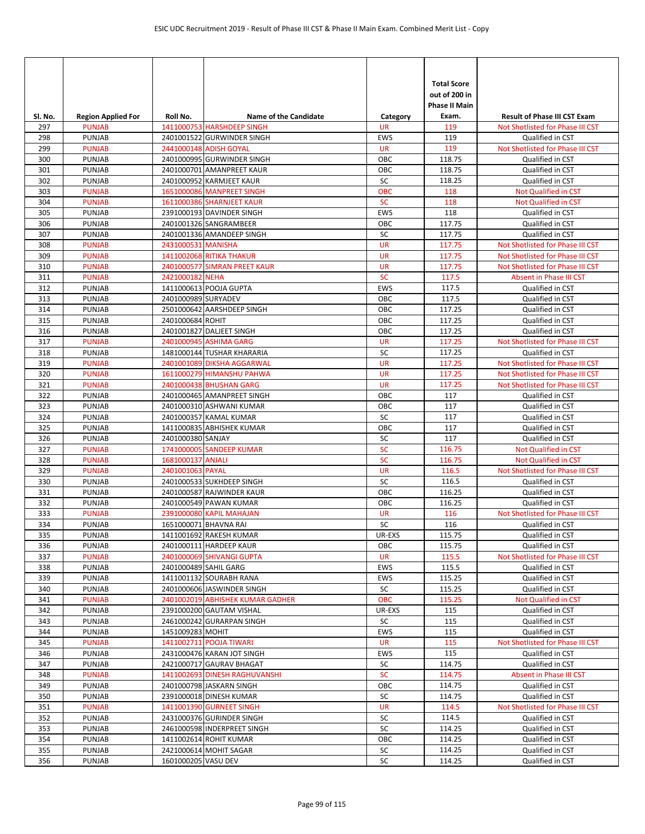| Sl. No.    | <b>Region Applied For</b>      | Roll No.            | <b>Name of the Candidate</b>                        | Category         | <b>Total Score</b><br>out of 200 in<br><b>Phase II Main</b><br>Exam. | <b>Result of Phase III CST Exam</b>  |
|------------|--------------------------------|---------------------|-----------------------------------------------------|------------------|----------------------------------------------------------------------|--------------------------------------|
| 297        | <b>PUNJAB</b>                  |                     | 1411000753 HARSHDEEP SINGH                          | <b>UR</b>        | 119                                                                  | Not Shotlisted for Phase III CST     |
| 298        | <b>PUNJAB</b>                  |                     | 2401001522 GURWINDER SINGH                          | EWS              | 119                                                                  | Qualified in CST                     |
| 299        | <b>PUNJAB</b>                  |                     | 2441000148 ADISH GOYAL                              | <b>UR</b>        | 119                                                                  | Not Shotlisted for Phase III CST     |
| 300        | <b>PUNJAB</b>                  |                     | 2401000995 GURWINDER SINGH                          | OBC              | 118.75                                                               | Qualified in CST                     |
| 301        | <b>PUNJAB</b>                  |                     | 2401000701 AMANPREET KAUR                           | OBC              | 118.75                                                               | Qualified in CST                     |
| 302        | <b>PUNJAB</b>                  |                     | 2401000952 KARMJEET KAUR                            | SC               | 118.25                                                               | Qualified in CST                     |
| 303        | <b>PUNJAB</b>                  |                     | 1651000086 MANPREET SINGH                           | OBC              | 118                                                                  | Not Qualified in CST                 |
| 304<br>305 | <b>PUNJAB</b><br><b>PUNJAB</b> |                     | 1611000386 SHARNJEET KAUR                           | <b>SC</b><br>EWS | 118<br>118                                                           | Not Qualified in CST                 |
| 306        | <b>PUNJAB</b>                  |                     | 2391000193 DAVINDER SINGH<br>2401001326 SANGRAMBEER | OBC              | 117.75                                                               | Qualified in CST<br>Qualified in CST |
| 307        | <b>PUNJAB</b>                  |                     | 2401001336 AMANDEEP SINGH                           | SC               | 117.75                                                               | Qualified in CST                     |
| 308        | <b>PUNJAB</b>                  | 2431000531 MANISHA  |                                                     | <b>UR</b>        | 117.75                                                               | Not Shotlisted for Phase III CST     |
| 309        | <b>PUNJAB</b>                  |                     | <b>1411002068 RITIKA THAKUR</b>                     | <b>UR</b>        | 117.75                                                               | Not Shotlisted for Phase III CST     |
| 310        | <b>PUNJAB</b>                  |                     | 2401000577 SIMRAN PREET KAUR                        | <b>UR</b>        | 117.75                                                               | Not Shotlisted for Phase III CST     |
| 311        | <b>PUNJAB</b>                  | 2421000182 NEHA     |                                                     | <b>SC</b>        | 117.5                                                                | Absent in Phase III CST              |
| 312        | <b>PUNJAB</b>                  |                     | 1411000613 POOJA GUPTA                              | EWS              | 117.5                                                                | Qualified in CST                     |
| 313        | <b>PUNJAB</b>                  | 2401000989 SURYADEV |                                                     | OBC              | 117.5                                                                | Qualified in CST                     |
| 314        | <b>PUNJAB</b>                  |                     | 2501000642 AARSHDEEP SINGH                          | OBC              | 117.25                                                               | Qualified in CST                     |
| 315        | <b>PUNJAB</b>                  | 2401000684 ROHIT    |                                                     | OBC              | 117.25                                                               | Qualified in CST                     |
| 316        | <b>PUNJAB</b>                  |                     | 2401001827 DALJEET SINGH                            | OBC              | 117.25                                                               | Qualified in CST                     |
| 317        | <b>PUNJAB</b>                  |                     | 2401000945 ASHIMA GARG                              | <b>UR</b>        | 117.25                                                               | Not Shotlisted for Phase III CST     |
| 318        | <b>PUNJAB</b>                  |                     | 1481000144 TUSHAR KHARARIA                          | SC               | 117.25                                                               | Qualified in CST                     |
| 319        | <b>PUNJAB</b>                  |                     | 2401001089 DIKSHA AGGARWAL                          | <b>UR</b>        | 117.25                                                               | Not Shotlisted for Phase III CST     |
| 320        | <b>PUNJAB</b>                  |                     | 1611000279 HIMANSHU PAHWA                           | <b>UR</b>        | 117.25                                                               | Not Shotlisted for Phase III CST     |
| 321        | <b>PUNJAB</b>                  |                     | 2401000438 BHUSHAN GARG                             | <b>UR</b>        | 117.25                                                               | Not Shotlisted for Phase III CST     |
| 322        | <b>PUNJAB</b>                  |                     | 2401000465 AMANPREET SINGH                          | OBC              | 117                                                                  | Qualified in CST                     |
| 323        | <b>PUNJAB</b>                  |                     | 2401000310 ASHWANI KUMAR                            | OBC              | 117                                                                  | Qualified in CST                     |
| 324        | <b>PUNJAB</b>                  |                     | 2401000357 KAMAL KUMAR                              | SC               | 117                                                                  | Qualified in CST                     |
| 325        | <b>PUNJAB</b>                  |                     | 1411000835 ABHISHEK KUMAR                           | OBC              | 117                                                                  | Qualified in CST                     |
| 326        | <b>PUNJAB</b>                  | 2401000380 SANJAY   |                                                     | SC               | 117                                                                  | Qualified in CST                     |
| 327        | <b>PUNJAB</b>                  |                     | 1741000005 SANDEEP KUMAR                            | SC               | 116.75                                                               | Not Qualified in CST                 |
| 328        | <b>PUNJAB</b>                  | 1681000137 ANJALI   |                                                     | SC               | 116.75                                                               | Not Qualified in CST                 |
| 329        | <b>PUNJAB</b>                  | 2401001063 PAYAL    |                                                     | <b>UR</b>        | 116.5                                                                | Not Shotlisted for Phase III CST     |
| 330        | <b>PUNJAB</b>                  |                     | 2401000533 SUKHDEEP SINGH                           | SC               | 116.5                                                                | Qualified in CST                     |
| 331        | <b>PUNJAB</b><br><b>PUNJAB</b> |                     | 2401000587 RAJWINDER KAUR<br>2401000549 PAWAN KUMAR | OBC<br>OBC       | 116.25<br>116.25                                                     | Qualified in CST<br>Qualified in CST |
| 332<br>333 | <b>PUNJAB</b>                  |                     | 2391000080 KAPIL MAHAJAN                            | <b>UR</b>        | 116                                                                  | Not Shotlisted for Phase III CST     |
| 334        | PUNJAB                         |                     | 1651000071 BHAVNA RAI                               | SC               | 116                                                                  | Qualified in CST                     |
| 335        | PUNJAB                         |                     | 1411001692 RAKESH KUMAR                             | UR-EXS           | 115.75                                                               | Qualified in CST                     |
| 336        | PUNJAB                         |                     | 2401000111 HARDEEP KAUR                             | OBC              | 115.75                                                               | Qualified in CST                     |
| 337        | <b>PUNJAB</b>                  |                     | 2401000069 SHIVANGI GUPTA                           | <b>UR</b>        | 115.5                                                                | Not Shotlisted for Phase III CST     |
| 338        | PUNJAB                         |                     | 2401000489 SAHIL GARG                               | EWS              | 115.5                                                                | Qualified in CST                     |
| 339        | PUNJAB                         |                     | 1411001132 SOURABH RANA                             | <b>EWS</b>       | 115.25                                                               | Qualified in CST                     |
| 340        | PUNJAB                         |                     | 2401000606 JASWINDER SINGH                          | SC               | 115.25                                                               | Qualified in CST                     |
| 341        | <b>PUNJAB</b>                  |                     | 2401002019 ABHISHEK KUMAR GADHER                    | OBC              | 115.25                                                               | Not Qualified in CST                 |
| 342        | PUNJAB                         |                     | 2391000200 GAUTAM VISHAL                            | UR-EXS           | 115                                                                  | Qualified in CST                     |
| 343        | PUNJAB                         |                     | 2461000242 GURARPAN SINGH                           | SC               | 115                                                                  | Qualified in CST                     |
| 344        | PUNJAB                         | 1451009283 MOHIT    |                                                     | EWS              | 115                                                                  | Qualified in CST                     |
| 345        | <b>PUNJAB</b>                  |                     | 1411002711 POOJA TIWARI                             | <b>UR</b>        | 115                                                                  | Not Shotlisted for Phase III CST     |
| 346        | <b>PUNJAB</b>                  |                     | 2431000476 KARAN JOT SINGH                          | EWS              | 115                                                                  | Qualified in CST                     |
| 347        | PUNJAB                         |                     | 2421000717 GAURAV BHAGAT                            | SC               | 114.75                                                               | Qualified in CST                     |
| 348        | <b>PUNJAB</b>                  |                     | 1411002693 DINESH RAGHUVANSHI                       | <b>SC</b>        | 114.75                                                               | Absent in Phase III CST              |
| 349        | <b>PUNJAB</b>                  |                     | 2401000798 JASKARN SINGH                            | OBC              | 114.75                                                               | Qualified in CST                     |
| 350        | PUNJAB                         |                     | 2391000018 DINESH KUMAR                             | SC               | 114.75                                                               | Qualified in CST                     |
| 351        | <b>PUNJAB</b>                  |                     | 1411001390 GURNEET SINGH                            | <b>UR</b>        | 114.5                                                                | Not Shotlisted for Phase III CST     |
| 352        | PUNJAB                         |                     | 2431000376 GURINDER SINGH                           | SC               | 114.5                                                                | Qualified in CST                     |
| 353        | <b>PUNJAB</b>                  |                     | 2461000598 INDERPREET SINGH                         | SC               | 114.25                                                               | Qualified in CST                     |
| 354        | <b>PUNJAB</b>                  |                     | 1411002614 ROHIT KUMAR                              | OBC              | 114.25                                                               | Qualified in CST                     |
| 355        | <b>PUNJAB</b>                  |                     | 2421000614 MOHIT SAGAR                              | SC               | 114.25                                                               | Qualified in CST                     |
| 356        | <b>PUNJAB</b>                  | 1601000205 VASU DEV |                                                     | SC               | 114.25                                                               | Qualified in CST                     |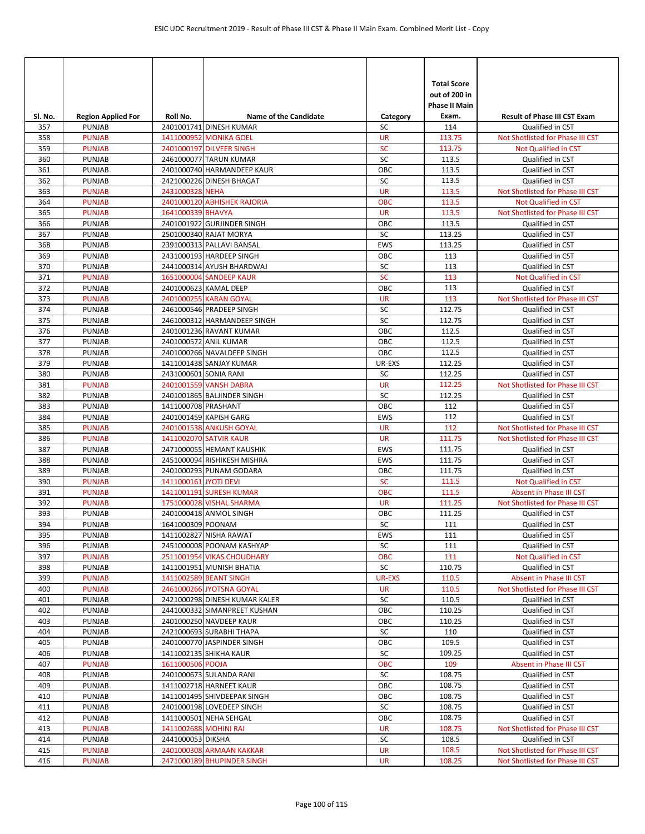| Sl. No.    | <b>Region Applied For</b> | Roll No.              | <b>Name of the Candidate</b>                            | Category      | <b>Total Score</b><br>out of 200 in<br><b>Phase II Main</b><br>Exam. | <b>Result of Phase III CST Exam</b>  |
|------------|---------------------------|-----------------------|---------------------------------------------------------|---------------|----------------------------------------------------------------------|--------------------------------------|
| 357        | <b>PUNJAB</b>             |                       | 2401001741 DINESH KUMAR                                 | SC            | 114                                                                  | Qualified in CST                     |
| 358        | <b>PUNJAB</b>             |                       | 1411000952 MONIKA GOEL                                  | <b>UR</b>     | 113.75                                                               | Not Shotlisted for Phase III CST     |
| 359        | <b>PUNJAB</b>             |                       | 2401000197 DILVEER SINGH                                | SC            | 113.75                                                               | Not Qualified in CST                 |
| 360        | <b>PUNJAB</b>             |                       | 2461000077 TARUN KUMAR                                  | SC            | 113.5                                                                | Qualified in CST                     |
| 361        | <b>PUNJAB</b>             |                       | 2401000740 HARMANDEEP KAUR                              | OBC           | 113.5                                                                | Qualified in CST                     |
| 362        | <b>PUNJAB</b>             |                       | 2421000226 DINESH BHAGAT                                | SC            | 113.5                                                                | Qualified in CST                     |
| 363        | <b>PUNJAB</b>             | 2431000328 NEHA       |                                                         | <b>UR</b>     | 113.5                                                                | Not Shotlisted for Phase III CST     |
| 364        | <b>PUNJAB</b>             |                       | 2401000120 ABHISHEK RAJORIA                             | OBC           | 113.5                                                                | <b>Not Qualified in CST</b>          |
| 365        | <b>PUNJAB</b>             | 1641000339 BHAVYA     |                                                         | <b>UR</b>     | 113.5                                                                | Not Shotlisted for Phase III CST     |
| 366        | <b>PUNJAB</b>             |                       | 2401001922 GURJINDER SINGH                              | OBC           | 113.5                                                                | Qualified in CST                     |
| 367        | <b>PUNJAB</b>             |                       | 2501000340 RAJAT MORYA                                  | SC            | 113.25                                                               | Qualified in CST                     |
| 368        | <b>PUNJAB</b>             |                       | 2391000313 PALLAVI BANSAL                               | <b>EWS</b>    | 113.25                                                               | Qualified in CST                     |
| 369        | <b>PUNJAB</b>             |                       | 2431000193 HARDEEP SINGH                                | OBC           | 113                                                                  | Qualified in CST                     |
| 370        | <b>PUNJAB</b>             |                       | 2441000314 AYUSH BHARDWAJ                               | SC            | 113                                                                  | Qualified in CST                     |
| 371        | <b>PUNJAB</b>             |                       | 1651000004 SANDEEP KAUR                                 | <b>SC</b>     | 113                                                                  | Not Qualified in CST                 |
| 372        | <b>PUNJAB</b>             |                       | 2401000623 KAMAL DEEP                                   | OBC           | 113                                                                  | Qualified in CST                     |
| 373        | <b>PUNJAB</b>             |                       | 2401000255 KARAN GOYAL                                  | <b>UR</b>     | 113                                                                  | Not Shotlisted for Phase III CST     |
| 374        | <b>PUNJAB</b>             |                       | 2461000546 PRADEEP SINGH                                | SC            | 112.75                                                               | Qualified in CST                     |
| 375        | <b>PUNJAB</b>             |                       | 2461000312 HARMANDEEP SINGH                             | SC            | 112.75                                                               | Qualified in CST                     |
| 376        | <b>PUNJAB</b>             |                       | 2401001236 RAVANT KUMAR                                 | OBC           | 112.5                                                                | Qualified in CST                     |
| 377        | <b>PUNJAB</b>             |                       | 2401000572 ANIL KUMAR                                   | OBC           | 112.5                                                                | Qualified in CST                     |
| 378        | <b>PUNJAB</b>             |                       | 2401000266 NAVALDEEP SINGH                              | OBC           | 112.5                                                                | Qualified in CST                     |
| 379        | <b>PUNJAB</b>             |                       | 1411001438 SANJAY KUMAR                                 | UR-EXS        | 112.25                                                               | Qualified in CST                     |
| 380        | PUNJAB                    | 2431000601 SONIA RANI |                                                         | SC            | 112.25                                                               | Qualified in CST                     |
| 381        | <b>PUNJAB</b>             |                       | 2401001559 VANSH DABRA                                  | <b>UR</b>     | 112.25                                                               | Not Shotlisted for Phase III CST     |
| 382        | <b>PUNJAB</b>             |                       | 2401001865 BALJINDER SINGH                              | SC            | 112.25                                                               | Qualified in CST                     |
| 383        | <b>PUNJAB</b>             | 1411000708 PRASHANT   |                                                         | OBC           | 112                                                                  | Qualified in CST                     |
| 384        | <b>PUNJAB</b>             |                       | 2401001459 KAPISH GARG                                  | EWS           | 112                                                                  | Qualified in CST                     |
| 385        | <b>PUNJAB</b>             |                       | 2401001538 ANKUSH GOYAL                                 | <b>UR</b>     | 112                                                                  | Not Shotlisted for Phase III CST     |
| 386        | <b>PUNJAB</b>             |                       | 1411002070 SATVIR KAUR                                  | <b>UR</b>     | 111.75                                                               | Not Shotlisted for Phase III CST     |
| 387        | <b>PUNJAB</b>             |                       | 2471000055 HEMANT KAUSHIK                               | EWS           | 111.75                                                               | Qualified in CST                     |
| 388        | PUNJAB                    |                       | 2451000094 RISHIKESH MISHRA                             | <b>EWS</b>    | 111.75                                                               | Qualified in CST                     |
| 389        | <b>PUNJAB</b>             |                       | 2401000293 PUNAM GODARA                                 | OBC           | 111.75                                                               | Qualified in CST                     |
| 390        | <b>PUNJAB</b>             | 1411000161 JYOTI DEVI |                                                         | SC            | 111.5                                                                | <b>Not Qualified in CST</b>          |
| 391        | <b>PUNJAB</b>             |                       | 1411001191 SURESH KUMAR                                 | OBC           | 111.5                                                                | Absent in Phase III CST              |
| 392        | <b>PUNJAB</b>             |                       | 1751000028 VISHAL SHARMA                                | <b>UR</b>     | 111.25                                                               | Not Shotlisted for Phase III CST     |
| 393        | <b>PUNJAB</b>             | 1641000309 POONAM     | 2401000418 ANMOL SINGH                                  | OBC<br>SC     | 111.25                                                               | Qualified in CST                     |
| 394        | <b>PUNJAB</b>             |                       |                                                         |               | 111                                                                  | Qualified in CST                     |
| 395        | PUNJAB<br><b>PUNJAB</b>   |                       | 1411002827 NISHA RAWAT                                  | EWS           | 111<br>111                                                           | Qualified in CST<br>Qualified in CST |
| 396        |                           |                       | 2451000008 POONAM KASHYAP<br>2511001954 VIKAS CHOUDHARY | SC            |                                                                      | Not Qualified in CST                 |
| 397<br>398 | <b>PUNJAB</b><br>PUNJAB   |                       | 1411001951 MUNISH BHATIA                                | OBC<br>SC     | 111<br>110.75                                                        | Qualified in CST                     |
| 399        | <b>PUNJAB</b>             |                       | 1411002589 BEANT SINGH                                  | <b>UR-EXS</b> | 110.5                                                                | Absent in Phase III CST              |
| 400        | <b>PUNJAB</b>             |                       | 2461000266 JYOTSNA GOYAL                                | <b>UR</b>     | 110.5                                                                | Not Shotlisted for Phase III CST     |
| 401        | PUNJAB                    |                       | 2421000298 DINESH KUMAR KALER                           | SC            | 110.5                                                                | Qualified in CST                     |
| 402        | <b>PUNJAB</b>             |                       | 2441000332 SIMANPREET KUSHAN                            | OBC           | 110.25                                                               | Qualified in CST                     |
| 403        | <b>PUNJAB</b>             |                       | 2401000250 NAVDEEP KAUR                                 | OBC           | 110.25                                                               | Qualified in CST                     |
| 404        | PUNJAB                    |                       | 2421000693 SURABHI THAPA                                | SC            | 110                                                                  | Qualified in CST                     |
| 405        | PUNJAB                    |                       | 2401000770 JASPINDER SINGH                              | OBC           | 109.5                                                                | Qualified in CST                     |
| 406        | <b>PUNJAB</b>             |                       | 1411002135 SHIKHA KAUR                                  | SC            | 109.25                                                               | Qualified in CST                     |
| 407        | <b>PUNJAB</b>             | 1611000506 POOJA      |                                                         | OBC           | 109                                                                  | Absent in Phase III CST              |
| 408        | PUNJAB                    |                       | 2401000673 SULANDA RANI                                 | SC            | 108.75                                                               | Qualified in CST                     |
| 409        | PUNJAB                    |                       | 1411002718 HARNEET KAUR                                 | OBC           | 108.75                                                               | Qualified in CST                     |
| 410        | PUNJAB                    |                       | 1411001495 SHIVDEEPAK SINGH                             | ОВС           | 108.75                                                               | Qualified in CST                     |
| 411        | PUNJAB                    |                       | 2401000198 LOVEDEEP SINGH                               | SC            | 108.75                                                               | Qualified in CST                     |
| 412        | <b>PUNJAB</b>             |                       | 1411000501 NEHA SEHGAL                                  | OBC           | 108.75                                                               | Qualified in CST                     |
| 413        | <b>PUNJAB</b>             | 1411002688 MOHINI RAI |                                                         | UR            | 108.75                                                               | Not Shotlisted for Phase III CST     |
| 414        | PUNJAB                    | 2441000053 DIKSHA     |                                                         | SC            | 108.5                                                                | Qualified in CST                     |
| 415        | <b>PUNJAB</b>             |                       | 2401000308 ARMAAN KAKKAR                                | <b>UR</b>     | 108.5                                                                | Not Shotlisted for Phase III CST     |
| 416        | <b>PUNJAB</b>             |                       | 2471000189 BHUPINDER SINGH                              | <b>UR</b>     | 108.25                                                               | Not Shotlisted for Phase III CST     |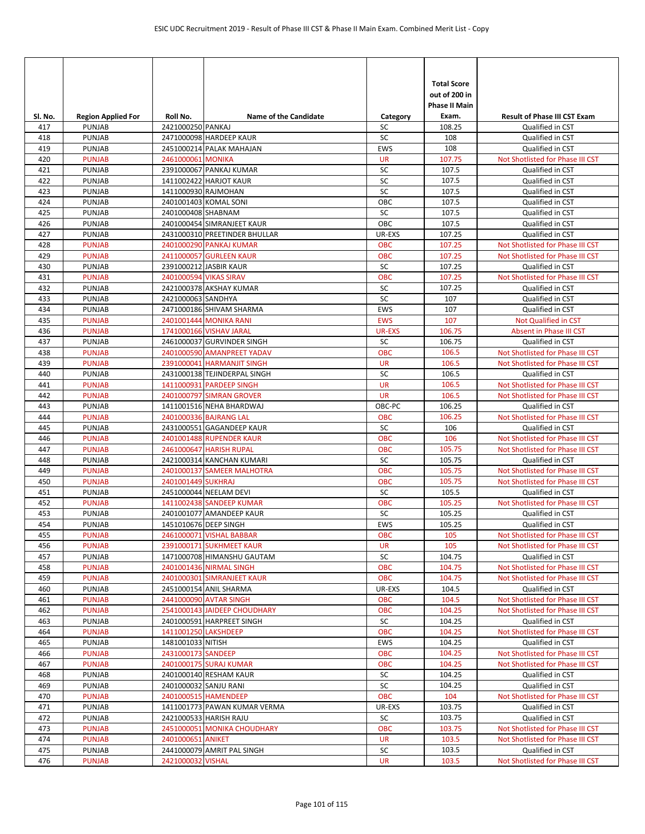| SI. No.    | <b>Region Applied For</b>      | Roll No.               | <b>Name of the Candidate</b>                             | Category         | <b>Total Score</b><br>out of 200 in<br><b>Phase II Main</b><br>Exam. | <b>Result of Phase III CST Exam</b>                  |
|------------|--------------------------------|------------------------|----------------------------------------------------------|------------------|----------------------------------------------------------------------|------------------------------------------------------|
| 417        | <b>PUNJAB</b>                  | 2421000250 PANKAJ      |                                                          | SC               | 108.25                                                               | Qualified in CST                                     |
| 418        | <b>PUNJAB</b>                  |                        | 2471000098 HARDEEP KAUR                                  | SC               | 108                                                                  | Qualified in CST                                     |
| 419        | <b>PUNJAB</b>                  |                        | 2451000214 PALAK MAHAJAN                                 | <b>EWS</b>       | 108                                                                  | Qualified in CST                                     |
| 420        | <b>PUNJAB</b>                  | 2461000061 MONIKA      |                                                          | <b>UR</b>        | 107.75                                                               | Not Shotlisted for Phase III CST                     |
| 421        | <b>PUNJAB</b>                  |                        | 2391000067 PANKAJ KUMAR                                  | SC               | 107.5                                                                | Qualified in CST                                     |
| 422        | <b>PUNJAB</b>                  |                        | 1411002422 HARJOT KAUR                                   | SC               | 107.5                                                                | Qualified in CST                                     |
| 423        | <b>PUNJAB</b>                  | 1411000930 RAJMOHAN    |                                                          | SC               | 107.5                                                                | Qualified in CST                                     |
| 424        | <b>PUNJAB</b>                  |                        | 2401001403 KOMAL SONI                                    | OBC              | 107.5                                                                | Qualified in CST                                     |
| 425        | <b>PUNJAB</b>                  | 2401000408 SHABNAM     |                                                          | SC               | 107.5                                                                | Qualified in CST                                     |
| 426        | <b>PUNJAB</b>                  |                        | 2401000454 SIMRANJEET KAUR                               | OBC              | 107.5                                                                | Qualified in CST                                     |
| 427        | <b>PUNJAB</b>                  |                        | 2431000310 PREETINDER BHULLAR                            | UR-EXS           | 107.25                                                               | Qualified in CST                                     |
| 428        | <b>PUNJAB</b>                  |                        | 2401000290 PANKAJ KUMAR                                  | <b>OBC</b>       | 107.25                                                               | Not Shotlisted for Phase III CST                     |
| 429        | <b>PUNJAB</b>                  |                        | 2411000057 GURLEEN KAUR                                  | <b>OBC</b>       | 107.25                                                               | Not Shotlisted for Phase III CST                     |
| 430        | <b>PUNJAB</b>                  |                        | 2391000212 JASBIR KAUR                                   | SC               | 107.25                                                               | Qualified in CST                                     |
| 431        | <b>PUNJAB</b>                  | 2401000594 VIKAS SIRAV |                                                          | <b>OBC</b>       | 107.25                                                               | Not Shotlisted for Phase III CST                     |
| 432        | <b>PUNJAB</b>                  |                        | 2421000378 AKSHAY KUMAR                                  | SC               | 107.25                                                               | Qualified in CST                                     |
| 433        | <b>PUNJAB</b>                  | 2421000063 SANDHYA     |                                                          | SC               | 107                                                                  | Qualified in CST                                     |
| 434        | <b>PUNJAB</b>                  |                        | 2471000186 SHIVAM SHARMA                                 | <b>EWS</b>       | 107                                                                  | Qualified in CST                                     |
| 435        | <b>PUNJAB</b>                  |                        | 2401001444 MONIKA RANI                                   | <b>EWS</b>       | 107<br>106.75                                                        | Not Qualified in CST                                 |
| 436        | <b>PUNJAB</b>                  |                        | 1741000166 VISHAV JARAL                                  | <b>UR-EXS</b>    | 106.75                                                               | Absent in Phase III CST                              |
| 437<br>438 | <b>PUNJAB</b><br><b>PUNJAB</b> |                        | 2461000037 GURVINDER SINGH                               | SC<br><b>OBC</b> | 106.5                                                                | Qualified in CST<br>Not Shotlisted for Phase III CST |
| 439        | <b>PUNJAB</b>                  |                        | 2401000590 AMANPREET YADAV<br>2391000041 HARMANJIT SINGH | <b>UR</b>        | 106.5                                                                | Not Shotlisted for Phase III CST                     |
| 440        | <b>PUNJAB</b>                  |                        | 2431000138 TEJINDERPAL SINGH                             | SC               | 106.5                                                                | Qualified in CST                                     |
| 441        | <b>PUNJAB</b>                  |                        | 1411000931 PARDEEP SINGH                                 | <b>UR</b>        | 106.5                                                                | Not Shotlisted for Phase III CST                     |
| 442        | <b>PUNJAB</b>                  |                        | 2401000797 SIMRAN GROVER                                 | <b>UR</b>        | 106.5                                                                | Not Shotlisted for Phase III CST                     |
| 443        | <b>PUNJAB</b>                  |                        | 1411001516 NEHA BHARDWAJ                                 | OBC-PC           | 106.25                                                               | Qualified in CST                                     |
| 444        | <b>PUNJAB</b>                  |                        | 2401000336 BAJRANG LAL                                   | <b>OBC</b>       | 106.25                                                               | Not Shotlisted for Phase III CST                     |
| 445        | <b>PUNJAB</b>                  |                        | 2431000551 GAGANDEEP KAUR                                | SC               | 106                                                                  | Qualified in CST                                     |
| 446        | <b>PUNJAB</b>                  |                        | 2401001488 RUPENDER KAUR                                 | <b>OBC</b>       | 106                                                                  | Not Shotlisted for Phase III CST                     |
| 447        | <b>PUNJAB</b>                  |                        | 2461000647 HARISH RUPAL                                  | OBC              | 105.75                                                               | Not Shotlisted for Phase III CST                     |
| 448        | <b>PUNJAB</b>                  |                        | 2421000314 KANCHAN KUMARI                                | SC               | 105.75                                                               | Qualified in CST                                     |
| 449        | <b>PUNJAB</b>                  |                        | 2401000137 SAMEER MALHOTRA                               | <b>OBC</b>       | 105.75                                                               | Not Shotlisted for Phase III CST                     |
| 450        | <b>PUNJAB</b>                  | 2401001449 SUKHRAJ     |                                                          | <b>OBC</b>       | 105.75                                                               | Not Shotlisted for Phase III CST                     |
| 451        | <b>PUNJAB</b>                  |                        | 2451000044 NEELAM DEVI                                   | SC               | 105.5                                                                | Qualified in CST                                     |
| 452        | <b>PUNJAB</b>                  |                        | 1411002438 SANDEEP KUMAR                                 | <b>OBC</b>       | 105.25                                                               | Not Shotlisted for Phase III CST                     |
| 453        | <b>PUNJAB</b>                  |                        | 2401001077 AMANDEEP KAUR                                 | SC               | 105.25                                                               | Qualified in CST                                     |
| 454        | <b>PUNJAB</b>                  | 1451010676 DEEP SINGH  |                                                          | <b>EWS</b>       | 105.25                                                               | Qualified in CST                                     |
| 455        | <b>PUNJAB</b>                  |                        | 2461000071 VISHAL BABBAR                                 | <b>OBC</b>       | 105                                                                  | Not Shotlisted for Phase III CST                     |
| 456        | <b>PUNJAB</b>                  |                        | 2391000171 SUKHMEET KAUR                                 | <b>UR</b>        | 105                                                                  | Not Shotlisted for Phase III CST                     |
| 457        | PUNJAB                         |                        | 1471000708 HIMANSHU GAUTAM                               | SC               | 104.75                                                               | Qualified in CST                                     |
| 458        | <b>PUNJAB</b>                  |                        | 2401001436 NIRMAL SINGH                                  | OBC              | 104.75                                                               | Not Shotlisted for Phase III CST                     |
| 459        | <b>PUNJAB</b>                  |                        | 2401000301 SIMRANJEET KAUR                               | <b>OBC</b>       | 104.75                                                               | Not Shotlisted for Phase III CST                     |
| 460        | PUNJAB                         |                        | 2451000154 ANIL SHARMA                                   | UR-EXS           | 104.5                                                                | Qualified in CST                                     |
| 461        | <b>PUNJAB</b>                  |                        | 2441000090 AVTAR SINGH                                   | <b>OBC</b>       | 104.5                                                                | Not Shotlisted for Phase III CST                     |
| 462        | <b>PUNJAB</b>                  |                        | 2541000143 JAIDEEP CHOUDHARY                             | OBC              | 104.25                                                               | Not Shotlisted for Phase III CST                     |
| 463        | <b>PUNJAB</b>                  |                        | 2401000591 HARPREET SINGH                                | SC               | 104.25                                                               | Qualified in CST                                     |
| 464        | <b>PUNJAB</b>                  | 1411001250 LAKSHDEEP   |                                                          | OBC              | 104.25                                                               | Not Shotlisted for Phase III CST                     |
| 465        | PUNJAB                         | 1481001033 NITISH      |                                                          | EWS              | 104.25                                                               | Qualified in CST                                     |
| 466        | <b>PUNJAB</b>                  | 2431000173 SANDEEP     |                                                          | <b>OBC</b>       | 104.25                                                               | Not Shotlisted for Phase III CST                     |
| 467        | <b>PUNJAB</b>                  |                        | 2401000175 SURAJ KUMAR                                   | OBC              | 104.25                                                               | Not Shotlisted for Phase III CST                     |
| 468        | PUNJAB                         |                        | 2401000140 RESHAM KAUR                                   | SC<br>SC         | 104.25                                                               | Qualified in CST                                     |
| 469        | <b>PUNJAB</b>                  | 2401000032 SANJU RANI  |                                                          |                  | 104.25<br>104                                                        | Qualified in CST                                     |
| 470        | <b>PUNJAB</b>                  |                        | 2401000515 HAMENDEEP                                     | OBC              | 103.75                                                               | Not Shotlisted for Phase III CST                     |
| 471<br>472 | PUNJAB<br>PUNJAB               |                        | 1411001773 PAWAN KUMAR VERMA<br>2421000533 HARISH RAJU   | UR-EXS<br>SC     | 103.75                                                               | Qualified in CST<br>Qualified in CST                 |
| 473        | <b>PUNJAB</b>                  |                        | 2451000051 MONIKA CHOUDHARY                              | <b>OBC</b>       | 103.75                                                               | Not Shotlisted for Phase III CST                     |
| 474        | <b>PUNJAB</b>                  | 2401000651 ANIKET      |                                                          | <b>UR</b>        | 103.5                                                                | Not Shotlisted for Phase III CST                     |
| 475        | PUNJAB                         |                        | 2441000079 AMRIT PAL SINGH                               | SC               | 103.5                                                                | Qualified in CST                                     |
| 476        | <b>PUNJAB</b>                  | 2421000032 VISHAL      |                                                          | <b>UR</b>        | 103.5                                                                | Not Shotlisted for Phase III CST                     |
|            |                                |                        |                                                          |                  |                                                                      |                                                      |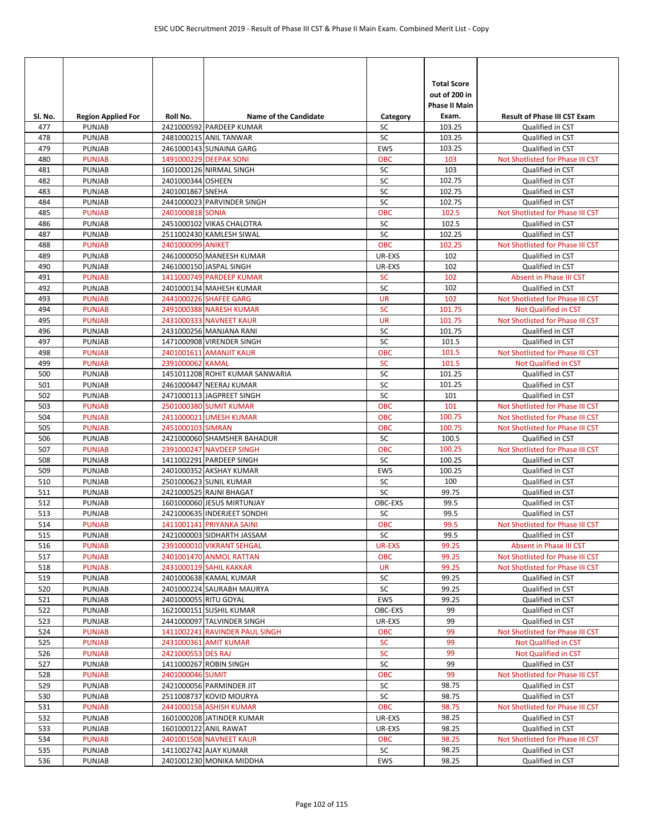|            |                                            |                       |                                                     |                | <b>Total Score</b><br>out of 200 in<br><b>Phase II Main</b> |                                                      |
|------------|--------------------------------------------|-----------------------|-----------------------------------------------------|----------------|-------------------------------------------------------------|------------------------------------------------------|
| Sl. No.    | <b>Region Applied For</b><br><b>PUNJAB</b> | Roll No.              | <b>Name of the Candidate</b>                        | Category<br>SC | Exam.<br>103.25                                             | <b>Result of Phase III CST Exam</b>                  |
| 477<br>478 | <b>PUNJAB</b>                              |                       | 2421000592 PARDEEP KUMAR<br>2481000215 ANIL TANWAR  | SC             | 103.25                                                      | Qualified in CST<br>Qualified in CST                 |
| 479        | <b>PUNJAB</b>                              |                       | 2461000143 SUNAINA GARG                             | EWS            | 103.25                                                      | Qualified in CST                                     |
| 480        | <b>PUNJAB</b>                              |                       | 1491000229 DEEPAK SONI                              | <b>OBC</b>     | 103                                                         | Not Shotlisted for Phase III CST                     |
| 481        | <b>PUNJAB</b>                              |                       | 1601000126 NIRMAL SINGH                             | SC             | 103                                                         | Qualified in CST                                     |
| 482        | PUNJAB                                     | 2401000344 OSHEEN     |                                                     | SC             | 102.75                                                      | Qualified in CST                                     |
| 483        | <b>PUNJAB</b>                              | 2401001867 SNEHA      |                                                     | SC             | 102.75                                                      | Qualified in CST                                     |
| 484        | PUNJAB                                     |                       | 2441000023 PARVINDER SINGH                          | SC             | 102.75                                                      | Qualified in CST                                     |
| 485        | <b>PUNJAB</b>                              | 2401000818 SONIA      |                                                     | OBC            | 102.5                                                       | Not Shotlisted for Phase III CST                     |
| 486        | <b>PUNJAB</b>                              |                       | 2451000102 VIKAS CHALOTRA                           | SC             | 102.5                                                       | Qualified in CST                                     |
| 487        | <b>PUNJAB</b>                              |                       | 2511002430 KAMLESH SIWAL                            | SC             | 102.25                                                      | Qualified in CST                                     |
| 488        | <b>PUNJAB</b>                              | 2401000099 ANIKET     |                                                     | OBC            | 102.25                                                      | Not Shotlisted for Phase III CST                     |
| 489        | <b>PUNJAB</b>                              |                       | 2461000050 MANEESH KUMAR                            | UR-EXS         | 102                                                         | Qualified in CST                                     |
| 490        | <b>PUNJAB</b>                              |                       | 2461000150 JASPAL SINGH                             | UR-EXS         | 102                                                         | Qualified in CST                                     |
| 491        | <b>PUNJAB</b>                              |                       | 1411000749 PARDEEP KUMAR                            | <b>SC</b>      | 102                                                         | Absent in Phase III CST                              |
| 492        | <b>PUNJAB</b>                              |                       | 2401000134 MAHESH KUMAR                             | SC             | 102                                                         | Qualified in CST                                     |
| 493        | <b>PUNJAB</b>                              |                       | 2441000226 SHAFEE GARG                              | <b>UR</b>      | 102                                                         | Not Shotlisted for Phase III CST                     |
| 494        | <b>PUNJAB</b>                              |                       | 2491000388 NARESH KUMAR                             | <b>SC</b>      | 101.75                                                      | <b>Not Qualified in CST</b>                          |
| 495        | <b>PUNJAB</b>                              |                       | 2431000333 NAVNEET KAUR                             | <b>UR</b>      | 101.75                                                      | Not Shotlisted for Phase III CST                     |
| 496        | <b>PUNJAB</b>                              |                       | 2431000256 MANJANA RANI                             | SC             | 101.75                                                      | Qualified in CST                                     |
| 497        | <b>PUNJAB</b>                              |                       | 1471000908 VIRENDER SINGH                           | SC             | 101.5                                                       | Qualified in CST                                     |
| 498        | <b>PUNJAB</b>                              |                       | 2401001611 AMANJIT KAUR                             | <b>OBC</b>     | 101.5                                                       | Not Shotlisted for Phase III CST                     |
| 499        | <b>PUNJAB</b>                              | 2391000062 KAMAL      |                                                     | <b>SC</b>      | 101.5                                                       | <b>Not Qualified in CST</b>                          |
| 500        | <b>PUNJAB</b>                              |                       | 1451011208 ROHIT KUMAR SANWARIA                     | SC             | 101.25                                                      | Qualified in CST                                     |
| 501        | <b>PUNJAB</b><br><b>PUNJAB</b>             |                       | 2461000447 NEERAJ KUMAR                             | SC<br>SC       | 101.25<br>101                                               | Qualified in CST                                     |
| 502        | <b>PUNJAB</b>                              |                       | 2471000113 JAGPREET SINGH<br>2501000380 SUMIT KUMAR | OBC            | 101                                                         | Qualified in CST<br>Not Shotlisted for Phase III CST |
| 503<br>504 | <b>PUNJAB</b>                              |                       | 2411000021 UMESH KUMAR                              | <b>OBC</b>     | 100.75                                                      | Not Shotlisted for Phase III CST                     |
| 505        | <b>PUNJAB</b>                              | 2451000103 SIMRAN     |                                                     | <b>OBC</b>     | 100.75                                                      | Not Shotlisted for Phase III CST                     |
| 506        | <b>PUNJAB</b>                              |                       | 2421000060 SHAMSHER BAHADUR                         | SC             | 100.5                                                       | Qualified in CST                                     |
| 507        | <b>PUNJAB</b>                              |                       | 2391000247 NAVDEEP SINGH                            | <b>OBC</b>     | 100.25                                                      | Not Shotlisted for Phase III CST                     |
| 508        | PUNJAB                                     |                       | 1411002291 PARDEEP SINGH                            | SC             | 100.25                                                      | Qualified in CST                                     |
| 509        | <b>PUNJAB</b>                              |                       | 2401000352 AKSHAY KUMAR                             | EWS            | 100.25                                                      | Qualified in CST                                     |
| 510        | <b>PUNJAB</b>                              |                       | 2501000623 SUNIL KUMAR                              | SC             | 100                                                         | Qualified in CST                                     |
| 511        | PUNJAB                                     |                       | 2421000525 RAJNI BHAGAT                             | SC             | 99.75                                                       | Qualified in CST                                     |
| 512        | PUNJAB                                     |                       | 1601000060 JESUS MIRTUNJAY                          | OBC-EXS        | 99.5                                                        | Qualified in CST                                     |
| 513        | <b>PUNJAB</b>                              |                       | 2421000635 INDERJEET SONDHI                         | SC             | 99.5                                                        | Qualified in CST                                     |
| 514        | <b>PUNJAB</b>                              |                       | 1411001141 PRIYANKA SAINI                           | OBC            | 99.5                                                        | Not Shotlisted for Phase III CST                     |
| 515        | PUNJAB                                     |                       | 2421000003 SIDHARTH JASSAM                          | SC             | 99.5                                                        | Qualified in CST                                     |
| 516        | <b>PUNJAB</b>                              |                       | 2391000010 VIKRANT SEHGAL                           | <b>UR-EXS</b>  | 99.25                                                       | Absent in Phase III CST                              |
| 517        | <b>PUNJAB</b>                              |                       | 2401001470 ANMOL RATTAN                             | <b>OBC</b>     | 99.25                                                       | Not Shotlisted for Phase III CST                     |
| 518        | <b>PUNJAB</b>                              |                       | 2431000119 SAHIL KAKKAR                             | UR             | 99.25                                                       | Not Shotlisted for Phase III CST                     |
| 519        | PUNJAB                                     |                       | 2401000638 KAMAL KUMAR                              | SC             | 99.25                                                       | Qualified in CST                                     |
| 520        | PUNJAB                                     |                       | 2401000224 SAURABH MAURYA                           | SC             | 99.25                                                       | Qualified in CST                                     |
| 521        | PUNJAB                                     | 2401000055 RITU GOYAL |                                                     | EWS            | 99.25                                                       | Qualified in CST                                     |
| 522        | <b>PUNJAB</b>                              |                       | 1621000151 SUSHIL KUMAR                             | OBC-EXS        | 99                                                          | Qualified in CST                                     |
| 523        | <b>PUNJAB</b>                              |                       | 2441000097 TALVINDER SINGH                          | UR-EXS         | 99                                                          | Qualified in CST                                     |
| 524        | <b>PUNJAB</b>                              |                       | 1411002241 RAVINDER PAUL SINGH                      | <b>OBC</b>     | 99                                                          | Not Shotlisted for Phase III CST                     |
| 525        | <b>PUNJAB</b>                              |                       | 2431000361 AMIT KUMAR                               | <b>SC</b>      | 99                                                          | Not Qualified in CST                                 |
| 526        | <b>PUNJAB</b>                              | 2421000553 DES RAJ    |                                                     | SC<br>SC       | 99<br>99                                                    | Not Qualified in CST                                 |
| 527<br>528 | PUNJAB<br><b>PUNJAB</b>                    | 2401000046 SUMIT      | 1411000267 ROBIN SINGH                              | OBC            | 99                                                          | Qualified in CST<br>Not Shotlisted for Phase III CST |
| 529        | PUNJAB                                     |                       | 2421000056 PARMINDER JIT                            | SC             | 98.75                                                       | Qualified in CST                                     |
| 530        | PUNJAB                                     |                       | 2511008737 KOVID MOURYA                             | SC             | 98.75                                                       | Qualified in CST                                     |
| 531        | <b>PUNJAB</b>                              |                       | 2441000158 ASHISH KUMAR                             | OBC            | 98.75                                                       | Not Shotlisted for Phase III CST                     |
| 532        | <b>PUNJAB</b>                              |                       | 1601000208 JATINDER KUMAR                           | UR-EXS         | 98.25                                                       | Qualified in CST                                     |
| 533        | PUNJAB                                     |                       | 1601000122 ANIL RAWAT                               | UR-EXS         | 98.25                                                       | Qualified in CST                                     |
| 534        | <b>PUNJAB</b>                              |                       | 2401001508 NAVNEET KAUR                             | <b>OBC</b>     | 98.25                                                       | Not Shotlisted for Phase III CST                     |
| 535        | PUNJAB                                     |                       | 1411002742 AJAY KUMAR                               | SC             | 98.25                                                       | Qualified in CST                                     |
| 536        | PUNJAB                                     |                       | 2401001230 MONIKA MIDDHA                            | EWS            | 98.25                                                       | Qualified in CST                                     |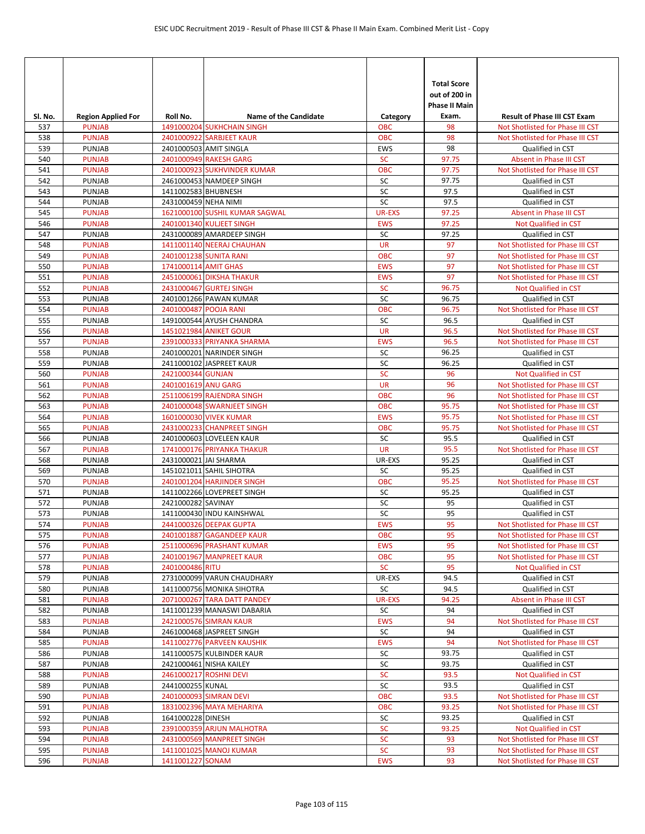|                |                                            |                       |                                                            |                  | <b>Total Score</b><br>out of 200 in<br><b>Phase II Main</b> |                                                                         |
|----------------|--------------------------------------------|-----------------------|------------------------------------------------------------|------------------|-------------------------------------------------------------|-------------------------------------------------------------------------|
| Sl. No.<br>537 | <b>Region Applied For</b><br><b>PUNJAB</b> | Roll No.              | <b>Name of the Candidate</b><br>1491000204 SUKHCHAIN SINGH | Category<br>ОВС  | Exam.<br>98                                                 | <b>Result of Phase III CST Exam</b><br>Not Shotlisted for Phase III CST |
| 538            | <b>PUNJAB</b>                              |                       | 2401000922 SARBJEET KAUR                                   | <b>OBC</b>       | 98                                                          | Not Shotlisted for Phase III CST                                        |
| 539            | <b>PUNJAB</b>                              |                       | 2401000503 AMIT SINGLA                                     | EWS              | 98                                                          | Qualified in CST                                                        |
| 540            | <b>PUNJAB</b>                              |                       | 2401000949 RAKESH GARG                                     | <b>SC</b>        | 97.75                                                       | Absent in Phase III CST                                                 |
| 541            | <b>PUNJAB</b>                              |                       | 2401000923 SUKHVINDER KUMAR                                | <b>OBC</b>       | 97.75                                                       | Not Shotlisted for Phase III CST                                        |
| 542            | <b>PUNJAB</b>                              |                       | 2461000453 NAMDEEP SINGH                                   | SC               | 97.75                                                       | Qualified in CST                                                        |
| 543            | <b>PUNJAB</b>                              | 1411002583 BHUBNESH   |                                                            | SC               | 97.5                                                        | Qualified in CST                                                        |
| 544            | <b>PUNJAB</b>                              | 2431000459 NEHA NIMI  |                                                            | SC               | 97.5                                                        | Qualified in CST                                                        |
| 545            | <b>PUNJAB</b>                              |                       | 1621000100 SUSHIL KUMAR SAGWAL                             | <b>UR-EXS</b>    | 97.25                                                       | Absent in Phase III CST                                                 |
| 546            | <b>PUNJAB</b>                              |                       | 2401001340 KULJEET SINGH                                   | <b>EWS</b>       | 97.25                                                       | Not Qualified in CST                                                    |
| 547            | <b>PUNJAB</b>                              |                       | 2431000089 AMARDEEP SINGH                                  | SC               | 97.25                                                       | Qualified in CST                                                        |
| 548            | <b>PUNJAB</b>                              |                       | 1411001140 NEERAJ CHAUHAN                                  | <b>UR</b>        | 97                                                          | Not Shotlisted for Phase III CST                                        |
| 549            | <b>PUNJAB</b>                              |                       | 2401001238 SUNITA RANI                                     | <b>OBC</b>       | 97                                                          | Not Shotlisted for Phase III CST                                        |
| 550            | <b>PUNJAB</b>                              | 1741000114 AMIT GHAS  |                                                            | <b>EWS</b>       | 97                                                          | Not Shotlisted for Phase III CST                                        |
| 551            | <b>PUNJAB</b>                              |                       | 2451000061 DIKSHA THAKUR                                   | <b>EWS</b>       | 97                                                          | Not Shotlisted for Phase III CST                                        |
| 552            | <b>PUNJAB</b>                              |                       | 2431000467 GURTEJ SINGH                                    | SC               | 96.75                                                       | <b>Not Qualified in CST</b>                                             |
| 553<br>554     | <b>PUNJAB</b>                              |                       | 2401001266 PAWAN KUMAR                                     | SC<br><b>OBC</b> | 96.75<br>96.75                                              | Qualified in CST                                                        |
| 555            | <b>PUNJAB</b><br><b>PUNJAB</b>             | 2401000487 POOJA RANI | 1491000544 AYUSH CHANDRA                                   | SC               | 96.5                                                        | Not Shotlisted for Phase III CST<br>Qualified in CST                    |
| 556            | <b>PUNJAB</b>                              |                       | 1451021984 ANIKET GOUR                                     | <b>UR</b>        | 96.5                                                        | Not Shotlisted for Phase III CST                                        |
| 557            | <b>PUNJAB</b>                              |                       | 2391000333 PRIYANKA SHARMA                                 | <b>EWS</b>       | 96.5                                                        | Not Shotlisted for Phase III CST                                        |
| 558            | <b>PUNJAB</b>                              |                       | 2401000201 NARINDER SINGH                                  | SC               | 96.25                                                       | Qualified in CST                                                        |
| 559            | <b>PUNJAB</b>                              |                       | 2411000102 JASPREET KAUR                                   | SC               | 96.25                                                       | Qualified in CST                                                        |
| 560            | <b>PUNJAB</b>                              | 2421000344 GUNJAN     |                                                            | SC               | 96                                                          | <b>Not Qualified in CST</b>                                             |
| 561            | <b>PUNJAB</b>                              | 2401001619 ANU GARG   |                                                            | <b>UR</b>        | 96                                                          | Not Shotlisted for Phase III CST                                        |
| 562            | <b>PUNJAB</b>                              |                       | 2511006199 RAJENDRA SINGH                                  | <b>OBC</b>       | 96                                                          | Not Shotlisted for Phase III CST                                        |
| 563            | <b>PUNJAB</b>                              |                       | 2401000048 SWARNJEET SINGH                                 | <b>OBC</b>       | 95.75                                                       | Not Shotlisted for Phase III CST                                        |
| 564            | <b>PUNJAB</b>                              |                       | 1601000030 VIVEK KUMAR                                     | <b>EWS</b>       | 95.75                                                       | Not Shotlisted for Phase III CST                                        |
| 565            | <b>PUNJAB</b>                              |                       | 2431000233 CHANPREET SINGH                                 | <b>OBC</b>       | 95.75                                                       | Not Shotlisted for Phase III CST                                        |
| 566            | <b>PUNJAB</b>                              |                       | 2401000603 LOVELEEN KAUR                                   | SC               | 95.5                                                        | Qualified in CST                                                        |
| 567            | <b>PUNJAB</b>                              |                       | 1741000176 PRIYANKA THAKUR                                 | <b>UR</b>        | 95.5                                                        | Not Shotlisted for Phase III CST                                        |
| 568            | <b>PUNJAB</b>                              | 2431000021 JAI SHARMA |                                                            | UR-EXS           | 95.25                                                       | Qualified in CST                                                        |
| 569            | <b>PUNJAB</b>                              |                       | 1451021011 SAHIL SIHOTRA                                   | SC               | 95.25                                                       | Qualified in CST                                                        |
| 570            | <b>PUNJAB</b>                              |                       | 2401001204 HARJINDER SINGH                                 | <b>OBC</b>       | 95.25                                                       | Not Shotlisted for Phase III CST                                        |
| 571            | <b>PUNJAB</b>                              |                       | 1411002266 LOVEPREET SINGH                                 | SC               | 95.25                                                       | Qualified in CST                                                        |
| 572            | <b>PUNJAB</b>                              | 2421000282 SAVINAY    |                                                            | SC               | 95                                                          | Qualified in CST                                                        |
| 573<br>574     | <b>PUNJAB</b><br><b>PUNJAB</b>             |                       | 1411000430 INDU KAINSHWAL<br>2441000326 DEEPAK GUPTA       | SC<br><b>EWS</b> | 95<br>95                                                    | Qualified in CST<br>Not Shotlisted for Phase III CST                    |
| 575            | <b>PUNJAB</b>                              |                       | 2401001887 GAGANDEEP KAUR                                  | <b>OBC</b>       | 95                                                          | Not Shotlisted for Phase III CST                                        |
| 576            | <b>PUNJAB</b>                              |                       | 2511000696 PRASHANT KUMAR                                  | <b>EWS</b>       | 95                                                          | Not Shotlisted for Phase III CST                                        |
| 577            | <b>PUNJAB</b>                              |                       | 2401001967 MANPREET KAUR                                   | <b>OBC</b>       | 95                                                          | Not Shotlisted for Phase III CST                                        |
| 578            | <b>PUNJAB</b>                              | 2401000486 RITU       |                                                            | <b>SC</b>        | 95                                                          | Not Qualified in CST                                                    |
| 579            | <b>PUNJAB</b>                              |                       | 2731000099 VARUN CHAUDHARY                                 | UR-EXS           | 94.5                                                        | Qualified in CST                                                        |
| 580            | PUNJAB                                     |                       | 1411000756 MONIKA SIHOTRA                                  | SC               | 94.5                                                        | Qualified in CST                                                        |
| 581            | <b>PUNJAB</b>                              |                       | 2071000267 TARA DATT PANDEY                                | UR-EXS           | 94.25                                                       | Absent in Phase III CST                                                 |
| 582            | PUNJAB                                     |                       | 1411001239 MANASWI DABARIA                                 | SC               | 94                                                          | Qualified in CST                                                        |
| 583            | <b>PUNJAB</b>                              |                       | 2421000576 SIMRAN KAUR                                     | <b>EWS</b>       | 94                                                          | Not Shotlisted for Phase III CST                                        |
| 584            | PUNJAB                                     |                       | 2461000468 JASPREET SINGH                                  | SC               | 94                                                          | Qualified in CST                                                        |
| 585            | <b>PUNJAB</b>                              |                       | 1411002776 PARVEEN KAUSHIK                                 | <b>EWS</b>       | 94                                                          | Not Shotlisted for Phase III CST                                        |
| 586            | <b>PUNJAB</b>                              |                       | 1411000575 KULBINDER KAUR                                  | SC               | 93.75                                                       | Qualified in CST                                                        |
| 587            | <b>PUNJAB</b>                              |                       | 2421000461 NISHA KAILEY                                    | SC               | 93.75                                                       | Qualified in CST                                                        |
| 588            | <b>PUNJAB</b>                              |                       | 2461000217 ROSHNI DEVI                                     | SC               | 93.5                                                        | Not Qualified in CST                                                    |
| 589            | <b>PUNJAB</b>                              | 2441000255 KUNAL      |                                                            | SC               | 93.5                                                        | Qualified in CST                                                        |
| 590            | <b>PUNJAB</b>                              |                       | 2401000093 SIMRAN DEVI                                     | <b>OBC</b>       | 93.5                                                        | Not Shotlisted for Phase III CST                                        |
| 591            | <b>PUNJAB</b>                              |                       | 1831002396 MAYA MEHARIYA                                   | OBC              | 93.25                                                       | Not Shotlisted for Phase III CST                                        |
| 592<br>593     | PUNJAB<br><b>PUNJAB</b>                    | 1641000228 DINESH     | 2391000359 ARJUN MALHOTRA                                  | SC<br>SC         | 93.25<br>93.25                                              | Qualified in CST<br>Not Qualified in CST                                |
| 594            | <b>PUNJAB</b>                              |                       | 2431000569 MANPREET SINGH                                  | SC               | 93                                                          | Not Shotlisted for Phase III CST                                        |
| 595            | <b>PUNJAB</b>                              |                       | 1411001025 MANOJ KUMAR                                     | SC               | 93                                                          | Not Shotlisted for Phase III CST                                        |
| 596            | <b>PUNJAB</b>                              | 1411001227 SONAM      |                                                            | <b>EWS</b>       | 93                                                          | Not Shotlisted for Phase III CST                                        |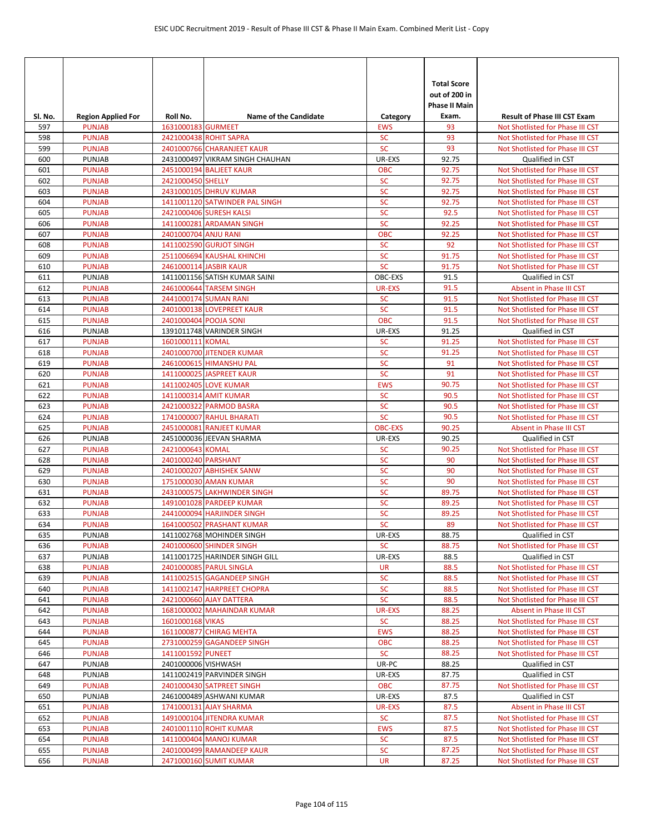| Sl. No.    | <b>Region Applied For</b>      | Roll No.              | <b>Name of the Candidate</b>                            | Category               | <b>Total Score</b><br>out of 200 in<br><b>Phase II Main</b><br>Exam. | <b>Result of Phase III CST Exam</b>                                  |
|------------|--------------------------------|-----------------------|---------------------------------------------------------|------------------------|----------------------------------------------------------------------|----------------------------------------------------------------------|
| 597        | <b>PUNJAB</b>                  | 1631000183 GURMEET    |                                                         | <b>EWS</b>             | 93                                                                   | Not Shotlisted for Phase III CST                                     |
| 598        | <b>PUNJAB</b>                  |                       | 2421000438 ROHIT SAPRA                                  | <b>SC</b>              | 93                                                                   | Not Shotlisted for Phase III CST                                     |
| 599        | <b>PUNJAB</b>                  |                       | 2401000766 CHARANJEET KAUR                              | <b>SC</b>              | 93                                                                   | Not Shotlisted for Phase III CST                                     |
| 600        | PUNJAB                         |                       | 2431000497 VIKRAM SINGH CHAUHAN                         | UR-EXS                 | 92.75                                                                | Qualified in CST                                                     |
| 601        | <b>PUNJAB</b>                  |                       | 2451000194 BALJEET KAUR                                 | <b>OBC</b>             | 92.75                                                                | Not Shotlisted for Phase III CST                                     |
| 602        | <b>PUNJAB</b>                  | 2421000450 SHELLY     |                                                         | <b>SC</b>              | 92.75                                                                | Not Shotlisted for Phase III CST                                     |
| 603        | <b>PUNJAB</b>                  |                       | 2431000105 DHRUV KUMAR                                  | <b>SC</b>              | 92.75                                                                | Not Shotlisted for Phase III CST                                     |
| 604        | <b>PUNJAB</b>                  |                       | 1411001120 SATWINDER PAL SINGH                          | <b>SC</b>              | 92.75                                                                | Not Shotlisted for Phase III CST                                     |
| 605        | <b>PUNJAB</b>                  |                       | 2421000406 SURESH KALSI                                 | <b>SC</b>              | 92.5                                                                 | Not Shotlisted for Phase III CST                                     |
| 606        | <b>PUNJAB</b>                  |                       | 1411000281 ARDAMAN SINGH                                | <b>SC</b>              | 92.25                                                                | Not Shotlisted for Phase III CST                                     |
| 607        | <b>PUNJAB</b>                  | 2401000704 ANJU RANI  |                                                         | <b>OBC</b>             | 92.25                                                                | Not Shotlisted for Phase III CST                                     |
| 608        | <b>PUNJAB</b>                  |                       | 1411002590 GURJOT SINGH                                 | <b>SC</b>              | 92                                                                   | Not Shotlisted for Phase III CST                                     |
| 609        | <b>PUNJAB</b>                  |                       | 2511006694 KAUSHAL KHINCHI<br>2461000114 JASBIR KAUR    | <b>SC</b><br><b>SC</b> | 91.75                                                                | Not Shotlisted for Phase III CST                                     |
| 610<br>611 | <b>PUNJAB</b><br>PUNJAB        |                       | 1411001156 SATISH KUMAR SAINI                           | OBC-EXS                | 91.75<br>91.5                                                        | Not Shotlisted for Phase III CST<br>Qualified in CST                 |
| 612        | <b>PUNJAB</b>                  |                       | 2461000644 TARSEM SINGH                                 | <b>UR-EXS</b>          | 91.5                                                                 | Absent in Phase III CST                                              |
| 613        | <b>PUNJAB</b>                  |                       | 2441000174 SUMAN RANI                                   | <b>SC</b>              | 91.5                                                                 | Not Shotlisted for Phase III CST                                     |
| 614        | <b>PUNJAB</b>                  |                       | 2401000138 LOVEPREET KAUR                               | <b>SC</b>              | 91.5                                                                 | Not Shotlisted for Phase III CST                                     |
| 615        | <b>PUNJAB</b>                  | 2401000404 POOJA SONI |                                                         | <b>OBC</b>             | 91.5                                                                 | Not Shotlisted for Phase III CST                                     |
| 616        | PUNJAB                         |                       | 1391011748 VARINDER SINGH                               | UR-EXS                 | 91.25                                                                | Qualified in CST                                                     |
| 617        | <b>PUNJAB</b>                  | 1601000111 KOMAL      |                                                         | <b>SC</b>              | 91.25                                                                | Not Shotlisted for Phase III CST                                     |
| 618        | <b>PUNJAB</b>                  |                       | 2401000700 JITENDER KUMAR                               | SC                     | 91.25                                                                | Not Shotlisted for Phase III CST                                     |
| 619        | <b>PUNJAB</b>                  |                       | 2461000615 HIMANSHU PAL                                 | <b>SC</b>              | 91                                                                   | Not Shotlisted for Phase III CST                                     |
| 620        | <b>PUNJAB</b>                  |                       | 1411000025 JASPREET KAUR                                | <b>SC</b>              | 91                                                                   | Not Shotlisted for Phase III CST                                     |
| 621        | <b>PUNJAB</b>                  |                       | 1411002405 LOVE KUMAR                                   | <b>EWS</b>             | 90.75                                                                | Not Shotlisted for Phase III CST                                     |
| 622        | <b>PUNJAB</b>                  |                       | 1411000314 AMIT KUMAR                                   | <b>SC</b>              | 90.5                                                                 | Not Shotlisted for Phase III CST                                     |
| 623        | <b>PUNJAB</b>                  |                       | 2421000322 PARMOD BASRA                                 | <b>SC</b>              | 90.5                                                                 | Not Shotlisted for Phase III CST                                     |
| 624        | <b>PUNJAB</b>                  |                       | 1741000007 RAHUL BHARATI                                | <b>SC</b>              | 90.5                                                                 | Not Shotlisted for Phase III CST                                     |
| 625        | <b>PUNJAB</b>                  |                       | 2451000081 RANJEET KUMAR                                | <b>OBC-EXS</b>         | 90.25                                                                | <b>Absent in Phase III CST</b>                                       |
| 626        | PUNJAB                         |                       | 2451000036 JEEVAN SHARMA                                | UR-EXS                 | 90.25                                                                | Qualified in CST                                                     |
| 627        | <b>PUNJAB</b>                  | 2421000643 KOMAL      |                                                         | <b>SC</b>              | 90.25                                                                | Not Shotlisted for Phase III CST                                     |
| 628        | <b>PUNJAB</b>                  | 2401000240 PARSHANT   |                                                         | <b>SC</b>              | 90                                                                   | Not Shotlisted for Phase III CST                                     |
| 629<br>630 | <b>PUNJAB</b><br><b>PUNJAB</b> |                       | 2401000207 ABHISHEK SANW<br>1751000030 AMAN KUMAR       | <b>SC</b><br><b>SC</b> | 90<br>90                                                             | Not Shotlisted for Phase III CST<br>Not Shotlisted for Phase III CST |
| 631        | <b>PUNJAB</b>                  |                       |                                                         | <b>SC</b>              | 89.75                                                                | Not Shotlisted for Phase III CST                                     |
| 632        | <b>PUNJAB</b>                  |                       | 2431000575 LAKHWINDER SINGH<br>1491001028 PARDEEP KUMAR | <b>SC</b>              | 89.25                                                                | Not Shotlisted for Phase III CST                                     |
| 633        | <b>PUNJAB</b>                  |                       | 2441000094 HARJINDER SINGH                              | <b>SC</b>              | 89.25                                                                | Not Shotlisted for Phase III CST                                     |
| 634        | <b>PUNJAB</b>                  |                       | 1641000502 PRASHANT KUMAR                               | <b>SC</b>              | 89                                                                   | Not Shotlisted for Phase III CST                                     |
| 635        | PUNJAB                         |                       | 1411002768 MOHINDER SINGH                               | UR-EXS                 | 88.75                                                                | Qualified in CST                                                     |
| 636        | <b>PUNJAB</b>                  |                       | 2401000600 SHINDER SINGH                                | <b>SC</b>              | 88.75                                                                | Not Shotlisted for Phase III CST                                     |
| 637        | <b>PUNJAB</b>                  |                       | 1411001725 HARINDER SINGH GILL                          | UR-EXS                 | 88.5                                                                 | Qualified in CST                                                     |
| 638        | <b>PUNJAB</b>                  |                       | 2401000085 PARUL SINGLA                                 | <b>UR</b>              | 88.5                                                                 | Not Shotlisted for Phase III CST                                     |
| 639        | <b>PUNJAB</b>                  |                       | 1411002515 GAGANDEEP SINGH                              | <b>SC</b>              | 88.5                                                                 | Not Shotlisted for Phase III CST                                     |
| 640        | <b>PUNJAB</b>                  |                       | 1411002147 HARPREET CHOPRA                              | <b>SC</b>              | 88.5                                                                 | Not Shotlisted for Phase III CST                                     |
| 641        | <b>PUNJAB</b>                  |                       | 2421000660 AJAY DATTERA                                 | <b>SC</b>              | 88.5                                                                 | Not Shotlisted for Phase III CST                                     |
| 642        | <b>PUNJAB</b>                  |                       | 1681000002 MAHAINDAR KUMAR                              | <b>UR-EXS</b>          | 88.25                                                                | Absent in Phase III CST                                              |
| 643        | <b>PUNJAB</b>                  | 1601000168 VIKAS      |                                                         | <b>SC</b>              | 88.25                                                                | Not Shotlisted for Phase III CST                                     |
| 644        | <b>PUNJAB</b>                  |                       | 1611000877 CHIRAG MEHTA                                 | <b>EWS</b>             | 88.25                                                                | Not Shotlisted for Phase III CST                                     |
| 645        | <b>PUNJAB</b>                  |                       | 2731000259 GAGANDEEP SINGH                              | <b>OBC</b>             | 88.25                                                                | Not Shotlisted for Phase III CST                                     |
| 646        | <b>PUNJAB</b><br>PUNJAB        | 1411001592 PUNEET     |                                                         | <b>SC</b>              | 88.25                                                                | Not Shotlisted for Phase III CST                                     |
| 647<br>648 | <b>PUNJAB</b>                  | 2401000006 VISHWASH   | 1411002419 PARVINDER SINGH                              | UR-PC<br>UR-EXS        | 88.25<br>87.75                                                       | Qualified in CST<br>Qualified in CST                                 |
| 649        | <b>PUNJAB</b>                  |                       | 2401000430 SATPREET SINGH                               | <b>OBC</b>             | 87.75                                                                | Not Shotlisted for Phase III CST                                     |
| 650        | <b>PUNJAB</b>                  |                       | 2461000489 ASHWANI KUMAR                                | UR-EXS                 | 87.5                                                                 | Qualified in CST                                                     |
| 651        | <b>PUNJAB</b>                  |                       | 1741000131 AJAY SHARMA                                  | UR-EXS                 | 87.5                                                                 | Absent in Phase III CST                                              |
| 652        | <b>PUNJAB</b>                  |                       | 1491000104 JITENDRA KUMAR                               | <b>SC</b>              | 87.5                                                                 | Not Shotlisted for Phase III CST                                     |
| 653        | <b>PUNJAB</b>                  |                       | 2401001110 ROHIT KUMAR                                  | <b>EWS</b>             | 87.5                                                                 | Not Shotlisted for Phase III CST                                     |
| 654        | <b>PUNJAB</b>                  |                       | 1411000404 MANOJ KUMAR                                  | <b>SC</b>              | 87.5                                                                 | Not Shotlisted for Phase III CST                                     |
| 655        | <b>PUNJAB</b>                  |                       | 2401000499 RAMANDEEP KAUR                               | SC                     | 87.25                                                                | Not Shotlisted for Phase III CST                                     |
| 656        | <b>PUNJAB</b>                  |                       | 2471000160 SUMIT KUMAR                                  | UR                     | 87.25                                                                | Not Shotlisted for Phase III CST                                     |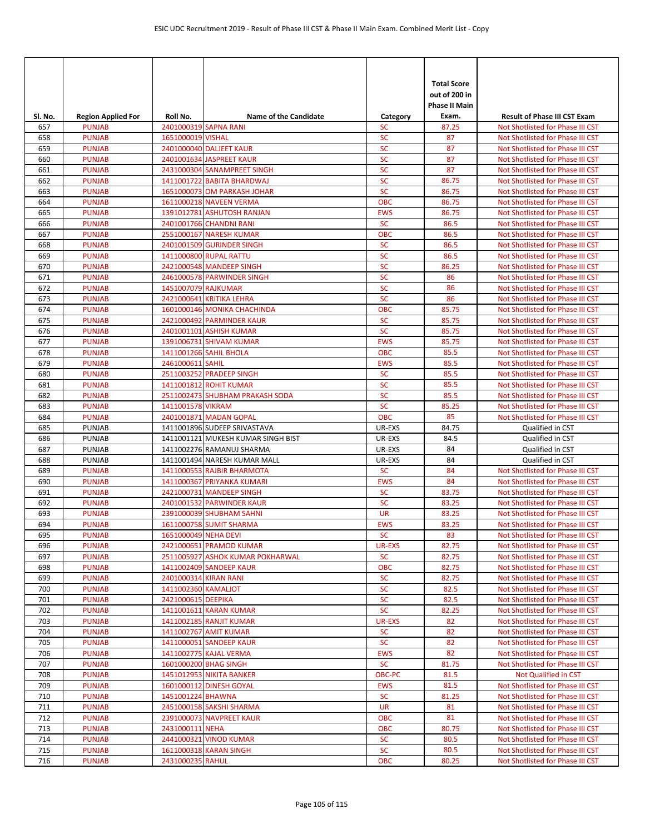|            |                                |                       |                                                       |                            | <b>Total Score</b><br>out of 200 in<br><b>Phase II Main</b> |                                                                      |
|------------|--------------------------------|-----------------------|-------------------------------------------------------|----------------------------|-------------------------------------------------------------|----------------------------------------------------------------------|
| Sl. No.    | <b>Region Applied For</b>      | Roll No.              | <b>Name of the Candidate</b><br>2401000319 SAPNA RANI | Category                   | Exam.                                                       | <b>Result of Phase III CST Exam</b>                                  |
| 657<br>658 | <b>PUNJAB</b><br><b>PUNJAB</b> | 1651000019 VISHAL     |                                                       | <b>SC</b><br><b>SC</b>     | 87.25<br>87                                                 | Not Shotlisted for Phase III CST<br>Not Shotlisted for Phase III CST |
| 659        | <b>PUNJAB</b>                  |                       | 2401000040 DALJEET KAUR                               | <b>SC</b>                  | 87                                                          | Not Shotlisted for Phase III CST                                     |
| 660        | <b>PUNJAB</b>                  |                       | 2401001634 JASPREET KAUR                              | <b>SC</b>                  | 87                                                          | Not Shotlisted for Phase III CST                                     |
| 661        | <b>PUNJAB</b>                  |                       | 2431000304 SANAMPREET SINGH                           | <b>SC</b>                  | 87                                                          | Not Shotlisted for Phase III CST                                     |
| 662        | <b>PUNJAB</b>                  |                       | 1411001722 BABITA BHARDWAJ                            | <b>SC</b>                  | 86.75                                                       | Not Shotlisted for Phase III CST                                     |
| 663        | <b>PUNJAB</b>                  |                       | 1651000073 OM PARKASH JOHAR                           | <b>SC</b>                  | 86.75                                                       | Not Shotlisted for Phase III CST                                     |
| 664        | <b>PUNJAB</b>                  |                       | 1611000218 NAVEEN VERMA                               | <b>OBC</b>                 | 86.75                                                       | Not Shotlisted for Phase III CST                                     |
| 665        | <b>PUNJAB</b>                  |                       | 1391012781 ASHUTOSH RANJAN                            | <b>EWS</b>                 | 86.75                                                       | Not Shotlisted for Phase III CST                                     |
| 666        | <b>PUNJAB</b>                  |                       | 2401001766 CHANDNI RANI                               | <b>SC</b><br><b>OBC</b>    | 86.5<br>86.5                                                | Not Shotlisted for Phase III CST                                     |
| 667<br>668 | <b>PUNJAB</b><br><b>PUNJAB</b> |                       | 2551000167 NARESH KUMAR<br>2401001509 GURINDER SINGH  | <b>SC</b>                  | 86.5                                                        | Not Shotlisted for Phase III CST<br>Not Shotlisted for Phase III CST |
| 669        | <b>PUNJAB</b>                  |                       | 1411000800 RUPAL RATTU                                | <b>SC</b>                  | 86.5                                                        | Not Shotlisted for Phase III CST                                     |
| 670        | <b>PUNJAB</b>                  |                       | 2421000548 MANDEEP SINGH                              | <b>SC</b>                  | 86.25                                                       | Not Shotlisted for Phase III CST                                     |
| 671        | <b>PUNJAB</b>                  |                       | 2461000578 PARWINDER SINGH                            | <b>SC</b>                  | 86                                                          | Not Shotlisted for Phase III CST                                     |
| 672        | <b>PUNJAB</b>                  | 1451007079 RAJKUMAR   |                                                       | <b>SC</b>                  | 86                                                          | Not Shotlisted for Phase III CST                                     |
| 673        | <b>PUNJAB</b>                  |                       | 2421000641 KRITIKA LEHRA                              | <b>SC</b>                  | 86                                                          | Not Shotlisted for Phase III CST                                     |
| 674        | <b>PUNJAB</b>                  |                       | 1601000146 MONIKA CHACHINDA                           | <b>OBC</b>                 | 85.75                                                       | Not Shotlisted for Phase III CST                                     |
| 675        | <b>PUNJAB</b>                  |                       | 2421000492 PARMINDER KAUR                             | <b>SC</b>                  | 85.75                                                       | Not Shotlisted for Phase III CST                                     |
| 676        | <b>PUNJAB</b>                  |                       | 2401001101 ASHISH KUMAR                               | <b>SC</b>                  | 85.75                                                       | Not Shotlisted for Phase III CST                                     |
| 677        | <b>PUNJAB</b>                  |                       | 1391006731 SHIVAM KUMAR                               | <b>EWS</b>                 | 85.75                                                       | Not Shotlisted for Phase III CST                                     |
| 678        | <b>PUNJAB</b>                  |                       | 1411001266 SAHIL BHOLA                                | <b>OBC</b>                 | 85.5                                                        | Not Shotlisted for Phase III CST                                     |
| 679        | <b>PUNJAB</b><br><b>PUNJAB</b> | 2461000611 SAHIL      | 2511003252 PRADEEP SINGH                              | <b>EWS</b><br><b>SC</b>    | 85.5                                                        | Not Shotlisted for Phase III CST<br>Not Shotlisted for Phase III CST |
| 680<br>681 | <b>PUNJAB</b>                  |                       | 1411001812 ROHIT KUMAR                                | <b>SC</b>                  | 85.5<br>85.5                                                | Not Shotlisted for Phase III CST                                     |
| 682        | <b>PUNJAB</b>                  |                       | 2511002473 SHUBHAM PRAKASH SODA                       | <b>SC</b>                  | 85.5                                                        | Not Shotlisted for Phase III CST                                     |
| 683        | <b>PUNJAB</b>                  | 1411001578 VIKRAM     |                                                       | <b>SC</b>                  | 85.25                                                       | Not Shotlisted for Phase III CST                                     |
| 684        | <b>PUNJAB</b>                  |                       | 2401001871 MADAN GOPAL                                | <b>OBC</b>                 | 85                                                          | Not Shotlisted for Phase III CST                                     |
| 685        | PUNJAB                         |                       | 1411001896 SUDEEP SRIVASTAVA                          | UR-EXS                     | 84.75                                                       | Qualified in CST                                                     |
| 686        | PUNJAB                         |                       | 1411001121 MUKESH KUMAR SINGH BIST                    | UR-EXS                     | 84.5                                                        | Qualified in CST                                                     |
| 687        | PUNJAB                         |                       | 1411002276 RAMANUJ SHARMA                             | UR-EXS                     | 84                                                          | Qualified in CST                                                     |
| 688        | PUNJAB                         |                       | 1411001494 NARESH KUMAR MALL                          | UR-EXS                     | 84                                                          | Qualified in CST                                                     |
| 689        | <b>PUNJAB</b>                  |                       | 1411000553 RAJBIR BHARMOTA                            | <b>SC</b>                  | 84                                                          | Not Shotlisted for Phase III CST                                     |
| 690        | <b>PUNJAB</b>                  |                       | 1411000367 PRIYANKA KUMARI                            | <b>EWS</b>                 | 84                                                          | Not Shotlisted for Phase III CST                                     |
| 691        | <b>PUNJAB</b>                  |                       | 2421000731 MANDEEP SINGH                              | <b>SC</b>                  | 83.75                                                       | Not Shotlisted for Phase III CST                                     |
| 692<br>693 | <b>PUNJAB</b><br><b>PUNJAB</b> |                       | 2401001532 PARWINDER KAUR<br>2391000039 SHUBHAM SAHNI | <b>SC</b><br><b>UR</b>     | 83.25<br>83.25                                              | Not Shotlisted for Phase III CST<br>Not Shotlisted for Phase III CST |
| 694        | <b>PUNJAB</b>                  |                       | 1611000758 SUMIT SHARMA                               | <b>EWS</b>                 | 83.25                                                       | Not Shotlisted for Phase III CST                                     |
| 695        | <b>PUNJAB</b>                  | 1651000049 NEHA DEVI  |                                                       | <b>SC</b>                  | 83                                                          | Not Shotlisted for Phase III CST                                     |
| 696        | <b>PUNJAB</b>                  |                       | 2421000651 PRAMOD KUMAR                               | <b>UR-EXS</b>              | 82.75                                                       | Not Shotlisted for Phase III CST                                     |
| 697        | <b>PUNJAB</b>                  |                       | 2511005927 ASHOK KUMAR POKHARWAL                      | <b>SC</b>                  | 82.75                                                       | Not Shotlisted for Phase III CST                                     |
| 698        | <b>PUNJAB</b>                  |                       | 1411002409 SANDEEP KAUR                               | OBC                        | 82.75                                                       | Not Shotlisted for Phase III CST                                     |
| 699        | <b>PUNJAB</b>                  | 2401000314 KIRAN RANI |                                                       | <b>SC</b>                  | 82.75                                                       | Not Shotlisted for Phase III CST                                     |
| 700        | <b>PUNJAB</b>                  | 1411002360 KAMALJOT   |                                                       | <b>SC</b>                  | 82.5                                                        | Not Shotlisted for Phase III CST                                     |
| 701        | <b>PUNJAB</b>                  | 2421000615 DEEPIKA    |                                                       | <b>SC</b>                  | 82.5                                                        | Not Shotlisted for Phase III CST                                     |
| 702        | <b>PUNJAB</b>                  |                       | 1411001611 KARAN KUMAR                                | <b>SC</b>                  | 82.25                                                       | Not Shotlisted for Phase III CST                                     |
| 703<br>704 | <b>PUNJAB</b><br><b>PUNJAB</b> |                       | 1411002185 RANJIT KUMAR<br>1411002767 AMIT KUMAR      | <b>UR-EXS</b><br><b>SC</b> | 82<br>82                                                    | Not Shotlisted for Phase III CST<br>Not Shotlisted for Phase III CST |
| 705        | <b>PUNJAB</b>                  |                       | 1411000051 SANDEEP KAUR                               | <b>SC</b>                  | 82                                                          | Not Shotlisted for Phase III CST                                     |
| 706        | <b>PUNJAB</b>                  |                       | 1411002775 KAJAL VERMA                                | <b>EWS</b>                 | 82                                                          | Not Shotlisted for Phase III CST                                     |
| 707        | <b>PUNJAB</b>                  |                       | 1601000200 BHAG SINGH                                 | <b>SC</b>                  | 81.75                                                       | Not Shotlisted for Phase III CST                                     |
| 708        | <b>PUNJAB</b>                  |                       | 1451012953 NIKITA BANKER                              | OBC-PC                     | 81.5                                                        | Not Qualified in CST                                                 |
| 709        | <b>PUNJAB</b>                  |                       | 1601000112 DINESH GOYAL                               | <b>EWS</b>                 | 81.5                                                        | Not Shotlisted for Phase III CST                                     |
| 710        | <b>PUNJAB</b>                  | 1451001224 BHAWNA     |                                                       | <b>SC</b>                  | 81.25                                                       | Not Shotlisted for Phase III CST                                     |
| 711        | <b>PUNJAB</b>                  |                       | 2451000158 SAKSHI SHARMA                              | <b>UR</b>                  | 81                                                          | Not Shotlisted for Phase III CST                                     |
| 712        | <b>PUNJAB</b>                  |                       | 2391000073 NAVPREET KAUR                              | <b>OBC</b>                 | 81                                                          | Not Shotlisted for Phase III CST                                     |
| 713        | <b>PUNJAB</b>                  | 2431000111 NEHA       |                                                       | <b>OBC</b>                 | 80.75                                                       | Not Shotlisted for Phase III CST                                     |
| 714        | <b>PUNJAB</b>                  |                       | 2441000321 VINOD KUMAR                                | <b>SC</b>                  | 80.5                                                        | Not Shotlisted for Phase III CST                                     |
| 715<br>716 | <b>PUNJAB</b><br><b>PUNJAB</b> | 2431000235 RAHUL      | 1611000318 KARAN SINGH                                | SC<br><b>OBC</b>           | 80.5<br>80.25                                               | Not Shotlisted for Phase III CST<br>Not Shotlisted for Phase III CST |
|            |                                |                       |                                                       |                            |                                                             |                                                                      |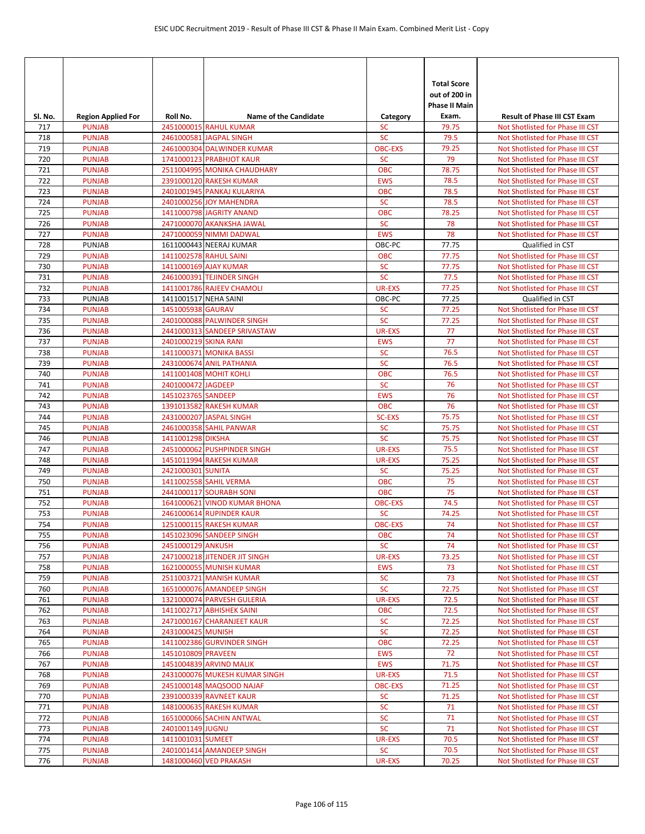| Sl. No.    | <b>Region Applied For</b>      | Roll No.              | <b>Name of the Candidate</b>                       | Category                | <b>Total Score</b><br>out of 200 in<br><b>Phase II Main</b><br>Exam. | <b>Result of Phase III CST Exam</b>                                  |
|------------|--------------------------------|-----------------------|----------------------------------------------------|-------------------------|----------------------------------------------------------------------|----------------------------------------------------------------------|
| 717        | <b>PUNJAB</b>                  |                       | 2451000015 RAHUL KUMAR                             | <b>SC</b>               | 79.75                                                                | Not Shotlisted for Phase III CST                                     |
| 718        | <b>PUNJAB</b>                  |                       | 2461000581 JAGPAL SINGH                            | <b>SC</b>               | 79.5                                                                 | Not Shotlisted for Phase III CST                                     |
| 719        | <b>PUNJAB</b>                  |                       | 2461000304 DALWINDER KUMAR                         | <b>OBC-EXS</b>          | 79.25                                                                | Not Shotlisted for Phase III CST                                     |
| 720        | <b>PUNJAB</b>                  |                       | 1741000123 PRABHJOT KAUR                           | <b>SC</b>               | 79                                                                   | Not Shotlisted for Phase III CST                                     |
| 721        | <b>PUNJAB</b>                  |                       | 2511004995 MONIKA CHAUDHARY                        | <b>OBC</b>              | 78.75                                                                | Not Shotlisted for Phase III CST                                     |
| 722        | <b>PUNJAB</b>                  |                       | 2391000120 RAKESH KUMAR                            | <b>EWS</b>              | 78.5                                                                 | Not Shotlisted for Phase III CST                                     |
| 723        | <b>PUNJAB</b>                  |                       | 2401001945 PANKAJ KULARIYA                         | <b>OBC</b>              | 78.5                                                                 | Not Shotlisted for Phase III CST                                     |
| 724        | <b>PUNJAB</b>                  |                       | 2401000256 JOY MAHENDRA                            | <b>SC</b>               | 78.5                                                                 | Not Shotlisted for Phase III CST                                     |
| 725        | <b>PUNJAB</b>                  |                       | 1411000798 JAGRITY ANAND                           | <b>OBC</b><br><b>SC</b> | 78.25                                                                | Not Shotlisted for Phase III CST                                     |
| 726        | <b>PUNJAB</b>                  |                       | 2471000070 AKANKSHA JAWAL                          |                         | 78<br>78                                                             | Not Shotlisted for Phase III CST                                     |
| 727<br>728 | <b>PUNJAB</b><br>PUNJAB        |                       | 2471000059 NIMMI DADWAL<br>1611000443 NEERAJ KUMAR | <b>EWS</b><br>OBC-PC    | 77.75                                                                | Not Shotlisted for Phase III CST<br>Qualified in CST                 |
| 729        | <b>PUNJAB</b>                  |                       | 1411002578 RAHUL SAINI                             | <b>OBC</b>              | 77.75                                                                | Not Shotlisted for Phase III CST                                     |
| 730        | <b>PUNJAB</b>                  |                       | 1411000169 AJAY KUMAR                              | <b>SC</b>               | 77.75                                                                | Not Shotlisted for Phase III CST                                     |
| 731        | <b>PUNJAB</b>                  |                       | 2461000391 TEJINDER SINGH                          | <b>SC</b>               | 77.5                                                                 | Not Shotlisted for Phase III CST                                     |
| 732        | <b>PUNJAB</b>                  |                       | 1411001786 RAJEEV CHAMOLI                          | <b>UR-EXS</b>           | 77.25                                                                | Not Shotlisted for Phase III CST                                     |
| 733        | PUNJAB                         | 1411001517 NEHA SAINI |                                                    | OBC-PC                  | 77.25                                                                | Qualified in CST                                                     |
| 734        | <b>PUNJAB</b>                  | 1451005938 GAURAV     |                                                    | <b>SC</b>               | 77.25                                                                | Not Shotlisted for Phase III CST                                     |
| 735        | <b>PUNJAB</b>                  |                       | 2401000088 PALWINDER SINGH                         | <b>SC</b>               | 77.25                                                                | Not Shotlisted for Phase III CST                                     |
| 736        | <b>PUNJAB</b>                  |                       | 2441000313 SANDEEP SRIVASTAW                       | <b>UR-EXS</b>           | 77                                                                   | Not Shotlisted for Phase III CST                                     |
| 737        | <b>PUNJAB</b>                  | 2401000219 SKINA RANI |                                                    | <b>EWS</b>              | 77                                                                   | Not Shotlisted for Phase III CST                                     |
| 738        | <b>PUNJAB</b>                  |                       | 1411000371 MONIKA BASSI                            | <b>SC</b>               | 76.5                                                                 | Not Shotlisted for Phase III CST                                     |
| 739        | <b>PUNJAB</b>                  |                       | 2431000674 ANIL PATHANIA                           | <b>SC</b>               | 76.5                                                                 | Not Shotlisted for Phase III CST                                     |
| 740        | <b>PUNJAB</b>                  |                       | 1411001408 MOHIT KOHLI                             | <b>OBC</b>              | 76.5                                                                 | Not Shotlisted for Phase III CST                                     |
| 741        | <b>PUNJAB</b>                  | 2401000472 JAGDEEP    |                                                    | <b>SC</b>               | 76                                                                   | Not Shotlisted for Phase III CST                                     |
| 742        | <b>PUNJAB</b>                  | 1451023765 SANDEEP    |                                                    | <b>EWS</b>              | 76                                                                   | Not Shotlisted for Phase III CST                                     |
| 743        | <b>PUNJAB</b>                  |                       | 1391013582 RAKESH KUMAR                            | <b>OBC</b>              | 76                                                                   | Not Shotlisted for Phase III CST                                     |
| 744        | <b>PUNJAB</b>                  |                       | 2431000207 JASPAL SINGH                            | <b>SC-EXS</b>           | 75.75                                                                | Not Shotlisted for Phase III CST                                     |
| 745        | <b>PUNJAB</b>                  |                       | 2461000358 SAHIL PANWAR                            | <b>SC</b>               | 75.75                                                                | Not Shotlisted for Phase III CST                                     |
| 746<br>747 | <b>PUNJAB</b><br><b>PUNJAB</b> | 1411001298 DIKSHA     | 2451000062 PUSHPINDER SINGH                        | <b>SC</b><br>UR-EXS     | 75.75<br>75.5                                                        | Not Shotlisted for Phase III CST<br>Not Shotlisted for Phase III CST |
| 748        | <b>PUNJAB</b>                  |                       | 1451011994 RAKESH KUMAR                            | UR-EXS                  | 75.25                                                                | Not Shotlisted for Phase III CST                                     |
| 749        | <b>PUNJAB</b>                  | 2421000301 SUNITA     |                                                    | <b>SC</b>               | 75.25                                                                | Not Shotlisted for Phase III CST                                     |
| 750        | <b>PUNJAB</b>                  |                       | 1411002558 SAHIL VERMA                             | <b>OBC</b>              | 75                                                                   | Not Shotlisted for Phase III CST                                     |
| 751        | <b>PUNJAB</b>                  |                       | 2441000117 SOURABH SONI                            | <b>OBC</b>              | 75                                                                   | Not Shotlisted for Phase III CST                                     |
| 752        | <b>PUNJAB</b>                  |                       | 1641000621 VINOD KUMAR BHONA                       | <b>OBC-EXS</b>          | 74.5                                                                 | Not Shotlisted for Phase III CST                                     |
| 753        | <b>PUNJAB</b>                  |                       | 2461000614 RUPINDER KAUR                           | <b>SC</b>               | 74.25                                                                | Not Shotlisted for Phase III CST                                     |
| 754        | <b>PUNJAB</b>                  |                       | 1251000115 RAKESH KUMAR                            | <b>OBC-EXS</b>          | 74                                                                   | Not Shotlisted for Phase III CST                                     |
| 755        | <b>PUNJAB</b>                  |                       | 1451023096 SANDEEP SINGH                           | <b>OBC</b>              | 74                                                                   | Not Shotlisted for Phase III CST                                     |
| 756        | <b>PUNJAB</b>                  | 2451000129 ANKUSH     |                                                    | <b>SC</b>               | 74                                                                   | Not Shotlisted for Phase III CST                                     |
| 757        | <b>PUNJAB</b>                  |                       | 2471000218 JITENDER JIT SINGH                      | UR-EXS                  | 73.25                                                                | Not Shotlisted for Phase III CST                                     |
| 758        | <b>PUNJAB</b>                  |                       | 1621000055 MUNISH KUMAR                            | <b>EWS</b>              | 73                                                                   | Not Shotlisted for Phase III CST                                     |
| 759        | <b>PUNJAB</b>                  |                       | 2511003721 MANISH KUMAR                            | <b>SC</b>               | 73                                                                   | Not Shotlisted for Phase III CST                                     |
| 760        | <b>PUNJAB</b>                  |                       | 1651000076 AMANDEEP SINGH                          | <b>SC</b>               | 72.75                                                                | Not Shotlisted for Phase III CST                                     |
| 761        | <b>PUNJAB</b>                  |                       | 1321000074 PARVESH GULERIA                         | <b>UR-EXS</b>           | 72.5                                                                 | Not Shotlisted for Phase III CST                                     |
| 762<br>763 | <b>PUNJAB</b>                  |                       | 1411002717 ABHISHEK SAINI                          | <b>OBC</b><br><b>SC</b> | 72.5<br>72.25                                                        | Not Shotlisted for Phase III CST                                     |
| 764        | <b>PUNJAB</b><br><b>PUNJAB</b> | 2431000425 MUNISH     | 2471000167 CHARANJEET KAUR                         | <b>SC</b>               | 72.25                                                                | Not Shotlisted for Phase III CST<br>Not Shotlisted for Phase III CST |
| 765        | <b>PUNJAB</b>                  |                       | 1411002386 GURVINDER SINGH                         | <b>OBC</b>              | 72.25                                                                | Not Shotlisted for Phase III CST                                     |
| 766        | <b>PUNJAB</b>                  | 1451010809 PRAVEEN    |                                                    | <b>EWS</b>              | 72                                                                   | Not Shotlisted for Phase III CST                                     |
| 767        | <b>PUNJAB</b>                  |                       | 1451004839 ARVIND MALIK                            | <b>EWS</b>              | 71.75                                                                | Not Shotlisted for Phase III CST                                     |
| 768        | <b>PUNJAB</b>                  |                       | 2431000076 MUKESH KUMAR SINGH                      | UR-EXS                  | 71.5                                                                 | Not Shotlisted for Phase III CST                                     |
| 769        | <b>PUNJAB</b>                  |                       | 2451000148 MAQSOOD NAJAF                           | <b>OBC-EXS</b>          | 71.25                                                                | Not Shotlisted for Phase III CST                                     |
| 770        | <b>PUNJAB</b>                  |                       | 2391000339 RAVNEET KAUR                            | <b>SC</b>               | 71.25                                                                | Not Shotlisted for Phase III CST                                     |
| 771        | <b>PUNJAB</b>                  |                       | 1481000635 RAKESH KUMAR                            | <b>SC</b>               | 71                                                                   | Not Shotlisted for Phase III CST                                     |
| 772        | <b>PUNJAB</b>                  |                       | 1651000066 SACHIN ANTWAL                           | <b>SC</b>               | 71                                                                   | Not Shotlisted for Phase III CST                                     |
| 773        | <b>PUNJAB</b>                  | 2401001149 JUGNU      |                                                    | <b>SC</b>               | 71                                                                   | Not Shotlisted for Phase III CST                                     |
| 774        | <b>PUNJAB</b>                  | 1411001031 SUMEET     |                                                    | <b>UR-EXS</b>           | 70.5                                                                 | Not Shotlisted for Phase III CST                                     |
| 775        | <b>PUNJAB</b>                  |                       | 2401001414 AMANDEEP SINGH                          | <b>SC</b>               | 70.5                                                                 | Not Shotlisted for Phase III CST                                     |
| 776        | <b>PUNJAB</b>                  |                       | 1481000460 VED PRAKASH                             | UR-EXS                  | 70.25                                                                | Not Shotlisted for Phase III CST                                     |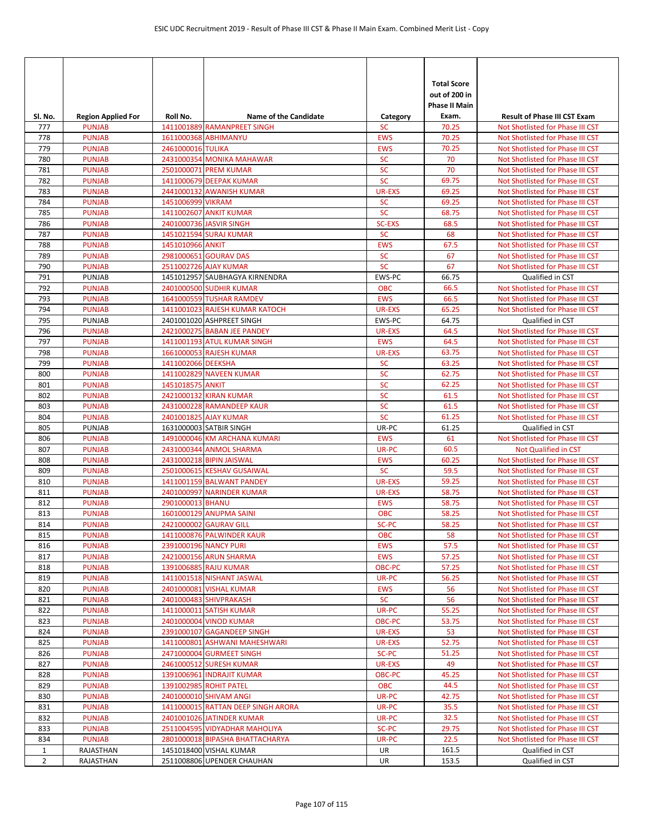|                |                                |                    |                                                         |                             | <b>Total Score</b>     |                                                                      |
|----------------|--------------------------------|--------------------|---------------------------------------------------------|-----------------------------|------------------------|----------------------------------------------------------------------|
|                |                                |                    |                                                         |                             | out of 200 in          |                                                                      |
| SI. No.        | <b>Region Applied For</b>      | Roll No.           | <b>Name of the Candidate</b>                            | Category                    | Phase II Main<br>Exam. | <b>Result of Phase III CST Exam</b>                                  |
| 777            | <b>PUNJAB</b>                  |                    | 1411001889 RAMANPREET SINGH                             | <b>SC</b>                   | 70.25                  | Not Shotlisted for Phase III CST                                     |
| 778            | <b>PUNJAB</b>                  |                    | 1611000368 ABHIMANYU                                    | <b>EWS</b>                  | 70.25                  | Not Shotlisted for Phase III CST                                     |
| 779            | <b>PUNJAB</b>                  | 2461000016 TULIKA  |                                                         | <b>EWS</b>                  | 70.25                  | Not Shotlisted for Phase III CST                                     |
| 780            | <b>PUNJAB</b>                  |                    | 2431000354 MONIKA MAHAWAR                               | <b>SC</b>                   | 70                     | Not Shotlisted for Phase III CST                                     |
| 781            | <b>PUNJAB</b>                  |                    | 2501000071 PREM KUMAR                                   | <b>SC</b>                   | 70                     | Not Shotlisted for Phase III CST                                     |
| 782            | <b>PUNJAB</b>                  |                    | 1411000679 DEEPAK KUMAR                                 | <b>SC</b>                   | 69.75                  | Not Shotlisted for Phase III CST                                     |
| 783            | <b>PUNJAB</b>                  |                    | 2441000132 AWANISH KUMAR                                | <b>UR-EXS</b>               | 69.25                  | Not Shotlisted for Phase III CST                                     |
| 784            | <b>PUNJAB</b>                  | 1451006999 VIKRAM  |                                                         | <b>SC</b>                   | 69.25                  | Not Shotlisted for Phase III CST                                     |
| 785            | <b>PUNJAB</b>                  |                    | 1411002607 ANKIT KUMAR                                  | <b>SC</b>                   | 68.75                  | Not Shotlisted for Phase III CST                                     |
| 786            | <b>PUNJAB</b>                  |                    | 2401000736 JASVIR SINGH                                 | <b>SC-EXS</b>               | 68.5                   | Not Shotlisted for Phase III CST                                     |
| 787<br>788     | <b>PUNJAB</b><br><b>PUNJAB</b> | 1451010966 ANKIT   | 1451021594 SURAJ KUMAR                                  | <b>SC</b><br><b>EWS</b>     | 68<br>67.5             | Not Shotlisted for Phase III CST<br>Not Shotlisted for Phase III CST |
| 789            | <b>PUNJAB</b>                  |                    | 2981000651 GOURAV DAS                                   | <b>SC</b>                   | 67                     | Not Shotlisted for Phase III CST                                     |
| 790            | <b>PUNJAB</b>                  |                    | 2511002726 AJAY KUMAR                                   | <b>SC</b>                   | 67                     | Not Shotlisted for Phase III CST                                     |
| 791            | PUNJAB                         |                    | 1451012957 SAUBHAGYA KIRNENDRA                          | EWS-PC                      | 66.75                  | <b>Oualified in CST</b>                                              |
| 792            | <b>PUNJAB</b>                  |                    | 2401000500 SUDHIR KUMAR                                 | <b>OBC</b>                  | 66.5                   | Not Shotlisted for Phase III CST                                     |
| 793            | <b>PUNJAB</b>                  |                    | 1641000559 TUSHAR RAMDEV                                | <b>EWS</b>                  | 66.5                   | Not Shotlisted for Phase III CST                                     |
| 794            | <b>PUNJAB</b>                  |                    | 1411001023 RAJESH KUMAR KATOCH                          | <b>UR-EXS</b>               | 65.25                  | Not Shotlisted for Phase III CST                                     |
| 795            | PUNJAB                         |                    | 2401001020 ASHPREET SINGH                               | EWS-PC                      | 64.75                  | Qualified in CST                                                     |
| 796            | <b>PUNJAB</b>                  |                    | 2421000275 BABAN JEE PANDEY                             | <b>UR-EXS</b>               | 64.5                   | Not Shotlisted for Phase III CST                                     |
| 797            | <b>PUNJAB</b>                  |                    | 1411001193 ATUL KUMAR SINGH                             | <b>EWS</b>                  | 64.5                   | Not Shotlisted for Phase III CST                                     |
| 798            | <b>PUNJAB</b>                  |                    | 1661000053 RAJESH KUMAR                                 | <b>UR-EXS</b>               | 63.75                  | Not Shotlisted for Phase III CST                                     |
| 799            | <b>PUNJAB</b>                  | 1411002066 DEEKSHA |                                                         | <b>SC</b>                   | 63.25                  | Not Shotlisted for Phase III CST                                     |
| 800            | <b>PUNJAB</b>                  |                    | 1411002829 NAVEEN KUMAR                                 | <b>SC</b>                   | 62.75                  | Not Shotlisted for Phase III CST                                     |
| 801            | <b>PUNJAB</b>                  | 1451018575 ANKIT   |                                                         | <b>SC</b>                   | 62.25                  | Not Shotlisted for Phase III CST                                     |
| 802            | <b>PUNJAB</b>                  |                    | 2421000132 KIRAN KUMAR                                  | <b>SC</b>                   | 61.5                   | Not Shotlisted for Phase III CST                                     |
| 803            | <b>PUNJAB</b>                  |                    | 2431000228 RAMANDEEP KAUR                               | <b>SC</b>                   | 61.5                   | Not Shotlisted for Phase III CST                                     |
| 804            | <b>PUNJAB</b>                  |                    | 2401001825 AJAY KUMAR                                   | <b>SC</b>                   | 61.25                  | Not Shotlisted for Phase III CST                                     |
| 805            | PUNJAB                         |                    | 1631000003 SATBIR SINGH                                 | UR-PC                       | 61.25                  | Qualified in CST                                                     |
| 806            | <b>PUNJAB</b>                  |                    | 1491000046 KM ARCHANA KUMARI                            | <b>EWS</b>                  | 61                     | Not Shotlisted for Phase III CST                                     |
| 807            | <b>PUNJAB</b>                  |                    | 2431000344 ANMOL SHARMA                                 | UR-PC                       | 60.5                   | Not Qualified in CST                                                 |
| 808            | <b>PUNJAB</b>                  |                    | 2431000218 BIPIN JAISWAL                                | <b>EWS</b>                  | 60.25                  | Not Shotlisted for Phase III CST                                     |
| 809<br>810     | <b>PUNJAB</b><br><b>PUNJAB</b> |                    | 2501000615 KESHAV GUSAIWAL<br>1411001159 BALWANT PANDEY | <b>SC</b>                   | 59.5                   | Not Shotlisted for Phase III CST<br>Not Shotlisted for Phase III CST |
| 811            | <b>PUNJAB</b>                  |                    | 2401000997 NARINDER KUMAR                               | UR-EXS<br><b>UR-EXS</b>     | 59.25<br>58.75         | Not Shotlisted for Phase III CST                                     |
| 812            | <b>PUNJAB</b>                  | 2901000013 BHANU   |                                                         | <b>EWS</b>                  | 58.75                  | Not Shotlisted for Phase III CST                                     |
| 813            | <b>PUNJAB</b>                  |                    | 1601000129 ANUPMA SAINI                                 | <b>OBC</b>                  | 58.25                  | Not Shotlisted for Phase III CST                                     |
| 814            | <b>PUNJAB</b>                  |                    | 2421000002 GAURAV GILL                                  | SC-PC                       | 58.25                  | Not Shotlisted for Phase III CST                                     |
| 815            | <b>PUNJAB</b>                  |                    | 1411000876 PALWINDER KAUR                               | <b>OBC</b>                  | 58                     | Not Shotlisted for Phase III CST                                     |
| 816            | <b>PUNJAB</b>                  |                    | 2391000196 NANCY PURI                                   | <b>EWS</b>                  | 57.5                   | Not Shotlisted for Phase III CST                                     |
| 817            | <b>PUNJAB</b>                  |                    | 2421000156 ARUN SHARMA                                  | <b>EWS</b>                  | 57.25                  | Not Shotlisted for Phase III CST                                     |
| 818            | <b>PUNJAB</b>                  |                    | 1391006885 RAJU KUMAR                                   | OBC-PC                      | 57.25                  | Not Shotlisted for Phase III CST                                     |
| 819            | <b>PUNJAB</b>                  |                    | 1411001518 NISHANT JASWAL                               | UR-PC                       | 56.25                  | Not Shotlisted for Phase III CST                                     |
| 820            | <b>PUNJAB</b>                  |                    | 2401000081 VISHAL KUMAR                                 | <b>EWS</b>                  | 56                     | Not Shotlisted for Phase III CST                                     |
| 821            | <b>PUNJAB</b>                  |                    | 2401000483 SHIVPRAKASH                                  | <b>SC</b>                   | 56                     | Not Shotlisted for Phase III CST                                     |
| 822            | <b>PUNJAB</b>                  |                    | 1411000011 SATISH KUMAR                                 | UR-PC                       | 55.25                  | Not Shotlisted for Phase III CST                                     |
| 823            | <b>PUNJAB</b>                  |                    | 2401000004 VINOD KUMAR                                  | OBC-PC                      | 53.75                  | Not Shotlisted for Phase III CST                                     |
| 824            | <b>PUNJAB</b>                  |                    | 2391000107 GAGANDEEP SINGH                              | UR-EXS                      | 53                     | Not Shotlisted for Phase III CST                                     |
| 825            | <b>PUNJAB</b>                  |                    | 1411000801 ASHWANI MAHESHWARI                           | <b>UR-EXS</b>               | 52.75                  | Not Shotlisted for Phase III CST                                     |
| 826            | <b>PUNJAB</b>                  |                    | 2471000004 GURMEET SINGH                                | SC-PC                       | 51.25                  | Not Shotlisted for Phase III CST                                     |
| 827            | <b>PUNJAB</b>                  |                    | 2461000512 SURESH KUMAR                                 | UR-EXS                      | 49                     | Not Shotlisted for Phase III CST                                     |
| 828<br>829     | <b>PUNJAB</b><br><b>PUNJAB</b> |                    | 1391006961 INDRAJIT KUMAR<br>1391002985 ROHIT PATEL     | <b>OBC-PC</b><br><b>OBC</b> | 45.25<br>44.5          | Not Shotlisted for Phase III CST                                     |
| 830            | <b>PUNJAB</b>                  |                    | 2401000010 SHIVAM ANGI                                  | UR-PC                       | 42.75                  | Not Shotlisted for Phase III CST<br>Not Shotlisted for Phase III CST |
| 831            | <b>PUNJAB</b>                  |                    | 1411000015 RATTAN DEEP SINGH ARORA                      | UR-PC                       | 35.5                   | Not Shotlisted for Phase III CST                                     |
| 832            | <b>PUNJAB</b>                  |                    | 2401001026 JATINDER KUMAR                               | UR-PC                       | 32.5                   | Not Shotlisted for Phase III CST                                     |
| 833            | <b>PUNJAB</b>                  |                    | 2511004595 VIDYADHAR MAHOLIYA                           | SC-PC                       | 29.75                  | Not Shotlisted for Phase III CST                                     |
| 834            | <b>PUNJAB</b>                  |                    | 2801000018 BIPASHA BHATTACHARYA                         | UR-PC                       | 22.5                   | Not Shotlisted for Phase III CST                                     |
| $\mathbf{1}$   | RAJASTHAN                      |                    | 1451018400 VISHAL KUMAR                                 | UR                          | 161.5                  | Qualified in CST                                                     |
| $\overline{2}$ | RAJASTHAN                      |                    | 2511008806 UPENDER CHAUHAN                              | UR                          | 153.5                  | Qualified in CST                                                     |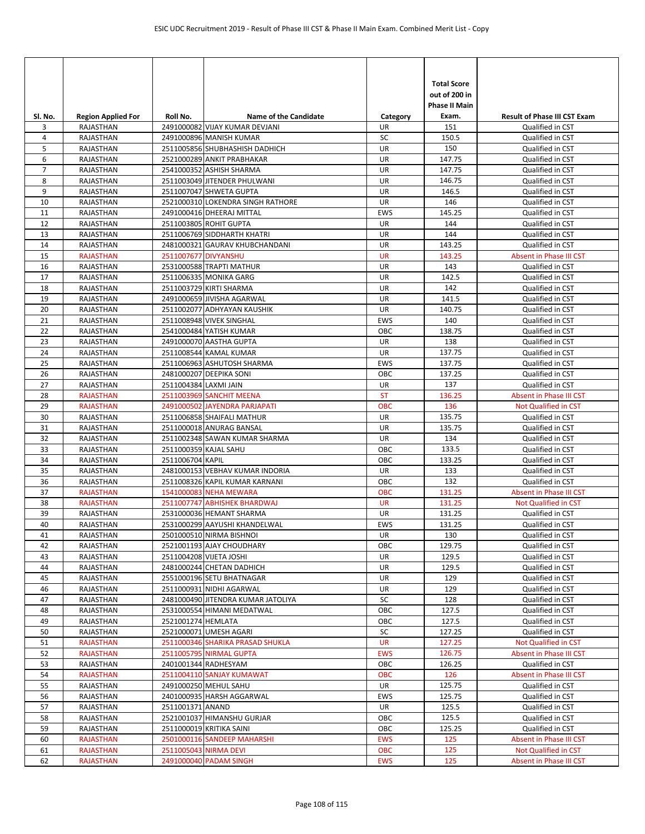| Sl. No.        | <b>Region Applied For</b> | Roll No.              | <b>Name of the Candidate</b>                                  | Category         | <b>Total Score</b><br>out of 200 in<br><b>Phase II Main</b><br>Exam. | <b>Result of Phase III CST Exam</b>         |
|----------------|---------------------------|-----------------------|---------------------------------------------------------------|------------------|----------------------------------------------------------------------|---------------------------------------------|
| 3              | <b>RAJASTHAN</b>          |                       | 2491000082 VIJAY KUMAR DEVJANI                                | UR               | 151                                                                  | Qualified in CST                            |
| 4              | RAJASTHAN                 |                       | 2491000896 MANISH KUMAR                                       | SC               | 150.5                                                                | Qualified in CST                            |
| 5              | RAJASTHAN                 |                       | 2511005856 SHUBHASHISH DADHICH                                | UR               | 150                                                                  | Qualified in CST                            |
| 6              | RAJASTHAN                 |                       | 2521000289 ANKIT PRABHAKAR                                    | UR               | 147.75                                                               | Qualified in CST                            |
| $\overline{7}$ | RAJASTHAN                 |                       | 2541000352 ASHISH SHARMA                                      | UR               | 147.75                                                               | Qualified in CST                            |
| 8              | RAJASTHAN                 |                       | 2511003049 JITENDER PHULWANI                                  | UR               | 146.75                                                               | Qualified in CST                            |
| 9              | RAJASTHAN                 |                       | 2511007047 SHWETA GUPTA                                       | UR               | 146.5                                                                | Qualified in CST                            |
| 10             | RAJASTHAN                 |                       | 2521000310 LOKENDRA SINGH RATHORE                             | UR               | 146                                                                  | Qualified in CST                            |
| 11             | RAJASTHAN                 |                       | 2491000416 DHEERAJ MITTAL                                     | <b>EWS</b>       | 145.25                                                               | Qualified in CST                            |
| 12             | RAJASTHAN                 |                       | 2511003805 ROHIT GUPTA                                        | UR               | 144                                                                  | Qualified in CST                            |
| 13<br>14       | RAJASTHAN<br>RAJASTHAN    |                       | 2511006769 SIDDHARTH KHATRI<br>2481000321 GAURAV KHUBCHANDANI | UR<br>UR         | 144<br>143.25                                                        | Qualified in CST                            |
| 15             | <b>RAJASTHAN</b>          | 2511007677 DIVYANSHU  |                                                               | <b>UR</b>        | 143.25                                                               | Qualified in CST<br>Absent in Phase III CST |
| 16             | RAJASTHAN                 |                       | 2531000588 TRAPTI MATHUR                                      | UR               | 143                                                                  | Qualified in CST                            |
| 17             | RAJASTHAN                 |                       | 2511006335 MONIKA GARG                                        | UR               | 142.5                                                                | Qualified in CST                            |
| 18             | RAJASTHAN                 |                       | 2511003729 KIRTI SHARMA                                       | UR               | 142                                                                  | Qualified in CST                            |
| 19             | RAJASTHAN                 |                       | 2491000659 JIVISHA AGARWAL                                    | UR               | 141.5                                                                | Qualified in CST                            |
| 20             | RAJASTHAN                 |                       | 2511002077 ADHYAYAN KAUSHIK                                   | UR               | 140.75                                                               | Qualified in CST                            |
| 21             | <b>RAJASTHAN</b>          |                       | 2511008948 VIVEK SINGHAL                                      | <b>EWS</b>       | 140                                                                  | Qualified in CST                            |
| 22             | RAJASTHAN                 |                       | 2541000484 YATISH KUMAR                                       | OBC              | 138.75                                                               | Qualified in CST                            |
| 23             | RAJASTHAN                 |                       | 2491000070 AASTHA GUPTA                                       | UR               | 138                                                                  | Qualified in CST                            |
| 24             | RAJASTHAN                 |                       | 2511008544 KAMAL KUMAR                                        | UR               | 137.75                                                               | Qualified in CST                            |
| 25             | RAJASTHAN                 |                       | 2511006963 ASHUTOSH SHARMA                                    | <b>EWS</b>       | 137.75                                                               | Qualified in CST                            |
| 26             | RAJASTHAN                 |                       | 2481000207 DEEPIKA SONI                                       | OBC              | 137.25                                                               | Qualified in CST                            |
| 27             | RAJASTHAN                 | 2511004384 LAXMI JAIN |                                                               | UR               | 137                                                                  | Qualified in CST                            |
| 28             | <b>RAJASTHAN</b>          |                       | 2511003969 SANCHIT MEENA                                      | <b>ST</b>        | 136.25                                                               | Absent in Phase III CST                     |
| 29             | <b>RAJASTHAN</b>          |                       | 2491000502 JAYENDRA PARJAPATI                                 | <b>OBC</b>       | 136                                                                  | Not Qualified in CST                        |
| 30             | RAJASTHAN                 |                       | 2511006858 SHAIFALI MATHUR                                    | UR               | 135.75                                                               | Qualified in CST                            |
| 31             | RAJASTHAN                 |                       | 2511000018 ANURAG BANSAL                                      | UR               | 135.75                                                               | Qualified in CST                            |
| 32             | RAJASTHAN                 |                       | 2511002348 SAWAN KUMAR SHARMA                                 | UR               | 134                                                                  | Qualified in CST                            |
| 33             | RAJASTHAN                 | 2511000359 KAJAL SAHU |                                                               | OBC              | 133.5                                                                | Qualified in CST                            |
| 34             | RAJASTHAN                 | 2511006704 KAPIL      |                                                               | OBC              | 133.25                                                               | Qualified in CST                            |
| 35             | RAJASTHAN                 |                       | 2481000153 VEBHAV KUMAR INDORIA                               | <b>UR</b>        | 133                                                                  | Qualified in CST                            |
| 36             | RAJASTHAN                 |                       | 2511008326 KAPIL KUMAR KARNANI                                | OBC              | 132                                                                  | Qualified in CST                            |
| 37             | <b>RAJASTHAN</b>          |                       | 1541000083 NEHA MEWARA                                        | <b>OBC</b>       | 131.25                                                               | Absent in Phase III CST                     |
| 38             | <b>RAJASTHAN</b>          |                       | 2511007747 ABHISHEK BHARDWAJ                                  | <b>UR</b>        | 131.25                                                               | Not Qualified in CST                        |
| 39<br>40       | RAJASTHAN<br>RAJASTHAN    |                       | 2531000036 HEMANT SHARMA<br>2531000299 AAYUSHI KHANDELWAL     | UR<br><b>EWS</b> | 131.25<br>131.25                                                     | Qualified in CST<br>Qualified in CST        |
| 41             | RAJASTHAN                 |                       | 2501000510 NIRMA BISHNOI                                      | UR               | 130                                                                  | Qualified in CST                            |
| 42             | RAJASTHAN                 |                       | 2521001193 AJAY CHOUDHARY                                     | OBC              | 129.75                                                               | Qualified in CST                            |
| 43             | RAJASTHAN                 |                       | 2511004208 VIJETA JOSHI                                       | UR               | 129.5                                                                | Qualified in CST                            |
| 44             | RAJASTHAN                 |                       | 2481000244 CHETAN DADHICH                                     | UR               | 129.5                                                                | Qualified in CST                            |
| 45             | RAJASTHAN                 |                       | 2551000196 SETU BHATNAGAR                                     | UR               | 129                                                                  | Qualified in CST                            |
| 46             | RAJASTHAN                 |                       | 2511000931 NIDHI AGARWAL                                      | UR               | 129                                                                  | Qualified in CST                            |
| 47             | RAJASTHAN                 |                       | 2481000490 JITENDRA KUMAR JATOLIYA                            | SC               | 128                                                                  | Qualified in CST                            |
| 48             | RAJASTHAN                 |                       | 2531000554 HIMANI MEDATWAL                                    | OBC              | 127.5                                                                | Qualified in CST                            |
| 49             | RAJASTHAN                 | 2521001274 HEMLATA    |                                                               | OBC              | 127.5                                                                | Qualified in CST                            |
| 50             | RAJASTHAN                 |                       | 2521000071 UMESH AGARI                                        | SC               | 127.25                                                               | Qualified in CST                            |
| 51             | <b>RAJASTHAN</b>          |                       | 2511000346 SHARIKA PRASAD SHUKLA                              | <b>UR</b>        | 127.25                                                               | Not Qualified in CST                        |
| 52             | <b>RAJASTHAN</b>          |                       | 2511005795 NIRMAL GUPTA                                       | <b>EWS</b>       | 126.75                                                               | Absent in Phase III CST                     |
| 53             | RAJASTHAN                 |                       | 2401001344 RADHESYAM                                          | OBC              | 126.25                                                               | Qualified in CST                            |
| 54             | <b>RAJASTHAN</b>          |                       | 2511004110 SANJAY KUMAWAT                                     | <b>OBC</b>       | 126                                                                  | Absent in Phase III CST                     |
| 55             | RAJASTHAN                 |                       | 2491000250 MEHUL SAHU                                         | UR               | 125.75                                                               | Qualified in CST                            |
| 56             | RAJASTHAN                 |                       | 2401000935 HARSH AGGARWAL                                     | EWS              | 125.75                                                               | Qualified in CST                            |
| 57             | RAJASTHAN                 | 2511001371 ANAND      |                                                               | UR               | 125.5                                                                | Qualified in CST                            |
| 58             | RAJASTHAN                 |                       | 2521001037 HIMANSHU GURJAR                                    | OBC              | 125.5                                                                | Qualified in CST                            |
| 59             | RAJASTHAN                 |                       | 2511000019 KRITIKA SAINI                                      | OBC              | 125.25                                                               | Qualified in CST                            |
| 60             | <b>RAJASTHAN</b>          |                       | 2501000116 SANDEEP MAHARSHI                                   | <b>EWS</b>       | 125                                                                  | Absent in Phase III CST                     |
| 61             | <b>RAJASTHAN</b>          |                       | 2511005043 NIRMA DEVI                                         | <b>OBC</b>       | 125<br>125                                                           | Not Qualified in CST                        |
| 62             | RAJASTHAN                 |                       | 2491000040 PADAM SINGH                                        | EWS              |                                                                      | Absent in Phase III CST                     |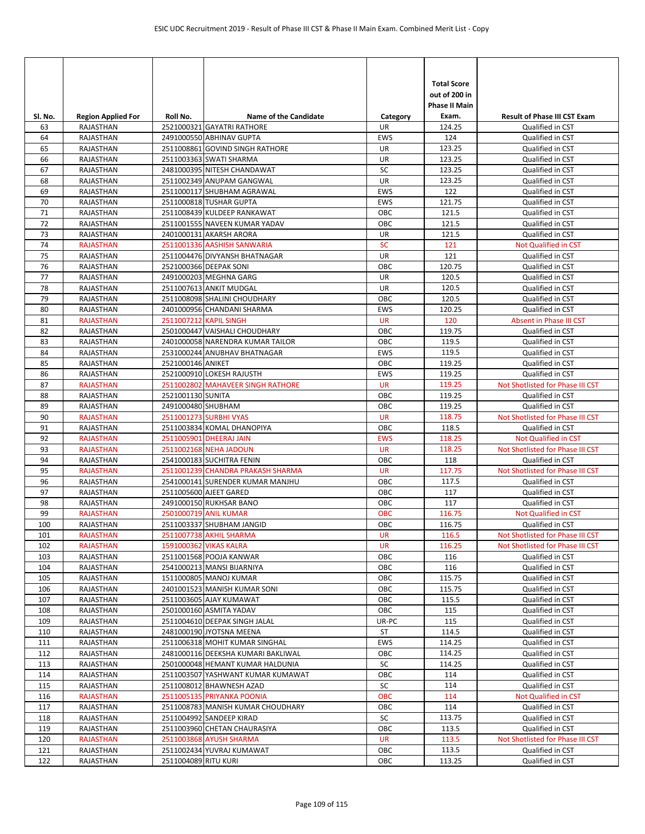| SI. No.  | <b>Region Applied For</b> | Roll No.             | Name of the Candidate                                  | Category   | <b>Total Score</b><br>out of 200 in<br><b>Phase II Main</b><br>Exam. | <b>Result of Phase III CST Exam</b>  |
|----------|---------------------------|----------------------|--------------------------------------------------------|------------|----------------------------------------------------------------------|--------------------------------------|
| 63       | RAJASTHAN                 |                      | 2521000321 GAYATRI RATHORE                             | UR         | 124.25                                                               | Qualified in CST                     |
| 64       | RAJASTHAN                 |                      | 2491000550 ABHINAV GUPTA                               | <b>EWS</b> | 124                                                                  | Qualified in CST                     |
| 65       | RAJASTHAN                 |                      | 2511008861 GOVIND SINGH RATHORE                        | <b>UR</b>  | 123.25                                                               | Qualified in CST                     |
| 66       | RAJASTHAN                 |                      | 2511003363 SWATI SHARMA                                | UR         | 123.25                                                               | Qualified in CST                     |
| 67       | RAJASTHAN                 |                      | 2481000395 NITESH CHANDAWAT                            | SC         | 123.25                                                               | Qualified in CST                     |
| 68       | RAJASTHAN                 |                      | 2511002349 ANUPAM GANGWAL                              | UR         | 123.25                                                               | Qualified in CST                     |
| 69       | RAJASTHAN                 |                      | 2511000117 SHUBHAM AGRAWAL                             | <b>EWS</b> | 122                                                                  | Qualified in CST                     |
| 70       | RAJASTHAN                 |                      | 2511000818 TUSHAR GUPTA<br>2511008439 KULDEEP RANKAWAT | EWS<br>OBC | 121.75<br>121.5                                                      | Qualified in CST                     |
| 71<br>72 | RAJASTHAN<br>RAJASTHAN    |                      | 2511001555 NAVEEN KUMAR YADAV                          | OBC        | 121.5                                                                | Qualified in CST<br>Qualified in CST |
| 73       | RAJASTHAN                 |                      | 2401000131 AKARSH ARORA                                | UR         | 121.5                                                                | Qualified in CST                     |
| 74       | <b>RAJASTHAN</b>          |                      | 2511001336 AASHISH SANWARIA                            | <b>SC</b>  | 121                                                                  | Not Qualified in CST                 |
| 75       | RAJASTHAN                 |                      | 2511004476 DIVYANSH BHATNAGAR                          | <b>UR</b>  | 121                                                                  | Qualified in CST                     |
| 76       | RAJASTHAN                 |                      | 2521000366 DEEPAK SONI                                 | OBC        | 120.75                                                               | Qualified in CST                     |
| 77       | RAJASTHAN                 |                      | 2491000203 MEGHNA GARG                                 | <b>UR</b>  | 120.5                                                                | Qualified in CST                     |
| 78       | RAJASTHAN                 |                      | 2511007613 ANKIT MUDGAL                                | <b>UR</b>  | 120.5                                                                | Qualified in CST                     |
| 79       | RAJASTHAN                 |                      | 2511008098 SHALINI CHOUDHARY                           | OBC        | 120.5                                                                | Qualified in CST                     |
| 80       | <b>RAJASTHAN</b>          |                      | 2401000956 CHANDANI SHARMA                             | EWS        | 120.25                                                               | Qualified in CST                     |
| 81       | <b>RAJASTHAN</b>          |                      | 2511007212 KAPIL SINGH                                 | <b>UR</b>  | 120                                                                  | Absent in Phase III CST              |
| 82       | RAJASTHAN                 |                      | 2501000447 VAISHALI CHOUDHARY                          | OBC        | 119.75                                                               | Qualified in CST                     |
| 83       | RAJASTHAN                 |                      | 2401000058 NARENDRA KUMAR TAILOR                       | OBC        | 119.5                                                                | Qualified in CST                     |
| 84       | RAJASTHAN                 |                      | 2531000244 ANUBHAV BHATNAGAR                           | EWS        | 119.5                                                                | Qualified in CST                     |
| 85       | RAJASTHAN                 | 2521000146 ANIKET    |                                                        | OBC        | 119.25                                                               | Qualified in CST                     |
| 86       | RAJASTHAN                 |                      | 2521000910 LOKESH RAJUSTH                              | <b>EWS</b> | 119.25                                                               | Qualified in CST                     |
| 87       | <b>RAJASTHAN</b>          |                      | 2511002802 MAHAVEER SINGH RATHORE                      | <b>UR</b>  | 119.25                                                               | Not Shotlisted for Phase III CST     |
| 88       | RAJASTHAN                 | 2521001130 SUNITA    |                                                        | OBC        | 119.25                                                               | Qualified in CST                     |
| 89       | RAJASTHAN                 | 2491000480 SHUBHAM   |                                                        | OBC        | 119.25                                                               | Qualified in CST                     |
| 90       | <b>RAJASTHAN</b>          |                      | 2511001273 SURBHI VYAS                                 | <b>UR</b>  | 118.75                                                               | Not Shotlisted for Phase III CST     |
| 91       | RAJASTHAN                 |                      | 2511003834 KOMAL DHANOPIYA                             | OBC        | 118.5                                                                | Qualified in CST                     |
| 92       | <b>RAJASTHAN</b>          |                      | 2511005901 DHEERAJ JAIN                                | <b>EWS</b> | 118.25                                                               | <b>Not Qualified in CST</b>          |
| 93       | <b>RAJASTHAN</b>          |                      | 2511002168 NEHA JADOUN                                 | <b>UR</b>  | 118.25                                                               | Not Shotlisted for Phase III CST     |
| 94       | RAJASTHAN                 |                      | 2541000183 SUCHITRA FENIN                              | OBC        | 118                                                                  | Qualified in CST                     |
| 95       | <b>RAJASTHAN</b>          |                      | 2511001239 CHANDRA PRAKASH SHARMA                      | <b>UR</b>  | 117.75                                                               | Not Shotlisted for Phase III CST     |
| 96       | RAJASTHAN                 |                      | 2541000141 SURENDER KUMAR MANJHU                       | OBC        | 117.5<br>117                                                         | Qualified in CST                     |
| 97<br>98 | RAJASTHAN<br>RAJASTHAN    |                      | 2511005600 AJEET GARED<br>2491000150 RUKHSAR BANO      | OBC<br>OBC | 117                                                                  | Qualified in CST<br>Qualified in CST |
| 99       | <b>RAJASTHAN</b>          |                      | 2501000719 ANIL KUMAR                                  | <b>OBC</b> | 116.75                                                               | <b>Not Qualified in CST</b>          |
| 100      | RAJASTHAN                 |                      | 2511003337 SHUBHAM JANGID                              | OBC        | 116.75                                                               | Qualified in CST                     |
| 101      | <b>RAJASTHAN</b>          |                      | 2511007738 AKHIL SHARMA                                | UR         | 116.5                                                                | Not Shotlisted for Phase III CST     |
| 102      | <b>RAJASTHAN</b>          |                      | 1591000362 VIKAS KALRA                                 | <b>UR</b>  | 116.25                                                               | Not Shotlisted for Phase III CST     |
| 103      | RAJASTHAN                 |                      | 2511001568 POOJA KANWAR                                | ОВС        | 116                                                                  | Qualified in CST                     |
| 104      | RAJASTHAN                 |                      | 2541000213 MANSI BIJARNIYA                             | ОВС        | 116                                                                  | Qualified in CST                     |
| 105      | RAJASTHAN                 |                      | 1511000805 MANOJ KUMAR                                 | OBC        | 115.75                                                               | Qualified in CST                     |
| 106      | RAJASTHAN                 |                      | 2401001523 MANISH KUMAR SONI                           | OBC        | 115.75                                                               | Qualified in CST                     |
| 107      | RAJASTHAN                 |                      | 2511003605 AJAY KUMAWAT                                | OBC        | 115.5                                                                | Qualified in CST                     |
| 108      | RAJASTHAN                 |                      | 2501000160 ASMITA YADAV                                | OBC        | 115                                                                  | Qualified in CST                     |
| 109      | RAJASTHAN                 |                      | 2511004610 DEEPAK SINGH JALAL                          | UR-PC      | 115                                                                  | Qualified in CST                     |
| 110      | RAJASTHAN                 |                      | 2481000190 JYOTSNA MEENA                               | ST         | 114.5                                                                | Qualified in CST                     |
| 111      | RAJASTHAN                 |                      | 2511006318 MOHIT KUMAR SINGHAL                         | EWS        | 114.25                                                               | Qualified in CST                     |
| 112      | RAJASTHAN                 |                      | 2481000116 DEEKSHA KUMARI BAKLIWAL                     | OBC        | 114.25                                                               | Qualified in CST                     |
| 113      | RAJASTHAN                 |                      | 2501000048 HEMANT KUMAR HALDUNIA                       | SC         | 114.25                                                               | Qualified in CST                     |
| 114      | RAJASTHAN                 |                      | 2511003507 YASHWANT KUMAR KUMAWAT                      | ОВС        | 114                                                                  | Qualified in CST                     |
| 115      | RAJASTHAN                 |                      | 2511008012 BHAWNESH AZAD                               | SC         | 114                                                                  | Qualified in CST                     |
| 116      | <b>RAJASTHAN</b>          |                      | 2511005135 PRIYANKA POONIA                             | <b>OBC</b> | 114                                                                  | Not Qualified in CST                 |
| 117      | RAJASTHAN                 |                      | 2511008783 MANISH KUMAR CHOUDHARY                      | OBC        | 114                                                                  | Qualified in CST                     |
| 118      | RAJASTHAN                 |                      | 2511004992 SANDEEP KIRAD                               | SC         | 113.75                                                               | Qualified in CST                     |
| 119      | RAJASTHAN                 |                      | 2511003960 CHETAN CHAURASIYA                           | OBC        | 113.5                                                                | Qualified in CST                     |
| 120      | <b>RAJASTHAN</b>          |                      | 2511003868 AYUSH SHARMA                                | <b>UR</b>  | 113.5                                                                | Not Shotlisted for Phase III CST     |
| 121      | RAJASTHAN                 |                      | 2511002434 YUVRAJ KUMAWAT                              | OBC        | 113.5                                                                | Qualified in CST                     |
| 122      | RAJASTHAN                 | 2511004089 RITU KURI |                                                        | ОВС        | 113.25                                                               | Qualified in CST                     |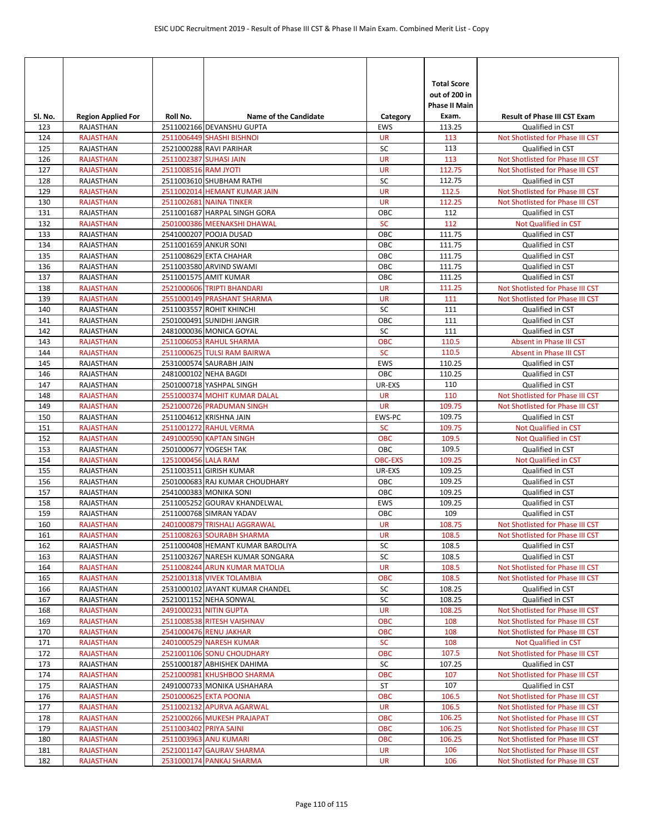| Sl. No.    | <b>Region Applied For</b>            | Roll No.               | <b>Name of the Candidate</b>                           | Category         | <b>Total Score</b><br>out of 200 in<br><b>Phase II Main</b><br>Exam. | <b>Result of Phase III CST Exam</b>                                  |
|------------|--------------------------------------|------------------------|--------------------------------------------------------|------------------|----------------------------------------------------------------------|----------------------------------------------------------------------|
| 123        | RAJASTHAN                            |                        | 2511002166 DEVANSHU GUPTA                              | <b>EWS</b>       | 113.25                                                               | Qualified in CST                                                     |
| 124        | <b>RAJASTHAN</b>                     |                        | 2511006449 SHASHI BISHNOI                              | <b>UR</b>        | 113                                                                  | Not Shotlisted for Phase III CST                                     |
| 125        | RAJASTHAN                            |                        | 2521000288 RAVI PARIHAR                                | SC               | 113                                                                  | Qualified in CST                                                     |
| 126        | <b>RAJASTHAN</b>                     | 2511002387 SUHASI JAIN |                                                        | <b>UR</b>        | 113                                                                  | Not Shotlisted for Phase III CST                                     |
| 127        | <b>RAJASTHAN</b>                     | 2511008516 RAM JYOTI   |                                                        | <b>UR</b>        | 112.75                                                               | Not Shotlisted for Phase III CST                                     |
| 128        | <b>RAJASTHAN</b>                     |                        | 2511003610 SHUBHAM RATHI                               | SC               | 112.75                                                               | Qualified in CST                                                     |
| 129        | <b>RAJASTHAN</b>                     |                        | 2511002014 HEMANT KUMAR JAIN                           | <b>UR</b>        | 112.5                                                                | Not Shotlisted for Phase III CST                                     |
| 130        | <b>RAJASTHAN</b>                     |                        | 2511002681 NAINA TINKER                                | <b>UR</b>        | 112.25                                                               | Not Shotlisted for Phase III CST                                     |
| 131        | RAJASTHAN                            |                        | 2511001687 HARPAL SINGH GORA                           | OBC              | 112                                                                  | Qualified in CST                                                     |
| 132        | <b>RAJASTHAN</b>                     |                        | 2501000386 MEENAKSHI DHAWAL                            | <b>SC</b>        | 112                                                                  | Not Qualified in CST                                                 |
| 133        | RAJASTHAN                            |                        | 2541000207 POOJA DUSAD                                 | OBC              | 111.75                                                               | Qualified in CST                                                     |
| 134        | RAJASTHAN                            |                        | 2511001659 ANKUR SONI                                  | OBC              | 111.75                                                               | Qualified in CST                                                     |
| 135        | RAJASTHAN                            |                        | 2511008629 EKTA CHAHAR                                 | OBC              | 111.75                                                               | Qualified in CST                                                     |
| 136<br>137 | RAJASTHAN<br>RAJASTHAN               |                        | 2511003580 ARVIND SWAMI<br>2511001575 AMIT KUMAR       | OBC<br>OBC       | 111.75<br>111.25                                                     | Qualified in CST                                                     |
|            | <b>RAJASTHAN</b>                     |                        | 2521000606 TRIPTI BHANDARI                             | <b>UR</b>        | 111.25                                                               | Qualified in CST<br>Not Shotlisted for Phase III CST                 |
| 138<br>139 | <b>RAJASTHAN</b>                     |                        | 2551000149 PRASHANT SHARMA                             | <b>UR</b>        | 111                                                                  | Not Shotlisted for Phase III CST                                     |
| 140        | RAJASTHAN                            |                        | 2511003557 ROHIT KHINCHI                               | SC               | 111                                                                  | Qualified in CST                                                     |
| 141        | RAJASTHAN                            |                        | 2501000491 SUNIDHI JANGIR                              | OBC              | 111                                                                  | Qualified in CST                                                     |
| 142        | RAJASTHAN                            |                        | 2481000036 MONICA GOYAL                                | SC               | 111                                                                  | Qualified in CST                                                     |
| 143        | <b>RAJASTHAN</b>                     |                        | 2511006053 RAHUL SHARMA                                | <b>OBC</b>       | 110.5                                                                | Absent in Phase III CST                                              |
| 144        | <b>RAJASTHAN</b>                     |                        | 2511000625 TULSI RAM BAIRWA                            | <b>SC</b>        | 110.5                                                                | Absent in Phase III CST                                              |
| 145        | RAJASTHAN                            |                        | 2531000574 SAURABH JAIN                                | EWS              | 110.25                                                               | Qualified in CST                                                     |
| 146        | RAJASTHAN                            |                        | 2481000102 NEHA BAGDI                                  | OBC              | 110.25                                                               | Qualified in CST                                                     |
| 147        | RAJASTHAN                            |                        | 2501000718 YASHPAL SINGH                               | UR-EXS           | 110                                                                  | Qualified in CST                                                     |
| 148        | <b>RAJASTHAN</b>                     |                        | 2551000374 MOHIT KUMAR DALAL                           | <b>UR</b>        | 110                                                                  | Not Shotlisted for Phase III CST                                     |
| 149        | <b>RAJASTHAN</b>                     |                        | 2521000726 PRADUMAN SINGH                              | <b>UR</b>        | 109.75                                                               | Not Shotlisted for Phase III CST                                     |
| 150        | RAJASTHAN                            |                        | 2511004612 KRISHNA JAIN                                | EWS-PC           | 109.75                                                               | Qualified in CST                                                     |
| 151        | <b>RAJASTHAN</b>                     |                        | 2511001272 RAHUL VERMA                                 | <b>SC</b>        | 109.75                                                               | Not Qualified in CST                                                 |
| 152        | <b>RAJASTHAN</b>                     |                        | 2491000590 KAPTAN SINGH                                | <b>OBC</b>       | 109.5                                                                | Not Qualified in CST                                                 |
| 153        | RAJASTHAN                            |                        | 2501000677 YOGESH TAK                                  | OBC              | 109.5                                                                | Qualified in CST                                                     |
| 154        | <b>RAJASTHAN</b>                     | 1251000456 LALA RAM    |                                                        | <b>OBC-EXS</b>   | 109.25                                                               | Not Qualified in CST                                                 |
| 155        | RAJASTHAN                            |                        | 2511003511 GIRISH KUMAR                                | UR-EXS           | 109.25                                                               | Qualified in CST                                                     |
| 156        | RAJASTHAN                            |                        | 2501000683 RAJ KUMAR CHOUDHARY                         | OBC              | 109.25                                                               | Qualified in CST                                                     |
| 157<br>158 | RAJASTHAN<br>RAJASTHAN               |                        | 2541000383 MONIKA SONI<br>2511005252 GOURAV KHANDELWAL | OBC<br>EWS       | 109.25<br>109.25                                                     | Qualified in CST<br>Qualified in CST                                 |
| 159        | RAJASTHAN                            |                        | 2511000768 SIMRAN YADAV                                | OBC              | 109                                                                  | Qualified in CST                                                     |
| 160        | <b>RAJASTHAN</b>                     |                        | 2401000879 TRISHALI AGGRAWAL                           | <b>UR</b>        | 108.75                                                               | Not Shotlisted for Phase III CST                                     |
| 161        | <b>RAJASTHAN</b>                     |                        | 2511008263 SOURABH SHARMA                              | <b>UR</b>        | 108.5                                                                | Not Shotlisted for Phase III CST                                     |
| 162        | RAJASTHAN                            |                        | 2511000408 HEMANT KUMAR BAROLIYA                       | SC               | 108.5                                                                | Qualified in CST                                                     |
| 163        | RAJASTHAN                            |                        | 2511003267 NARESH KUMAR SONGARA                        | SC               | 108.5                                                                | Qualified in CST                                                     |
| 164        | <b>RAJASTHAN</b>                     |                        | 2511008244 ARUN KUMAR MATOLIA                          | UR               | 108.5                                                                | Not Shotlisted for Phase III CST                                     |
| 165        | <b>RAJASTHAN</b>                     |                        | 2521001318 VIVEK TOLAMBIA                              | <b>OBC</b>       | 108.5                                                                | Not Shotlisted for Phase III CST                                     |
| 166        | RAJASTHAN                            |                        | 2531000102 JAYANT KUMAR CHANDEL                        | SC               | 108.25                                                               | Qualified in CST                                                     |
| 167        | RAJASTHAN                            |                        | 2521001152 NEHA SONWAL                                 | SC               | 108.25                                                               | Qualified in CST                                                     |
| 168        | <b>RAJASTHAN</b>                     |                        | 2491000231 NITIN GUPTA                                 | <b>UR</b>        | 108.25                                                               | Not Shotlisted for Phase III CST                                     |
| 169        | <b>RAJASTHAN</b>                     |                        | 2511008538 RITESH VAISHNAV                             | <b>OBC</b>       | 108                                                                  | Not Shotlisted for Phase III CST                                     |
| 170        | <b>RAJASTHAN</b>                     |                        | 2541000476 RENU JAKHAR                                 | <b>OBC</b>       | 108                                                                  | Not Shotlisted for Phase III CST                                     |
| 171        | <b>RAJASTHAN</b>                     |                        | 2401000529 NARESH KUMAR                                | <b>SC</b>        | 108                                                                  | Not Qualified in CST                                                 |
| 172        | <b>RAJASTHAN</b>                     |                        | 2521001106 SONU CHOUDHARY                              | OBC              | 107.5                                                                | Not Shotlisted for Phase III CST                                     |
| 173        | RAJASTHAN                            |                        | 2551000187 ABHISHEK DAHIMA                             | SC               | 107.25                                                               | Qualified in CST                                                     |
| 174        | <b>RAJASTHAN</b>                     |                        | 2521000981 KHUSHBOO SHARMA                             | OBC              | 107                                                                  | Not Shotlisted for Phase III CST                                     |
| 175        | RAJASTHAN                            |                        | 2491000733 MONIKA USHAHARA                             | ST<br><b>OBC</b> | 107<br>106.5                                                         | Qualified in CST                                                     |
| 176<br>177 | <b>RAJASTHAN</b><br><b>RAJASTHAN</b> |                        | 2501000625 EKTA POONIA<br>2511002132 APURVA AGARWAL    | <b>UR</b>        | 106.5                                                                | Not Shotlisted for Phase III CST<br>Not Shotlisted for Phase III CST |
| 178        | <b>RAJASTHAN</b>                     |                        | 2521000266 MUKESH PRAJAPAT                             | OBC              | 106.25                                                               | Not Shotlisted for Phase III CST                                     |
| 179        | <b>RAJASTHAN</b>                     | 2511003402 PRIYA SAINI |                                                        | <b>OBC</b>       | 106.25                                                               | Not Shotlisted for Phase III CST                                     |
| 180        | <b>RAJASTHAN</b>                     |                        | 2511003963 ANU KUMARI                                  | <b>OBC</b>       | 106.25                                                               | Not Shotlisted for Phase III CST                                     |
| 181        | <b>RAJASTHAN</b>                     |                        | 2521001147 GAURAV SHARMA                               | <b>UR</b>        | 106                                                                  | Not Shotlisted for Phase III CST                                     |
| 182        | <b>RAJASTHAN</b>                     |                        | 2531000174 PANKAJ SHARMA                               | UR               | 106                                                                  | Not Shotlisted for Phase III CST                                     |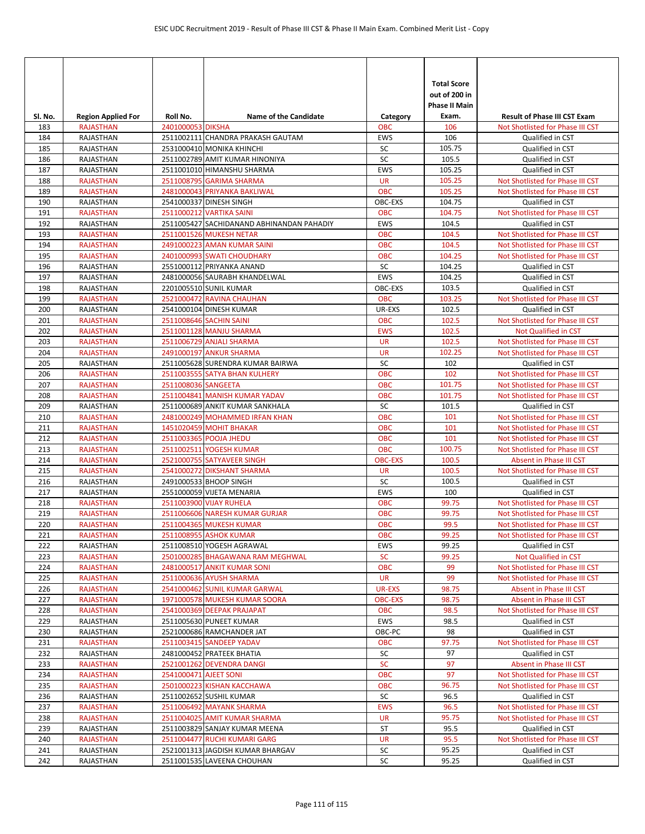| Sl. No.    | <b>Region Applied For</b>            | Roll No.              | <b>Name of the Candidate</b>                                | Category                     | <b>Total Score</b><br>out of 200 in<br><b>Phase II Main</b><br>Exam. | <b>Result of Phase III CST Exam</b>                                  |
|------------|--------------------------------------|-----------------------|-------------------------------------------------------------|------------------------------|----------------------------------------------------------------------|----------------------------------------------------------------------|
| 183        | <b>RAJASTHAN</b>                     | 2401000053 DIKSHA     |                                                             | <b>OBC</b>                   | 106                                                                  | Not Shotlisted for Phase III CST                                     |
| 184        | RAJASTHAN                            |                       | 2511002111 CHANDRA PRAKASH GAUTAM                           | <b>EWS</b>                   | 106                                                                  | Qualified in CST                                                     |
| 185        | RAJASTHAN                            |                       | 2531000410 MONIKA KHINCHI                                   | SC                           | 105.75                                                               | Qualified in CST                                                     |
| 186        | <b>RAJASTHAN</b>                     |                       | 2511002789 AMIT KUMAR HINONIYA                              | SC                           | 105.5                                                                | Qualified in CST                                                     |
| 187        | RAJASTHAN                            |                       | 2511001010 HIMANSHU SHARMA                                  | <b>EWS</b>                   | 105.25                                                               | Qualified in CST                                                     |
| 188        | <b>RAJASTHAN</b>                     |                       | 2511008795 GARIMA SHARMA                                    | <b>UR</b>                    | 105.25                                                               | Not Shotlisted for Phase III CST                                     |
| 189        | <b>RAJASTHAN</b>                     |                       | 2481000043 PRIYANKA BAKLIWAL                                | <b>OBC</b>                   | 105.25                                                               | Not Shotlisted for Phase III CST                                     |
| 190        | RAJASTHAN                            |                       | 2541000337 DINESH SINGH                                     | OBC-EXS                      | 104.75                                                               | Qualified in CST                                                     |
| 191        | <b>RAJASTHAN</b>                     |                       | 2511000212 VARTIKA SAINI                                    | <b>OBC</b>                   | 104.75                                                               | Not Shotlisted for Phase III CST                                     |
| 192        | RAJASTHAN                            |                       | 2511005427 SACHIDANAND ABHINANDAN PAHADIY                   | <b>EWS</b>                   | 104.5                                                                | Qualified in CST                                                     |
| 193        | <b>RAJASTHAN</b>                     |                       | 2511001526 MUKESH NETAR                                     | <b>OBC</b>                   | 104.5                                                                | Not Shotlisted for Phase III CST                                     |
| 194<br>195 | <b>RAJASTHAN</b><br><b>RAJASTHAN</b> |                       | 2491000223 AMAN KUMAR SAINI<br>2401000993 SWATI CHOUDHARY   | <b>OBC</b><br><b>OBC</b>     | 104.5<br>104.25                                                      | Not Shotlisted for Phase III CST<br>Not Shotlisted for Phase III CST |
| 196        | RAJASTHAN                            |                       | 2551000112 PRIYANKA ANAND                                   | SC                           | 104.25                                                               | Qualified in CST                                                     |
| 197        | RAJASTHAN                            |                       | 2481000056 SAURABH KHANDELWAL                               | <b>EWS</b>                   | 104.25                                                               | Qualified in CST                                                     |
| 198        | RAJASTHAN                            |                       | 2201005510 SUNIL KUMAR                                      | OBC-EXS                      | 103.5                                                                | Qualified in CST                                                     |
| 199        | <b>RAJASTHAN</b>                     |                       | 2521000472 RAVINA CHAUHAN                                   | <b>OBC</b>                   | 103.25                                                               | Not Shotlisted for Phase III CST                                     |
| 200        | RAJASTHAN                            |                       | 2541000104 DINESH KUMAR                                     | UR-EXS                       | 102.5                                                                | Qualified in CST                                                     |
| 201        | <b>RAJASTHAN</b>                     |                       | 2511008646 SACHIN SAINI                                     | <b>OBC</b>                   | 102.5                                                                | Not Shotlisted for Phase III CST                                     |
| 202        | <b>RAJASTHAN</b>                     |                       | 2511001128 MANJU SHARMA                                     | <b>EWS</b>                   | 102.5                                                                | Not Qualified in CST                                                 |
| 203        | <b>RAJASTHAN</b>                     |                       | 2511006729 ANJALI SHARMA                                    | <b>UR</b>                    | 102.5                                                                | Not Shotlisted for Phase III CST                                     |
| 204        | <b>RAJASTHAN</b>                     |                       | 2491000197 ANKUR SHARMA                                     | <b>UR</b>                    | 102.25                                                               | Not Shotlisted for Phase III CST                                     |
| 205        | RAJASTHAN                            |                       | 2511005628 SURENDRA KUMAR BAIRWA                            | SC                           | 102                                                                  | Qualified in CST                                                     |
| 206        | <b>RAJASTHAN</b>                     |                       | 2511003555 SATYA BHAN KULHERY                               | <b>OBC</b>                   | 102                                                                  | Not Shotlisted for Phase III CST                                     |
| 207        | <b>RAJASTHAN</b>                     | 2511008036 SANGEETA   |                                                             | <b>OBC</b>                   | 101.75                                                               | Not Shotlisted for Phase III CST                                     |
| 208        | <b>RAJASTHAN</b>                     |                       | 2511004841 MANISH KUMAR YADAV                               | <b>OBC</b>                   | 101.75                                                               | Not Shotlisted for Phase III CST                                     |
| 209        | RAJASTHAN                            |                       | 2511000689 ANKIT KUMAR SANKHALA                             | SC                           | 101.5                                                                | Qualified in CST                                                     |
| 210        | <b>RAJASTHAN</b>                     |                       | 2481000249 MOHAMMED IRFAN KHAN                              | <b>OBC</b>                   | 101                                                                  | Not Shotlisted for Phase III CST                                     |
| 211        | <b>RAJASTHAN</b>                     |                       | 1451020459 MOHIT BHAKAR                                     | <b>OBC</b><br><b>OBC</b>     | 101<br>101                                                           | Not Shotlisted for Phase III CST                                     |
| 212<br>213 | <b>RAJASTHAN</b><br><b>RAJASTHAN</b> |                       | 2511003365 POOJA JHEDU<br>2511002511 YOGESH KUMAR           | <b>OBC</b>                   | 100.75                                                               | Not Shotlisted for Phase III CST<br>Not Shotlisted for Phase III CST |
| 214        | <b>RAJASTHAN</b>                     |                       | 2521000755 SATYAVEER SINGH                                  | <b>OBC-EXS</b>               | 100.5                                                                | Absent in Phase III CST                                              |
| 215        | <b>RAJASTHAN</b>                     |                       | 2541000272 DIKSHANT SHARMA                                  | <b>UR</b>                    | 100.5                                                                | Not Shotlisted for Phase III CST                                     |
| 216        | RAJASTHAN                            |                       | 2491000533 BHOOP SINGH                                      | SC                           | 100.5                                                                | Qualified in CST                                                     |
| 217        | RAJASTHAN                            |                       | 2551000059 VIJETA MENARIA                                   | <b>EWS</b>                   | 100                                                                  | Qualified in CST                                                     |
| 218        | <b>RAJASTHAN</b>                     |                       | 2511003900 VIJAY RUHELA                                     | <b>OBC</b>                   | 99.75                                                                | Not Shotlisted for Phase III CST                                     |
| 219        | <b>RAJASTHAN</b>                     |                       | 2511006606 NARESH KUMAR GURJAR                              | <b>OBC</b>                   | 99.75                                                                | Not Shotlisted for Phase III CST                                     |
| 220        | <b>RAJASTHAN</b>                     |                       | 2511004365 MUKESH KUMAR                                     | <b>OBC</b>                   | 99.5                                                                 | Not Shotlisted for Phase III CST                                     |
| 221        | <b>RAJASTHAN</b>                     |                       | 2511008955 ASHOK KUMAR                                      | <b>OBC</b>                   | 99.25                                                                | Not Shotlisted for Phase III CST                                     |
| 222        | RAJASTHAN                            |                       | 2511008510 YOGESH AGRAWAL                                   | EWS                          | 99.25                                                                | Qualified in CST                                                     |
| 223        | <b>RAJASTHAN</b>                     |                       | 2501000285 BHAGAWANA RAM MEGHWAL                            | <b>SC</b>                    | 99.25                                                                | Not Qualified in CST                                                 |
| 224        | <b>RAJASTHAN</b>                     |                       | 2481000517 ANKIT KUMAR SONI                                 | <b>OBC</b>                   | 99                                                                   | Not Shotlisted for Phase III CST                                     |
| 225        | <b>RAJASTHAN</b>                     |                       | 2511000636 AYUSH SHARMA                                     | <b>UR</b>                    | 99                                                                   | Not Shotlisted for Phase III CST                                     |
| 226        | <b>RAJASTHAN</b>                     |                       | 2541000462 SUNIL KUMAR GARWAL                               | UR-EXS                       | 98.75                                                                | Absent in Phase III CST                                              |
| 227<br>228 | <b>RAJASTHAN</b><br><b>RAJASTHAN</b> |                       | 1971000578 MUKESH KUMAR SOORA<br>2541000369 DEEPAK PRAJAPAT | <b>OBC-EXS</b><br><b>OBC</b> | 98.75<br>98.5                                                        | Absent in Phase III CST<br>Not Shotlisted for Phase III CST          |
| 229        | RAJASTHAN                            |                       | 2511005630 PUNEET KUMAR                                     | EWS                          | 98.5                                                                 | Qualified in CST                                                     |
| 230        | RAJASTHAN                            |                       | 2521000686 RAMCHANDER JAT                                   | OBC-PC                       | 98                                                                   | Qualified in CST                                                     |
| 231        | <b>RAJASTHAN</b>                     |                       | 2511003415 SANDEEP YADAV                                    | <b>OBC</b>                   | 97.75                                                                | Not Shotlisted for Phase III CST                                     |
| 232        | RAJASTHAN                            |                       | 2481000452 PRATEEK BHATIA                                   | SC                           | 97                                                                   | Qualified in CST                                                     |
| 233        | <b>RAJASTHAN</b>                     |                       | 2521001262 DEVENDRA DANGI                                   | <b>SC</b>                    | 97                                                                   | Absent in Phase III CST                                              |
| 234        | <b>RAJASTHAN</b>                     | 2541000471 AJEET SONI |                                                             | OBC                          | 97                                                                   | Not Shotlisted for Phase III CST                                     |
| 235        | <b>RAJASTHAN</b>                     |                       | 2501000223 KISHAN KACCHAWA                                  | <b>OBC</b>                   | 96.75                                                                | Not Shotlisted for Phase III CST                                     |
| 236        | RAJASTHAN                            |                       | 2511002652 SUSHIL KUMAR                                     | SC                           | 96.5                                                                 | Qualified in CST                                                     |
| 237        | <b>RAJASTHAN</b>                     |                       | 2511006492 MAYANK SHARMA                                    | <b>EWS</b>                   | 96.5                                                                 | Not Shotlisted for Phase III CST                                     |
| 238        | <b>RAJASTHAN</b>                     |                       | 2511004025 AMIT KUMAR SHARMA                                | <b>UR</b>                    | 95.75                                                                | Not Shotlisted for Phase III CST                                     |
| 239        | RAJASTHAN                            |                       | 2511003829 SANJAY KUMAR MEENA                               | ST                           | 95.5                                                                 | Qualified in CST                                                     |
| 240        | <b>RAJASTHAN</b>                     |                       | 2511004477 RUCHI KUMARI GARG                                | <b>UR</b>                    | 95.5                                                                 | Not Shotlisted for Phase III CST                                     |
| 241        | RAJASTHAN                            |                       | 2521001313 JAGDISH KUMAR BHARGAV                            | SC                           | 95.25                                                                | Qualified in CST                                                     |
| 242        | RAJASTHAN                            |                       | 2511001535 LAVEENA CHOUHAN                                  | SC                           | 95.25                                                                | Qualified in CST                                                     |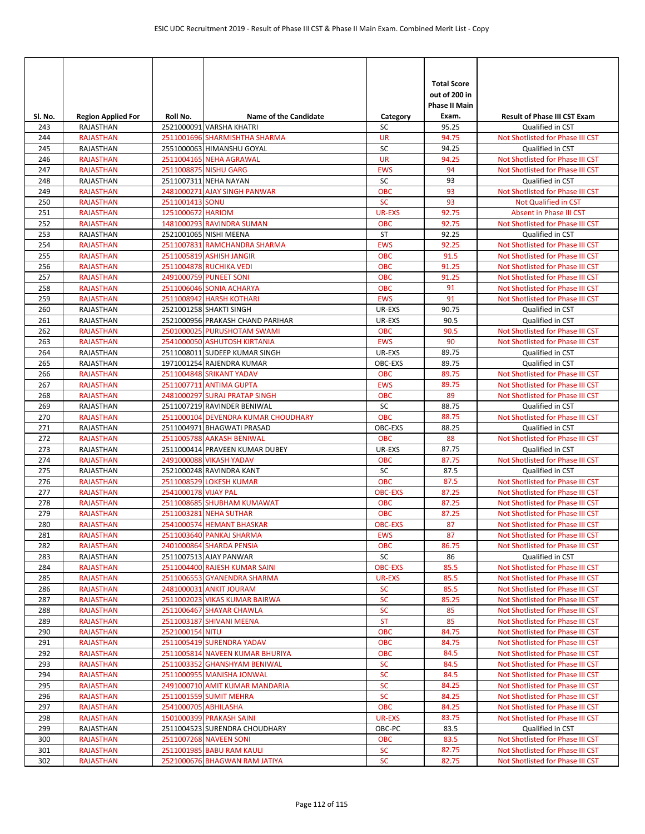| SI. No.    | <b>Region Applied For</b>            | Roll No.             | <b>Name of the Candidate</b>                                | Category                    | <b>Total Score</b><br>out of 200 in<br><b>Phase II Main</b><br>Exam. | <b>Result of Phase III CST Exam</b>                                  |
|------------|--------------------------------------|----------------------|-------------------------------------------------------------|-----------------------------|----------------------------------------------------------------------|----------------------------------------------------------------------|
| 243        | <b>RAJASTHAN</b>                     |                      | 2521000091 VARSHA KHATRI                                    | SC                          | 95.25                                                                | Qualified in CST                                                     |
| 244        | <b>RAJASTHAN</b>                     |                      | 2511001696 SHARMISHTHA SHARMA                               | <b>UR</b>                   | 94.75                                                                | Not Shotlisted for Phase III CST                                     |
| 245        | RAJASTHAN                            |                      | 2551000063 HIMANSHU GOYAL                                   | SC                          | 94.25                                                                | Qualified in CST                                                     |
| 246        | <b>RAJASTHAN</b>                     |                      | 2511004165 NEHA AGRAWAL                                     | <b>UR</b>                   | 94.25                                                                | Not Shotlisted for Phase III CST                                     |
| 247        | <b>RAJASTHAN</b>                     |                      | 2511008875 NISHU GARG                                       | <b>EWS</b>                  | 94                                                                   | Not Shotlisted for Phase III CST                                     |
| 248        | RAJASTHAN                            |                      | 2511007311 NEHA NAYAN                                       | SC                          | 93                                                                   | Qualified in CST                                                     |
| 249        | <b>RAJASTHAN</b>                     |                      | 2481000271 AJAY SINGH PANWAR                                | <b>OBC</b>                  | 93                                                                   | Not Shotlisted for Phase III CST                                     |
| 250        | <b>RAJASTHAN</b>                     | 2511001413 SONU      |                                                             | <b>SC</b>                   | 93                                                                   | Not Qualified in CST                                                 |
| 251<br>252 | <b>RAJASTHAN</b><br><b>RAJASTHAN</b> | 1251000672 HARIOM    | 1481000293 RAVINDRA SUMAN                                   | <b>UR-EXS</b><br><b>OBC</b> | 92.75<br>92.75                                                       | Absent in Phase III CST                                              |
|            | RAJASTHAN                            |                      | 2521001065 NISHI MEENA                                      | ST                          | 92.25                                                                | Not Shotlisted for Phase III CST<br>Qualified in CST                 |
| 253<br>254 | <b>RAJASTHAN</b>                     |                      | 2511007831 RAMCHANDRA SHARMA                                | <b>EWS</b>                  | 92.25                                                                | Not Shotlisted for Phase III CST                                     |
| 255        | <b>RAJASTHAN</b>                     |                      | 2511005819 ASHISH JANGIR                                    | <b>OBC</b>                  | 91.5                                                                 | Not Shotlisted for Phase III CST                                     |
| 256        | <b>RAJASTHAN</b>                     |                      | 2511004878 RUCHIKA VEDI                                     | <b>OBC</b>                  | 91.25                                                                | Not Shotlisted for Phase III CST                                     |
| 257        | <b>RAJASTHAN</b>                     |                      | 2491000759 PUNEET SONI                                      | <b>OBC</b>                  | 91.25                                                                | Not Shotlisted for Phase III CST                                     |
| 258        | <b>RAJASTHAN</b>                     |                      | 2511006046 SONIA ACHARYA                                    | <b>OBC</b>                  | 91                                                                   | Not Shotlisted for Phase III CST                                     |
| 259        | <b>RAJASTHAN</b>                     |                      | 2511008942 HARSH KOTHARI                                    | <b>EWS</b>                  | 91                                                                   | Not Shotlisted for Phase III CST                                     |
| 260        | RAJASTHAN                            |                      | 2521001258 SHAKTI SINGH                                     | UR-EXS                      | 90.75                                                                | Qualified in CST                                                     |
| 261        | RAJASTHAN                            |                      | 2521000956 PRAKASH CHAND PARIHAR                            | UR-EXS                      | 90.5                                                                 | Qualified in CST                                                     |
| 262        | <b>RAJASTHAN</b>                     |                      | 2501000025 PURUSHOTAM SWAMI                                 | <b>OBC</b>                  | 90.5                                                                 | Not Shotlisted for Phase III CST                                     |
| 263        | <b>RAJASTHAN</b>                     |                      | 2541000050 ASHUTOSH KIRTANIA                                | <b>EWS</b>                  | 90                                                                   | Not Shotlisted for Phase III CST                                     |
| 264        | RAJASTHAN                            |                      | 2511008011 SUDEEP KUMAR SINGH                               | UR-EXS                      | 89.75                                                                | Qualified in CST                                                     |
| 265        | RAJASTHAN                            |                      | 1971001254 RAJENDRA KUMAR                                   | OBC-EXS                     | 89.75                                                                | Qualified in CST                                                     |
| 266        | <b>RAJASTHAN</b>                     |                      | 2511004848 SRIKANT YADAV                                    | <b>OBC</b>                  | 89.75                                                                | Not Shotlisted for Phase III CST                                     |
| 267        | <b>RAJASTHAN</b>                     |                      | 2511007711 ANTIMA GUPTA                                     | <b>EWS</b>                  | 89.75                                                                | Not Shotlisted for Phase III CST                                     |
| 268        | <b>RAJASTHAN</b>                     |                      | 2481000297 SURAJ PRATAP SINGH                               | <b>OBC</b>                  | 89                                                                   | Not Shotlisted for Phase III CST                                     |
| 269        | RAJASTHAN                            |                      | 2511007219 RAVINDER BENIWAL                                 | SC                          | 88.75                                                                | Qualified in CST                                                     |
| 270        | <b>RAJASTHAN</b>                     |                      | 2511000104 DEVENDRA KUMAR CHOUDHARY                         | <b>OBC</b>                  | 88.75                                                                | Not Shotlisted for Phase III CST                                     |
| 271        | RAJASTHAN                            |                      | 2511004971 BHAGWATI PRASAD                                  | OBC-EXS                     | 88.25                                                                | Qualified in CST                                                     |
| 272        | <b>RAJASTHAN</b>                     |                      | 2511005788 AAKASH BENIWAL                                   | <b>OBC</b>                  | 88                                                                   | Not Shotlisted for Phase III CST                                     |
| 273        | RAJASTHAN                            |                      | 2511000414 PRAVEEN KUMAR DUBEY                              | UR-EXS                      | 87.75                                                                | Qualified in CST                                                     |
| 274<br>275 | <b>RAJASTHAN</b><br><b>RAJASTHAN</b> |                      | 2491000088 VIKASH YADAV<br>2521000248 RAVINDRA KANT         | <b>OBC</b><br>SC            | 87.75<br>87.5                                                        | Not Shotlisted for Phase III CST<br>Qualified in CST                 |
| 276        | <b>RAJASTHAN</b>                     |                      | 2511008529 LOKESH KUMAR                                     | <b>OBC</b>                  | 87.5                                                                 | Not Shotlisted for Phase III CST                                     |
| 277        | <b>RAJASTHAN</b>                     | 2541000178 VIJAY PAL |                                                             | <b>OBC-EXS</b>              | 87.25                                                                | Not Shotlisted for Phase III CST                                     |
| 278        | <b>RAJASTHAN</b>                     |                      | 2511008685 SHUBHAM KUMAWAT                                  | <b>OBC</b>                  | 87.25                                                                | Not Shotlisted for Phase III CST                                     |
| 279        | <b>RAJASTHAN</b>                     |                      | 2511003281 NEHA SUTHAR                                      | <b>OBC</b>                  | 87.25                                                                | Not Shotlisted for Phase III CST                                     |
| 280        | <b>RAJASTHAN</b>                     |                      | 2541000574 HEMANT BHASKAR                                   | <b>OBC-EXS</b>              | 87                                                                   | Not Shotlisted for Phase III CST                                     |
| 281        | <b>RAJASTHAN</b>                     |                      | 2511003640 PANKAJ SHARMA                                    | <b>EWS</b>                  | 87                                                                   | Not Shotlisted for Phase III CST                                     |
| 282        | <b>RAJASTHAN</b>                     |                      | 2401000864 SHARDA PENSIA                                    | <b>OBC</b>                  | 86.75                                                                | Not Shotlisted for Phase III CST                                     |
| 283        | RAJASTHAN                            |                      | 2511007513 AJAY PANWAR                                      | SC                          | 86                                                                   | Qualified in CST                                                     |
| 284        | <b>RAJASTHAN</b>                     |                      | 2511004400 RAJESH KUMAR SAINI                               | <b>OBC-EXS</b>              | 85.5                                                                 | Not Shotlisted for Phase III CST                                     |
| 285        | <b>RAJASTHAN</b>                     |                      | 2511006553 GYANENDRA SHARMA                                 | UR-EXS                      | 85.5                                                                 | Not Shotlisted for Phase III CST                                     |
| 286        | <b>RAJASTHAN</b>                     |                      | 2481000031 ANKIT JOURAM                                     | <b>SC</b>                   | 85.5                                                                 | Not Shotlisted for Phase III CST                                     |
| 287        | <b>RAJASTHAN</b>                     |                      | 2511002023 VIKAS KUMAR BAIRWA                               | <b>SC</b>                   | 85.25                                                                | Not Shotlisted for Phase III CST                                     |
| 288        | <b>RAJASTHAN</b>                     |                      | 2511006467 SHAYAR CHAWLA                                    | <b>SC</b>                   | 85                                                                   | Not Shotlisted for Phase III CST                                     |
| 289        | <b>RAJASTHAN</b>                     |                      | 2511003187 SHIVANI MEENA                                    | <b>ST</b>                   | 85                                                                   | Not Shotlisted for Phase III CST                                     |
| 290        | <b>RAJASTHAN</b>                     | 2521000154 NITU      |                                                             | OBC                         | 84.75                                                                | Not Shotlisted for Phase III CST                                     |
| 291        | <b>RAJASTHAN</b>                     |                      | 2511005419 SURENDRA YADAV                                   | OBC                         | 84.75                                                                | Not Shotlisted for Phase III CST                                     |
| 292        | <b>RAJASTHAN</b>                     |                      | 2511005814 NAVEEN KUMAR BHURIYA                             | <b>OBC</b>                  | 84.5                                                                 | Not Shotlisted for Phase III CST                                     |
| 293        | <b>RAJASTHAN</b>                     |                      | 2511003352 GHANSHYAM BENIWAL                                | <b>SC</b><br><b>SC</b>      | 84.5                                                                 | Not Shotlisted for Phase III CST                                     |
| 294<br>295 | <b>RAJASTHAN</b><br><b>RAJASTHAN</b> |                      | 2511000955 MANISHA JONWAL<br>2491000710 AMIT KUMAR MANDARIA | <b>SC</b>                   | 84.5<br>84.25                                                        | Not Shotlisted for Phase III CST<br>Not Shotlisted for Phase III CST |
| 296        | <b>RAJASTHAN</b>                     |                      | 2511001559 SUMIT MEHRA                                      | <b>SC</b>                   | 84.25                                                                | Not Shotlisted for Phase III CST                                     |
| 297        | <b>RAJASTHAN</b>                     | 2541000705 ABHILASHA |                                                             | OBC                         | 84.25                                                                | Not Shotlisted for Phase III CST                                     |
| 298        | <b>RAJASTHAN</b>                     |                      | 1501000399 PRAKASH SAINI                                    | <b>UR-EXS</b>               | 83.75                                                                | Not Shotlisted for Phase III CST                                     |
| 299        | RAJASTHAN                            |                      | 2511004523 SURENDRA CHOUDHARY                               | OBC-PC                      | 83.5                                                                 | Qualified in CST                                                     |
| 300        | <b>RAJASTHAN</b>                     |                      | 2511007268 NAVEEN SONI                                      | <b>OBC</b>                  | 83.5                                                                 | Not Shotlisted for Phase III CST                                     |
| 301        | <b>RAJASTHAN</b>                     |                      | 2511001985 BABU RAM KAULI                                   | <b>SC</b>                   | 82.75                                                                | Not Shotlisted for Phase III CST                                     |
| 302        | <b>RAJASTHAN</b>                     |                      | 2521000676 BHAGWAN RAM JATIYA                               | <b>SC</b>                   | 82.75                                                                | Not Shotlisted for Phase III CST                                     |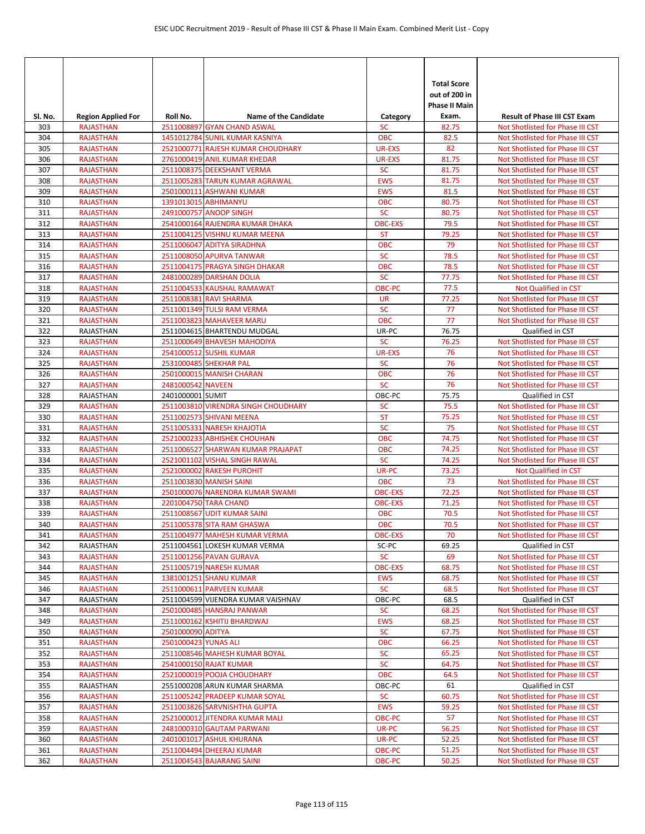| SI. No.    | <b>Region Applied For</b>            | Roll No.             | <b>Name of the Candidate</b>                                    | Category                    | <b>Total Score</b><br>out of 200 in<br><b>Phase II Main</b><br>Exam. | <b>Result of Phase III CST Exam</b>                                  |
|------------|--------------------------------------|----------------------|-----------------------------------------------------------------|-----------------------------|----------------------------------------------------------------------|----------------------------------------------------------------------|
| 303        | <b>RAJASTHAN</b>                     |                      | 2511008897 GYAN CHAND ASWAL                                     | <b>SC</b>                   | 82.75                                                                | Not Shotlisted for Phase III CST                                     |
| 304        | <b>RAJASTHAN</b>                     |                      | 1451012784 SUNIL KUMAR KASNIYA                                  | OBC                         | 82.5                                                                 | Not Shotlisted for Phase III CST                                     |
| 305        | <b>RAJASTHAN</b>                     |                      | 2521000771 RAJESH KUMAR CHOUDHARY                               | <b>UR-EXS</b>               | 82                                                                   | Not Shotlisted for Phase III CST                                     |
| 306        | <b>RAJASTHAN</b>                     |                      | 2761000419 ANIL KUMAR KHEDAR                                    | <b>UR-EXS</b>               | 81.75                                                                | Not Shotlisted for Phase III CST                                     |
| 307        | <b>RAJASTHAN</b>                     |                      | 2511008375 DEEKSHANT VERMA                                      | <b>SC</b>                   | 81.75                                                                | Not Shotlisted for Phase III CST                                     |
| 308        | <b>RAJASTHAN</b>                     |                      | 2511005283 TARUN KUMAR AGRAWAL                                  | <b>EWS</b>                  | 81.75                                                                | Not Shotlisted for Phase III CST                                     |
| 309        | <b>RAJASTHAN</b>                     |                      | 2501000111 ASHWANI KUMAR                                        | <b>EWS</b>                  | 81.5                                                                 | Not Shotlisted for Phase III CST                                     |
| 310        | <b>RAJASTHAN</b>                     |                      | 1391013015 ABHIMANYU                                            | <b>OBC</b>                  | 80.75                                                                | Not Shotlisted for Phase III CST                                     |
| 311<br>312 | <b>RAJASTHAN</b><br><b>RAJASTHAN</b> |                      | 2491000757 ANOOP SINGH<br>2541000164 RAJENDRA KUMAR DHAKA       | <b>SC</b><br><b>OBC-EXS</b> | 80.75<br>79.5                                                        | Not Shotlisted for Phase III CST<br>Not Shotlisted for Phase III CST |
| 313        | <b>RAJASTHAN</b>                     |                      | 2511004125 VISHNU KUMAR MEENA                                   | <b>ST</b>                   | 79.25                                                                | Not Shotlisted for Phase III CST                                     |
| 314        | <b>RAJASTHAN</b>                     |                      | 2511006047 ADITYA SIRADHNA                                      | <b>OBC</b>                  | 79                                                                   | Not Shotlisted for Phase III CST                                     |
| 315        | <b>RAJASTHAN</b>                     |                      | 2511008050 APURVA TANWAR                                        | <b>SC</b>                   | 78.5                                                                 | Not Shotlisted for Phase III CST                                     |
| 316        | <b>RAJASTHAN</b>                     |                      | 2511004175 PRAGYA SINGH DHAKAR                                  | <b>OBC</b>                  | 78.5                                                                 | Not Shotlisted for Phase III CST                                     |
| 317        | <b>RAJASTHAN</b>                     |                      | 2481000289 DARSHAN DOLIA                                        | <b>SC</b>                   | 77.75                                                                | Not Shotlisted for Phase III CST                                     |
| 318        | <b>RAJASTHAN</b>                     |                      | 2511004533 KAUSHAL RAMAWAT                                      | <b>OBC-PC</b>               | 77.5                                                                 | <b>Not Qualified in CST</b>                                          |
| 319        | <b>RAJASTHAN</b>                     |                      | 2511008381 RAVI SHARMA                                          | <b>UR</b>                   | 77.25                                                                | Not Shotlisted for Phase III CST                                     |
| 320        | <b>RAJASTHAN</b>                     |                      | 2511001349 TULSI RAM VERMA                                      | <b>SC</b>                   | 77                                                                   | Not Shotlisted for Phase III CST                                     |
| 321        | <b>RAJASTHAN</b>                     |                      | 2511003823 MAHAVEER MARU                                        | <b>OBC</b>                  | 77                                                                   | Not Shotlisted for Phase III CST                                     |
| 322        | <b>RAJASTHAN</b>                     |                      | 2511004615 BHARTENDU MUDGAL                                     | UR-PC                       | 76.75                                                                | Qualified in CST                                                     |
| 323        | <b>RAJASTHAN</b>                     |                      | 2511000649 BHAVESH MAHODIYA                                     | <b>SC</b>                   | 76.25                                                                | Not Shotlisted for Phase III CST                                     |
| 324        | <b>RAJASTHAN</b>                     |                      | 2541000512 SUSHIL KUMAR                                         | UR-EXS                      | 76                                                                   | Not Shotlisted for Phase III CST                                     |
| 325        | <b>RAJASTHAN</b>                     |                      | 2531000485 SHEKHAR PAL                                          | <b>SC</b>                   | 76                                                                   | Not Shotlisted for Phase III CST                                     |
| 326        | <b>RAJASTHAN</b>                     |                      | 2501000015 MANISH CHARAN                                        | <b>OBC</b>                  | 76                                                                   | Not Shotlisted for Phase III CST                                     |
| 327        | <b>RAJASTHAN</b>                     | 2481000542 NAVEEN    |                                                                 | <b>SC</b>                   | 76                                                                   | Not Shotlisted for Phase III CST                                     |
| 328        | RAJASTHAN                            | 2401000001 SUMIT     |                                                                 | OBC-PC                      | 75.75                                                                | Qualified in CST                                                     |
| 329        | <b>RAJASTHAN</b>                     |                      | 2511003810 VIRENDRA SINGH CHOUDHARY                             | <b>SC</b>                   | 75.5                                                                 | Not Shotlisted for Phase III CST                                     |
| 330        | <b>RAJASTHAN</b>                     |                      | 2511002573 SHIVANI MEENA                                        | <b>ST</b><br><b>SC</b>      | 75.25<br>75                                                          | Not Shotlisted for Phase III CST                                     |
| 331<br>332 | <b>RAJASTHAN</b>                     |                      | 2511005331 NARESH KHAJOTIA<br>2521000233 ABHISHEK CHOUHAN       | <b>OBC</b>                  | 74.75                                                                | Not Shotlisted for Phase III CST                                     |
| 333        | <b>RAJASTHAN</b><br><b>RAJASTHAN</b> |                      | 2511006527 SHARWAN KUMAR PRAJAPAT                               | <b>OBC</b>                  | 74.25                                                                | Not Shotlisted for Phase III CST<br>Not Shotlisted for Phase III CST |
| 334        | <b>RAJASTHAN</b>                     |                      | 2521001102 VISHAL SINGH RAWAL                                   | <b>SC</b>                   | 74.25                                                                | Not Shotlisted for Phase III CST                                     |
| 335        | <b>RAJASTHAN</b>                     |                      | 2521000002 RAKESH PUROHIT                                       | UR-PC                       | 73.25                                                                | Not Qualified in CST                                                 |
| 336        | <b>RAJASTHAN</b>                     |                      | 2511003830 MANISH SAINI                                         | <b>OBC</b>                  | 73                                                                   | Not Shotlisted for Phase III CST                                     |
| 337        | <b>RAJASTHAN</b>                     |                      | 2501000076 NARENDRA KUMAR SWAMI                                 | <b>OBC-EXS</b>              | 72.25                                                                | Not Shotlisted for Phase III CST                                     |
| 338        | <b>RAJASTHAN</b>                     |                      | 2201004750 TARA CHAND                                           | <b>OBC-EXS</b>              | 71.25                                                                | Not Shotlisted for Phase III CST                                     |
| 339        | <b>RAJASTHAN</b>                     |                      | 2511008567 UDIT KUMAR SAINI                                     | <b>OBC</b>                  | 70.5                                                                 | Not Shotlisted for Phase III CST                                     |
| 340        | <b>RAJASTHAN</b>                     |                      | 2511005378 SITA RAM GHASWA                                      | <b>OBC</b>                  | 70.5                                                                 | Not Shotlisted for Phase III CST                                     |
| 341        | <b>RAJASTHAN</b>                     |                      | 2511004977 MAHESH KUMAR VERMA                                   | <b>OBC-EXS</b>              | 70                                                                   | Not Shotlisted for Phase III CST                                     |
| 342        | RAJASTHAN                            |                      | 2511004561 LOKESH KUMAR VERMA                                   | SC-PC                       | 69.25                                                                | Qualified in CST                                                     |
| 343        | <b>RAJASTHAN</b>                     |                      | 2511001256 PAVAN GURAVA                                         | <b>SC</b>                   | 69                                                                   | Not Shotlisted for Phase III CST                                     |
| 344        | <b>RAJASTHAN</b>                     |                      | 2511005719 NARESH KUMAR                                         | <b>OBC-EXS</b>              | 68.75                                                                | Not Shotlisted for Phase III CST                                     |
| 345        | <b>RAJASTHAN</b>                     |                      | 1381001251 SHANU KUMAR                                          | <b>EWS</b>                  | 68.75                                                                | Not Shotlisted for Phase III CST                                     |
| 346        | <b>RAJASTHAN</b>                     |                      | 2511000611 PARVEEN KUMAR                                        | <b>SC</b>                   | 68.5                                                                 | Not Shotlisted for Phase III CST                                     |
| 347<br>348 | RAJASTHAN<br><b>RAJASTHAN</b>        |                      | 2511004599 VIJENDRA KUMAR VAISHNAV<br>2501000485 HANSRAJ PANWAR | OBC-PC<br><b>SC</b>         | 68.5<br>68.25                                                        | Qualified in CST<br>Not Shotlisted for Phase III CST                 |
| 349        | <b>RAJASTHAN</b>                     |                      | 2511000162 KSHITIJ BHARDWAJ                                     | <b>EWS</b>                  | 68.25                                                                | Not Shotlisted for Phase III CST                                     |
| 350        | <b>RAJASTHAN</b>                     | 2501000090 ADITYA    |                                                                 | <b>SC</b>                   | 67.75                                                                | Not Shotlisted for Phase III CST                                     |
| 351        | <b>RAJASTHAN</b>                     | 2501000423 YUNAS ALI |                                                                 | <b>OBC</b>                  | 66.25                                                                | Not Shotlisted for Phase III CST                                     |
| 352        | <b>RAJASTHAN</b>                     |                      | 2511008546 MAHESH KUMAR BOYAL                                   | <b>SC</b>                   | 65.25                                                                | Not Shotlisted for Phase III CST                                     |
| 353        | <b>RAJASTHAN</b>                     |                      | 2541000150 RAJAT KUMAR                                          | <b>SC</b>                   | 64.75                                                                | Not Shotlisted for Phase III CST                                     |
| 354        | <b>RAJASTHAN</b>                     |                      | 2521000019 POOJA CHOUDHARY                                      | <b>OBC</b>                  | 64.5                                                                 | Not Shotlisted for Phase III CST                                     |
| 355        | RAJASTHAN                            |                      | 2551000208 ARUN KUMAR SHARMA                                    | OBC-PC                      | 61                                                                   | Qualified in CST                                                     |
| 356        | <b>RAJASTHAN</b>                     |                      | 2511005242 PRADEEP KUMAR SOYAL                                  | <b>SC</b>                   | 60.75                                                                | Not Shotlisted for Phase III CST                                     |
| 357        | <b>RAJASTHAN</b>                     |                      | 2511003826 SARVNISHTHA GUPTA                                    | <b>EWS</b>                  | 59.25                                                                | Not Shotlisted for Phase III CST                                     |
| 358        | <b>RAJASTHAN</b>                     |                      | 2521000012 JITENDRA KUMAR MALI                                  | OBC-PC                      | 57                                                                   | Not Shotlisted for Phase III CST                                     |
| 359        | <b>RAJASTHAN</b>                     |                      | 2481000310 GAUTAM PARWANI                                       | UR-PC                       | 56.25                                                                | Not Shotlisted for Phase III CST                                     |
| 360        | <b>RAJASTHAN</b>                     |                      | 2401001017 ASHUL KHURANA                                        | UR-PC                       | 52.25                                                                | Not Shotlisted for Phase III CST                                     |
| 361        | <b>RAJASTHAN</b>                     |                      | 2511004494 DHEERAJ KUMAR                                        | OBC-PC                      | 51.25                                                                | Not Shotlisted for Phase III CST                                     |
| 362        | <b>RAJASTHAN</b>                     |                      | 2511004543 BAJARANG SAINI                                       | OBC-PC                      | 50.25                                                                | Not Shotlisted for Phase III CST                                     |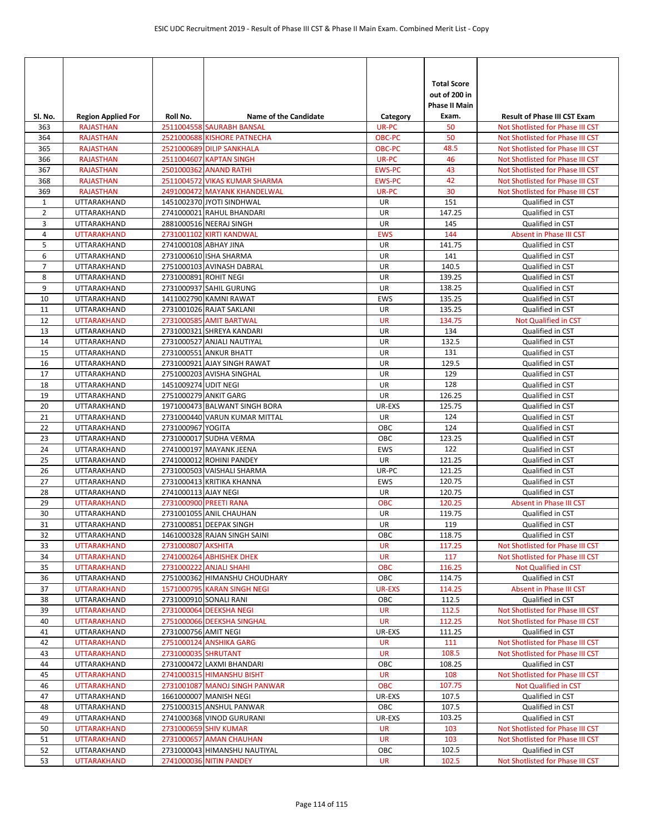| SI. No.        | <b>Region Applied For</b>         | Roll No.              | <b>Name of the Candidate</b>                          | Category         | <b>Total Score</b><br>out of 200 in<br><b>Phase II Main</b><br>Exam. | <b>Result of Phase III CST Exam</b>                  |
|----------------|-----------------------------------|-----------------------|-------------------------------------------------------|------------------|----------------------------------------------------------------------|------------------------------------------------------|
| 363            | <b>RAJASTHAN</b>                  |                       | 2511004558 SAURABH BANSAL                             | UR-PC            | 50                                                                   | Not Shotlisted for Phase III CST                     |
| 364            | <b>RAJASTHAN</b>                  |                       | 2521000688 KISHORE PATNECHA                           | <b>OBC-PC</b>    | 50                                                                   | Not Shotlisted for Phase III CST                     |
| 365            | <b>RAJASTHAN</b>                  |                       | 2521000689 DILIP SANKHALA                             | OBC-PC           | 48.5                                                                 | Not Shotlisted for Phase III CST                     |
| 366            | <b>RAJASTHAN</b>                  |                       | 2511004607 KAPTAN SINGH                               | UR-PC            | 46                                                                   | Not Shotlisted for Phase III CST                     |
| 367            | <b>RAJASTHAN</b>                  |                       | 2501000362 ANAND RATHI                                | <b>EWS-PC</b>    | 43                                                                   | Not Shotlisted for Phase III CST                     |
| 368            | <b>RAJASTHAN</b>                  |                       | 2511004572 VIKAS KUMAR SHARMA                         | <b>EWS-PC</b>    | 42                                                                   | Not Shotlisted for Phase III CST                     |
| 369            | <b>RAJASTHAN</b>                  |                       | 2491000472 MAYANK KHANDELWAL                          | UR-PC            | 30                                                                   | Not Shotlisted for Phase III CST                     |
| 1              | UTTARAKHAND                       |                       | 1451002370 JYOTI SINDHWAL                             | UR               | 151                                                                  | Qualified in CST                                     |
| $\overline{2}$ | UTTARAKHAND                       |                       | 2741000021 RAHUL BHANDARI                             | UR               | 147.25                                                               | Qualified in CST                                     |
| 3              | UTTARAKHAND                       |                       | 2881000516 NEERAJ SINGH                               | UR               | 145                                                                  | Qualified in CST                                     |
| 4              | <b>UTTARAKHAND</b>                |                       | 2731001102 KIRTI KANDWAL                              | <b>EWS</b>       | 144                                                                  | Absent in Phase III CST                              |
| 5              | UTTARAKHAND                       | 2741000108 ABHAY JINA |                                                       | UR               | 141.75                                                               | Qualified in CST                                     |
| 6              | UTTARAKHAND                       |                       | 2731000610 ISHA SHARMA                                | UR               | 141                                                                  | Qualified in CST                                     |
| $\overline{7}$ | UTTARAKHAND                       |                       | 2751000103 AVINASH DABRAL                             | UR               | 140.5                                                                | Qualified in CST                                     |
| 8              | UTTARAKHAND                       | 2731000891 ROHIT NEGI |                                                       | UR               | 139.25                                                               | Qualified in CST                                     |
| 9              | <b>UTTARAKHAND</b>                |                       | 2731000937 SAHIL GURUNG                               | UR               | 138.25                                                               | Qualified in CST                                     |
| 10             | UTTARAKHAND                       |                       | 1411002790 KAMNI RAWAT                                | <b>EWS</b>       | 135.25                                                               | Qualified in CST                                     |
| 11<br>12       | UTTARAKHAND<br><b>UTTARAKHAND</b> |                       | 2731001026 RAJAT SAKLANI<br>2731000585 AMIT BARTWAL   | UR<br><b>UR</b>  | 135.25<br>134.75                                                     | Qualified in CST<br><b>Not Qualified in CST</b>      |
| 13             | UTTARAKHAND                       |                       | 2731000321 SHREYA KANDARI                             | UR               | 134                                                                  | Qualified in CST                                     |
| 14             | UTTARAKHAND                       |                       | 2731000527 ANJALI NAUTIYAL                            | UR               | 132.5                                                                | Qualified in CST                                     |
| 15             | UTTARAKHAND                       |                       | 2731000551 ANKUR BHATT                                | UR               | 131                                                                  | Qualified in CST                                     |
| 16             | UTTARAKHAND                       |                       | 2731000921 AJAY SINGH RAWAT                           | UR               | 129.5                                                                | Qualified in CST                                     |
| 17             | UTTARAKHAND                       |                       | 2751000203 AVISHA SINGHAL                             | UR               | 129                                                                  | Qualified in CST                                     |
| 18             | UTTARAKHAND                       | 1451009274 UDIT NEGI  |                                                       | UR               | 128                                                                  | Qualified in CST                                     |
| 19             | UTTARAKHAND                       |                       | 2751000279 ANKIT GARG                                 | UR               | 126.25                                                               | Qualified in CST                                     |
| 20             | UTTARAKHAND                       |                       | 1971000473 BALWANT SINGH BORA                         | UR-EXS           | 125.75                                                               | Qualified in CST                                     |
| 21             | UTTARAKHAND                       |                       | 2731000440 VARUN KUMAR MITTAL                         | UR               | 124                                                                  | Qualified in CST                                     |
| 22             | UTTARAKHAND                       | 2731000967 YOGITA     |                                                       | OBC              | 124                                                                  | Qualified in CST                                     |
| 23             | UTTARAKHAND                       |                       | 2731000017 SUDHA VERMA                                | OBC              | 123.25                                                               | Qualified in CST                                     |
| 24             | UTTARAKHAND                       |                       | 2741000197 MAYANK JEENA                               | <b>EWS</b>       | 122                                                                  | Qualified in CST                                     |
| 25             | UTTARAKHAND                       |                       | 2741000012 ROHINI PANDEY                              | UR               | 121.25                                                               | Qualified in CST                                     |
| 26             | UTTARAKHAND                       |                       | 2731000503 VAISHALI SHARMA                            | UR-PC            | 121.25                                                               | Qualified in CST                                     |
| 27             | UTTARAKHAND                       |                       | 2731000413 KRITIKA KHANNA                             | <b>EWS</b>       | 120.75                                                               | Qualified in CST                                     |
| 28             | UTTARAKHAND                       | 2741000113 AJAY NEGI  |                                                       | UR               | 120.75                                                               | Qualified in CST                                     |
| 29             | <b>UTTARAKHAND</b>                |                       | 2731000900 PREETI RANA                                | <b>OBC</b>       | 120.25                                                               | Absent in Phase III CST                              |
| 30             | UTTARAKHAND                       |                       | 2731001055 ANIL CHAUHAN                               | UR               | 119.75                                                               | Qualified in CST                                     |
| 31             | UTTARAKHAND                       |                       | 2731000851 DEEPAK SINGH                               | <b>UR</b>        | 119                                                                  | Qualified in CST                                     |
| 32             | UTTARAKHAND                       |                       | 1461000328 RAJAN SINGH SAINI                          | OBC              | 118.75                                                               | Qualified in CST                                     |
| 33             | <b>UTTARAKHAND</b>                | 2731000807 AKSHITA    |                                                       | <b>UR</b>        | 117.25                                                               | Not Shotlisted for Phase III CST                     |
| 34             | <b>UTTARAKHAND</b>                |                       | 2741000264 ABHISHEK DHEK                              | UR               | 117                                                                  | Not Shotlisted for Phase III CST                     |
| 35             | <b>UTTARAKHAND</b>                |                       | 2731000222 ANJALI SHAHI                               | <b>OBC</b>       | 116.25                                                               | Not Qualified in CST                                 |
| 36             | UTTARAKHAND                       |                       | 2751000362 HIMANSHU CHOUDHARY                         | OBC              | 114.75                                                               | Qualified in CST                                     |
| 37             | <b>UTTARAKHAND</b>                |                       | 1571000795 KARAN SINGH NEGI<br>2731000910 SONALI RANI | <b>UR-EXS</b>    | 114.25<br>112.5                                                      | Absent in Phase III CST                              |
| 38<br>39       | UTTARAKHAND<br><b>UTTARAKHAND</b> |                       | 2731000064 DEEKSHA NEGI                               | OBC<br><b>UR</b> | 112.5                                                                | Qualified in CST<br>Not Shotlisted for Phase III CST |
| 40             | <b>UTTARAKHAND</b>                |                       | 2751000066 DEEKSHA SINGHAL                            | <b>UR</b>        | 112.25                                                               | Not Shotlisted for Phase III CST                     |
| 41             | UTTARAKHAND                       | 2731000756 AMIT NEGI  |                                                       | UR-EXS           | 111.25                                                               | Qualified in CST                                     |
| 42             | <b>UTTARAKHAND</b>                |                       | 2751000124 ANSHIKA GARG                               | <b>UR</b>        | 111                                                                  | Not Shotlisted for Phase III CST                     |
| 43             | <b>UTTARAKHAND</b>                | 2731000035 SHRUTANT   |                                                       | <b>UR</b>        | 108.5                                                                | Not Shotlisted for Phase III CST                     |
| 44             | UTTARAKHAND                       |                       | 2731000472 LAXMI BHANDARI                             | OBC              | 108.25                                                               | Qualified in CST                                     |
| 45             | <b>UTTARAKHAND</b>                |                       | 2741000315 HIMANSHU BISHT                             | <b>UR</b>        | 108                                                                  | Not Shotlisted for Phase III CST                     |
| 46             | <b>UTTARAKHAND</b>                |                       | 2731001087 MANOJ SINGH PANWAR                         | <b>OBC</b>       | 107.75                                                               | Not Qualified in CST                                 |
| 47             | UTTARAKHAND                       |                       | 1661000007 MANISH NEGI                                | UR-EXS           | 107.5                                                                | Qualified in CST                                     |
| 48             | UTTARAKHAND                       |                       | 2751000315 ANSHUL PANWAR                              | OBC              | 107.5                                                                | Qualified in CST                                     |
| 49             | UTTARAKHAND                       |                       | 2741000368 VINOD GURURANI                             | UR-EXS           | 103.25                                                               | Qualified in CST                                     |
| 50             | <b>UTTARAKHAND</b>                |                       | 2731000659 SHIV KUMAR                                 | <b>UR</b>        | 103                                                                  | Not Shotlisted for Phase III CST                     |
| 51             | <b>UTTARAKHAND</b>                |                       | 2731000657 AMAN CHAUHAN                               | <b>UR</b>        | 103                                                                  | Not Shotlisted for Phase III CST                     |
| 52             | UTTARAKHAND                       |                       | 2731000043 HIMANSHU NAUTIYAL                          | ОВС              | 102.5                                                                | Qualified in CST                                     |
| 53             | <b>UTTARAKHAND</b>                |                       | 2741000036 NITIN PANDEY                               | <b>UR</b>        | 102.5                                                                | Not Shotlisted for Phase III CST                     |